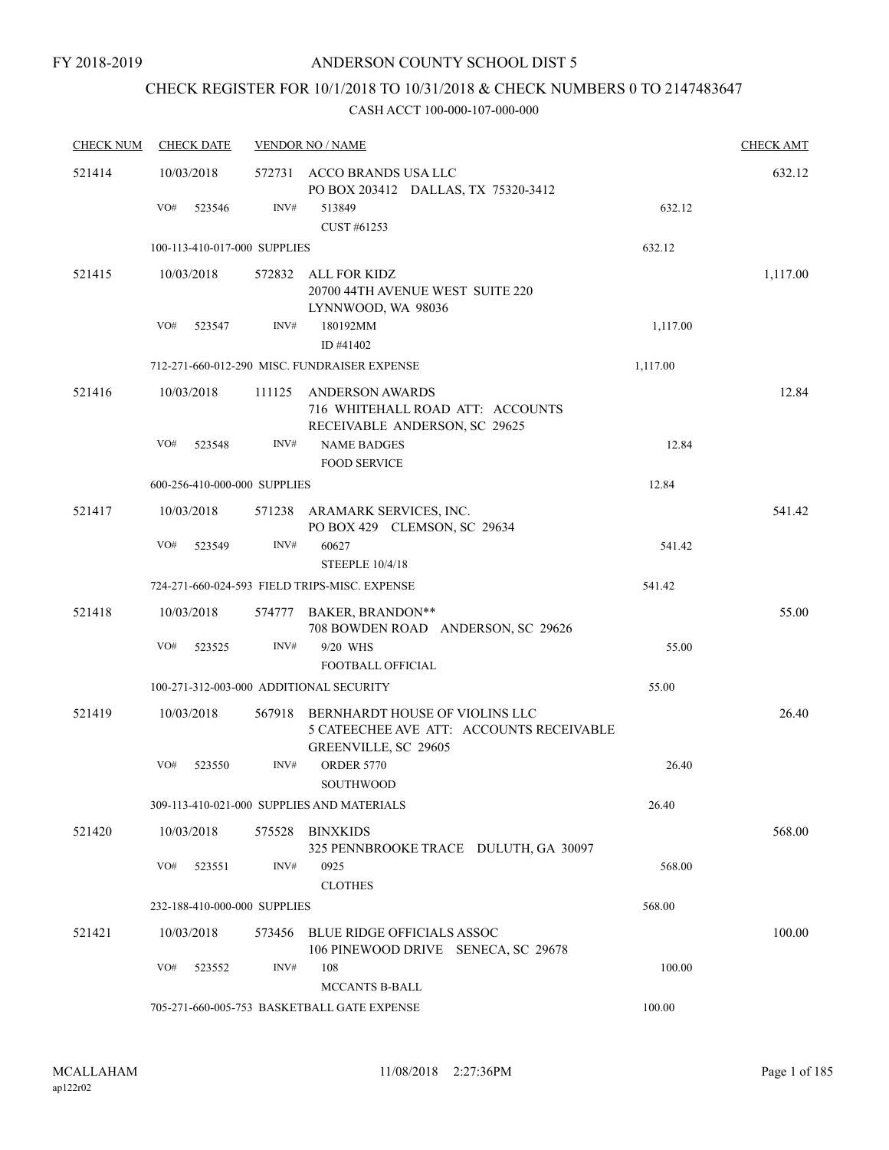# CHECK REGISTER FOR 10/1/2018 TO 10/31/2018 & CHECK NUMBERS 0 TO 2147483647

| <b>CHECK NUM</b> | <b>CHECK DATE</b>            |        | <b>VENDOR NO / NAME</b>                                                                                   |          | <b>CHECK AMT</b> |
|------------------|------------------------------|--------|-----------------------------------------------------------------------------------------------------------|----------|------------------|
| 521414           | 10/03/2018                   | 572731 | ACCO BRANDS USA LLC<br>PO BOX 203412 DALLAS, TX 75320-3412                                                |          | 632.12           |
|                  | VO#<br>523546                | INV#   | 513849<br>CUST #61253                                                                                     | 632.12   |                  |
|                  | 100-113-410-017-000 SUPPLIES |        |                                                                                                           | 632.12   |                  |
| 521415           | 10/03/2018                   | 572832 | ALL FOR KIDZ                                                                                              |          | 1,117.00         |
|                  |                              |        | 20700 44TH AVENUE WEST SUITE 220<br>LYNNWOOD, WA 98036                                                    |          |                  |
|                  | VO#<br>523547                | INV#   | 180192MM<br>ID #41402                                                                                     | 1,117.00 |                  |
|                  |                              |        | 712-271-660-012-290 MISC. FUNDRAISER EXPENSE                                                              | 1,117.00 |                  |
| 521416           | 10/03/2018                   | 111125 | ANDERSON AWARDS<br>716 WHITEHALL ROAD ATT: ACCOUNTS<br>RECEIVABLE ANDERSON, SC 29625                      |          | 12.84            |
|                  | VO#<br>523548                | INV#   | <b>NAME BADGES</b><br><b>FOOD SERVICE</b>                                                                 | 12.84    |                  |
|                  | 600-256-410-000-000 SUPPLIES |        |                                                                                                           | 12.84    |                  |
| 521417           | 10/03/2018                   |        | 571238 ARAMARK SERVICES, INC.<br>PO BOX 429 CLEMSON, SC 29634                                             |          | 541.42           |
|                  | VO#<br>523549                | INV#   | 60627<br><b>STEEPLE 10/4/18</b>                                                                           | 541.42   |                  |
|                  |                              |        | 724-271-660-024-593 FIELD TRIPS-MISC. EXPENSE                                                             | 541.42   |                  |
| 521418           | 10/03/2018                   |        | 574777 BAKER, BRANDON**<br>708 BOWDEN ROAD ANDERSON, SC 29626                                             |          | 55.00            |
|                  | VO#<br>523525                | INV#   | 9/20 WHS<br>FOOTBALL OFFICIAL                                                                             | 55.00    |                  |
|                  |                              |        | 100-271-312-003-000 ADDITIONAL SECURITY                                                                   | 55.00    |                  |
| 521419           | 10/03/2018                   |        | 567918 BERNHARDT HOUSE OF VIOLINS LLC<br>5 CATEECHEE AVE ATT: ACCOUNTS RECEIVABLE<br>GREENVILLE, SC 29605 |          | 26.40            |
|                  | VO#<br>523550                | INV#   | <b>ORDER 5770</b><br><b>SOUTHWOOD</b>                                                                     | 26.40    |                  |
|                  |                              |        | 309-113-410-021-000 SUPPLIES AND MATERIALS                                                                | 26.40    |                  |
| 521420           | 10/03/2018                   | 575528 | BINXKIDS<br>325 PENNBROOKE TRACE DULUTH, GA 30097                                                         |          | 568.00           |
|                  | VO#<br>523551                | INV#   | 0925<br><b>CLOTHES</b>                                                                                    | 568.00   |                  |
|                  | 232-188-410-000-000 SUPPLIES |        |                                                                                                           | 568.00   |                  |
| 521421           | 10/03/2018                   | 573456 | <b>BLUE RIDGE OFFICIALS ASSOC</b><br>106 PINEWOOD DRIVE SENECA, SC 29678                                  |          | 100.00           |
|                  | VO#<br>523552                | INV#   | 108<br>MCCANTS B-BALL                                                                                     | 100.00   |                  |
|                  |                              |        | 705-271-660-005-753 BASKETBALL GATE EXPENSE                                                               | 100.00   |                  |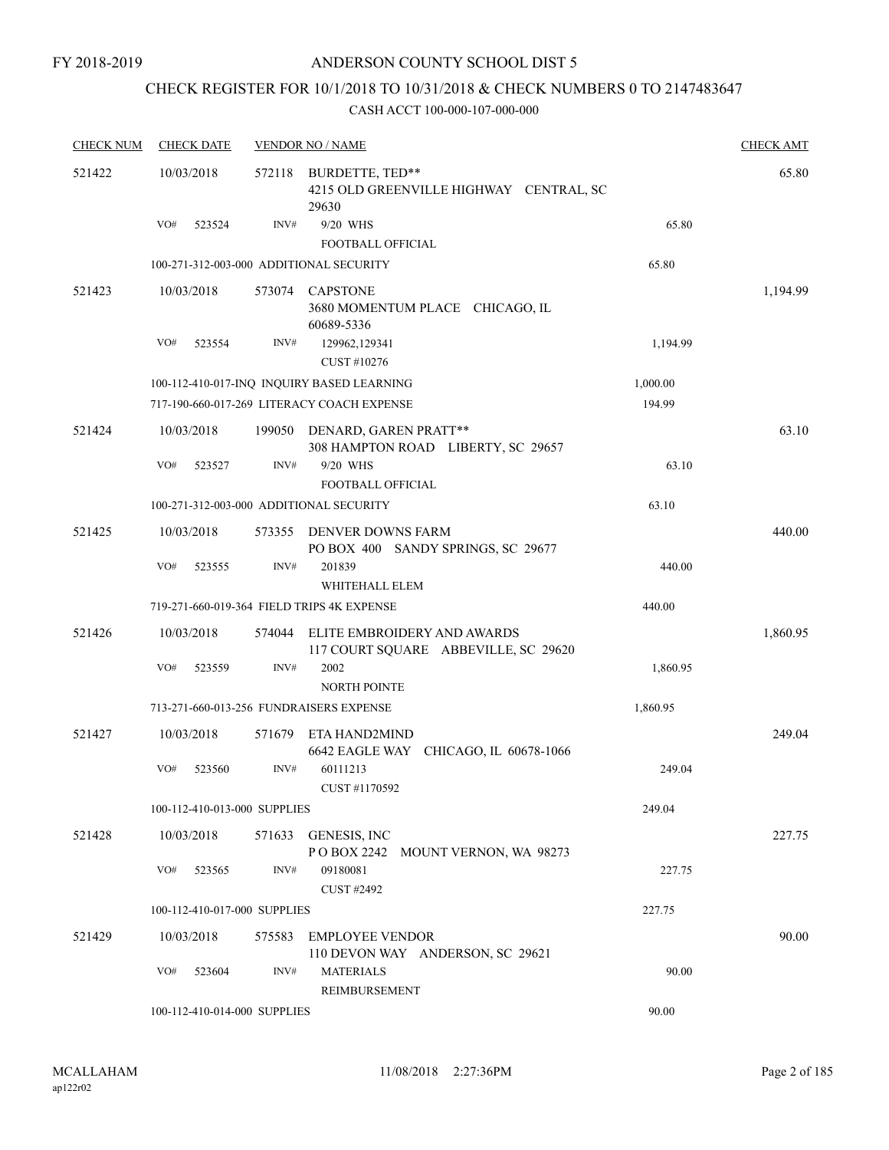FY 2018-2019

#### ANDERSON COUNTY SCHOOL DIST 5

### CHECK REGISTER FOR 10/1/2018 TO 10/31/2018 & CHECK NUMBERS 0 TO 2147483647

| <b>CHECK NUM</b> | <b>CHECK DATE</b>                       |        | <b>VENDOR NO / NAME</b>                                             |          | <b>CHECK AMT</b> |
|------------------|-----------------------------------------|--------|---------------------------------------------------------------------|----------|------------------|
| 521422           | 10/03/2018                              | 572118 | BURDETTE, TED**<br>4215 OLD GREENVILLE HIGHWAY CENTRAL, SC<br>29630 |          | 65.80            |
|                  | VO#<br>523524                           | INV#   | 9/20 WHS<br>FOOTBALL OFFICIAL                                       | 65.80    |                  |
|                  | 100-271-312-003-000 ADDITIONAL SECURITY |        |                                                                     | 65.80    |                  |
| 521423           | 10/03/2018                              |        | 573074 CAPSTONE<br>3680 MOMENTUM PLACE CHICAGO, IL<br>60689-5336    |          | 1,194.99         |
|                  | VO#<br>523554                           | INV#   | 129962,129341                                                       | 1,194.99 |                  |
|                  |                                         |        | CUST #10276                                                         |          |                  |
|                  |                                         |        | 100-112-410-017-INQ INQUIRY BASED LEARNING                          | 1,000.00 |                  |
|                  |                                         |        | 717-190-660-017-269 LITERACY COACH EXPENSE                          | 194.99   |                  |
| 521424           | 10/03/2018                              |        | 199050 DENARD, GAREN PRATT**<br>308 HAMPTON ROAD LIBERTY, SC 29657  |          | 63.10            |
|                  | VO#<br>523527                           | INV#   | 9/20 WHS                                                            | 63.10    |                  |
|                  | 100-271-312-003-000 ADDITIONAL SECURITY |        | FOOTBALL OFFICIAL                                                   | 63.10    |                  |
|                  |                                         |        |                                                                     |          |                  |
| 521425           | 10/03/2018                              |        | 573355 DENVER DOWNS FARM<br>PO BOX 400 SANDY SPRINGS, SC 29677      |          | 440.00           |
|                  | VO#<br>523555                           | INV#   | 201839<br>WHITEHALL ELEM                                            | 440.00   |                  |
|                  |                                         |        | 719-271-660-019-364 FIELD TRIPS 4K EXPENSE                          | 440.00   |                  |
| 521426           | 10/03/2018                              | 574044 | ELITE EMBROIDERY AND AWARDS<br>117 COURT SQUARE ABBEVILLE, SC 29620 |          | 1,860.95         |
|                  | VO#<br>523559                           | INV#   | 2002<br><b>NORTH POINTE</b>                                         | 1,860.95 |                  |
|                  | 713-271-660-013-256 FUNDRAISERS EXPENSE |        |                                                                     | 1,860.95 |                  |
| 521427           | 10/03/2018                              |        | 571679 ETA HAND2MIND<br>6642 EAGLE WAY CHICAGO, IL 60678-1066       |          | 249.04           |
|                  | VO#<br>523560                           | INV#   | 60111213<br>CUST #1170592                                           | 249.04   |                  |
|                  | 100-112-410-013-000 SUPPLIES            |        |                                                                     | 249.04   |                  |
| 521428           | 10/03/2018                              |        | 571633 GENESIS, INC<br>POBOX 2242 MOUNT VERNON, WA 98273            |          | 227.75           |
|                  | VO#<br>523565                           | INV#   | 09180081<br><b>CUST #2492</b>                                       | 227.75   |                  |
|                  | 100-112-410-017-000 SUPPLIES            |        |                                                                     | 227.75   |                  |
| 521429           | 10/03/2018                              | 575583 | EMPLOYEE VENDOR<br>110 DEVON WAY ANDERSON, SC 29621                 |          | 90.00            |
|                  | VO#<br>523604                           | INV#   | <b>MATERIALS</b><br>REIMBURSEMENT                                   | 90.00    |                  |
|                  | 100-112-410-014-000 SUPPLIES            |        |                                                                     | 90.00    |                  |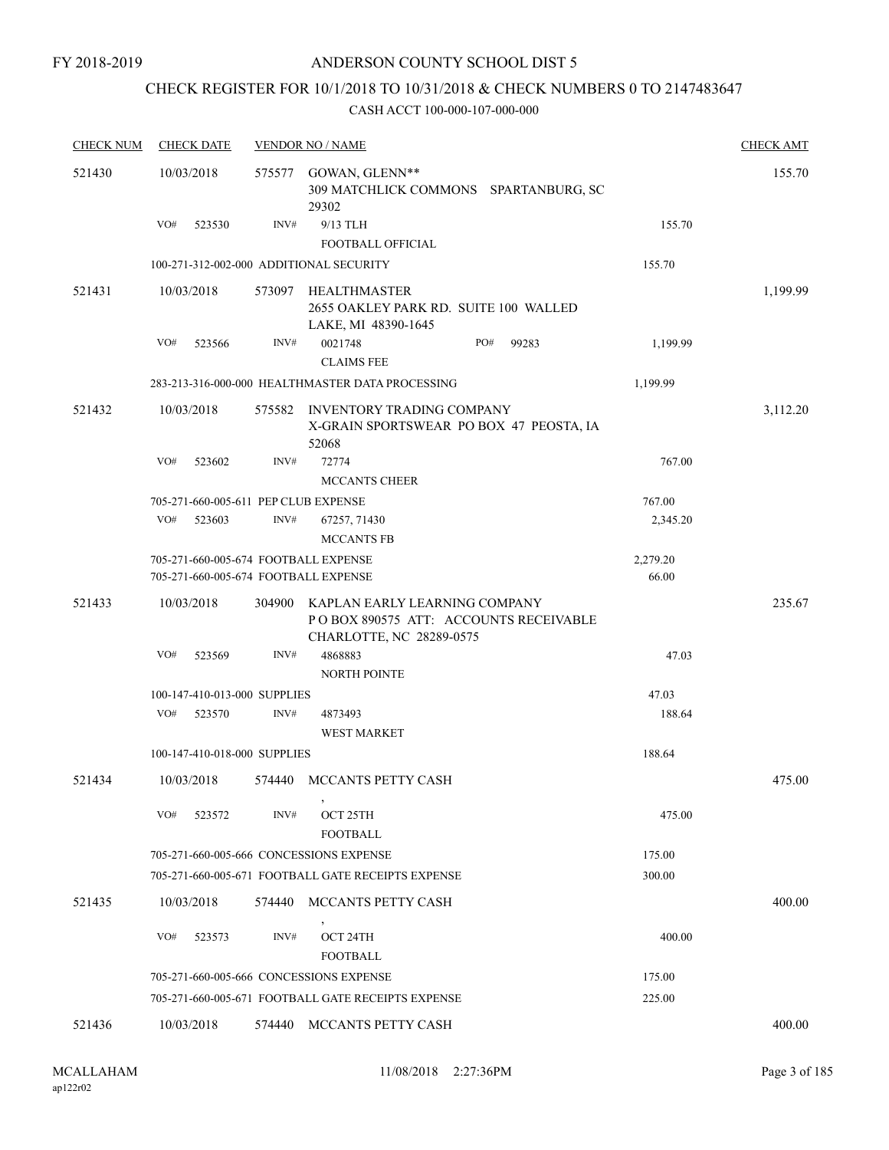FY 2018-2019

### ANDERSON COUNTY SCHOOL DIST 5

### CHECK REGISTER FOR 10/1/2018 TO 10/31/2018 & CHECK NUMBERS 0 TO 2147483647

| <b>CHECK NUM</b> | <b>CHECK DATE</b>                       |        | <b>VENDOR NO / NAME</b>                                                                             |          | <b>CHECK AMT</b> |
|------------------|-----------------------------------------|--------|-----------------------------------------------------------------------------------------------------|----------|------------------|
| 521430           | 10/03/2018                              |        | 575577 GOWAN, GLENN**<br>309 MATCHLICK COMMONS SPARTANBURG, SC<br>29302                             |          | 155.70           |
|                  | VO#<br>523530                           | INV#   | 9/13 TLH                                                                                            | 155.70   |                  |
|                  |                                         |        | FOOTBALL OFFICIAL                                                                                   |          |                  |
|                  | 100-271-312-002-000 ADDITIONAL SECURITY |        |                                                                                                     | 155.70   |                  |
| 521431           | 10/03/2018                              | 573097 | HEALTHMASTER<br>2655 OAKLEY PARK RD. SUITE 100 WALLED<br>LAKE, MI 48390-1645                        |          | 1,199.99         |
|                  | VO#<br>523566                           | INV#   | 0021748<br>PO#<br>99283                                                                             | 1,199.99 |                  |
|                  |                                         |        | <b>CLAIMS FEE</b>                                                                                   |          |                  |
|                  |                                         |        | 283-213-316-000-000 HEALTHMASTER DATA PROCESSING                                                    | 1,199.99 |                  |
| 521432           | 10/03/2018                              |        | 575582 INVENTORY TRADING COMPANY<br>X-GRAIN SPORTSWEAR PO BOX 47 PEOSTA, IA<br>52068                |          | 3,112.20         |
|                  | VO#<br>523602                           | INV#   | 72774                                                                                               | 767.00   |                  |
|                  |                                         |        | <b>MCCANTS CHEER</b>                                                                                |          |                  |
|                  | 705-271-660-005-611 PEP CLUB EXPENSE    |        |                                                                                                     | 767.00   |                  |
|                  | VO#<br>523603                           | INV#   | 67257, 71430                                                                                        | 2,345.20 |                  |
|                  |                                         |        | <b>MCCANTS FB</b>                                                                                   |          |                  |
|                  | 705-271-660-005-674 FOOTBALL EXPENSE    |        |                                                                                                     | 2,279.20 |                  |
|                  | 705-271-660-005-674 FOOTBALL EXPENSE    |        |                                                                                                     | 66.00    |                  |
| 521433           | 10/03/2018                              | 304900 | KAPLAN EARLY LEARNING COMPANY<br>PO BOX 890575 ATT: ACCOUNTS RECEIVABLE<br>CHARLOTTE, NC 28289-0575 |          | 235.67           |
|                  | VO#<br>523569                           | INV#   | 4868883<br><b>NORTH POINTE</b>                                                                      | 47.03    |                  |
|                  | 100-147-410-013-000 SUPPLIES            |        |                                                                                                     | 47.03    |                  |
|                  | VO#<br>523570                           | INV#   | 4873493                                                                                             | 188.64   |                  |
|                  |                                         |        | <b>WEST MARKET</b>                                                                                  |          |                  |
|                  | 100-147-410-018-000 SUPPLIES            |        |                                                                                                     | 188.64   |                  |
| 521434           | 10/03/2018                              | 574440 | MCCANTS PETTY CASH                                                                                  |          | 475.00           |
|                  | VO#<br>523572                           | INV#   | OCT 25TH<br><b>FOOTBALL</b>                                                                         | 475.00   |                  |
|                  | 705-271-660-005-666 CONCESSIONS EXPENSE |        |                                                                                                     | 175.00   |                  |
|                  |                                         |        | 705-271-660-005-671 FOOTBALL GATE RECEIPTS EXPENSE                                                  | 300.00   |                  |
| 521435           | 10/03/2018                              | 574440 | MCCANTS PETTY CASH                                                                                  |          | 400.00           |
|                  | VO#<br>523573                           | INV#   | OCT 24TH<br><b>FOOTBALL</b>                                                                         | 400.00   |                  |
|                  | 705-271-660-005-666 CONCESSIONS EXPENSE |        |                                                                                                     | 175.00   |                  |
|                  |                                         |        | 705-271-660-005-671 FOOTBALL GATE RECEIPTS EXPENSE                                                  | 225.00   |                  |
| 521436           | 10/03/2018                              | 574440 | MCCANTS PETTY CASH                                                                                  |          | 400.00           |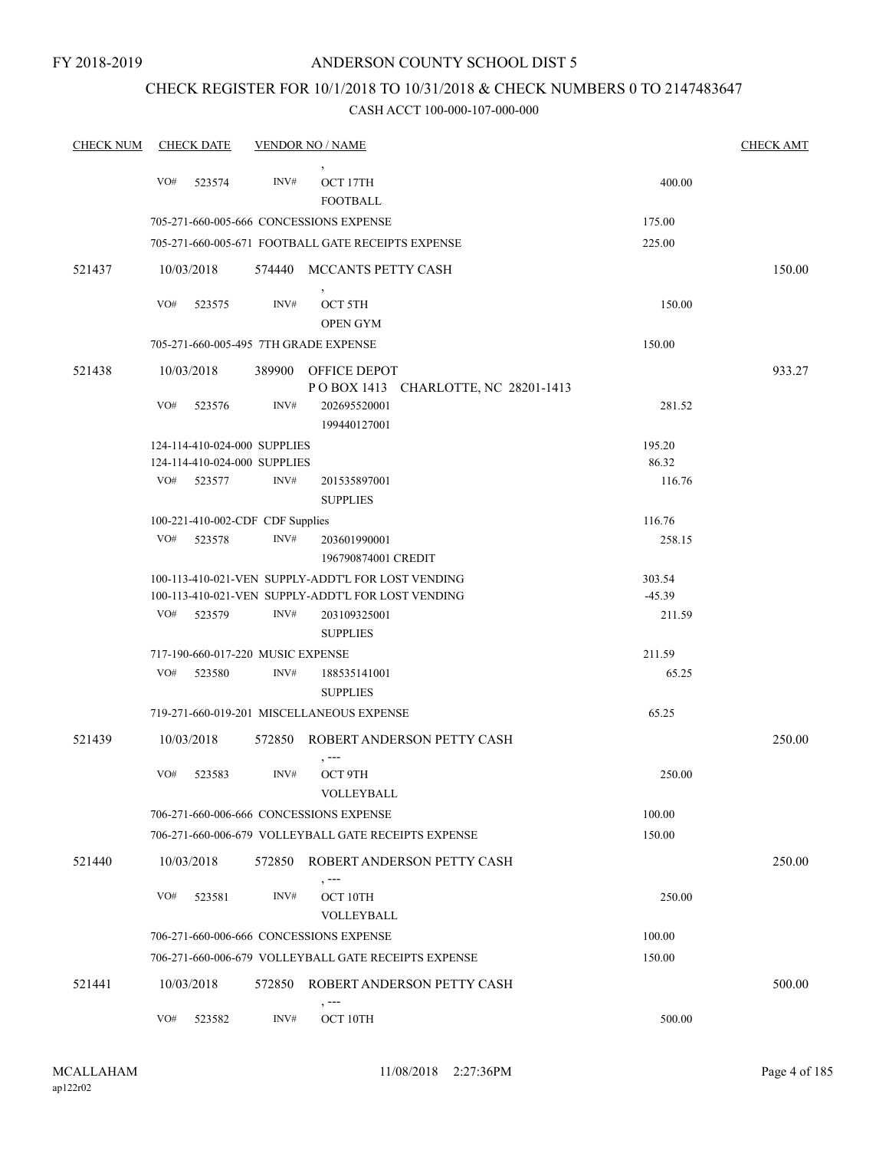### CHECK REGISTER FOR 10/1/2018 TO 10/31/2018 & CHECK NUMBERS 0 TO 2147483647

| <b>CHECK NUM</b> |     | <b>CHECK DATE</b> |                                                              | <b>VENDOR NO / NAME</b>                                                                                  |                    | <b>CHECK AMT</b> |
|------------------|-----|-------------------|--------------------------------------------------------------|----------------------------------------------------------------------------------------------------------|--------------------|------------------|
|                  |     |                   |                                                              |                                                                                                          |                    |                  |
|                  | VO# | 523574            | INV#                                                         | OCT 17TH<br><b>FOOTBALL</b>                                                                              | 400.00             |                  |
|                  |     |                   |                                                              | 705-271-660-005-666 CONCESSIONS EXPENSE                                                                  | 175.00             |                  |
|                  |     |                   |                                                              | 705-271-660-005-671 FOOTBALL GATE RECEIPTS EXPENSE                                                       | 225.00             |                  |
| 521437           |     | 10/03/2018        | 574440                                                       | MCCANTS PETTY CASH                                                                                       |                    | 150.00           |
|                  | VO# | 523575            | INV#                                                         | OCT 5TH<br><b>OPEN GYM</b>                                                                               | 150.00             |                  |
|                  |     |                   |                                                              | 705-271-660-005-495 7TH GRADE EXPENSE                                                                    | 150.00             |                  |
| 521438           |     | 10/03/2018        | 389900                                                       | OFFICE DEPOT<br>POBOX 1413 CHARLOTTE, NC 28201-1413                                                      |                    | 933.27           |
|                  | VO# | 523576            | INV#                                                         | 202695520001<br>199440127001                                                                             | 281.52             |                  |
|                  |     |                   | 124-114-410-024-000 SUPPLIES<br>124-114-410-024-000 SUPPLIES |                                                                                                          | 195.20<br>86.32    |                  |
|                  | VO# | 523577            | INV#                                                         | 201535897001<br><b>SUPPLIES</b>                                                                          | 116.76             |                  |
|                  |     |                   | 100-221-410-002-CDF CDF Supplies                             |                                                                                                          | 116.76             |                  |
|                  | VO# | 523578            | INV#                                                         | 203601990001<br>196790874001 CREDIT                                                                      | 258.15             |                  |
|                  |     |                   |                                                              | 100-113-410-021-VEN SUPPLY-ADDT'L FOR LOST VENDING<br>100-113-410-021-VEN SUPPLY-ADDT'L FOR LOST VENDING | 303.54<br>$-45.39$ |                  |
|                  | VO# | 523579            | INV#                                                         | 203109325001                                                                                             | 211.59             |                  |
|                  |     |                   |                                                              | <b>SUPPLIES</b>                                                                                          |                    |                  |
|                  |     |                   | 717-190-660-017-220 MUSIC EXPENSE                            |                                                                                                          | 211.59             |                  |
|                  | VO# | 523580            | INV#                                                         | 188535141001<br><b>SUPPLIES</b>                                                                          | 65.25              |                  |
|                  |     |                   |                                                              | 719-271-660-019-201 MISCELLANEOUS EXPENSE                                                                | 65.25              |                  |
| 521439           |     | 10/03/2018        | 572850                                                       | ROBERT ANDERSON PETTY CASH<br>, ---                                                                      |                    | 250.00           |
|                  | VO# | 523583            | INV#                                                         | OCT 9TH<br>VOLLEYBALL                                                                                    | 250.00             |                  |
|                  |     |                   |                                                              | 706-271-660-006-666 CONCESSIONS EXPENSE                                                                  | 100.00             |                  |
|                  |     |                   |                                                              | 706-271-660-006-679 VOLLEYBALL GATE RECEIPTS EXPENSE                                                     | 150.00             |                  |
| 521440           |     | 10/03/2018        | 572850                                                       | ROBERT ANDERSON PETTY CASH<br>, ---                                                                      |                    | 250.00           |
|                  | VO# | 523581            | INV#                                                         | OCT 10TH<br>VOLLEYBALL                                                                                   | 250.00             |                  |
|                  |     |                   |                                                              | 706-271-660-006-666 CONCESSIONS EXPENSE                                                                  | 100.00             |                  |
|                  |     |                   |                                                              | 706-271-660-006-679 VOLLEYBALL GATE RECEIPTS EXPENSE                                                     | 150.00             |                  |
| 521441           |     | 10/03/2018        | 572850                                                       | ROBERT ANDERSON PETTY CASH                                                                               |                    | 500.00           |
|                  | VO# | 523582            | INV#                                                         | , ---<br>OCT 10TH                                                                                        | 500.00             |                  |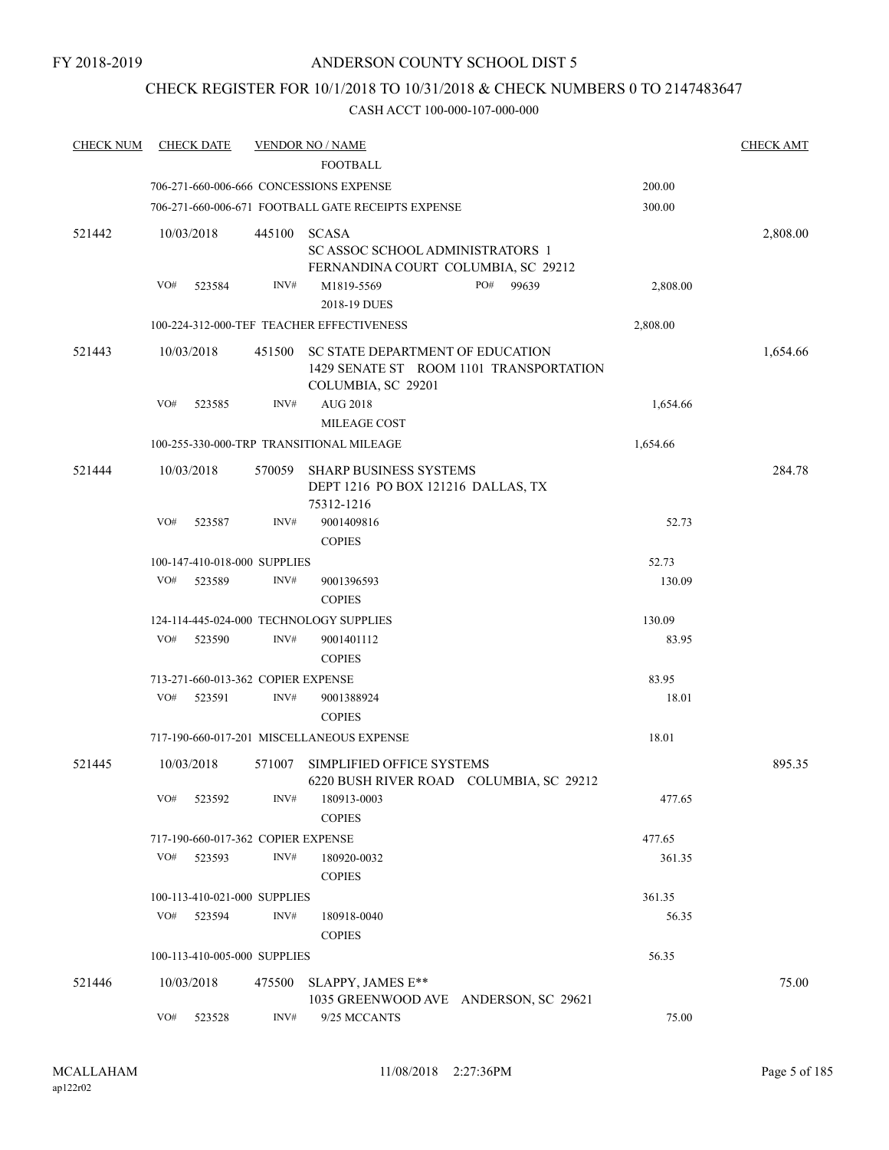### CHECK REGISTER FOR 10/1/2018 TO 10/31/2018 & CHECK NUMBERS 0 TO 2147483647

| <b>CHECK NUM</b> | <b>CHECK DATE</b>                  |        | <b>VENDOR NO / NAME</b>                                                                           |          | <b>CHECK AMT</b> |
|------------------|------------------------------------|--------|---------------------------------------------------------------------------------------------------|----------|------------------|
|                  |                                    |        | <b>FOOTBALL</b>                                                                                   |          |                  |
|                  |                                    |        | 706-271-660-006-666 CONCESSIONS EXPENSE                                                           | 200.00   |                  |
|                  |                                    |        | 706-271-660-006-671 FOOTBALL GATE RECEIPTS EXPENSE                                                | 300.00   |                  |
| 521442           | 10/03/2018                         | 445100 | <b>SCASA</b><br><b>SC ASSOC SCHOOL ADMINISTRATORS 1</b><br>FERNANDINA COURT COLUMBIA, SC 29212    |          | 2,808.00         |
|                  | VO#<br>523584                      | INV#   | PO#<br>M1819-5569<br>99639<br>2018-19 DUES                                                        | 2,808.00 |                  |
|                  |                                    |        | 100-224-312-000-TEF TEACHER EFFECTIVENESS                                                         | 2,808.00 |                  |
| 521443           | 10/03/2018                         | 451500 | SC STATE DEPARTMENT OF EDUCATION<br>1429 SENATE ST ROOM 1101 TRANSPORTATION<br>COLUMBIA, SC 29201 |          | 1,654.66         |
|                  | VO#<br>523585                      | INV#   | AUG 2018<br><b>MILEAGE COST</b>                                                                   | 1,654.66 |                  |
|                  |                                    |        | 100-255-330-000-TRP TRANSITIONAL MILEAGE                                                          | 1,654.66 |                  |
| 521444           | 10/03/2018                         | 570059 | <b>SHARP BUSINESS SYSTEMS</b><br>DEPT 1216 PO BOX 121216 DALLAS, TX<br>75312-1216                 |          | 284.78           |
|                  | VO#<br>523587                      | INV#   | 9001409816<br><b>COPIES</b>                                                                       | 52.73    |                  |
|                  | 100-147-410-018-000 SUPPLIES       |        |                                                                                                   | 52.73    |                  |
|                  | VO#<br>523589                      | INV#   | 9001396593<br><b>COPIES</b>                                                                       | 130.09   |                  |
|                  |                                    |        | 124-114-445-024-000 TECHNOLOGY SUPPLIES                                                           | 130.09   |                  |
|                  | VO#<br>523590                      | INV#   | 9001401112<br><b>COPIES</b>                                                                       | 83.95    |                  |
|                  | 713-271-660-013-362 COPIER EXPENSE |        |                                                                                                   | 83.95    |                  |
|                  | VO#<br>523591                      | INV#   | 9001388924<br><b>COPIES</b>                                                                       | 18.01    |                  |
|                  |                                    |        | 717-190-660-017-201 MISCELLANEOUS EXPENSE                                                         | 18.01    |                  |
| 521445           | 10/03/2018                         | 571007 | SIMPLIFIED OFFICE SYSTEMS<br>6220 BUSH RIVER ROAD COLUMBIA, SC 29212                              |          | 895.35           |
|                  | VO#<br>523592                      | INV#   | 180913-0003<br><b>COPIES</b>                                                                      | 477.65   |                  |
|                  | 717-190-660-017-362 COPIER EXPENSE |        |                                                                                                   | 477.65   |                  |
|                  | VO#<br>523593                      | INV#   | 180920-0032<br><b>COPIES</b>                                                                      | 361.35   |                  |
|                  | 100-113-410-021-000 SUPPLIES       |        |                                                                                                   | 361.35   |                  |
|                  | VO#<br>523594                      | INV#   | 180918-0040<br><b>COPIES</b>                                                                      | 56.35    |                  |
|                  | 100-113-410-005-000 SUPPLIES       |        |                                                                                                   | 56.35    |                  |
| 521446           | 10/03/2018                         | 475500 | SLAPPY, JAMES E**<br>1035 GREENWOOD AVE ANDERSON, SC 29621                                        |          | 75.00            |
|                  | VO#<br>523528                      | INV#   | 9/25 MCCANTS                                                                                      | 75.00    |                  |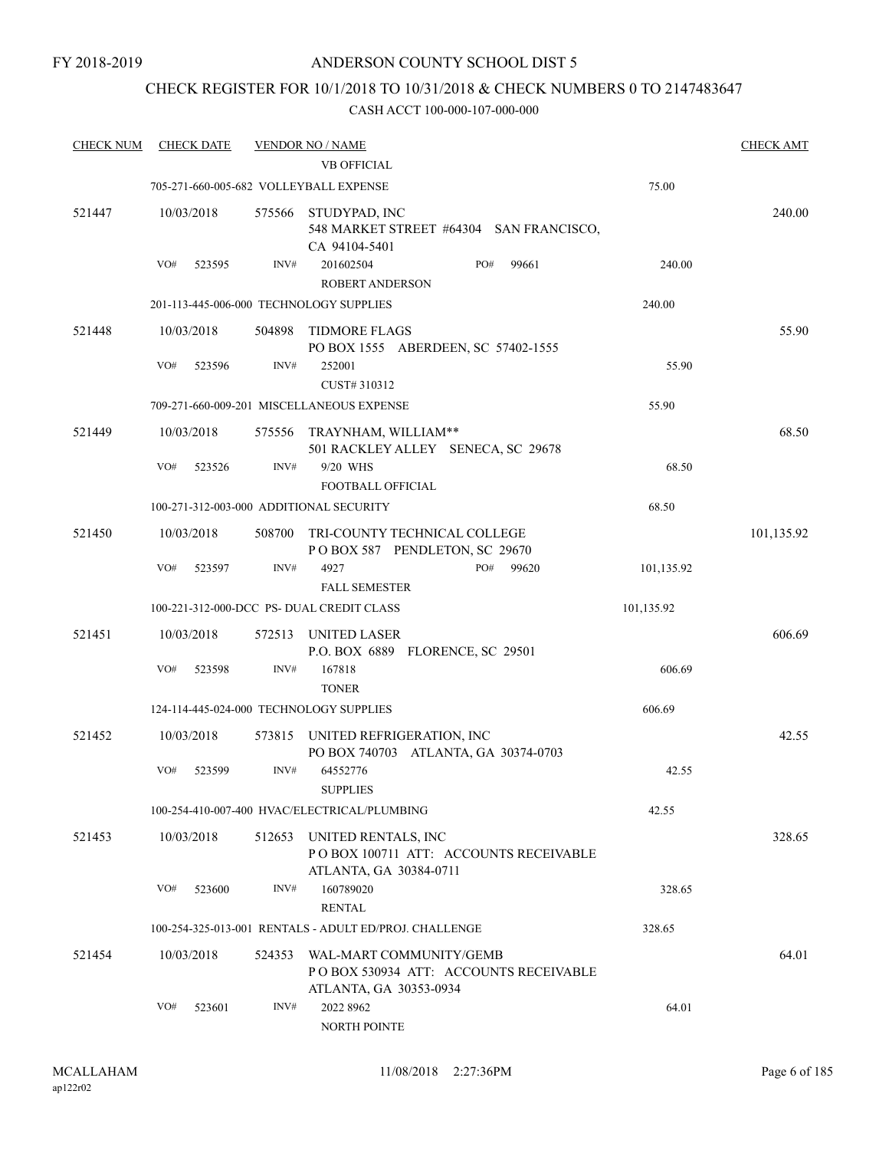### CHECK REGISTER FOR 10/1/2018 TO 10/31/2018 & CHECK NUMBERS 0 TO 2147483647

| <b>CHECK NUM</b> | <b>CHECK DATE</b>                       |        | <b>VENDOR NO / NAME</b><br><b>VB OFFICIAL</b>                                                  |            | <b>CHECK AMT</b> |
|------------------|-----------------------------------------|--------|------------------------------------------------------------------------------------------------|------------|------------------|
|                  | 705-271-660-005-682 VOLLEYBALL EXPENSE  |        |                                                                                                | 75.00      |                  |
| 521447           | 10/03/2018                              |        | 575566 STUDYPAD, INC<br>548 MARKET STREET #64304 SAN FRANCISCO,<br>CA 94104-5401               |            | 240.00           |
|                  | VO#<br>523595                           | INV#   | PO#<br>201602504<br>99661<br><b>ROBERT ANDERSON</b>                                            | 240.00     |                  |
|                  | 201-113-445-006-000 TECHNOLOGY SUPPLIES |        |                                                                                                | 240.00     |                  |
| 521448           | 10/03/2018                              | 504898 | <b>TIDMORE FLAGS</b><br>PO BOX 1555 ABERDEEN, SC 57402-1555                                    |            | 55.90            |
|                  | VO#<br>523596                           | INV#   | 252001<br>CUST# 310312                                                                         | 55.90      |                  |
|                  |                                         |        | 709-271-660-009-201 MISCELLANEOUS EXPENSE                                                      | 55.90      |                  |
| 521449           | 10/03/2018                              |        | 575556 TRAYNHAM, WILLIAM**<br>501 RACKLEY ALLEY SENECA, SC 29678                               |            | 68.50            |
|                  | VO#<br>523526                           | INV#   | 9/20 WHS<br>FOOTBALL OFFICIAL                                                                  | 68.50      |                  |
|                  | 100-271-312-003-000 ADDITIONAL SECURITY |        |                                                                                                | 68.50      |                  |
| 521450           | 10/03/2018                              | 508700 | TRI-COUNTY TECHNICAL COLLEGE<br>POBOX 587 PENDLETON, SC 29670                                  |            | 101,135.92       |
|                  | VO#<br>523597                           | INV#   | PO#<br>4927<br>99620<br><b>FALL SEMESTER</b>                                                   | 101,135.92 |                  |
|                  |                                         |        | 100-221-312-000-DCC PS- DUAL CREDIT CLASS                                                      | 101,135.92 |                  |
| 521451           | 10/03/2018                              | 572513 | UNITED LASER<br>P.O. BOX 6889 FLORENCE, SC 29501                                               |            | 606.69           |
|                  | VO#<br>523598                           | INV#   | 167818<br><b>TONER</b>                                                                         | 606.69     |                  |
|                  | 124-114-445-024-000 TECHNOLOGY SUPPLIES |        |                                                                                                | 606.69     |                  |
| 521452           | 10/03/2018                              | 573815 | UNITED REFRIGERATION, INC<br>PO BOX 740703 ATLANTA, GA 30374-0703                              |            | 42.55            |
|                  | VO#<br>523599                           | INV#   | 64552776<br><b>SUPPLIES</b>                                                                    | 42.55      |                  |
|                  |                                         |        | 100-254-410-007-400 HVAC/ELECTRICAL/PLUMBING                                                   | 42.55      |                  |
| 521453           | 10/03/2018                              |        | 512653 UNITED RENTALS, INC<br>PO BOX 100711 ATT: ACCOUNTS RECEIVABLE<br>ATLANTA, GA 30384-0711 |            | 328.65           |
|                  | VO#<br>523600                           | INV#   | 160789020<br><b>RENTAL</b>                                                                     | 328.65     |                  |
|                  |                                         |        | 100-254-325-013-001 RENTALS - ADULT ED/PROJ. CHALLENGE                                         | 328.65     |                  |
| 521454           | 10/03/2018                              | 524353 | WAL-MART COMMUNITY/GEMB<br>PO BOX 530934 ATT: ACCOUNTS RECEIVABLE<br>ATLANTA, GA 30353-0934    |            | 64.01            |
|                  | VO#<br>523601                           | INV#   | 2022 8962<br>NORTH POINTE                                                                      | 64.01      |                  |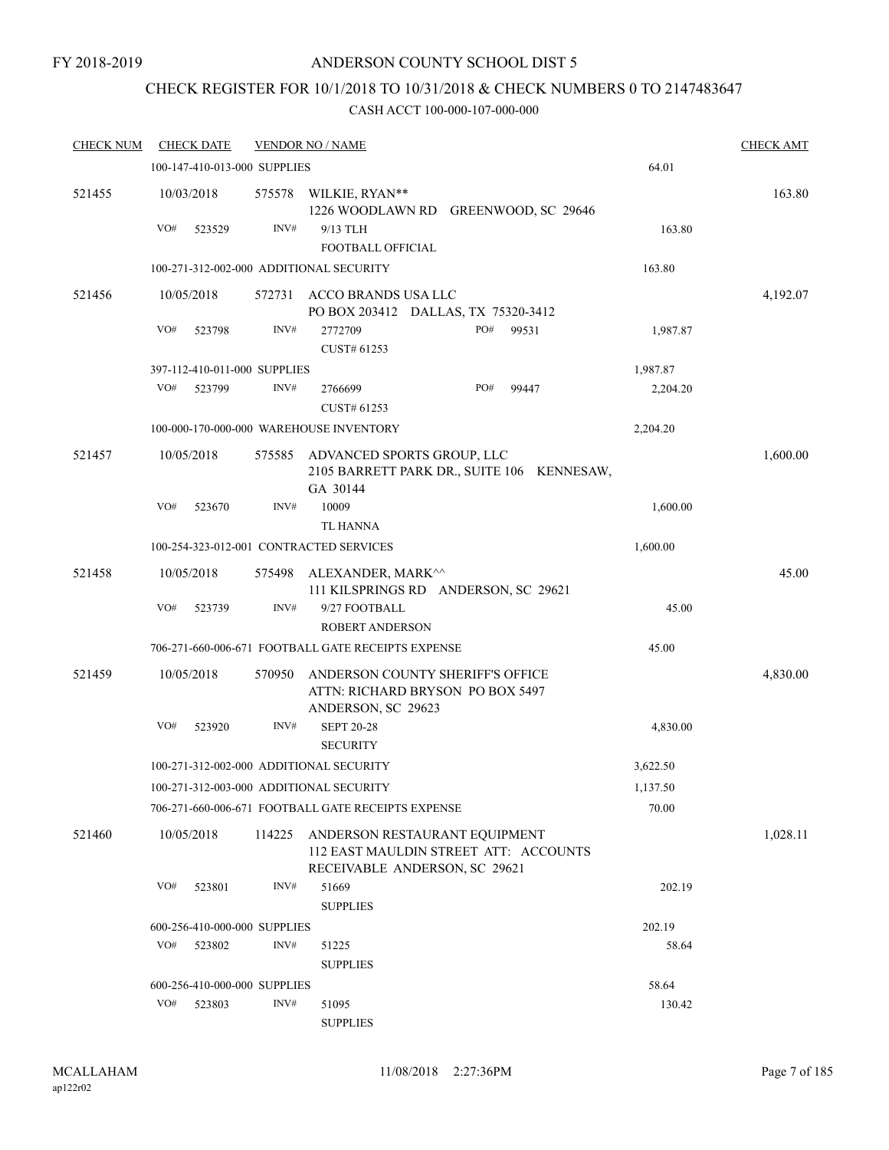### CHECK REGISTER FOR 10/1/2018 TO 10/31/2018 & CHECK NUMBERS 0 TO 2147483647

| <b>CHECK NUM</b> | <b>CHECK DATE</b>                       |        | <b>VENDOR NO / NAME</b>                                                                                 |          | <b>CHECK AMT</b> |
|------------------|-----------------------------------------|--------|---------------------------------------------------------------------------------------------------------|----------|------------------|
|                  | 100-147-410-013-000 SUPPLIES            |        |                                                                                                         | 64.01    |                  |
| 521455           | 10/03/2018                              |        | 575578 WILKIE, RYAN**<br>1226 WOODLAWN RD GREENWOOD, SC 29646                                           |          | 163.80           |
|                  | VO#<br>523529                           | INV#   | 9/13 TLH                                                                                                | 163.80   |                  |
|                  |                                         |        | FOOTBALL OFFICIAL                                                                                       |          |                  |
|                  | 100-271-312-002-000 ADDITIONAL SECURITY |        |                                                                                                         | 163.80   |                  |
| 521456           | 10/05/2018                              | 572731 | ACCO BRANDS USA LLC<br>PO BOX 203412 DALLAS, TX 75320-3412                                              |          | 4,192.07         |
|                  | VO#<br>523798                           | INV#   | 2772709<br>PO#<br>99531<br>CUST# 61253                                                                  | 1,987.87 |                  |
|                  | 397-112-410-011-000 SUPPLIES            |        |                                                                                                         | 1,987.87 |                  |
|                  | VO#<br>523799                           | INV#   | PO#<br>99447<br>2766699<br>CUST# 61253                                                                  | 2,204.20 |                  |
|                  |                                         |        | 100-000-170-000-000 WAREHOUSE INVENTORY                                                                 | 2,204.20 |                  |
| 521457           | 10/05/2018                              | 575585 | ADVANCED SPORTS GROUP, LLC<br>2105 BARRETT PARK DR., SUITE 106 KENNESAW,<br>GA 30144                    |          | 1,600.00         |
|                  | VO#<br>523670                           | INV#   | 10009                                                                                                   | 1,600.00 |                  |
|                  |                                         |        | TL HANNA                                                                                                |          |                  |
|                  | 100-254-323-012-001 CONTRACTED SERVICES |        |                                                                                                         | 1,600.00 |                  |
| 521458           | 10/05/2018                              |        | 575498 ALEXANDER, MARK^^<br>111 KILSPRINGS RD ANDERSON, SC 29621                                        |          | 45.00            |
|                  | VO#<br>523739                           | INV#   | 9/27 FOOTBALL<br><b>ROBERT ANDERSON</b>                                                                 | 45.00    |                  |
|                  |                                         |        | 706-271-660-006-671 FOOTBALL GATE RECEIPTS EXPENSE                                                      | 45.00    |                  |
| 521459           | 10/05/2018                              | 570950 | ANDERSON COUNTY SHERIFF'S OFFICE<br>ATTN: RICHARD BRYSON PO BOX 5497<br>ANDERSON, SC 29623              |          | 4,830.00         |
|                  | VO#<br>523920                           | INV#   | <b>SEPT 20-28</b><br><b>SECURITY</b>                                                                    | 4,830.00 |                  |
|                  | 100-271-312-002-000 ADDITIONAL SECURITY |        |                                                                                                         | 3,622.50 |                  |
|                  | 100-271-312-003-000 ADDITIONAL SECURITY |        |                                                                                                         | 1,137.50 |                  |
|                  |                                         |        | 706-271-660-006-671 FOOTBALL GATE RECEIPTS EXPENSE                                                      | 70.00    |                  |
| 521460           | 10/05/2018                              | 114225 | ANDERSON RESTAURANT EQUIPMENT<br>112 EAST MAULDIN STREET ATT: ACCOUNTS<br>RECEIVABLE ANDERSON, SC 29621 |          | 1,028.11         |
|                  | VO#<br>523801                           | INV#   | 51669<br><b>SUPPLIES</b>                                                                                | 202.19   |                  |
|                  | 600-256-410-000-000 SUPPLIES            |        |                                                                                                         | 202.19   |                  |
|                  | VO#<br>523802                           | INV#   | 51225<br><b>SUPPLIES</b>                                                                                | 58.64    |                  |
|                  | 600-256-410-000-000 SUPPLIES            |        |                                                                                                         | 58.64    |                  |
|                  | VO#<br>523803                           | INV#   | 51095<br><b>SUPPLIES</b>                                                                                | 130.42   |                  |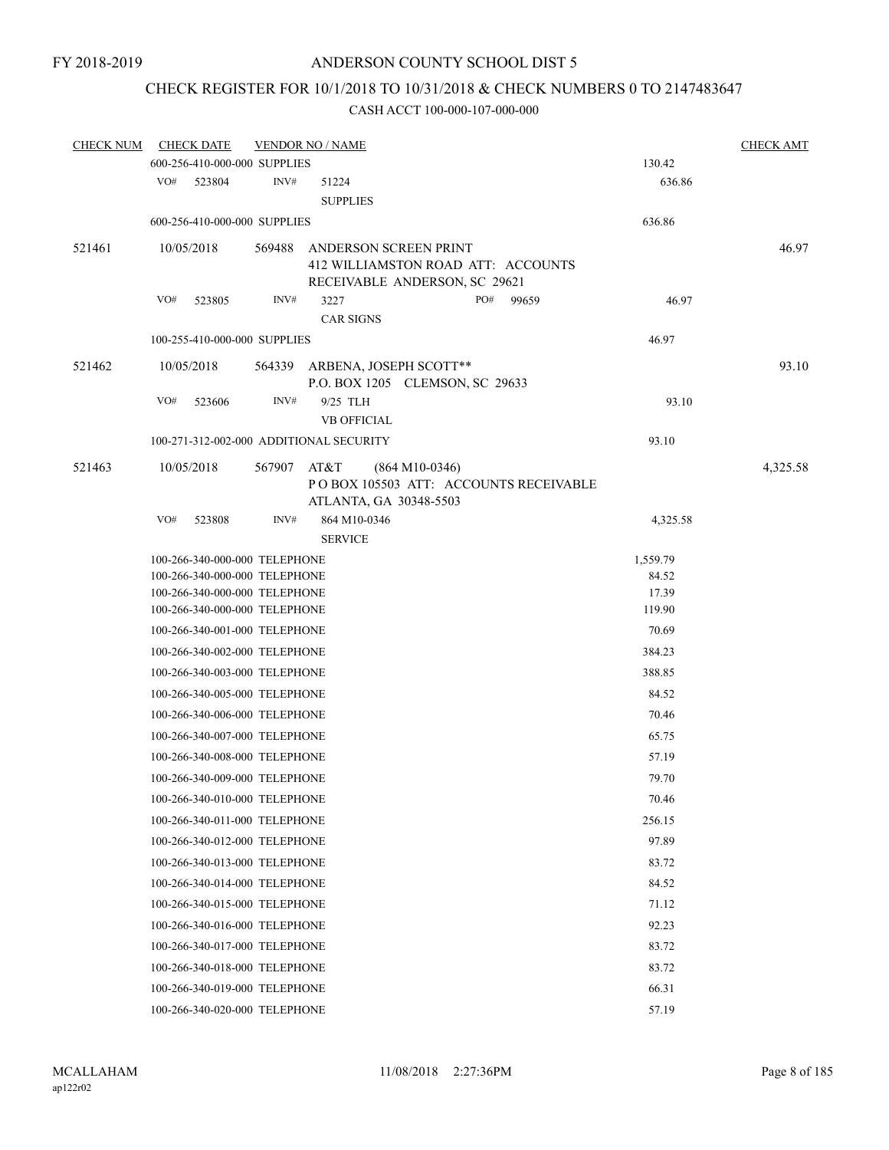# CHECK REGISTER FOR 10/1/2018 TO 10/31/2018 & CHECK NUMBERS 0 TO 2147483647

| <b>CHECK NUM</b> |     | <b>CHECK DATE</b>                                                                                                                |        | <b>VENDOR NO / NAME</b>                                                                      |                                      | <b>CHECK AMT</b> |
|------------------|-----|----------------------------------------------------------------------------------------------------------------------------------|--------|----------------------------------------------------------------------------------------------|--------------------------------------|------------------|
|                  |     | 600-256-410-000-000 SUPPLIES                                                                                                     |        |                                                                                              | 130.42                               |                  |
|                  | VO# | 523804                                                                                                                           | INV#   | 51224<br><b>SUPPLIES</b>                                                                     | 636.86                               |                  |
|                  |     | 600-256-410-000-000 SUPPLIES                                                                                                     |        |                                                                                              | 636.86                               |                  |
| 521461           |     | 10/05/2018                                                                                                                       | 569488 | ANDERSON SCREEN PRINT<br>412 WILLIAMSTON ROAD ATT: ACCOUNTS<br>RECEIVABLE ANDERSON, SC 29621 |                                      | 46.97            |
|                  | VO# | 523805                                                                                                                           | INV#   | 3227<br>PO#                                                                                  | 99659<br>46.97                       |                  |
|                  |     |                                                                                                                                  |        | <b>CAR SIGNS</b>                                                                             |                                      |                  |
|                  |     | 100-255-410-000-000 SUPPLIES                                                                                                     |        |                                                                                              | 46.97                                |                  |
| 521462           |     | 10/05/2018                                                                                                                       |        | 564339 ARBENA, JOSEPH SCOTT**<br>P.O. BOX 1205 CLEMSON, SC 29633                             |                                      | 93.10            |
|                  | VO# | 523606                                                                                                                           | INV#   | 9/25 TLH<br><b>VB OFFICIAL</b>                                                               | 93.10                                |                  |
|                  |     |                                                                                                                                  |        | 100-271-312-002-000 ADDITIONAL SECURITY                                                      | 93.10                                |                  |
| 521463           |     | 10/05/2018                                                                                                                       | 567907 | AT&T<br>$(864 M10-0346)$<br>PO BOX 105503 ATT: ACCOUNTS RECEIVABLE<br>ATLANTA, GA 30348-5503 |                                      | 4,325.58         |
|                  | VO# | 523808                                                                                                                           | INV#   | 864 M10-0346<br><b>SERVICE</b>                                                               | 4,325.58                             |                  |
|                  |     | 100-266-340-000-000 TELEPHONE<br>100-266-340-000-000 TELEPHONE<br>100-266-340-000-000 TELEPHONE<br>100-266-340-000-000 TELEPHONE |        |                                                                                              | 1,559.79<br>84.52<br>17.39<br>119.90 |                  |
|                  |     | 100-266-340-001-000 TELEPHONE                                                                                                    |        |                                                                                              | 70.69                                |                  |
|                  |     | 100-266-340-002-000 TELEPHONE                                                                                                    |        |                                                                                              | 384.23                               |                  |
|                  |     | 100-266-340-003-000 TELEPHONE                                                                                                    |        |                                                                                              | 388.85                               |                  |
|                  |     | 100-266-340-005-000 TELEPHONE                                                                                                    |        |                                                                                              | 84.52                                |                  |
|                  |     | 100-266-340-006-000 TELEPHONE                                                                                                    |        |                                                                                              | 70.46                                |                  |
|                  |     | 100-266-340-007-000 TELEPHONE                                                                                                    |        |                                                                                              | 65.75                                |                  |
|                  |     | 100-266-340-008-000 TELEPHONE                                                                                                    |        |                                                                                              | 57.19                                |                  |
|                  |     | 100-266-340-009-000 TELEPHONE                                                                                                    |        |                                                                                              | 79.70                                |                  |
|                  |     | 100-266-340-010-000 TELEPHONE                                                                                                    |        |                                                                                              | 70.46                                |                  |
|                  |     | 100-266-340-011-000 TELEPHONE                                                                                                    |        |                                                                                              | 256.15                               |                  |
|                  |     | 100-266-340-012-000 TELEPHONE                                                                                                    |        |                                                                                              | 97.89                                |                  |
|                  |     | 100-266-340-013-000 TELEPHONE                                                                                                    |        |                                                                                              | 83.72                                |                  |
|                  |     | 100-266-340-014-000 TELEPHONE                                                                                                    |        |                                                                                              | 84.52                                |                  |
|                  |     | 100-266-340-015-000 TELEPHONE                                                                                                    |        |                                                                                              | 71.12                                |                  |
|                  |     | 100-266-340-016-000 TELEPHONE                                                                                                    |        |                                                                                              | 92.23                                |                  |
|                  |     | 100-266-340-017-000 TELEPHONE                                                                                                    |        |                                                                                              | 83.72                                |                  |
|                  |     | 100-266-340-018-000 TELEPHONE                                                                                                    |        |                                                                                              | 83.72                                |                  |
|                  |     | 100-266-340-019-000 TELEPHONE                                                                                                    |        |                                                                                              | 66.31                                |                  |
|                  |     | 100-266-340-020-000 TELEPHONE                                                                                                    |        |                                                                                              | 57.19                                |                  |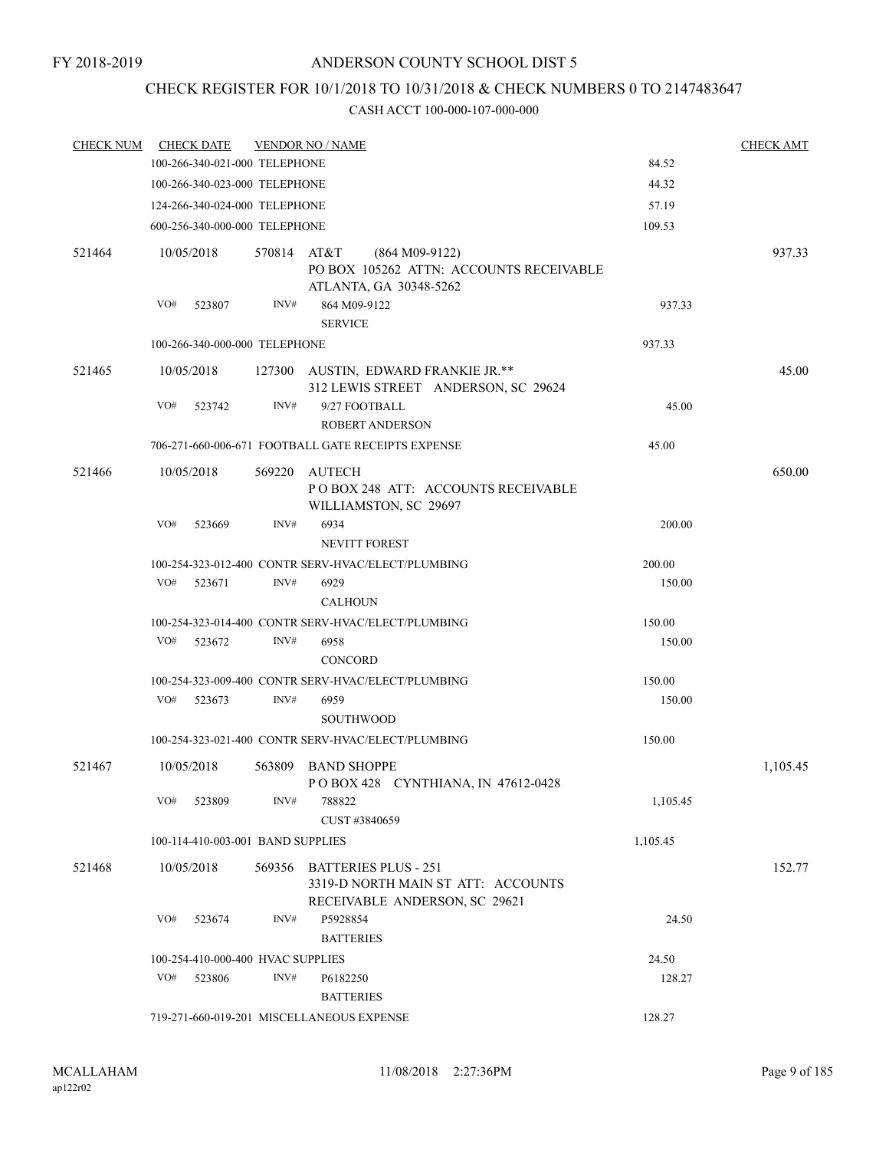### CHECK REGISTER FOR 10/1/2018 TO 10/31/2018 & CHECK NUMBERS 0 TO 2147483647

| <b>CHECK NUM</b> | <b>CHECK DATE</b>     | <b>VENDOR NO / NAME</b>           |                                                                                                      | <b>CHECK AMT</b> |          |
|------------------|-----------------------|-----------------------------------|------------------------------------------------------------------------------------------------------|------------------|----------|
|                  |                       | 100-266-340-021-000 TELEPHONE     | 84.52                                                                                                |                  |          |
|                  |                       | 100-266-340-023-000 TELEPHONE     | 44.32                                                                                                |                  |          |
|                  |                       | 124-266-340-024-000 TELEPHONE     |                                                                                                      | 57.19            |          |
|                  |                       | 600-256-340-000-000 TELEPHONE     |                                                                                                      | 109.53           |          |
| 521464           | 10/05/2018            |                                   | 570814 AT&T<br>$(864 M09-9122)$<br>PO BOX 105262 ATTN: ACCOUNTS RECEIVABLE<br>ATLANTA, GA 30348-5262 |                  | 937.33   |
|                  | VO#<br>523807         | INV#                              | 864 M09-9122<br><b>SERVICE</b>                                                                       | 937.33           |          |
|                  |                       | 100-266-340-000-000 TELEPHONE     |                                                                                                      | 937.33           |          |
| 521465           | 10/05/2018            |                                   | 127300 AUSTIN, EDWARD FRANKIE JR.**<br>312 LEWIS STREET ANDERSON, SC 29624                           |                  | 45.00    |
|                  | VO#<br>INV#<br>523742 |                                   | 9/27 FOOTBALL<br><b>ROBERT ANDERSON</b>                                                              | 45.00            |          |
|                  |                       |                                   | 706-271-660-006-671 FOOTBALL GATE RECEIPTS EXPENSE                                                   | 45.00            |          |
| 521466           | 10/05/2018            | 569220                            | AUTECH<br>POBOX 248 ATT: ACCOUNTS RECEIVABLE<br>WILLIAMSTON, SC 29697                                |                  | 650.00   |
|                  | VO#<br>523669         | INV#                              | 6934<br><b>NEVITT FOREST</b>                                                                         | 200.00           |          |
|                  |                       |                                   | 100-254-323-012-400 CONTR SERV-HVAC/ELECT/PLUMBING                                                   | 200.00           |          |
|                  | VO#<br>523671         | INV#                              | 6929<br><b>CALHOUN</b>                                                                               | 150.00           |          |
|                  |                       |                                   | 100-254-323-014-400 CONTR SERV-HVAC/ELECT/PLUMBING                                                   | 150.00           |          |
|                  | VO#<br>523672         | INV#                              | 6958<br><b>CONCORD</b>                                                                               | 150.00           |          |
|                  |                       |                                   | 100-254-323-009-400 CONTR SERV-HVAC/ELECT/PLUMBING                                                   | 150.00           |          |
|                  | VO#<br>523673         | INV#                              | 6959<br><b>SOUTHWOOD</b>                                                                             | 150.00           |          |
|                  |                       |                                   | 100-254-323-021-400 CONTR SERV-HVAC/ELECT/PLUMBING                                                   | 150.00           |          |
| 521467           | 10/05/2018<br>563809  |                                   | <b>BAND SHOPPE</b><br>POBOX 428 CYNTHIANA, IN 47612-0428                                             |                  | 1,105.45 |
|                  | VO#<br>523809         | INV#                              | 788822<br>CUST #3840659                                                                              | 1,105.45         |          |
|                  |                       | 100-114-410-003-001 BAND SUPPLIES |                                                                                                      | 1,105.45         |          |
| 521468           | 10/05/2018            | 569356                            | <b>BATTERIES PLUS - 251</b><br>3319-D NORTH MAIN ST ATT: ACCOUNTS<br>RECEIVABLE ANDERSON, SC 29621   |                  | 152.77   |
|                  | VO#<br>523674         | INV#                              | P5928854<br><b>BATTERIES</b>                                                                         | 24.50            |          |
|                  |                       | 100-254-410-000-400 HVAC SUPPLIES |                                                                                                      | 24.50            |          |
|                  | VO#<br>523806         | INV#                              | P6182250<br><b>BATTERIES</b>                                                                         | 128.27           |          |
|                  |                       |                                   | 719-271-660-019-201 MISCELLANEOUS EXPENSE                                                            | 128.27           |          |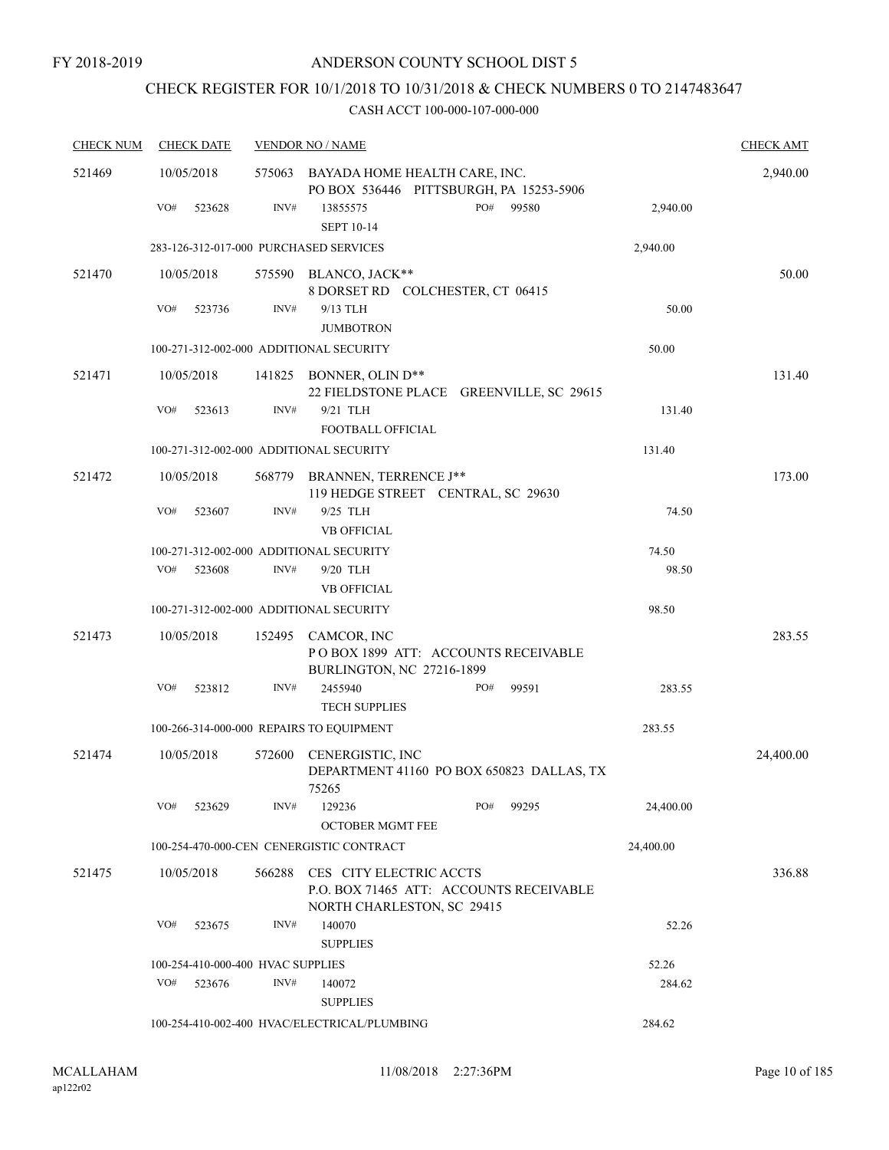### CHECK REGISTER FOR 10/1/2018 TO 10/31/2018 & CHECK NUMBERS 0 TO 2147483647

| <b>CHECK NUM</b> | <b>CHECK DATE</b>                        | <b>VENDOR NO / NAME</b> |                                                                                                         |           |           |  |  |
|------------------|------------------------------------------|-------------------------|---------------------------------------------------------------------------------------------------------|-----------|-----------|--|--|
| 521469           | 10/05/2018                               | 575063                  | BAYADA HOME HEALTH CARE, INC.<br>PO BOX 536446 PITTSBURGH, PA 15253-5906                                |           | 2,940.00  |  |  |
|                  | VO#<br>523628                            | INV#                    | PO#<br>99580<br>13855575<br><b>SEPT 10-14</b>                                                           | 2,940.00  |           |  |  |
|                  | 283-126-312-017-000 PURCHASED SERVICES   |                         |                                                                                                         | 2,940.00  |           |  |  |
| 521470           | 10/05/2018                               | 575590                  | BLANCO, JACK**<br>8 DORSET RD COLCHESTER, CT 06415                                                      |           | 50.00     |  |  |
|                  | VO#<br>523736                            | INV#                    | 9/13 TLH<br><b>JUMBOTRON</b>                                                                            | 50.00     |           |  |  |
|                  | 100-271-312-002-000 ADDITIONAL SECURITY  |                         |                                                                                                         | 50.00     |           |  |  |
| 521471           | 10/05/2018                               |                         | 141825 BONNER, OLIN D**<br>22 FIELDSTONE PLACE GREENVILLE, SC 29615                                     |           | 131.40    |  |  |
|                  | VO#<br>523613                            | INV#                    | 9/21 TLH<br><b>FOOTBALL OFFICIAL</b>                                                                    | 131.40    |           |  |  |
|                  | 100-271-312-002-000 ADDITIONAL SECURITY  |                         |                                                                                                         | 131.40    |           |  |  |
| 521472           | 10/05/2018                               | 568779                  | <b>BRANNEN, TERRENCE J**</b><br>119 HEDGE STREET CENTRAL, SC 29630                                      |           | 173.00    |  |  |
|                  | VO#<br>523607                            | INV#                    | 9/25 TLH<br><b>VB OFFICIAL</b>                                                                          | 74.50     |           |  |  |
|                  | 100-271-312-002-000 ADDITIONAL SECURITY  |                         |                                                                                                         | 74.50     |           |  |  |
|                  | VO#<br>523608                            | INV#                    | 9/20 TLH<br><b>VB OFFICIAL</b>                                                                          | 98.50     |           |  |  |
|                  | 100-271-312-002-000 ADDITIONAL SECURITY  |                         |                                                                                                         | 98.50     |           |  |  |
| 521473           | 10/05/2018                               | 152495                  | CAMCOR, INC<br>POBOX 1899 ATT: ACCOUNTS RECEIVABLE<br>BURLINGTON, NC 27216-1899                         |           | 283.55    |  |  |
|                  | VO#<br>523812                            | INV#                    | PO#<br>2455940<br>99591<br><b>TECH SUPPLIES</b>                                                         | 283.55    |           |  |  |
|                  | 100-266-314-000-000 REPAIRS TO EQUIPMENT |                         |                                                                                                         | 283.55    |           |  |  |
| 521474           | 10/05/2018                               | 572600                  | CENERGISTIC, INC<br>DEPARTMENT 41160 PO BOX 650823 DALLAS, TX<br>75265                                  |           | 24,400.00 |  |  |
|                  | VO#<br>523629                            | INV#                    | PO#<br>99295<br>129236<br>OCTOBER MGMT FEE                                                              | 24,400.00 |           |  |  |
|                  |                                          |                         | 100-254-470-000-CEN CENERGISTIC CONTRACT                                                                | 24,400.00 |           |  |  |
| 521475           | 10/05/2018                               |                         | 566288 CES CITY ELECTRIC ACCTS<br>P.O. BOX 71465 ATT: ACCOUNTS RECEIVABLE<br>NORTH CHARLESTON, SC 29415 |           | 336.88    |  |  |
|                  | VO#<br>523675                            | INV#                    | 140070<br><b>SUPPLIES</b>                                                                               | 52.26     |           |  |  |
|                  | 100-254-410-000-400 HVAC SUPPLIES        |                         |                                                                                                         | 52.26     |           |  |  |
|                  | VO#<br>523676                            | INV#                    | 140072<br><b>SUPPLIES</b>                                                                               | 284.62    |           |  |  |
|                  |                                          |                         | 100-254-410-002-400 HVAC/ELECTRICAL/PLUMBING                                                            | 284.62    |           |  |  |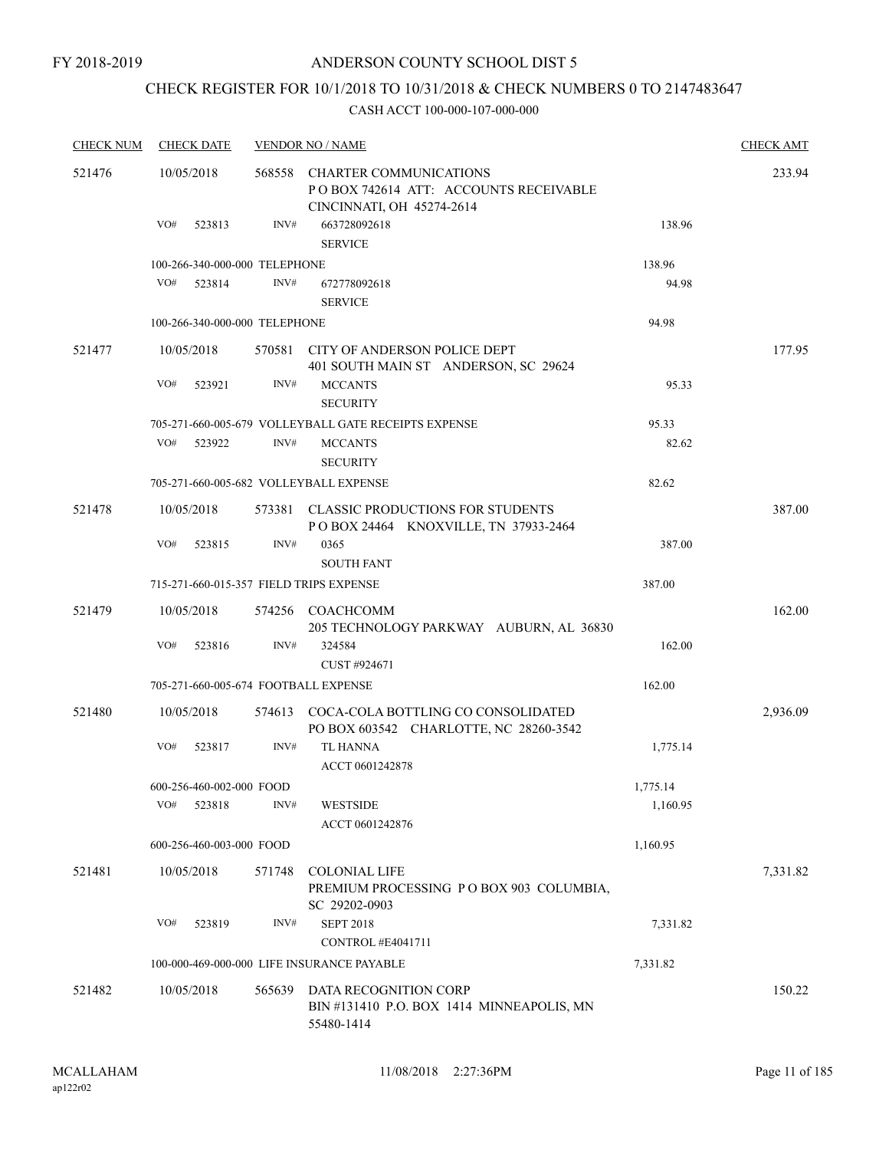### CHECK REGISTER FOR 10/1/2018 TO 10/31/2018 & CHECK NUMBERS 0 TO 2147483647

| <b>CHECK NUM</b> | <b>CHECK DATE</b><br><b>VENDOR NO / NAME</b> |                          |                               | <b>CHECK AMT</b>                                                                              |          |          |
|------------------|----------------------------------------------|--------------------------|-------------------------------|-----------------------------------------------------------------------------------------------|----------|----------|
| 521476           | 10/05/2018                                   |                          | 568558                        | CHARTER COMMUNICATIONS<br>PO BOX 742614 ATT: ACCOUNTS RECEIVABLE<br>CINCINNATI, OH 45274-2614 |          | 233.94   |
|                  | VO#                                          | 523813                   | INV#                          | 663728092618<br><b>SERVICE</b>                                                                | 138.96   |          |
|                  |                                              |                          | 100-266-340-000-000 TELEPHONE |                                                                                               | 138.96   |          |
|                  | VO#                                          | 523814                   | INV#                          | 672778092618<br><b>SERVICE</b>                                                                | 94.98    |          |
|                  |                                              |                          | 100-266-340-000-000 TELEPHONE |                                                                                               | 94.98    |          |
| 521477           |                                              | 10/05/2018               |                               | 570581 CITY OF ANDERSON POLICE DEPT<br>401 SOUTH MAIN ST ANDERSON, SC 29624                   |          | 177.95   |
|                  | VO#                                          | 523921                   | INV#                          | <b>MCCANTS</b><br><b>SECURITY</b>                                                             | 95.33    |          |
|                  |                                              |                          |                               | 705-271-660-005-679 VOLLEYBALL GATE RECEIPTS EXPENSE                                          | 95.33    |          |
|                  | VO#                                          | 523922                   | INV#                          | <b>MCCANTS</b><br><b>SECURITY</b>                                                             | 82.62    |          |
|                  |                                              |                          |                               | 705-271-660-005-682 VOLLEYBALL EXPENSE                                                        | 82.62    |          |
| 521478           |                                              | 10/05/2018               |                               | 573381 CLASSIC PRODUCTIONS FOR STUDENTS<br>POBOX 24464 KNOXVILLE, TN 37933-2464               |          | 387.00   |
|                  | VO#                                          | 523815                   | INV#                          | 0365<br><b>SOUTH FANT</b>                                                                     | 387.00   |          |
|                  | 715-271-660-015-357 FIELD TRIPS EXPENSE      |                          |                               |                                                                                               | 387.00   |          |
| 521479           |                                              | 10/05/2018               |                               | 574256 COACHCOMM<br>205 TECHNOLOGY PARKWAY AUBURN, AL 36830                                   |          | 162.00   |
|                  | VO#                                          | 523816                   | INV#                          | 324584<br>CUST #924671                                                                        | 162.00   |          |
|                  |                                              |                          |                               | 705-271-660-005-674 FOOTBALL EXPENSE                                                          | 162.00   |          |
| 521480           |                                              | 10/05/2018               |                               | 574613 COCA-COLA BOTTLING CO CONSOLIDATED<br>PO BOX 603542 CHARLOTTE, NC 28260-3542           |          | 2,936.09 |
|                  | VO#                                          | 523817                   | INV#                          | <b>TL HANNA</b><br>ACCT 0601242878                                                            | 1,775.14 |          |
|                  |                                              | 600-256-460-002-000 FOOD |                               |                                                                                               | 1,775.14 |          |
|                  | VO#                                          | 523818                   | INV#                          | <b>WESTSIDE</b><br>ACCT 0601242876                                                            | 1,160.95 |          |
|                  |                                              | 600-256-460-003-000 FOOD |                               |                                                                                               | 1,160.95 |          |
| 521481           |                                              | 10/05/2018               | 571748                        | <b>COLONIAL LIFE</b><br>PREMIUM PROCESSING PO BOX 903 COLUMBIA,                               |          | 7,331.82 |
|                  | VO#                                          | 523819                   | INV#                          | SC 29202-0903<br><b>SEPT 2018</b><br>CONTROL #E4041711                                        | 7,331.82 |          |
|                  |                                              |                          |                               | 100-000-469-000-000 LIFE INSURANCE PAYABLE                                                    | 7,331.82 |          |
| 521482           |                                              | 10/05/2018               | 565639                        | DATA RECOGNITION CORP<br>BIN #131410 P.O. BOX 1414 MINNEAPOLIS, MN<br>55480-1414              |          | 150.22   |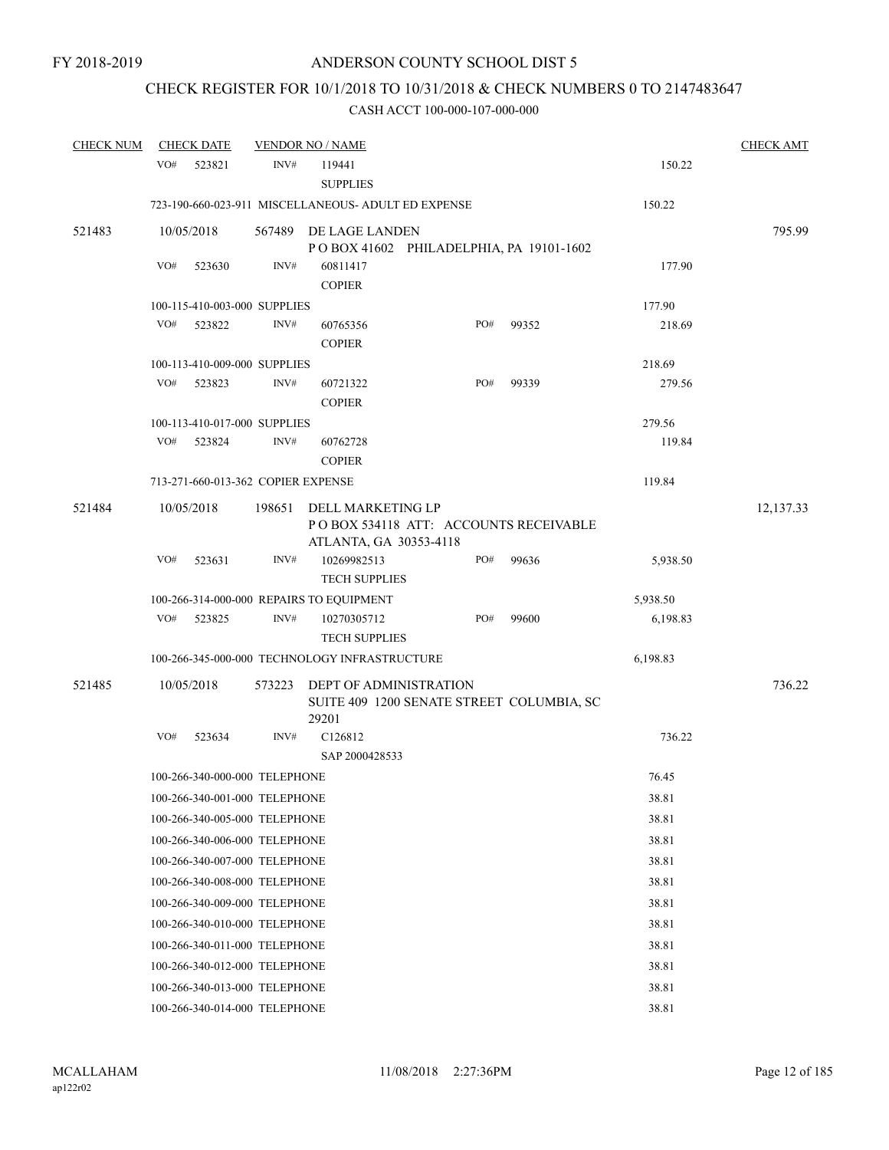# CHECK REGISTER FOR 10/1/2018 TO 10/31/2018 & CHECK NUMBERS 0 TO 2147483647

| <b>CHECK NUM</b> |                                        | <b>CHECK DATE</b>                  |        | <b>VENDOR NO / NAME</b>                                                              |  |        |       |          | <b>CHECK AMT</b> |
|------------------|----------------------------------------|------------------------------------|--------|--------------------------------------------------------------------------------------|--|--------|-------|----------|------------------|
|                  | VO#                                    | 523821                             | INV#   | 119441<br><b>SUPPLIES</b>                                                            |  |        |       | 150.22   |                  |
|                  |                                        |                                    |        | 723-190-660-023-911 MISCELLANEOUS- ADULT ED EXPENSE                                  |  |        |       | 150.22   |                  |
| 521483           | 10/05/2018                             |                                    |        | 567489 DE LAGE LANDEN<br>POBOX 41602 PHILADELPHIA, PA 19101-1602                     |  |        |       |          | 795.99           |
|                  | VO#                                    | 523630                             | INV#   | 60811417<br><b>COPIER</b>                                                            |  |        |       | 177.90   |                  |
|                  | 100-115-410-003-000 SUPPLIES           |                                    |        |                                                                                      |  | 177.90 |       |          |                  |
|                  | VO#                                    | 523822                             | INV#   | 60765356<br><b>COPIER</b>                                                            |  | PO#    | 99352 | 218.69   |                  |
|                  |                                        | 100-113-410-009-000 SUPPLIES       |        |                                                                                      |  |        |       | 218.69   |                  |
|                  | VO#                                    | 523823                             | INV#   | 60721322<br><b>COPIER</b>                                                            |  | PO#    | 99339 | 279.56   |                  |
|                  |                                        | 100-113-410-017-000 SUPPLIES       |        |                                                                                      |  |        |       | 279.56   |                  |
|                  | VO#                                    | 523824                             | INV#   | 60762728<br><b>COPIER</b>                                                            |  |        |       | 119.84   |                  |
|                  |                                        | 713-271-660-013-362 COPIER EXPENSE |        |                                                                                      |  |        |       | 119.84   |                  |
| 521484           | 10/05/2018<br>198651                   |                                    |        | DELL MARKETING LP<br>POBOX 534118 ATT: ACCOUNTS RECEIVABLE<br>ATLANTA, GA 30353-4118 |  |        |       |          | 12,137.33        |
|                  | VO#                                    | 523631                             | INV#   | 10269982513<br><b>TECH SUPPLIES</b>                                                  |  | PO#    | 99636 | 5,938.50 |                  |
|                  |                                        |                                    |        | 100-266-314-000-000 REPAIRS TO EQUIPMENT                                             |  |        |       | 5,938.50 |                  |
|                  | VO#                                    | 523825                             | INV#   | 10270305712<br><b>TECH SUPPLIES</b>                                                  |  | PO#    | 99600 | 6,198.83 |                  |
|                  |                                        |                                    |        | 100-266-345-000-000 TECHNOLOGY INFRASTRUCTURE                                        |  |        |       | 6,198.83 |                  |
| 521485           |                                        | 10/05/2018                         | 573223 | DEPT OF ADMINISTRATION<br>SUITE 409 1200 SENATE STREET COLUMBIA, SC<br>29201         |  |        |       |          | 736.22           |
|                  | VO#                                    | 523634                             | INV#   | C126812<br>SAP 2000428533                                                            |  |        |       | 736.22   |                  |
|                  |                                        | 100-266-340-000-000 TELEPHONE      |        |                                                                                      |  |        |       | 76.45    |                  |
|                  |                                        | 100-266-340-001-000 TELEPHONE      |        |                                                                                      |  |        |       | 38.81    |                  |
|                  |                                        | 100-266-340-005-000 TELEPHONE      |        |                                                                                      |  |        |       | 38.81    |                  |
|                  |                                        | 100-266-340-006-000 TELEPHONE      |        |                                                                                      |  |        |       | 38.81    |                  |
|                  |                                        | 100-266-340-007-000 TELEPHONE      |        |                                                                                      |  |        |       | 38.81    |                  |
|                  | 100-266-340-008-000 TELEPHONE<br>38.81 |                                    |        |                                                                                      |  |        |       |          |                  |
|                  |                                        | 100-266-340-009-000 TELEPHONE      |        |                                                                                      |  |        |       | 38.81    |                  |
|                  |                                        | 100-266-340-010-000 TELEPHONE      |        |                                                                                      |  |        |       | 38.81    |                  |
|                  |                                        | 100-266-340-011-000 TELEPHONE      |        |                                                                                      |  |        |       | 38.81    |                  |
|                  |                                        | 100-266-340-012-000 TELEPHONE      |        |                                                                                      |  |        |       | 38.81    |                  |
|                  |                                        | 100-266-340-013-000 TELEPHONE      |        |                                                                                      |  |        |       | 38.81    |                  |
|                  |                                        | 100-266-340-014-000 TELEPHONE      |        |                                                                                      |  |        |       | 38.81    |                  |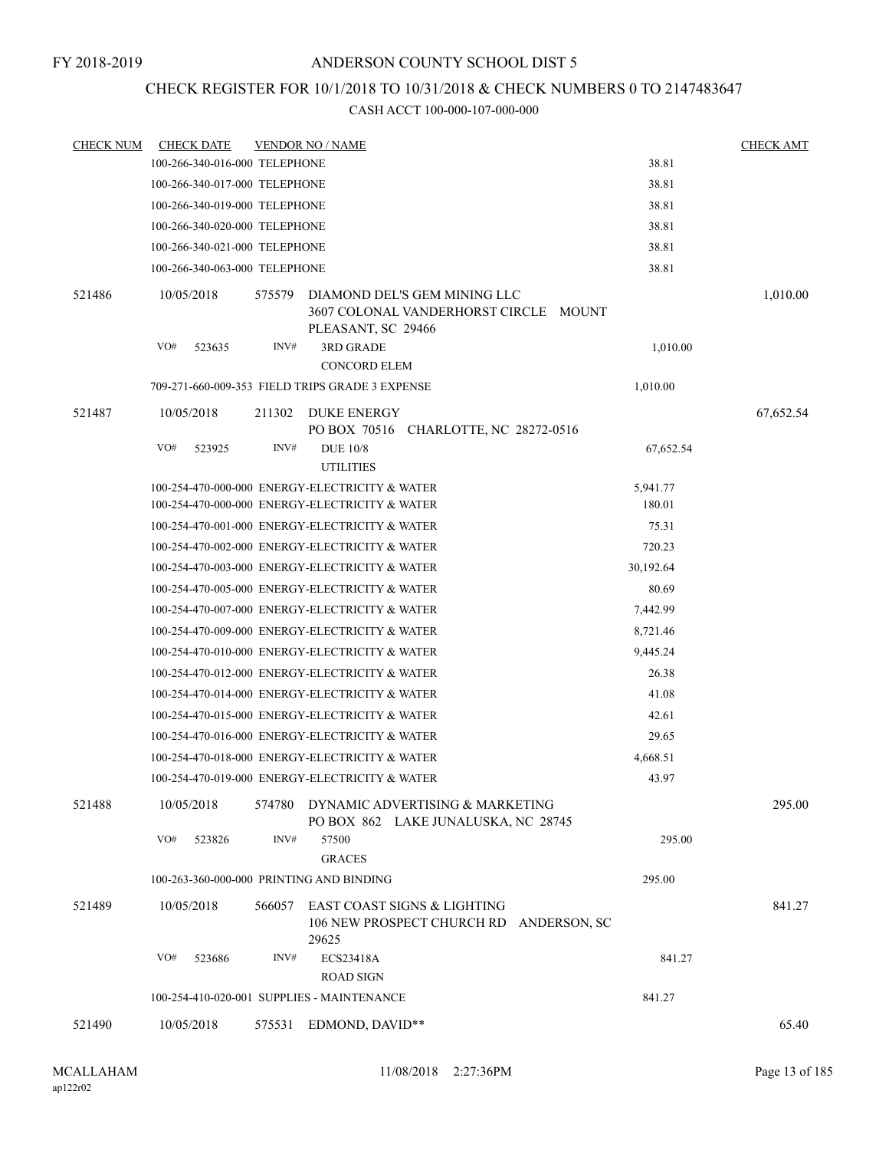### CHECK REGISTER FOR 10/1/2018 TO 10/31/2018 & CHECK NUMBERS 0 TO 2147483647

| <b>CHECK NUM</b> | <b>CHECK DATE</b>                        |        | <b>VENDOR NO / NAME</b>                                                                     |           | <b>CHECK AMT</b> |
|------------------|------------------------------------------|--------|---------------------------------------------------------------------------------------------|-----------|------------------|
|                  | 100-266-340-016-000 TELEPHONE            |        |                                                                                             | 38.81     |                  |
|                  | 100-266-340-017-000 TELEPHONE            |        |                                                                                             | 38.81     |                  |
|                  | 100-266-340-019-000 TELEPHONE            |        |                                                                                             | 38.81     |                  |
|                  | 100-266-340-020-000 TELEPHONE            |        |                                                                                             | 38.81     |                  |
|                  | 100-266-340-021-000 TELEPHONE            |        |                                                                                             | 38.81     |                  |
|                  | 100-266-340-063-000 TELEPHONE            |        |                                                                                             | 38.81     |                  |
| 521486           | 10/05/2018                               | 575579 | DIAMOND DEL'S GEM MINING LLC<br>3607 COLONAL VANDERHORST CIRCLE MOUNT<br>PLEASANT, SC 29466 |           | 1,010.00         |
|                  | VO#<br>523635                            | INV#   | 3RD GRADE                                                                                   | 1,010.00  |                  |
|                  |                                          |        | <b>CONCORD ELEM</b>                                                                         |           |                  |
|                  |                                          |        | 709-271-660-009-353 FIELD TRIPS GRADE 3 EXPENSE                                             | 1,010.00  |                  |
| 521487           | 10/05/2018                               | 211302 | DUKE ENERGY<br>PO BOX 70516 CHARLOTTE, NC 28272-0516                                        |           | 67,652.54        |
|                  | VO#<br>523925                            | INV#   | <b>DUE 10/8</b><br><b>UTILITIES</b>                                                         | 67,652.54 |                  |
|                  |                                          |        | 100-254-470-000-000 ENERGY-ELECTRICITY & WATER                                              | 5,941.77  |                  |
|                  |                                          |        | 100-254-470-000-000 ENERGY-ELECTRICITY & WATER                                              | 180.01    |                  |
|                  |                                          |        | 100-254-470-001-000 ENERGY-ELECTRICITY & WATER                                              | 75.31     |                  |
|                  |                                          |        | 100-254-470-002-000 ENERGY-ELECTRICITY & WATER                                              | 720.23    |                  |
|                  |                                          |        | 100-254-470-003-000 ENERGY-ELECTRICITY & WATER                                              | 30,192.64 |                  |
|                  |                                          |        | 100-254-470-005-000 ENERGY-ELECTRICITY & WATER                                              | 80.69     |                  |
|                  |                                          |        | 100-254-470-007-000 ENERGY-ELECTRICITY & WATER                                              | 7,442.99  |                  |
|                  |                                          |        | 100-254-470-009-000 ENERGY-ELECTRICITY & WATER                                              | 8,721.46  |                  |
|                  |                                          |        | 100-254-470-010-000 ENERGY-ELECTRICITY & WATER                                              | 9,445.24  |                  |
|                  |                                          |        | 100-254-470-012-000 ENERGY-ELECTRICITY & WATER                                              | 26.38     |                  |
|                  |                                          |        | 100-254-470-014-000 ENERGY-ELECTRICITY & WATER                                              | 41.08     |                  |
|                  |                                          |        | 100-254-470-015-000 ENERGY-ELECTRICITY & WATER                                              | 42.61     |                  |
|                  |                                          |        | 100-254-470-016-000 ENERGY-ELECTRICITY & WATER                                              | 29.65     |                  |
|                  |                                          |        | 100-254-470-018-000 ENERGY-ELECTRICITY & WATER                                              | 4,668.51  |                  |
|                  |                                          |        | 100-254-470-019-000 ENERGY-ELECTRICITY & WATER                                              | 43.97     |                  |
| 521488           | 10/05/2018                               | 574780 | DYNAMIC ADVERTISING & MARKETING<br>PO BOX 862 LAKE JUNALUSKA, NC 28745                      |           | 295.00           |
|                  | VO#<br>523826                            | INV#   | 57500<br><b>GRACES</b>                                                                      | 295.00    |                  |
|                  | 100-263-360-000-000 PRINTING AND BINDING |        |                                                                                             | 295.00    |                  |
| 521489           | 10/05/2018                               | 566057 | EAST COAST SIGNS & LIGHTING<br>106 NEW PROSPECT CHURCH RD ANDERSON, SC<br>29625             |           | 841.27           |
|                  | VO#<br>523686                            | INV#   | <b>ECS23418A</b><br><b>ROAD SIGN</b>                                                        | 841.27    |                  |
|                  |                                          |        | 100-254-410-020-001 SUPPLIES - MAINTENANCE                                                  | 841.27    |                  |
| 521490           | 10/05/2018                               |        | 575531 EDMOND, DAVID**                                                                      |           | 65.40            |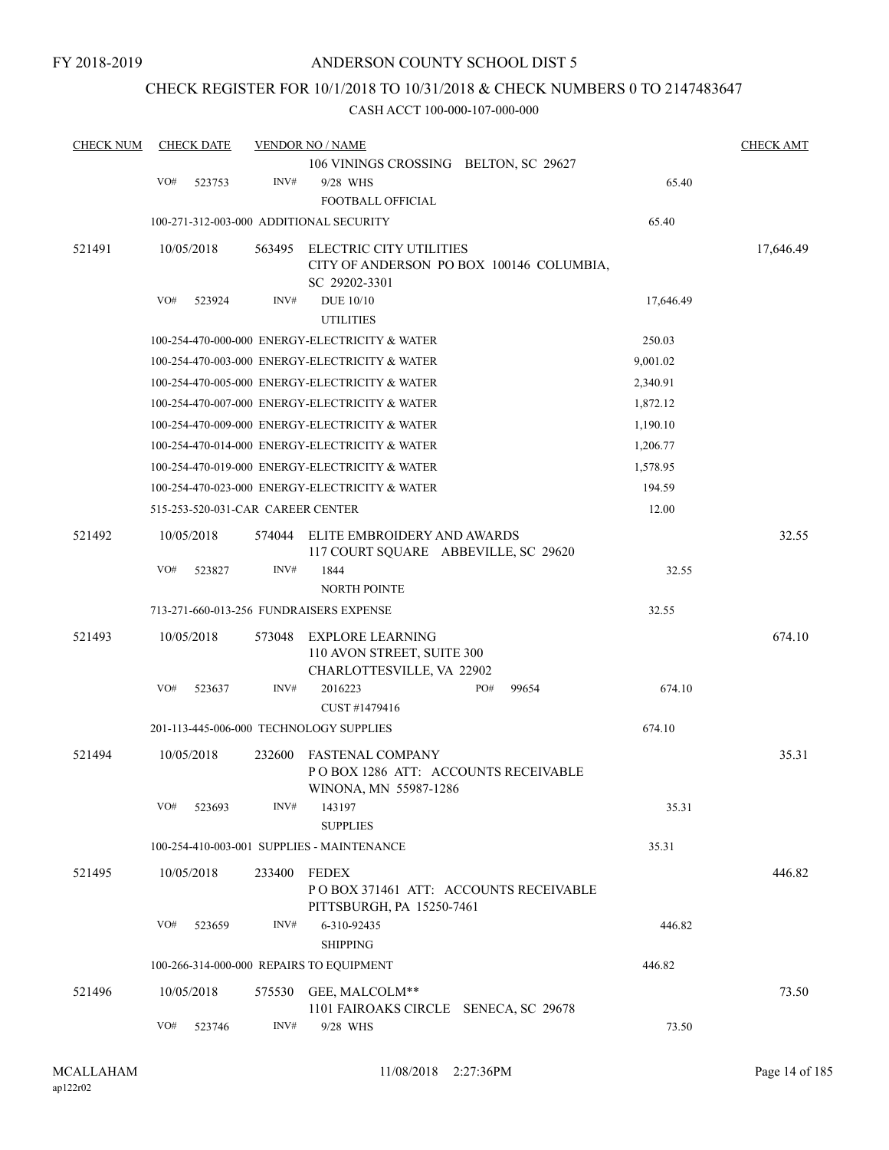### CHECK REGISTER FOR 10/1/2018 TO 10/31/2018 & CHECK NUMBERS 0 TO 2147483647

| <b>CHECK NUM</b> |     | <b>CHECK DATE</b>                 |        | <b>VENDOR NO / NAME</b>                                             |     |       |           | <b>CHECK AMT</b> |
|------------------|-----|-----------------------------------|--------|---------------------------------------------------------------------|-----|-------|-----------|------------------|
|                  |     |                                   |        | 106 VININGS CROSSING BELTON, SC 29627                               |     |       |           |                  |
|                  | VO# | 523753                            | INV#   | 9/28 WHS                                                            |     |       | 65.40     |                  |
|                  |     |                                   |        | FOOTBALL OFFICIAL                                                   |     |       |           |                  |
|                  |     |                                   |        | 100-271-312-003-000 ADDITIONAL SECURITY                             |     |       | 65.40     |                  |
| 521491           |     | 10/05/2018                        | 563495 | ELECTRIC CITY UTILITIES                                             |     |       |           | 17,646.49        |
|                  |     |                                   |        | CITY OF ANDERSON PO BOX 100146 COLUMBIA,                            |     |       |           |                  |
|                  |     |                                   |        | SC 29202-3301                                                       |     |       |           |                  |
|                  | VO# | 523924                            | INV#   | <b>DUE 10/10</b><br><b>UTILITIES</b>                                |     |       | 17,646.49 |                  |
|                  |     |                                   |        | 100-254-470-000-000 ENERGY-ELECTRICITY & WATER                      |     |       | 250.03    |                  |
|                  |     |                                   |        | 100-254-470-003-000 ENERGY-ELECTRICITY & WATER                      |     |       | 9,001.02  |                  |
|                  |     |                                   |        | 100-254-470-005-000 ENERGY-ELECTRICITY & WATER                      |     |       | 2,340.91  |                  |
|                  |     |                                   |        | 100-254-470-007-000 ENERGY-ELECTRICITY & WATER                      |     |       | 1,872.12  |                  |
|                  |     |                                   |        | 100-254-470-009-000 ENERGY-ELECTRICITY & WATER                      |     |       | 1,190.10  |                  |
|                  |     |                                   |        | 100-254-470-014-000 ENERGY-ELECTRICITY & WATER                      |     |       | 1,206.77  |                  |
|                  |     |                                   |        | 100-254-470-019-000 ENERGY-ELECTRICITY & WATER                      |     |       | 1,578.95  |                  |
|                  |     |                                   |        | 100-254-470-023-000 ENERGY-ELECTRICITY & WATER                      |     |       | 194.59    |                  |
|                  |     | 515-253-520-031-CAR CAREER CENTER |        |                                                                     |     |       | 12.00     |                  |
| 521492           |     | 10/05/2018                        | 574044 | ELITE EMBROIDERY AND AWARDS<br>117 COURT SQUARE ABBEVILLE, SC 29620 |     |       |           | 32.55            |
|                  | VO# | 523827                            | INV#   | 1844                                                                |     |       | 32.55     |                  |
|                  |     |                                   |        | <b>NORTH POINTE</b>                                                 |     |       |           |                  |
|                  |     |                                   |        | 713-271-660-013-256 FUNDRAISERS EXPENSE                             |     |       | 32.55     |                  |
| 521493           |     | 10/05/2018                        | 573048 | <b>EXPLORE LEARNING</b>                                             |     |       |           | 674.10           |
|                  |     |                                   |        | 110 AVON STREET, SUITE 300                                          |     |       |           |                  |
|                  | VO# | 523637                            | INV#   | CHARLOTTESVILLE, VA 22902<br>2016223                                | PO# | 99654 | 674.10    |                  |
|                  |     |                                   |        | CUST #1479416                                                       |     |       |           |                  |
|                  |     |                                   |        | 201-113-445-006-000 TECHNOLOGY SUPPLIES                             |     |       | 674.10    |                  |
| 521494           |     | 10/05/2018                        | 232600 | FASTENAL COMPANY                                                    |     |       |           | 35.31            |
|                  |     |                                   |        | POBOX 1286 ATT: ACCOUNTS RECEIVABLE<br>WINONA, MN 55987-1286        |     |       |           |                  |
|                  | VO# | 523693                            | INV#   | 143197<br><b>SUPPLIES</b>                                           |     |       | 35.31     |                  |
|                  |     |                                   |        | 100-254-410-003-001 SUPPLIES - MAINTENANCE                          |     |       | 35.31     |                  |
| 521495           |     | 10/05/2018                        | 233400 | FEDEX                                                               |     |       |           | 446.82           |
|                  |     |                                   |        | PO BOX 371461 ATT: ACCOUNTS RECEIVABLE<br>PITTSBURGH, PA 15250-7461 |     |       |           |                  |
|                  | VO# | 523659                            | INV#   | 6-310-92435<br><b>SHIPPING</b>                                      |     |       | 446.82    |                  |
|                  |     |                                   |        | 100-266-314-000-000 REPAIRS TO EOUIPMENT                            |     |       | 446.82    |                  |
| 521496           |     | 10/05/2018                        |        | 575530 GEE, MALCOLM**                                               |     |       |           | 73.50            |
|                  |     |                                   |        | 1101 FAIROAKS CIRCLE SENECA, SC 29678                               |     |       |           |                  |
|                  | VO# | 523746                            | INV#   | 9/28 WHS                                                            |     |       | 73.50     |                  |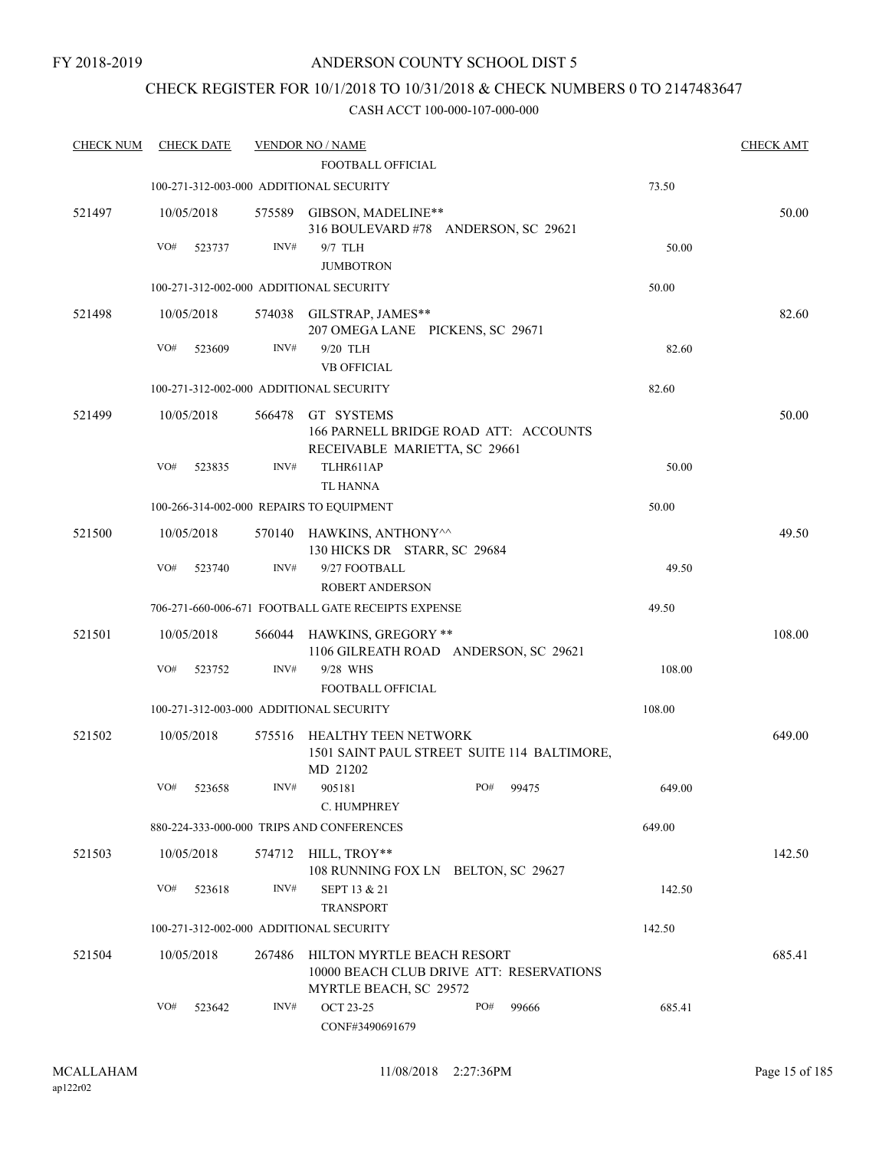### CHECK REGISTER FOR 10/1/2018 TO 10/31/2018 & CHECK NUMBERS 0 TO 2147483647

| <b>CHECK NUM</b> | <b>CHECK DATE</b>                        |        | <b>VENDOR NO / NAME</b>                                               |                                             |        | <b>CHECK AMT</b> |
|------------------|------------------------------------------|--------|-----------------------------------------------------------------------|---------------------------------------------|--------|------------------|
|                  |                                          |        | FOOTBALL OFFICIAL                                                     |                                             |        |                  |
|                  | 100-271-312-003-000 ADDITIONAL SECURITY  |        |                                                                       |                                             | 73.50  |                  |
| 521497           | 10/05/2018                               |        | 575589 GIBSON, MADELINE**<br>316 BOULEVARD #78 ANDERSON, SC 29621     |                                             |        | 50.00            |
|                  | VO#<br>523737                            | INV#   | 9/7 TLH                                                               |                                             | 50.00  |                  |
|                  |                                          |        | <b>JUMBOTRON</b>                                                      |                                             |        |                  |
|                  | 100-271-312-002-000 ADDITIONAL SECURITY  |        |                                                                       |                                             | 50.00  |                  |
| 521498           | 10/05/2018                               |        | 574038 GILSTRAP, JAMES**<br>207 OMEGA LANE PICKENS, SC 29671          |                                             |        | 82.60            |
|                  | VO#<br>523609                            | INV#   | 9/20 TLH<br><b>VB OFFICIAL</b>                                        |                                             | 82.60  |                  |
|                  | 100-271-312-002-000 ADDITIONAL SECURITY  |        |                                                                       |                                             | 82.60  |                  |
| 521499           | 10/05/2018                               | 566478 | GT SYSTEMS<br>RECEIVABLE MARIETTA, SC 29661                           | 166 PARNELL BRIDGE ROAD ATT: ACCOUNTS       |        | 50.00            |
|                  | VO#<br>523835                            | INV#   | TLHR611AP<br>TL HANNA                                                 |                                             | 50.00  |                  |
|                  | 100-266-314-002-000 REPAIRS TO EQUIPMENT |        |                                                                       |                                             | 50.00  |                  |
| 521500           | 10/05/2018                               |        | 570140 HAWKINS, ANTHONY <sup>11</sup><br>130 HICKS DR STARR, SC 29684 |                                             |        | 49.50            |
|                  | VO#<br>523740                            | INV#   | 9/27 FOOTBALL<br><b>ROBERT ANDERSON</b>                               |                                             | 49.50  |                  |
|                  |                                          |        | 706-271-660-006-671 FOOTBALL GATE RECEIPTS EXPENSE                    |                                             | 49.50  |                  |
| 521501           | 10/05/2018                               | 566044 | HAWKINS, GREGORY **<br>1106 GILREATH ROAD ANDERSON, SC 29621          |                                             |        | 108.00           |
|                  | VO#<br>523752                            | INV#   | 9/28 WHS<br><b>FOOTBALL OFFICIAL</b>                                  |                                             | 108.00 |                  |
|                  | 100-271-312-003-000 ADDITIONAL SECURITY  |        |                                                                       |                                             | 108.00 |                  |
| 521502           | 10/05/2018                               |        | 575516 HEALTHY TEEN NETWORK<br>MD 21202                               | 1501 SAINT PAUL STREET SUITE 114 BALTIMORE, |        | 649.00           |
|                  | VO# 523658                               | INV#   | 905181<br>C. HUMPHREY                                                 | PO#<br>99475                                | 649.00 |                  |
|                  |                                          |        | 880-224-333-000-000 TRIPS AND CONFERENCES                             |                                             | 649.00 |                  |
| 521503           | 10/05/2018                               |        | 574712 HILL, TROY**<br>108 RUNNING FOX LN BELTON, SC 29627            |                                             |        | 142.50           |
|                  | VO#<br>523618                            | INV#   | SEPT 13 & 21<br><b>TRANSPORT</b>                                      |                                             | 142.50 |                  |
|                  | 100-271-312-002-000 ADDITIONAL SECURITY  |        |                                                                       |                                             | 142.50 |                  |
| 521504           | 10/05/2018                               | 267486 | HILTON MYRTLE BEACH RESORT<br>MYRTLE BEACH, SC 29572                  | 10000 BEACH CLUB DRIVE ATT: RESERVATIONS    |        | 685.41           |
|                  | VO#<br>523642                            | INV#   | <b>OCT 23-25</b><br>CONF#3490691679                                   | PO#<br>99666                                | 685.41 |                  |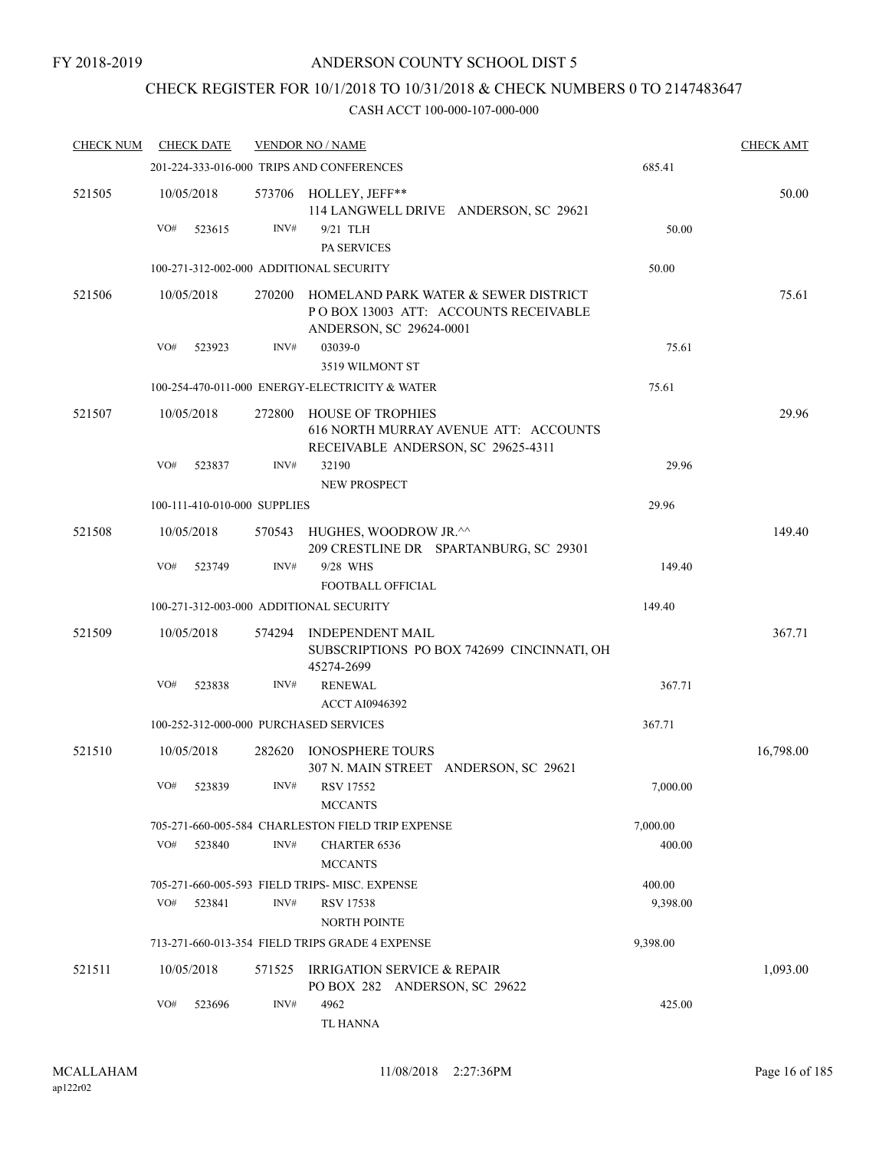### CHECK REGISTER FOR 10/1/2018 TO 10/31/2018 & CHECK NUMBERS 0 TO 2147483647

| <b>CHECK NUM</b> |     | <b>CHECK DATE</b>            |        | <b>VENDOR NO / NAME</b>                                                                                 |                    | <b>CHECK AMT</b> |
|------------------|-----|------------------------------|--------|---------------------------------------------------------------------------------------------------------|--------------------|------------------|
|                  |     |                              |        | 201-224-333-016-000 TRIPS AND CONFERENCES                                                               | 685.41             |                  |
| 521505           |     | 10/05/2018                   |        | 573706 HOLLEY, JEFF**<br>114 LANGWELL DRIVE ANDERSON, SC 29621                                          |                    | 50.00            |
|                  | VO# | 523615                       | INV#   | 9/21 TLH<br><b>PA SERVICES</b>                                                                          | 50.00              |                  |
|                  |     |                              |        | 100-271-312-002-000 ADDITIONAL SECURITY                                                                 | 50.00              |                  |
| 521506           |     | 10/05/2018                   | 270200 | HOMELAND PARK WATER & SEWER DISTRICT<br>POBOX 13003 ATT: ACCOUNTS RECEIVABLE<br>ANDERSON, SC 29624-0001 |                    | 75.61            |
|                  | VO# | 523923                       | INV#   | 03039-0<br>3519 WILMONT ST                                                                              | 75.61              |                  |
|                  |     |                              |        | 100-254-470-011-000 ENERGY-ELECTRICITY & WATER                                                          | 75.61              |                  |
| 521507           |     | 10/05/2018                   | 272800 | <b>HOUSE OF TROPHIES</b><br>616 NORTH MURRAY AVENUE ATT: ACCOUNTS<br>RECEIVABLE ANDERSON, SC 29625-4311 |                    | 29.96            |
|                  | VO# | 523837                       | INV#   | 32190<br><b>NEW PROSPECT</b>                                                                            | 29.96              |                  |
|                  |     | 100-111-410-010-000 SUPPLIES |        |                                                                                                         | 29.96              |                  |
| 521508           |     | 10/05/2018                   |        | 570543 HUGHES, WOODROW JR.^^<br>209 CRESTLINE DR SPARTANBURG, SC 29301                                  |                    | 149.40           |
|                  | VO# | 523749                       | INV#   | 9/28 WHS<br>FOOTBALL OFFICIAL                                                                           | 149.40             |                  |
|                  |     |                              |        | 100-271-312-003-000 ADDITIONAL SECURITY                                                                 | 149.40             |                  |
| 521509           |     | 10/05/2018                   | 574294 | INDEPENDENT MAIL<br>SUBSCRIPTIONS PO BOX 742699 CINCINNATI, OH<br>45274-2699                            |                    | 367.71           |
|                  | VO# | 523838                       | INV#   | <b>RENEWAL</b><br><b>ACCT AI0946392</b>                                                                 | 367.71             |                  |
|                  |     |                              |        | 100-252-312-000-000 PURCHASED SERVICES                                                                  | 367.71             |                  |
| 521510           |     | 10/05/2018                   | 282620 | <b>IONOSPHERE TOURS</b><br>307 N. MAIN STREET ANDERSON, SC 29621                                        |                    | 16,798.00        |
|                  |     | VO# 523839                   |        | INV# RSV 17552<br><b>MCCANTS</b>                                                                        | 7,000.00           |                  |
|                  | VO# | 523840                       | INV#   | 705-271-660-005-584 CHARLESTON FIELD TRIP EXPENSE<br><b>CHARTER 6536</b><br><b>MCCANTS</b>              | 7,000.00<br>400.00 |                  |
|                  |     |                              |        | 705-271-660-005-593 FIELD TRIPS- MISC. EXPENSE                                                          | 400.00             |                  |
|                  | VO# | 523841                       | INV#   | <b>RSV 17538</b><br><b>NORTH POINTE</b>                                                                 | 9,398.00           |                  |
|                  |     |                              |        | 713-271-660-013-354 FIELD TRIPS GRADE 4 EXPENSE                                                         | 9,398.00           |                  |
| 521511           |     | 10/05/2018                   | 571525 | IRRIGATION SERVICE & REPAIR<br>PO BOX 282 ANDERSON, SC 29622                                            |                    | 1,093.00         |
|                  | VO# | 523696                       | INV#   | 4962<br>TL HANNA                                                                                        | 425.00             |                  |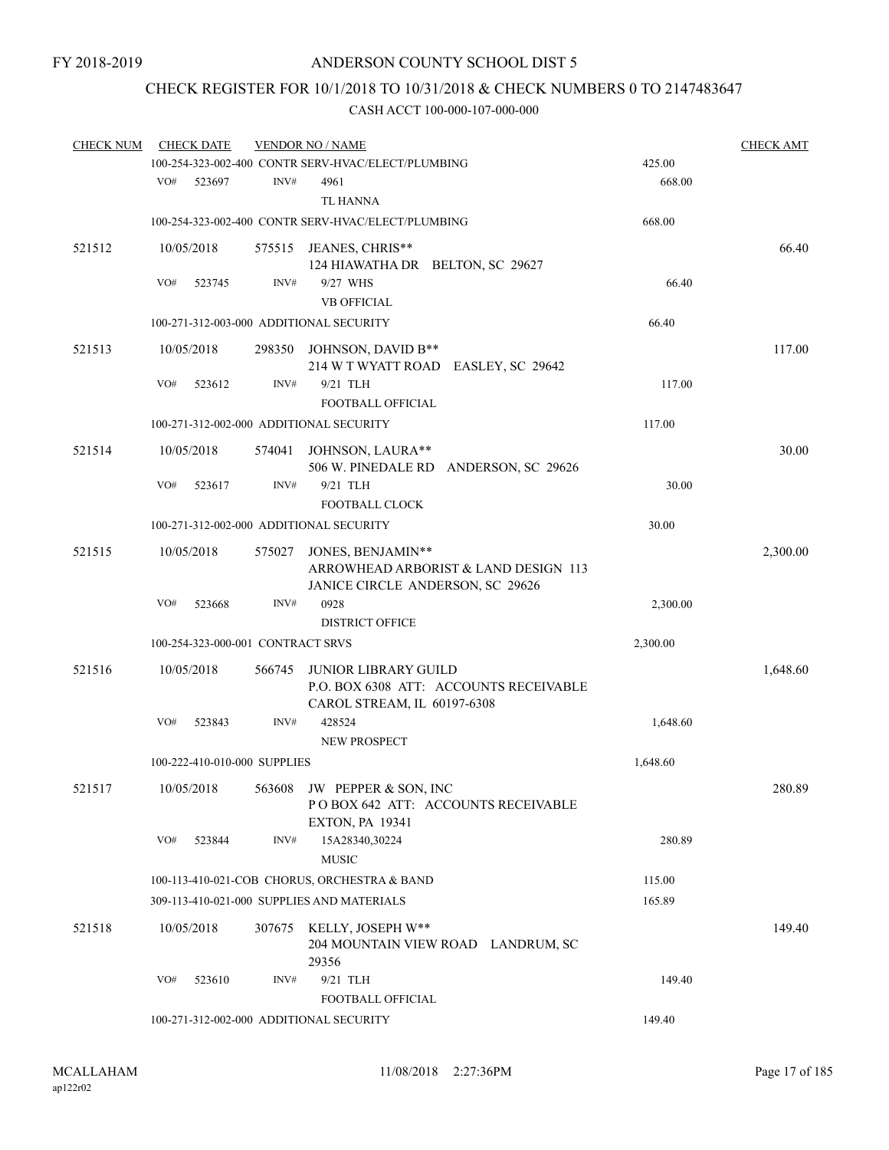### CHECK REGISTER FOR 10/1/2018 TO 10/31/2018 & CHECK NUMBERS 0 TO 2147483647

| <b>CHECK NUM</b> |     | <b>CHECK DATE</b> |                                   | <b>VENDOR NO / NAME</b>                                   |          | <b>CHECK AMT</b> |
|------------------|-----|-------------------|-----------------------------------|-----------------------------------------------------------|----------|------------------|
|                  |     |                   |                                   | 100-254-323-002-400 CONTR SERV-HVAC/ELECT/PLUMBING        | 425.00   |                  |
|                  | VO# | 523697            | INV#                              | 4961                                                      | 668.00   |                  |
|                  |     |                   |                                   | <b>TL HANNA</b>                                           |          |                  |
|                  |     |                   |                                   | 100-254-323-002-400 CONTR SERV-HVAC/ELECT/PLUMBING        | 668.00   |                  |
| 521512           |     | 10/05/2018        |                                   | 575515 JEANES, CHRIS**                                    |          | 66.40            |
|                  |     |                   |                                   | 124 HIAWATHA DR BELTON, SC 29627                          |          |                  |
|                  | VO# | 523745            | INV#                              | 9/27 WHS                                                  | 66.40    |                  |
|                  |     |                   |                                   | <b>VB OFFICIAL</b>                                        |          |                  |
|                  |     |                   |                                   |                                                           |          |                  |
|                  |     |                   |                                   | 100-271-312-003-000 ADDITIONAL SECURITY                   | 66.40    |                  |
| 521513           |     | 10/05/2018        |                                   | 298350 JOHNSON, DAVID B**                                 |          | 117.00           |
|                  |     |                   |                                   | 214 W T WYATT ROAD EASLEY, SC 29642                       |          |                  |
|                  | VO# | 523612            | INV#                              | 9/21 TLH                                                  | 117.00   |                  |
|                  |     |                   |                                   | FOOTBALL OFFICIAL                                         |          |                  |
|                  |     |                   |                                   | 100-271-312-002-000 ADDITIONAL SECURITY                   | 117.00   |                  |
|                  |     |                   |                                   |                                                           |          |                  |
| 521514           |     | 10/05/2018        | 574041                            | JOHNSON, LAURA**<br>506 W. PINEDALE RD ANDERSON, SC 29626 |          | 30.00            |
|                  | VO# |                   | INV#                              | 9/21 TLH                                                  | 30.00    |                  |
|                  |     | 523617            |                                   |                                                           |          |                  |
|                  |     |                   |                                   | FOOTBALL CLOCK                                            |          |                  |
|                  |     |                   |                                   | 100-271-312-002-000 ADDITIONAL SECURITY                   | 30.00    |                  |
| 521515           |     | 10/05/2018        | 575027                            | JONES, BENJAMIN**                                         |          | 2,300.00         |
|                  |     |                   |                                   | ARROWHEAD ARBORIST & LAND DESIGN 113                      |          |                  |
|                  |     |                   |                                   | JANICE CIRCLE ANDERSON, SC 29626                          |          |                  |
|                  | VO# | 523668            | INV#                              | 0928                                                      | 2,300.00 |                  |
|                  |     |                   |                                   | <b>DISTRICT OFFICE</b>                                    |          |                  |
|                  |     |                   | 100-254-323-000-001 CONTRACT SRVS |                                                           | 2,300.00 |                  |
| 521516           |     | 10/05/2018        | 566745                            | <b>JUNIOR LIBRARY GUILD</b>                               |          | 1,648.60         |
|                  |     |                   |                                   | P.O. BOX 6308 ATT: ACCOUNTS RECEIVABLE                    |          |                  |
|                  |     |                   |                                   | CAROL STREAM, IL 60197-6308                               |          |                  |
|                  | VO# | 523843            | INV#                              | 428524                                                    | 1,648.60 |                  |
|                  |     |                   |                                   | <b>NEW PROSPECT</b>                                       |          |                  |
|                  |     |                   | 100-222-410-010-000 SUPPLIES      |                                                           | 1,648.60 |                  |
|                  |     |                   |                                   |                                                           |          |                  |
| 521517           |     | 10/05/2018        |                                   | 563608 JW PEPPER & SON, INC                               |          | 280.89           |
|                  |     |                   |                                   | POBOX 642 ATT: ACCOUNTS RECEIVABLE                        |          |                  |
|                  |     |                   |                                   | <b>EXTON, PA 19341</b>                                    |          |                  |
|                  | VO# | 523844            | INV#                              | 15A28340,30224                                            | 280.89   |                  |
|                  |     |                   |                                   | <b>MUSIC</b>                                              |          |                  |
|                  |     |                   |                                   | 100-113-410-021-COB CHORUS, ORCHESTRA & BAND              | 115.00   |                  |
|                  |     |                   |                                   | 309-113-410-021-000 SUPPLIES AND MATERIALS                | 165.89   |                  |
| 521518           |     | 10/05/2018        |                                   | 307675 KELLY, JOSEPH W**                                  |          | 149.40           |
|                  |     |                   |                                   | 204 MOUNTAIN VIEW ROAD LANDRUM, SC                        |          |                  |
|                  |     |                   |                                   | 29356                                                     |          |                  |
|                  | VO# | 523610            | INV#                              | 9/21 TLH                                                  | 149.40   |                  |
|                  |     |                   |                                   | FOOTBALL OFFICIAL                                         |          |                  |
|                  |     |                   |                                   | 100-271-312-002-000 ADDITIONAL SECURITY                   | 149.40   |                  |
|                  |     |                   |                                   |                                                           |          |                  |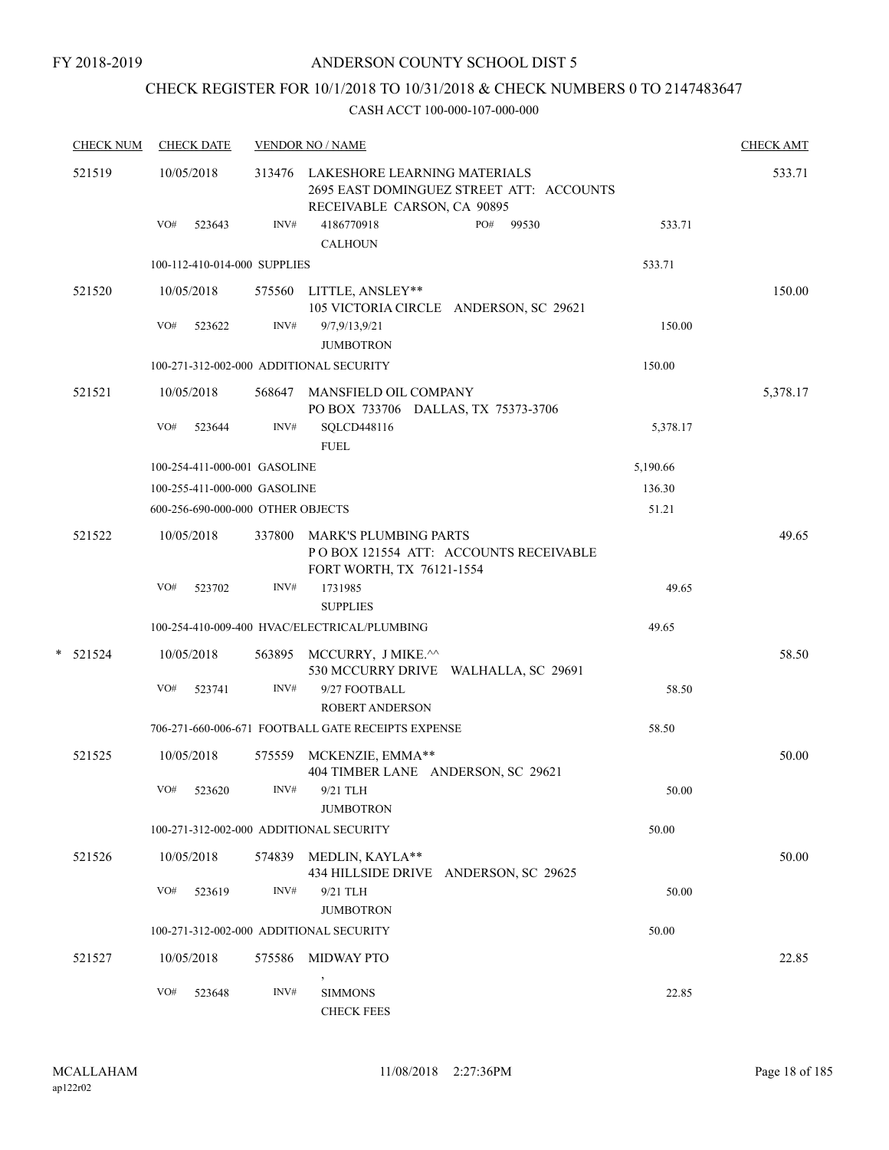FY 2018-2019

### ANDERSON COUNTY SCHOOL DIST 5

### CHECK REGISTER FOR 10/1/2018 TO 10/31/2018 & CHECK NUMBERS 0 TO 2147483647

| <b>CHECK NUM</b> |     | <b>CHECK DATE</b> |                                   | <b>VENDOR NO / NAME</b>                                                                                        |          | <b>CHECK AMT</b> |
|------------------|-----|-------------------|-----------------------------------|----------------------------------------------------------------------------------------------------------------|----------|------------------|
| 521519           |     | 10/05/2018        |                                   | 313476 LAKESHORE LEARNING MATERIALS<br>2695 EAST DOMINGUEZ STREET ATT: ACCOUNTS<br>RECEIVABLE CARSON, CA 90895 |          | 533.71           |
|                  | VO# | 523643            | INV#                              | 4186770918<br>PO#<br>99530<br><b>CALHOUN</b>                                                                   | 533.71   |                  |
|                  |     |                   | 100-112-410-014-000 SUPPLIES      |                                                                                                                | 533.71   |                  |
| 521520           |     | 10/05/2018        |                                   | 575560 LITTLE, ANSLEY**<br>105 VICTORIA CIRCLE ANDERSON, SC 29621                                              |          | 150.00           |
|                  | VO# | 523622            | INV#                              | 9/7,9/13,9/21<br><b>JUMBOTRON</b>                                                                              | 150.00   |                  |
|                  |     |                   |                                   | 100-271-312-002-000 ADDITIONAL SECURITY                                                                        | 150.00   |                  |
| 521521           |     | 10/05/2018        |                                   | 568647 MANSFIELD OIL COMPANY<br>PO BOX 733706 DALLAS, TX 75373-3706                                            |          | 5,378.17         |
|                  | VO# | 523644            | INV#                              | SQLCD448116<br><b>FUEL</b>                                                                                     | 5,378.17 |                  |
|                  |     |                   | 100-254-411-000-001 GASOLINE      |                                                                                                                | 5,190.66 |                  |
|                  |     |                   | 100-255-411-000-000 GASOLINE      |                                                                                                                | 136.30   |                  |
|                  |     |                   | 600-256-690-000-000 OTHER OBJECTS |                                                                                                                | 51.21    |                  |
| 521522           |     | 10/05/2018        | 337800                            | <b>MARK'S PLUMBING PARTS</b><br>POBOX 121554 ATT: ACCOUNTS RECEIVABLE<br>FORT WORTH, TX 76121-1554             |          | 49.65            |
|                  | VO# | 523702            | INV#                              | 1731985<br><b>SUPPLIES</b>                                                                                     | 49.65    |                  |
|                  |     |                   |                                   | 100-254-410-009-400 HVAC/ELECTRICAL/PLUMBING                                                                   | 49.65    |                  |
| $*$ 521524       |     | 10/05/2018        |                                   | 563895 MCCURRY, J MIKE.^^<br>530 MCCURRY DRIVE WALHALLA, SC 29691                                              |          | 58.50            |
|                  | VO# | 523741            | INV#                              | 9/27 FOOTBALL<br><b>ROBERT ANDERSON</b>                                                                        | 58.50    |                  |
|                  |     |                   |                                   | 706-271-660-006-671 FOOTBALL GATE RECEIPTS EXPENSE                                                             | 58.50    |                  |
| 521525           |     | 10/05/2018        | 575559                            | MCKENZIE, EMMA**<br>404 TIMBER LANE ANDERSON, SC 29621                                                         |          | 50.00            |
|                  |     | VO# 523620        |                                   | $INV#$ 9/21 TLH<br><b>JUMBOTRON</b>                                                                            | 50.00    |                  |
|                  |     |                   |                                   | 100-271-312-002-000 ADDITIONAL SECURITY                                                                        | 50.00    |                  |
| 521526           |     | 10/05/2018        | 574839                            | MEDLIN, KAYLA**<br>434 HILLSIDE DRIVE ANDERSON, SC 29625                                                       |          | 50.00            |
|                  | VO# | 523619            | INV#                              | 9/21 TLH<br><b>JUMBOTRON</b>                                                                                   | 50.00    |                  |
|                  |     |                   |                                   | 100-271-312-002-000 ADDITIONAL SECURITY                                                                        | 50.00    |                  |
| 521527           |     | 10/05/2018        | 575586                            | <b>MIDWAY PTO</b>                                                                                              |          | 22.85            |
|                  | VO# | 523648            | $\text{INV}\#$                    | <b>SIMMONS</b><br><b>CHECK FEES</b>                                                                            | 22.85    |                  |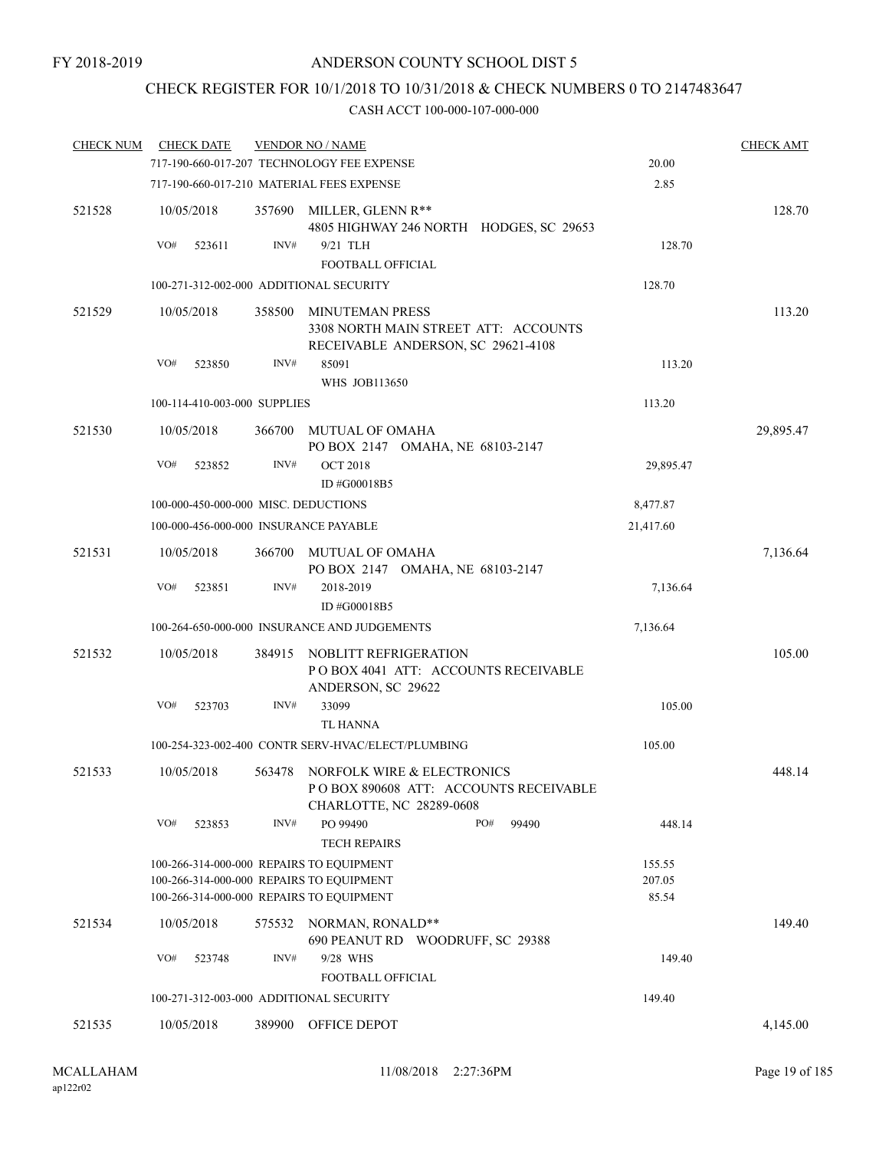### CHECK REGISTER FOR 10/1/2018 TO 10/31/2018 & CHECK NUMBERS 0 TO 2147483647

| <b>CHECK NUM</b> | <b>CHECK DATE</b> |                                            | <b>VENDOR NO / NAME</b>                            |                                                                            |        |           | <b>CHECK AMT</b> |
|------------------|-------------------|--------------------------------------------|----------------------------------------------------|----------------------------------------------------------------------------|--------|-----------|------------------|
|                  |                   | 717-190-660-017-207 TECHNOLOGY FEE EXPENSE | 20.00                                              |                                                                            |        |           |                  |
|                  |                   |                                            | 717-190-660-017-210 MATERIAL FEES EXPENSE          |                                                                            |        | 2.85      |                  |
| 521528           | 10/05/2018<br>VO# | 357690<br>INV#<br>523611                   | MILLER, GLENN R**<br>9/21 TLH                      | 4805 HIGHWAY 246 NORTH HODGES, SC 29653                                    | 128.70 | 128.70    |                  |
|                  |                   |                                            | <b>FOOTBALL OFFICIAL</b>                           |                                                                            |        |           |                  |
|                  |                   |                                            | 100-271-312-002-000 ADDITIONAL SECURITY            |                                                                            |        | 128.70    |                  |
| 521529           | 10/05/2018        | 358500                                     | <b>MINUTEMAN PRESS</b>                             | 3308 NORTH MAIN STREET ATT: ACCOUNTS<br>RECEIVABLE ANDERSON, SC 29621-4108 |        |           | 113.20           |
|                  | VO#               | INV#<br>523850                             | 85091<br><b>WHS JOB113650</b>                      |                                                                            |        | 113.20    |                  |
|                  |                   | 100-114-410-003-000 SUPPLIES               |                                                    |                                                                            |        | 113.20    |                  |
|                  |                   |                                            |                                                    |                                                                            |        |           |                  |
| 521530           | 10/05/2018        | 366700                                     | MUTUAL OF OMAHA                                    | PO BOX 2147 OMAHA, NE 68103-2147                                           |        |           | 29,895.47        |
|                  | VO#               | INV#<br>523852                             | <b>OCT 2018</b><br>ID #G00018B5                    |                                                                            |        | 29,895.47 |                  |
|                  |                   | 100-000-450-000-000 MISC. DEDUCTIONS       |                                                    |                                                                            |        | 8,477.87  |                  |
|                  |                   | 100-000-456-000-000 INSURANCE PAYABLE      |                                                    |                                                                            |        | 21,417.60 |                  |
| 521531           | 10/05/2018        | 366700                                     | MUTUAL OF OMAHA                                    | PO BOX 2147 OMAHA, NE 68103-2147                                           |        |           | 7,136.64         |
|                  | VO#               | INV#<br>523851                             | 2018-2019<br>ID #G00018B5                          |                                                                            |        | 7,136.64  |                  |
|                  |                   |                                            | 100-264-650-000-000 INSURANCE AND JUDGEMENTS       |                                                                            |        | 7,136.64  |                  |
| 521532           | 10/05/2018        | 384915                                     | NOBLITT REFRIGERATION<br>ANDERSON, SC 29622        | POBOX 4041 ATT: ACCOUNTS RECEIVABLE                                        |        |           | 105.00           |
|                  | VO#               | 523703<br>INV#                             | 33099                                              |                                                                            |        | 105.00    |                  |
|                  |                   |                                            | <b>TL HANNA</b>                                    |                                                                            |        |           |                  |
|                  |                   |                                            | 100-254-323-002-400 CONTR SERV-HVAC/ELECT/PLUMBING |                                                                            |        | 105.00    |                  |
| 521533           | 10/05/2018        |                                            | CHARLOTTE, NC 28289-0608                           | 563478 NORFOLK WIRE & ELECTRONICS<br>POBOX 890608 ATT: ACCOUNTS RECEIVABLE |        |           | 448.14           |
|                  | VO#               | INV#<br>523853                             | PO 99490<br><b>TECH REPAIRS</b>                    | PO#                                                                        | 99490  | 448.14    |                  |
|                  |                   |                                            | 100-266-314-000-000 REPAIRS TO EQUIPMENT           |                                                                            |        | 155.55    |                  |
|                  |                   |                                            | 100-266-314-000-000 REPAIRS TO EQUIPMENT           |                                                                            |        | 207.05    |                  |
|                  |                   |                                            | 100-266-314-000-000 REPAIRS TO EQUIPMENT           |                                                                            |        | 85.54     |                  |
| 521534           | 10/05/2018        | 575532                                     | NORMAN, RONALD**                                   | 690 PEANUT RD WOODRUFF, SC 29388                                           |        |           | 149.40           |
|                  | VO#               | INV#<br>523748                             | 9/28 WHS<br>FOOTBALL OFFICIAL                      |                                                                            |        | 149.40    |                  |
|                  |                   |                                            | 100-271-312-003-000 ADDITIONAL SECURITY            |                                                                            |        | 149.40    |                  |
| 521535           | 10/05/2018        | 389900                                     | OFFICE DEPOT                                       |                                                                            |        |           | 4,145.00         |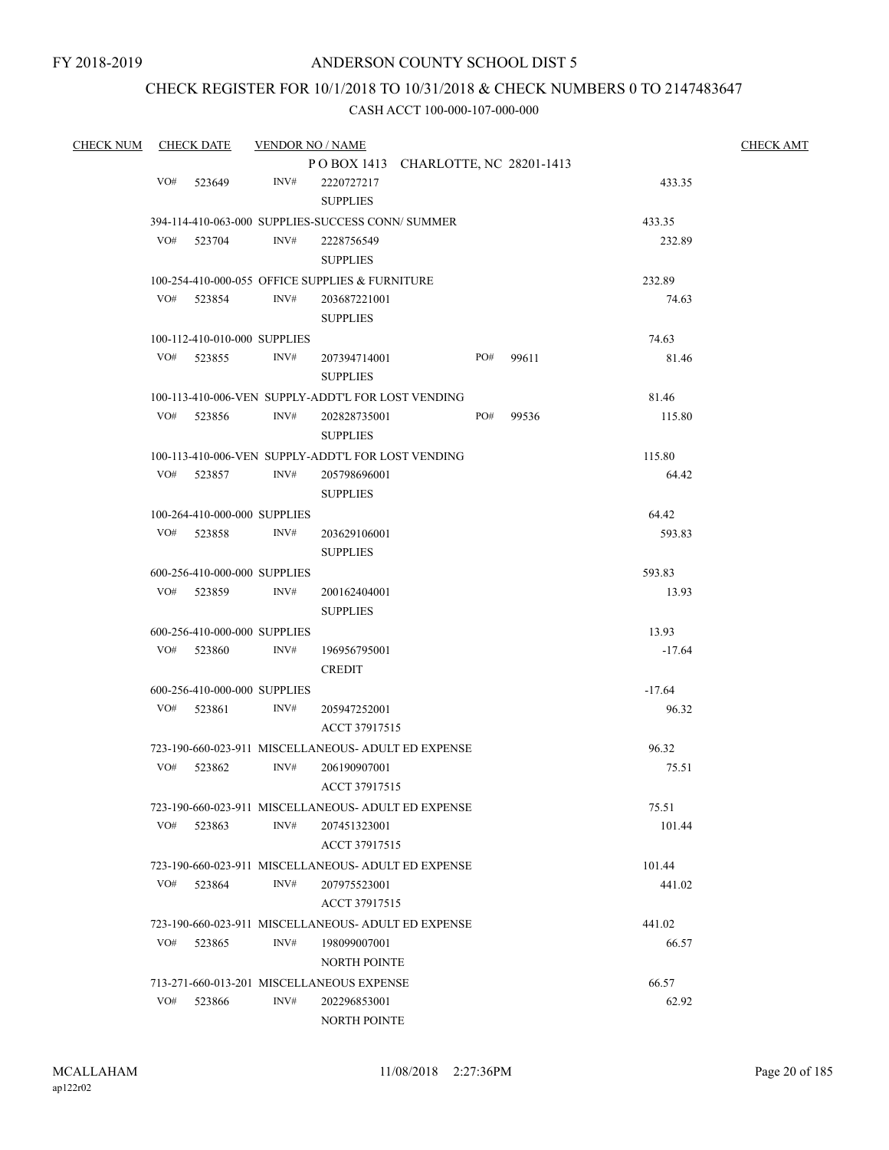### CHECK REGISTER FOR 10/1/2018 TO 10/31/2018 & CHECK NUMBERS 0 TO 2147483647

| <b>CHECK NUM</b> |     | <b>CHECK DATE</b> | <b>VENDOR NO / NAME</b>      |                                                     |     |       |          | <b>CHECK AMT</b> |
|------------------|-----|-------------------|------------------------------|-----------------------------------------------------|-----|-------|----------|------------------|
|                  |     |                   |                              | POBOX 1413 CHARLOTTE, NC 28201-1413                 |     |       |          |                  |
|                  | VO# | 523649            | INV#                         | 2220727217                                          |     |       | 433.35   |                  |
|                  |     |                   |                              | <b>SUPPLIES</b>                                     |     |       |          |                  |
|                  |     |                   |                              | 394-114-410-063-000 SUPPLIES-SUCCESS CONN/ SUMMER   |     |       | 433.35   |                  |
|                  |     | $VO#$ 523704      | INV#                         | 2228756549                                          |     |       | 232.89   |                  |
|                  |     |                   |                              | <b>SUPPLIES</b>                                     |     |       |          |                  |
|                  |     |                   |                              | 100-254-410-000-055 OFFICE SUPPLIES & FURNITURE     |     |       | 232.89   |                  |
|                  | VO# | 523854            | INV#                         | 203687221001                                        |     |       | 74.63    |                  |
|                  |     |                   |                              | <b>SUPPLIES</b>                                     |     |       |          |                  |
|                  |     |                   | 100-112-410-010-000 SUPPLIES |                                                     |     |       | 74.63    |                  |
|                  |     | VO# 523855        | INV#                         | 207394714001                                        | PO# | 99611 | 81.46    |                  |
|                  |     |                   |                              | <b>SUPPLIES</b>                                     |     |       |          |                  |
|                  |     |                   |                              | 100-113-410-006-VEN SUPPLY-ADDT'L FOR LOST VENDING  |     |       | 81.46    |                  |
|                  | VO# | 523856            | INV#                         | 202828735001                                        | PO# | 99536 | 115.80   |                  |
|                  |     |                   |                              | <b>SUPPLIES</b>                                     |     |       |          |                  |
|                  |     |                   |                              | 100-113-410-006-VEN SUPPLY-ADDT'L FOR LOST VENDING  |     |       | 115.80   |                  |
|                  | VO# | 523857            | INV#                         | 205798696001                                        |     |       | 64.42    |                  |
|                  |     |                   |                              | <b>SUPPLIES</b>                                     |     |       |          |                  |
|                  |     |                   | 100-264-410-000-000 SUPPLIES |                                                     |     |       | 64.42    |                  |
|                  |     | VO# 523858        | INV#                         | 203629106001                                        |     |       | 593.83   |                  |
|                  |     |                   |                              | <b>SUPPLIES</b>                                     |     |       |          |                  |
|                  |     |                   | 600-256-410-000-000 SUPPLIES |                                                     |     |       | 593.83   |                  |
|                  |     | VO# 523859        | INV#                         | 200162404001                                        |     |       | 13.93    |                  |
|                  |     |                   |                              | <b>SUPPLIES</b>                                     |     |       |          |                  |
|                  |     |                   | 600-256-410-000-000 SUPPLIES |                                                     |     |       | 13.93    |                  |
|                  |     | VO# 523860        | INV#                         | 196956795001                                        |     |       | $-17.64$ |                  |
|                  |     |                   |                              | <b>CREDIT</b>                                       |     |       |          |                  |
|                  |     |                   | 600-256-410-000-000 SUPPLIES |                                                     |     |       | $-17.64$ |                  |
|                  |     | $VO#$ 523861      | INV#                         | 205947252001                                        |     |       | 96.32    |                  |
|                  |     |                   |                              | ACCT 37917515                                       |     |       |          |                  |
|                  |     |                   |                              | 723-190-660-023-911 MISCELLANEOUS- ADULT ED EXPENSE |     |       | 96.32    |                  |
|                  | VO# | 523862            | INV#                         | 206190907001                                        |     |       | 75.51    |                  |
|                  |     |                   |                              | ACCT 37917515                                       |     |       |          |                  |
|                  |     |                   |                              | 723-190-660-023-911 MISCELLANEOUS- ADULT ED EXPENSE |     |       | 75.51    |                  |
|                  | VO# | 523863            | INV#                         | 207451323001                                        |     |       | 101.44   |                  |
|                  |     |                   |                              | ACCT 37917515                                       |     |       |          |                  |
|                  |     |                   |                              | 723-190-660-023-911 MISCELLANEOUS- ADULT ED EXPENSE |     |       | 101.44   |                  |
|                  | VO# | 523864            | INV#                         | 207975523001                                        |     |       | 441.02   |                  |
|                  |     |                   |                              | ACCT 37917515                                       |     |       |          |                  |
|                  |     |                   |                              | 723-190-660-023-911 MISCELLANEOUS- ADULT ED EXPENSE |     |       | 441.02   |                  |
|                  | VO# | 523865            | INV#                         | 198099007001                                        |     |       | 66.57    |                  |
|                  |     |                   |                              | <b>NORTH POINTE</b>                                 |     |       |          |                  |
|                  |     |                   |                              | 713-271-660-013-201 MISCELLANEOUS EXPENSE           |     |       | 66.57    |                  |
|                  | VO# | 523866            | INV#                         | 202296853001                                        |     |       | 62.92    |                  |
|                  |     |                   |                              | <b>NORTH POINTE</b>                                 |     |       |          |                  |
|                  |     |                   |                              |                                                     |     |       |          |                  |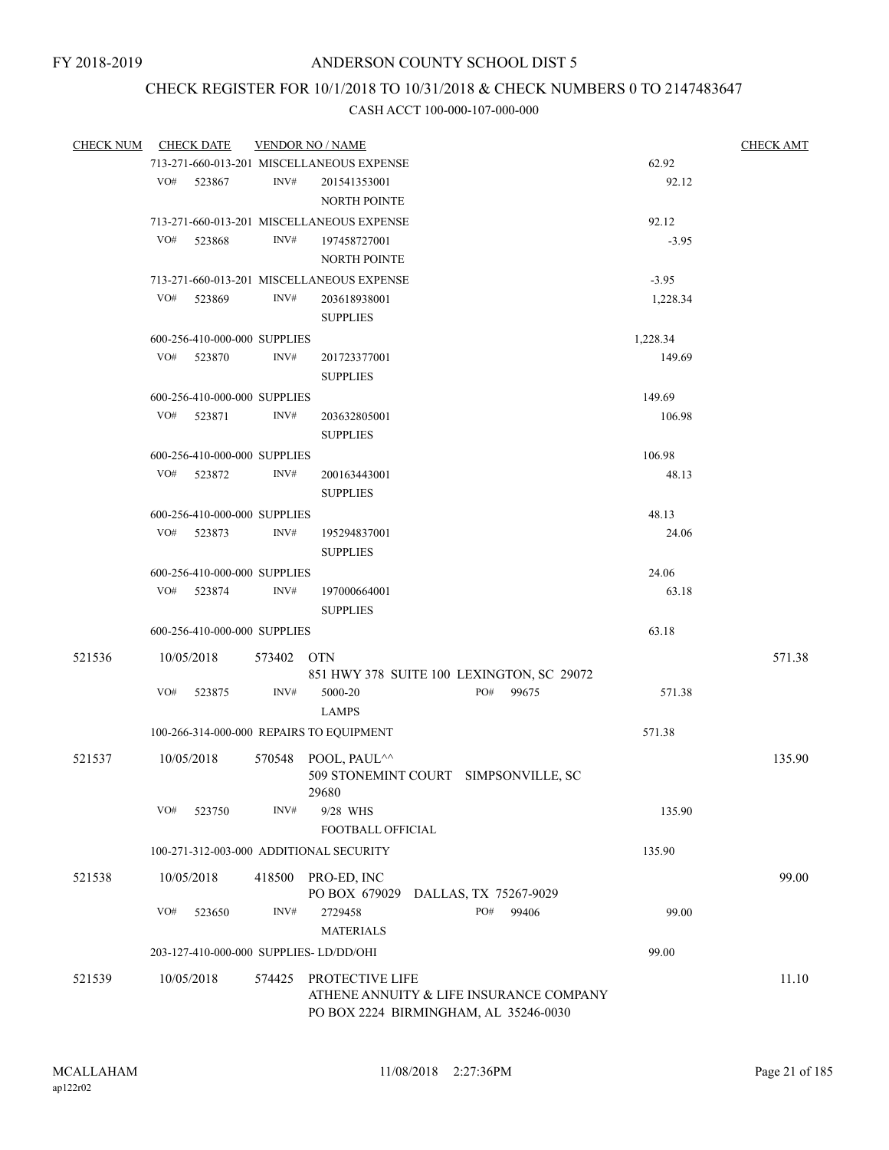### CHECK REGISTER FOR 10/1/2018 TO 10/31/2018 & CHECK NUMBERS 0 TO 2147483647

| <b>CHECK NUM</b> |     | <b>CHECK DATE</b>            |            | <b>VENDOR NO / NAME</b>                                    |                       |       |          | <b>CHECK AMT</b> |
|------------------|-----|------------------------------|------------|------------------------------------------------------------|-----------------------|-------|----------|------------------|
|                  |     |                              |            | 713-271-660-013-201 MISCELLANEOUS EXPENSE                  |                       |       | 62.92    |                  |
|                  | VO# | 523867                       | INV#       | 201541353001                                               |                       |       | 92.12    |                  |
|                  |     |                              |            | <b>NORTH POINTE</b>                                        |                       |       |          |                  |
|                  |     |                              |            | 713-271-660-013-201 MISCELLANEOUS EXPENSE                  |                       |       | 92.12    |                  |
|                  | VO# | 523868                       | INV#       | 197458727001                                               |                       |       | $-3.95$  |                  |
|                  |     |                              |            |                                                            |                       |       |          |                  |
|                  |     |                              |            | <b>NORTH POINTE</b>                                        |                       |       |          |                  |
|                  |     |                              |            | 713-271-660-013-201 MISCELLANEOUS EXPENSE                  |                       |       | $-3.95$  |                  |
|                  | VO# | 523869                       | INV#       | 203618938001                                               |                       |       | 1,228.34 |                  |
|                  |     |                              |            | <b>SUPPLIES</b>                                            |                       |       |          |                  |
|                  |     | 600-256-410-000-000 SUPPLIES |            |                                                            |                       |       | 1,228.34 |                  |
|                  | VO# | 523870                       | INV#       | 201723377001                                               |                       |       | 149.69   |                  |
|                  |     |                              |            | <b>SUPPLIES</b>                                            |                       |       |          |                  |
|                  |     | 600-256-410-000-000 SUPPLIES |            |                                                            |                       |       | 149.69   |                  |
|                  | VO# | 523871                       | INV#       | 203632805001                                               |                       |       | 106.98   |                  |
|                  |     |                              |            |                                                            |                       |       |          |                  |
|                  |     |                              |            | <b>SUPPLIES</b>                                            |                       |       |          |                  |
|                  |     | 600-256-410-000-000 SUPPLIES |            |                                                            |                       |       | 106.98   |                  |
|                  |     | VO# 523872                   | INV#       | 200163443001                                               |                       |       | 48.13    |                  |
|                  |     |                              |            | <b>SUPPLIES</b>                                            |                       |       |          |                  |
|                  |     | 600-256-410-000-000 SUPPLIES |            |                                                            |                       |       | 48.13    |                  |
|                  | VO# | 523873                       | INV#       | 195294837001                                               |                       |       | 24.06    |                  |
|                  |     |                              |            | <b>SUPPLIES</b>                                            |                       |       |          |                  |
|                  |     | 600-256-410-000-000 SUPPLIES |            |                                                            |                       |       | 24.06    |                  |
|                  | VO# | 523874                       | INV#       |                                                            |                       |       | 63.18    |                  |
|                  |     |                              |            | 197000664001                                               |                       |       |          |                  |
|                  |     |                              |            | <b>SUPPLIES</b>                                            |                       |       |          |                  |
|                  |     | 600-256-410-000-000 SUPPLIES |            |                                                            |                       |       | 63.18    |                  |
| 521536           |     | 10/05/2018                   | 573402 OTN |                                                            |                       |       |          | 571.38           |
|                  |     |                              |            | 851 HWY 378 SUITE 100 LEXINGTON, SC 29072                  |                       |       |          |                  |
|                  | VO# | 523875                       | INV#       | 5000-20                                                    | PO#                   | 99675 | 571.38   |                  |
|                  |     |                              |            | <b>LAMPS</b>                                               |                       |       |          |                  |
|                  |     |                              |            | 100-266-314-000-000 REPAIRS TO EQUIPMENT                   |                       |       | 571.38   |                  |
|                  |     |                              |            |                                                            |                       |       |          |                  |
| 521537           |     | 10/05/2018                   |            | 570548 POOL, PAUL^^                                        |                       |       |          | 135.90           |
|                  |     |                              |            | 509 STONEMINT COURT SIMPSONVILLE, SC                       |                       |       |          |                  |
|                  |     |                              |            | 29680                                                      |                       |       |          |                  |
|                  | VO# | 523750                       | INV#       | 9/28 WHS                                                   |                       |       | 135.90   |                  |
|                  |     |                              |            | <b>FOOTBALL OFFICIAL</b>                                   |                       |       |          |                  |
|                  |     |                              |            | 100-271-312-003-000 ADDITIONAL SECURITY                    |                       |       | 135.90   |                  |
|                  |     |                              |            |                                                            |                       |       |          |                  |
| 521538           |     | 10/05/2018                   | 418500     | PRO-ED, INC                                                |                       |       |          | 99.00            |
|                  |     |                              |            | PO BOX 679029                                              | DALLAS, TX 75267-9029 |       |          |                  |
|                  | VO# | 523650                       | INV#       | 2729458                                                    | PO#                   | 99406 | 99.00    |                  |
|                  |     |                              |            | <b>MATERIALS</b>                                           |                       |       |          |                  |
|                  |     |                              |            | 203-127-410-000-000 SUPPLIES-LD/DD/OHI                     |                       |       | 99.00    |                  |
|                  |     |                              |            |                                                            |                       |       |          |                  |
| 521539           |     | 10/05/2018                   | 574425     | PROTECTIVE LIFE<br>ATHENE ANNUITY & LIFE INSURANCE COMPANY |                       |       |          | 11.10            |
|                  |     |                              |            | PO BOX 2224 BIRMINGHAM, AL 35246-0030                      |                       |       |          |                  |
|                  |     |                              |            |                                                            |                       |       |          |                  |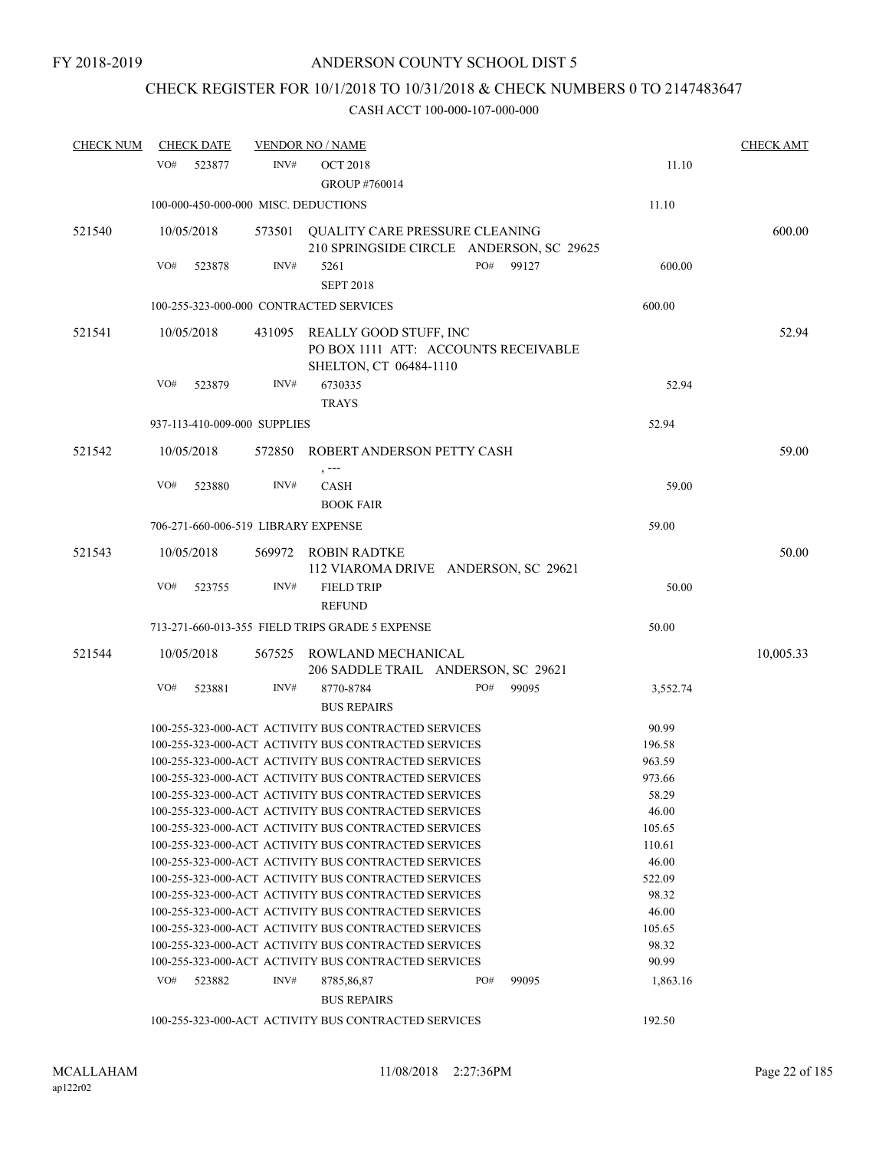### CHECK REGISTER FOR 10/1/2018 TO 10/31/2018 & CHECK NUMBERS 0 TO 2147483647

| <b>CHECK NUM</b> |     | <b>CHECK DATE</b>                   |                | <b>VENDOR NO / NAME</b>                                                                                      |     |       |                 | <b>CHECK AMT</b> |
|------------------|-----|-------------------------------------|----------------|--------------------------------------------------------------------------------------------------------------|-----|-------|-----------------|------------------|
|                  | VO# | 523877                              | INV#           | <b>OCT 2018</b><br>GROUP #760014                                                                             |     |       | 11.10           |                  |
|                  |     |                                     |                | 100-000-450-000-000 MISC. DEDUCTIONS                                                                         |     |       | 11.10           |                  |
| 521540           |     | 10/05/2018                          |                | 573501 QUALITY CARE PRESSURE CLEANING<br>210 SPRINGSIDE CIRCLE ANDERSON, SC 29625                            |     |       |                 | 600.00           |
|                  | VO# | 523878                              | INV#           | 5261<br><b>SEPT 2018</b>                                                                                     | PO# | 99127 | 600.00          |                  |
|                  |     |                                     |                | 100-255-323-000-000 CONTRACTED SERVICES                                                                      |     |       | 600.00          |                  |
| 521541           |     | 10/05/2018                          | 431095         | REALLY GOOD STUFF, INC<br>PO BOX 1111 ATT: ACCOUNTS RECEIVABLE<br>SHELTON, CT 06484-1110                     |     |       |                 | 52.94            |
|                  | VO# | 523879                              | INV#           | 6730335<br><b>TRAYS</b>                                                                                      |     |       | 52.94           |                  |
|                  |     | 937-113-410-009-000 SUPPLIES        |                |                                                                                                              |     |       | 52.94           |                  |
| 521542           |     | 10/05/2018                          | 572850         | ROBERT ANDERSON PETTY CASH                                                                                   |     |       |                 | 59.00            |
|                  | VO# | 523880                              | INV#           | , ---<br><b>CASH</b><br><b>BOOK FAIR</b>                                                                     |     |       | 59.00           |                  |
|                  |     | 706-271-660-006-519 LIBRARY EXPENSE |                |                                                                                                              |     |       | 59.00           |                  |
| 521543           |     | 10/05/2018                          | 569972         | ROBIN RADTKE<br>112 VIAROMA DRIVE ANDERSON, SC 29621                                                         |     |       |                 | 50.00            |
|                  | VO# | 523755                              | INV#           | <b>FIELD TRIP</b><br><b>REFUND</b>                                                                           |     |       | 50.00           |                  |
|                  |     |                                     |                | 713-271-660-013-355 FIELD TRIPS GRADE 5 EXPENSE                                                              |     |       | 50.00           |                  |
| 521544           |     | 10/05/2018                          | 567525         | ROWLAND MECHANICAL<br>206 SADDLE TRAIL ANDERSON, SC 29621                                                    |     |       |                 | 10,005.33        |
|                  | VO# | 523881                              | $\text{INV}\#$ | 8770-8784<br><b>BUS REPAIRS</b>                                                                              | PO# | 99095 | 3,552.74        |                  |
|                  |     |                                     |                | 100-255-323-000-ACT ACTIVITY BUS CONTRACTED SERVICES                                                         |     |       | 90.99           |                  |
|                  |     |                                     |                | 100-255-323-000-ACT ACTIVITY BUS CONTRACTED SERVICES                                                         |     |       | 196.58          |                  |
|                  |     |                                     |                | 100-255-323-000-ACT ACTIVITY BUS CONTRACTED SERVICES                                                         |     |       | 963.59          |                  |
|                  |     |                                     |                | 100-255-323-000-ACT ACTIVITY BUS CONTRACTED SERVICES                                                         |     |       | 973.66          |                  |
|                  |     |                                     |                | 100-255-323-000-ACT ACTIVITY BUS CONTRACTED SERVICES                                                         |     |       | 58.29           |                  |
|                  |     |                                     |                | 100-255-323-000-ACT ACTIVITY BUS CONTRACTED SERVICES                                                         |     |       | 46.00           |                  |
|                  |     |                                     |                | 100-255-323-000-ACT ACTIVITY BUS CONTRACTED SERVICES                                                         |     |       | 105.65          |                  |
|                  |     |                                     |                | 100-255-323-000-ACT ACTIVITY BUS CONTRACTED SERVICES<br>100-255-323-000-ACT ACTIVITY BUS CONTRACTED SERVICES |     |       | 110.61<br>46.00 |                  |
|                  |     |                                     |                | 100-255-323-000-ACT ACTIVITY BUS CONTRACTED SERVICES                                                         |     |       | 522.09          |                  |
|                  |     |                                     |                | 100-255-323-000-ACT ACTIVITY BUS CONTRACTED SERVICES                                                         |     |       | 98.32           |                  |
|                  |     |                                     |                | 100-255-323-000-ACT ACTIVITY BUS CONTRACTED SERVICES                                                         |     |       | 46.00           |                  |
|                  |     |                                     |                | 100-255-323-000-ACT ACTIVITY BUS CONTRACTED SERVICES                                                         |     |       | 105.65          |                  |
|                  |     |                                     |                | 100-255-323-000-ACT ACTIVITY BUS CONTRACTED SERVICES                                                         |     |       | 98.32           |                  |
|                  |     |                                     |                | 100-255-323-000-ACT ACTIVITY BUS CONTRACTED SERVICES                                                         |     |       | 90.99           |                  |
|                  | VO# | 523882                              | INV#           | 8785, 86, 87                                                                                                 | PO# | 99095 | 1,863.16        |                  |
|                  |     |                                     |                | <b>BUS REPAIRS</b>                                                                                           |     |       |                 |                  |
|                  |     |                                     |                | 100-255-323-000-ACT ACTIVITY BUS CONTRACTED SERVICES                                                         |     |       | 192.50          |                  |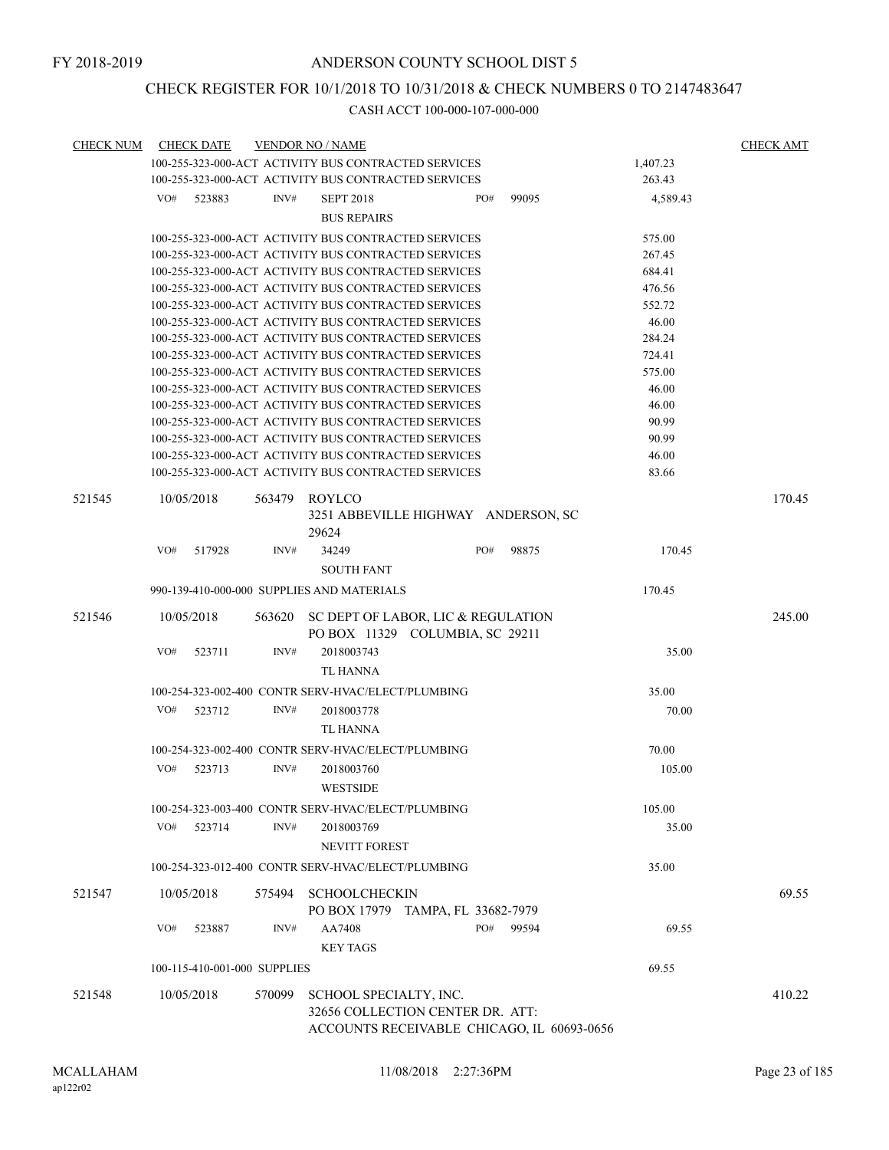### CHECK REGISTER FOR 10/1/2018 TO 10/31/2018 & CHECK NUMBERS 0 TO 2147483647

| <b>CHECK NUM</b> | <b>CHECK DATE</b> |                              | <b>VENDOR NO / NAME</b>                                   |     |           |          | <b>CHECK AMT</b> |
|------------------|-------------------|------------------------------|-----------------------------------------------------------|-----|-----------|----------|------------------|
|                  |                   |                              | 100-255-323-000-ACT ACTIVITY BUS CONTRACTED SERVICES      |     |           | 1,407.23 |                  |
|                  |                   |                              | 100-255-323-000-ACT ACTIVITY BUS CONTRACTED SERVICES      |     |           | 263.43   |                  |
|                  | VO#<br>523883     | INV#                         | <b>SEPT 2018</b>                                          | PO# | 99095     | 4,589.43 |                  |
|                  |                   |                              | <b>BUS REPAIRS</b>                                        |     |           |          |                  |
|                  |                   |                              | 100-255-323-000-ACT ACTIVITY BUS CONTRACTED SERVICES      |     |           | 575.00   |                  |
|                  |                   |                              | 100-255-323-000-ACT ACTIVITY BUS CONTRACTED SERVICES      |     |           | 267.45   |                  |
|                  |                   |                              | 100-255-323-000-ACT ACTIVITY BUS CONTRACTED SERVICES      |     |           | 684.41   |                  |
|                  |                   |                              | 100-255-323-000-ACT ACTIVITY BUS CONTRACTED SERVICES      |     |           | 476.56   |                  |
|                  |                   |                              | 100-255-323-000-ACT ACTIVITY BUS CONTRACTED SERVICES      |     |           | 552.72   |                  |
|                  |                   |                              | 100-255-323-000-ACT ACTIVITY BUS CONTRACTED SERVICES      |     |           | 46.00    |                  |
|                  |                   |                              | 100-255-323-000-ACT ACTIVITY BUS CONTRACTED SERVICES      |     |           | 284.24   |                  |
|                  |                   |                              | 100-255-323-000-ACT ACTIVITY BUS CONTRACTED SERVICES      |     |           | 724.41   |                  |
|                  |                   |                              | 100-255-323-000-ACT ACTIVITY BUS CONTRACTED SERVICES      |     |           | 575.00   |                  |
|                  |                   |                              | 100-255-323-000-ACT ACTIVITY BUS CONTRACTED SERVICES      |     |           | 46.00    |                  |
|                  |                   |                              | 100-255-323-000-ACT ACTIVITY BUS CONTRACTED SERVICES      |     |           | 46.00    |                  |
|                  |                   |                              | 100-255-323-000-ACT ACTIVITY BUS CONTRACTED SERVICES      |     |           | 90.99    |                  |
|                  |                   |                              | 100-255-323-000-ACT ACTIVITY BUS CONTRACTED SERVICES      |     |           | 90.99    |                  |
|                  |                   |                              | 100-255-323-000-ACT ACTIVITY BUS CONTRACTED SERVICES      |     |           | 46.00    |                  |
|                  |                   |                              | 100-255-323-000-ACT ACTIVITY BUS CONTRACTED SERVICES      |     |           | 83.66    |                  |
| 521545           | 10/05/2018        | 563479                       | ROYLCO                                                    |     |           |          | 170.45           |
|                  |                   |                              | 3251 ABBEVILLE HIGHWAY ANDERSON, SC                       |     |           |          |                  |
|                  |                   |                              | 29624                                                     |     |           |          |                  |
|                  | VO#<br>517928     | INV#                         | 34249                                                     | PO# | 98875     | 170.45   |                  |
|                  |                   |                              | <b>SOUTH FANT</b>                                         |     |           |          |                  |
|                  |                   |                              | 990-139-410-000-000 SUPPLIES AND MATERIALS                |     |           | 170.45   |                  |
| 521546           | 10/05/2018        | 563620                       | SC DEPT OF LABOR, LIC & REGULATION                        |     |           |          | 245.00           |
|                  |                   |                              | PO BOX 11329 COLUMBIA, SC 29211                           |     |           |          |                  |
|                  | VO#<br>523711     | INV#                         | 2018003743                                                |     |           | 35.00    |                  |
|                  |                   |                              | <b>TL HANNA</b>                                           |     |           |          |                  |
|                  |                   |                              | 100-254-323-002-400 CONTR SERV-HVAC/ELECT/PLUMBING        |     |           | 35.00    |                  |
|                  | VO#<br>523712     | INV#                         | 2018003778                                                |     |           | 70.00    |                  |
|                  |                   |                              | TL HANNA                                                  |     |           |          |                  |
|                  |                   |                              |                                                           |     |           |          |                  |
|                  |                   |                              | 100-254-323-002-400 CONTR SERV-HVAC/ELECT/PLUMBING        |     |           | 70.00    |                  |
|                  | VO#<br>523713     | INV#                         | 2018003760                                                |     |           | 105.00   |                  |
|                  |                   |                              | <b>WESTSIDE</b>                                           |     |           |          |                  |
|                  |                   |                              | 100-254-323-003-400 CONTR SERV-HVAC/ELECT/PLUMBING        |     |           | 105.00   |                  |
|                  | VO#<br>523714     | INV#                         | 2018003769                                                |     |           | 35.00    |                  |
|                  |                   |                              | <b>NEVITT FOREST</b>                                      |     |           |          |                  |
|                  |                   |                              |                                                           |     |           |          |                  |
|                  |                   |                              | 100-254-323-012-400 CONTR SERV-HVAC/ELECT/PLUMBING        |     |           | 35.00    |                  |
| 521547           | 10/05/2018        | 575494                       | <b>SCHOOLCHECKIN</b><br>PO BOX 17979 TAMPA, FL 33682-7979 |     |           |          | 69.55            |
|                  | VO#<br>523887     | INV#                         | AA7408                                                    |     | PO# 99594 | 69.55    |                  |
|                  |                   |                              | <b>KEY TAGS</b>                                           |     |           |          |                  |
|                  |                   |                              |                                                           |     |           |          |                  |
|                  |                   | 100-115-410-001-000 SUPPLIES |                                                           |     |           | 69.55    |                  |
| 521548           | 10/05/2018        | 570099                       | SCHOOL SPECIALTY, INC.                                    |     |           |          | 410.22           |
|                  |                   |                              | 32656 COLLECTION CENTER DR. ATT:                          |     |           |          |                  |
|                  |                   |                              | ACCOUNTS RECEIVABLE CHICAGO, IL 60693-0656                |     |           |          |                  |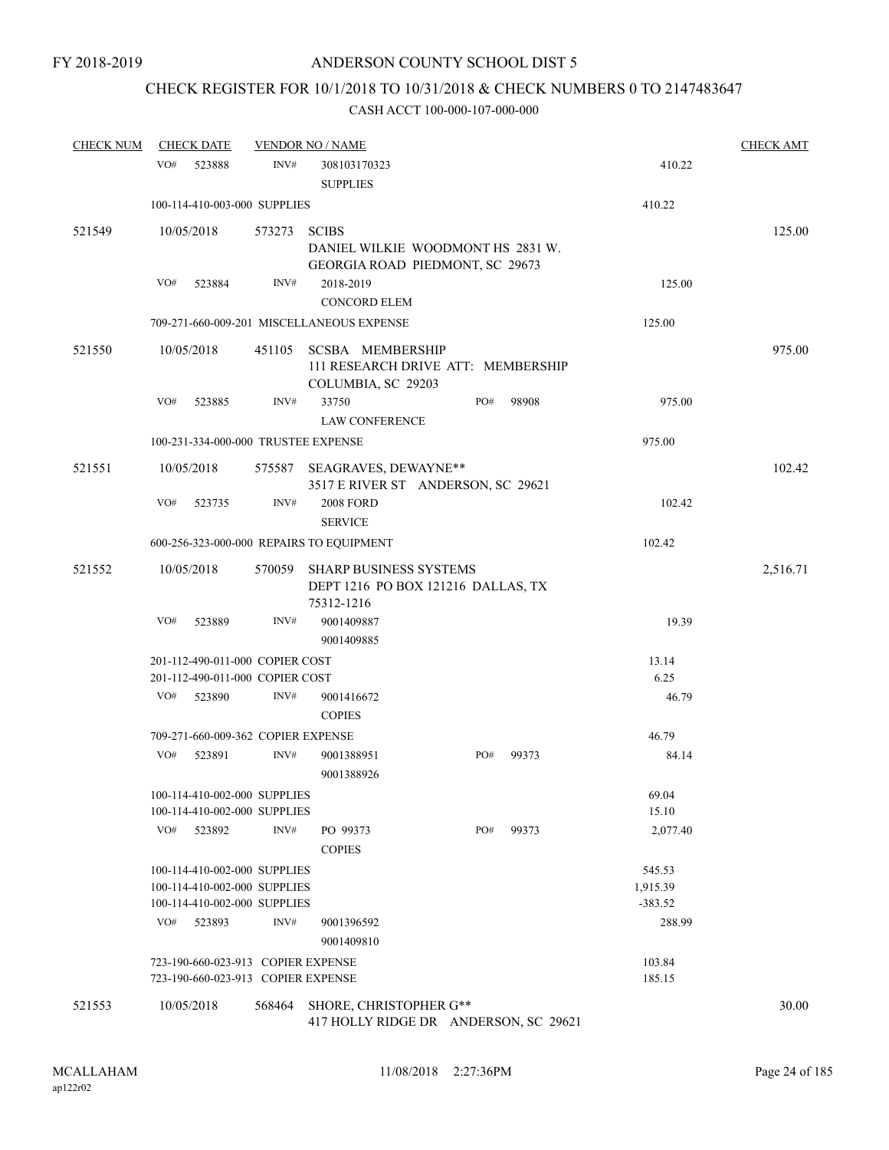# CHECK REGISTER FOR 10/1/2018 TO 10/31/2018 & CHECK NUMBERS 0 TO 2147483647

| <b>CHECK NUM</b> | <b>CHECK DATE</b>                                                                            |        | <b>VENDOR NO / NAME</b>                                                              |     |       |                                 | <b>CHECK AMT</b> |
|------------------|----------------------------------------------------------------------------------------------|--------|--------------------------------------------------------------------------------------|-----|-------|---------------------------------|------------------|
|                  | VO#<br>523888                                                                                | INV#   | 308103170323<br><b>SUPPLIES</b>                                                      |     |       | 410.22                          |                  |
|                  | 100-114-410-003-000 SUPPLIES                                                                 |        |                                                                                      |     |       | 410.22                          |                  |
| 521549           | 10/05/2018                                                                                   | 573273 | <b>SCIBS</b><br>DANIEL WILKIE WOODMONT HS 2831 W.<br>GEORGIA ROAD PIEDMONT, SC 29673 |     |       |                                 | 125.00           |
|                  | VO#<br>523884                                                                                | INV#   | 2018-2019<br><b>CONCORD ELEM</b>                                                     |     |       | 125.00                          |                  |
|                  |                                                                                              |        | 709-271-660-009-201 MISCELLANEOUS EXPENSE                                            |     |       | 125.00                          |                  |
| 521550           | 10/05/2018                                                                                   | 451105 | <b>SCSBA MEMBERSHIP</b><br>111 RESEARCH DRIVE ATT: MEMBERSHIP<br>COLUMBIA, SC 29203  |     |       |                                 | 975.00           |
|                  | VO#<br>523885                                                                                | INV#   | 33750<br><b>LAW CONFERENCE</b>                                                       | PO# | 98908 | 975.00                          |                  |
|                  | 100-231-334-000-000 TRUSTEE EXPENSE                                                          |        |                                                                                      |     |       | 975.00                          |                  |
| 521551           | 10/05/2018                                                                                   |        | 575587 SEAGRAVES, DEWAYNE**<br>3517 E RIVER ST ANDERSON, SC 29621                    |     |       |                                 | 102.42           |
|                  | VO#<br>523735                                                                                | INV#   | <b>2008 FORD</b><br><b>SERVICE</b>                                                   |     |       | 102.42                          |                  |
|                  |                                                                                              |        | 600-256-323-000-000 REPAIRS TO EQUIPMENT                                             |     |       | 102.42                          |                  |
| 521552           | 10/05/2018                                                                                   | 570059 | <b>SHARP BUSINESS SYSTEMS</b><br>DEPT 1216 PO BOX 121216 DALLAS, TX<br>75312-1216    |     |       |                                 | 2,516.71         |
|                  | VO#<br>523889                                                                                | INV#   | 9001409887                                                                           |     |       | 19.39                           |                  |
|                  |                                                                                              |        | 9001409885                                                                           |     |       |                                 |                  |
|                  | 201-112-490-011-000 COPIER COST<br>201-112-490-011-000 COPIER COST                           |        |                                                                                      |     |       | 13.14<br>6.25                   |                  |
|                  | VO#<br>523890                                                                                | INV#   | 9001416672<br><b>COPIES</b>                                                          |     |       | 46.79                           |                  |
|                  | 709-271-660-009-362 COPIER EXPENSE                                                           |        |                                                                                      |     |       | 46.79                           |                  |
|                  | VO#<br>523891                                                                                | INV#   | 9001388951<br>9001388926                                                             | PO# | 99373 | 84.14                           |                  |
|                  | 100-114-410-002-000 SUPPLIES<br>100-114-410-002-000 SUPPLIES                                 |        |                                                                                      |     |       | 69.04<br>15.10                  |                  |
|                  | VO#<br>523892                                                                                | INV#   | PO 99373<br><b>COPIES</b>                                                            | PO# | 99373 | 2,077.40                        |                  |
|                  | 100-114-410-002-000 SUPPLIES<br>100-114-410-002-000 SUPPLIES<br>100-114-410-002-000 SUPPLIES |        |                                                                                      |     |       | 545.53<br>1,915.39<br>$-383.52$ |                  |
|                  | VO#<br>523893                                                                                | INV#   | 9001396592<br>9001409810                                                             |     |       | 288.99                          |                  |
|                  | 723-190-660-023-913 COPIER EXPENSE<br>723-190-660-023-913 COPIER EXPENSE                     |        |                                                                                      |     |       | 103.84<br>185.15                |                  |
| 521553           | 10/05/2018                                                                                   | 568464 | SHORE, CHRISTOPHER G**<br>417 HOLLY RIDGE DR ANDERSON, SC 29621                      |     |       |                                 | 30.00            |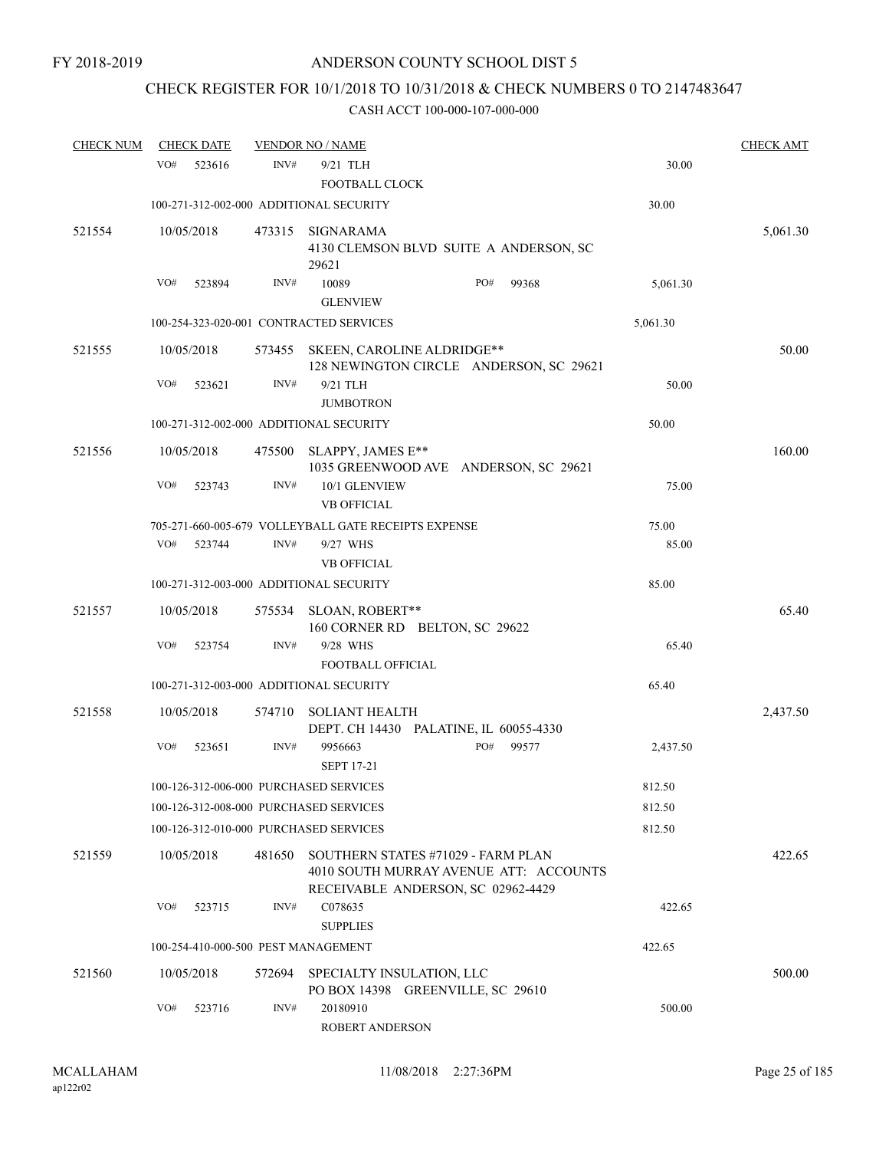### CHECK REGISTER FOR 10/1/2018 TO 10/31/2018 & CHECK NUMBERS 0 TO 2147483647

| <b>CHECK NUM</b> | <b>CHECK DATE</b>                       |        | <b>VENDOR NO / NAME</b>                                                                                            |          | <b>CHECK AMT</b> |
|------------------|-----------------------------------------|--------|--------------------------------------------------------------------------------------------------------------------|----------|------------------|
|                  | VO#<br>523616                           | INV#   | 9/21 TLH                                                                                                           | 30.00    |                  |
|                  |                                         |        | FOOTBALL CLOCK                                                                                                     |          |                  |
|                  | 100-271-312-002-000 ADDITIONAL SECURITY |        |                                                                                                                    | 30.00    |                  |
| 521554           | 10/05/2018                              | 473315 | SIGNARAMA<br>4130 CLEMSON BLVD SUITE A ANDERSON, SC<br>29621                                                       |          | 5,061.30         |
|                  | VO#<br>523894                           | INV#   | 10089<br>PO#<br>99368<br><b>GLENVIEW</b>                                                                           | 5,061.30 |                  |
|                  |                                         |        | 100-254-323-020-001 CONTRACTED SERVICES                                                                            | 5,061.30 |                  |
| 521555           | 10/05/2018                              |        | 573455 SKEEN, CAROLINE ALDRIDGE**<br>128 NEWINGTON CIRCLE ANDERSON, SC 29621                                       |          | 50.00            |
|                  | VO#<br>523621                           | INV#   | 9/21 TLH<br><b>JUMBOTRON</b>                                                                                       | 50.00    |                  |
|                  | 100-271-312-002-000 ADDITIONAL SECURITY |        |                                                                                                                    | 50.00    |                  |
| 521556           | 10/05/2018                              |        | 475500 SLAPPY, JAMES E**<br>1035 GREENWOOD AVE ANDERSON, SC 29621                                                  |          | 160.00           |
|                  | VO#<br>523743                           | INV#   | 10/1 GLENVIEW<br><b>VB OFFICIAL</b>                                                                                | 75.00    |                  |
|                  |                                         |        | 705-271-660-005-679 VOLLEYBALL GATE RECEIPTS EXPENSE                                                               | 75.00    |                  |
|                  | VO#<br>523744                           | INV#   | 9/27 WHS<br><b>VB OFFICIAL</b>                                                                                     | 85.00    |                  |
|                  | 100-271-312-003-000 ADDITIONAL SECURITY |        |                                                                                                                    | 85.00    |                  |
| 521557           | 10/05/2018                              | 575534 | SLOAN, ROBERT**<br>160 CORNER RD BELTON, SC 29622                                                                  |          | 65.40            |
|                  | VO#<br>523754                           | INV#   | 9/28 WHS<br>FOOTBALL OFFICIAL                                                                                      | 65.40    |                  |
|                  | 100-271-312-003-000 ADDITIONAL SECURITY |        |                                                                                                                    | 65.40    |                  |
| 521558           | 10/05/2018                              | 574710 | SOLIANT HEALTH<br>DEPT. CH 14430 PALATINE, IL 60055-4330                                                           |          | 2,437.50         |
|                  | VO#<br>523651                           | INV#   | 9956663<br>PO#<br>99577<br><b>SEPT 17-21</b>                                                                       | 2,437.50 |                  |
|                  | 100-126-312-006-000 PURCHASED SERVICES  |        |                                                                                                                    | 812.50   |                  |
|                  | 100-126-312-008-000 PURCHASED SERVICES  |        |                                                                                                                    | 812.50   |                  |
|                  | 100-126-312-010-000 PURCHASED SERVICES  |        |                                                                                                                    | 812.50   |                  |
| 521559           | 10/05/2018                              | 481650 | SOUTHERN STATES #71029 - FARM PLAN<br>4010 SOUTH MURRAY AVENUE ATT: ACCOUNTS<br>RECEIVABLE ANDERSON, SC 02962-4429 |          | 422.65           |
|                  | VO#<br>523715                           | INV#   | C078635<br><b>SUPPLIES</b>                                                                                         | 422.65   |                  |
|                  | 100-254-410-000-500 PEST MANAGEMENT     |        |                                                                                                                    | 422.65   |                  |
| 521560           | 10/05/2018                              | 572694 | SPECIALTY INSULATION, LLC<br>PO BOX 14398 GREENVILLE, SC 29610                                                     |          | 500.00           |
|                  | VO#<br>523716                           | INV#   | 20180910<br><b>ROBERT ANDERSON</b>                                                                                 | 500.00   |                  |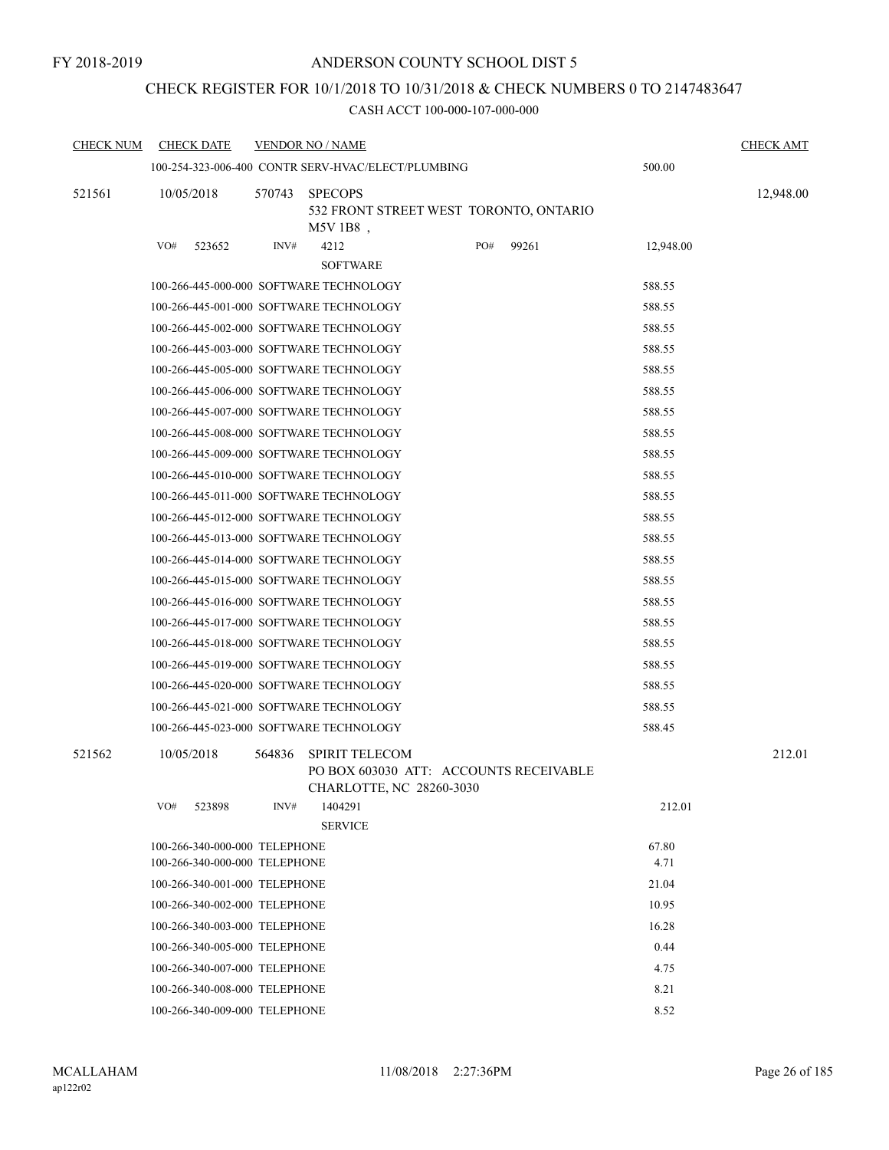### CHECK REGISTER FOR 10/1/2018 TO 10/31/2018 & CHECK NUMBERS 0 TO 2147483647

| <b>CHECK NUM</b> | <b>CHECK DATE</b>                                              | <b>VENDOR NO / NAME</b>                                                                               | <b>CHECK AMT</b> |           |
|------------------|----------------------------------------------------------------|-------------------------------------------------------------------------------------------------------|------------------|-----------|
|                  |                                                                | 100-254-323-006-400 CONTR SERV-HVAC/ELECT/PLUMBING                                                    | 500.00           |           |
| 521561           | 10/05/2018                                                     | 570743<br><b>SPECOPS</b><br>532 FRONT STREET WEST TORONTO, ONTARIO<br>$\rm{M5V}$ 1B8 $\,$ ,           |                  | 12,948.00 |
|                  | VO#<br>523652                                                  | PO#<br>INV#<br>4212<br>99261<br><b>SOFTWARE</b>                                                       | 12,948.00        |           |
|                  |                                                                | 100-266-445-000-000 SOFTWARE TECHNOLOGY                                                               | 588.55           |           |
|                  |                                                                | 100-266-445-001-000 SOFTWARE TECHNOLOGY                                                               | 588.55           |           |
|                  |                                                                | 100-266-445-002-000 SOFTWARE TECHNOLOGY                                                               | 588.55           |           |
|                  |                                                                | 100-266-445-003-000 SOFTWARE TECHNOLOGY                                                               | 588.55           |           |
|                  |                                                                | 100-266-445-005-000 SOFTWARE TECHNOLOGY                                                               | 588.55           |           |
|                  |                                                                | 100-266-445-006-000 SOFTWARE TECHNOLOGY                                                               | 588.55           |           |
|                  |                                                                | 100-266-445-007-000 SOFTWARE TECHNOLOGY                                                               | 588.55           |           |
|                  |                                                                | 100-266-445-008-000 SOFTWARE TECHNOLOGY                                                               | 588.55           |           |
|                  |                                                                | 100-266-445-009-000 SOFTWARE TECHNOLOGY                                                               | 588.55           |           |
|                  |                                                                | 100-266-445-010-000 SOFTWARE TECHNOLOGY                                                               | 588.55           |           |
|                  |                                                                | 100-266-445-011-000 SOFTWARE TECHNOLOGY                                                               | 588.55           |           |
|                  |                                                                | 100-266-445-012-000 SOFTWARE TECHNOLOGY                                                               | 588.55           |           |
|                  |                                                                | 100-266-445-013-000 SOFTWARE TECHNOLOGY                                                               | 588.55           |           |
|                  |                                                                | 100-266-445-014-000 SOFTWARE TECHNOLOGY                                                               | 588.55           |           |
|                  |                                                                | 100-266-445-015-000 SOFTWARE TECHNOLOGY                                                               | 588.55           |           |
|                  |                                                                | 100-266-445-016-000 SOFTWARE TECHNOLOGY                                                               | 588.55           |           |
|                  |                                                                | 100-266-445-017-000 SOFTWARE TECHNOLOGY                                                               | 588.55           |           |
|                  |                                                                | 100-266-445-018-000 SOFTWARE TECHNOLOGY                                                               | 588.55           |           |
|                  |                                                                | 100-266-445-019-000 SOFTWARE TECHNOLOGY                                                               | 588.55           |           |
|                  |                                                                | 100-266-445-020-000 SOFTWARE TECHNOLOGY                                                               | 588.55           |           |
|                  |                                                                | 100-266-445-021-000 SOFTWARE TECHNOLOGY                                                               | 588.55           |           |
|                  |                                                                | 100-266-445-023-000 SOFTWARE TECHNOLOGY                                                               | 588.45           |           |
| 521562           | 10/05/2018                                                     | 564836<br><b>SPIRIT TELECOM</b><br>PO BOX 603030 ATT: ACCOUNTS RECEIVABLE<br>CHARLOTTE, NC 28260-3030 |                  | 212.01    |
|                  | VO#<br>523898                                                  | INV#<br>1404291<br><b>SERVICE</b>                                                                     | 212.01           |           |
|                  | 100-266-340-000-000 TELEPHONE<br>100-266-340-000-000 TELEPHONE |                                                                                                       | 67.80<br>4.71    |           |
|                  | 100-266-340-001-000 TELEPHONE                                  |                                                                                                       | 21.04            |           |
|                  | 100-266-340-002-000 TELEPHONE                                  |                                                                                                       | 10.95            |           |
|                  | 100-266-340-003-000 TELEPHONE                                  |                                                                                                       | 16.28            |           |
|                  | 100-266-340-005-000 TELEPHONE                                  |                                                                                                       | 0.44             |           |
|                  | 100-266-340-007-000 TELEPHONE                                  |                                                                                                       | 4.75             |           |
|                  | 100-266-340-008-000 TELEPHONE                                  |                                                                                                       | 8.21             |           |
|                  | 100-266-340-009-000 TELEPHONE                                  |                                                                                                       | 8.52             |           |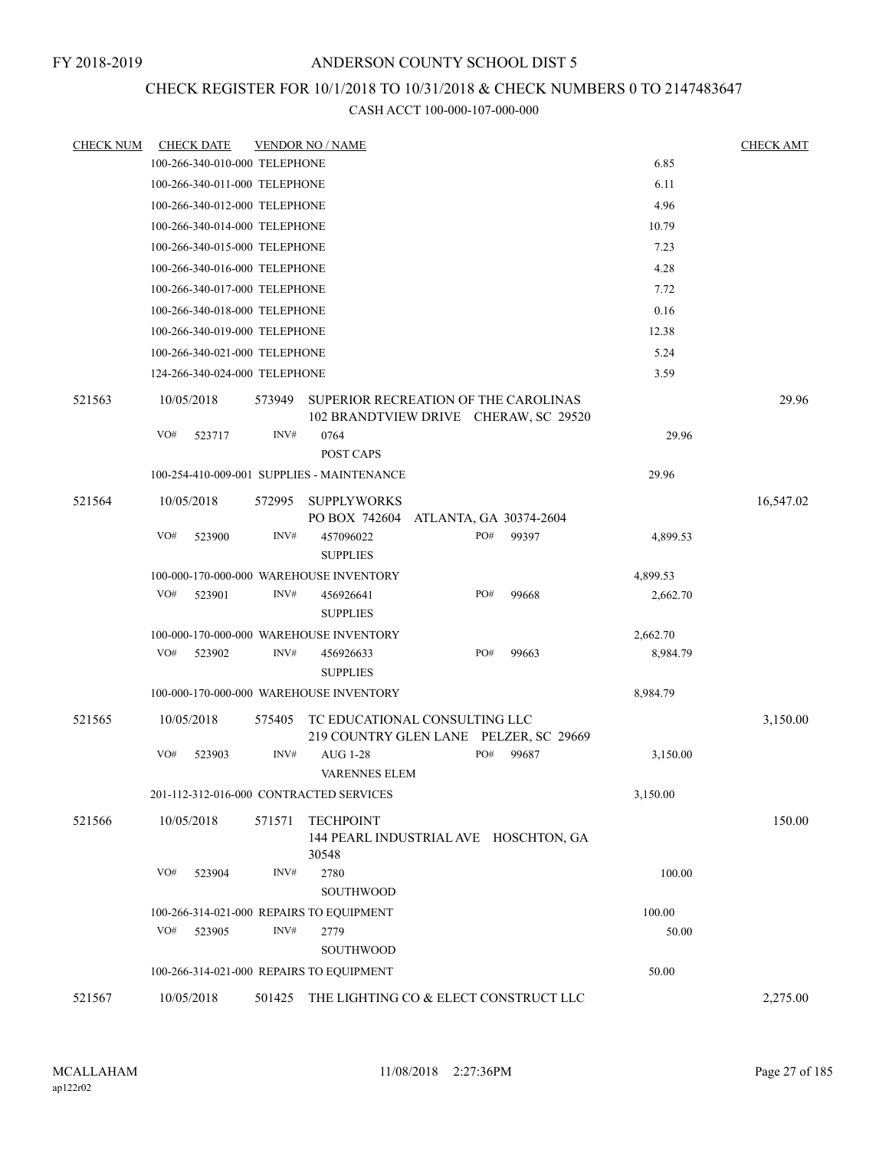### CHECK REGISTER FOR 10/1/2018 TO 10/31/2018 & CHECK NUMBERS 0 TO 2147483647

| <b>CHECK NUM</b> | <b>CHECK DATE</b> |                               |        | <b>VENDOR NO / NAME</b>                                                       |     |                        |          |          | <b>CHECK AMT</b> |
|------------------|-------------------|-------------------------------|--------|-------------------------------------------------------------------------------|-----|------------------------|----------|----------|------------------|
|                  |                   | 100-266-340-010-000 TELEPHONE |        |                                                                               |     |                        |          | 6.85     |                  |
|                  |                   | 100-266-340-011-000 TELEPHONE |        |                                                                               |     |                        |          | 6.11     |                  |
|                  |                   | 100-266-340-012-000 TELEPHONE |        |                                                                               |     |                        |          | 4.96     |                  |
|                  |                   | 100-266-340-014-000 TELEPHONE |        |                                                                               |     |                        |          | 10.79    |                  |
|                  |                   | 100-266-340-015-000 TELEPHONE |        |                                                                               |     |                        |          | 7.23     |                  |
|                  |                   | 100-266-340-016-000 TELEPHONE |        |                                                                               |     |                        |          | 4.28     |                  |
|                  |                   | 100-266-340-017-000 TELEPHONE |        |                                                                               |     |                        |          | 7.72     |                  |
|                  |                   | 100-266-340-018-000 TELEPHONE |        |                                                                               |     |                        |          | 0.16     |                  |
|                  |                   | 100-266-340-019-000 TELEPHONE |        |                                                                               |     |                        |          | 12.38    |                  |
|                  |                   | 100-266-340-021-000 TELEPHONE |        |                                                                               |     |                        |          | 5.24     |                  |
|                  |                   | 124-266-340-024-000 TELEPHONE |        |                                                                               |     |                        |          | 3.59     |                  |
| 521563           | 10/05/2018        |                               | 573949 | SUPERIOR RECREATION OF THE CAROLINAS<br>102 BRANDTVIEW DRIVE CHERAW, SC 29520 |     |                        |          |          | 29.96            |
|                  | VO#               | 523717                        | INV#   | 0764<br>POST CAPS                                                             |     |                        |          | 29.96    |                  |
|                  |                   |                               |        | 100-254-410-009-001 SUPPLIES - MAINTENANCE                                    |     |                        |          | 29.96    |                  |
| 521564           | 10/05/2018        |                               | 572995 | <b>SUPPLYWORKS</b><br>PO BOX 742604                                           |     | ATLANTA, GA 30374-2604 |          |          | 16,547.02        |
|                  | VO#               | 523900                        | INV#   | 457096022<br><b>SUPPLIES</b>                                                  | PO# | 99397                  |          | 4,899.53 |                  |
|                  |                   |                               |        | 100-000-170-000-000 WAREHOUSE INVENTORY                                       |     |                        | 4,899.53 |          |                  |
|                  | VO#               | 523901                        | INV#   | 456926641<br><b>SUPPLIES</b>                                                  | PO# | 99668                  |          | 2,662.70 |                  |
|                  |                   |                               |        | 100-000-170-000-000 WAREHOUSE INVENTORY                                       |     |                        | 2,662.70 |          |                  |
|                  | VO#               | 523902                        | INV#   | 456926633<br><b>SUPPLIES</b>                                                  | PO# | 99663                  |          | 8,984.79 |                  |
|                  |                   |                               |        | 100-000-170-000-000 WAREHOUSE INVENTORY                                       |     |                        | 8,984.79 |          |                  |
| 521565           | 10/05/2018        |                               | 575405 | TC EDUCATIONAL CONSULTING LLC<br>219 COUNTRY GLEN LANE PELZER, SC 29669       |     |                        |          |          | 3,150.00         |
|                  | VO#               | 523903                        | INV#   | AUG 1-28<br><b>VARENNES ELEM</b>                                              | PO# | 99687                  |          | 3,150.00 |                  |
|                  |                   |                               |        | 201-112-312-016-000 CONTRACTED SERVICES                                       |     |                        | 3,150.00 |          |                  |
| 521566           | 10/05/2018        |                               | 571571 | <b>TECHPOINT</b><br>144 PEARL INDUSTRIAL AVE HOSCHTON, GA<br>30548            |     |                        |          |          | 150.00           |
|                  | VO#               | 523904                        | INV#   | 2780<br>SOUTHWOOD                                                             |     |                        |          | 100.00   |                  |
|                  |                   |                               |        | 100-266-314-021-000 REPAIRS TO EQUIPMENT                                      |     |                        | 100.00   |          |                  |
|                  | VO#               | 523905                        | INV#   | 2779<br>SOUTHWOOD                                                             |     |                        |          | 50.00    |                  |
|                  |                   |                               |        | 100-266-314-021-000 REPAIRS TO EQUIPMENT                                      |     |                        |          | 50.00    |                  |
| 521567           | 10/05/2018        |                               | 501425 | THE LIGHTING CO & ELECT CONSTRUCT LLC                                         |     |                        |          |          | 2,275.00         |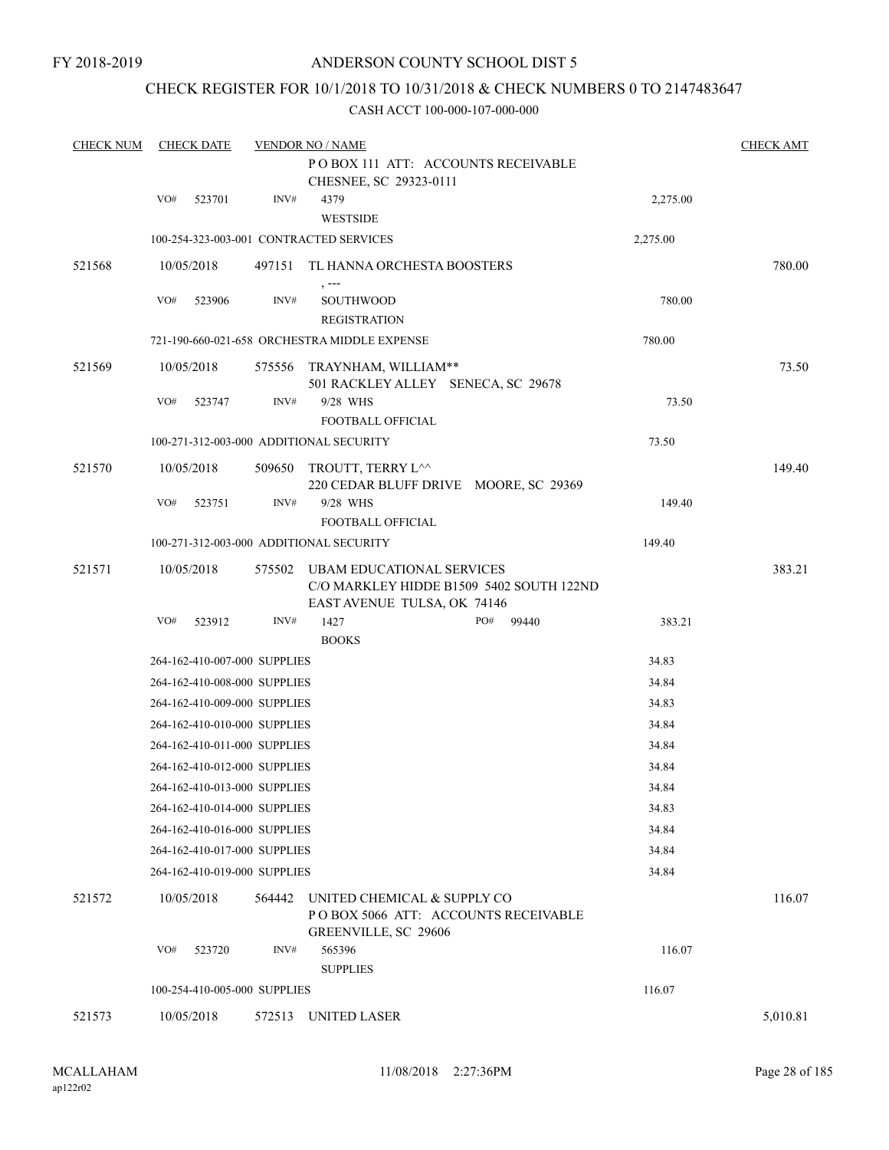### CHECK REGISTER FOR 10/1/2018 TO 10/31/2018 & CHECK NUMBERS 0 TO 2147483647

| <b>CHECK NUM</b> |     | <b>CHECK DATE</b>            |        | <b>VENDOR NO / NAME</b>                                                                                     |          | <b>CHECK AMT</b> |
|------------------|-----|------------------------------|--------|-------------------------------------------------------------------------------------------------------------|----------|------------------|
|                  |     |                              |        | PO BOX 111 ATT: ACCOUNTS RECEIVABLE<br>CHESNEE, SC 29323-0111                                               |          |                  |
|                  | VO# | 523701                       | INV#   | 4379<br><b>WESTSIDE</b>                                                                                     | 2,275.00 |                  |
|                  |     |                              |        | 100-254-323-003-001 CONTRACTED SERVICES                                                                     | 2,275.00 |                  |
| 521568           |     | 10/05/2018                   | 497151 | TL HANNA ORCHESTA BOOSTERS<br>, ---                                                                         |          | 780.00           |
|                  | VO# | 523906                       | INV#   | SOUTHWOOD<br><b>REGISTRATION</b>                                                                            | 780.00   |                  |
|                  |     |                              |        | 721-190-660-021-658 ORCHESTRA MIDDLE EXPENSE                                                                | 780.00   |                  |
| 521569           |     | 10/05/2018                   |        | 575556 TRAYNHAM, WILLIAM**<br>501 RACKLEY ALLEY SENECA, SC 29678                                            |          | 73.50            |
|                  | VO# | 523747                       | INV#   | 9/28 WHS<br>FOOTBALL OFFICIAL                                                                               | 73.50    |                  |
|                  |     |                              |        | 100-271-312-003-000 ADDITIONAL SECURITY                                                                     | 73.50    |                  |
| 521570           |     | 10/05/2018                   |        | 509650 TROUTT, TERRY L^^<br>220 CEDAR BLUFF DRIVE MOORE, SC 29369                                           |          | 149.40           |
|                  | VO# | 523751                       | INV#   | 9/28 WHS<br>FOOTBALL OFFICIAL                                                                               | 149.40   |                  |
|                  |     |                              |        | 100-271-312-003-000 ADDITIONAL SECURITY                                                                     | 149.40   |                  |
| 521571           |     | 10/05/2018                   | 575502 | <b>UBAM EDUCATIONAL SERVICES</b><br>C/O MARKLEY HIDDE B1509 5402 SOUTH 122ND<br>EAST AVENUE TULSA, OK 74146 |          | 383.21           |
|                  | VO# | 523912                       | INV#   | PO#<br>1427<br>99440                                                                                        | 383.21   |                  |
|                  |     |                              |        | <b>BOOKS</b>                                                                                                |          |                  |
|                  |     | 264-162-410-007-000 SUPPLIES |        |                                                                                                             | 34.83    |                  |
|                  |     | 264-162-410-008-000 SUPPLIES |        |                                                                                                             | 34.84    |                  |
|                  |     | 264-162-410-009-000 SUPPLIES |        |                                                                                                             | 34.83    |                  |
|                  |     | 264-162-410-010-000 SUPPLIES |        |                                                                                                             | 34.84    |                  |
|                  |     | 264-162-410-011-000 SUPPLIES |        |                                                                                                             | 34.84    |                  |
|                  |     | 264-162-410-012-000 SUPPLIES |        |                                                                                                             | 34.84    |                  |
|                  |     | 264-162-410-013-000 SUPPLIES |        |                                                                                                             | 34.84    |                  |
|                  |     | 264-162-410-014-000 SUPPLIES |        |                                                                                                             | 34.83    |                  |
|                  |     | 264-162-410-016-000 SUPPLIES |        |                                                                                                             | 34.84    |                  |
|                  |     | 264-162-410-017-000 SUPPLIES |        |                                                                                                             | 34.84    |                  |
|                  |     | 264-162-410-019-000 SUPPLIES |        |                                                                                                             | 34.84    |                  |
| 521572           |     | 10/05/2018                   | 564442 | UNITED CHEMICAL & SUPPLY CO<br>POBOX 5066 ATT: ACCOUNTS RECEIVABLE<br><b>GREENVILLE, SC 29606</b>           |          | 116.07           |
|                  | VO# | 523720                       | INV#   | 565396<br><b>SUPPLIES</b>                                                                                   | 116.07   |                  |
|                  |     | 100-254-410-005-000 SUPPLIES |        |                                                                                                             | 116.07   |                  |
| 521573           |     | 10/05/2018                   |        | 572513 UNITED LASER                                                                                         |          | 5,010.81         |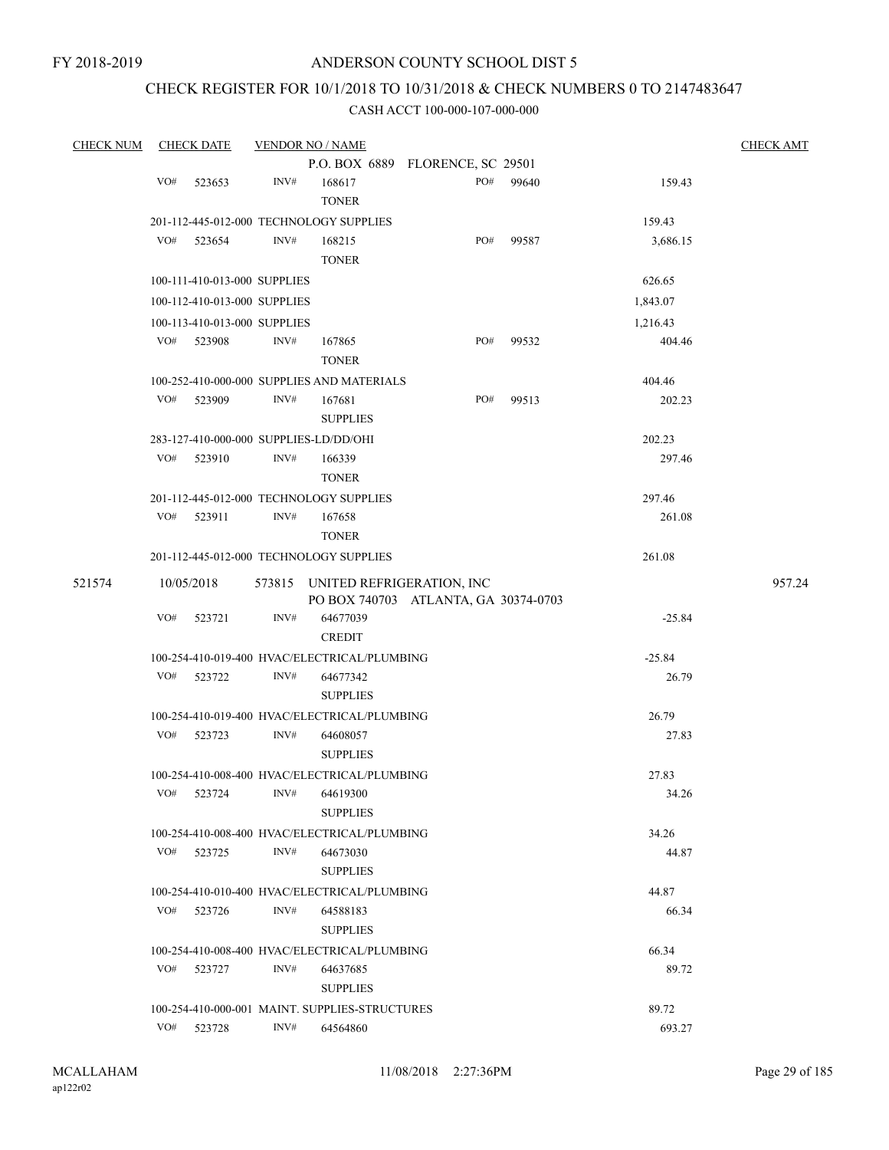### CHECK REGISTER FOR 10/1/2018 TO 10/31/2018 & CHECK NUMBERS 0 TO 2147483647

| <b>CHECK NUM</b> |     | <b>CHECK DATE</b>            |      | <b>VENDOR NO / NAME</b>                        |                                                                          |       |          | <b>CHECK AMT</b> |
|------------------|-----|------------------------------|------|------------------------------------------------|--------------------------------------------------------------------------|-------|----------|------------------|
|                  |     |                              |      |                                                | P.O. BOX 6889 FLORENCE, SC 29501                                         |       |          |                  |
|                  | VO# | 523653                       | INV# | 168617<br><b>TONER</b>                         | PO#                                                                      | 99640 | 159.43   |                  |
|                  |     |                              |      | 201-112-445-012-000 TECHNOLOGY SUPPLIES        |                                                                          |       | 159.43   |                  |
|                  | VO# | 523654                       | INV# | 168215                                         | PO#                                                                      | 99587 | 3,686.15 |                  |
|                  |     |                              |      | <b>TONER</b>                                   |                                                                          |       |          |                  |
|                  |     | 100-111-410-013-000 SUPPLIES |      |                                                |                                                                          |       | 626.65   |                  |
|                  |     | 100-112-410-013-000 SUPPLIES |      |                                                |                                                                          |       | 1,843.07 |                  |
|                  |     | 100-113-410-013-000 SUPPLIES |      |                                                |                                                                          |       | 1,216.43 |                  |
|                  | VO# | 523908                       | INV# | 167865<br><b>TONER</b>                         | PO#                                                                      | 99532 | 404.46   |                  |
|                  |     |                              |      | 100-252-410-000-000 SUPPLIES AND MATERIALS     |                                                                          |       | 404.46   |                  |
|                  | VO# | 523909                       | INV# | 167681                                         | PO#                                                                      | 99513 | 202.23   |                  |
|                  |     |                              |      | <b>SUPPLIES</b>                                |                                                                          |       |          |                  |
|                  |     |                              |      | 283-127-410-000-000 SUPPLIES-LD/DD/OHI         |                                                                          |       | 202.23   |                  |
|                  | VO# | 523910                       | INV# | 166339                                         |                                                                          |       | 297.46   |                  |
|                  |     |                              |      | <b>TONER</b>                                   |                                                                          |       |          |                  |
|                  |     |                              |      | 201-112-445-012-000 TECHNOLOGY SUPPLIES        |                                                                          |       | 297.46   |                  |
|                  | VO# | 523911                       | INV# | 167658                                         |                                                                          |       | 261.08   |                  |
|                  |     |                              |      | <b>TONER</b>                                   |                                                                          |       |          |                  |
|                  |     |                              |      | 201-112-445-012-000 TECHNOLOGY SUPPLIES        |                                                                          |       | 261.08   |                  |
| 521574           |     | 10/05/2018                   |      |                                                | 573815 UNITED REFRIGERATION, INC<br>PO BOX 740703 ATLANTA, GA 30374-0703 |       |          | 957.24           |
|                  | VO# | 523721                       | INV# | 64677039<br><b>CREDIT</b>                      |                                                                          |       | $-25.84$ |                  |
|                  |     |                              |      | 100-254-410-019-400 HVAC/ELECTRICAL/PLUMBING   |                                                                          |       | $-25.84$ |                  |
|                  | VO# | 523722                       | INV# | 64677342                                       |                                                                          |       | 26.79    |                  |
|                  |     |                              |      | <b>SUPPLIES</b>                                |                                                                          |       |          |                  |
|                  |     |                              |      | 100-254-410-019-400 HVAC/ELECTRICAL/PLUMBING   |                                                                          |       | 26.79    |                  |
|                  | VO# | 523723                       | INV# | 64608057                                       |                                                                          |       | 27.83    |                  |
|                  |     |                              |      | <b>SUPPLIES</b>                                |                                                                          |       |          |                  |
|                  |     |                              |      | 100-254-410-008-400 HVAC/ELECTRICAL/PLUMBING   |                                                                          |       | 27.83    |                  |
|                  |     | VO# 523724                   |      | INV# 64619300                                  |                                                                          |       | 34.26    |                  |
|                  |     |                              |      | <b>SUPPLIES</b>                                |                                                                          |       |          |                  |
|                  |     |                              |      | 100-254-410-008-400 HVAC/ELECTRICAL/PLUMBING   |                                                                          |       | 34.26    |                  |
|                  |     | VO# 523725                   | INV# | 64673030                                       |                                                                          |       | 44.87    |                  |
|                  |     |                              |      | <b>SUPPLIES</b>                                |                                                                          |       |          |                  |
|                  |     |                              |      | 100-254-410-010-400 HVAC/ELECTRICAL/PLUMBING   |                                                                          |       | 44.87    |                  |
|                  | VO# | 523726                       | INV# | 64588183<br><b>SUPPLIES</b>                    |                                                                          |       | 66.34    |                  |
|                  |     |                              |      | 100-254-410-008-400 HVAC/ELECTRICAL/PLUMBING   |                                                                          |       | 66.34    |                  |
|                  | VO# | 523727                       | INV# | 64637685                                       |                                                                          |       | 89.72    |                  |
|                  |     |                              |      | <b>SUPPLIES</b>                                |                                                                          |       |          |                  |
|                  |     |                              |      | 100-254-410-000-001 MAINT. SUPPLIES-STRUCTURES |                                                                          |       | 89.72    |                  |
|                  | VO# | 523728                       | INV# | 64564860                                       |                                                                          |       | 693.27   |                  |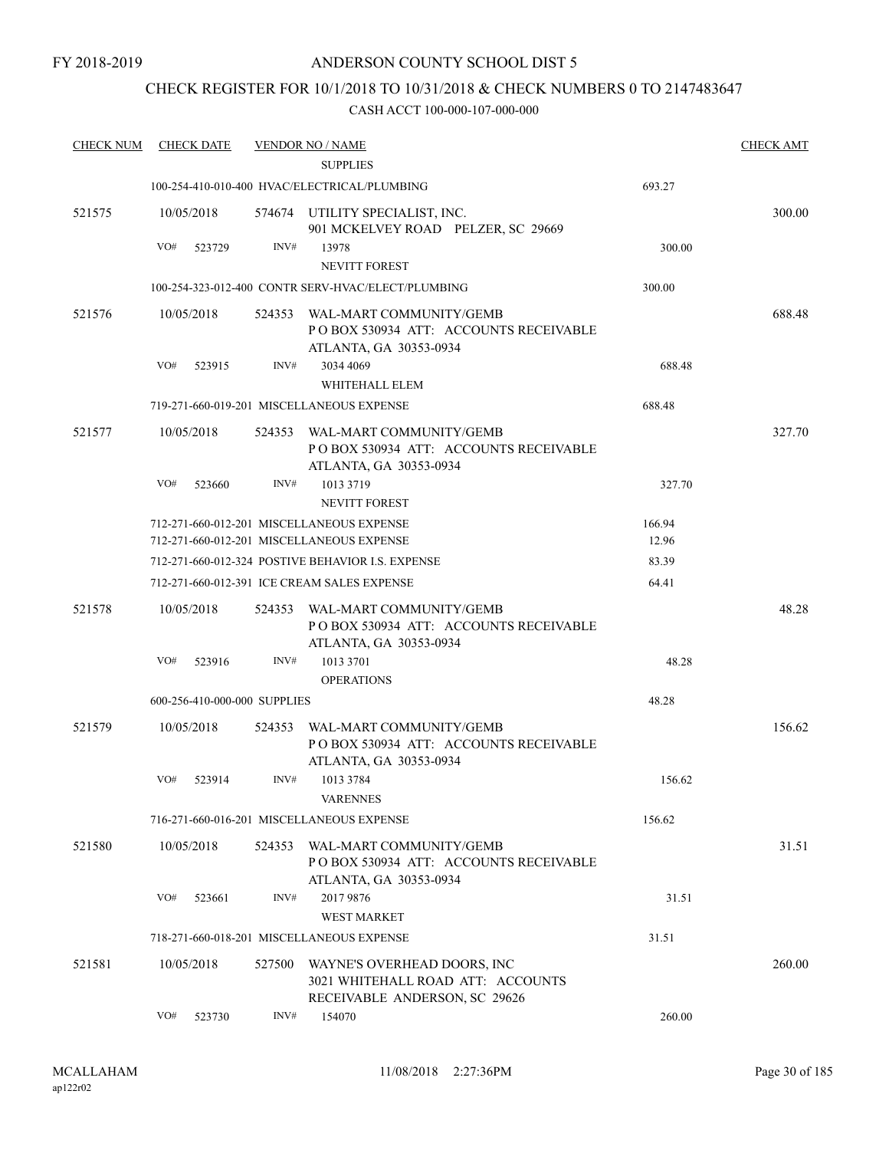### CHECK REGISTER FOR 10/1/2018 TO 10/31/2018 & CHECK NUMBERS 0 TO 2147483647

| <b>CHECK NUM</b> |     | <b>CHECK DATE</b> |                              | <b>VENDOR NO / NAME</b>                                                                            |        | <b>CHECK AMT</b> |
|------------------|-----|-------------------|------------------------------|----------------------------------------------------------------------------------------------------|--------|------------------|
|                  |     |                   |                              | <b>SUPPLIES</b>                                                                                    |        |                  |
|                  |     |                   |                              | 100-254-410-010-400 HVAC/ELECTRICAL/PLUMBING                                                       | 693.27 |                  |
| 521575           |     | 10/05/2018        |                              | 574674 UTILITY SPECIALIST, INC.<br>901 MCKELVEY ROAD PELZER, SC 29669                              |        | 300.00           |
|                  | VO# | 523729            | INV#                         | 13978                                                                                              | 300.00 |                  |
|                  |     |                   |                              | <b>NEVITT FOREST</b>                                                                               |        |                  |
|                  |     |                   |                              | 100-254-323-012-400 CONTR SERV-HVAC/ELECT/PLUMBING                                                 | 300.00 |                  |
| 521576           |     | 10/05/2018        | 524353                       | WAL-MART COMMUNITY/GEMB<br>PO BOX 530934 ATT: ACCOUNTS RECEIVABLE<br>ATLANTA, GA 30353-0934        |        | 688.48           |
|                  | VO# | 523915            | INV#                         | 3034 4069                                                                                          | 688.48 |                  |
|                  |     |                   |                              | WHITEHALL ELEM                                                                                     |        |                  |
|                  |     |                   |                              | 719-271-660-019-201 MISCELLANEOUS EXPENSE                                                          | 688.48 |                  |
| 521577           |     | 10/05/2018        |                              | 524353 WAL-MART COMMUNITY/GEMB<br>PO BOX 530934 ATT: ACCOUNTS RECEIVABLE<br>ATLANTA, GA 30353-0934 |        | 327.70           |
|                  | VO# | 523660            | INV#                         | 1013 3719                                                                                          | 327.70 |                  |
|                  |     |                   |                              | <b>NEVITT FOREST</b>                                                                               |        |                  |
|                  |     |                   |                              | 712-271-660-012-201 MISCELLANEOUS EXPENSE                                                          | 166.94 |                  |
|                  |     |                   |                              | 712-271-660-012-201 MISCELLANEOUS EXPENSE                                                          | 12.96  |                  |
|                  |     |                   |                              | 712-271-660-012-324 POSTIVE BEHAVIOR I.S. EXPENSE                                                  | 83.39  |                  |
|                  |     |                   |                              | 712-271-660-012-391 ICE CREAM SALES EXPENSE                                                        | 64.41  |                  |
| 521578           |     | 10/05/2018        | 524353                       | WAL-MART COMMUNITY/GEMB<br>PO BOX 530934 ATT: ACCOUNTS RECEIVABLE<br>ATLANTA, GA 30353-0934        |        | 48.28            |
|                  | VO# | 523916            | INV#                         | 1013 3701<br><b>OPERATIONS</b>                                                                     | 48.28  |                  |
|                  |     |                   | 600-256-410-000-000 SUPPLIES |                                                                                                    | 48.28  |                  |
|                  |     |                   |                              |                                                                                                    |        |                  |
| 521579           |     | 10/05/2018        | 524353                       | WAL-MART COMMUNITY/GEMB<br>PO BOX 530934 ATT: ACCOUNTS RECEIVABLE<br>ATLANTA, GA 30353-0934        |        | 156.62           |
|                  | VO# | 523914            | INV#                         | 1013 3784<br><b>VARENNES</b>                                                                       | 156.62 |                  |
|                  |     |                   |                              | 716-271-660-016-201 MISCELLANEOUS EXPENSE                                                          | 156.62 |                  |
| 521580           |     | 10/05/2018        | 524353                       | WAL-MART COMMUNITY/GEMB<br>PO BOX 530934 ATT: ACCOUNTS RECEIVABLE<br>ATLANTA, GA 30353-0934        |        | 31.51            |
|                  | VO# | 523661            | INV#                         | 2017 9876                                                                                          | 31.51  |                  |
|                  |     |                   |                              | <b>WEST MARKET</b>                                                                                 |        |                  |
|                  |     |                   |                              | 718-271-660-018-201 MISCELLANEOUS EXPENSE                                                          | 31.51  |                  |
| 521581           |     | 10/05/2018        | 527500                       | WAYNE'S OVERHEAD DOORS, INC<br>3021 WHITEHALL ROAD ATT: ACCOUNTS<br>RECEIVABLE ANDERSON, SC 29626  |        | 260.00           |
|                  | VO# | 523730            | INV#                         | 154070                                                                                             | 260.00 |                  |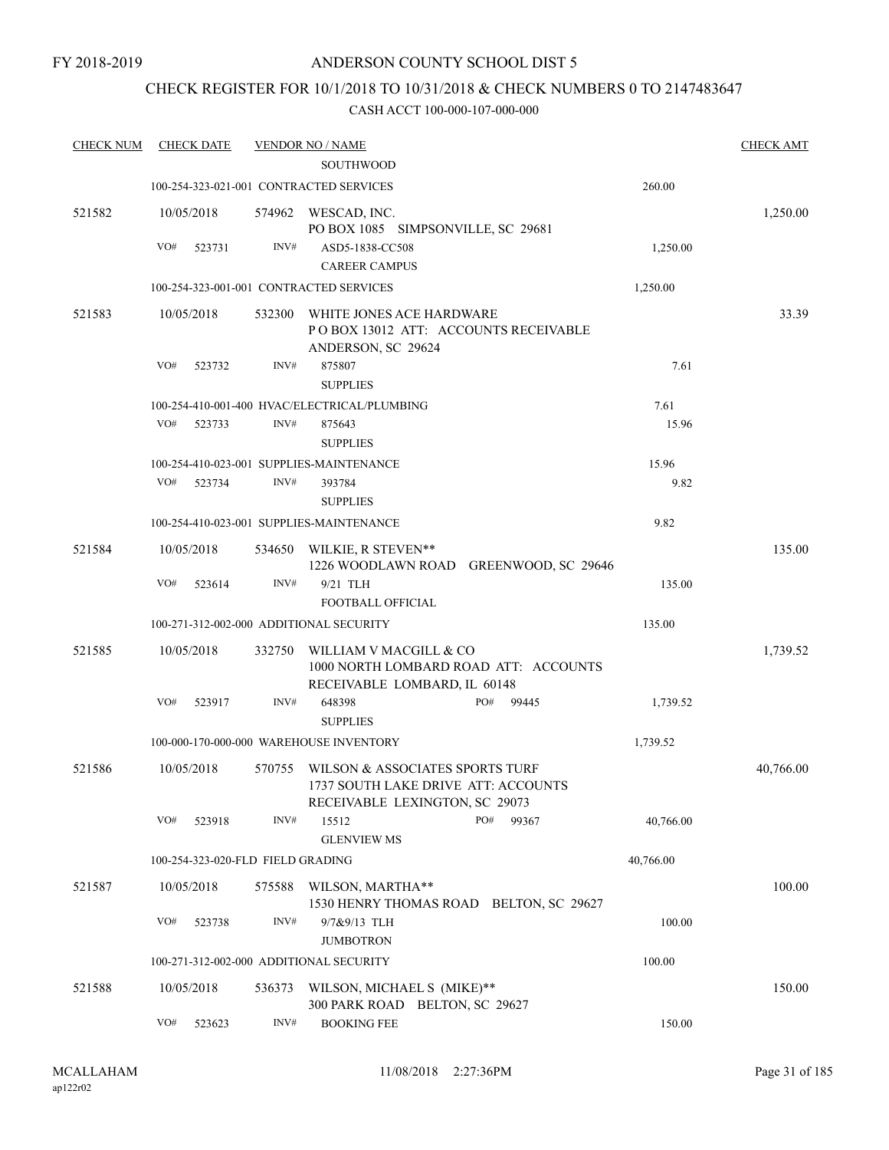### CHECK REGISTER FOR 10/1/2018 TO 10/31/2018 & CHECK NUMBERS 0 TO 2147483647

| <b>CHECK NUM</b> |            | <b>CHECK DATE</b> |                                   | <b>VENDOR NO / NAME</b>                                                                                         |     |       |           | <b>CHECK AMT</b> |
|------------------|------------|-------------------|-----------------------------------|-----------------------------------------------------------------------------------------------------------------|-----|-------|-----------|------------------|
|                  |            |                   |                                   | <b>SOUTHWOOD</b>                                                                                                |     |       |           |                  |
|                  |            |                   |                                   | 100-254-323-021-001 CONTRACTED SERVICES                                                                         |     |       | 260.00    |                  |
| 521582           | 10/05/2018 |                   |                                   | 574962 WESCAD, INC.<br>PO BOX 1085 SIMPSONVILLE, SC 29681                                                       |     |       |           | 1,250.00         |
|                  | VO#        | 523731            | INV#                              | ASD5-1838-CC508                                                                                                 |     |       | 1,250.00  |                  |
|                  |            |                   |                                   | <b>CAREER CAMPUS</b>                                                                                            |     |       |           |                  |
|                  |            |                   |                                   | 100-254-323-001-001 CONTRACTED SERVICES                                                                         |     |       | 1,250.00  |                  |
| 521583           | 10/05/2018 |                   | 532300                            | WHITE JONES ACE HARDWARE<br>PO BOX 13012 ATT: ACCOUNTS RECEIVABLE<br>ANDERSON, SC 29624                         |     |       |           | 33.39            |
|                  | VO#        | 523732            | INV#                              | 875807<br><b>SUPPLIES</b>                                                                                       |     |       | 7.61      |                  |
|                  |            |                   |                                   | 100-254-410-001-400 HVAC/ELECTRICAL/PLUMBING                                                                    |     |       | 7.61      |                  |
|                  | VO#        | 523733            | INV#                              | 875643<br><b>SUPPLIES</b>                                                                                       |     |       | 15.96     |                  |
|                  |            |                   |                                   | 100-254-410-023-001 SUPPLIES-MAINTENANCE                                                                        |     |       | 15.96     |                  |
|                  | VO#        | 523734            | INV#                              | 393784<br><b>SUPPLIES</b>                                                                                       |     |       | 9.82      |                  |
|                  |            |                   |                                   | 100-254-410-023-001 SUPPLIES-MAINTENANCE                                                                        |     |       | 9.82      |                  |
| 521584           | 10/05/2018 |                   |                                   | 534650 WILKIE, R STEVEN**<br>1226 WOODLAWN ROAD GREENWOOD, SC 29646                                             |     |       |           | 135.00           |
|                  | VO#        | 523614            | INV#                              | 9/21 TLH<br>FOOTBALL OFFICIAL                                                                                   |     |       | 135.00    |                  |
|                  |            |                   |                                   | 100-271-312-002-000 ADDITIONAL SECURITY                                                                         |     |       | 135.00    |                  |
|                  |            |                   |                                   |                                                                                                                 |     |       |           |                  |
| 521585           | 10/05/2018 |                   | 332750                            | WILLIAM V MACGILL & CO<br>1000 NORTH LOMBARD ROAD ATT: ACCOUNTS<br>RECEIVABLE LOMBARD, IL 60148                 |     |       |           | 1,739.52         |
|                  | VO#        | 523917            | INV#                              | 648398<br><b>SUPPLIES</b>                                                                                       | PO# | 99445 | 1,739.52  |                  |
|                  |            |                   |                                   | 100-000-170-000-000 WAREHOUSE INVENTORY                                                                         |     |       | 1,739.52  |                  |
| 521586           | 10/05/2018 |                   |                                   | 570755 WILSON & ASSOCIATES SPORTS TURF<br>1737 SOUTH LAKE DRIVE ATT: ACCOUNTS<br>RECEIVABLE LEXINGTON, SC 29073 |     |       |           | 40,766.00        |
|                  | VO#        | 523918            | INV#                              | 15512<br><b>GLENVIEW MS</b>                                                                                     | PO# | 99367 | 40,766.00 |                  |
|                  |            |                   | 100-254-323-020-FLD FIELD GRADING |                                                                                                                 |     |       | 40,766.00 |                  |
| 521587           | 10/05/2018 |                   | 575588                            | WILSON, MARTHA**<br>1530 HENRY THOMAS ROAD BELTON, SC 29627                                                     |     |       |           | 100.00           |
|                  | VO#        | 523738            | INV#                              | 9/7&9/13 TLH<br><b>JUMBOTRON</b>                                                                                |     |       | 100.00    |                  |
|                  |            |                   |                                   | 100-271-312-002-000 ADDITIONAL SECURITY                                                                         |     |       | 100.00    |                  |
| 521588           | 10/05/2018 |                   | 536373                            | WILSON, MICHAEL S (MIKE)**<br>300 PARK ROAD BELTON, SC 29627                                                    |     |       |           | 150.00           |
|                  | VO#        | 523623            | INV#                              | <b>BOOKING FEE</b>                                                                                              |     |       | 150.00    |                  |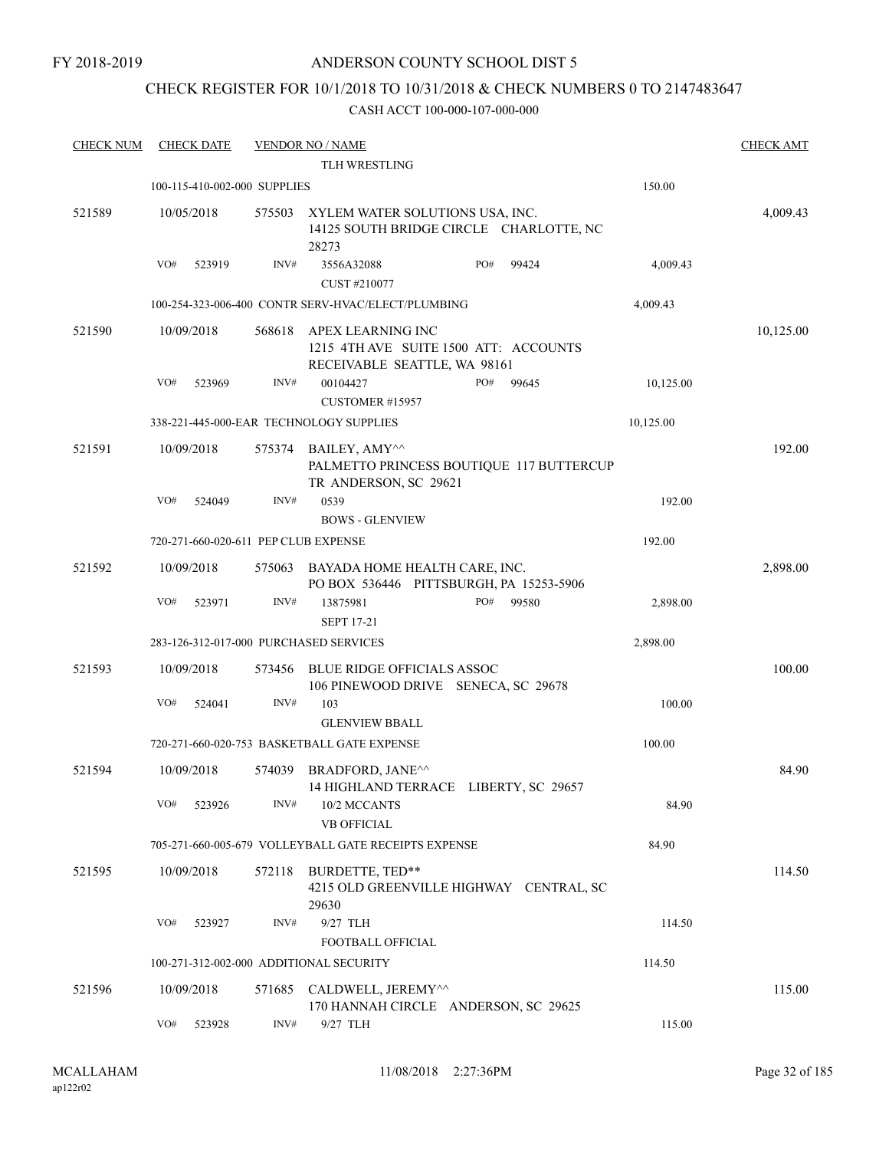### CHECK REGISTER FOR 10/1/2018 TO 10/31/2018 & CHECK NUMBERS 0 TO 2147483647

| <b>CHECK NUM</b> | <b>CHECK DATE</b>                       |        | <b>VENDOR NO / NAME</b>                                                                    |              |           | <b>CHECK AMT</b> |
|------------------|-----------------------------------------|--------|--------------------------------------------------------------------------------------------|--------------|-----------|------------------|
|                  |                                         |        | TLH WRESTLING                                                                              |              |           |                  |
|                  | 100-115-410-002-000 SUPPLIES            |        |                                                                                            |              | 150.00    |                  |
| 521589           | 10/05/2018                              | 575503 | XYLEM WATER SOLUTIONS USA, INC.<br>14125 SOUTH BRIDGE CIRCLE CHARLOTTE, NC<br>28273        |              |           | 4,009.43         |
|                  | VO#<br>523919                           | INV#   | 3556A32088<br>CUST #210077                                                                 | PO#<br>99424 | 4,009.43  |                  |
|                  |                                         |        | 100-254-323-006-400 CONTR SERV-HVAC/ELECT/PLUMBING                                         |              | 4,009.43  |                  |
| 521590           | 10/09/2018                              | 568618 | APEX LEARNING INC<br>1215 4TH AVE SUITE 1500 ATT: ACCOUNTS<br>RECEIVABLE SEATTLE, WA 98161 |              |           | 10,125.00        |
|                  | VO#<br>523969                           | INV#   | 00104427                                                                                   | PO#<br>99645 | 10,125.00 |                  |
|                  |                                         |        | <b>CUSTOMER #15957</b>                                                                     |              |           |                  |
|                  |                                         |        | 338-221-445-000-EAR TECHNOLOGY SUPPLIES                                                    |              | 10,125.00 |                  |
| 521591           | 10/09/2018                              |        | 575374 BAILEY, AMY^^<br>PALMETTO PRINCESS BOUTIQUE 117 BUTTERCUP<br>TR ANDERSON, SC 29621  |              |           | 192.00           |
|                  | VO#<br>524049                           | INV#   | 0539<br><b>BOWS - GLENVIEW</b>                                                             |              | 192.00    |                  |
|                  | 720-271-660-020-611 PEP CLUB EXPENSE    |        |                                                                                            |              | 192.00    |                  |
| 521592           | 10/09/2018                              | 575063 | BAYADA HOME HEALTH CARE, INC.<br>PO BOX 536446 PITTSBURGH, PA 15253-5906                   |              |           | 2,898.00         |
|                  | VO#<br>523971                           | INV#   | 13875981<br><b>SEPT 17-21</b>                                                              | PO#<br>99580 | 2,898.00  |                  |
|                  | 283-126-312-017-000 PURCHASED SERVICES  |        |                                                                                            |              | 2,898.00  |                  |
| 521593           | 10/09/2018                              | 573456 | <b>BLUE RIDGE OFFICIALS ASSOC</b><br>106 PINEWOOD DRIVE SENECA, SC 29678                   |              |           | 100.00           |
|                  | VO#<br>524041                           | INV#   | 103                                                                                        |              | 100.00    |                  |
|                  |                                         |        | <b>GLENVIEW BBALL</b>                                                                      |              |           |                  |
|                  |                                         |        | 720-271-660-020-753 BASKETBALL GATE EXPENSE                                                |              | 100.00    |                  |
| 521594           | 10/09/2018                              |        | 574039 BRADFORD, JANE^^<br>14 HIGHLAND TERRACE LIBERTY, SC 29657                           |              |           | 84.90            |
|                  | VO#<br>523926                           | INV#   | 10/2 MCCANTS<br><b>VB OFFICIAL</b>                                                         |              | 84.90     |                  |
|                  |                                         |        | 705-271-660-005-679 VOLLEYBALL GATE RECEIPTS EXPENSE                                       |              | 84.90     |                  |
| 521595           | 10/09/2018                              | 572118 | BURDETTE, TED**<br>4215 OLD GREENVILLE HIGHWAY CENTRAL, SC<br>29630                        |              |           | 114.50           |
|                  | VO#<br>523927                           | INV#   | 9/27 TLH<br>FOOTBALL OFFICIAL                                                              |              | 114.50    |                  |
|                  | 100-271-312-002-000 ADDITIONAL SECURITY |        |                                                                                            |              | 114.50    |                  |
| 521596           | 10/09/2018                              |        | 571685 CALDWELL, JEREMY^^                                                                  |              |           | 115.00           |
|                  | VO#<br>523928                           | INV#   | 170 HANNAH CIRCLE ANDERSON, SC 29625<br>9/27 TLH                                           |              | 115.00    |                  |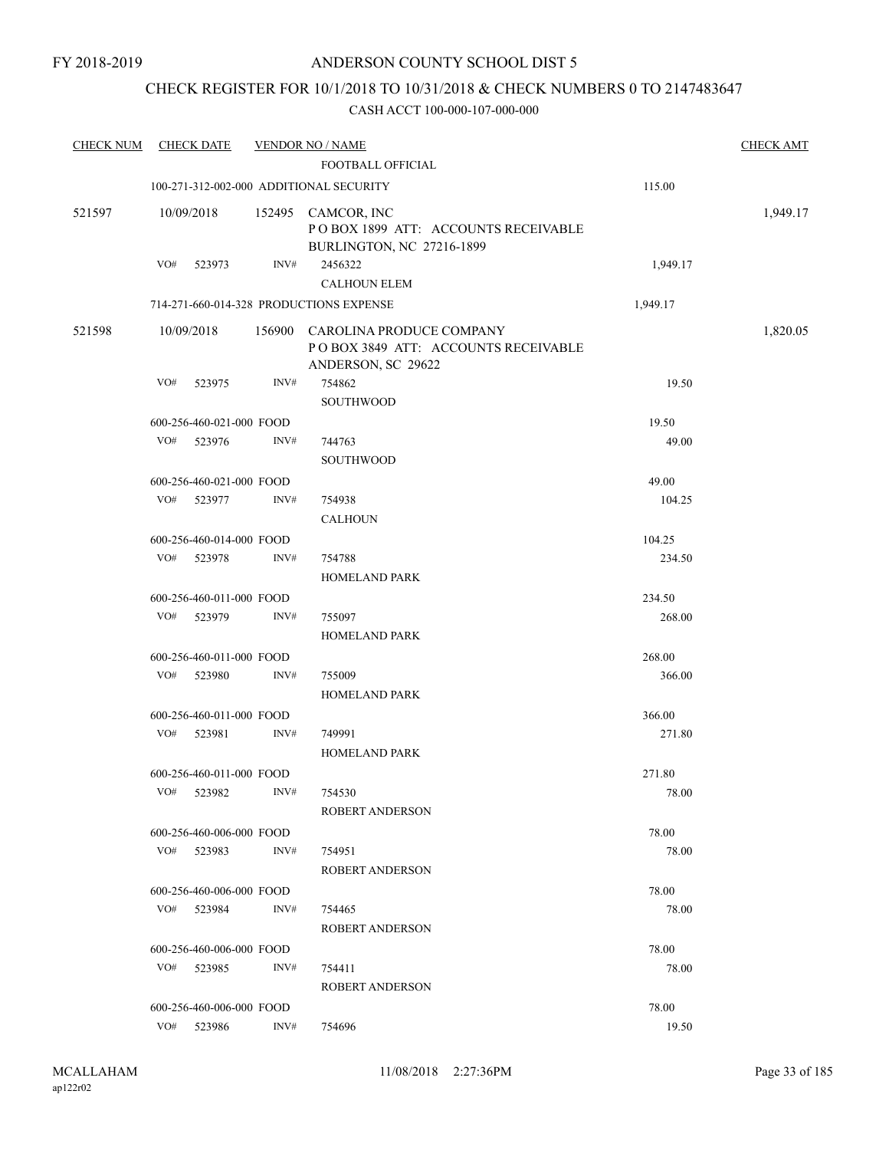### CHECK REGISTER FOR 10/1/2018 TO 10/31/2018 & CHECK NUMBERS 0 TO 2147483647

| <b>CHECK NUM</b> |     | <b>CHECK DATE</b>        |      | <b>VENDOR NO / NAME</b>                                                                      |          | <b>CHECK AMT</b> |
|------------------|-----|--------------------------|------|----------------------------------------------------------------------------------------------|----------|------------------|
|                  |     |                          |      | FOOTBALL OFFICIAL                                                                            |          |                  |
|                  |     |                          |      | 100-271-312-002-000 ADDITIONAL SECURITY                                                      | 115.00   |                  |
| 521597           |     | 10/09/2018               |      | 152495 CAMCOR, INC<br>POBOX 1899 ATT: ACCOUNTS RECEIVABLE<br>BURLINGTON, NC 27216-1899       |          | 1,949.17         |
|                  | VO# | 523973                   | INV# | 2456322<br><b>CALHOUN ELEM</b>                                                               | 1,949.17 |                  |
|                  |     |                          |      | 714-271-660-014-328 PRODUCTIONS EXPENSE                                                      | 1,949.17 |                  |
| 521598           |     | 10/09/2018               |      | 156900 CAROLINA PRODUCE COMPANY<br>POBOX 3849 ATT: ACCOUNTS RECEIVABLE<br>ANDERSON, SC 29622 |          | 1,820.05         |
|                  | VO# | 523975                   | INV# | 754862<br>SOUTHWOOD                                                                          | 19.50    |                  |
|                  |     | 600-256-460-021-000 FOOD |      |                                                                                              | 19.50    |                  |
|                  |     | VO# 523976               | INV# | 744763<br>SOUTHWOOD                                                                          | 49.00    |                  |
|                  |     | 600-256-460-021-000 FOOD |      |                                                                                              | 49.00    |                  |
|                  | VO# | 523977                   | INV# | 754938                                                                                       | 104.25   |                  |
|                  |     |                          |      | <b>CALHOUN</b>                                                                               |          |                  |
|                  |     | 600-256-460-014-000 FOOD |      |                                                                                              | 104.25   |                  |
|                  |     | VO# 523978               | INV# | 754788<br>HOMELAND PARK                                                                      | 234.50   |                  |
|                  |     | 600-256-460-011-000 FOOD |      |                                                                                              | 234.50   |                  |
|                  |     | VO# 523979               | INV# | 755097                                                                                       | 268.00   |                  |
|                  |     |                          |      | HOMELAND PARK                                                                                |          |                  |
|                  |     | 600-256-460-011-000 FOOD |      |                                                                                              | 268.00   |                  |
|                  |     | VO# 523980               | INV# | 755009<br><b>HOMELAND PARK</b>                                                               | 366.00   |                  |
|                  |     | 600-256-460-011-000 FOOD |      |                                                                                              | 366.00   |                  |
|                  |     | VO# 523981               | INV# | 749991                                                                                       | 271.80   |                  |
|                  |     |                          |      | <b>HOMELAND PARK</b>                                                                         |          |                  |
|                  |     | 600-256-460-011-000 FOOD |      |                                                                                              | 271.80   |                  |
|                  |     | VO# 523982               | INV# | 754530                                                                                       | 78.00    |                  |
|                  |     |                          |      | <b>ROBERT ANDERSON</b>                                                                       |          |                  |
|                  |     | 600-256-460-006-000 FOOD |      |                                                                                              | 78.00    |                  |
|                  |     | VO# 523983               | INV# | 754951                                                                                       | 78.00    |                  |
|                  |     |                          |      | ROBERT ANDERSON                                                                              |          |                  |
|                  |     | 600-256-460-006-000 FOOD |      |                                                                                              | 78.00    |                  |
|                  |     | VO# 523984               | INV# | 754465                                                                                       | 78.00    |                  |
|                  |     |                          |      | ROBERT ANDERSON                                                                              |          |                  |
|                  |     | 600-256-460-006-000 FOOD |      |                                                                                              | 78.00    |                  |
|                  |     | VO# 523985               | INV# | 754411                                                                                       | 78.00    |                  |
|                  |     |                          |      | <b>ROBERT ANDERSON</b>                                                                       |          |                  |
|                  |     | 600-256-460-006-000 FOOD |      |                                                                                              | 78.00    |                  |
|                  |     | VO# 523986               | INV# | 754696                                                                                       | 19.50    |                  |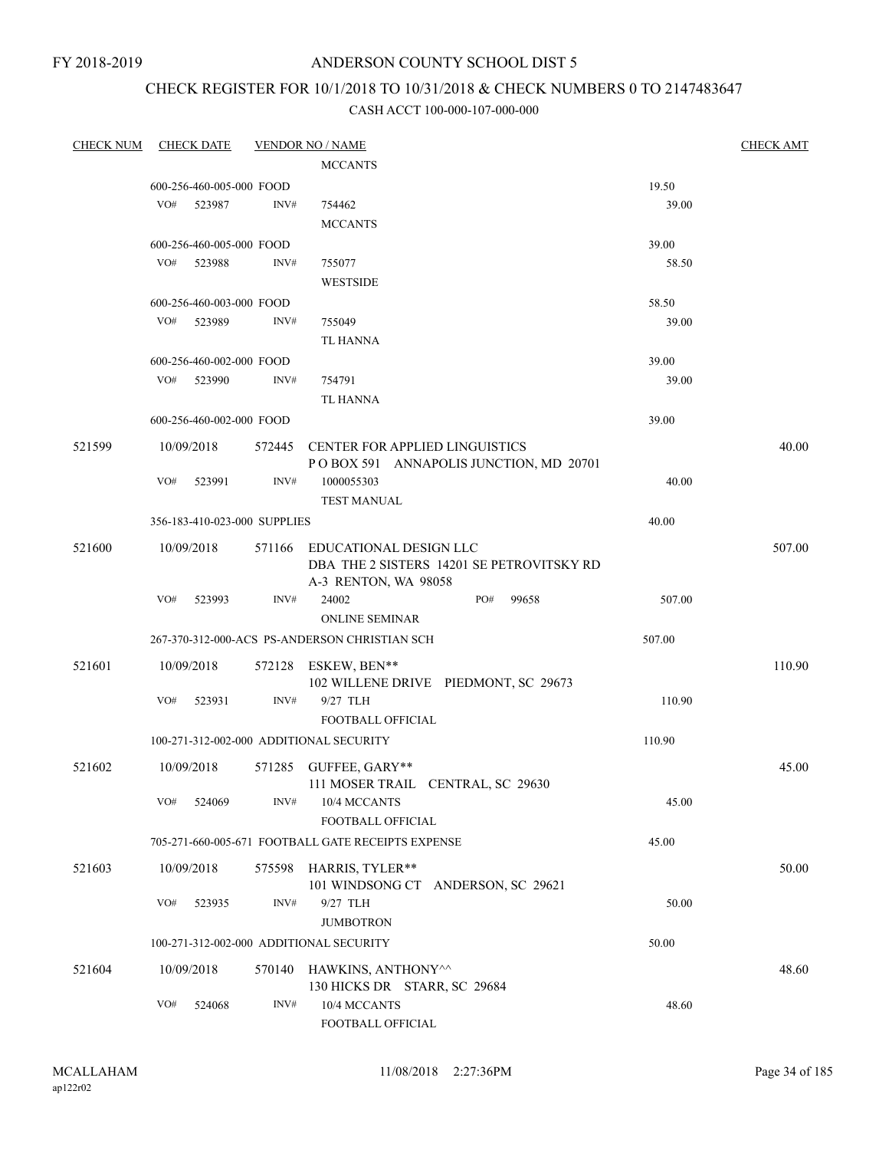FY 2018-2019

#### ANDERSON COUNTY SCHOOL DIST 5

# CHECK REGISTER FOR 10/1/2018 TO 10/31/2018 & CHECK NUMBERS 0 TO 2147483647

| <u>CHECK NUM</u> | <b>CHECK DATE</b>                       |        | <b>VENDOR NO / NAME</b>                                                                     |        | <b>CHECK AMT</b> |
|------------------|-----------------------------------------|--------|---------------------------------------------------------------------------------------------|--------|------------------|
|                  |                                         |        | <b>MCCANTS</b>                                                                              |        |                  |
|                  | 600-256-460-005-000 FOOD                |        |                                                                                             | 19.50  |                  |
|                  | VO#<br>523987                           | INV#   | 754462                                                                                      | 39.00  |                  |
|                  |                                         |        | <b>MCCANTS</b>                                                                              |        |                  |
|                  | 600-256-460-005-000 FOOD                |        |                                                                                             | 39.00  |                  |
|                  | VO#<br>523988                           | INV#   | 755077                                                                                      | 58.50  |                  |
|                  |                                         |        | <b>WESTSIDE</b>                                                                             |        |                  |
|                  | 600-256-460-003-000 FOOD                |        |                                                                                             | 58.50  |                  |
|                  | VO#<br>523989                           | INV#   | 755049                                                                                      | 39.00  |                  |
|                  |                                         |        | <b>TL HANNA</b>                                                                             |        |                  |
|                  | 600-256-460-002-000 FOOD                |        |                                                                                             | 39.00  |                  |
|                  | VO#<br>523990                           | INV#   | 754791                                                                                      | 39.00  |                  |
|                  |                                         |        | <b>TL HANNA</b>                                                                             |        |                  |
|                  | 600-256-460-002-000 FOOD                |        |                                                                                             | 39.00  |                  |
| 521599           | 10/09/2018                              | 572445 | CENTER FOR APPLIED LINGUISTICS<br>POBOX 591 ANNAPOLIS JUNCTION, MD 20701                    |        | 40.00            |
|                  | VO#<br>523991                           | INV#   | 1000055303                                                                                  | 40.00  |                  |
|                  |                                         |        | <b>TEST MANUAL</b>                                                                          |        |                  |
|                  | 356-183-410-023-000 SUPPLIES            |        |                                                                                             | 40.00  |                  |
| 521600           | 10/09/2018                              | 571166 | EDUCATIONAL DESIGN LLC<br>DBA THE 2 SISTERS 14201 SE PETROVITSKY RD<br>A-3 RENTON, WA 98058 |        | 507.00           |
|                  | VO#<br>523993                           | INV#   | PO#<br>99658<br>24002                                                                       | 507.00 |                  |
|                  |                                         |        | <b>ONLINE SEMINAR</b>                                                                       |        |                  |
|                  |                                         |        | 267-370-312-000-ACS PS-ANDERSON CHRISTIAN SCH                                               | 507.00 |                  |
| 521601           | 10/09/2018                              |        | 572128 ESKEW, BEN**<br>102 WILLENE DRIVE PIEDMONT, SC 29673                                 |        | 110.90           |
|                  | VO#<br>523931                           | INV#   | 9/27 TLH                                                                                    | 110.90 |                  |
|                  |                                         |        | FOOTBALL OFFICIAL                                                                           |        |                  |
|                  | 100-271-312-002-000 ADDITIONAL SECURITY |        |                                                                                             | 110.90 |                  |
|                  |                                         |        |                                                                                             |        |                  |
| 521602           | 10/09/2018                              |        | 571285 GUFFEE, GARY**<br>111 MOSER TRAIL CENTRAL, SC 29630                                  |        | 45.00            |
|                  | VO#<br>524069                           | INV#   | 10/4 MCCANTS                                                                                | 45.00  |                  |
|                  |                                         |        | FOOTBALL OFFICIAL                                                                           |        |                  |
|                  |                                         |        | 705-271-660-005-671 FOOTBALL GATE RECEIPTS EXPENSE                                          | 45.00  |                  |
| 521603           | 10/09/2018                              |        | 575598 HARRIS, TYLER**                                                                      |        | 50.00            |
|                  |                                         |        | 101 WINDSONG CT ANDERSON, SC 29621                                                          |        |                  |
|                  | VO#<br>523935                           | INV#   | 9/27 TLH                                                                                    | 50.00  |                  |
|                  |                                         |        | <b>JUMBOTRON</b>                                                                            |        |                  |
|                  | 100-271-312-002-000 ADDITIONAL SECURITY |        |                                                                                             | 50.00  |                  |
| 521604           | 10/09/2018                              | 570140 | HAWKINS, ANTHONY <sup>^^</sup>                                                              |        | 48.60            |
|                  |                                         |        | 130 HICKS DR STARR, SC 29684                                                                |        |                  |
|                  | VO#<br>524068                           | INV#   | 10/4 MCCANTS<br>FOOTBALL OFFICIAL                                                           | 48.60  |                  |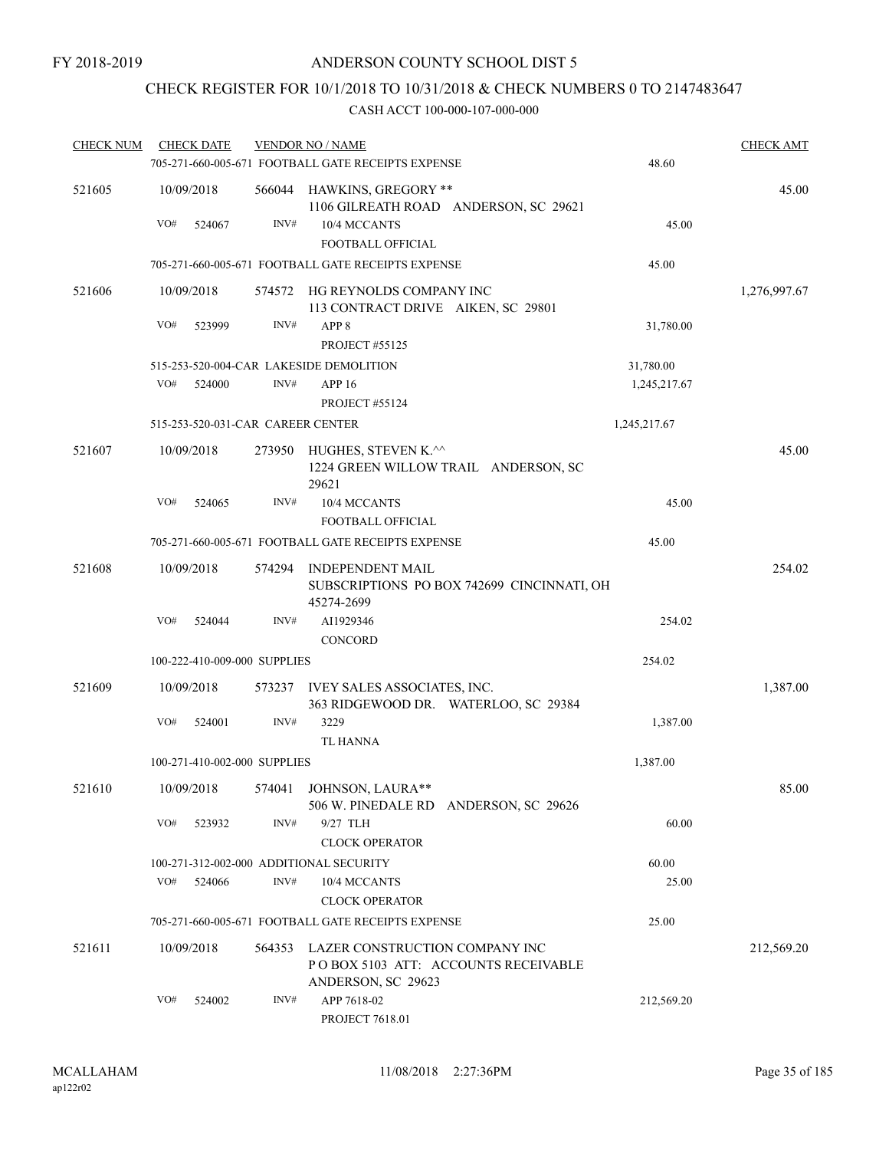### CHECK REGISTER FOR 10/1/2018 TO 10/31/2018 & CHECK NUMBERS 0 TO 2147483647

| <b>CHECK NUM</b> | <b>CHECK DATE</b> |                                   | <b>VENDOR NO / NAME</b>                                                                      |              | <b>CHECK AMT</b> |
|------------------|-------------------|-----------------------------------|----------------------------------------------------------------------------------------------|--------------|------------------|
|                  |                   |                                   | 705-271-660-005-671 FOOTBALL GATE RECEIPTS EXPENSE                                           | 48.60        |                  |
| 521605           | 10/09/2018        |                                   | 566044 HAWKINS, GREGORY **<br>1106 GILREATH ROAD ANDERSON, SC 29621                          |              | 45.00            |
|                  | VO#               | INV#<br>524067                    | 10/4 MCCANTS<br><b>FOOTBALL OFFICIAL</b>                                                     | 45.00        |                  |
|                  |                   |                                   | 705-271-660-005-671 FOOTBALL GATE RECEIPTS EXPENSE                                           | 45.00        |                  |
| 521606           | 10/09/2018        |                                   | 574572 HG REYNOLDS COMPANY INC<br>113 CONTRACT DRIVE AIKEN, SC 29801                         |              | 1,276,997.67     |
|                  | VO#               | INV#<br>523999                    | APP <sub>8</sub><br><b>PROJECT #55125</b>                                                    | 31,780.00    |                  |
|                  |                   |                                   | 515-253-520-004-CAR LAKESIDE DEMOLITION                                                      | 31,780.00    |                  |
|                  | VO#               | 524000<br>INV#                    | <b>APP 16</b>                                                                                | 1,245,217.67 |                  |
|                  |                   |                                   | <b>PROJECT #55124</b>                                                                        |              |                  |
|                  |                   | 515-253-520-031-CAR CAREER CENTER |                                                                                              | 1,245,217.67 |                  |
| 521607           | 10/09/2018        |                                   | 273950 HUGHES, STEVEN K.^^<br>1224 GREEN WILLOW TRAIL ANDERSON, SC<br>29621                  |              | 45.00            |
|                  | VO#               | INV#<br>524065                    | 10/4 MCCANTS<br><b>FOOTBALL OFFICIAL</b>                                                     | 45.00        |                  |
|                  |                   |                                   | 705-271-660-005-671 FOOTBALL GATE RECEIPTS EXPENSE                                           | 45.00        |                  |
| 521608           | 10/09/2018        | 574294                            | INDEPENDENT MAIL<br>SUBSCRIPTIONS PO BOX 742699 CINCINNATI, OH                               |              | 254.02           |
|                  | VO#               | 524044<br>INV#                    | 45274-2699<br>AI1929346<br><b>CONCORD</b>                                                    | 254.02       |                  |
|                  |                   | 100-222-410-009-000 SUPPLIES      |                                                                                              | 254.02       |                  |
| 521609           | 10/09/2018        |                                   | 573237 IVEY SALES ASSOCIATES, INC.<br>363 RIDGEWOOD DR. WATERLOO, SC 29384                   |              | 1,387.00         |
|                  | VO#               | INV#<br>524001                    | 3229<br><b>TL HANNA</b>                                                                      | 1,387.00     |                  |
|                  |                   | 100-271-410-002-000 SUPPLIES      |                                                                                              | 1,387.00     |                  |
| 521610           | 10/09/2018        |                                   | 574041 JOHNSON, LAURA**<br>506 W. PINEDALE RD ANDERSON, SC 29626                             |              | 85.00            |
|                  | VO#               | INV#<br>523932                    | 9/27 TLH<br><b>CLOCK OPERATOR</b>                                                            | 60.00        |                  |
|                  |                   |                                   | 100-271-312-002-000 ADDITIONAL SECURITY                                                      | 60.00        |                  |
|                  | VO#               | INV#<br>524066                    | 10/4 MCCANTS<br><b>CLOCK OPERATOR</b>                                                        | 25.00        |                  |
|                  |                   |                                   | 705-271-660-005-671 FOOTBALL GATE RECEIPTS EXPENSE                                           | 25.00        |                  |
| 521611           | 10/09/2018        | 564353                            | LAZER CONSTRUCTION COMPANY INC<br>PO BOX 5103 ATT: ACCOUNTS RECEIVABLE<br>ANDERSON, SC 29623 |              | 212,569.20       |
|                  | VO#               | INV#<br>524002                    | APP 7618-02<br>PROJECT 7618.01                                                               | 212,569.20   |                  |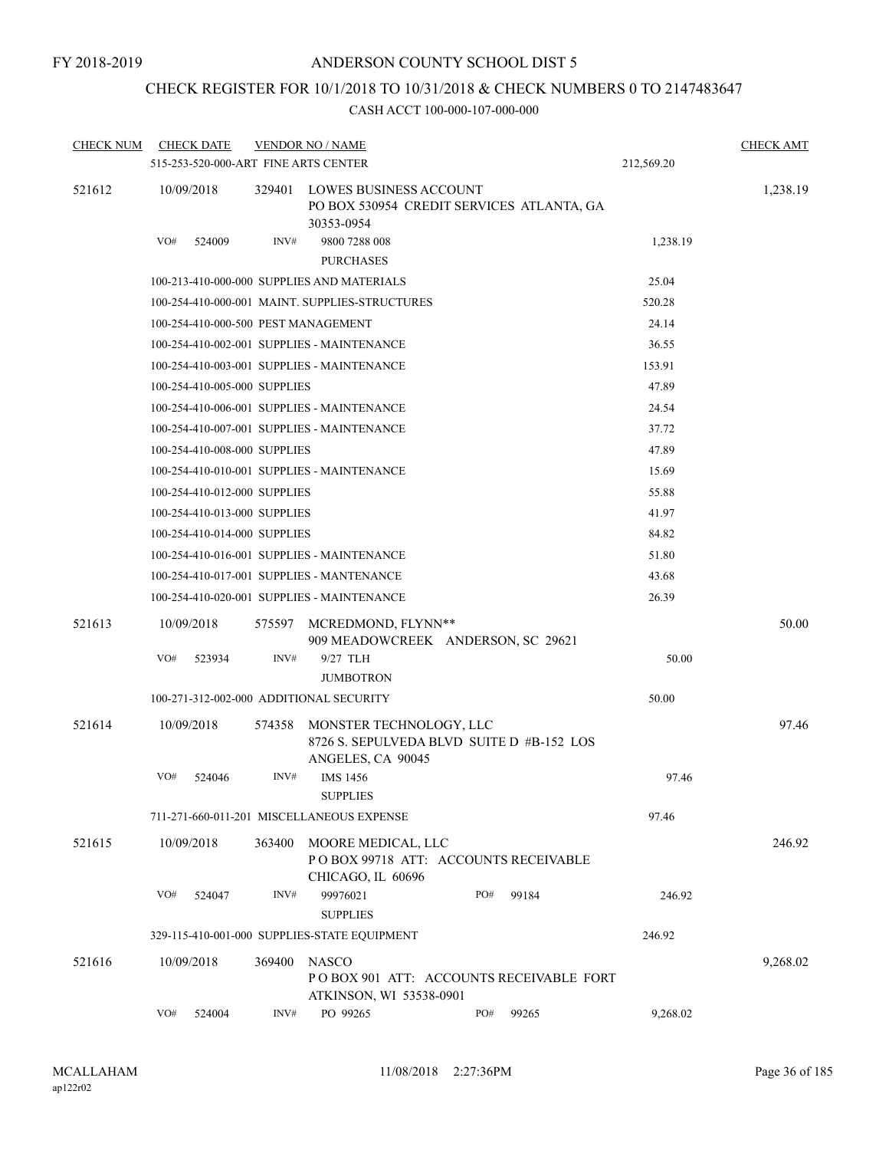# CHECK REGISTER FOR 10/1/2018 TO 10/31/2018 & CHECK NUMBERS 0 TO 2147483647

| <b>CHECK NUM</b> |     | <b>CHECK DATE</b>            |        | <b>VENDOR NO / NAME</b><br>515-253-520-000-ART FINE ARTS CENTER                           |     |       | 212,569.20 | <b>CHECK AMT</b> |
|------------------|-----|------------------------------|--------|-------------------------------------------------------------------------------------------|-----|-------|------------|------------------|
| 521612           |     | 10/09/2018                   | 329401 | LOWES BUSINESS ACCOUNT<br>PO BOX 530954 CREDIT SERVICES ATLANTA, GA<br>30353-0954         |     |       |            | 1,238.19         |
|                  | VO# | 524009                       | INV#   | 9800 7288 008<br><b>PURCHASES</b>                                                         |     |       | 1,238.19   |                  |
|                  |     |                              |        | 100-213-410-000-000 SUPPLIES AND MATERIALS                                                |     |       | 25.04      |                  |
|                  |     |                              |        | 100-254-410-000-001 MAINT. SUPPLIES-STRUCTURES                                            |     |       | 520.28     |                  |
|                  |     |                              |        | 100-254-410-000-500 PEST MANAGEMENT                                                       |     |       | 24.14      |                  |
|                  |     |                              |        | 100-254-410-002-001 SUPPLIES - MAINTENANCE                                                |     |       | 36.55      |                  |
|                  |     |                              |        | 100-254-410-003-001 SUPPLIES - MAINTENANCE                                                |     |       | 153.91     |                  |
|                  |     | 100-254-410-005-000 SUPPLIES |        |                                                                                           |     |       | 47.89      |                  |
|                  |     |                              |        | 100-254-410-006-001 SUPPLIES - MAINTENANCE                                                |     |       | 24.54      |                  |
|                  |     |                              |        | 100-254-410-007-001 SUPPLIES - MAINTENANCE                                                |     |       | 37.72      |                  |
|                  |     | 100-254-410-008-000 SUPPLIES |        |                                                                                           |     |       | 47.89      |                  |
|                  |     |                              |        | 100-254-410-010-001 SUPPLIES - MAINTENANCE                                                |     |       | 15.69      |                  |
|                  |     | 100-254-410-012-000 SUPPLIES |        |                                                                                           |     |       | 55.88      |                  |
|                  |     | 100-254-410-013-000 SUPPLIES |        |                                                                                           |     |       | 41.97      |                  |
|                  |     | 100-254-410-014-000 SUPPLIES |        |                                                                                           |     |       | 84.82      |                  |
|                  |     |                              |        | 100-254-410-016-001 SUPPLIES - MAINTENANCE                                                |     |       | 51.80      |                  |
|                  |     |                              |        | 100-254-410-017-001 SUPPLIES - MANTENANCE                                                 |     |       | 43.68      |                  |
|                  |     |                              |        | 100-254-410-020-001 SUPPLIES - MAINTENANCE                                                |     |       | 26.39      |                  |
| 521613           |     | 10/09/2018                   | 575597 | MCREDMOND, FLYNN**<br>909 MEADOWCREEK ANDERSON, SC 29621                                  |     |       |            | 50.00            |
|                  | VO# | 523934                       | INV#   | 9/27 TLH<br><b>JUMBOTRON</b>                                                              |     |       | 50.00      |                  |
|                  |     |                              |        | 100-271-312-002-000 ADDITIONAL SECURITY                                                   |     |       | 50.00      |                  |
| 521614           |     | 10/09/2018                   | 574358 | MONSTER TECHNOLOGY, LLC<br>8726 S. SEPULVEDA BLVD SUITE D #B-152 LOS<br>ANGELES, CA 90045 |     |       |            | 97.46            |
|                  | VO# | 524046                       | INV#   | <b>IMS 1456</b><br><b>SUPPLIES</b>                                                        |     |       | 97.46      |                  |
|                  |     |                              |        | 711-271-660-011-201 MISCELLANEOUS EXPENSE                                                 |     |       | 97.46      |                  |
| 521615           |     | 10/09/2018                   | 363400 | MOORE MEDICAL, LLC<br>POBOX 99718 ATT: ACCOUNTS RECEIVABLE<br>CHICAGO, IL 60696           |     |       |            | 246.92           |
|                  | VO# | 524047                       | INV#   | 99976021<br><b>SUPPLIES</b>                                                               | PO# | 99184 | 246.92     |                  |
|                  |     |                              |        | 329-115-410-001-000 SUPPLIES-STATE EQUIPMENT                                              |     |       | 246.92     |                  |
| 521616           |     | 10/09/2018                   | 369400 | <b>NASCO</b><br>PO BOX 901 ATT: ACCOUNTS RECEIVABLE FORT                                  |     |       |            | 9,268.02         |
|                  | VO# | 524004                       | INV#   | ATKINSON, WI 53538-0901<br>PO 99265                                                       | PO# | 99265 | 9,268.02   |                  |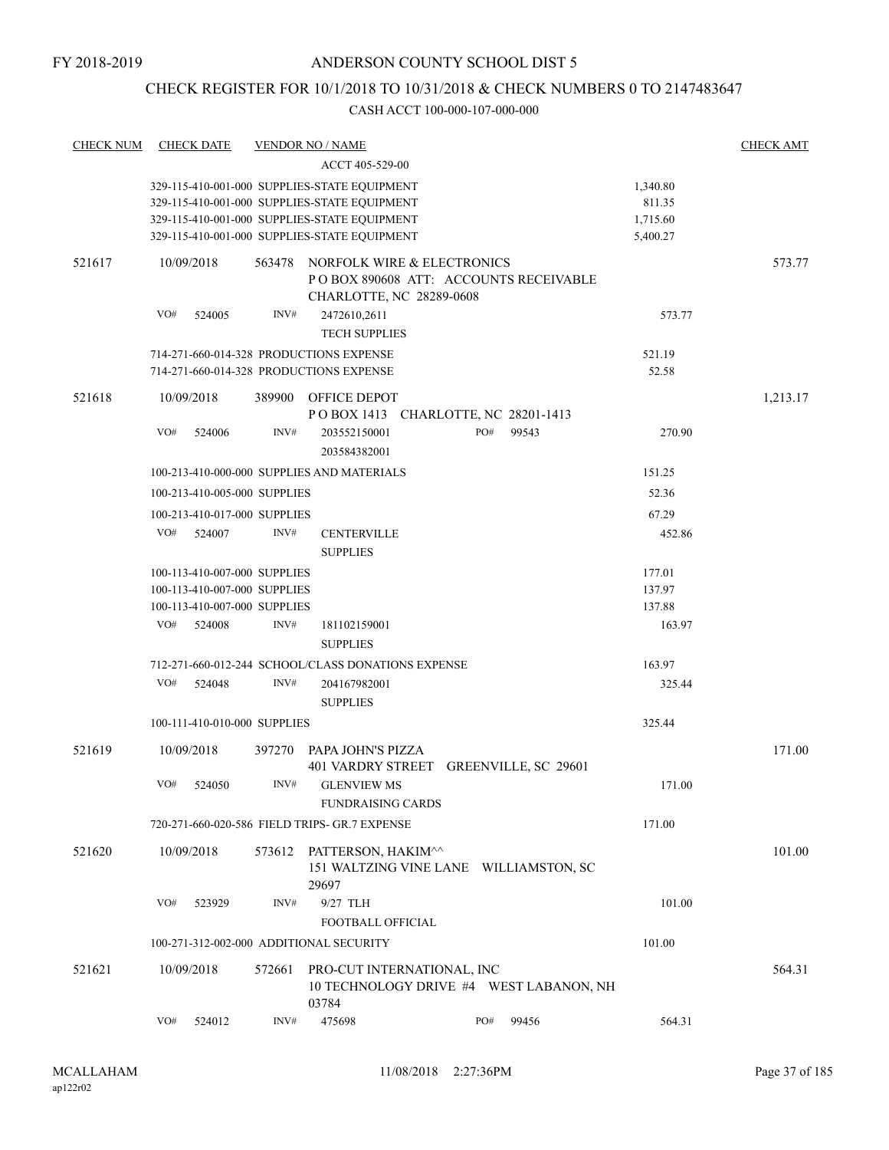## CHECK REGISTER FOR 10/1/2018 TO 10/31/2018 & CHECK NUMBERS 0 TO 2147483647

| <b>CHECK NUM</b> | <b>CHECK DATE</b>                                  |        | <b>VENDOR NO / NAME</b>                        |                                                                                                  |          | <b>CHECK AMT</b> |
|------------------|----------------------------------------------------|--------|------------------------------------------------|--------------------------------------------------------------------------------------------------|----------|------------------|
|                  |                                                    |        | ACCT 405-529-00                                |                                                                                                  |          |                  |
|                  | 329-115-410-001-000 SUPPLIES-STATE EQUIPMENT       |        |                                                |                                                                                                  | 1,340.80 |                  |
|                  | 329-115-410-001-000 SUPPLIES-STATE EQUIPMENT       |        |                                                |                                                                                                  | 811.35   |                  |
|                  | 329-115-410-001-000 SUPPLIES-STATE EQUIPMENT       |        |                                                |                                                                                                  | 1,715.60 |                  |
|                  | 329-115-410-001-000 SUPPLIES-STATE EQUIPMENT       |        |                                                |                                                                                                  | 5,400.27 |                  |
| 521617           | 10/09/2018                                         | 563478 |                                                | NORFOLK WIRE & ELECTRONICS<br>PO BOX 890608 ATT: ACCOUNTS RECEIVABLE<br>CHARLOTTE, NC 28289-0608 |          | 573.77           |
|                  | VO#<br>524005                                      | INV#   | 2472610,2611<br><b>TECH SUPPLIES</b>           |                                                                                                  | 573.77   |                  |
|                  | 714-271-660-014-328 PRODUCTIONS EXPENSE            |        |                                                |                                                                                                  | 521.19   |                  |
|                  | 714-271-660-014-328 PRODUCTIONS EXPENSE            |        |                                                |                                                                                                  | 52.58    |                  |
| 521618           | 10/09/2018                                         | 389900 | OFFICE DEPOT                                   | POBOX 1413 CHARLOTTE, NC 28201-1413                                                              |          | 1,213.17         |
|                  | VO#<br>524006                                      | INV#   | 203552150001<br>203584382001                   | PO#<br>99543                                                                                     | 270.90   |                  |
|                  | 100-213-410-000-000 SUPPLIES AND MATERIALS         |        |                                                |                                                                                                  | 151.25   |                  |
|                  | 100-213-410-005-000 SUPPLIES                       |        |                                                |                                                                                                  | 52.36    |                  |
|                  | 100-213-410-017-000 SUPPLIES                       |        |                                                |                                                                                                  | 67.29    |                  |
|                  | VO#<br>524007                                      | INV#   | <b>CENTERVILLE</b>                             |                                                                                                  | 452.86   |                  |
|                  |                                                    |        | <b>SUPPLIES</b>                                |                                                                                                  |          |                  |
|                  | 100-113-410-007-000 SUPPLIES                       |        |                                                |                                                                                                  | 177.01   |                  |
|                  | 100-113-410-007-000 SUPPLIES                       |        |                                                |                                                                                                  | 137.97   |                  |
|                  | 100-113-410-007-000 SUPPLIES                       |        |                                                |                                                                                                  | 137.88   |                  |
|                  | VO#<br>524008                                      | INV#   | 181102159001<br><b>SUPPLIES</b>                |                                                                                                  | 163.97   |                  |
|                  | 712-271-660-012-244 SCHOOL/CLASS DONATIONS EXPENSE |        |                                                |                                                                                                  | 163.97   |                  |
|                  | VO#<br>524048                                      | INV#   | 204167982001<br><b>SUPPLIES</b>                |                                                                                                  | 325.44   |                  |
|                  | 100-111-410-010-000 SUPPLIES                       |        |                                                |                                                                                                  | 325.44   |                  |
| 521619           | 10/09/2018                                         | 397270 | PAPA JOHN'S PIZZA                              |                                                                                                  |          | 171.00           |
|                  |                                                    |        |                                                | 401 VARDRY STREET GREENVILLE, SC 29601                                                           |          |                  |
|                  | VO#<br>524050                                      | INV#   | <b>GLENVIEW MS</b><br><b>FUNDRAISING CARDS</b> |                                                                                                  | 171.00   |                  |
|                  | 720-271-660-020-586 FIELD TRIPS- GR.7 EXPENSE      |        |                                                |                                                                                                  | 171.00   |                  |
|                  |                                                    |        |                                                |                                                                                                  |          |                  |
| 521620           | 10/09/2018                                         | 573612 | PATTERSON, HAKIM^^<br>29697                    | 151 WALTZING VINE LANE WILLIAMSTON, SC                                                           |          | 101.00           |
|                  | VO#<br>523929                                      | INV#   | 9/27 TLH<br>FOOTBALL OFFICIAL                  |                                                                                                  | 101.00   |                  |
|                  | 100-271-312-002-000 ADDITIONAL SECURITY            |        |                                                |                                                                                                  | 101.00   |                  |
| 521621           | 10/09/2018                                         | 572661 |                                                | PRO-CUT INTERNATIONAL, INC<br>10 TECHNOLOGY DRIVE #4 WEST LABANON, NH                            |          | 564.31           |
|                  |                                                    |        | 03784                                          |                                                                                                  |          |                  |
|                  | VO#<br>524012                                      | INV#   | 475698                                         | PO#<br>99456                                                                                     | 564.31   |                  |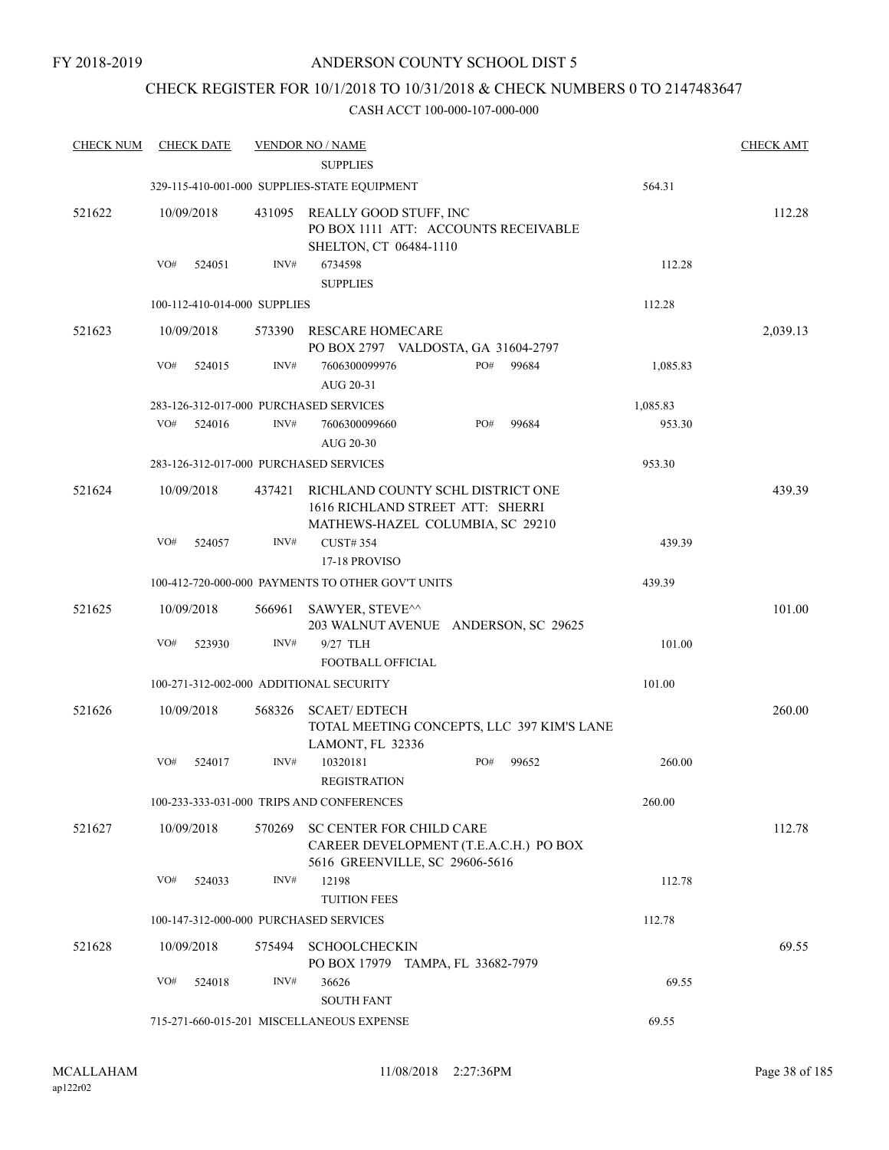## CHECK REGISTER FOR 10/1/2018 TO 10/31/2018 & CHECK NUMBERS 0 TO 2147483647

| <b>CHECK NUM</b> | <b>CHECK DATE</b>                       |        | <b>VENDOR NO / NAME</b>                                                                                     |     |       |          | <b>CHECK AMT</b> |
|------------------|-----------------------------------------|--------|-------------------------------------------------------------------------------------------------------------|-----|-------|----------|------------------|
|                  |                                         |        | <b>SUPPLIES</b>                                                                                             |     |       |          |                  |
|                  |                                         |        | 329-115-410-001-000 SUPPLIES-STATE EQUIPMENT                                                                |     |       | 564.31   |                  |
| 521622           | 10/09/2018                              | 431095 | REALLY GOOD STUFF, INC<br>PO BOX 1111 ATT: ACCOUNTS RECEIVABLE<br>SHELTON, CT 06484-1110                    |     |       |          | 112.28           |
|                  | VO#<br>524051                           | INV#   | 6734598<br><b>SUPPLIES</b>                                                                                  |     |       | 112.28   |                  |
|                  | 100-112-410-014-000 SUPPLIES            |        |                                                                                                             |     |       | 112.28   |                  |
| 521623           | 10/09/2018                              | 573390 | <b>RESCARE HOMECARE</b><br>PO BOX 2797 VALDOSTA, GA 31604-2797                                              |     |       |          | 2,039.13         |
|                  | VO#<br>524015                           | INV#   | 7606300099976<br>AUG 20-31                                                                                  | PO# | 99684 | 1,085.83 |                  |
|                  | 283-126-312-017-000 PURCHASED SERVICES  |        |                                                                                                             |     |       | 1,085.83 |                  |
|                  | VO#<br>524016                           | INV#   | 7606300099660<br>AUG 20-30                                                                                  | PO# | 99684 | 953.30   |                  |
|                  | 283-126-312-017-000 PURCHASED SERVICES  |        |                                                                                                             |     |       | 953.30   |                  |
| 521624           | 10/09/2018                              | 437421 | RICHLAND COUNTY SCHL DISTRICT ONE<br>1616 RICHLAND STREET ATT: SHERRI<br>MATHEWS-HAZEL COLUMBIA, SC 29210   |     |       |          | 439.39           |
|                  | VO#<br>524057                           | INV#   | <b>CUST#354</b><br>17-18 PROVISO                                                                            |     |       | 439.39   |                  |
|                  |                                         |        | 100-412-720-000-000 PAYMENTS TO OTHER GOV'T UNITS                                                           |     |       | 439.39   |                  |
| 521625           | 10/09/2018                              | 566961 | SAWYER, STEVE^^<br>203 WALNUT AVENUE ANDERSON, SC 29625                                                     |     |       |          | 101.00           |
|                  | VO#<br>523930                           | INV#   | 9/27 TLH<br>FOOTBALL OFFICIAL                                                                               |     |       | 101.00   |                  |
|                  | 100-271-312-002-000 ADDITIONAL SECURITY |        |                                                                                                             |     |       | 101.00   |                  |
| 521626           | 10/09/2018                              | 568326 | <b>SCAET/EDTECH</b><br>TOTAL MEETING CONCEPTS, LLC 397 KIM'S LANE<br>LAMONT, FL 32336                       |     |       |          | 260.00           |
|                  | VO#<br>524017                           | INV#   | 10320181<br><b>REGISTRATION</b>                                                                             | PO# | 99652 | 260.00   |                  |
|                  |                                         |        | 100-233-333-031-000 TRIPS AND CONFERENCES                                                                   |     |       | 260.00   |                  |
| 521627           | 10/09/2018                              | 570269 | <b>SC CENTER FOR CHILD CARE</b><br>CAREER DEVELOPMENT (T.E.A.C.H.) PO BOX<br>5616 GREENVILLE, SC 29606-5616 |     |       |          | 112.78           |
|                  | VO#<br>524033                           | INV#   | 12198<br><b>TUITION FEES</b>                                                                                |     |       | 112.78   |                  |
|                  | 100-147-312-000-000 PURCHASED SERVICES  |        |                                                                                                             |     |       | 112.78   |                  |
| 521628           | 10/09/2018                              | 575494 | SCHOOLCHECKIN<br>PO BOX 17979 TAMPA, FL 33682-7979                                                          |     |       |          | 69.55            |
|                  | VO#<br>524018                           | INV#   | 36626<br><b>SOUTH FANT</b>                                                                                  |     |       | 69.55    |                  |
|                  |                                         |        | 715-271-660-015-201 MISCELLANEOUS EXPENSE                                                                   |     |       | 69.55    |                  |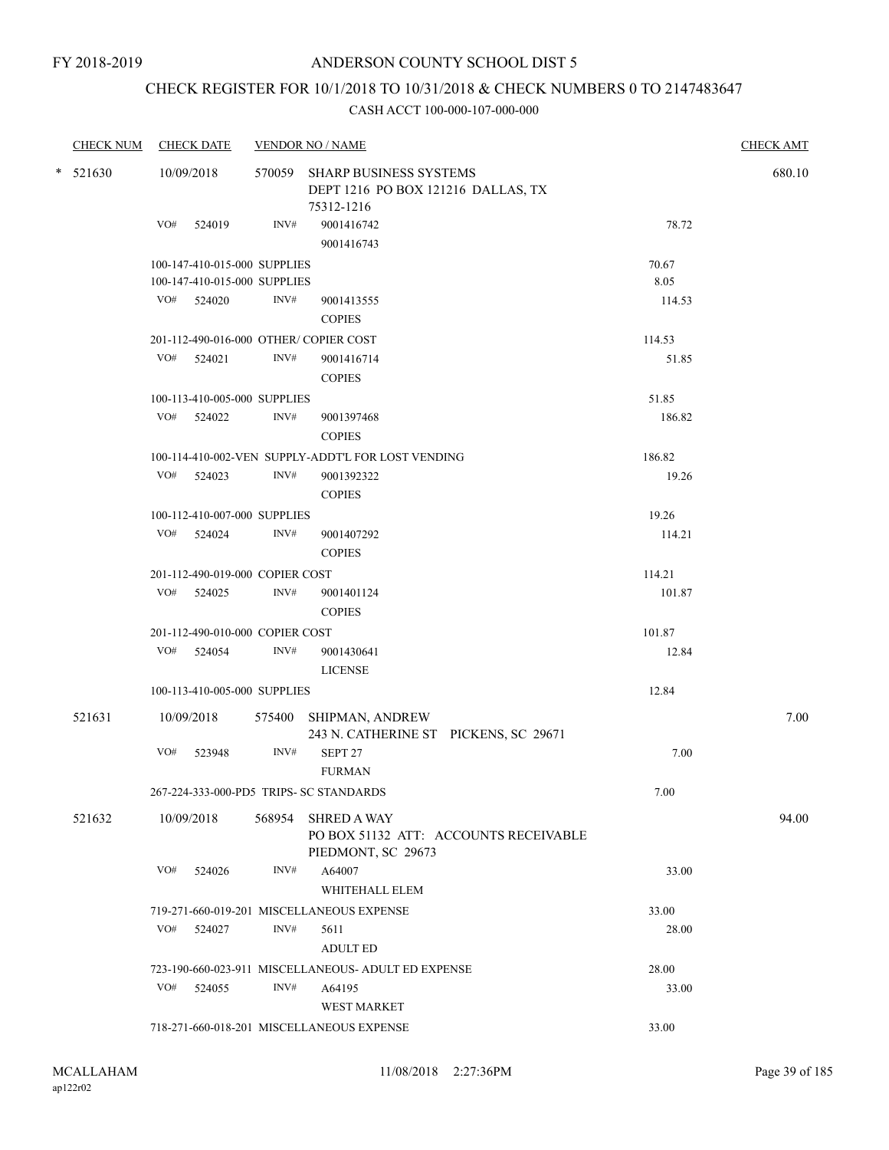# CHECK REGISTER FOR 10/1/2018 TO 10/31/2018 & CHECK NUMBERS 0 TO 2147483647

|            | <b>CHECK NUM</b> |                                                              | <b>CHECK DATE</b>               |      | <b>VENDOR NO / NAME</b>                                                           |        | <b>CHECK AMT</b> |  |  |  |
|------------|------------------|--------------------------------------------------------------|---------------------------------|------|-----------------------------------------------------------------------------------|--------|------------------|--|--|--|
| $*$ 521630 |                  | 10/09/2018                                                   |                                 |      | 570059 SHARP BUSINESS SYSTEMS<br>DEPT 1216 PO BOX 121216 DALLAS, TX<br>75312-1216 |        | 680.10           |  |  |  |
|            |                  |                                                              | VO# 524019                      | INV# | 9001416742<br>9001416743                                                          | 78.72  |                  |  |  |  |
|            |                  |                                                              | 100-147-410-015-000 SUPPLIES    |      |                                                                                   | 70.67  |                  |  |  |  |
|            |                  |                                                              | 100-147-410-015-000 SUPPLIES    |      |                                                                                   | 8.05   |                  |  |  |  |
|            |                  |                                                              | VO# 524020                      | INV# | 9001413555<br><b>COPIES</b>                                                       | 114.53 |                  |  |  |  |
|            |                  |                                                              |                                 |      | 201-112-490-016-000 OTHER/COPIER COST                                             | 114.53 |                  |  |  |  |
|            |                  | VO#                                                          | 524021                          | INV# | 9001416714<br><b>COPIES</b>                                                       | 51.85  |                  |  |  |  |
|            |                  |                                                              | 100-113-410-005-000 SUPPLIES    |      |                                                                                   | 51.85  |                  |  |  |  |
|            |                  |                                                              | VO# 524022                      | INV# | 9001397468<br><b>COPIES</b>                                                       | 186.82 |                  |  |  |  |
|            |                  |                                                              |                                 |      | 100-114-410-002-VEN SUPPLY-ADDT'L FOR LOST VENDING                                | 186.82 |                  |  |  |  |
|            |                  |                                                              | $VO#$ 524023                    | INV# | 9001392322<br><b>COPIES</b>                                                       | 19.26  |                  |  |  |  |
|            |                  |                                                              | 100-112-410-007-000 SUPPLIES    |      |                                                                                   | 19.26  |                  |  |  |  |
|            |                  |                                                              | VO# 524024                      | INV# | 9001407292<br><b>COPIES</b>                                                       | 114.21 |                  |  |  |  |
|            |                  |                                                              | 201-112-490-019-000 COPIER COST |      |                                                                                   | 114.21 |                  |  |  |  |
|            |                  |                                                              | VO# 524025                      | INV# | 9001401124<br><b>COPIES</b>                                                       | 101.87 |                  |  |  |  |
|            |                  |                                                              | 201-112-490-010-000 COPIER COST |      | 101.87                                                                            |        |                  |  |  |  |
|            |                  |                                                              | VO# 524054                      | INV# | 9001430641<br><b>LICENSE</b>                                                      | 12.84  |                  |  |  |  |
|            |                  |                                                              | 100-113-410-005-000 SUPPLIES    |      |                                                                                   | 12.84  |                  |  |  |  |
|            | 521631           |                                                              | 10/09/2018                      |      | 575400 SHIPMAN, ANDREW<br>243 N. CATHERINE ST PICKENS, SC 29671                   |        | 7.00             |  |  |  |
|            |                  | VO#                                                          | 523948                          | INV# | SEPT 27<br><b>FURMAN</b>                                                          | 7.00   |                  |  |  |  |
|            |                  |                                                              |                                 |      | 267-224-333-000-PD5 TRIPS- SC STANDARDS                                           | 7.00   |                  |  |  |  |
|            | 521632           |                                                              | 10/09/2018                      |      | 568954 SHRED A WAY<br>PO BOX 51132 ATT: ACCOUNTS RECEIVABLE<br>PIEDMONT, SC 29673 |        | 94.00            |  |  |  |
|            |                  | VO#                                                          | 524026                          | INV# | A64007<br>WHITEHALL ELEM                                                          | 33.00  |                  |  |  |  |
|            |                  |                                                              |                                 |      | 719-271-660-019-201 MISCELLANEOUS EXPENSE                                         | 33.00  |                  |  |  |  |
|            |                  | VO#                                                          | 524027                          | INV# | 5611<br><b>ADULT ED</b>                                                           | 28.00  |                  |  |  |  |
|            |                  | 723-190-660-023-911 MISCELLANEOUS- ADULT ED EXPENSE<br>28.00 |                                 |      |                                                                                   |        |                  |  |  |  |
|            |                  | VO#                                                          | 524055                          | INV# | A64195<br>WEST MARKET                                                             | 33.00  |                  |  |  |  |
|            |                  |                                                              |                                 |      | 718-271-660-018-201 MISCELLANEOUS EXPENSE                                         | 33.00  |                  |  |  |  |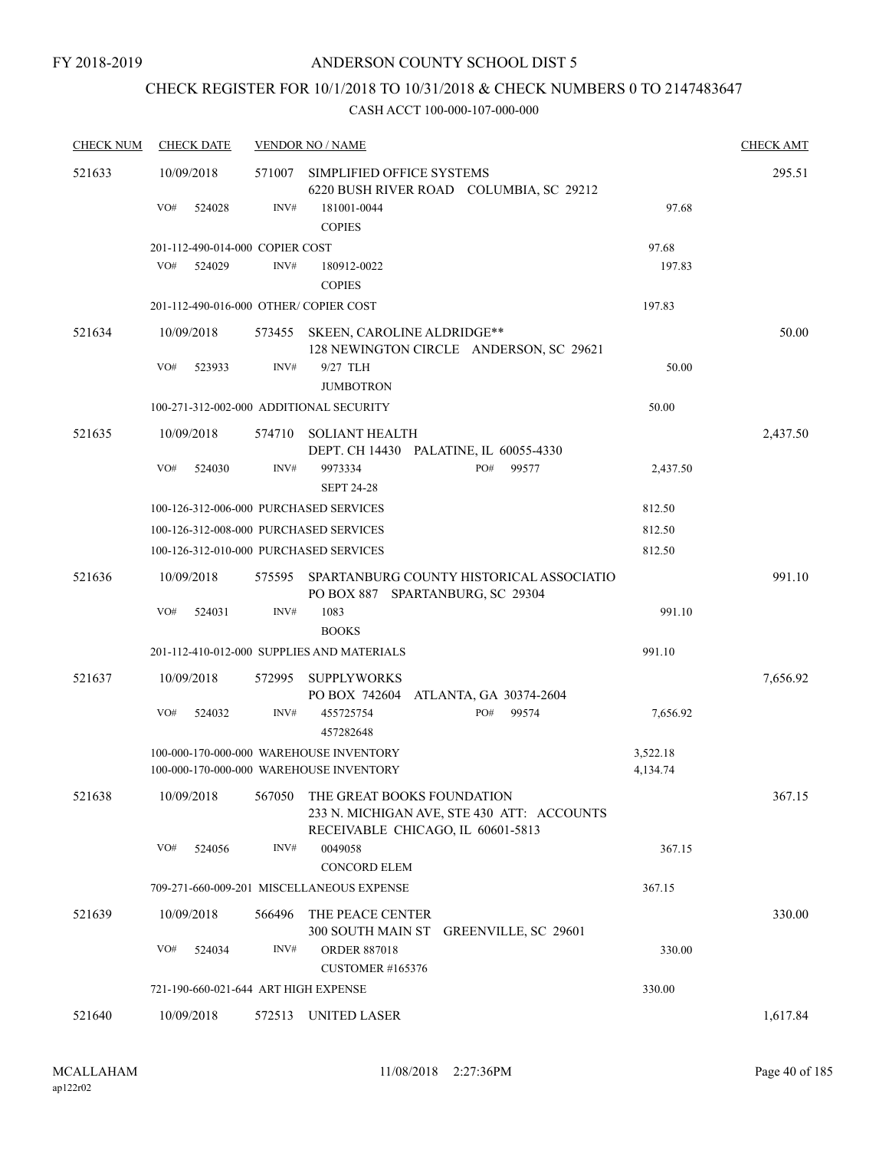# CHECK REGISTER FOR 10/1/2018 TO 10/31/2018 & CHECK NUMBERS 0 TO 2147483647

| <b>CHECK NUM</b> | <b>CHECK DATE</b>                       |        | <b>VENDOR NO / NAME</b>                                                                                       |                      | <b>CHECK AMT</b> |
|------------------|-----------------------------------------|--------|---------------------------------------------------------------------------------------------------------------|----------------------|------------------|
| 521633           | 10/09/2018                              | 571007 | SIMPLIFIED OFFICE SYSTEMS<br>6220 BUSH RIVER ROAD COLUMBIA, SC 29212                                          |                      | 295.51           |
|                  | VO#<br>524028                           | INV#   | 181001-0044<br><b>COPIES</b>                                                                                  | 97.68                |                  |
|                  | 201-112-490-014-000 COPIER COST         |        |                                                                                                               | 97.68                |                  |
|                  | VO#<br>524029                           | INV#   | 180912-0022<br><b>COPIES</b>                                                                                  | 197.83               |                  |
|                  | 201-112-490-016-000 OTHER/ COPIER COST  |        |                                                                                                               | 197.83               |                  |
| 521634           | 10/09/2018                              |        | 573455 SKEEN, CAROLINE ALDRIDGE**<br>128 NEWINGTON CIRCLE ANDERSON, SC 29621                                  |                      | 50.00            |
|                  | VO#<br>523933                           | INV#   | 9/27 TLH<br><b>JUMBOTRON</b>                                                                                  | 50.00                |                  |
|                  | 100-271-312-002-000 ADDITIONAL SECURITY |        |                                                                                                               | 50.00                |                  |
| 521635           | 10/09/2018                              | 574710 | <b>SOLIANT HEALTH</b><br>DEPT. CH 14430 PALATINE, IL 60055-4330                                               |                      | 2,437.50         |
|                  | VO#<br>524030                           | INV#   | 9973334<br>PO#<br>99577<br><b>SEPT 24-28</b>                                                                  | 2,437.50             |                  |
|                  | 100-126-312-006-000 PURCHASED SERVICES  |        |                                                                                                               | 812.50               |                  |
|                  | 100-126-312-008-000 PURCHASED SERVICES  |        |                                                                                                               | 812.50               |                  |
|                  | 100-126-312-010-000 PURCHASED SERVICES  |        |                                                                                                               | 812.50               |                  |
| 521636           | 10/09/2018                              | 575595 | SPARTANBURG COUNTY HISTORICAL ASSOCIATIO<br>PO BOX 887 SPARTANBURG, SC 29304                                  |                      | 991.10           |
|                  | VO#<br>524031                           | INV#   | 1083<br><b>BOOKS</b>                                                                                          | 991.10               |                  |
|                  |                                         |        | 201-112-410-012-000 SUPPLIES AND MATERIALS                                                                    | 991.10               |                  |
| 521637           | 10/09/2018                              | 572995 | <b>SUPPLYWORKS</b><br>PO BOX 742604<br>ATLANTA, GA 30374-2604                                                 |                      | 7,656.92         |
|                  | VO#<br>524032                           | INV#   | PO#<br>455725754<br>99574<br>457282648                                                                        | 7,656.92             |                  |
|                  |                                         |        | 100-000-170-000-000 WAREHOUSE INVENTORY<br>100-000-170-000-000 WAREHOUSE INVENTORY                            | 3,522.18<br>4,134.74 |                  |
| 521638           | 10/09/2018                              | 567050 | THE GREAT BOOKS FOUNDATION<br>233 N. MICHIGAN AVE, STE 430 ATT: ACCOUNTS<br>RECEIVABLE CHICAGO, IL 60601-5813 |                      | 367.15           |
|                  | VO#<br>524056                           | INV#   | 0049058<br><b>CONCORD ELEM</b>                                                                                | 367.15               |                  |
|                  |                                         |        | 709-271-660-009-201 MISCELLANEOUS EXPENSE                                                                     | 367.15               |                  |
| 521639           | 10/09/2018                              | 566496 | THE PEACE CENTER<br>300 SOUTH MAIN ST GREENVILLE, SC 29601                                                    |                      | 330.00           |
|                  | VO#<br>524034                           | INV#   | <b>ORDER 887018</b><br><b>CUSTOMER #165376</b>                                                                | 330.00               |                  |
|                  | 721-190-660-021-644 ART HIGH EXPENSE    |        |                                                                                                               | 330.00               |                  |
| 521640           | 10/09/2018                              |        | 572513 UNITED LASER                                                                                           |                      | 1,617.84         |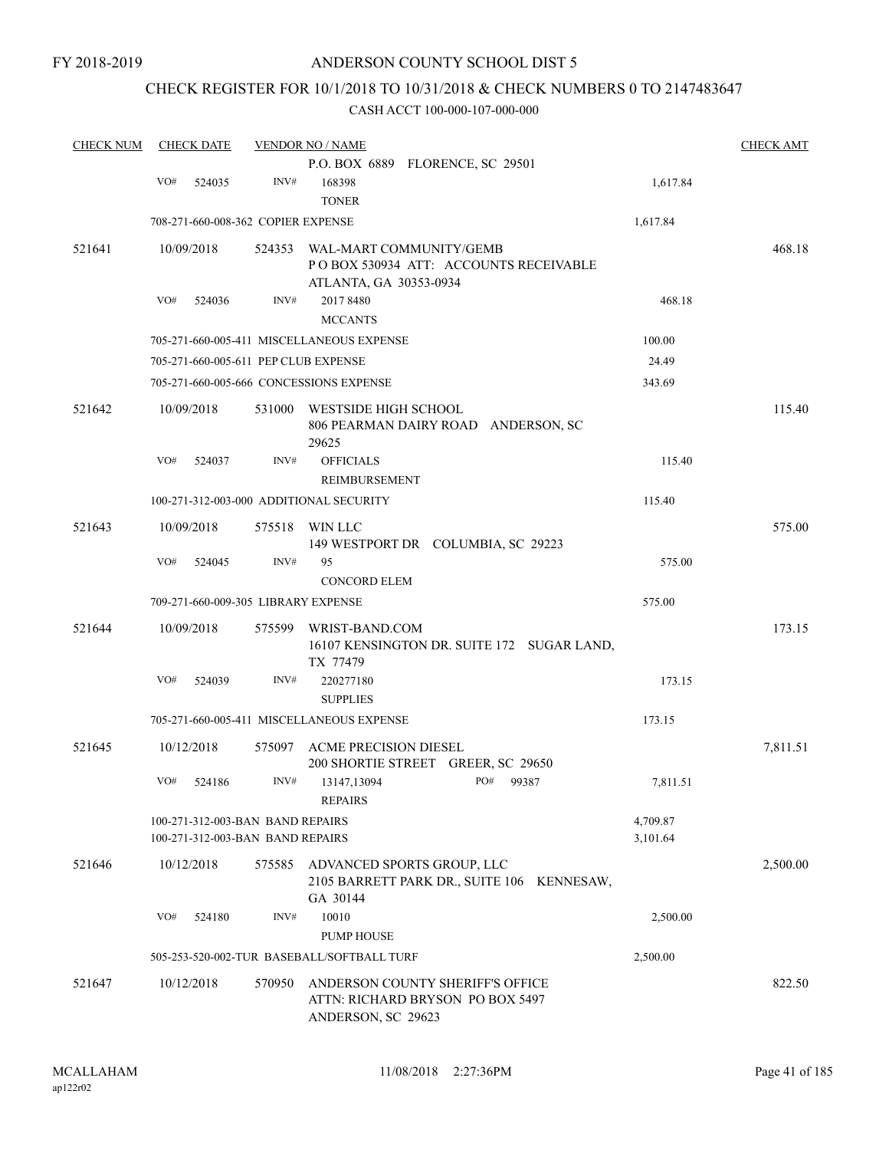## CHECK REGISTER FOR 10/1/2018 TO 10/31/2018 & CHECK NUMBERS 0 TO 2147483647

| <b>CHECK NUM</b> |     | <b>CHECK DATE</b> |                                                                      | <b>VENDOR NO / NAME</b>                                                                    |              |           |                      | <b>CHECK AMT</b> |
|------------------|-----|-------------------|----------------------------------------------------------------------|--------------------------------------------------------------------------------------------|--------------|-----------|----------------------|------------------|
|                  |     |                   |                                                                      | P.O. BOX 6889 FLORENCE, SC 29501                                                           |              |           |                      |                  |
|                  | VO# | 524035            | INV#                                                                 | 168398<br><b>TONER</b>                                                                     |              |           | 1,617.84             |                  |
|                  |     |                   | 708-271-660-008-362 COPIER EXPENSE                                   |                                                                                            |              |           | 1,617.84             |                  |
| 521641           |     | 10/09/2018        | 524353                                                               | WAL-MART COMMUNITY/GEMB<br>POBOX 530934 ATT: ACCOUNTS RECEIVABLE                           |              |           |                      | 468.18           |
|                  | VO# | 524036            | INV#                                                                 | ATLANTA, GA 30353-0934<br>2017 8480<br><b>MCCANTS</b>                                      |              |           | 468.18               |                  |
|                  |     |                   |                                                                      | 705-271-660-005-411 MISCELLANEOUS EXPENSE                                                  |              |           | 100.00               |                  |
|                  |     |                   |                                                                      | 705-271-660-005-611 PEP CLUB EXPENSE                                                       |              |           | 24.49                |                  |
|                  |     |                   |                                                                      | 705-271-660-005-666 CONCESSIONS EXPENSE                                                    |              |           | 343.69               |                  |
| 521642           |     | 10/09/2018        | 531000                                                               | WESTSIDE HIGH SCHOOL<br>806 PEARMAN DAIRY ROAD ANDERSON, SC<br>29625                       |              |           |                      | 115.40           |
|                  | VO# | 524037            | INV#                                                                 | <b>OFFICIALS</b><br>REIMBURSEMENT                                                          |              |           | 115.40               |                  |
|                  |     |                   |                                                                      | 100-271-312-003-000 ADDITIONAL SECURITY                                                    |              |           | 115.40               |                  |
| 521643           |     | 10/09/2018        | 575518                                                               | WIN LLC<br>149 WESTPORT DR COLUMBIA, SC 29223                                              |              |           |                      | 575.00           |
|                  | VO# | 524045            | INV#                                                                 | 95                                                                                         |              |           | 575.00               |                  |
|                  |     |                   |                                                                      | <b>CONCORD ELEM</b>                                                                        |              |           |                      |                  |
|                  |     |                   | 709-271-660-009-305 LIBRARY EXPENSE                                  |                                                                                            |              |           | 575.00               |                  |
| 521644           |     | 10/09/2018        | 575599                                                               | WRIST-BAND.COM<br>16107 KENSINGTON DR. SUITE 172 SUGAR LAND,<br>TX 77479                   |              |           |                      | 173.15           |
|                  | VO# | 524039            | INV#                                                                 | 220277180<br><b>SUPPLIES</b>                                                               |              |           | 173.15               |                  |
|                  |     |                   |                                                                      | 705-271-660-005-411 MISCELLANEOUS EXPENSE                                                  |              |           | 173.15               |                  |
| 521645           |     | 10/12/2018        | 575097                                                               | <b>ACME PRECISION DIESEL</b><br>200 SHORTIE STREET GREER, SC 29650                         |              |           |                      | 7,811.51         |
|                  | VO# | 524186            | INV#                                                                 | 13147,13094<br><b>REPAIRS</b>                                                              | PO#<br>99387 |           | 7,811.51             |                  |
|                  |     |                   | 100-271-312-003-BAN BAND REPAIRS<br>100-271-312-003-BAN BAND REPAIRS |                                                                                            |              |           | 4,709.87<br>3,101.64 |                  |
| 521646           |     | 10/12/2018        | 575585                                                               | ADVANCED SPORTS GROUP, LLC<br>2105 BARRETT PARK DR., SUITE 106<br>GA 30144                 |              | KENNESAW, |                      | 2,500.00         |
|                  | VO# | 524180            | INV#                                                                 | 10010<br><b>PUMP HOUSE</b>                                                                 |              |           | 2,500.00             |                  |
|                  |     |                   |                                                                      | 505-253-520-002-TUR BASEBALL/SOFTBALL TURF                                                 |              |           | 2,500.00             |                  |
| 521647           |     | 10/12/2018        | 570950                                                               | ANDERSON COUNTY SHERIFF'S OFFICE<br>ATTN: RICHARD BRYSON PO BOX 5497<br>ANDERSON, SC 29623 |              |           |                      | 822.50           |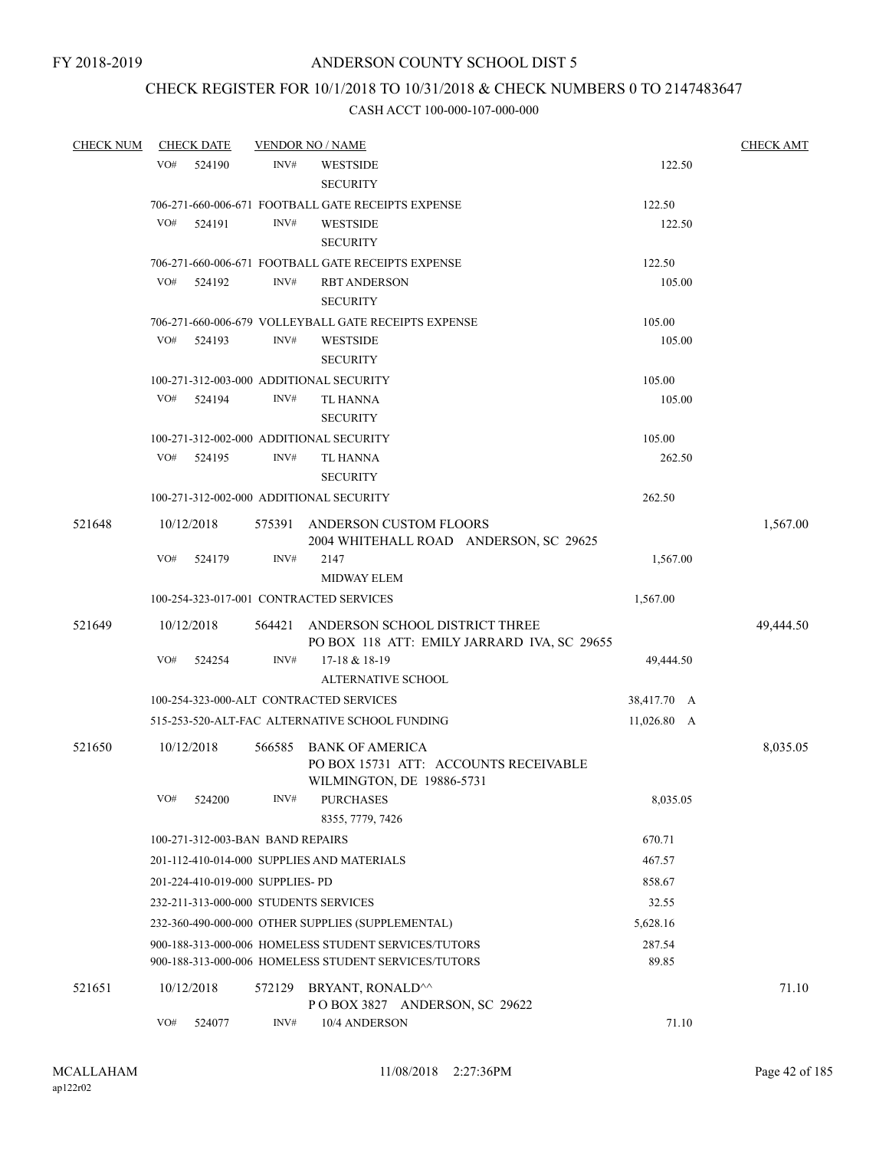# CHECK REGISTER FOR 10/1/2018 TO 10/31/2018 & CHECK NUMBERS 0 TO 2147483647

| <b>CHECK NUM</b> | <b>CHECK DATE</b>                       |        | <b>VENDOR NO / NAME</b>                                                                                      |                 | <b>CHECK AMT</b> |
|------------------|-----------------------------------------|--------|--------------------------------------------------------------------------------------------------------------|-----------------|------------------|
|                  | VO#<br>524190                           | INV#   | <b>WESTSIDE</b><br><b>SECURITY</b>                                                                           | 122.50          |                  |
|                  |                                         |        | 706-271-660-006-671 FOOTBALL GATE RECEIPTS EXPENSE                                                           | 122.50          |                  |
|                  | VO#<br>524191                           | INV#   | <b>WESTSIDE</b><br><b>SECURITY</b>                                                                           | 122.50          |                  |
|                  |                                         |        | 706-271-660-006-671 FOOTBALL GATE RECEIPTS EXPENSE                                                           | 122.50          |                  |
|                  | VO#<br>524192                           | INV#   | <b>RBT ANDERSON</b><br><b>SECURITY</b>                                                                       | 105.00          |                  |
|                  |                                         |        | 706-271-660-006-679 VOLLEYBALL GATE RECEIPTS EXPENSE                                                         | 105.00          |                  |
|                  | VO#<br>524193                           | INV#   | <b>WESTSIDE</b><br><b>SECURITY</b>                                                                           | 105.00          |                  |
|                  | 100-271-312-003-000 ADDITIONAL SECURITY |        |                                                                                                              | 105.00          |                  |
|                  | VO#<br>524194                           | INV#   | TL HANNA<br><b>SECURITY</b>                                                                                  | 105.00          |                  |
|                  | 100-271-312-002-000 ADDITIONAL SECURITY |        |                                                                                                              | 105.00          |                  |
|                  | VO#<br>524195                           | INV#   | TL HANNA<br><b>SECURITY</b>                                                                                  | 262.50          |                  |
|                  | 100-271-312-002-000 ADDITIONAL SECURITY |        |                                                                                                              | 262.50          |                  |
| 521648           | 10/12/2018                              |        | 575391 ANDERSON CUSTOM FLOORS<br>2004 WHITEHALL ROAD ANDERSON, SC 29625                                      |                 | 1,567.00         |
|                  | VO#<br>524179                           | INV#   | 2147<br><b>MIDWAY ELEM</b>                                                                                   | 1,567.00        |                  |
|                  | 100-254-323-017-001 CONTRACTED SERVICES |        |                                                                                                              | 1,567.00        |                  |
| 521649           | 10/12/2018                              | 564421 | ANDERSON SCHOOL DISTRICT THREE<br>PO BOX 118 ATT: EMILY JARRARD IVA, SC 29655                                |                 | 49,444.50        |
|                  | VO#<br>524254                           | INV#   | 17-18 & 18-19<br><b>ALTERNATIVE SCHOOL</b>                                                                   | 49,444.50       |                  |
|                  |                                         |        | 100-254-323-000-ALT CONTRACTED SERVICES                                                                      | 38,417.70 A     |                  |
|                  |                                         |        | 515-253-520-ALT-FAC ALTERNATIVE SCHOOL FUNDING                                                               | 11,026.80 A     |                  |
| 521650           | 10/12/2018                              | 566585 | BANK OF AMERICA<br>PO BOX 15731 ATT: ACCOUNTS RECEIVABLE<br>WILMINGTON, DE 19886-5731                        |                 | 8,035.05         |
|                  | VO#<br>524200                           | INV#   | <b>PURCHASES</b><br>8355, 7779, 7426                                                                         | 8,035.05        |                  |
|                  | 100-271-312-003-BAN BAND REPAIRS        |        |                                                                                                              | 670.71          |                  |
|                  |                                         |        | 201-112-410-014-000 SUPPLIES AND MATERIALS                                                                   | 467.57          |                  |
|                  | 201-224-410-019-000 SUPPLIES- PD        |        |                                                                                                              | 858.67          |                  |
|                  | 232-211-313-000-000 STUDENTS SERVICES   |        |                                                                                                              | 32.55           |                  |
|                  |                                         |        | 232-360-490-000-000 OTHER SUPPLIES (SUPPLEMENTAL)                                                            | 5,628.16        |                  |
|                  |                                         |        | 900-188-313-000-006 HOMELESS STUDENT SERVICES/TUTORS<br>900-188-313-000-006 HOMELESS STUDENT SERVICES/TUTORS | 287.54<br>89.85 |                  |
| 521651           | 10/12/2018                              | 572129 | BRYANT, RONALD^^<br>POBOX 3827 ANDERSON, SC 29622                                                            |                 | 71.10            |
|                  | VO#<br>524077                           | INV#   | 10/4 ANDERSON                                                                                                | 71.10           |                  |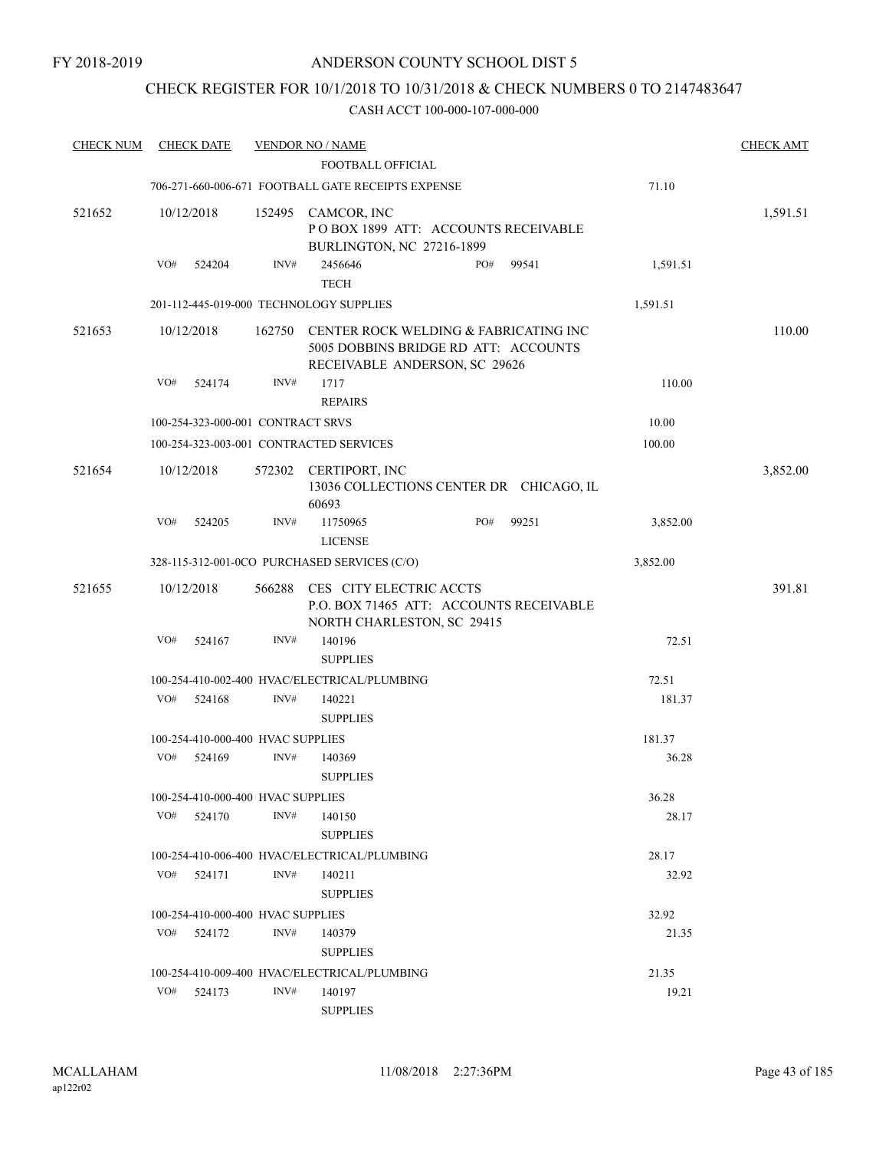## CHECK REGISTER FOR 10/1/2018 TO 10/31/2018 & CHECK NUMBERS 0 TO 2147483647

| <b>CHECK NUM</b> |     | <b>CHECK DATE</b>                 |        | <b>VENDOR NO / NAME</b>                                                                                        |     |        |          | <b>CHECK AMT</b> |
|------------------|-----|-----------------------------------|--------|----------------------------------------------------------------------------------------------------------------|-----|--------|----------|------------------|
|                  |     |                                   |        | FOOTBALL OFFICIAL                                                                                              |     |        |          |                  |
|                  |     |                                   |        | 706-271-660-006-671 FOOTBALL GATE RECEIPTS EXPENSE                                                             |     |        | 71.10    |                  |
| 521652           |     | 10/12/2018                        |        | 152495 CAMCOR, INC<br>POBOX 1899 ATT: ACCOUNTS RECEIVABLE<br>BURLINGTON, NC 27216-1899                         |     |        |          | 1,591.51         |
|                  | VO# | 524204                            | INV#   | 2456646<br><b>TECH</b>                                                                                         | PO# | 99541  | 1,591.51 |                  |
|                  |     |                                   |        | 201-112-445-019-000 TECHNOLOGY SUPPLIES                                                                        |     |        | 1,591.51 |                  |
| 521653           |     | 10/12/2018                        | 162750 | CENTER ROCK WELDING & FABRICATING INC<br>5005 DOBBINS BRIDGE RD ATT: ACCOUNTS<br>RECEIVABLE ANDERSON, SC 29626 |     |        |          | 110.00           |
|                  | VO# | 524174                            | INV#   | 1717<br><b>REPAIRS</b>                                                                                         |     |        | 110.00   |                  |
|                  |     | 100-254-323-000-001 CONTRACT SRVS |        |                                                                                                                |     |        | 10.00    |                  |
|                  |     |                                   |        | 100-254-323-003-001 CONTRACTED SERVICES                                                                        |     |        | 100.00   |                  |
| 521654           |     | 10/12/2018                        | 572302 | CERTIPORT, INC<br>13036 COLLECTIONS CENTER DR CHICAGO, IL<br>60693                                             |     |        |          | 3,852.00         |
|                  | VO# | 524205                            | INV#   | 11750965<br><b>LICENSE</b>                                                                                     | PO# | 99251  | 3,852.00 |                  |
|                  |     |                                   |        | 328-115-312-001-0CO PURCHASED SERVICES (C/O)                                                                   |     |        | 3,852.00 |                  |
| 521655           |     | 10/12/2018                        | 566288 | CES CITY ELECTRIC ACCTS<br>P.O. BOX 71465 ATT: ACCOUNTS RECEIVABLE<br>NORTH CHARLESTON, SC 29415               |     |        |          | 391.81           |
|                  | VO# | 524167                            | INV#   | 140196<br><b>SUPPLIES</b>                                                                                      |     |        | 72.51    |                  |
|                  |     |                                   |        | 100-254-410-002-400 HVAC/ELECTRICAL/PLUMBING                                                                   |     |        | 72.51    |                  |
|                  | VO# | 524168                            | INV#   | 140221<br><b>SUPPLIES</b>                                                                                      |     |        | 181.37   |                  |
|                  |     | 100-254-410-000-400 HVAC SUPPLIES |        |                                                                                                                |     | 181.37 |          |                  |
|                  | VO# | 524169                            | INV#   | 140369<br><b>SUPPLIES</b>                                                                                      |     |        | 36.28    |                  |
|                  |     | 100-254-410-000-400 HVAC SUPPLIES |        |                                                                                                                |     |        | 36.28    |                  |
|                  | VO# | 524170                            | INV#   | 140150<br><b>SUPPLIES</b>                                                                                      |     |        | 28.17    |                  |
|                  |     |                                   |        | 100-254-410-006-400 HVAC/ELECTRICAL/PLUMBING                                                                   |     |        | 28.17    |                  |
|                  | VO# | 524171                            | INV#   | 140211<br><b>SUPPLIES</b>                                                                                      |     |        | 32.92    |                  |
|                  |     | 100-254-410-000-400 HVAC SUPPLIES |        |                                                                                                                |     |        | 32.92    |                  |
|                  | VO# | 524172                            | INV#   | 140379<br><b>SUPPLIES</b>                                                                                      |     |        | 21.35    |                  |
|                  |     |                                   |        | 100-254-410-009-400 HVAC/ELECTRICAL/PLUMBING                                                                   |     |        | 21.35    |                  |
|                  | VO# | 524173                            | INV#   | 140197<br><b>SUPPLIES</b>                                                                                      |     |        | 19.21    |                  |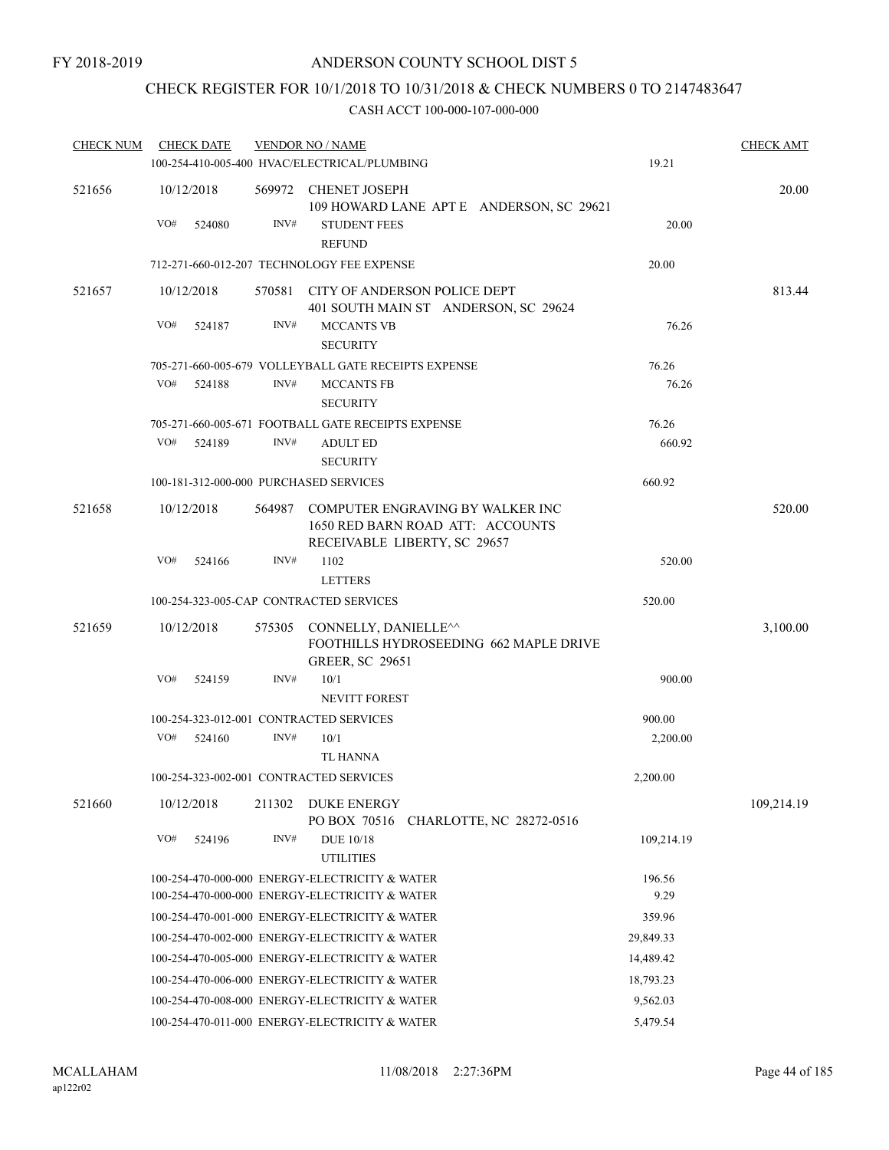## CHECK REGISTER FOR 10/1/2018 TO 10/31/2018 & CHECK NUMBERS 0 TO 2147483647

| <b>CHECK NUM</b> | <b>CHECK DATE</b> |        | <b>VENDOR NO / NAME</b>                                                                         |            | <b>CHECK AMT</b> |
|------------------|-------------------|--------|-------------------------------------------------------------------------------------------------|------------|------------------|
|                  |                   |        | 100-254-410-005-400 HVAC/ELECTRICAL/PLUMBING                                                    | 19.21      |                  |
| 521656           | 10/12/2018        |        | 569972 CHENET JOSEPH<br>109 HOWARD LANE APT E ANDERSON, SC 29621                                |            | 20.00            |
|                  | VO#<br>524080     | INV#   | <b>STUDENT FEES</b><br><b>REFUND</b>                                                            | 20.00      |                  |
|                  |                   |        | 712-271-660-012-207 TECHNOLOGY FEE EXPENSE                                                      | 20.00      |                  |
| 521657           | 10/12/2018        |        | 570581 CITY OF ANDERSON POLICE DEPT                                                             |            | 813.44           |
|                  |                   |        | 401 SOUTH MAIN ST ANDERSON, SC 29624                                                            |            |                  |
|                  | VO#<br>524187     | INV#   | <b>MCCANTS VB</b><br><b>SECURITY</b>                                                            | 76.26      |                  |
|                  |                   |        | 705-271-660-005-679 VOLLEYBALL GATE RECEIPTS EXPENSE                                            | 76.26      |                  |
|                  | VO#<br>524188     | INV#   | <b>MCCANTS FB</b><br><b>SECURITY</b>                                                            | 76.26      |                  |
|                  |                   |        | 705-271-660-005-671 FOOTBALL GATE RECEIPTS EXPENSE                                              | 76.26      |                  |
|                  | VO#<br>524189     | INV#   | <b>ADULT ED</b><br><b>SECURITY</b>                                                              | 660.92     |                  |
|                  |                   |        | 100-181-312-000-000 PURCHASED SERVICES                                                          | 660.92     |                  |
| 521658           | 10/12/2018        |        | 564987 COMPUTER ENGRAVING BY WALKER INC<br>1650 RED BARN ROAD ATT: ACCOUNTS                     |            | 520.00           |
|                  |                   |        | RECEIVABLE LIBERTY, SC 29657                                                                    |            |                  |
|                  | VO#<br>524166     | INV#   | 1102                                                                                            | 520.00     |                  |
|                  |                   |        | <b>LETTERS</b>                                                                                  |            |                  |
|                  |                   |        | 100-254-323-005-CAP CONTRACTED SERVICES                                                         | 520.00     |                  |
| 521659           | 10/12/2018        |        | 575305 CONNELLY, DANIELLE^^<br>FOOTHILLS HYDROSEEDING 662 MAPLE DRIVE<br><b>GREER, SC 29651</b> |            | 3,100.00         |
|                  | VO#<br>524159     | INV#   | 10/1<br><b>NEVITT FOREST</b>                                                                    | 900.00     |                  |
|                  |                   |        | 100-254-323-012-001 CONTRACTED SERVICES                                                         | 900.00     |                  |
|                  | VO#<br>524160     | INV#   | 10/1                                                                                            | 2,200.00   |                  |
|                  |                   |        | TL HANNA                                                                                        |            |                  |
|                  |                   |        | 100-254-323-002-001 CONTRACTED SERVICES                                                         | 2,200.00   |                  |
| 521660           | 10/12/2018        | 211302 | <b>DUKE ENERGY</b><br>PO BOX 70516 CHARLOTTE, NC 28272-0516                                     |            | 109,214.19       |
|                  | VO#<br>524196     | INV#   | <b>DUE 10/18</b><br><b>UTILITIES</b>                                                            | 109,214.19 |                  |
|                  |                   |        | 100-254-470-000-000 ENERGY-ELECTRICITY & WATER                                                  | 196.56     |                  |
|                  |                   |        | 100-254-470-000-000 ENERGY-ELECTRICITY & WATER                                                  | 9.29       |                  |
|                  |                   |        | 100-254-470-001-000 ENERGY-ELECTRICITY & WATER                                                  | 359.96     |                  |
|                  |                   |        | 100-254-470-002-000 ENERGY-ELECTRICITY & WATER                                                  | 29,849.33  |                  |
|                  |                   |        | 100-254-470-005-000 ENERGY-ELECTRICITY & WATER                                                  | 14,489.42  |                  |
|                  |                   |        | 100-254-470-006-000 ENERGY-ELECTRICITY & WATER                                                  | 18,793.23  |                  |
|                  |                   |        | 100-254-470-008-000 ENERGY-ELECTRICITY & WATER                                                  | 9,562.03   |                  |
|                  |                   |        | 100-254-470-011-000 ENERGY-ELECTRICITY & WATER                                                  | 5,479.54   |                  |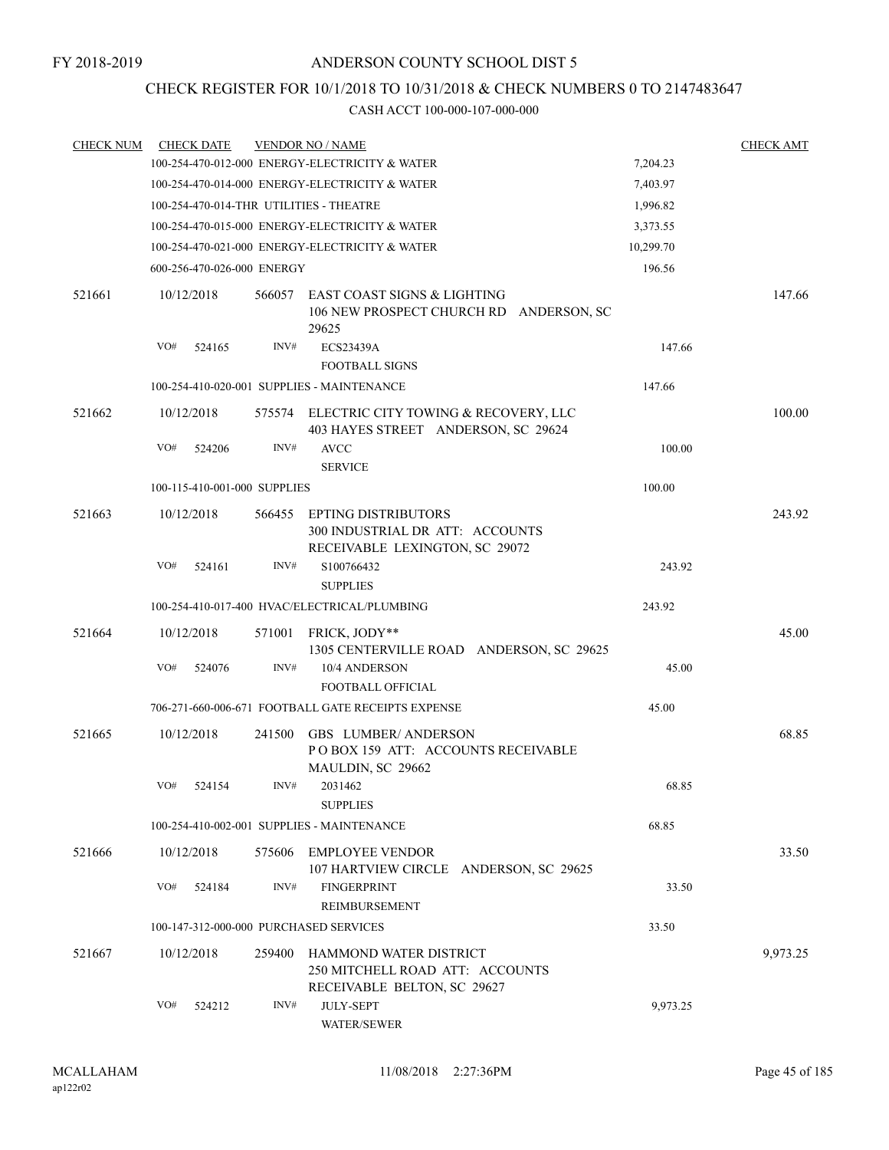## CHECK REGISTER FOR 10/1/2018 TO 10/31/2018 & CHECK NUMBERS 0 TO 2147483647

| <b>CHECK NUM</b> |     | <b>CHECK DATE</b>            |        | <b>VENDOR NO / NAME</b>                                                                         |           | <b>CHECK AMT</b> |
|------------------|-----|------------------------------|--------|-------------------------------------------------------------------------------------------------|-----------|------------------|
|                  |     |                              |        | 100-254-470-012-000 ENERGY-ELECTRICITY & WATER                                                  | 7,204.23  |                  |
|                  |     |                              |        | 100-254-470-014-000 ENERGY-ELECTRICITY & WATER                                                  | 7,403.97  |                  |
|                  |     |                              |        | 100-254-470-014-THR UTILITIES - THEATRE                                                         | 1,996.82  |                  |
|                  |     |                              |        | 100-254-470-015-000 ENERGY-ELECTRICITY & WATER                                                  | 3,373.55  |                  |
|                  |     |                              |        | 100-254-470-021-000 ENERGY-ELECTRICITY & WATER                                                  | 10,299.70 |                  |
|                  |     | 600-256-470-026-000 ENERGY   |        |                                                                                                 | 196.56    |                  |
| 521661           |     | 10/12/2018                   | 566057 | EAST COAST SIGNS & LIGHTING<br>106 NEW PROSPECT CHURCH RD ANDERSON, SC<br>29625                 |           | 147.66           |
|                  | VO# | 524165                       | INV#   | <b>ECS23439A</b><br><b>FOOTBALL SIGNS</b>                                                       | 147.66    |                  |
|                  |     |                              |        | 100-254-410-020-001 SUPPLIES - MAINTENANCE                                                      | 147.66    |                  |
| 521662           |     | 10/12/2018                   |        | 575574 ELECTRIC CITY TOWING & RECOVERY, LLC<br>403 HAYES STREET ANDERSON, SC 29624              |           | 100.00           |
|                  | VO# | 524206                       | INV#   | <b>AVCC</b><br><b>SERVICE</b>                                                                   | 100.00    |                  |
|                  |     | 100-115-410-001-000 SUPPLIES |        |                                                                                                 | 100.00    |                  |
| 521663           |     | 10/12/2018                   | 566455 | <b>EPTING DISTRIBUTORS</b><br>300 INDUSTRIAL DR ATT: ACCOUNTS<br>RECEIVABLE LEXINGTON, SC 29072 |           | 243.92           |
|                  | VO# | 524161                       | INV#   | S100766432<br><b>SUPPLIES</b>                                                                   | 243.92    |                  |
|                  |     |                              |        | 100-254-410-017-400 HVAC/ELECTRICAL/PLUMBING                                                    | 243.92    |                  |
| 521664           |     | 10/12/2018                   | 571001 | FRICK, JODY**<br>1305 CENTERVILLE ROAD ANDERSON, SC 29625                                       |           | 45.00            |
|                  | VO# | 524076                       | INV#   | 10/4 ANDERSON<br>FOOTBALL OFFICIAL                                                              | 45.00     |                  |
|                  |     |                              |        | 706-271-660-006-671 FOOTBALL GATE RECEIPTS EXPENSE                                              | 45.00     |                  |
| 521665           |     | 10/12/2018                   | 241500 | <b>GBS LUMBER/ ANDERSON</b><br>POBOX 159 ATT: ACCOUNTS RECEIVABLE<br>MAULDIN, SC 29662          |           | 68.85            |
|                  |     | VO# 524154                   | INV#   | 2031462<br><b>SUPPLIES</b>                                                                      | 68.85     |                  |
|                  |     |                              |        | 100-254-410-002-001 SUPPLIES - MAINTENANCE                                                      | 68.85     |                  |
| 521666           |     | 10/12/2018                   | 575606 | EMPLOYEE VENDOR<br>107 HARTVIEW CIRCLE ANDERSON, SC 29625                                       |           | 33.50            |
|                  | VO# | 524184                       | INV#   | <b>FINGERPRINT</b><br>REIMBURSEMENT                                                             | 33.50     |                  |
|                  |     |                              |        | 100-147-312-000-000 PURCHASED SERVICES                                                          | 33.50     |                  |
| 521667           |     | 10/12/2018                   | 259400 | HAMMOND WATER DISTRICT<br>250 MITCHELL ROAD ATT: ACCOUNTS<br>RECEIVABLE BELTON, SC 29627        |           | 9,973.25         |
|                  | VO# | 524212                       | INV#   | <b>JULY-SEPT</b><br>WATER/SEWER                                                                 | 9,973.25  |                  |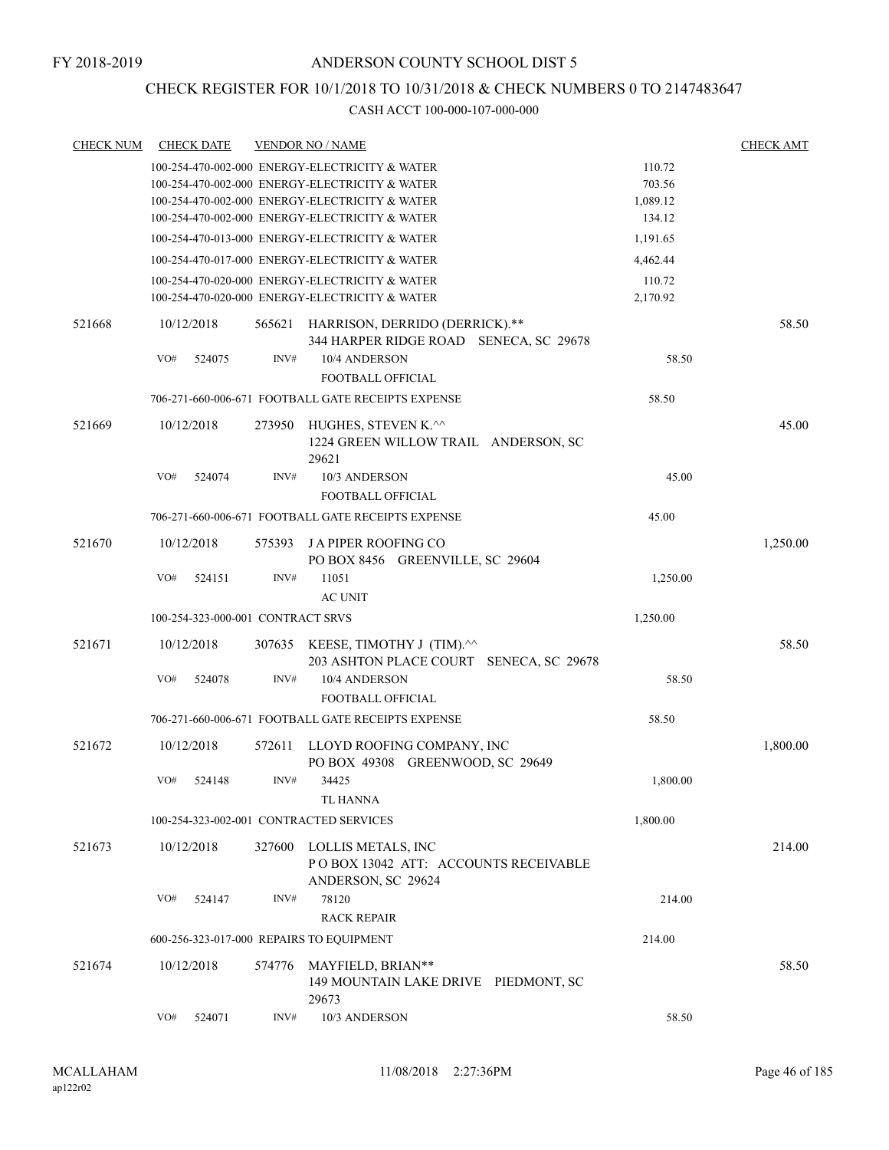## CHECK REGISTER FOR 10/1/2018 TO 10/31/2018 & CHECK NUMBERS 0 TO 2147483647

| <b>CHECK NUM</b> | <b>CHECK DATE</b>                 |        |        | <b>VENDOR NO / NAME</b>                                                  |          | <b>CHECK AMT</b> |
|------------------|-----------------------------------|--------|--------|--------------------------------------------------------------------------|----------|------------------|
|                  |                                   |        |        | 100-254-470-002-000 ENERGY-ELECTRICITY & WATER                           | 110.72   |                  |
|                  |                                   |        |        | 100-254-470-002-000 ENERGY-ELECTRICITY & WATER                           | 703.56   |                  |
|                  |                                   |        |        | 100-254-470-002-000 ENERGY-ELECTRICITY & WATER                           | 1,089.12 |                  |
|                  |                                   |        |        | 100-254-470-002-000 ENERGY-ELECTRICITY & WATER                           | 134.12   |                  |
|                  |                                   |        |        | 100-254-470-013-000 ENERGY-ELECTRICITY & WATER                           | 1,191.65 |                  |
|                  |                                   |        |        | 100-254-470-017-000 ENERGY-ELECTRICITY & WATER                           | 4,462.44 |                  |
|                  |                                   |        |        | 100-254-470-020-000 ENERGY-ELECTRICITY & WATER                           | 110.72   |                  |
|                  |                                   |        |        | 100-254-470-020-000 ENERGY-ELECTRICITY & WATER                           | 2,170.92 |                  |
| 521668           | 10/12/2018                        |        | 565621 | HARRISON, DERRIDO (DERRICK).**<br>344 HARPER RIDGE ROAD SENECA, SC 29678 |          | 58.50            |
|                  | VO#                               | 524075 | INV#   | 10/4 ANDERSON                                                            | 58.50    |                  |
|                  |                                   |        |        | FOOTBALL OFFICIAL                                                        |          |                  |
|                  |                                   |        |        | 706-271-660-006-671 FOOTBALL GATE RECEIPTS EXPENSE                       | 58.50    |                  |
| 521669           | 10/12/2018                        |        | 273950 | HUGHES, STEVEN K.^^<br>1224 GREEN WILLOW TRAIL ANDERSON, SC<br>29621     |          | 45.00            |
|                  | VO#                               | 524074 | INV#   | 10/3 ANDERSON<br>FOOTBALL OFFICIAL                                       | 45.00    |                  |
|                  |                                   |        |        | 706-271-660-006-671 FOOTBALL GATE RECEIPTS EXPENSE                       | 45.00    |                  |
| 521670           | 10/12/2018                        |        | 575393 | J A PIPER ROOFING CO                                                     |          | 1,250.00         |
|                  | VO#                               | 524151 | INV#   | PO BOX 8456 GREENVILLE, SC 29604<br>11051                                | 1,250.00 |                  |
|                  |                                   |        |        | <b>AC UNIT</b>                                                           |          |                  |
|                  |                                   |        |        |                                                                          |          |                  |
|                  | 100-254-323-000-001 CONTRACT SRVS |        |        |                                                                          | 1,250.00 |                  |
| 521671           | 10/12/2018                        |        | 307635 | KEESE, TIMOTHY J (TIM).^^<br>203 ASHTON PLACE COURT SENECA, SC 29678     |          | 58.50            |
|                  | VO#                               | 524078 | INV#   | 10/4 ANDERSON<br>FOOTBALL OFFICIAL                                       | 58.50    |                  |
|                  |                                   |        |        | 706-271-660-006-671 FOOTBALL GATE RECEIPTS EXPENSE                       | 58.50    |                  |
|                  |                                   |        |        |                                                                          |          |                  |
| 521672           | 10/12/2018                        |        | 572611 | LLOYD ROOFING COMPANY, INC<br>PO BOX 49308 GREENWOOD, SC 29649           |          | 1,800.00         |
|                  | VO#                               | 524148 | INV#   | 34425                                                                    | 1,800.00 |                  |
|                  |                                   |        |        | <b>TL HANNA</b>                                                          |          |                  |
|                  |                                   |        |        | 100-254-323-002-001 CONTRACTED SERVICES                                  | 1,800.00 |                  |
| 521673           | 10/12/2018                        |        | 327600 | LOLLIS METALS, INC<br>PO BOX 13042 ATT: ACCOUNTS RECEIVABLE              |          | 214.00           |
|                  | VO#                               |        | INV#   | ANDERSON, SC 29624                                                       |          |                  |
|                  |                                   | 524147 |        | 78120                                                                    | 214.00   |                  |
|                  |                                   |        |        | <b>RACK REPAIR</b>                                                       |          |                  |
|                  |                                   |        |        | 600-256-323-017-000 REPAIRS TO EQUIPMENT                                 | 214.00   |                  |
| 521674           | 10/12/2018                        |        | 574776 | MAYFIELD, BRIAN**<br>149 MOUNTAIN LAKE DRIVE PIEDMONT, SC<br>29673       |          | 58.50            |
|                  | VO#                               | 524071 | INV#   | 10/3 ANDERSON                                                            | 58.50    |                  |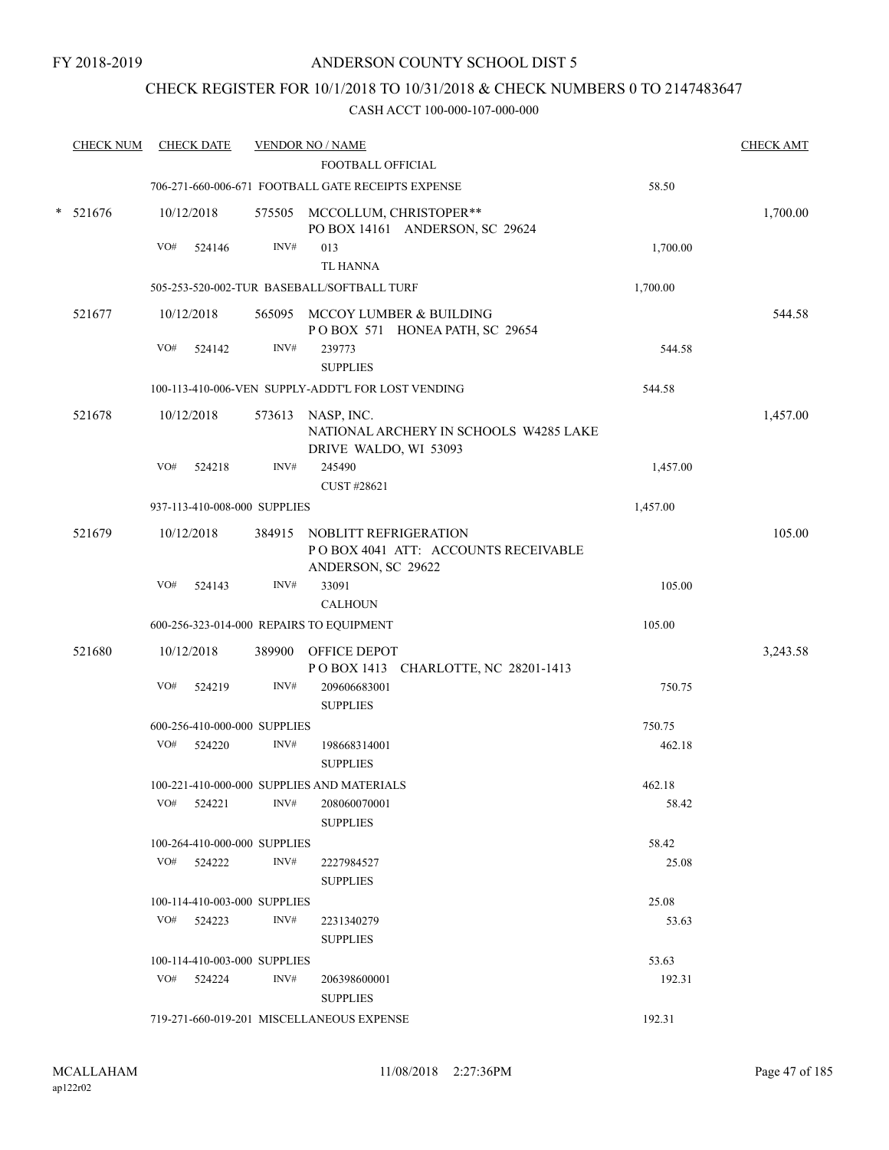## CHECK REGISTER FOR 10/1/2018 TO 10/31/2018 & CHECK NUMBERS 0 TO 2147483647

|        | <b>CHECK NUM</b> |     | <b>CHECK DATE</b>            |        | <b>VENDOR NO / NAME</b><br><b>FOOTBALL OFFICIAL</b>                                       |          | <b>CHECK AMT</b> |
|--------|------------------|-----|------------------------------|--------|-------------------------------------------------------------------------------------------|----------|------------------|
|        |                  |     |                              |        | 706-271-660-006-671 FOOTBALL GATE RECEIPTS EXPENSE                                        | 58.50    |                  |
| $\ast$ | 521676           |     |                              |        |                                                                                           |          |                  |
|        |                  |     | 10/12/2018                   |        | 575505 MCCOLLUM, CHRISTOPER**<br>PO BOX 14161 ANDERSON, SC 29624                          |          | 1,700.00         |
|        |                  | VO# | 524146                       | INV#   | 013<br><b>TL HANNA</b>                                                                    | 1,700.00 |                  |
|        |                  |     |                              |        | 505-253-520-002-TUR BASEBALL/SOFTBALL TURF                                                | 1,700.00 |                  |
|        | 521677           |     | 10/12/2018                   |        | 565095 MCCOY LUMBER & BUILDING                                                            |          | 544.58           |
|        |                  |     |                              |        | POBOX 571 HONEA PATH, SC 29654                                                            |          |                  |
|        |                  | VO# | 524142                       | INV#   | 239773<br><b>SUPPLIES</b>                                                                 | 544.58   |                  |
|        |                  |     |                              |        | 100-113-410-006-VEN SUPPLY-ADDT'L FOR LOST VENDING                                        | 544.58   |                  |
|        | 521678           |     | 10/12/2018                   |        | 573613 NASP, INC.<br>NATIONAL ARCHERY IN SCHOOLS W4285 LAKE<br>DRIVE WALDO, WI 53093      |          | 1,457.00         |
|        |                  | VO# | 524218                       | INV#   | 245490                                                                                    | 1,457.00 |                  |
|        |                  |     |                              |        | CUST #28621                                                                               |          |                  |
|        |                  |     | 937-113-410-008-000 SUPPLIES |        |                                                                                           | 1,457.00 |                  |
|        | 521679           |     | 10/12/2018                   |        | 384915 NOBLITT REFRIGERATION<br>POBOX 4041 ATT: ACCOUNTS RECEIVABLE<br>ANDERSON, SC 29622 |          | 105.00           |
|        |                  | VO# | 524143                       | INV#   | 33091<br><b>CALHOUN</b>                                                                   | 105.00   |                  |
|        |                  |     |                              |        | 600-256-323-014-000 REPAIRS TO EQUIPMENT                                                  | 105.00   |                  |
|        | 521680           |     | 10/12/2018                   | 389900 | OFFICE DEPOT<br>POBOX 1413 CHARLOTTE, NC 28201-1413                                       |          | 3,243.58         |
|        |                  | VO# | 524219                       | INV#   | 209606683001<br><b>SUPPLIES</b>                                                           | 750.75   |                  |
|        |                  |     | 600-256-410-000-000 SUPPLIES |        |                                                                                           | 750.75   |                  |
|        |                  | VO# | 524220                       | INV#   | 198668314001<br><b>SUPPLIES</b>                                                           | 462.18   |                  |
|        |                  |     |                              |        | 100-221-410-000-000 SUPPLIES AND MATERIALS                                                | 462.18   |                  |
|        |                  |     | VO# 524221                   | INV#   | 208060070001<br><b>SUPPLIES</b>                                                           | 58.42    |                  |
|        |                  |     | 100-264-410-000-000 SUPPLIES |        |                                                                                           | 58.42    |                  |
|        |                  |     | VO# 524222                   | INV#   | 2227984527<br><b>SUPPLIES</b>                                                             | 25.08    |                  |
|        |                  |     | 100-114-410-003-000 SUPPLIES |        |                                                                                           | 25.08    |                  |
|        |                  |     | VO# 524223                   | INV#   | 2231340279<br><b>SUPPLIES</b>                                                             | 53.63    |                  |
|        |                  |     | 100-114-410-003-000 SUPPLIES |        |                                                                                           | 53.63    |                  |
|        |                  |     | VO# 524224                   | INV#   | 206398600001<br><b>SUPPLIES</b>                                                           | 192.31   |                  |
|        |                  |     |                              |        | 719-271-660-019-201 MISCELLANEOUS EXPENSE                                                 | 192.31   |                  |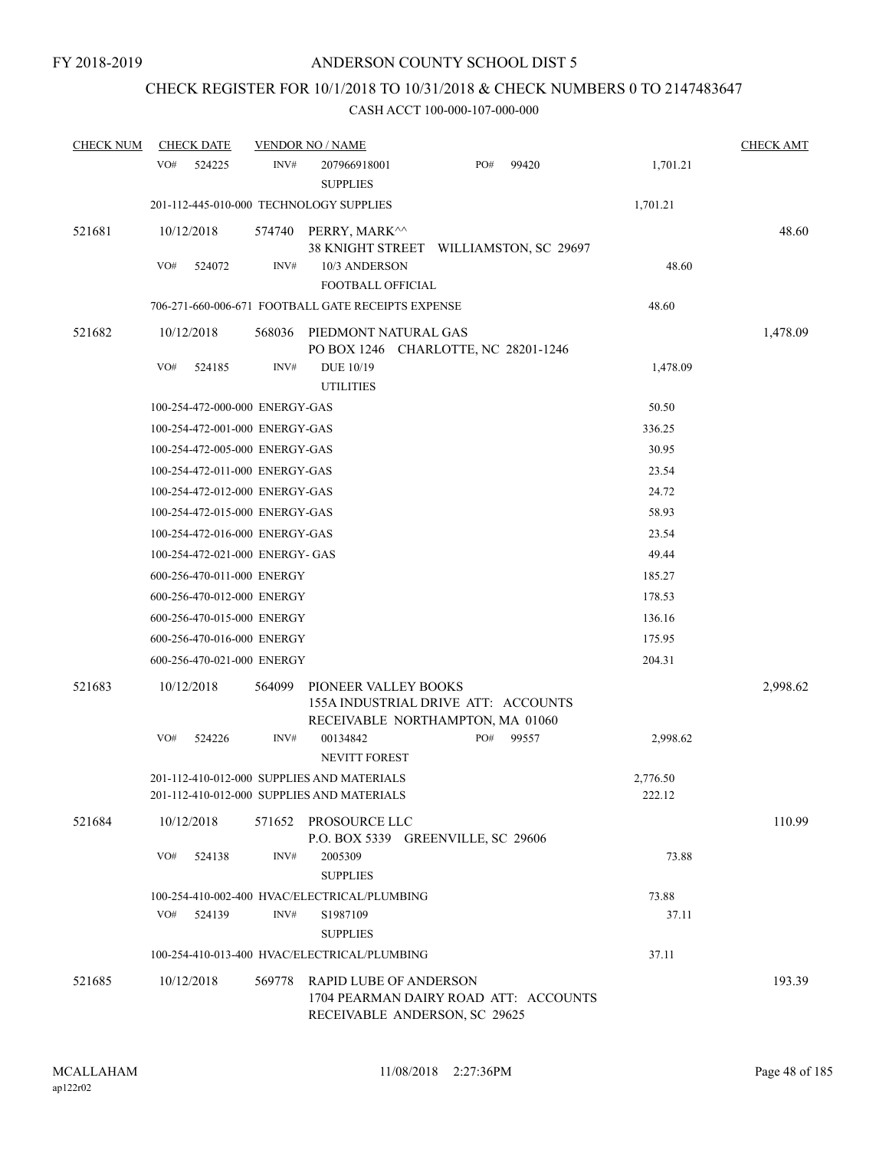## CHECK REGISTER FOR 10/1/2018 TO 10/31/2018 & CHECK NUMBERS 0 TO 2147483647

| <b>CHECK NUM</b> | <b>CHECK DATE</b>                       |        | <b>VENDOR NO / NAME</b>                                                                                 |     |       |          | <b>CHECK AMT</b> |
|------------------|-----------------------------------------|--------|---------------------------------------------------------------------------------------------------------|-----|-------|----------|------------------|
|                  | VO#<br>524225                           | INV#   | 207966918001<br><b>SUPPLIES</b>                                                                         | PO# | 99420 | 1,701.21 |                  |
|                  | 201-112-445-010-000 TECHNOLOGY SUPPLIES |        |                                                                                                         |     |       | 1,701.21 |                  |
| 521681           | 10/12/2018                              | 574740 | PERRY, MARK^^<br>38 KNIGHT STREET WILLIAMSTON, SC 29697                                                 |     |       |          | 48.60            |
|                  | VO#<br>524072                           | INV#   | 10/3 ANDERSON<br>FOOTBALL OFFICIAL                                                                      |     |       | 48.60    |                  |
|                  |                                         |        | 706-271-660-006-671 FOOTBALL GATE RECEIPTS EXPENSE                                                      |     |       | 48.60    |                  |
| 521682           | 10/12/2018                              | 568036 | PIEDMONT NATURAL GAS<br>PO BOX 1246 CHARLOTTE, NC 28201-1246                                            |     |       |          | 1,478.09         |
|                  | VO#<br>524185                           | INV#   | DUE 10/19<br><b>UTILITIES</b>                                                                           |     |       | 1,478.09 |                  |
|                  | 100-254-472-000-000 ENERGY-GAS          |        |                                                                                                         |     |       | 50.50    |                  |
|                  | 100-254-472-001-000 ENERGY-GAS          |        |                                                                                                         |     |       | 336.25   |                  |
|                  | 100-254-472-005-000 ENERGY-GAS          |        |                                                                                                         |     |       | 30.95    |                  |
|                  | 100-254-472-011-000 ENERGY-GAS          |        |                                                                                                         |     |       | 23.54    |                  |
|                  | 100-254-472-012-000 ENERGY-GAS          |        |                                                                                                         |     |       | 24.72    |                  |
|                  | 100-254-472-015-000 ENERGY-GAS          |        |                                                                                                         |     |       | 58.93    |                  |
|                  | 100-254-472-016-000 ENERGY-GAS          |        |                                                                                                         |     |       | 23.54    |                  |
|                  | 100-254-472-021-000 ENERGY- GAS         |        |                                                                                                         |     |       | 49.44    |                  |
|                  | 600-256-470-011-000 ENERGY              |        |                                                                                                         |     |       | 185.27   |                  |
|                  | 600-256-470-012-000 ENERGY              |        |                                                                                                         |     |       | 178.53   |                  |
|                  | 600-256-470-015-000 ENERGY              |        |                                                                                                         |     |       | 136.16   |                  |
|                  | 600-256-470-016-000 ENERGY              |        |                                                                                                         |     |       | 175.95   |                  |
|                  | 600-256-470-021-000 ENERGY              |        |                                                                                                         |     |       | 204.31   |                  |
| 521683           | 10/12/2018                              | 564099 | PIONEER VALLEY BOOKS<br>155A INDUSTRIAL DRIVE ATT: ACCOUNTS<br>RECEIVABLE NORTHAMPTON, MA 01060         |     |       |          | 2,998.62         |
|                  | VO#<br>524226                           | INV#   | 00134842<br><b>NEVITT FOREST</b>                                                                        | PO# | 99557 | 2,998.62 |                  |
|                  |                                         |        | 201-112-410-012-000 SUPPLIES AND MATERIALS                                                              |     |       | 2,776.50 |                  |
|                  |                                         |        | 201-112-410-012-000 SUPPLIES AND MATERIALS                                                              |     |       | 222.12   |                  |
| 521684           | 10/12/2018                              |        | 571652 PROSOURCE LLC<br>P.O. BOX 5339 GREENVILLE, SC 29606                                              |     |       |          | 110.99           |
|                  | VO#<br>524138                           | INV#   | 2005309<br><b>SUPPLIES</b>                                                                              |     |       | 73.88    |                  |
|                  |                                         |        | 100-254-410-002-400 HVAC/ELECTRICAL/PLUMBING                                                            |     |       | 73.88    |                  |
|                  | VO#<br>524139                           | INV#   | S1987109<br><b>SUPPLIES</b>                                                                             |     |       | 37.11    |                  |
|                  |                                         |        | 100-254-410-013-400 HVAC/ELECTRICAL/PLUMBING                                                            |     |       | 37.11    |                  |
| 521685           | 10/12/2018                              | 569778 | <b>RAPID LUBE OF ANDERSON</b><br>1704 PEARMAN DAIRY ROAD ATT: ACCOUNTS<br>RECEIVABLE ANDERSON, SC 29625 |     |       |          | 193.39           |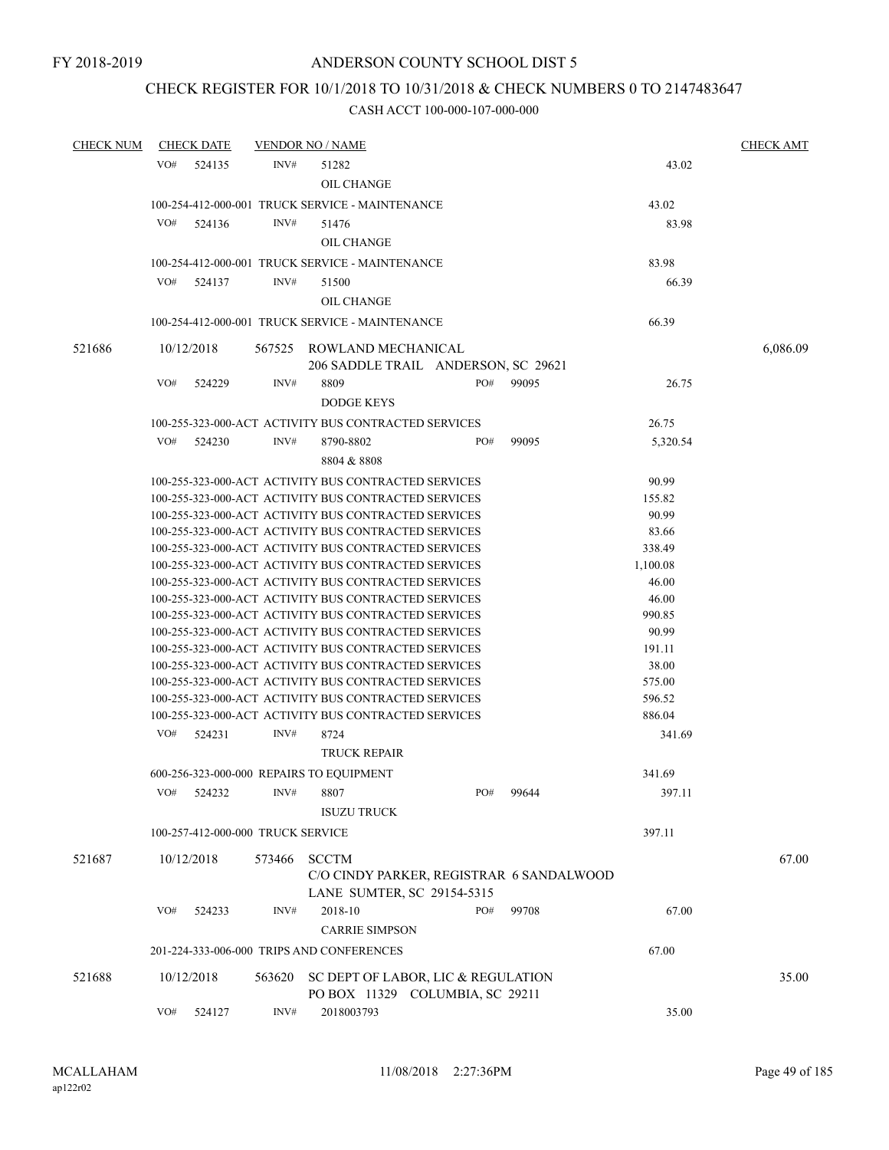## CHECK REGISTER FOR 10/1/2018 TO 10/31/2018 & CHECK NUMBERS 0 TO 2147483647

| <b>CHECK NUM</b> |     | <b>CHECK DATE</b>                 |                | <b>VENDOR NO / NAME</b>                                                                                      |     |       |                    | <b>CHECK AMT</b> |
|------------------|-----|-----------------------------------|----------------|--------------------------------------------------------------------------------------------------------------|-----|-------|--------------------|------------------|
|                  | VO# | 524135                            | INV#           | 51282                                                                                                        |     |       | 43.02              |                  |
|                  |     |                                   |                | OIL CHANGE                                                                                                   |     |       |                    |                  |
|                  |     |                                   |                | 100-254-412-000-001 TRUCK SERVICE - MAINTENANCE                                                              |     |       | 43.02              |                  |
|                  | VO# | 524136                            | INV#           | 51476                                                                                                        |     |       | 83.98              |                  |
|                  |     |                                   |                | <b>OIL CHANGE</b>                                                                                            |     |       |                    |                  |
|                  |     |                                   |                |                                                                                                              |     |       |                    |                  |
|                  |     |                                   |                | 100-254-412-000-001 TRUCK SERVICE - MAINTENANCE                                                              |     |       | 83.98              |                  |
|                  | VO# | 524137                            | INV#           | 51500                                                                                                        |     |       | 66.39              |                  |
|                  |     |                                   |                | OIL CHANGE                                                                                                   |     |       |                    |                  |
|                  |     |                                   |                | 100-254-412-000-001 TRUCK SERVICE - MAINTENANCE                                                              |     |       | 66.39              |                  |
| 521686           |     | 10/12/2018                        |                | 567525 ROWLAND MECHANICAL                                                                                    |     |       |                    | 6,086.09         |
|                  |     |                                   |                | 206 SADDLE TRAIL ANDERSON, SC 29621                                                                          |     |       |                    |                  |
|                  | VO# | 524229                            | INV#           | 8809                                                                                                         | PO# | 99095 | 26.75              |                  |
|                  |     |                                   |                | <b>DODGE KEYS</b>                                                                                            |     |       |                    |                  |
|                  |     |                                   |                | 100-255-323-000-ACT ACTIVITY BUS CONTRACTED SERVICES                                                         |     |       | 26.75              |                  |
|                  | VO# | 524230                            | INV#           | 8790-8802                                                                                                    | PO# | 99095 | 5,320.54           |                  |
|                  |     |                                   |                |                                                                                                              |     |       |                    |                  |
|                  |     |                                   |                | 8804 & 8808                                                                                                  |     |       |                    |                  |
|                  |     |                                   |                | 100-255-323-000-ACT ACTIVITY BUS CONTRACTED SERVICES                                                         |     |       | 90.99              |                  |
|                  |     |                                   |                | 100-255-323-000-ACT ACTIVITY BUS CONTRACTED SERVICES                                                         |     |       | 155.82             |                  |
|                  |     |                                   |                | 100-255-323-000-ACT ACTIVITY BUS CONTRACTED SERVICES                                                         |     |       | 90.99              |                  |
|                  |     |                                   |                | 100-255-323-000-ACT ACTIVITY BUS CONTRACTED SERVICES                                                         |     |       | 83.66              |                  |
|                  |     |                                   |                | 100-255-323-000-ACT ACTIVITY BUS CONTRACTED SERVICES<br>100-255-323-000-ACT ACTIVITY BUS CONTRACTED SERVICES |     |       | 338.49<br>1,100.08 |                  |
|                  |     |                                   |                | 100-255-323-000-ACT ACTIVITY BUS CONTRACTED SERVICES                                                         |     |       | 46.00              |                  |
|                  |     |                                   |                | 100-255-323-000-ACT ACTIVITY BUS CONTRACTED SERVICES                                                         |     |       | 46.00              |                  |
|                  |     |                                   |                | 100-255-323-000-ACT ACTIVITY BUS CONTRACTED SERVICES                                                         |     |       | 990.85             |                  |
|                  |     |                                   |                | 100-255-323-000-ACT ACTIVITY BUS CONTRACTED SERVICES                                                         |     |       | 90.99              |                  |
|                  |     |                                   |                | 100-255-323-000-ACT ACTIVITY BUS CONTRACTED SERVICES                                                         |     |       | 191.11             |                  |
|                  |     |                                   |                | 100-255-323-000-ACT ACTIVITY BUS CONTRACTED SERVICES                                                         |     |       | 38.00              |                  |
|                  |     |                                   |                | 100-255-323-000-ACT ACTIVITY BUS CONTRACTED SERVICES                                                         |     |       | 575.00             |                  |
|                  |     |                                   |                | 100-255-323-000-ACT ACTIVITY BUS CONTRACTED SERVICES                                                         |     |       | 596.52             |                  |
|                  |     |                                   |                | 100-255-323-000-ACT ACTIVITY BUS CONTRACTED SERVICES                                                         |     |       | 886.04             |                  |
|                  | VO# | 524231                            | INV#           | 8724                                                                                                         |     |       | 341.69             |                  |
|                  |     |                                   |                | <b>TRUCK REPAIR</b>                                                                                          |     |       |                    |                  |
|                  |     |                                   |                | 600-256-323-000-000 REPAIRS TO EQUIPMENT                                                                     |     |       | 341.69             |                  |
|                  |     |                                   | $\text{INV}\#$ |                                                                                                              | PO# |       |                    |                  |
|                  | VO# | 524232                            |                | 8807<br><b>ISUZU TRUCK</b>                                                                                   |     | 99644 | 397.11             |                  |
|                  |     | 100-257-412-000-000 TRUCK SERVICE |                |                                                                                                              |     |       | 397.11             |                  |
| 521687           |     | 10/12/2018                        | 573466         | <b>SCCTM</b>                                                                                                 |     |       |                    | 67.00            |
|                  |     |                                   |                | C/O CINDY PARKER, REGISTRAR 6 SANDALWOOD                                                                     |     |       |                    |                  |
|                  |     |                                   |                | LANE SUMTER, SC 29154-5315                                                                                   |     |       |                    |                  |
|                  | VO# | 524233                            | INV#           | 2018-10                                                                                                      | PO# | 99708 | 67.00              |                  |
|                  |     |                                   |                |                                                                                                              |     |       |                    |                  |
|                  |     |                                   |                | <b>CARRIE SIMPSON</b>                                                                                        |     |       |                    |                  |
|                  |     |                                   |                | 201-224-333-006-000 TRIPS AND CONFERENCES                                                                    |     |       | 67.00              |                  |
| 521688           |     | 10/12/2018                        | 563620         | SC DEPT OF LABOR, LIC & REGULATION                                                                           |     |       |                    | 35.00            |
|                  |     |                                   |                | PO BOX 11329 COLUMBIA, SC 29211                                                                              |     |       |                    |                  |
|                  | VO# | 524127                            | INV#           | 2018003793                                                                                                   |     |       | 35.00              |                  |
|                  |     |                                   |                |                                                                                                              |     |       |                    |                  |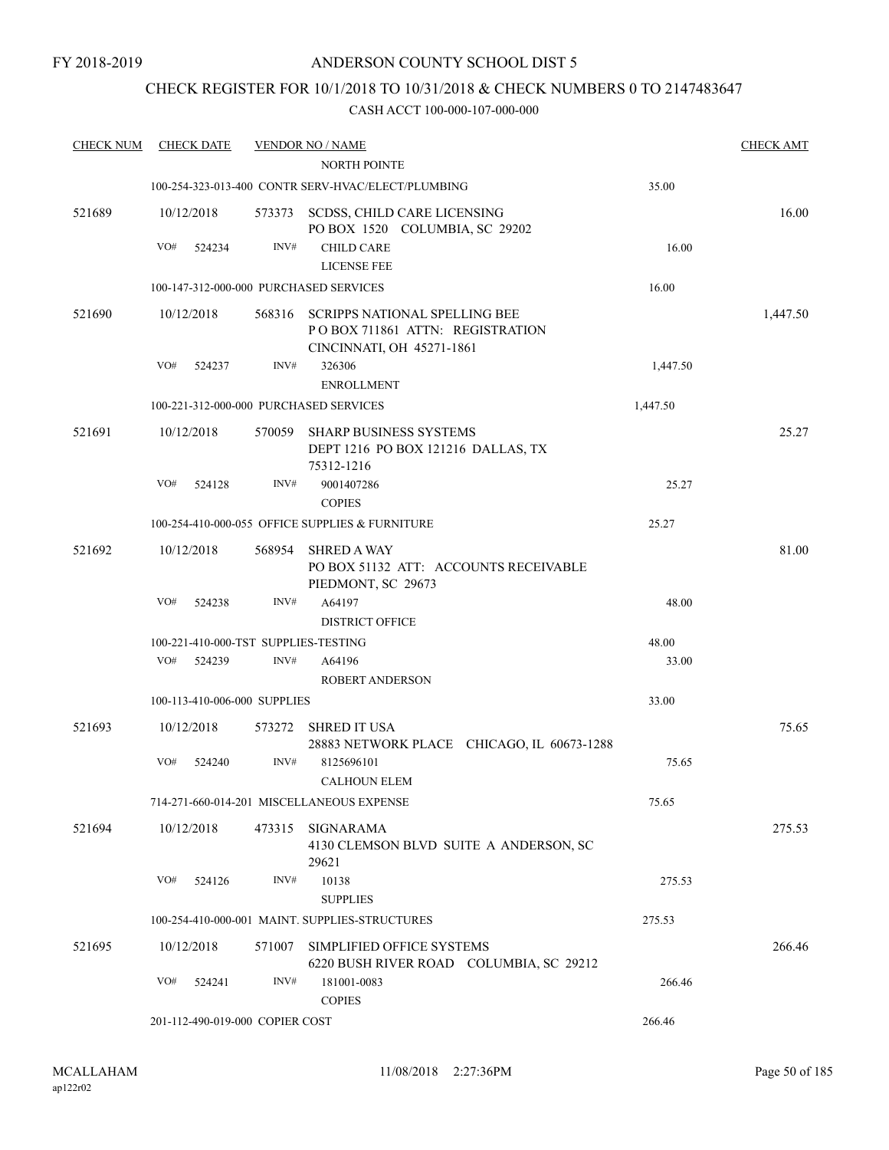## CHECK REGISTER FOR 10/1/2018 TO 10/31/2018 & CHECK NUMBERS 0 TO 2147483647

| <b>CHECK NUM</b> |            | <b>CHECK DATE</b>               |        | <b>VENDOR NO / NAME</b>                                                                              |          | <b>CHECK AMT</b> |
|------------------|------------|---------------------------------|--------|------------------------------------------------------------------------------------------------------|----------|------------------|
|                  |            |                                 |        | <b>NORTH POINTE</b>                                                                                  |          |                  |
|                  |            |                                 |        | 100-254-323-013-400 CONTR SERV-HVAC/ELECT/PLUMBING                                                   | 35.00    |                  |
| 521689           | 10/12/2018 |                                 |        | 573373 SCDSS, CHILD CARE LICENSING<br>PO BOX 1520 COLUMBIA, SC 29202                                 |          | 16.00            |
|                  | VO#        | 524234                          | INV#   | <b>CHILD CARE</b>                                                                                    | 16.00    |                  |
|                  |            |                                 |        | <b>LICENSE FEE</b>                                                                                   |          |                  |
|                  |            |                                 |        | 100-147-312-000-000 PURCHASED SERVICES                                                               | 16.00    |                  |
| 521690           | 10/12/2018 |                                 | 568316 | <b>SCRIPPS NATIONAL SPELLING BEE</b><br>POBOX 711861 ATTN: REGISTRATION<br>CINCINNATI, OH 45271-1861 |          | 1,447.50         |
|                  | VO#        | 524237                          | INV#   | 326306                                                                                               | 1,447.50 |                  |
|                  |            |                                 |        | <b>ENROLLMENT</b>                                                                                    |          |                  |
|                  |            |                                 |        | 100-221-312-000-000 PURCHASED SERVICES                                                               | 1,447.50 |                  |
| 521691           | 10/12/2018 |                                 | 570059 | SHARP BUSINESS SYSTEMS<br>DEPT 1216 PO BOX 121216 DALLAS, TX<br>75312-1216                           |          | 25.27            |
|                  | VO#        | 524128                          | INV#   | 9001407286                                                                                           | 25.27    |                  |
|                  |            |                                 |        | <b>COPIES</b>                                                                                        |          |                  |
|                  |            |                                 |        | 100-254-410-000-055 OFFICE SUPPLIES & FURNITURE                                                      | 25.27    |                  |
|                  |            |                                 |        |                                                                                                      |          | 81.00            |
| 521692           | 10/12/2018 |                                 | 568954 | <b>SHRED A WAY</b><br>PO BOX 51132 ATT: ACCOUNTS RECEIVABLE                                          |          |                  |
|                  |            |                                 |        | PIEDMONT, SC 29673                                                                                   |          |                  |
|                  | VO#        | 524238                          | INV#   | A64197                                                                                               | 48.00    |                  |
|                  |            |                                 |        | <b>DISTRICT OFFICE</b>                                                                               |          |                  |
|                  |            |                                 |        | 100-221-410-000-TST SUPPLIES-TESTING                                                                 | 48.00    |                  |
|                  | VO#        | 524239                          | INV#   | A64196                                                                                               | 33.00    |                  |
|                  |            |                                 |        | <b>ROBERT ANDERSON</b>                                                                               |          |                  |
|                  |            |                                 |        |                                                                                                      |          |                  |
|                  |            | 100-113-410-006-000 SUPPLIES    |        |                                                                                                      | 33.00    |                  |
| 521693           | 10/12/2018 |                                 | 573272 | <b>SHRED IT USA</b><br>28883 NETWORK PLACE CHICAGO, IL 60673-1288                                    |          | 75.65            |
|                  | VO#        | 524240                          | INV#   | 8125696101                                                                                           | 75.65    |                  |
|                  |            |                                 |        | <b>CALHOUN ELEM</b>                                                                                  |          |                  |
|                  |            |                                 |        | 714-271-660-014-201 MISCELLANEOUS EXPENSE                                                            | 75.65    |                  |
| 521694           | 10/12/2018 |                                 | 473315 | SIGNARAMA                                                                                            |          | 275.53           |
|                  |            |                                 |        | 4130 CLEMSON BLVD SUITE A ANDERSON, SC<br>29621                                                      |          |                  |
|                  | VO#        | 524126                          | INV#   | 10138                                                                                                | 275.53   |                  |
|                  |            |                                 |        | <b>SUPPLIES</b>                                                                                      |          |                  |
|                  |            |                                 |        | 100-254-410-000-001 MAINT. SUPPLIES-STRUCTURES                                                       | 275.53   |                  |
|                  |            |                                 |        |                                                                                                      |          |                  |
| 521695           | 10/12/2018 |                                 | 571007 | SIMPLIFIED OFFICE SYSTEMS<br>6220 BUSH RIVER ROAD COLUMBIA, SC 29212                                 |          | 266.46           |
|                  | VO#        | 524241                          | INV#   | 181001-0083                                                                                          | 266.46   |                  |
|                  |            |                                 |        | <b>COPIES</b>                                                                                        |          |                  |
|                  |            | 201-112-490-019-000 COPIER COST |        |                                                                                                      | 266.46   |                  |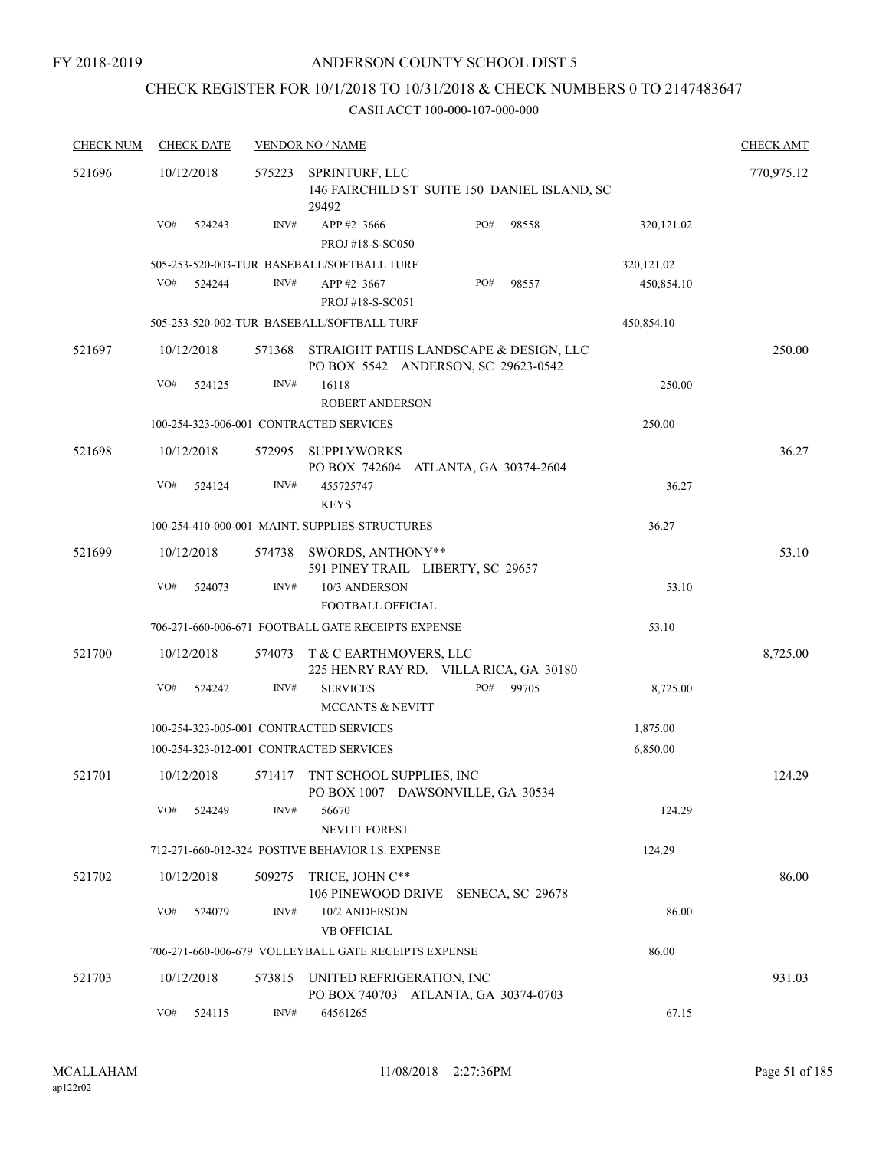### FY 2018-2019

### ANDERSON COUNTY SCHOOL DIST 5

## CHECK REGISTER FOR 10/1/2018 TO 10/31/2018 & CHECK NUMBERS 0 TO 2147483647

| <b>CHECK NUM</b> | <b>CHECK DATE</b> |        | <b>VENDOR NO / NAME</b>                                                       |     |       |             | <b>CHECK AMT</b> |
|------------------|-------------------|--------|-------------------------------------------------------------------------------|-----|-------|-------------|------------------|
| 521696           | 10/12/2018        | 575223 | SPRINTURF, LLC<br>146 FAIRCHILD ST SUITE 150 DANIEL ISLAND, SC<br>29492       |     |       |             | 770,975.12       |
|                  | VO#<br>524243     | INV#   | APP #2 3666<br>PROJ #18-S-SC050                                               | PO# | 98558 | 320, 121.02 |                  |
|                  |                   |        | 505-253-520-003-TUR BASEBALL/SOFTBALL TURF                                    |     |       | 320, 121.02 |                  |
|                  | VO#<br>524244     | INV#   | APP#2 3667<br>PROJ #18-S-SC051                                                | PO# | 98557 | 450,854.10  |                  |
|                  |                   |        | 505-253-520-002-TUR BASEBALL/SOFTBALL TURF                                    |     |       | 450,854.10  |                  |
| 521697           | 10/12/2018        | 571368 | STRAIGHT PATHS LANDSCAPE & DESIGN, LLC<br>PO BOX 5542 ANDERSON, SC 29623-0542 |     |       |             | 250.00           |
|                  | VO#<br>524125     | INV#   | 16118<br><b>ROBERT ANDERSON</b>                                               |     |       | 250.00      |                  |
|                  |                   |        | 100-254-323-006-001 CONTRACTED SERVICES                                       |     |       | 250.00      |                  |
| 521698           | 10/12/2018        | 572995 | SUPPLYWORKS<br>PO BOX 742604 ATLANTA, GA 30374-2604                           |     |       |             | 36.27            |
|                  | VO#<br>524124     | INV#   | 455725747<br><b>KEYS</b>                                                      |     |       | 36.27       |                  |
|                  |                   |        | 100-254-410-000-001 MAINT. SUPPLIES-STRUCTURES                                |     |       | 36.27       |                  |
| 521699           | 10/12/2018        |        | 574738 SWORDS, ANTHONY**<br>591 PINEY TRAIL LIBERTY, SC 29657                 |     |       |             | 53.10            |
|                  | VO#<br>524073     | INV#   | 10/3 ANDERSON<br>FOOTBALL OFFICIAL                                            |     |       | 53.10       |                  |
|                  |                   |        | 706-271-660-006-671 FOOTBALL GATE RECEIPTS EXPENSE                            |     |       | 53.10       |                  |
| 521700           | 10/12/2018        |        | 574073 T & C EARTHMOVERS, LLC<br>225 HENRY RAY RD. VILLA RICA, GA 30180       |     |       |             | 8,725.00         |
|                  | VO#<br>524242     | INV#   | <b>SERVICES</b><br><b>MCCANTS &amp; NEVITT</b>                                | PO# | 99705 | 8,725.00    |                  |
|                  |                   |        | 100-254-323-005-001 CONTRACTED SERVICES                                       |     |       | 1,875.00    |                  |
|                  |                   |        | 100-254-323-012-001 CONTRACTED SERVICES                                       |     |       | 6,850.00    |                  |
| 521701           | 10/12/2018        |        | 571417 TNT SCHOOL SUPPLIES, INC<br>PO BOX 1007 DAWSONVILLE, GA 30534          |     |       |             | 124.29           |
|                  | VO#<br>524249     | INV#   | 56670<br>NEVITT FOREST                                                        |     |       | 124.29      |                  |
|                  |                   |        | 712-271-660-012-324 POSTIVE BEHAVIOR I.S. EXPENSE                             |     |       | 124.29      |                  |
| 521702           | 10/12/2018        | 509275 | TRICE, JOHN C**<br>106 PINEWOOD DRIVE SENECA, SC 29678                        |     |       |             | 86.00            |
|                  | VO#<br>524079     | INV#   | 10/2 ANDERSON<br><b>VB OFFICIAL</b>                                           |     |       | 86.00       |                  |
|                  |                   |        | 706-271-660-006-679 VOLLEYBALL GATE RECEIPTS EXPENSE                          |     |       | 86.00       |                  |
| 521703           | 10/12/2018        | 573815 | UNITED REFRIGERATION, INC<br>PO BOX 740703 ATLANTA, GA 30374-0703             |     |       |             | 931.03           |
|                  | VO#<br>524115     | INV#   | 64561265                                                                      |     |       | 67.15       |                  |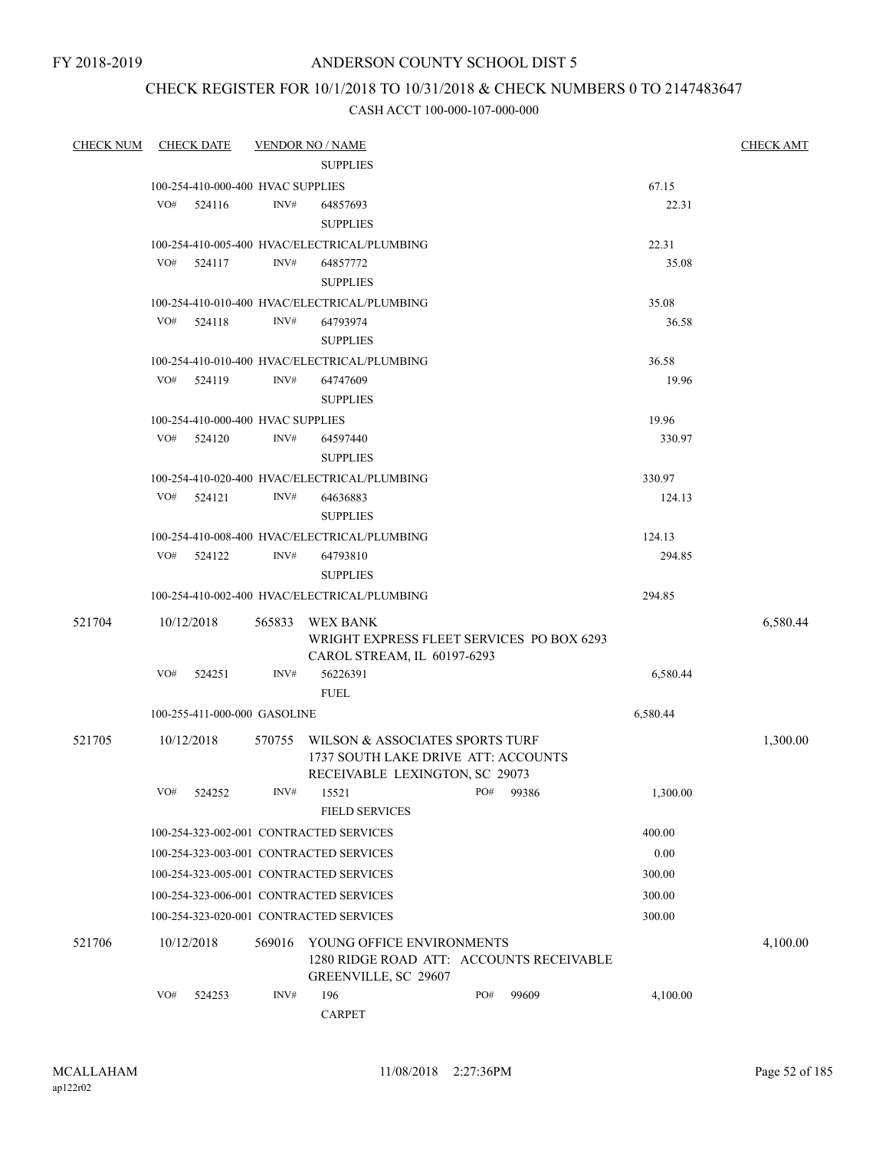## CHECK REGISTER FOR 10/1/2018 TO 10/31/2018 & CHECK NUMBERS 0 TO 2147483647

| <b>CHECK NUM</b> |     | <b>CHECK DATE</b>                 |        | <b>VENDOR NO / NAME</b><br><b>SUPPLIES</b>                                                               |     |                                           |          | <b>CHECK AMT</b> |
|------------------|-----|-----------------------------------|--------|----------------------------------------------------------------------------------------------------------|-----|-------------------------------------------|----------|------------------|
|                  |     | 100-254-410-000-400 HVAC SUPPLIES |        |                                                                                                          |     |                                           | 67.15    |                  |
|                  | VO# | 524116                            | INV#   | 64857693<br><b>SUPPLIES</b>                                                                              |     |                                           | 22.31    |                  |
|                  |     |                                   |        | 100-254-410-005-400 HVAC/ELECTRICAL/PLUMBING                                                             |     |                                           | 22.31    |                  |
|                  | VO# | 524117                            | INV#   | 64857772<br><b>SUPPLIES</b>                                                                              |     |                                           | 35.08    |                  |
|                  |     |                                   |        | 100-254-410-010-400 HVAC/ELECTRICAL/PLUMBING                                                             |     |                                           | 35.08    |                  |
|                  | VO# | 524118                            | INV#   | 64793974<br><b>SUPPLIES</b>                                                                              |     |                                           | 36.58    |                  |
|                  |     |                                   |        | 100-254-410-010-400 HVAC/ELECTRICAL/PLUMBING                                                             |     |                                           | 36.58    |                  |
|                  | VO# | 524119                            | INV#   | 64747609<br><b>SUPPLIES</b>                                                                              |     |                                           | 19.96    |                  |
|                  |     | 100-254-410-000-400 HVAC SUPPLIES |        |                                                                                                          |     |                                           | 19.96    |                  |
|                  | VO# | 524120                            | INV#   | 64597440<br><b>SUPPLIES</b>                                                                              |     |                                           | 330.97   |                  |
|                  |     |                                   |        | 100-254-410-020-400 HVAC/ELECTRICAL/PLUMBING                                                             |     |                                           | 330.97   |                  |
|                  | VO# | 524121                            | INV#   | 64636883<br><b>SUPPLIES</b>                                                                              |     |                                           | 124.13   |                  |
|                  |     |                                   |        | 100-254-410-008-400 HVAC/ELECTRICAL/PLUMBING                                                             |     |                                           | 124.13   |                  |
|                  | VO# | 524122                            | INV#   | 64793810<br><b>SUPPLIES</b>                                                                              |     |                                           | 294.85   |                  |
|                  |     |                                   |        | 100-254-410-002-400 HVAC/ELECTRICAL/PLUMBING                                                             |     |                                           | 294.85   |                  |
| 521704           |     | 10/12/2018                        | 565833 | WEX BANK<br>CAROL STREAM, IL 60197-6293                                                                  |     | WRIGHT EXPRESS FLEET SERVICES PO BOX 6293 |          | 6,580.44         |
|                  | VO# | 524251                            | INV#   | 56226391<br><b>FUEL</b>                                                                                  |     |                                           | 6,580.44 |                  |
|                  |     | 100-255-411-000-000 GASOLINE      |        |                                                                                                          |     |                                           | 6,580.44 |                  |
| 521705           |     | 10/12/2018                        | 570755 | WILSON & ASSOCIATES SPORTS TURF<br>1737 SOUTH LAKE DRIVE ATT: ACCOUNTS<br>RECEIVABLE LEXINGTON, SC 29073 |     |                                           |          | 1,300.00         |
|                  | VO# | 524252                            | INV#   | 15521<br><b>FIELD SERVICES</b>                                                                           | PO# | 99386                                     | 1,300.00 |                  |
|                  |     |                                   |        | 100-254-323-002-001 CONTRACTED SERVICES                                                                  |     |                                           | 400.00   |                  |
|                  |     |                                   |        | 100-254-323-003-001 CONTRACTED SERVICES                                                                  |     |                                           | 0.00     |                  |
|                  |     |                                   |        | 100-254-323-005-001 CONTRACTED SERVICES                                                                  |     |                                           | 300.00   |                  |
|                  |     |                                   |        | 100-254-323-006-001 CONTRACTED SERVICES                                                                  |     |                                           | 300.00   |                  |
|                  |     |                                   |        | 100-254-323-020-001 CONTRACTED SERVICES                                                                  |     |                                           | 300.00   |                  |
| 521706           |     | 10/12/2018                        | 569016 | YOUNG OFFICE ENVIRONMENTS<br><b>GREENVILLE, SC 29607</b>                                                 |     | 1280 RIDGE ROAD ATT: ACCOUNTS RECEIVABLE  |          | 4,100.00         |
|                  | VO# | 524253                            | INV#   | 196<br><b>CARPET</b>                                                                                     | PO# | 99609                                     | 4,100.00 |                  |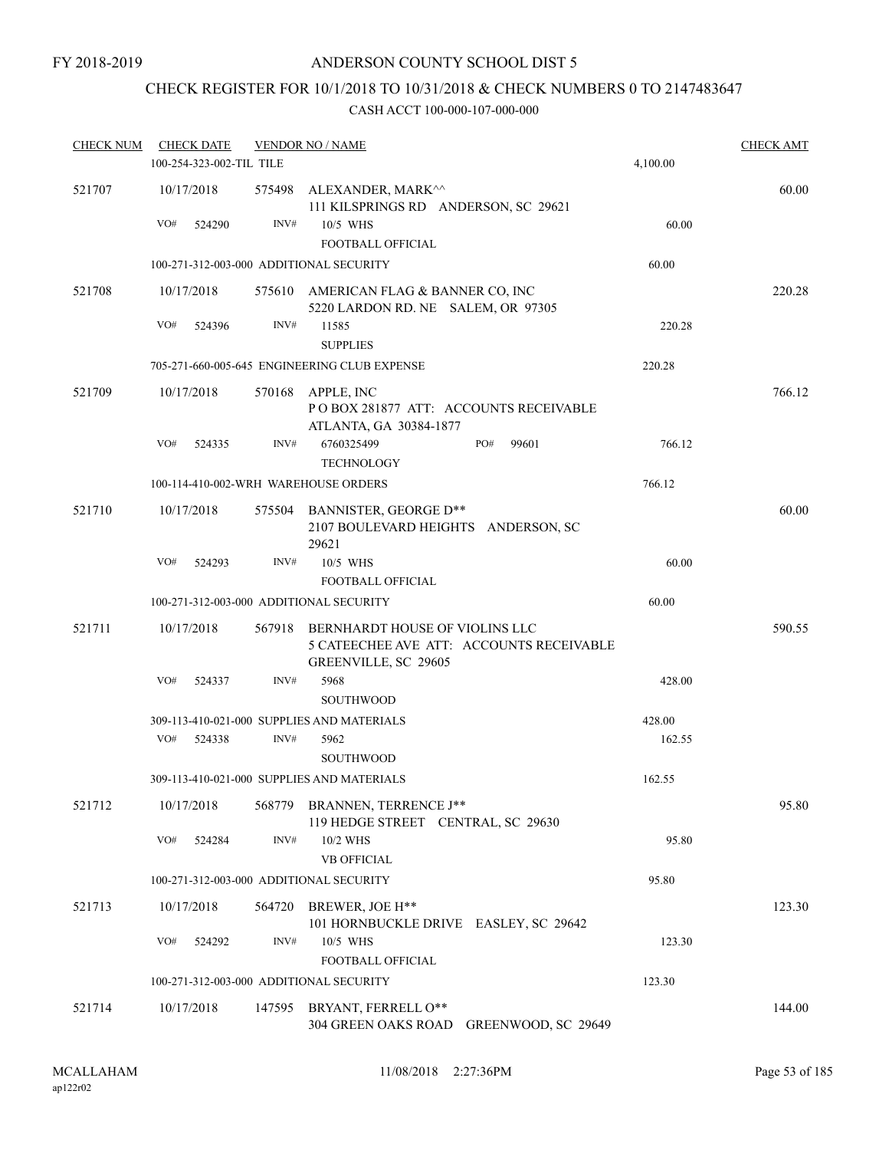# CHECK REGISTER FOR 10/1/2018 TO 10/31/2018 & CHECK NUMBERS 0 TO 2147483647

| <b>CHECK NUM</b> | <b>CHECK DATE</b>        |        | <b>VENDOR NO / NAME</b>                                                                            |          | <b>CHECK AMT</b> |
|------------------|--------------------------|--------|----------------------------------------------------------------------------------------------------|----------|------------------|
|                  | 100-254-323-002-TIL TILE |        |                                                                                                    | 4,100.00 |                  |
| 521707           | 10/17/2018               | 575498 | ALEXANDER, MARK^^<br>111 KILSPRINGS RD ANDERSON, SC 29621                                          |          | 60.00            |
|                  | VO#<br>524290            | INV#   | 10/5 WHS                                                                                           | 60.00    |                  |
|                  |                          |        | FOOTBALL OFFICIAL                                                                                  |          |                  |
|                  |                          |        | 100-271-312-003-000 ADDITIONAL SECURITY                                                            | 60.00    |                  |
| 521708           | 10/17/2018               |        | 575610 AMERICAN FLAG & BANNER CO, INC<br>5220 LARDON RD. NE SALEM, OR 97305                        |          | 220.28           |
|                  | VO#<br>524396            | INV#   | 11585<br><b>SUPPLIES</b>                                                                           | 220.28   |                  |
|                  |                          |        | 705-271-660-005-645 ENGINEERING CLUB EXPENSE                                                       | 220.28   |                  |
| 521709           | 10/17/2018               | 570168 | APPLE, INC                                                                                         |          | 766.12           |
|                  |                          |        | POBOX 281877 ATT: ACCOUNTS RECEIVABLE<br>ATLANTA, GA 30384-1877                                    |          |                  |
|                  | VO#<br>524335            | INV#   | PO#<br>99601<br>6760325499<br><b>TECHNOLOGY</b>                                                    | 766.12   |                  |
|                  |                          |        | 100-114-410-002-WRH WAREHOUSE ORDERS                                                               | 766.12   |                  |
| 521710           | 10/17/2018               | 575504 | BANNISTER, GEORGE D**<br>2107 BOULEVARD HEIGHTS ANDERSON, SC<br>29621                              |          | 60.00            |
|                  | VO#<br>524293            | INV#   | 10/5 WHS                                                                                           | 60.00    |                  |
|                  |                          |        | FOOTBALL OFFICIAL                                                                                  |          |                  |
|                  |                          |        | 100-271-312-003-000 ADDITIONAL SECURITY                                                            | 60.00    |                  |
| 521711           | 10/17/2018               | 567918 | BERNHARDT HOUSE OF VIOLINS LLC<br>5 CATEECHEE AVE ATT: ACCOUNTS RECEIVABLE<br>GREENVILLE, SC 29605 |          | 590.55           |
|                  | VO#<br>524337            | INV#   | 5968<br><b>SOUTHWOOD</b>                                                                           | 428.00   |                  |
|                  |                          |        | 309-113-410-021-000 SUPPLIES AND MATERIALS                                                         | 428.00   |                  |
|                  | VO#<br>524338            | INV#   | 5962                                                                                               | 162.55   |                  |
|                  |                          |        | <b>SOUTHWOOD</b>                                                                                   |          |                  |
|                  |                          |        | 309-113-410-021-000 SUPPLIES AND MATERIALS                                                         | 162.55   |                  |
| 521712           | 10/17/2018               |        | 568779 BRANNEN, TERRENCE J**<br>119 HEDGE STREET CENTRAL, SC 29630                                 |          | 95.80            |
|                  | VO#<br>524284            | INV#   | 10/2 WHS<br><b>VB OFFICIAL</b>                                                                     | 95.80    |                  |
|                  |                          |        | 100-271-312-003-000 ADDITIONAL SECURITY                                                            | 95.80    |                  |
| 521713           | 10/17/2018               | 564720 | BREWER, JOE H**<br>101 HORNBUCKLE DRIVE EASLEY, SC 29642                                           |          | 123.30           |
|                  | VO#<br>524292            | INV#   | 10/5 WHS                                                                                           | 123.30   |                  |
|                  |                          |        | FOOTBALL OFFICIAL                                                                                  |          |                  |
|                  |                          |        | 100-271-312-003-000 ADDITIONAL SECURITY                                                            | 123.30   |                  |
| 521714           | 10/17/2018               |        | 147595 BRYANT, FERRELL O**<br>304 GREEN OAKS ROAD GREENWOOD, SC 29649                              |          | 144.00           |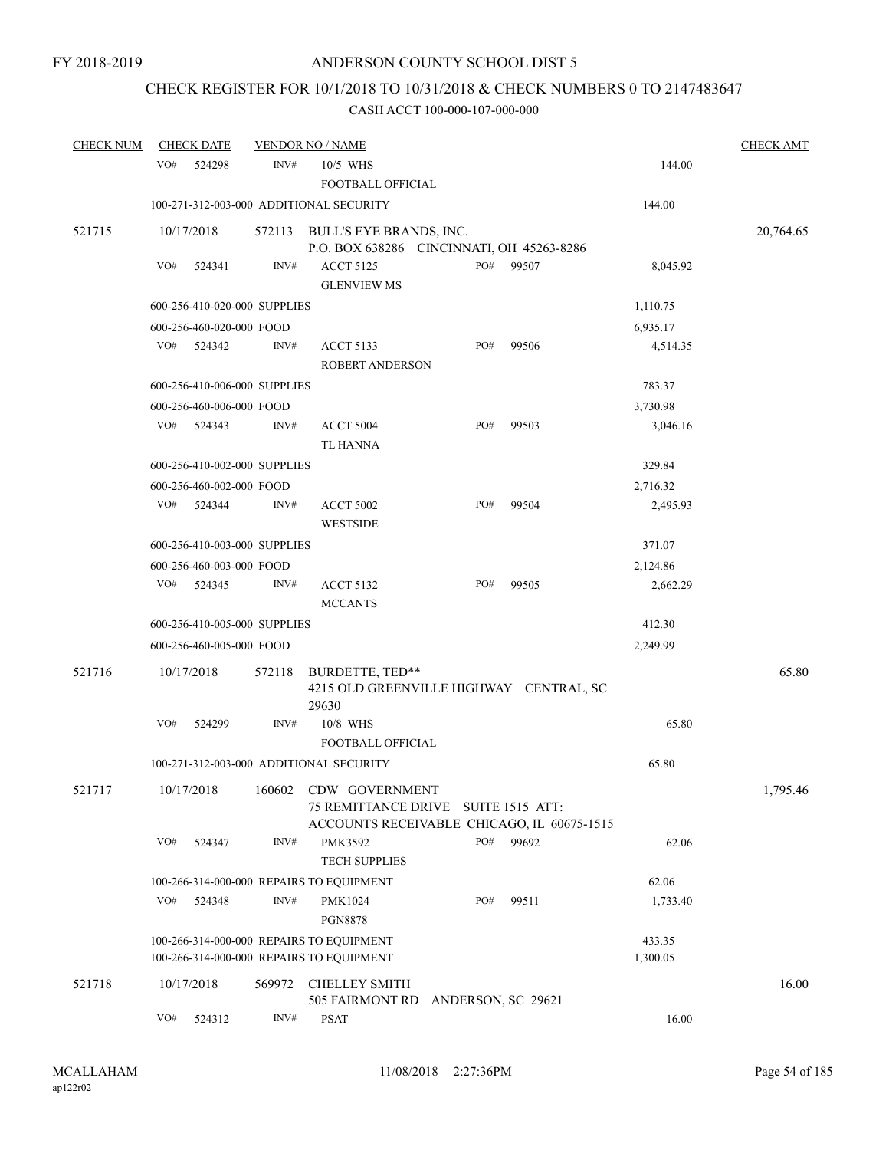# CHECK REGISTER FOR 10/1/2018 TO 10/31/2018 & CHECK NUMBERS 0 TO 2147483647

| <b>CHECK NUM</b> |            | <b>CHECK DATE</b>            |        | <b>VENDOR NO / NAME</b>                                                                                                |                    |       |                    | <b>CHECK AMT</b> |
|------------------|------------|------------------------------|--------|------------------------------------------------------------------------------------------------------------------------|--------------------|-------|--------------------|------------------|
|                  | VO#        | 524298                       | INV#   | 10/5 WHS<br>FOOTBALL OFFICIAL                                                                                          |                    |       | 144.00             |                  |
|                  |            |                              |        | 100-271-312-003-000 ADDITIONAL SECURITY                                                                                |                    |       | 144.00             |                  |
| 521715           | 10/17/2018 |                              |        | 572113 BULL'S EYE BRANDS, INC.<br>P.O. BOX 638286 CINCINNATI, OH 45263-8286                                            |                    |       |                    | 20,764.65        |
|                  | VO#        | 524341                       | INV#   | <b>ACCT 5125</b><br><b>GLENVIEW MS</b>                                                                                 | PO#                | 99507 | 8,045.92           |                  |
|                  |            | 600-256-410-020-000 SUPPLIES |        |                                                                                                                        |                    |       | 1,110.75           |                  |
|                  |            | 600-256-460-020-000 FOOD     |        |                                                                                                                        |                    |       | 6,935.17           |                  |
|                  | VO#        | 524342                       | INV#   | <b>ACCT 5133</b><br>ROBERT ANDERSON                                                                                    | PO#                | 99506 | 4,514.35           |                  |
|                  |            | 600-256-410-006-000 SUPPLIES |        |                                                                                                                        |                    |       | 783.37             |                  |
|                  |            | 600-256-460-006-000 FOOD     |        |                                                                                                                        |                    |       | 3,730.98           |                  |
|                  | VO#        | 524343                       | INV#   | <b>ACCT 5004</b><br><b>TL HANNA</b>                                                                                    | PO#                | 99503 | 3,046.16           |                  |
|                  |            | 600-256-410-002-000 SUPPLIES |        |                                                                                                                        |                    |       | 329.84             |                  |
|                  |            | 600-256-460-002-000 FOOD     |        |                                                                                                                        |                    |       | 2,716.32           |                  |
|                  |            | VO# 524344                   | INV#   | <b>ACCT 5002</b><br><b>WESTSIDE</b>                                                                                    | PO#                | 99504 | 2,495.93           |                  |
|                  |            | 600-256-410-003-000 SUPPLIES |        |                                                                                                                        |                    |       | 371.07             |                  |
|                  |            | 600-256-460-003-000 FOOD     |        |                                                                                                                        |                    |       | 2,124.86           |                  |
|                  | VO#        | 524345                       | INV#   | <b>ACCT 5132</b><br><b>MCCANTS</b>                                                                                     | PO#                | 99505 | 2,662.29           |                  |
|                  |            | 600-256-410-005-000 SUPPLIES |        |                                                                                                                        |                    |       | 412.30             |                  |
|                  |            | 600-256-460-005-000 FOOD     |        |                                                                                                                        |                    |       | 2,249.99           |                  |
| 521716           | 10/17/2018 |                              | 572118 | BURDETTE, TED**<br>4215 OLD GREENVILLE HIGHWAY CENTRAL, SC<br>29630                                                    |                    |       |                    | 65.80            |
|                  | VO#        | 524299                       | INV#   | 10/8 WHS                                                                                                               |                    |       | 65.80              |                  |
|                  |            |                              |        | FOOTBALL OFFICIAL                                                                                                      |                    |       |                    |                  |
|                  |            |                              |        | 100-271-312-003-000 ADDITIONAL SECURITY                                                                                |                    |       | 65.80              |                  |
| 521717           |            |                              |        | 10/17/2018  160602 CDW GOVERNMENT<br>75 REMITTANCE DRIVE SUITE 1515 ATT:<br>ACCOUNTS RECEIVABLE CHICAGO, IL 60675-1515 |                    |       |                    | 1,795.46         |
|                  | VO#        | 524347                       | INV#   | PMK3592<br><b>TECH SUPPLIES</b>                                                                                        | PO#                | 99692 | 62.06              |                  |
|                  |            |                              |        | 100-266-314-000-000 REPAIRS TO EQUIPMENT                                                                               |                    |       | 62.06              |                  |
|                  | VO#        | 524348                       | INV#   | PMK1024<br><b>PGN8878</b>                                                                                              | PO#                | 99511 | 1,733.40           |                  |
|                  |            |                              |        | 100-266-314-000-000 REPAIRS TO EQUIPMENT<br>100-266-314-000-000 REPAIRS TO EQUIPMENT                                   |                    |       | 433.35<br>1,300.05 |                  |
| 521718           | 10/17/2018 |                              | 569972 | <b>CHELLEY SMITH</b><br>505 FAIRMONT RD                                                                                | ANDERSON, SC 29621 |       |                    | 16.00            |
|                  | VO#        | 524312                       | INV#   | <b>PSAT</b>                                                                                                            |                    |       | 16.00              |                  |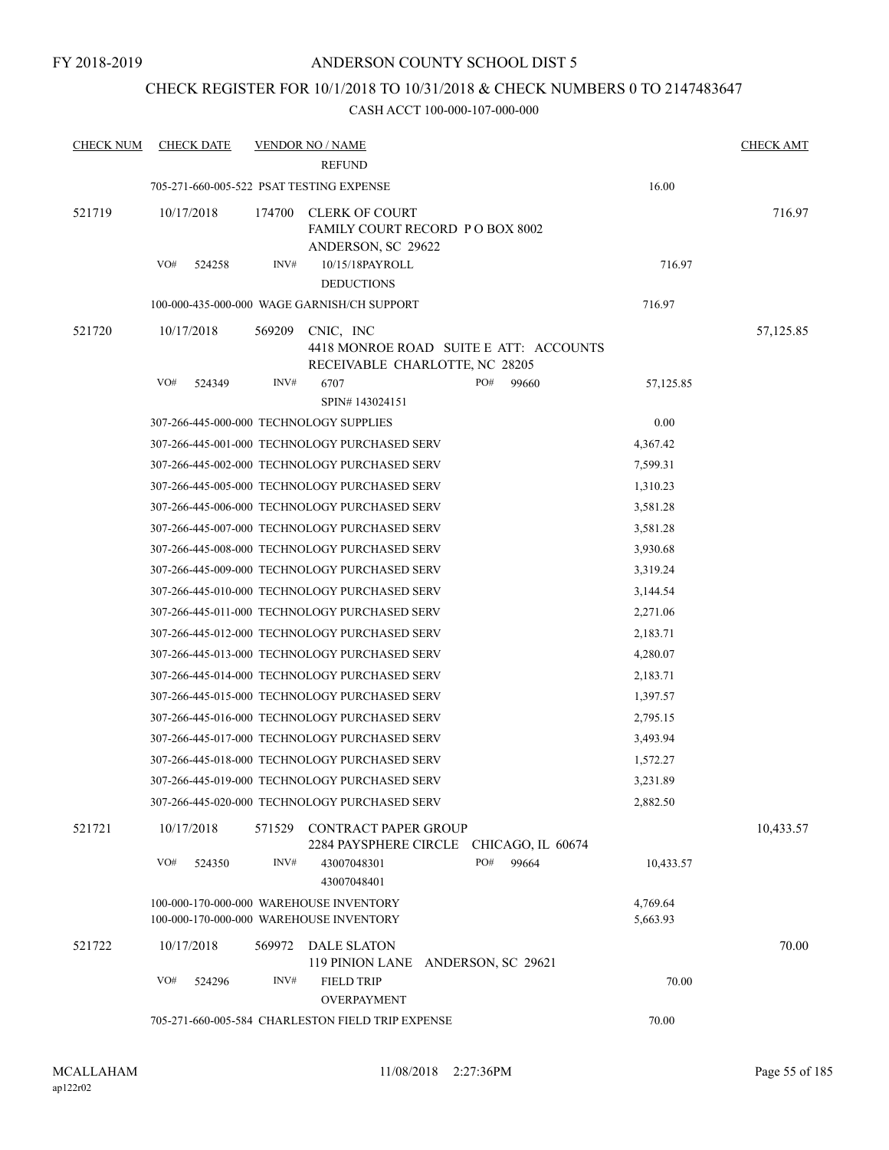## CHECK REGISTER FOR 10/1/2018 TO 10/31/2018 & CHECK NUMBERS 0 TO 2147483647

| <b>CHECK NUM</b> | <b>CHECK DATE</b> | <b>VENDOR NO / NAME</b>                                                                   |                                        |           | <b>CHECK AMT</b> |
|------------------|-------------------|-------------------------------------------------------------------------------------------|----------------------------------------|-----------|------------------|
|                  |                   | <b>REFUND</b>                                                                             |                                        |           |                  |
|                  |                   | 705-271-660-005-522 PSAT TESTING EXPENSE                                                  |                                        | 16.00     |                  |
| 521719           | 10/17/2018        | 174700<br><b>CLERK OF COURT</b><br>FAMILY COURT RECORD P O BOX 8002<br>ANDERSON, SC 29622 |                                        |           | 716.97           |
|                  | VO#<br>524258     | INV#<br>10/15/18PAYROLL<br><b>DEDUCTIONS</b>                                              |                                        | 716.97    |                  |
|                  |                   | 100-000-435-000-000 WAGE GARNISH/CH SUPPORT                                               |                                        | 716.97    |                  |
| 521720           | 10/17/2018        | CNIC, INC<br>569209<br>RECEIVABLE CHARLOTTE, NC 28205                                     | 4418 MONROE ROAD SUITE E ATT: ACCOUNTS |           | 57,125.85        |
|                  | VO#<br>524349     | INV#<br>6707<br>SPIN#143024151                                                            | PO#<br>99660                           | 57,125.85 |                  |
|                  |                   | 307-266-445-000-000 TECHNOLOGY SUPPLIES                                                   |                                        | 0.00      |                  |
|                  |                   | 307-266-445-001-000 TECHNOLOGY PURCHASED SERV                                             |                                        | 4,367.42  |                  |
|                  |                   | 307-266-445-002-000 TECHNOLOGY PURCHASED SERV                                             |                                        | 7,599.31  |                  |
|                  |                   | 307-266-445-005-000 TECHNOLOGY PURCHASED SERV                                             |                                        | 1,310.23  |                  |
|                  |                   | 307-266-445-006-000 TECHNOLOGY PURCHASED SERV                                             |                                        | 3,581.28  |                  |
|                  |                   | 307-266-445-007-000 TECHNOLOGY PURCHASED SERV                                             |                                        | 3,581.28  |                  |
|                  |                   | 307-266-445-008-000 TECHNOLOGY PURCHASED SERV                                             |                                        | 3,930.68  |                  |
|                  |                   | 307-266-445-009-000 TECHNOLOGY PURCHASED SERV                                             |                                        | 3,319.24  |                  |
|                  |                   | 307-266-445-010-000 TECHNOLOGY PURCHASED SERV                                             |                                        | 3,144.54  |                  |
|                  |                   | 307-266-445-011-000 TECHNOLOGY PURCHASED SERV                                             |                                        | 2,271.06  |                  |
|                  |                   | 307-266-445-012-000 TECHNOLOGY PURCHASED SERV                                             |                                        | 2,183.71  |                  |
|                  |                   | 307-266-445-013-000 TECHNOLOGY PURCHASED SERV                                             |                                        | 4,280.07  |                  |
|                  |                   | 307-266-445-014-000 TECHNOLOGY PURCHASED SERV                                             |                                        | 2,183.71  |                  |
|                  |                   | 307-266-445-015-000 TECHNOLOGY PURCHASED SERV                                             |                                        | 1,397.57  |                  |
|                  |                   | 307-266-445-016-000 TECHNOLOGY PURCHASED SERV                                             |                                        | 2,795.15  |                  |
|                  |                   | 307-266-445-017-000 TECHNOLOGY PURCHASED SERV                                             |                                        | 3,493.94  |                  |
|                  |                   | 307-266-445-018-000 TECHNOLOGY PURCHASED SERV                                             |                                        | 1,572.27  |                  |
|                  |                   | 307-266-445-019-000 TECHNOLOGY PURCHASED SERV                                             |                                        | 3,231.89  |                  |
|                  |                   | 307-266-445-020-000 TECHNOLOGY PURCHASED SERV                                             |                                        | 2,882.50  |                  |
| 521721           | 10/17/2018        | 571529<br><b>CONTRACT PAPER GROUP</b><br>2284 PAYSPHERE CIRCLE                            | CHICAGO, IL 60674                      |           | 10,433.57        |
|                  | VO#<br>524350     | INV#<br>43007048301<br>43007048401                                                        | PO#<br>99664                           | 10,433.57 |                  |
|                  |                   | 100-000-170-000-000 WAREHOUSE INVENTORY                                                   |                                        | 4,769.64  |                  |
|                  |                   | 100-000-170-000-000 WAREHOUSE INVENTORY                                                   |                                        | 5,663.93  |                  |
| 521722           | 10/17/2018        | 569972<br>DALE SLATON<br>119 PINION LANE                                                  | ANDERSON, SC 29621                     |           | 70.00            |
|                  | VO#<br>524296     | INV#<br><b>FIELD TRIP</b><br>OVERPAYMENT                                                  |                                        | 70.00     |                  |
|                  |                   | 705-271-660-005-584 CHARLESTON FIELD TRIP EXPENSE                                         |                                        | 70.00     |                  |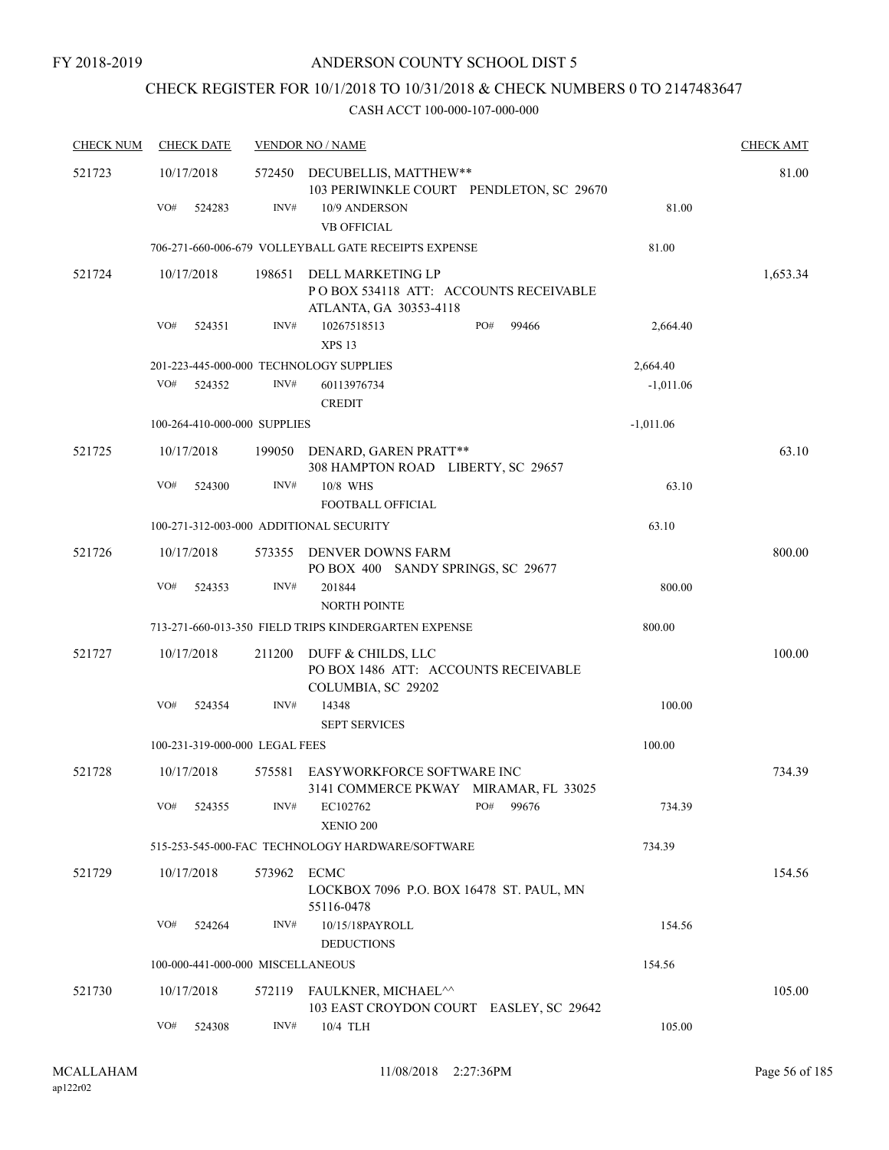# CHECK REGISTER FOR 10/1/2018 TO 10/31/2018 & CHECK NUMBERS 0 TO 2147483647

| <b>CHECK NUM</b> | <b>CHECK DATE</b>                       |             | <b>VENDOR NO / NAME</b>                                                              |             | <b>CHECK AMT</b> |
|------------------|-----------------------------------------|-------------|--------------------------------------------------------------------------------------|-------------|------------------|
| 521723           | 10/17/2018                              |             | 572450 DECUBELLIS, MATTHEW**<br>103 PERIWINKLE COURT PENDLETON, SC 29670             |             | 81.00            |
|                  | VO#<br>524283                           | INV#        | 10/9 ANDERSON<br><b>VB OFFICIAL</b>                                                  | 81.00       |                  |
|                  |                                         |             | 706-271-660-006-679 VOLLEYBALL GATE RECEIPTS EXPENSE                                 | 81.00       |                  |
| 521724           | 10/17/2018                              | 198651      | DELL MARKETING LP<br>POBOX 534118 ATT: ACCOUNTS RECEIVABLE<br>ATLANTA, GA 30353-4118 |             | 1,653.34         |
|                  | VO#<br>524351                           | INV#        | PO#<br>10267518513<br>99466<br><b>XPS 13</b>                                         | 2,664.40    |                  |
|                  | 201-223-445-000-000 TECHNOLOGY SUPPLIES |             |                                                                                      | 2,664.40    |                  |
|                  | VO#<br>524352                           | INV#        | 60113976734<br><b>CREDIT</b>                                                         | $-1,011.06$ |                  |
|                  | 100-264-410-000-000 SUPPLIES            |             |                                                                                      | $-1,011.06$ |                  |
| 521725           | 10/17/2018                              |             | 199050 DENARD, GAREN PRATT**<br>308 HAMPTON ROAD LIBERTY, SC 29657                   |             | 63.10            |
|                  | VO#<br>524300                           | INV#        | 10/8 WHS<br>FOOTBALL OFFICIAL                                                        | 63.10       |                  |
|                  | 100-271-312-003-000 ADDITIONAL SECURITY |             |                                                                                      | 63.10       |                  |
| 521726           | 10/17/2018                              |             | 573355 DENVER DOWNS FARM<br>PO BOX 400 SANDY SPRINGS, SC 29677                       |             | 800.00           |
|                  | VO#<br>524353                           | INV#        | 201844<br><b>NORTH POINTE</b>                                                        | 800.00      |                  |
|                  |                                         |             | 713-271-660-013-350 FIELD TRIPS KINDERGARTEN EXPENSE                                 | 800.00      |                  |
| 521727           | 10/17/2018                              | 211200      | DUFF & CHILDS, LLC<br>PO BOX 1486 ATT: ACCOUNTS RECEIVABLE<br>COLUMBIA, SC 29202     |             | 100.00           |
|                  | VO#<br>524354                           | INV#        | 14348<br><b>SEPT SERVICES</b>                                                        | 100.00      |                  |
|                  | 100-231-319-000-000 LEGAL FEES          |             |                                                                                      | 100.00      |                  |
| 521728           | 10/17/2018                              |             | 575581 EASYWORKFORCE SOFTWARE INC<br>3141 COMMERCE PKWAY MIRAMAR, FL 33025           |             | 734.39           |
|                  | VO#<br>524355                           | INV#        | PO#<br>99676<br>EC102762<br>XENIO 200                                                | 734.39      |                  |
|                  |                                         |             | 515-253-545-000-FAC TECHNOLOGY HARDWARE/SOFTWARE                                     | 734.39      |                  |
| 521729           | 10/17/2018                              | 573962 ECMC | LOCKBOX 7096 P.O. BOX 16478 ST. PAUL, MN<br>55116-0478                               |             | 154.56           |
|                  | VO#<br>524264                           | INV#        | 10/15/18PAYROLL<br><b>DEDUCTIONS</b>                                                 | 154.56      |                  |
|                  | 100-000-441-000-000 MISCELLANEOUS       |             |                                                                                      | 154.56      |                  |
| 521730           | 10/17/2018                              |             | 572119 FAULKNER, MICHAEL <sup>^^</sup><br>103 EAST CROYDON COURT EASLEY, SC 29642    |             | 105.00           |
|                  | VO#<br>524308                           | INV#        | 10/4 TLH                                                                             | 105.00      |                  |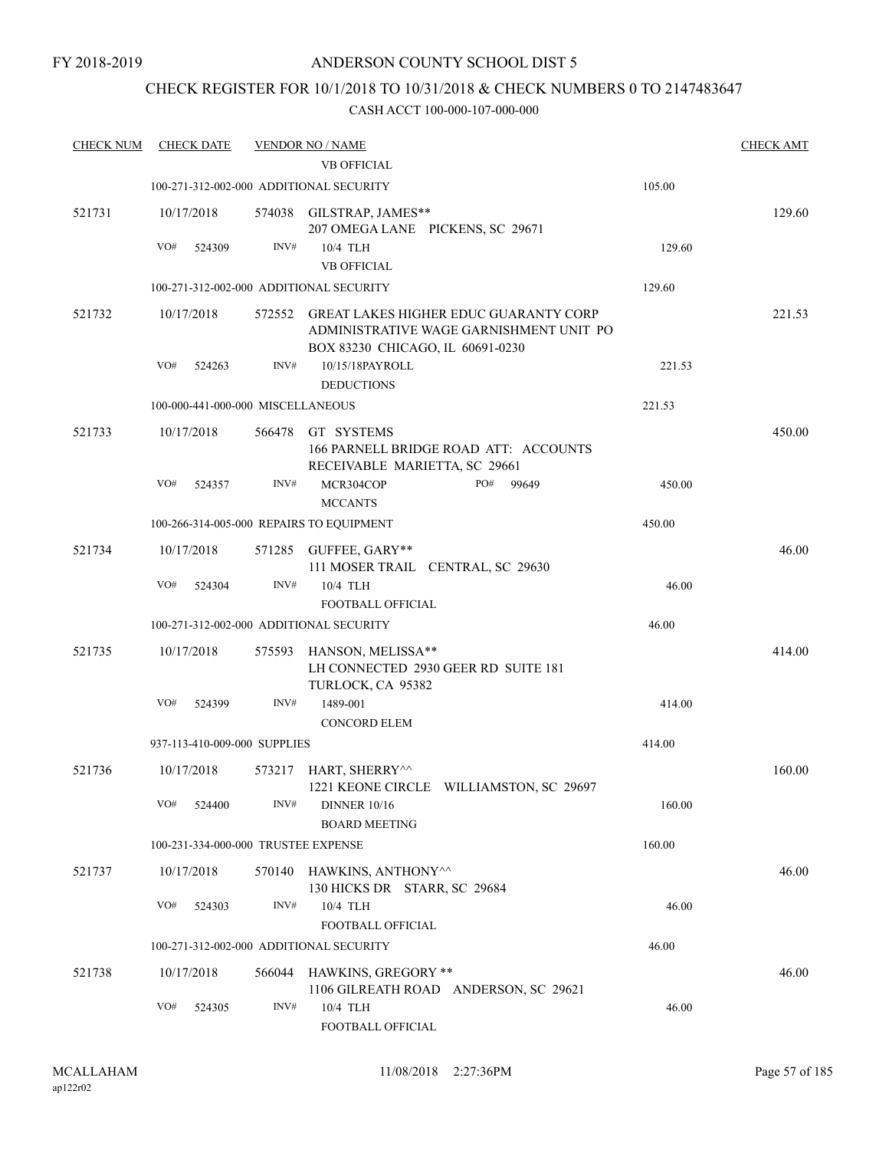## CHECK REGISTER FOR 10/1/2018 TO 10/31/2018 & CHECK NUMBERS 0 TO 2147483647

| <b>CHECK NUM</b> | <b>CHECK DATE</b> |                                          | <b>VENDOR NO / NAME</b>                                                                                                     |        | <b>CHECK AMT</b> |
|------------------|-------------------|------------------------------------------|-----------------------------------------------------------------------------------------------------------------------------|--------|------------------|
|                  |                   |                                          | <b>VB OFFICIAL</b>                                                                                                          |        |                  |
|                  |                   | 100-271-312-002-000 ADDITIONAL SECURITY  |                                                                                                                             | 105.00 |                  |
| 521731           | 10/17/2018        |                                          | 574038 GILSTRAP, JAMES**<br>207 OMEGA LANE PICKENS, SC 29671                                                                |        | 129.60           |
|                  | VO#               | INV#<br>524309                           | 10/4 TLH                                                                                                                    | 129.60 |                  |
|                  |                   |                                          | <b>VB OFFICIAL</b>                                                                                                          |        |                  |
|                  |                   | 100-271-312-002-000 ADDITIONAL SECURITY  |                                                                                                                             | 129.60 |                  |
| 521732           | 10/17/2018        |                                          | 572552 GREAT LAKES HIGHER EDUC GUARANTY CORP<br>ADMINISTRATIVE WAGE GARNISHMENT UNIT PO<br>BOX 83230 CHICAGO, IL 60691-0230 |        | 221.53           |
|                  | VO#               | INV#<br>524263                           | 10/15/18PAYROLL<br><b>DEDUCTIONS</b>                                                                                        | 221.53 |                  |
|                  |                   | 100-000-441-000-000 MISCELLANEOUS        |                                                                                                                             | 221.53 |                  |
| 521733           | 10/17/2018        | 566478                                   | GT SYSTEMS<br>166 PARNELL BRIDGE ROAD ATT: ACCOUNTS                                                                         |        | 450.00           |
|                  | VO#               | INV#<br>524357                           | RECEIVABLE MARIETTA, SC 29661<br>PO#<br>MCR304COP<br>99649<br><b>MCCANTS</b>                                                | 450.00 |                  |
|                  |                   | 100-266-314-005-000 REPAIRS TO EQUIPMENT |                                                                                                                             | 450.00 |                  |
| 521734           | 10/17/2018        |                                          | 571285 GUFFEE, GARY**<br>111 MOSER TRAIL CENTRAL, SC 29630                                                                  |        | 46.00            |
|                  | VO#               | INV#<br>524304                           | 10/4 TLH<br>FOOTBALL OFFICIAL                                                                                               | 46.00  |                  |
|                  |                   | 100-271-312-002-000 ADDITIONAL SECURITY  |                                                                                                                             | 46.00  |                  |
| 521735           | 10/17/2018        | 575593                                   | HANSON, MELISSA**<br>LH CONNECTED 2930 GEER RD SUITE 181<br>TURLOCK, CA 95382                                               |        | 414.00           |
|                  | VO#               | INV#<br>524399                           | 1489-001<br><b>CONCORD ELEM</b>                                                                                             | 414.00 |                  |
|                  |                   | 937-113-410-009-000 SUPPLIES             |                                                                                                                             | 414.00 |                  |
| 521736           | 10/17/2018        |                                          | 573217 HART, SHERRY^^<br>1221 KEONE CIRCLE WILLIAMSTON, SC 29697                                                            |        | 160.00           |
|                  | VO#               | INV#<br>524400                           | <b>DINNER 10/16</b><br><b>BOARD MEETING</b>                                                                                 | 160.00 |                  |
|                  |                   | 100-231-334-000-000 TRUSTEE EXPENSE      |                                                                                                                             | 160.00 |                  |
| 521737           | 10/17/2018        |                                          | 570140 HAWKINS, ANTHONY <sup>11</sup><br>130 HICKS DR STARR, SC 29684                                                       |        | 46.00            |
|                  | VO#               | INV#<br>524303                           | 10/4 TLH<br>FOOTBALL OFFICIAL                                                                                               | 46.00  |                  |
|                  |                   | 100-271-312-002-000 ADDITIONAL SECURITY  |                                                                                                                             | 46.00  |                  |
| 521738           | 10/17/2018        |                                          | 566044 HAWKINS, GREGORY **<br>1106 GILREATH ROAD ANDERSON, SC 29621                                                         |        | 46.00            |
|                  | VO#               | INV#<br>524305                           | 10/4 TLH<br>FOOTBALL OFFICIAL                                                                                               | 46.00  |                  |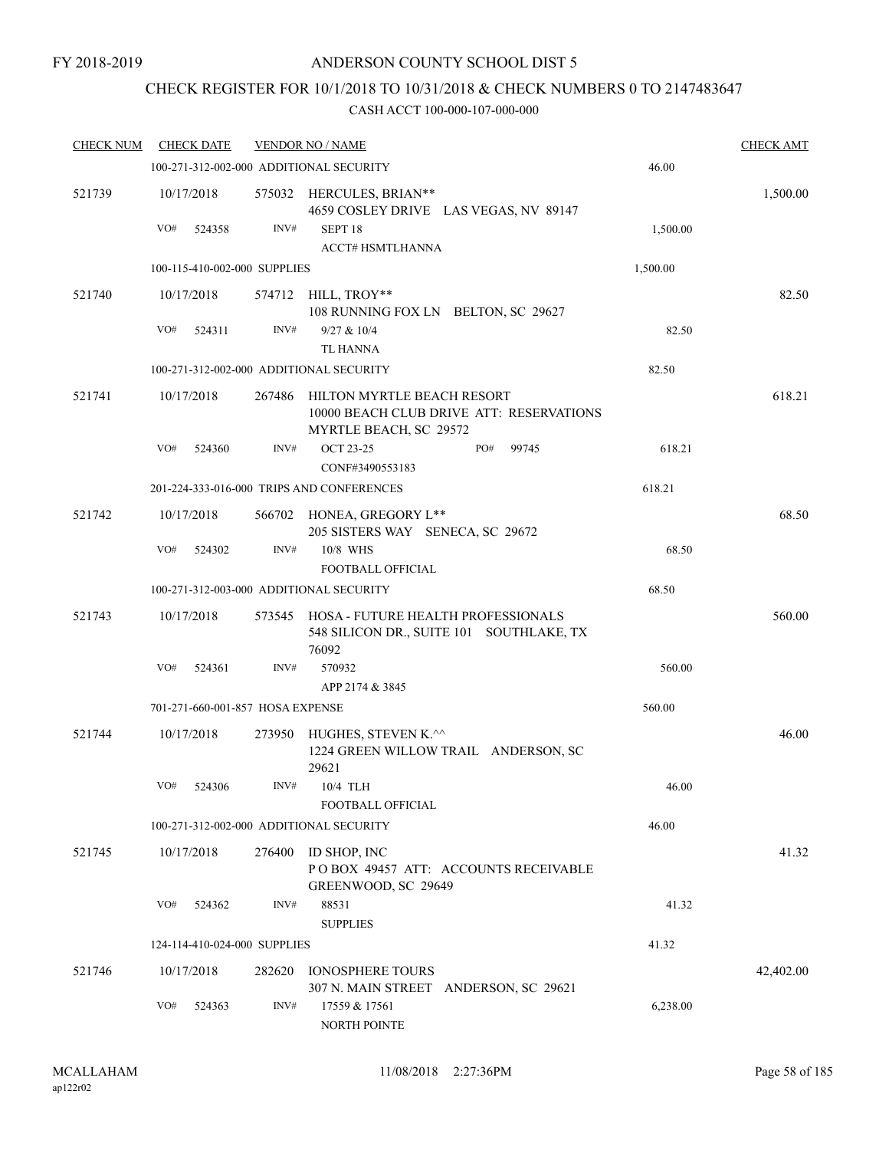## CHECK REGISTER FOR 10/1/2018 TO 10/31/2018 & CHECK NUMBERS 0 TO 2147483647

| <b>CHECK NUM</b> | <b>CHECK DATE</b>                       |        | <b>VENDOR NO / NAME</b>                                                                          |          | <b>CHECK AMT</b> |
|------------------|-----------------------------------------|--------|--------------------------------------------------------------------------------------------------|----------|------------------|
|                  | 100-271-312-002-000 ADDITIONAL SECURITY |        |                                                                                                  | 46.00    |                  |
| 521739           | 10/17/2018                              |        | 575032 HERCULES, BRIAN**<br>4659 COSLEY DRIVE LAS VEGAS, NV 89147                                |          | 1,500.00         |
|                  | VO#<br>524358                           | INV#   | SEPT <sub>18</sub>                                                                               | 1,500.00 |                  |
|                  | 100-115-410-002-000 SUPPLIES            |        | <b>ACCT# HSMTLHANNA</b>                                                                          | 1,500.00 |                  |
|                  |                                         |        |                                                                                                  |          | 82.50            |
| 521740           | 10/17/2018                              |        | 574712 HILL, TROY**<br>108 RUNNING FOX LN BELTON, SC 29627                                       |          |                  |
|                  | VO#<br>524311                           | INV#   | 9/27 & 10/4<br><b>TL HANNA</b>                                                                   | 82.50    |                  |
|                  | 100-271-312-002-000 ADDITIONAL SECURITY |        |                                                                                                  | 82.50    |                  |
| 521741           | 10/17/2018                              | 267486 | HILTON MYRTLE BEACH RESORT<br>10000 BEACH CLUB DRIVE ATT: RESERVATIONS<br>MYRTLE BEACH, SC 29572 |          | 618.21           |
|                  | VO#<br>524360                           | INV#   | PO#<br><b>OCT 23-25</b><br>99745<br>CONF#3490553183                                              | 618.21   |                  |
|                  |                                         |        | 201-224-333-016-000 TRIPS AND CONFERENCES                                                        | 618.21   |                  |
| 521742           | 10/17/2018                              |        | 566702 HONEA, GREGORY L**<br>205 SISTERS WAY SENECA, SC 29672                                    |          | 68.50            |
|                  | VO#<br>524302                           | INV#   | 10/8 WHS                                                                                         | 68.50    |                  |
|                  |                                         |        | <b>FOOTBALL OFFICIAL</b>                                                                         |          |                  |
|                  | 100-271-312-003-000 ADDITIONAL SECURITY |        |                                                                                                  | 68.50    |                  |
| 521743           | 10/17/2018                              |        | 573545 HOSA - FUTURE HEALTH PROFESSIONALS<br>548 SILICON DR., SUITE 101 SOUTHLAKE, TX<br>76092   |          | 560.00           |
|                  | VO#<br>524361                           | INV#   | 570932<br>APP 2174 & 3845                                                                        | 560.00   |                  |
|                  | 701-271-660-001-857 HOSA EXPENSE        |        |                                                                                                  | 560.00   |                  |
| 521744           | 10/17/2018                              | 273950 | HUGHES, STEVEN K.^^<br>1224 GREEN WILLOW TRAIL ANDERSON, SC<br>29621                             |          | 46.00            |
|                  | VO# 524306                              |        | $INV#$ 10/4 TLH                                                                                  | 46.00    |                  |
|                  |                                         |        | FOOTBALL OFFICIAL                                                                                |          |                  |
|                  | 100-271-312-002-000 ADDITIONAL SECURITY |        |                                                                                                  | 46.00    |                  |
| 521745           | 10/17/2018                              |        | 276400 ID SHOP, INC<br>POBOX 49457 ATT: ACCOUNTS RECEIVABLE<br>GREENWOOD, SC 29649               |          | 41.32            |
|                  | VO#<br>524362                           | INV#   | 88531                                                                                            | 41.32    |                  |
|                  |                                         |        | <b>SUPPLIES</b>                                                                                  |          |                  |
|                  | 124-114-410-024-000 SUPPLIES            |        |                                                                                                  | 41.32    |                  |
| 521746           | 10/17/2018                              | 282620 | <b>IONOSPHERE TOURS</b><br>307 N. MAIN STREET ANDERSON, SC 29621                                 |          | 42,402.00        |
|                  | VO#<br>524363                           | INV#   | 17559 & 17561<br>NORTH POINTE                                                                    | 6,238.00 |                  |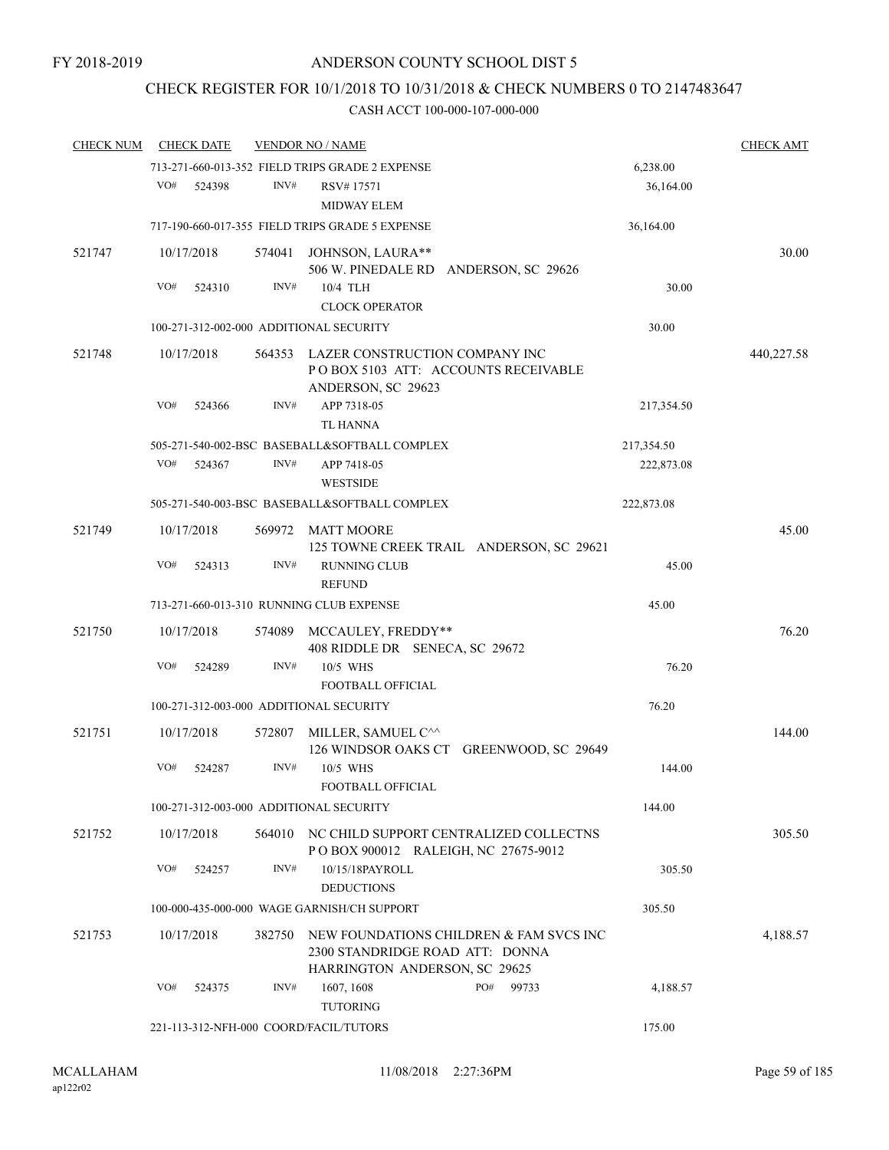## CHECK REGISTER FOR 10/1/2018 TO 10/31/2018 & CHECK NUMBERS 0 TO 2147483647

| <b>CHECK NUM</b> |     | <b>CHECK DATE</b> |        | <b>VENDOR NO / NAME</b>                                          |                                               |            | <b>CHECK AMT</b> |
|------------------|-----|-------------------|--------|------------------------------------------------------------------|-----------------------------------------------|------------|------------------|
|                  |     |                   |        | 713-271-660-013-352 FIELD TRIPS GRADE 2 EXPENSE                  |                                               | 6,238.00   |                  |
|                  | VO# | 524398            | INV#   | RSV#17571<br><b>MIDWAY ELEM</b>                                  |                                               | 36,164.00  |                  |
|                  |     |                   |        | 717-190-660-017-355 FIELD TRIPS GRADE 5 EXPENSE                  |                                               | 36,164.00  |                  |
| 521747           |     | 10/17/2018        | 574041 | JOHNSON, LAURA**                                                 |                                               |            | 30.00            |
|                  |     |                   |        |                                                                  | 506 W. PINEDALE RD ANDERSON, SC 29626         |            |                  |
|                  | VO# | 524310            | INV#   | 10/4 TLH                                                         |                                               | 30.00      |                  |
|                  |     |                   |        | <b>CLOCK OPERATOR</b>                                            |                                               |            |                  |
|                  |     |                   |        | 100-271-312-002-000 ADDITIONAL SECURITY                          |                                               | 30.00      |                  |
| 521748           |     | 10/17/2018        | 564353 | LAZER CONSTRUCTION COMPANY INC<br>ANDERSON, SC 29623             | POBOX 5103 ATT: ACCOUNTS RECEIVABLE           |            | 440,227.58       |
|                  | VO# | 524366            | INV#   | APP 7318-05<br>TL HANNA                                          |                                               | 217,354.50 |                  |
|                  |     |                   |        | 505-271-540-002-BSC BASEBALL&SOFTBALL COMPLEX                    |                                               | 217,354.50 |                  |
|                  | VO# | 524367            | INV#   | APP 7418-05                                                      |                                               | 222,873.08 |                  |
|                  |     |                   |        | <b>WESTSIDE</b>                                                  |                                               |            |                  |
|                  |     |                   |        | 505-271-540-003-BSC BASEBALL&SOFTBALL COMPLEX                    |                                               | 222,873.08 |                  |
| 521749           |     | 10/17/2018        | 569972 | <b>MATT MOORE</b>                                                | 125 TOWNE CREEK TRAIL ANDERSON, SC 29621      |            | 45.00            |
|                  | VO# | 524313            | INV#   | <b>RUNNING CLUB</b>                                              |                                               | 45.00      |                  |
|                  |     |                   |        | <b>REFUND</b><br>713-271-660-013-310 RUNNING CLUB EXPENSE        |                                               | 45.00      |                  |
|                  |     |                   |        |                                                                  |                                               |            |                  |
| 521750           |     | 10/17/2018        | 574089 | MCCAULEY, FREDDY**<br>408 RIDDLE DR SENECA, SC 29672             |                                               |            | 76.20            |
|                  | VO# | 524289            | INV#   | 10/5 WHS                                                         |                                               | 76.20      |                  |
|                  |     |                   |        | <b>FOOTBALL OFFICIAL</b>                                         |                                               |            |                  |
|                  |     |                   |        | 100-271-312-003-000 ADDITIONAL SECURITY                          |                                               | 76.20      |                  |
| 521751           |     | 10/17/2018        | 572807 | MILLER, SAMUEL C^^                                               |                                               |            | 144.00           |
|                  |     |                   |        |                                                                  | 126 WINDSOR OAKS CT GREENWOOD, SC 29649       |            |                  |
|                  | VO# | 524287            | INV#   | 10/5 WHS<br>FOOTBALL OFFICIAL                                    |                                               | 144.00     |                  |
|                  |     |                   |        | 100-271-312-003-000 ADDITIONAL SECURITY                          |                                               | 144.00     |                  |
| 521752           |     | 10/17/2018        |        | POBOX 900012 RALEIGH, NC 27675-9012                              | 564010 NC CHILD SUPPORT CENTRALIZED COLLECTNS |            | 305.50           |
|                  | VO# | 524257            | INV#   | 10/15/18PAYROLL                                                  |                                               | 305.50     |                  |
|                  |     |                   |        | <b>DEDUCTIONS</b><br>100-000-435-000-000 WAGE GARNISH/CH SUPPORT |                                               | 305.50     |                  |
|                  |     |                   |        |                                                                  |                                               |            |                  |
| 521753           |     | 10/17/2018        | 382750 | 2300 STANDRIDGE ROAD ATT: DONNA<br>HARRINGTON ANDERSON, SC 29625 | NEW FOUNDATIONS CHILDREN & FAM SVCS INC       |            | 4,188.57         |
|                  | VO# | 524375            | INV#   | 1607, 1608                                                       | PO#<br>99733                                  | 4,188.57   |                  |
|                  |     |                   |        | <b>TUTORING</b>                                                  |                                               |            |                  |
|                  |     |                   |        | 221-113-312-NFH-000 COORD/FACIL/TUTORS                           |                                               | 175.00     |                  |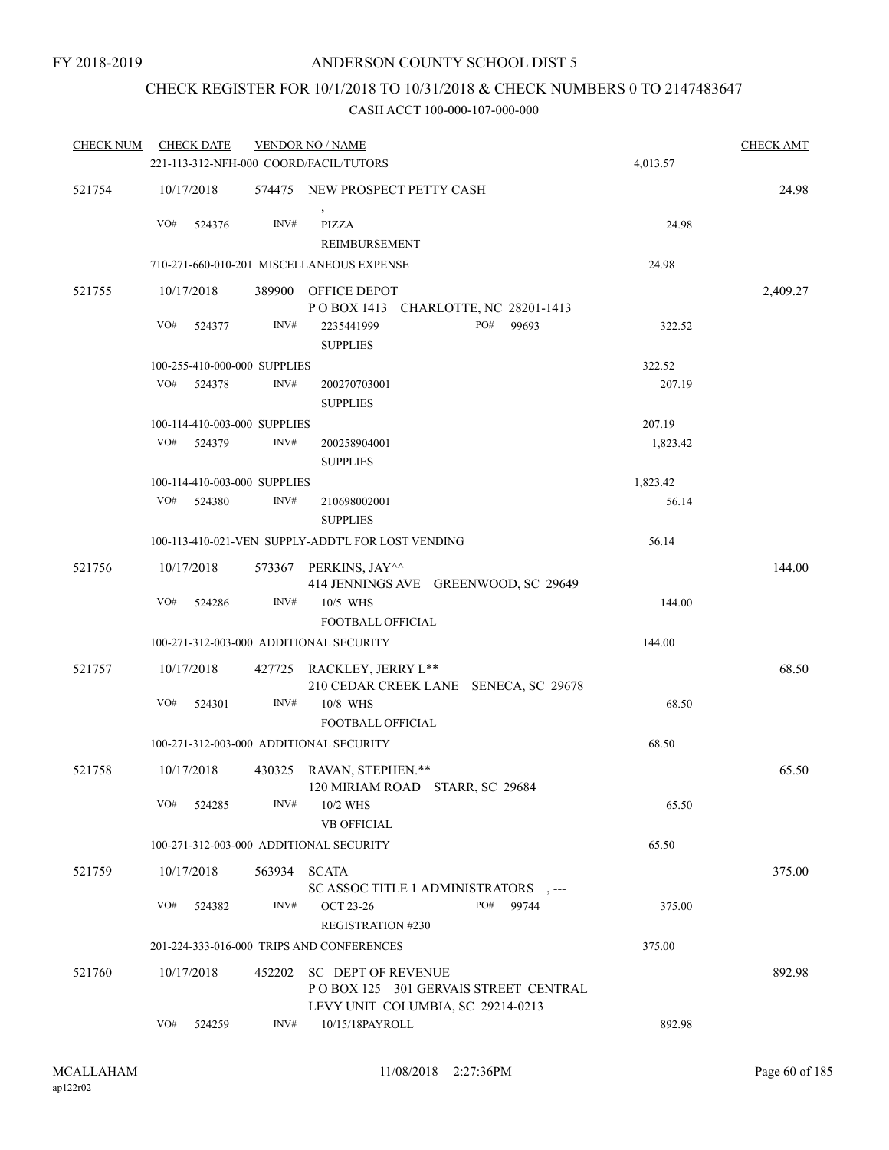# CHECK REGISTER FOR 10/1/2018 TO 10/31/2018 & CHECK NUMBERS 0 TO 2147483647

| CHECK NUM CHECK DATE |     |                              |              | <b>VENDOR NO / NAME</b>                                                                                |          | <b>CHECK AMT</b> |
|----------------------|-----|------------------------------|--------------|--------------------------------------------------------------------------------------------------------|----------|------------------|
|                      |     |                              |              | 221-113-312-NFH-000 COORD/FACIL/TUTORS                                                                 | 4,013.57 |                  |
| 521754               |     | 10/17/2018                   |              | 574475 NEW PROSPECT PETTY CASH                                                                         |          | 24.98            |
|                      | VO# | 524376                       | INV#         | $\,$<br><b>PIZZA</b><br><b>REIMBURSEMENT</b>                                                           | 24.98    |                  |
|                      |     |                              |              | 710-271-660-010-201 MISCELLANEOUS EXPENSE                                                              | 24.98    |                  |
| 521755               |     | 10/17/2018                   |              | 389900 OFFICE DEPOT                                                                                    |          | 2,409.27         |
|                      |     |                              |              | POBOX 1413 CHARLOTTE, NC 28201-1413                                                                    |          |                  |
|                      | VO# | 524377                       | INV#         | PO#<br>99693<br>2235441999<br><b>SUPPLIES</b>                                                          | 322.52   |                  |
|                      |     | 100-255-410-000-000 SUPPLIES |              |                                                                                                        | 322.52   |                  |
|                      | VO# | 524378                       | INV#         | 200270703001<br><b>SUPPLIES</b>                                                                        | 207.19   |                  |
|                      |     | 100-114-410-003-000 SUPPLIES |              |                                                                                                        | 207.19   |                  |
|                      | VO# | 524379                       | INV#         | 200258904001<br><b>SUPPLIES</b>                                                                        | 1,823.42 |                  |
|                      |     | 100-114-410-003-000 SUPPLIES |              |                                                                                                        | 1,823.42 |                  |
|                      | VO# | 524380                       | INV#         | 210698002001<br><b>SUPPLIES</b>                                                                        | 56.14    |                  |
|                      |     |                              |              | 100-113-410-021-VEN SUPPLY-ADDT'L FOR LOST VENDING                                                     | 56.14    |                  |
| 521756               |     | 10/17/2018                   |              | 573367 PERKINS, JAY^^<br>414 JENNINGS AVE GREENWOOD, SC 29649                                          |          | 144.00           |
|                      | VO# | 524286                       | INV#         | 10/5 WHS<br>FOOTBALL OFFICIAL                                                                          | 144.00   |                  |
|                      |     |                              |              | 100-271-312-003-000 ADDITIONAL SECURITY                                                                | 144.00   |                  |
|                      |     |                              |              |                                                                                                        |          |                  |
| 521757               |     | 10/17/2018                   |              | 427725 RACKLEY, JERRY L**<br>210 CEDAR CREEK LANE SENECA, SC 29678                                     |          | 68.50            |
|                      | VO# | 524301                       | INV#         | 10/8 WHS                                                                                               | 68.50    |                  |
|                      |     |                              |              | FOOTBALL OFFICIAL                                                                                      |          |                  |
|                      |     |                              |              | 100-271-312-003-000 ADDITIONAL SECURITY                                                                | 68.50    |                  |
| 521758               |     | 10/17/2018                   |              | 430325 RAVAN, STEPHEN.**<br>120 MIRIAM ROAD STARR, SC 29684                                            |          | 65.50            |
|                      | VO# | 524285                       | INV#         | 10/2 WHS<br><b>VB OFFICIAL</b>                                                                         | 65.50    |                  |
|                      |     |                              |              | 100-271-312-003-000 ADDITIONAL SECURITY                                                                | 65.50    |                  |
| 521759               |     | 10/17/2018                   | 563934 SCATA | SC ASSOC TITLE 1 ADMINISTRATORS , ---                                                                  |          | 375.00           |
|                      | VO# | 524382                       | INV#         | PO#<br><b>OCT 23-26</b><br>99744<br><b>REGISTRATION #230</b>                                           | 375.00   |                  |
|                      |     |                              |              | 201-224-333-016-000 TRIPS AND CONFERENCES                                                              | 375.00   |                  |
|                      |     |                              |              |                                                                                                        |          |                  |
| 521760               |     | 10/17/2018                   |              | 452202 SC DEPT OF REVENUE<br>POBOX 125 301 GERVAIS STREET CENTRAL<br>LEVY UNIT COLUMBIA, SC 29214-0213 |          | 892.98           |
|                      | VO# | 524259                       | INV#         | 10/15/18PAYROLL                                                                                        | 892.98   |                  |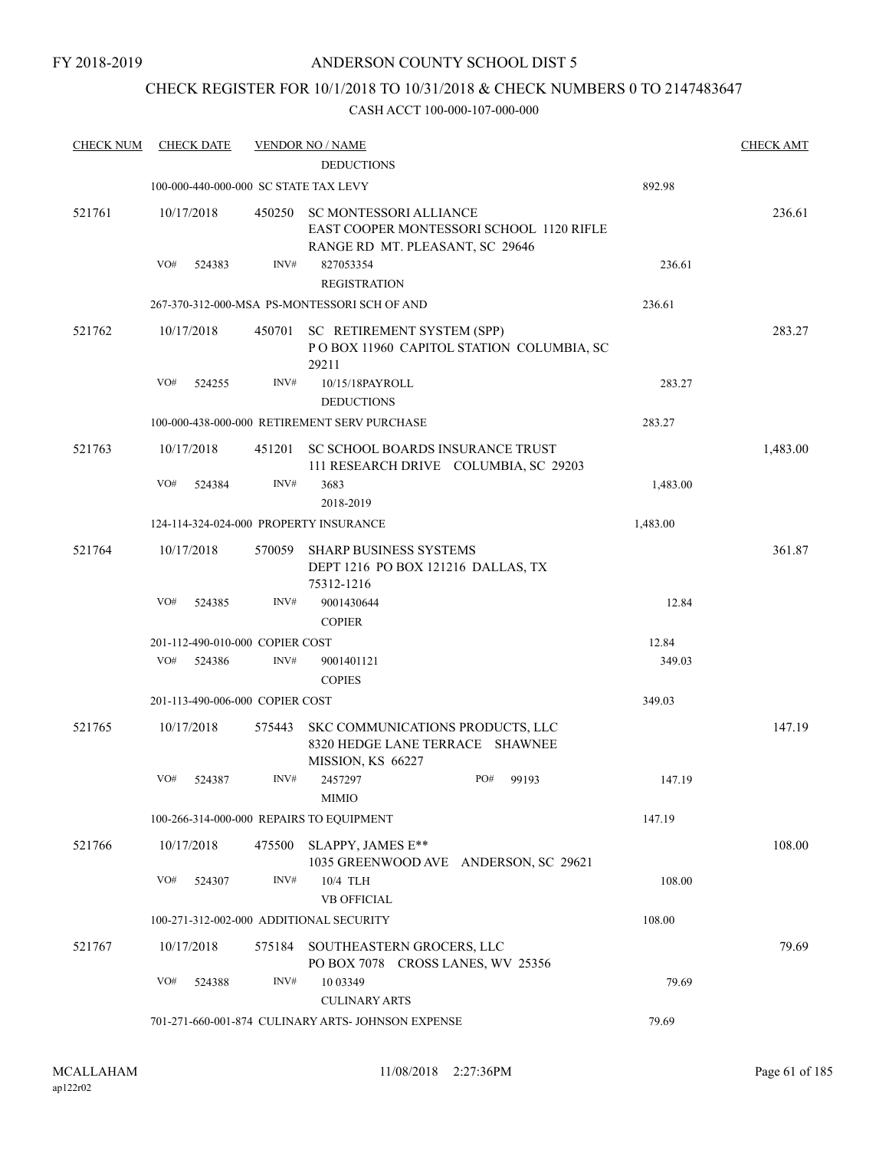## CHECK REGISTER FOR 10/1/2018 TO 10/31/2018 & CHECK NUMBERS 0 TO 2147483647

| <b>CHECK NUM</b> | <b>CHECK DATE</b>                      |        | <b>VENDOR NO / NAME</b>                                                                  |              |          | <b>CHECK AMT</b> |
|------------------|----------------------------------------|--------|------------------------------------------------------------------------------------------|--------------|----------|------------------|
|                  | 100-000-440-000-000 SC STATE TAX LEVY  |        | <b>DEDUCTIONS</b>                                                                        |              | 892.98   |                  |
| 521761           | 10/17/2018                             | 450250 | <b>SC MONTESSORI ALLIANCE</b><br>EAST COOPER MONTESSORI SCHOOL 1120 RIFLE                |              |          | 236.61           |
|                  | VO#<br>524383                          | INV#   | RANGE RD MT. PLEASANT, SC 29646<br>827053354<br><b>REGISTRATION</b>                      |              | 236.61   |                  |
|                  |                                        |        | 267-370-312-000-MSA PS-MONTESSORI SCH OF AND                                             |              | 236.61   |                  |
| 521762           | 10/17/2018                             | 450701 | SC RETIREMENT SYSTEM (SPP)<br>POBOX 11960 CAPITOL STATION COLUMBIA, SC<br>29211          |              |          | 283.27           |
|                  | VO#<br>524255                          | INV#   | 10/15/18PAYROLL<br><b>DEDUCTIONS</b>                                                     |              | 283.27   |                  |
|                  |                                        |        | 100-000-438-000-000 RETIREMENT SERV PURCHASE                                             |              | 283.27   |                  |
| 521763           | 10/17/2018                             | 451201 | SC SCHOOL BOARDS INSURANCE TRUST<br>111 RESEARCH DRIVE COLUMBIA, SC 29203                |              |          | 1,483.00         |
|                  | VO#<br>524384                          | INV#   | 3683<br>2018-2019                                                                        |              | 1,483.00 |                  |
|                  | 124-114-324-024-000 PROPERTY INSURANCE |        |                                                                                          |              | 1,483.00 |                  |
| 521764           | 10/17/2018                             | 570059 | <b>SHARP BUSINESS SYSTEMS</b><br>DEPT 1216 PO BOX 121216 DALLAS, TX<br>75312-1216        |              |          | 361.87           |
|                  | VO#<br>524385                          | INV#   | 9001430644<br><b>COPIER</b>                                                              |              | 12.84    |                  |
|                  | 201-112-490-010-000 COPIER COST        |        |                                                                                          |              | 12.84    |                  |
|                  | VO#<br>524386                          | INV#   | 9001401121<br><b>COPIES</b>                                                              |              | 349.03   |                  |
|                  | 201-113-490-006-000 COPIER COST        |        |                                                                                          |              | 349.03   |                  |
| 521765           | 10/17/2018                             | 575443 | SKC COMMUNICATIONS PRODUCTS, LLC<br>8320 HEDGE LANE TERRACE SHAWNEE<br>MISSION, KS 66227 |              |          | 147.19           |
|                  | VO#<br>524387                          | INV#   | 2457297<br><b>MIMIO</b>                                                                  | PO#<br>99193 | 147.19   |                  |
|                  |                                        |        | 100-266-314-000-000 REPAIRS TO EQUIPMENT                                                 |              | 147.19   |                  |
| 521766           | 10/17/2018                             |        | 475500 SLAPPY, JAMES E**<br>1035 GREENWOOD AVE ANDERSON, SC 29621                        |              |          | 108.00           |
|                  | VO#<br>524307                          | INV#   | 10/4 TLH<br><b>VB OFFICIAL</b>                                                           |              | 108.00   |                  |
|                  |                                        |        | 100-271-312-002-000 ADDITIONAL SECURITY                                                  |              | 108.00   |                  |
| 521767           | 10/17/2018                             | 575184 | SOUTHEASTERN GROCERS, LLC<br>PO BOX 7078 CROSS LANES, WV 25356                           |              |          | 79.69            |
|                  | VO#<br>524388                          | INV#   | 10 03 349<br><b>CULINARY ARTS</b>                                                        |              | 79.69    |                  |
|                  |                                        |        | 701-271-660-001-874 CULINARY ARTS- JOHNSON EXPENSE                                       |              | 79.69    |                  |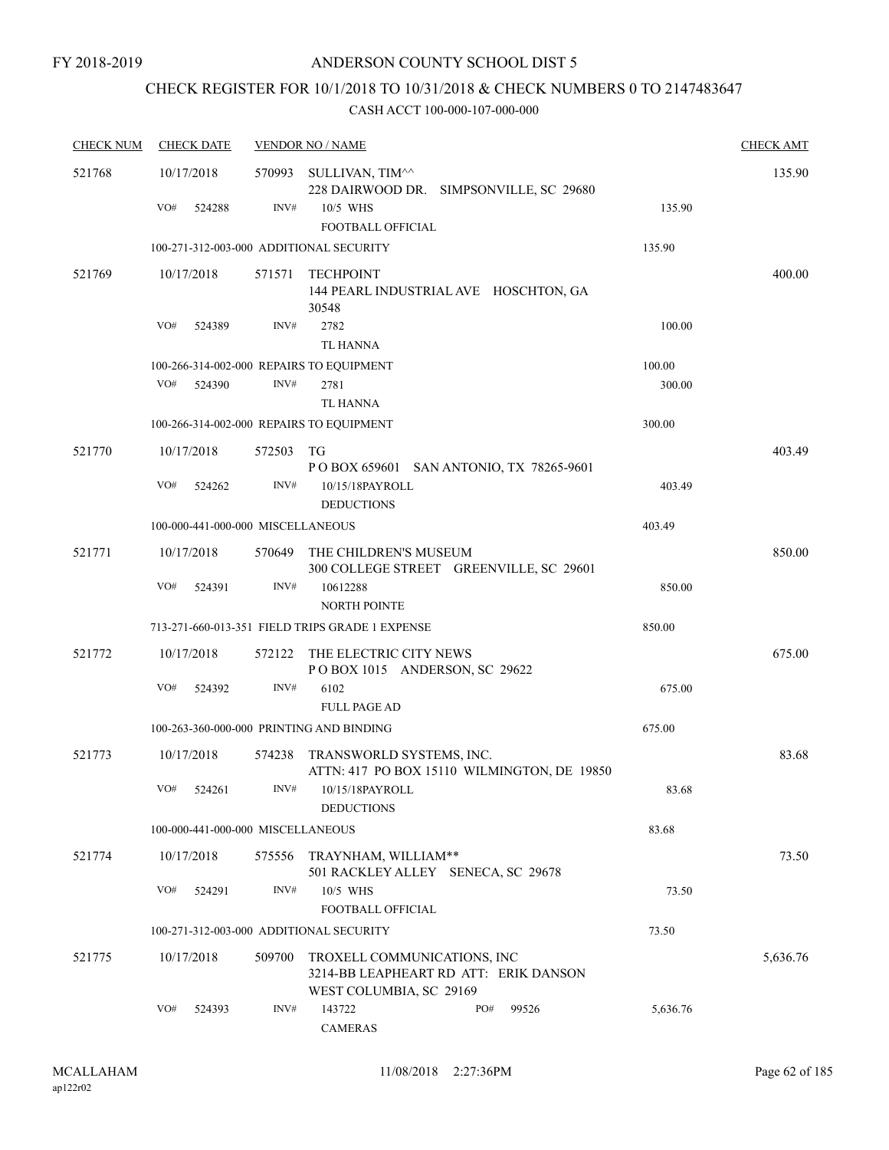## CHECK REGISTER FOR 10/1/2018 TO 10/31/2018 & CHECK NUMBERS 0 TO 2147483647

| <b>CHECK NUM</b> | <b>CHECK DATE</b>                        |           | <b>VENDOR NO / NAME</b>                                                                         |          | <b>CHECK AMT</b> |
|------------------|------------------------------------------|-----------|-------------------------------------------------------------------------------------------------|----------|------------------|
| 521768           | 10/17/2018                               |           | 570993 SULLIVAN, TIM^^<br>228 DAIRWOOD DR. SIMPSONVILLE, SC 29680                               |          | 135.90           |
|                  | VO#<br>524288                            | INV#      | 10/5 WHS<br><b>FOOTBALL OFFICIAL</b>                                                            | 135.90   |                  |
|                  | 100-271-312-003-000 ADDITIONAL SECURITY  |           |                                                                                                 | 135.90   |                  |
| 521769           | 10/17/2018                               | 571571    | <b>TECHPOINT</b><br>144 PEARL INDUSTRIAL AVE HOSCHTON, GA<br>30548                              |          | 400.00           |
|                  | VO#<br>524389                            | INV#      | 2782<br>TL HANNA                                                                                | 100.00   |                  |
|                  | 100-266-314-002-000 REPAIRS TO EQUIPMENT |           |                                                                                                 | 100.00   |                  |
|                  | VO#<br>524390                            | INV#      | 2781<br><b>TL HANNA</b>                                                                         | 300.00   |                  |
|                  | 100-266-314-002-000 REPAIRS TO EQUIPMENT |           |                                                                                                 | 300.00   |                  |
| 521770           | 10/17/2018                               | 572503 TG | P O BOX 659601 SAN ANTONIO, TX 78265-9601                                                       |          | 403.49           |
|                  | VO#<br>524262                            | INV#      | 10/15/18PAYROLL<br><b>DEDUCTIONS</b>                                                            | 403.49   |                  |
|                  | 100-000-441-000-000 MISCELLANEOUS        |           |                                                                                                 | 403.49   |                  |
| 521771           | 10/17/2018                               |           | 570649 THE CHILDREN'S MUSEUM<br>300 COLLEGE STREET GREENVILLE, SC 29601                         |          | 850.00           |
|                  | VO#<br>524391                            | INV#      | 10612288<br><b>NORTH POINTE</b>                                                                 | 850.00   |                  |
|                  |                                          |           | 713-271-660-013-351 FIELD TRIPS GRADE 1 EXPENSE                                                 | 850.00   |                  |
| 521772           | 10/17/2018                               | 572122    | THE ELECTRIC CITY NEWS<br>POBOX 1015 ANDERSON, SC 29622                                         |          | 675.00           |
|                  | VO#<br>524392                            | INV#      | 6102<br><b>FULL PAGE AD</b>                                                                     | 675.00   |                  |
|                  | 100-263-360-000-000 PRINTING AND BINDING |           |                                                                                                 | 675.00   |                  |
| 521773           | 10/17/2018                               | 574238    | TRANSWORLD SYSTEMS, INC.<br>ATTN: 417 PO BOX 15110 WILMINGTON, DE 19850                         |          | 83.68            |
|                  | VO# 524261                               |           | INV# 10/15/18PAYROLL<br><b>DEDUCTIONS</b>                                                       | 83.68    |                  |
|                  | 100-000-441-000-000 MISCELLANEOUS        |           |                                                                                                 | 83.68    |                  |
| 521774           | 10/17/2018                               |           | 575556 TRAYNHAM, WILLIAM**<br>501 RACKLEY ALLEY SENECA, SC 29678                                |          | 73.50            |
|                  | VO#<br>524291                            | INV#      | 10/5 WHS<br>FOOTBALL OFFICIAL                                                                   | 73.50    |                  |
|                  | 100-271-312-003-000 ADDITIONAL SECURITY  |           |                                                                                                 | 73.50    |                  |
| 521775           | 10/17/2018                               | 509700    | TROXELL COMMUNICATIONS, INC<br>3214-BB LEAPHEART RD ATT: ERIK DANSON<br>WEST COLUMBIA, SC 29169 |          | 5,636.76         |
|                  | VO#<br>524393                            | INV#      | 143722<br>PO#<br>99526<br><b>CAMERAS</b>                                                        | 5,636.76 |                  |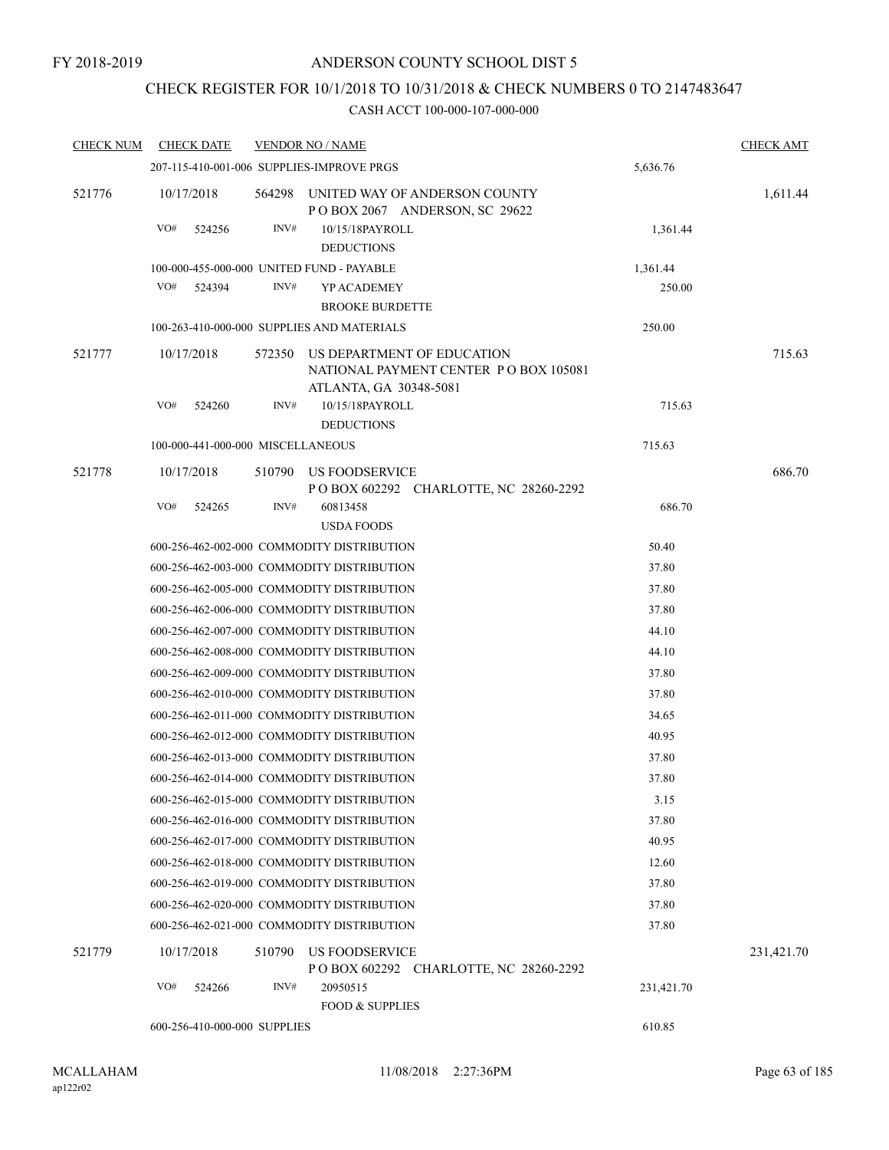## CHECK REGISTER FOR 10/1/2018 TO 10/31/2018 & CHECK NUMBERS 0 TO 2147483647

| <b>CHECK NUM</b> | <b>CHECK DATE</b>                         | <b>VENDOR NO / NAME</b>                    |                                                                                               |            |            |  |
|------------------|-------------------------------------------|--------------------------------------------|-----------------------------------------------------------------------------------------------|------------|------------|--|
|                  |                                           |                                            | 207-115-410-001-006 SUPPLIES-IMPROVE PRGS                                                     | 5,636.76   |            |  |
| 521776           | 10/17/2018                                | 564298                                     | UNITED WAY OF ANDERSON COUNTY<br>POBOX 2067 ANDERSON, SC 29622                                |            | 1,611.44   |  |
|                  | VO#<br>524256                             | INV#                                       | 10/15/18PAYROLL<br><b>DEDUCTIONS</b>                                                          | 1,361.44   |            |  |
|                  | 100-000-455-000-000 UNITED FUND - PAYABLE |                                            |                                                                                               | 1,361.44   |            |  |
|                  | VO#<br>524394                             | INV#                                       | YP ACADEMEY                                                                                   | 250.00     |            |  |
|                  |                                           |                                            | <b>BROOKE BURDETTE</b>                                                                        |            |            |  |
|                  |                                           |                                            | 100-263-410-000-000 SUPPLIES AND MATERIALS                                                    | 250.00     |            |  |
| 521777           | 10/17/2018                                | 572350                                     | US DEPARTMENT OF EDUCATION<br>NATIONAL PAYMENT CENTER PO BOX 105081<br>ATLANTA, GA 30348-5081 |            | 715.63     |  |
|                  | VO#<br>524260                             | INV#                                       | 10/15/18PAYROLL                                                                               | 715.63     |            |  |
|                  |                                           |                                            | <b>DEDUCTIONS</b>                                                                             |            |            |  |
|                  | 100-000-441-000-000 MISCELLANEOUS         |                                            |                                                                                               | 715.63     |            |  |
| 521778           | 10/17/2018                                | 510790                                     | US FOODSERVICE<br>P O BOX 602292 CHARLOTTE, NC 28260-2292                                     |            | 686.70     |  |
|                  | VO#<br>524265                             | INV#                                       | 60813458<br><b>USDA FOODS</b>                                                                 | 686.70     |            |  |
|                  |                                           |                                            | 600-256-462-002-000 COMMODITY DISTRIBUTION                                                    | 50.40      |            |  |
|                  |                                           |                                            | 600-256-462-003-000 COMMODITY DISTRIBUTION                                                    | 37.80      |            |  |
|                  |                                           | 600-256-462-005-000 COMMODITY DISTRIBUTION | 37.80                                                                                         |            |            |  |
|                  |                                           |                                            | 600-256-462-006-000 COMMODITY DISTRIBUTION                                                    | 37.80      |            |  |
|                  |                                           |                                            | 600-256-462-007-000 COMMODITY DISTRIBUTION                                                    | 44.10      |            |  |
|                  |                                           |                                            | 600-256-462-008-000 COMMODITY DISTRIBUTION                                                    | 44.10      |            |  |
|                  |                                           |                                            | 600-256-462-009-000 COMMODITY DISTRIBUTION                                                    | 37.80      |            |  |
|                  |                                           |                                            | 600-256-462-010-000 COMMODITY DISTRIBUTION                                                    | 37.80      |            |  |
|                  |                                           |                                            | 600-256-462-011-000 COMMODITY DISTRIBUTION                                                    | 34.65      |            |  |
|                  |                                           |                                            | 600-256-462-012-000 COMMODITY DISTRIBUTION                                                    | 40.95      |            |  |
|                  |                                           |                                            | 600-256-462-013-000 COMMODITY DISTRIBUTION                                                    | 37.80      |            |  |
|                  |                                           |                                            | 600-256-462-014-000 COMMODITY DISTRIBUTION                                                    | 37.80      |            |  |
|                  |                                           |                                            | 600-256-462-015-000 COMMODITY DISTRIBUTION                                                    | 3.15       |            |  |
|                  |                                           |                                            | 600-256-462-016-000 COMMODITY DISTRIBUTION                                                    | 37.80      |            |  |
|                  |                                           |                                            | 600-256-462-017-000 COMMODITY DISTRIBUTION                                                    | 40.95      |            |  |
|                  |                                           |                                            | 600-256-462-018-000 COMMODITY DISTRIBUTION                                                    | 12.60      |            |  |
|                  |                                           |                                            | 600-256-462-019-000 COMMODITY DISTRIBUTION                                                    | 37.80      |            |  |
|                  |                                           |                                            | 600-256-462-020-000 COMMODITY DISTRIBUTION                                                    | 37.80      |            |  |
|                  |                                           |                                            | 600-256-462-021-000 COMMODITY DISTRIBUTION                                                    | 37.80      |            |  |
| 521779           | 10/17/2018                                | 510790                                     | US FOODSERVICE<br>P O BOX 602292 CHARLOTTE, NC 28260-2292                                     |            | 231,421.70 |  |
|                  | VO#<br>524266                             | INV#                                       | 20950515<br>FOOD & SUPPLIES                                                                   | 231,421.70 |            |  |
|                  | 600-256-410-000-000 SUPPLIES              |                                            |                                                                                               | 610.85     |            |  |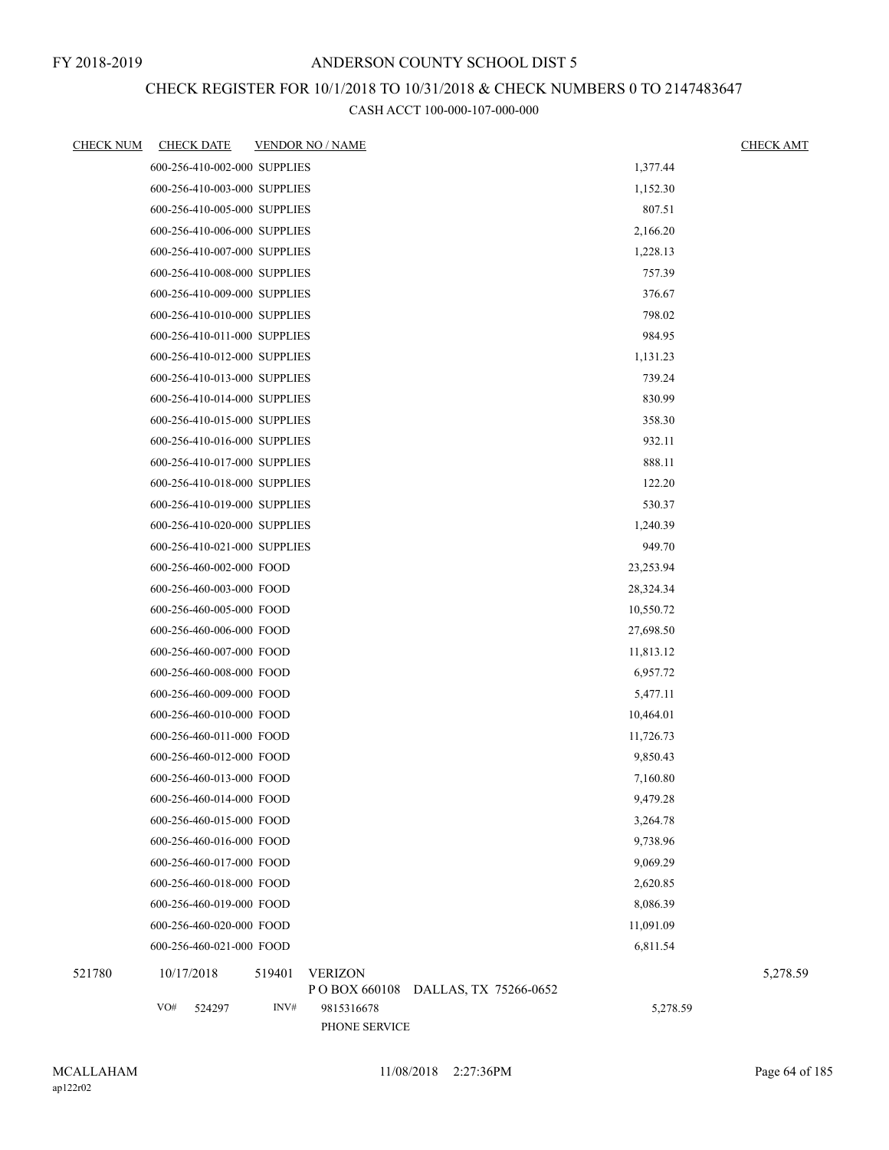### CHECK REGISTER FOR 10/1/2018 TO 10/31/2018 & CHECK NUMBERS 0 TO 2147483647

| <b>CHECK NUM</b> | <b>CHECK DATE</b>            |        | <b>VENDOR NO / NAME</b>            |  |           | <b>CHECK AMT</b> |
|------------------|------------------------------|--------|------------------------------------|--|-----------|------------------|
|                  | 600-256-410-002-000 SUPPLIES |        |                                    |  | 1,377.44  |                  |
|                  | 600-256-410-003-000 SUPPLIES |        |                                    |  | 1,152.30  |                  |
|                  | 600-256-410-005-000 SUPPLIES |        |                                    |  | 807.51    |                  |
|                  | 600-256-410-006-000 SUPPLIES |        |                                    |  | 2,166.20  |                  |
|                  | 600-256-410-007-000 SUPPLIES |        |                                    |  | 1,228.13  |                  |
|                  | 600-256-410-008-000 SUPPLIES |        |                                    |  | 757.39    |                  |
|                  | 600-256-410-009-000 SUPPLIES |        |                                    |  | 376.67    |                  |
|                  | 600-256-410-010-000 SUPPLIES |        |                                    |  | 798.02    |                  |
|                  | 600-256-410-011-000 SUPPLIES |        |                                    |  | 984.95    |                  |
|                  | 600-256-410-012-000 SUPPLIES |        |                                    |  | 1,131.23  |                  |
|                  | 600-256-410-013-000 SUPPLIES |        |                                    |  | 739.24    |                  |
|                  | 600-256-410-014-000 SUPPLIES |        |                                    |  | 830.99    |                  |
|                  | 600-256-410-015-000 SUPPLIES |        |                                    |  | 358.30    |                  |
|                  | 600-256-410-016-000 SUPPLIES |        |                                    |  | 932.11    |                  |
|                  | 600-256-410-017-000 SUPPLIES |        |                                    |  | 888.11    |                  |
|                  | 600-256-410-018-000 SUPPLIES |        |                                    |  | 122.20    |                  |
|                  | 600-256-410-019-000 SUPPLIES |        |                                    |  | 530.37    |                  |
|                  | 600-256-410-020-000 SUPPLIES |        |                                    |  | 1,240.39  |                  |
|                  | 600-256-410-021-000 SUPPLIES |        |                                    |  | 949.70    |                  |
|                  | 600-256-460-002-000 FOOD     |        |                                    |  | 23,253.94 |                  |
|                  | 600-256-460-003-000 FOOD     |        |                                    |  | 28,324.34 |                  |
|                  | 600-256-460-005-000 FOOD     |        |                                    |  | 10,550.72 |                  |
|                  | 600-256-460-006-000 FOOD     |        |                                    |  | 27,698.50 |                  |
|                  | 600-256-460-007-000 FOOD     |        |                                    |  | 11,813.12 |                  |
|                  | 600-256-460-008-000 FOOD     |        |                                    |  | 6,957.72  |                  |
|                  | 600-256-460-009-000 FOOD     |        |                                    |  | 5,477.11  |                  |
|                  | 600-256-460-010-000 FOOD     |        |                                    |  | 10,464.01 |                  |
|                  | 600-256-460-011-000 FOOD     |        |                                    |  | 11,726.73 |                  |
|                  | 600-256-460-012-000 FOOD     |        |                                    |  | 9,850.43  |                  |
|                  | 600-256-460-013-000 FOOD     |        |                                    |  | 7,160.80  |                  |
|                  | 600-256-460-014-000 FOOD     |        |                                    |  | 9,479.28  |                  |
|                  | 600-256-460-015-000 FOOD     |        |                                    |  | 3,264.78  |                  |
|                  | 600-256-460-016-000 FOOD     |        |                                    |  | 9,738.96  |                  |
|                  | 600-256-460-017-000 FOOD     |        |                                    |  | 9,069.29  |                  |
|                  | 600-256-460-018-000 FOOD     |        |                                    |  | 2,620.85  |                  |
|                  | 600-256-460-019-000 FOOD     |        |                                    |  | 8,086.39  |                  |
|                  | 600-256-460-020-000 FOOD     |        |                                    |  | 11,091.09 |                  |
|                  | 600-256-460-021-000 FOOD     |        |                                    |  | 6,811.54  |                  |
| 521780           | 10/17/2018                   | 519401 | <b>VERIZON</b>                     |  |           | 5,278.59         |
|                  |                              |        | POBOX 660108 DALLAS, TX 75266-0652 |  |           |                  |
|                  | VO#<br>524297                | INV#   | 9815316678<br>PHONE SERVICE        |  | 5,278.59  |                  |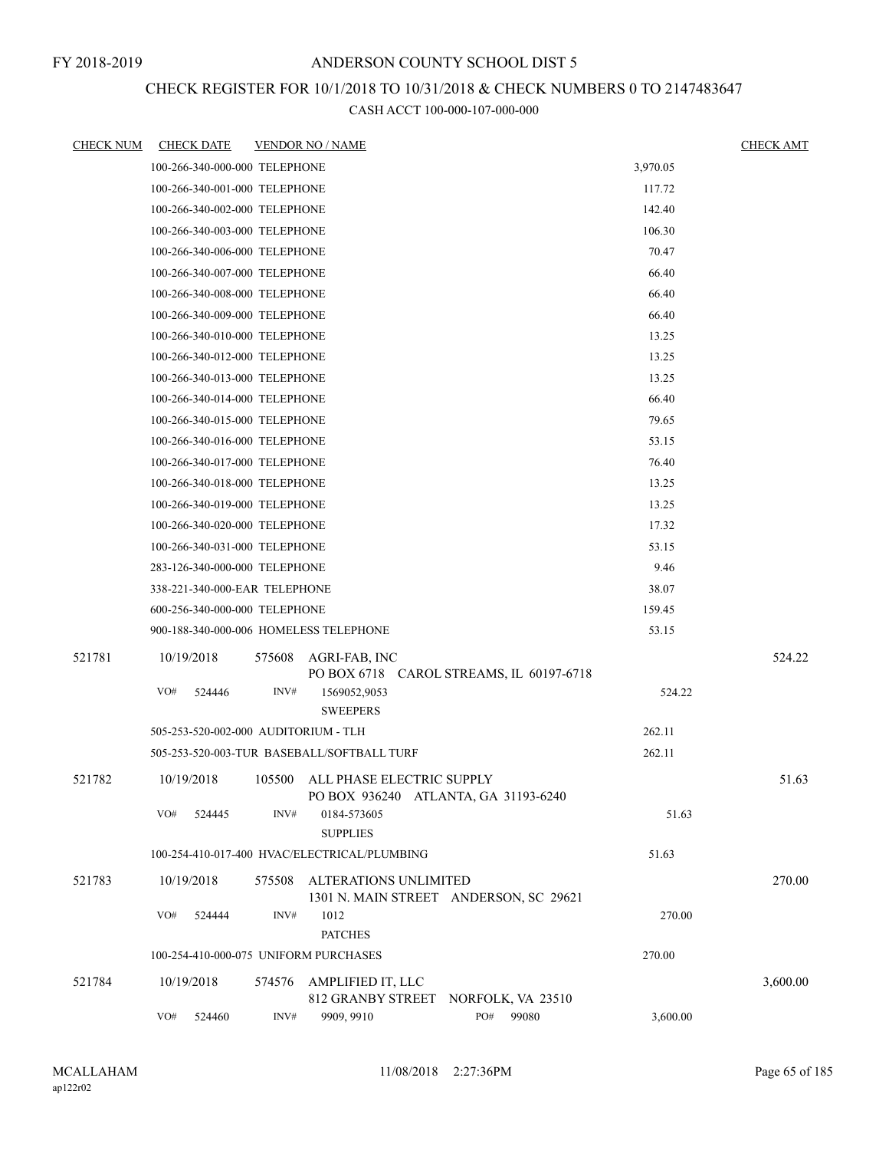## CHECK REGISTER FOR 10/1/2018 TO 10/31/2018 & CHECK NUMBERS 0 TO 2147483647

| <b>CHECK NUM</b> | <b>CHECK DATE</b>                      |        | <b>VENDOR NO / NAME</b>                      |                                          |          | <b>CHECK AMT</b> |
|------------------|----------------------------------------|--------|----------------------------------------------|------------------------------------------|----------|------------------|
|                  | 100-266-340-000-000 TELEPHONE          |        |                                              |                                          | 3,970.05 |                  |
|                  | 100-266-340-001-000 TELEPHONE          |        |                                              |                                          | 117.72   |                  |
|                  | 100-266-340-002-000 TELEPHONE          |        |                                              |                                          | 142.40   |                  |
|                  | 100-266-340-003-000 TELEPHONE          |        |                                              |                                          | 106.30   |                  |
|                  | 100-266-340-006-000 TELEPHONE          |        |                                              |                                          | 70.47    |                  |
|                  | 100-266-340-007-000 TELEPHONE          |        |                                              |                                          | 66.40    |                  |
|                  | 100-266-340-008-000 TELEPHONE          |        |                                              |                                          | 66.40    |                  |
|                  | 100-266-340-009-000 TELEPHONE          |        |                                              |                                          | 66.40    |                  |
|                  | 100-266-340-010-000 TELEPHONE          |        |                                              |                                          | 13.25    |                  |
|                  | 100-266-340-012-000 TELEPHONE          |        |                                              |                                          | 13.25    |                  |
|                  | 100-266-340-013-000 TELEPHONE          |        |                                              |                                          | 13.25    |                  |
|                  | 100-266-340-014-000 TELEPHONE          |        |                                              |                                          | 66.40    |                  |
|                  | 100-266-340-015-000 TELEPHONE          |        |                                              |                                          | 79.65    |                  |
|                  | 100-266-340-016-000 TELEPHONE          |        |                                              | 53.15                                    |          |                  |
|                  | 100-266-340-017-000 TELEPHONE          |        |                                              |                                          | 76.40    |                  |
|                  | 100-266-340-018-000 TELEPHONE          |        |                                              |                                          | 13.25    |                  |
|                  | 100-266-340-019-000 TELEPHONE          |        |                                              |                                          | 13.25    |                  |
|                  | 100-266-340-020-000 TELEPHONE          |        |                                              |                                          | 17.32    |                  |
|                  | 100-266-340-031-000 TELEPHONE          |        | 53.15                                        |                                          |          |                  |
|                  | 283-126-340-000-000 TELEPHONE          |        | 9.46                                         |                                          |          |                  |
|                  | 338-221-340-000-EAR TELEPHONE          |        |                                              |                                          | 38.07    |                  |
|                  | 600-256-340-000-000 TELEPHONE          |        |                                              |                                          | 159.45   |                  |
|                  | 900-188-340-000-006 HOMELESS TELEPHONE |        |                                              |                                          | 53.15    |                  |
| 521781           | 10/19/2018                             | 575608 | AGRI-FAB, INC                                | PO BOX 6718 CAROL STREAMS, IL 60197-6718 |          | 524.22           |
|                  | VO#<br>524446                          | INV#   | 1569052,9053<br><b>SWEEPERS</b>              |                                          | 524.22   |                  |
|                  | 505-253-520-002-000 AUDITORIUM - TLH   |        |                                              |                                          | 262.11   |                  |
|                  |                                        |        | 505-253-520-003-TUR BASEBALL/SOFTBALL TURF   |                                          | 262.11   |                  |
| 521782           | 10/19/2018                             | 105500 | ALL PHASE ELECTRIC SUPPLY                    | PO BOX 936240 ATLANTA, GA 31193-6240     |          | 51.63            |
|                  | VO#<br>524445                          | INV#   | 0184-573605<br><b>SUPPLIES</b>               |                                          | 51.63    |                  |
|                  |                                        |        | 100-254-410-017-400 HVAC/ELECTRICAL/PLUMBING |                                          | 51.63    |                  |
| 521783           | 10/19/2018                             | 575508 | <b>ALTERATIONS UNLIMITED</b>                 | 1301 N. MAIN STREET ANDERSON, SC 29621   |          | 270.00           |
|                  | VO#<br>524444                          | INV#   | 1012<br><b>PATCHES</b>                       |                                          | 270.00   |                  |
|                  | 100-254-410-000-075 UNIFORM PURCHASES  |        |                                              |                                          | 270.00   |                  |
| 521784           | 10/19/2018                             | 574576 | AMPLIFIED IT, LLC                            |                                          |          | 3,600.00         |
|                  | VO#<br>524460                          | INV#   | 812 GRANBY STREET<br>9909, 9910              | NORFOLK, VA 23510<br>PO#<br>99080        | 3,600.00 |                  |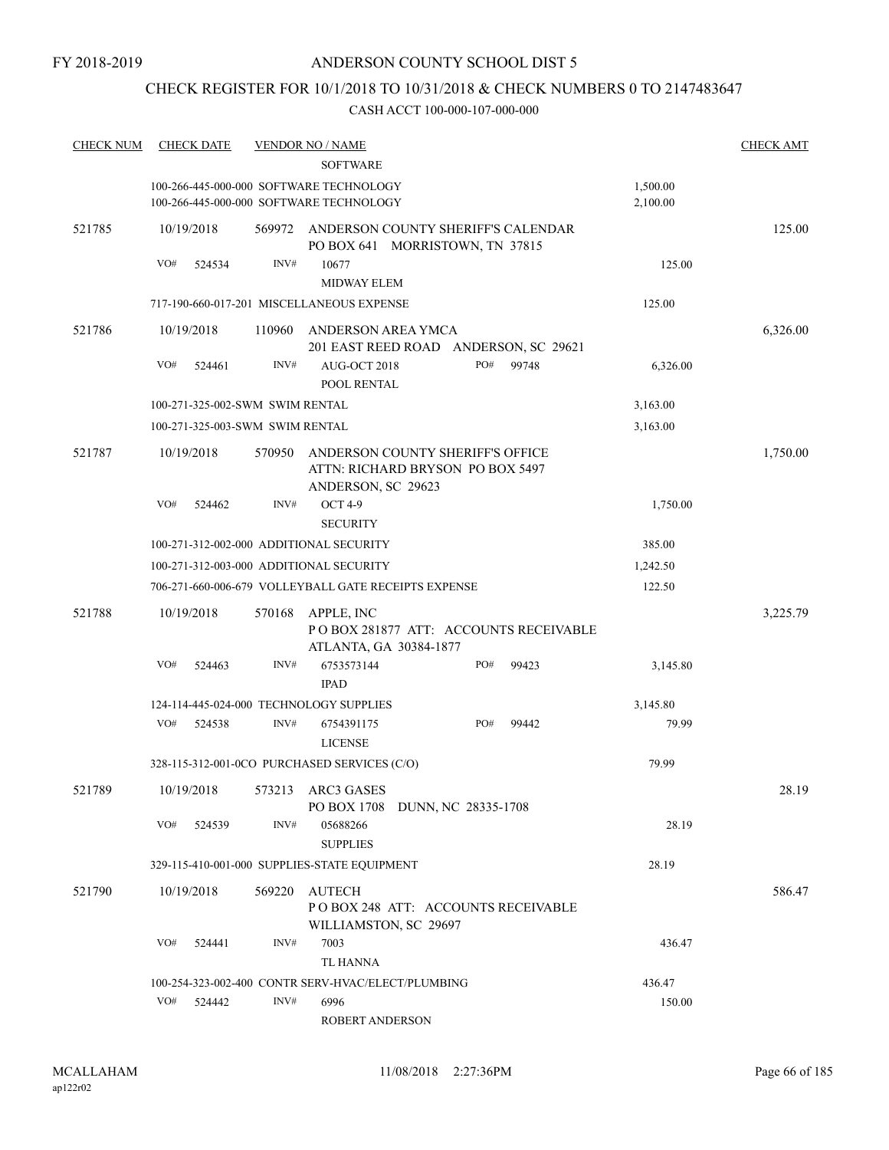## CHECK REGISTER FOR 10/1/2018 TO 10/31/2018 & CHECK NUMBERS 0 TO 2147483647

| <b>CHECK NUM</b> | <b>CHECK DATE</b>               |        | <b>VENDOR NO / NAME</b><br><b>SOFTWARE</b>                                                 |     |       |          | <b>CHECK AMT</b> |
|------------------|---------------------------------|--------|--------------------------------------------------------------------------------------------|-----|-------|----------|------------------|
|                  |                                 |        | 100-266-445-000-000 SOFTWARE TECHNOLOGY                                                    |     |       | 1,500.00 |                  |
|                  |                                 |        | 100-266-445-000-000 SOFTWARE TECHNOLOGY                                                    |     |       | 2,100.00 |                  |
| 521785           | 10/19/2018                      | 569972 | ANDERSON COUNTY SHERIFF'S CALENDAR<br>PO BOX 641 MORRISTOWN, TN 37815                      |     |       |          | 125.00           |
|                  | VO#<br>524534                   | INV#   | 10677                                                                                      |     |       | 125.00   |                  |
|                  |                                 |        | MIDWAY ELEM                                                                                |     |       |          |                  |
|                  |                                 |        | 717-190-660-017-201 MISCELLANEOUS EXPENSE                                                  |     |       | 125.00   |                  |
| 521786           | 10/19/2018                      | 110960 | ANDERSON AREA YMCA<br>201 EAST REED ROAD ANDERSON, SC 29621                                |     |       |          | 6,326.00         |
|                  | VO#<br>524461                   | INV#   | AUG-OCT 2018<br>POOL RENTAL                                                                | PO# | 99748 | 6,326.00 |                  |
|                  | 100-271-325-002-SWM SWIM RENTAL |        |                                                                                            |     |       | 3,163.00 |                  |
|                  | 100-271-325-003-SWM SWIM RENTAL |        |                                                                                            |     |       | 3,163.00 |                  |
| 521787           | 10/19/2018                      | 570950 | ANDERSON COUNTY SHERIFF'S OFFICE<br>ATTN: RICHARD BRYSON PO BOX 5497<br>ANDERSON, SC 29623 |     |       |          | 1,750.00         |
|                  | VO#<br>524462                   | INV#   | <b>OCT 4-9</b><br><b>SECURITY</b>                                                          |     |       | 1,750.00 |                  |
|                  |                                 |        | 100-271-312-002-000 ADDITIONAL SECURITY                                                    |     |       | 385.00   |                  |
|                  |                                 |        | 100-271-312-003-000 ADDITIONAL SECURITY                                                    |     |       | 1,242.50 |                  |
|                  |                                 |        | 706-271-660-006-679 VOLLEYBALL GATE RECEIPTS EXPENSE                                       |     |       | 122.50   |                  |
| 521788           | 10/19/2018                      | 570168 | APPLE, INC<br>PO BOX 281877 ATT: ACCOUNTS RECEIVABLE<br>ATLANTA, GA 30384-1877             |     |       |          | 3,225.79         |
|                  | VO#<br>524463                   | INV#   | 6753573144<br><b>IPAD</b>                                                                  | PO# | 99423 | 3,145.80 |                  |
|                  |                                 |        | 124-114-445-024-000 TECHNOLOGY SUPPLIES                                                    |     |       | 3,145.80 |                  |
|                  | VO#<br>524538                   | INV#   | 6754391175<br><b>LICENSE</b>                                                               | PO# | 99442 | 79.99    |                  |
|                  |                                 |        | 328-115-312-001-0CO PURCHASED SERVICES (C/O)                                               |     |       | 79.99    |                  |
| 521789           | 10/19/2018                      | 573213 | <b>ARC3 GASES</b><br>PO BOX 1708 DUNN, NC 28335-1708                                       |     |       |          | 28.19            |
|                  | VO#<br>524539                   | INV#   | 05688266<br><b>SUPPLIES</b>                                                                |     |       | 28.19    |                  |
|                  |                                 |        | 329-115-410-001-000 SUPPLIES-STATE EQUIPMENT                                               |     |       | 28.19    |                  |
| 521790           | 10/19/2018                      | 569220 | AUTECH<br>POBOX 248 ATT: ACCOUNTS RECEIVABLE<br>WILLIAMSTON, SC 29697                      |     |       |          | 586.47           |
|                  | VO#<br>524441                   | INV#   | 7003                                                                                       |     |       | 436.47   |                  |
|                  |                                 |        | TL HANNA                                                                                   |     |       |          |                  |
|                  |                                 | INV#   | 100-254-323-002-400 CONTR SERV-HVAC/ELECT/PLUMBING                                         |     |       | 436.47   |                  |
|                  | VO#<br>524442                   |        | 6996<br>ROBERT ANDERSON                                                                    |     |       | 150.00   |                  |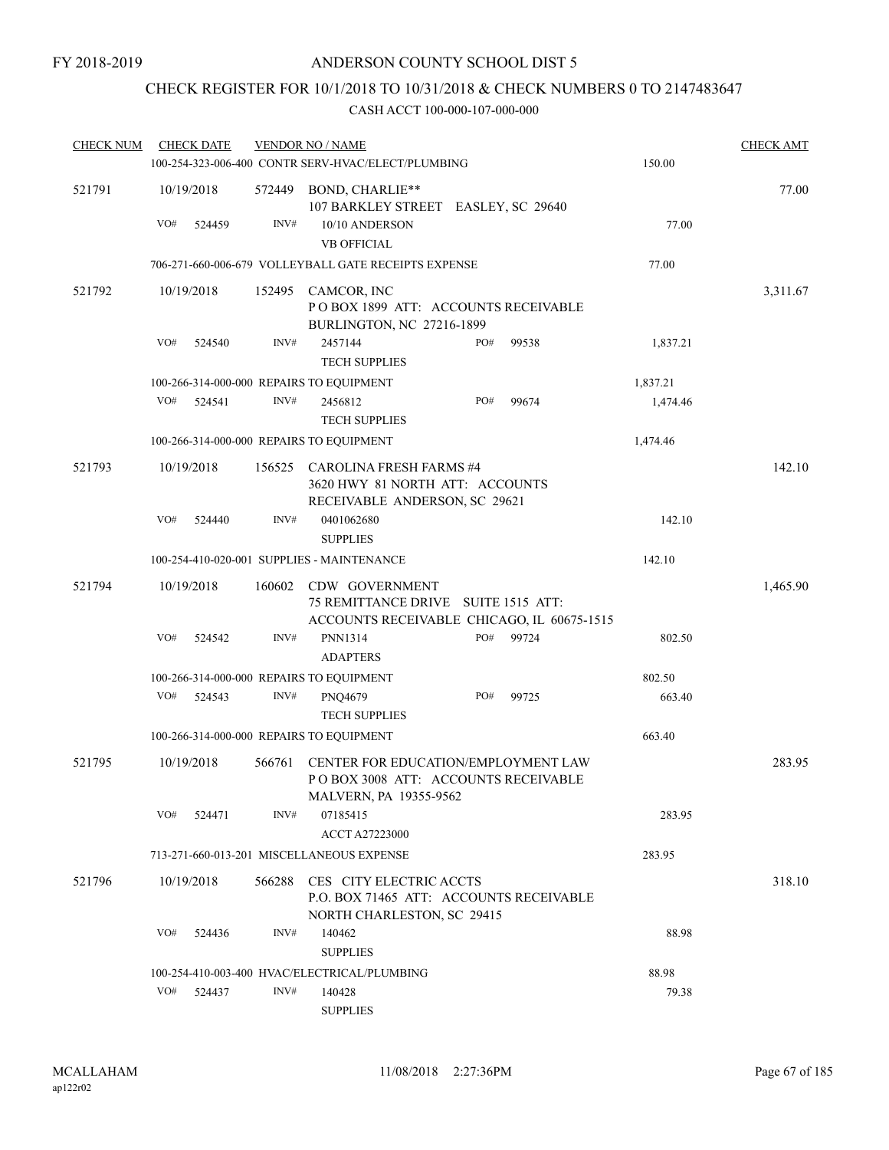# CHECK REGISTER FOR 10/1/2018 TO 10/31/2018 & CHECK NUMBERS 0 TO 2147483647

| <b>CHECK NUM</b> |     | <b>CHECK DATE</b> |        | <b>VENDOR NO / NAME</b>                                                                              |     |       |          | <b>CHECK AMT</b> |
|------------------|-----|-------------------|--------|------------------------------------------------------------------------------------------------------|-----|-------|----------|------------------|
|                  |     |                   |        | 100-254-323-006-400 CONTR SERV-HVAC/ELECT/PLUMBING                                                   |     |       | 150.00   |                  |
| 521791           |     | 10/19/2018        | 572449 | BOND, CHARLIE**<br>107 BARKLEY STREET EASLEY, SC 29640                                               |     |       |          | 77.00            |
|                  | VO# | 524459            | INV#   | 10/10 ANDERSON<br><b>VB OFFICIAL</b>                                                                 |     |       | 77.00    |                  |
|                  |     |                   |        | 706-271-660-006-679 VOLLEYBALL GATE RECEIPTS EXPENSE                                                 |     |       | 77.00    |                  |
| 521792           |     | 10/19/2018        |        | 152495 CAMCOR, INC<br>POBOX 1899 ATT: ACCOUNTS RECEIVABLE<br>BURLINGTON, NC 27216-1899               |     |       |          | 3,311.67         |
|                  | VO# | 524540            | INV#   | 2457144<br><b>TECH SUPPLIES</b>                                                                      | PO# | 99538 | 1,837.21 |                  |
|                  |     |                   |        | 100-266-314-000-000 REPAIRS TO EQUIPMENT                                                             |     |       | 1,837.21 |                  |
|                  | VO# | 524541            | INV#   | 2456812<br><b>TECH SUPPLIES</b>                                                                      | PO# | 99674 | 1,474.46 |                  |
|                  |     |                   |        | 100-266-314-000-000 REPAIRS TO EQUIPMENT                                                             |     |       | 1,474.46 |                  |
| 521793           |     | 10/19/2018        |        | 156525 CAROLINA FRESH FARMS #4<br>3620 HWY 81 NORTH ATT: ACCOUNTS<br>RECEIVABLE ANDERSON, SC 29621   |     |       |          | 142.10           |
|                  | VO# | 524440            | INV#   | 0401062680<br><b>SUPPLIES</b>                                                                        |     |       | 142.10   |                  |
|                  |     |                   |        | 100-254-410-020-001 SUPPLIES - MAINTENANCE                                                           |     |       | 142.10   |                  |
| 521794           |     | 10/19/2018        | 160602 | CDW GOVERNMENT<br>75 REMITTANCE DRIVE SUITE 1515 ATT:<br>ACCOUNTS RECEIVABLE CHICAGO, IL 60675-1515  |     |       |          | 1,465.90         |
|                  | VO# | 524542            | INV#   | <b>PNN1314</b><br><b>ADAPTERS</b>                                                                    | PO# | 99724 | 802.50   |                  |
|                  |     |                   |        | 100-266-314-000-000 REPAIRS TO EQUIPMENT                                                             |     |       | 802.50   |                  |
|                  | VO# | 524543            | INV#   | <b>PNQ4679</b><br><b>TECH SUPPLIES</b>                                                               | PO# | 99725 | 663.40   |                  |
|                  |     |                   |        | 100-266-314-000-000 REPAIRS TO EQUIPMENT                                                             |     |       | 663.40   |                  |
| 521795           |     | 10/19/2018        | 566761 | CENTER FOR EDUCATION/EMPLOYMENT LAW<br>POBOX 3008 ATT: ACCOUNTS RECEIVABLE<br>MALVERN, PA 19355-9562 |     |       |          | 283.95           |
|                  | VO# | 524471            | INV#   | 07185415<br><b>ACCT A27223000</b>                                                                    |     |       | 283.95   |                  |
|                  |     |                   |        | 713-271-660-013-201 MISCELLANEOUS EXPENSE                                                            |     |       | 283.95   |                  |
| 521796           |     | 10/19/2018        | 566288 | CES CITY ELECTRIC ACCTS<br>P.O. BOX 71465 ATT: ACCOUNTS RECEIVABLE<br>NORTH CHARLESTON, SC 29415     |     |       |          | 318.10           |
|                  | VO# | 524436            | INV#   | 140462<br><b>SUPPLIES</b>                                                                            |     |       | 88.98    |                  |
|                  |     |                   |        | 100-254-410-003-400 HVAC/ELECTRICAL/PLUMBING                                                         |     |       | 88.98    |                  |
|                  | VO# | 524437            | INV#   | 140428<br><b>SUPPLIES</b>                                                                            |     |       | 79.38    |                  |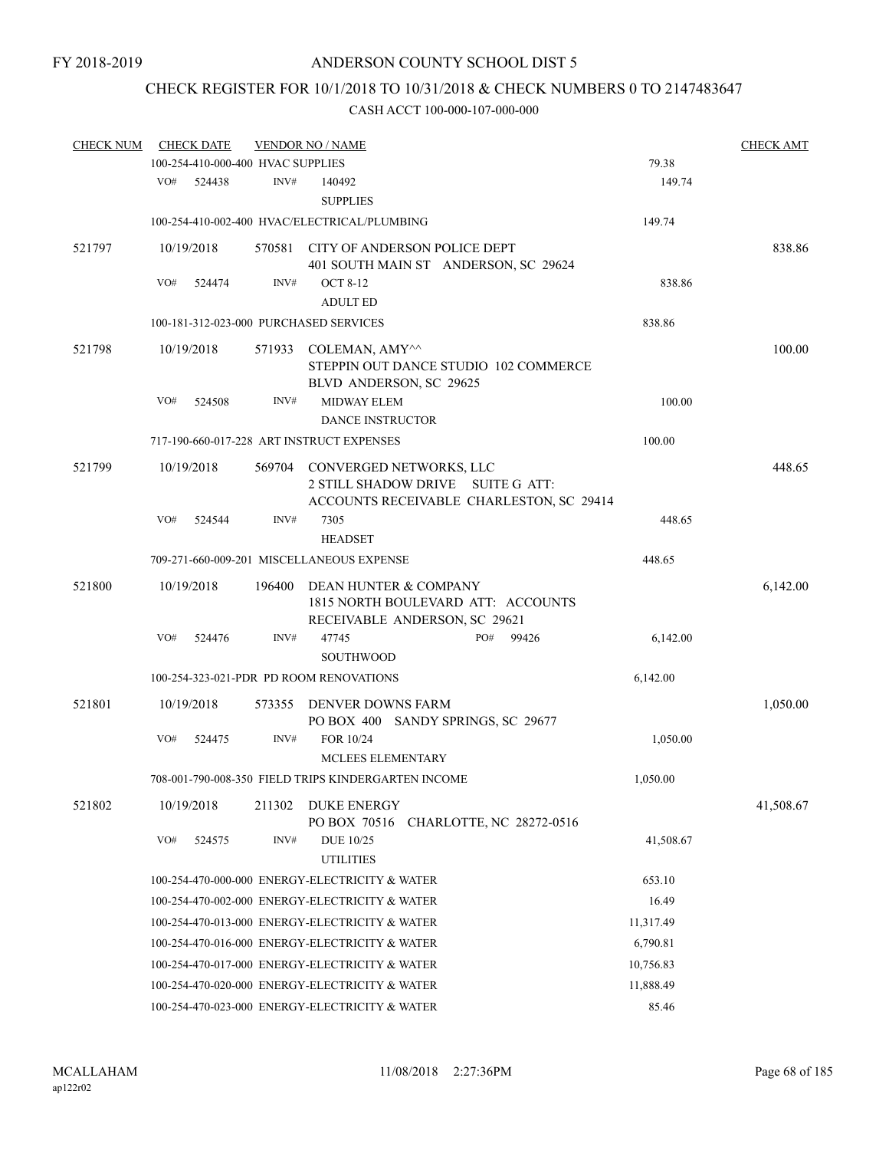## CHECK REGISTER FOR 10/1/2018 TO 10/31/2018 & CHECK NUMBERS 0 TO 2147483647

| <b>CHECK NUM</b> |     | <b>CHECK DATE</b> |                                   | <b>VENDOR NO / NAME</b>                                                                                                   |           | <b>CHECK AMT</b> |
|------------------|-----|-------------------|-----------------------------------|---------------------------------------------------------------------------------------------------------------------------|-----------|------------------|
|                  |     |                   | 100-254-410-000-400 HVAC SUPPLIES |                                                                                                                           | 79.38     |                  |
|                  | VO# | 524438            | INV#                              | 140492<br><b>SUPPLIES</b>                                                                                                 | 149.74    |                  |
|                  |     |                   |                                   | 100-254-410-002-400 HVAC/ELECTRICAL/PLUMBING                                                                              | 149.74    |                  |
| 521797           |     | 10/19/2018        | 570581                            | CITY OF ANDERSON POLICE DEPT<br>401 SOUTH MAIN ST ANDERSON, SC 29624                                                      |           | 838.86           |
|                  | VO# | 524474            | INV#                              | <b>OCT 8-12</b><br><b>ADULT ED</b>                                                                                        | 838.86    |                  |
|                  |     |                   |                                   | 100-181-312-023-000 PURCHASED SERVICES                                                                                    | 838.86    |                  |
|                  |     |                   |                                   |                                                                                                                           |           |                  |
| 521798           |     | 10/19/2018        | 571933                            | COLEMAN, AMY^^<br>STEPPIN OUT DANCE STUDIO 102 COMMERCE<br>BLVD ANDERSON, SC 29625                                        |           | 100.00           |
|                  | VO# | 524508            | INV#                              | <b>MIDWAY ELEM</b><br><b>DANCE INSTRUCTOR</b>                                                                             | 100.00    |                  |
|                  |     |                   |                                   | 717-190-660-017-228 ART INSTRUCT EXPENSES                                                                                 | 100.00    |                  |
| 521799           |     | 10/19/2018        | 569704                            | CONVERGED NETWORKS, LLC<br><b>2 STILL SHADOW DRIVE</b><br><b>SUITE G ATT:</b><br>ACCOUNTS RECEIVABLE CHARLESTON, SC 29414 |           | 448.65           |
|                  | VO# | 524544            | INV#                              | 7305<br><b>HEADSET</b>                                                                                                    | 448.65    |                  |
|                  |     |                   |                                   | 709-271-660-009-201 MISCELLANEOUS EXPENSE                                                                                 | 448.65    |                  |
| 521800           |     | 10/19/2018        | 196400                            | DEAN HUNTER & COMPANY<br>1815 NORTH BOULEVARD ATT: ACCOUNTS<br>RECEIVABLE ANDERSON, SC 29621                              |           | 6,142.00         |
|                  | VO# | 524476            | INV#                              | PO#<br>99426<br>47745<br><b>SOUTHWOOD</b>                                                                                 | 6,142.00  |                  |
|                  |     |                   |                                   | 100-254-323-021-PDR PD ROOM RENOVATIONS                                                                                   | 6,142.00  |                  |
| 521801           |     | 10/19/2018        | 573355                            | DENVER DOWNS FARM<br>PO BOX 400 SANDY SPRINGS, SC 29677                                                                   |           | 1,050.00         |
|                  | VO# | 524475            | INV#                              | FOR 10/24<br><b>MCLEES ELEMENTARY</b>                                                                                     | 1,050.00  |                  |
|                  |     |                   |                                   | 708-001-790-008-350 FIELD TRIPS KINDERGARTEN INCOME                                                                       | 1,050.00  |                  |
| 521802           |     | 10/19/2018        | 211302                            | <b>DUKE ENERGY</b><br>PO BOX 70516 CHARLOTTE, NC 28272-0516                                                               |           | 41,508.67        |
|                  | VO# | 524575            | INV#                              | DUE 10/25<br><b>UTILITIES</b>                                                                                             | 41,508.67 |                  |
|                  |     |                   |                                   | 100-254-470-000-000 ENERGY-ELECTRICITY & WATER                                                                            | 653.10    |                  |
|                  |     |                   |                                   | 100-254-470-002-000 ENERGY-ELECTRICITY & WATER                                                                            | 16.49     |                  |
|                  |     |                   |                                   | 100-254-470-013-000 ENERGY-ELECTRICITY & WATER                                                                            | 11,317.49 |                  |
|                  |     |                   |                                   | 100-254-470-016-000 ENERGY-ELECTRICITY & WATER                                                                            | 6,790.81  |                  |
|                  |     |                   |                                   | 100-254-470-017-000 ENERGY-ELECTRICITY & WATER                                                                            | 10,756.83 |                  |
|                  |     |                   |                                   | 100-254-470-020-000 ENERGY-ELECTRICITY & WATER                                                                            | 11,888.49 |                  |
|                  |     |                   |                                   | 100-254-470-023-000 ENERGY-ELECTRICITY & WATER                                                                            | 85.46     |                  |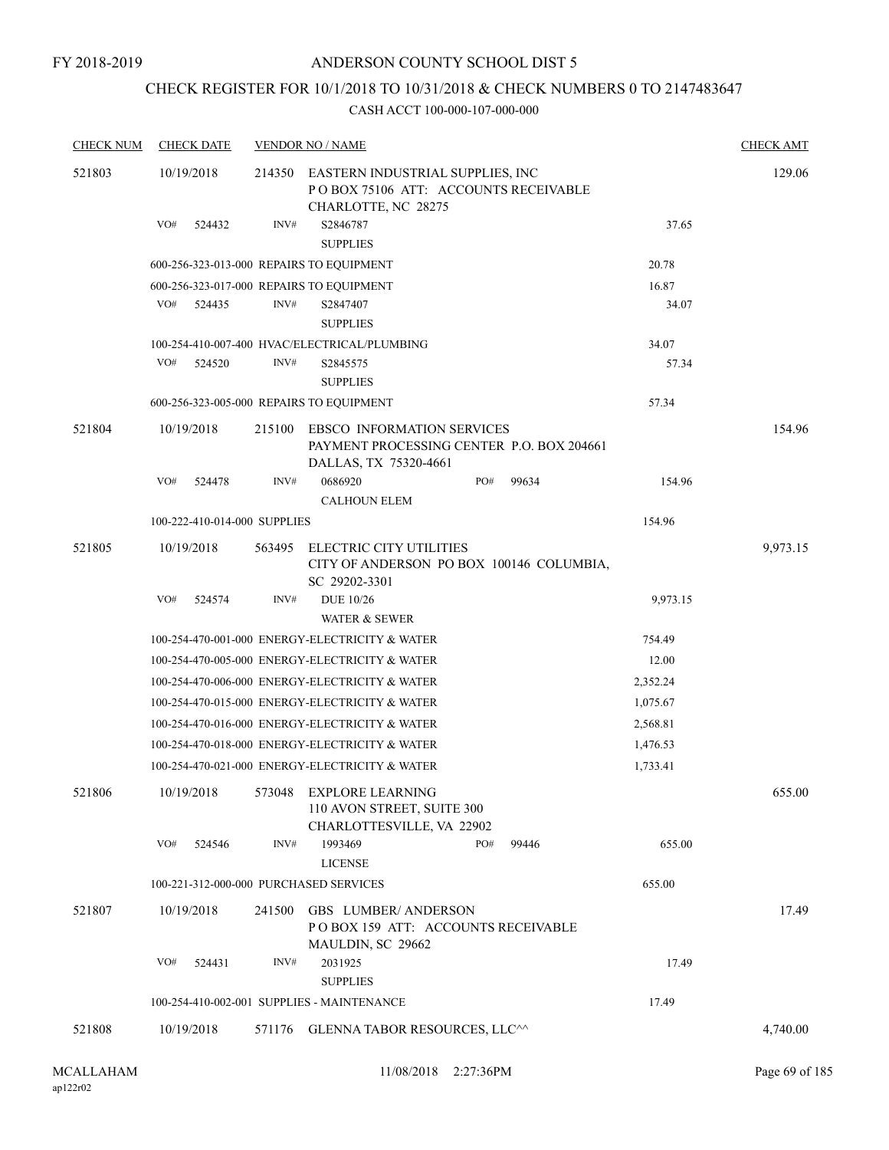## CHECK REGISTER FOR 10/1/2018 TO 10/31/2018 & CHECK NUMBERS 0 TO 2147483647

| <b>CHECK NUM</b> | <b>CHECK DATE</b>                      |        | <b>VENDOR NO / NAME</b>                                                                                 |              |          | <b>CHECK AMT</b> |
|------------------|----------------------------------------|--------|---------------------------------------------------------------------------------------------------------|--------------|----------|------------------|
| 521803           | 10/19/2018                             | 214350 | EASTERN INDUSTRIAL SUPPLIES, INC<br>POBOX 75106 ATT: ACCOUNTS RECEIVABLE<br>CHARLOTTE, NC 28275         |              |          | 129.06           |
|                  | VO#<br>524432                          | INV#   | S2846787<br><b>SUPPLIES</b>                                                                             |              | 37.65    |                  |
|                  |                                        |        | 600-256-323-013-000 REPAIRS TO EQUIPMENT                                                                |              | 20.78    |                  |
|                  |                                        |        | 600-256-323-017-000 REPAIRS TO EQUIPMENT                                                                |              | 16.87    |                  |
|                  | VO#<br>524435                          | INV#   | S2847407<br><b>SUPPLIES</b>                                                                             |              | 34.07    |                  |
|                  |                                        |        | 100-254-410-007-400 HVAC/ELECTRICAL/PLUMBING                                                            |              | 34.07    |                  |
|                  | VO#<br>524520                          | INV#   | S2845575<br><b>SUPPLIES</b>                                                                             |              | 57.34    |                  |
|                  |                                        |        | 600-256-323-005-000 REPAIRS TO EQUIPMENT                                                                |              | 57.34    |                  |
| 521804           | 10/19/2018                             | 215100 | <b>EBSCO INFORMATION SERVICES</b><br>PAYMENT PROCESSING CENTER P.O. BOX 204661<br>DALLAS, TX 75320-4661 |              |          | 154.96           |
|                  | VO#<br>524478                          | INV#   | 0686920                                                                                                 | PO#<br>99634 | 154.96   |                  |
|                  |                                        |        | <b>CALHOUN ELEM</b>                                                                                     |              |          |                  |
|                  | 100-222-410-014-000 SUPPLIES           |        |                                                                                                         |              | 154.96   |                  |
| 521805           | 10/19/2018                             | 563495 | ELECTRIC CITY UTILITIES<br>CITY OF ANDERSON PO BOX 100146 COLUMBIA,<br>SC 29202-3301                    |              |          | 9,973.15         |
|                  | VO#<br>524574                          | INV#   | DUE 10/26                                                                                               |              | 9,973.15 |                  |
|                  |                                        |        | <b>WATER &amp; SEWER</b>                                                                                |              |          |                  |
|                  |                                        |        | 100-254-470-001-000 ENERGY-ELECTRICITY & WATER                                                          |              | 754.49   |                  |
|                  |                                        |        | 100-254-470-005-000 ENERGY-ELECTRICITY & WATER                                                          |              | 12.00    |                  |
|                  |                                        |        | 100-254-470-006-000 ENERGY-ELECTRICITY & WATER                                                          |              | 2,352.24 |                  |
|                  |                                        |        | 100-254-470-015-000 ENERGY-ELECTRICITY & WATER                                                          |              | 1,075.67 |                  |
|                  |                                        |        | 100-254-470-016-000 ENERGY-ELECTRICITY & WATER                                                          |              | 2,568.81 |                  |
|                  |                                        |        | 100-254-470-018-000 ENERGY-ELECTRICITY & WATER                                                          |              | 1,476.53 |                  |
|                  |                                        |        | 100-254-470-021-000 ENERGY-ELECTRICITY & WATER                                                          |              | 1,733.41 |                  |
| 521806           | 10/19/2018                             | 573048 | <b>EXPLORE LEARNING</b><br>110 AVON STREET, SUITE 300<br>CHARLOTTESVILLE, VA 22902                      |              |          | 655.00           |
|                  | VO#<br>524546                          | INV#   | 1993469<br><b>LICENSE</b>                                                                               | PO#<br>99446 | 655.00   |                  |
|                  | 100-221-312-000-000 PURCHASED SERVICES |        |                                                                                                         |              | 655.00   |                  |
| 521807           | 10/19/2018                             | 241500 | <b>GBS LUMBER/ ANDERSON</b><br>POBOX 159 ATT: ACCOUNTS RECEIVABLE                                       |              |          | 17.49            |
|                  | VO#<br>524431                          | INV#   | MAULDIN, SC 29662<br>2031925                                                                            |              | 17.49    |                  |
|                  |                                        |        | <b>SUPPLIES</b>                                                                                         |              |          |                  |
|                  |                                        |        | 100-254-410-002-001 SUPPLIES - MAINTENANCE                                                              |              | 17.49    |                  |
| 521808           | 10/19/2018                             |        | 571176 GLENNA TABOR RESOURCES, LLC^^                                                                    |              |          | 4,740.00         |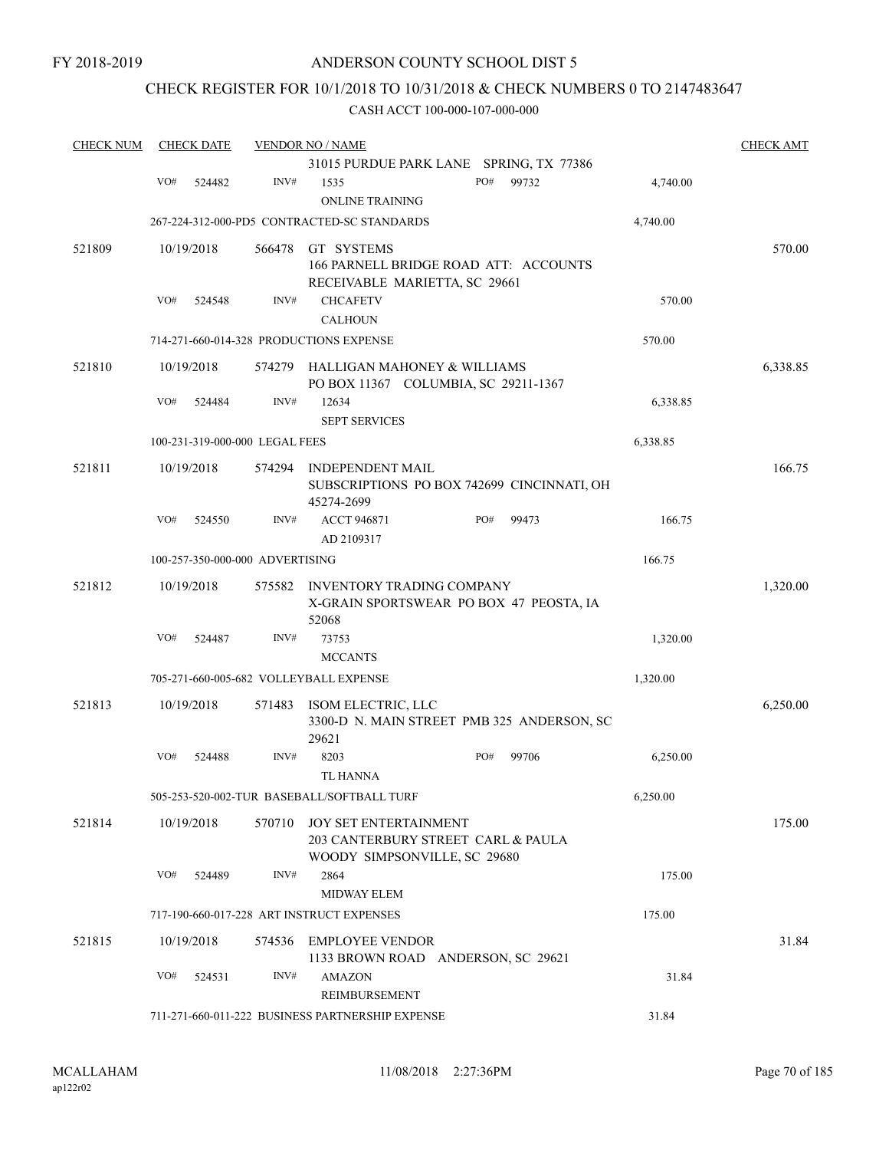## CHECK REGISTER FOR 10/1/2018 TO 10/31/2018 & CHECK NUMBERS 0 TO 2147483647

| <b>CHECK NUM</b> |     | <b>CHECK DATE</b> |                                 | <b>VENDOR NO / NAME</b>                                                                            |     |       |          | <b>CHECK AMT</b> |
|------------------|-----|-------------------|---------------------------------|----------------------------------------------------------------------------------------------------|-----|-------|----------|------------------|
|                  |     |                   |                                 | 31015 PURDUE PARK LANE SPRING, TX 77386                                                            |     |       |          |                  |
|                  | VO# | 524482            | INV#                            | 1535<br><b>ONLINE TRAINING</b>                                                                     | PO# | 99732 | 4,740.00 |                  |
|                  |     |                   |                                 | 267-224-312-000-PD5 CONTRACTED-SC STANDARDS                                                        |     |       | 4,740.00 |                  |
| 521809           |     | 10/19/2018        |                                 |                                                                                                    |     |       |          | 570.00           |
|                  |     |                   | 566478                          | GT SYSTEMS<br>166 PARNELL BRIDGE ROAD ATT: ACCOUNTS<br>RECEIVABLE MARIETTA, SC 29661               |     |       |          |                  |
|                  | VO# | 524548            | INV#                            | <b>CHCAFETV</b><br><b>CALHOUN</b>                                                                  |     |       | 570.00   |                  |
|                  |     |                   |                                 | 714-271-660-014-328 PRODUCTIONS EXPENSE                                                            |     |       | 570.00   |                  |
| 521810           |     | 10/19/2018        | 574279                          | HALLIGAN MAHONEY & WILLIAMS                                                                        |     |       |          | 6,338.85         |
|                  |     |                   |                                 | PO BOX 11367 COLUMBIA, SC 29211-1367                                                               |     |       |          |                  |
|                  | VO# | 524484            | INV#                            | 12634<br><b>SEPT SERVICES</b>                                                                      |     |       | 6,338.85 |                  |
|                  |     |                   | 100-231-319-000-000 LEGAL FEES  |                                                                                                    |     |       | 6,338.85 |                  |
| 521811           |     | 10/19/2018        | 574294                          | <b>INDEPENDENT MAIL</b>                                                                            |     |       |          | 166.75           |
|                  |     |                   |                                 | SUBSCRIPTIONS PO BOX 742699 CINCINNATI, OH<br>45274-2699                                           |     |       |          |                  |
|                  | VO# | 524550            | INV#                            | <b>ACCT 946871</b>                                                                                 | PO# | 99473 | 166.75   |                  |
|                  |     |                   |                                 | AD 2109317                                                                                         |     |       |          |                  |
|                  |     |                   | 100-257-350-000-000 ADVERTISING |                                                                                                    |     |       | 166.75   |                  |
| 521812           |     | 10/19/2018        | 575582                          | INVENTORY TRADING COMPANY<br>X-GRAIN SPORTSWEAR PO BOX 47 PEOSTA, IA<br>52068                      |     |       |          | 1,320.00         |
|                  | VO# | 524487            | INV#                            | 73753                                                                                              |     |       | 1,320.00 |                  |
|                  |     |                   |                                 | <b>MCCANTS</b>                                                                                     |     |       |          |                  |
|                  |     |                   |                                 | 705-271-660-005-682 VOLLEYBALL EXPENSE                                                             |     |       | 1,320.00 |                  |
| 521813           |     | 10/19/2018        | 571483                          | ISOM ELECTRIC, LLC<br>3300-D N. MAIN STREET PMB 325 ANDERSON, SC<br>29621                          |     |       |          | 6,250.00         |
|                  | VO# | 524488            | INV#                            | 8203                                                                                               | PO# | 99706 | 6,250.00 |                  |
|                  |     |                   |                                 | <b>TL HANNA</b>                                                                                    |     |       |          |                  |
|                  |     |                   |                                 | 505-253-520-002-TUR BASEBALL/SOFTBALL TURF                                                         |     |       | 6,250.00 |                  |
| 521814           |     | 10/19/2018        | 570710                          | <b>JOY SET ENTERTAINMENT</b><br>203 CANTERBURY STREET CARL & PAULA<br>WOODY SIMPSONVILLE, SC 29680 |     |       |          | 175.00           |
|                  | VO# | 524489            | INV#                            | 2864                                                                                               |     |       | 175.00   |                  |
|                  |     |                   |                                 | MIDWAY ELEM                                                                                        |     |       |          |                  |
|                  |     |                   |                                 | 717-190-660-017-228 ART INSTRUCT EXPENSES                                                          |     |       | 175.00   |                  |
| 521815           |     | 10/19/2018        |                                 | 574536 EMPLOYEE VENDOR<br>1133 BROWN ROAD ANDERSON, SC 29621                                       |     |       |          | 31.84            |
|                  | VO# | 524531            | INV#                            | <b>AMAZON</b><br>REIMBURSEMENT                                                                     |     |       | 31.84    |                  |
|                  |     |                   |                                 | 711-271-660-011-222 BUSINESS PARTNERSHIP EXPENSE                                                   |     |       | 31.84    |                  |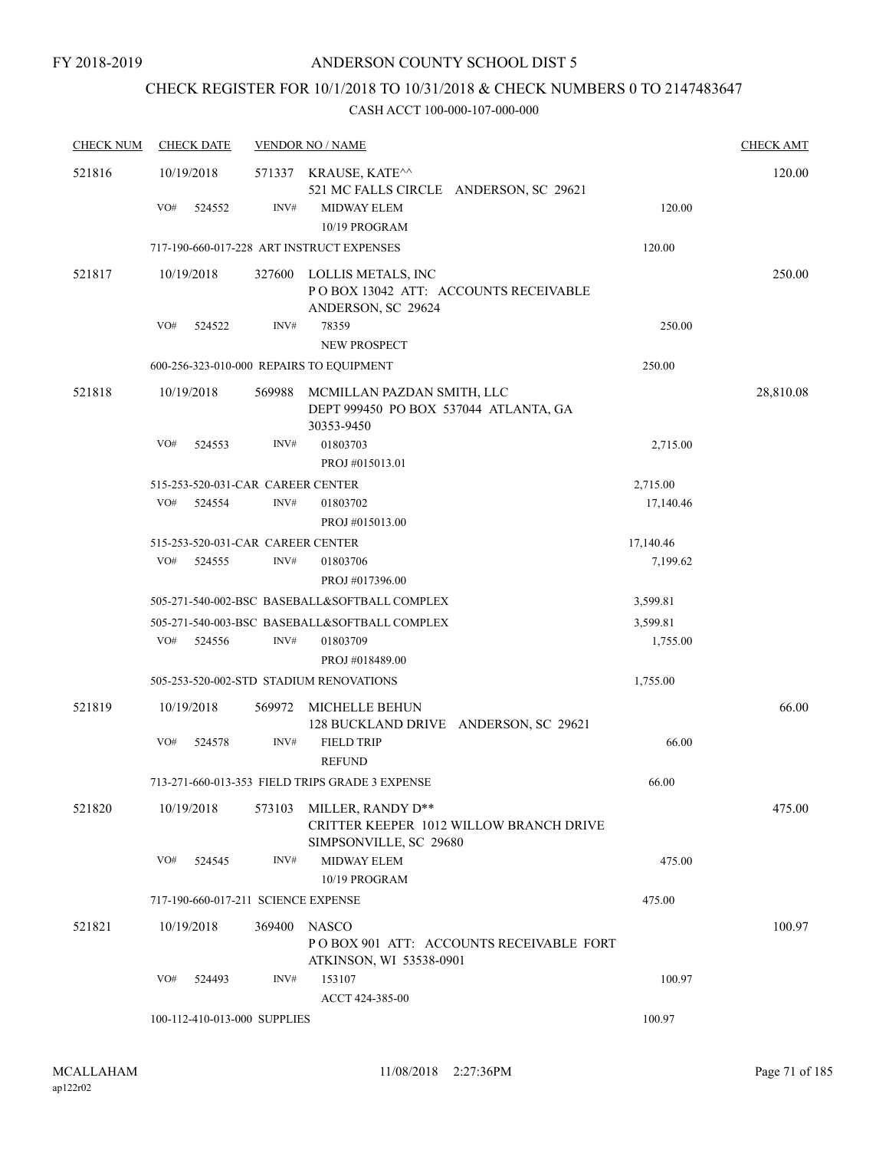# CHECK REGISTER FOR 10/1/2018 TO 10/31/2018 & CHECK NUMBERS 0 TO 2147483647

| <b>CHECK NUM</b> | <b>CHECK DATE</b> |                                     | <b>VENDOR NO / NAME</b>                                                           |                                                | <b>CHECK AMT</b> |
|------------------|-------------------|-------------------------------------|-----------------------------------------------------------------------------------|------------------------------------------------|------------------|
| 521816           | 10/19/2018        |                                     | 571337 KRAUSE, KATE <sup>^^</sup><br>521 MC FALLS CIRCLE ANDERSON, SC 29621       |                                                | 120.00           |
|                  | VO#<br>524552     | INV#                                | <b>MIDWAY ELEM</b><br>10/19 PROGRAM                                               | 120.00                                         |                  |
|                  |                   |                                     | 717-190-660-017-228 ART INSTRUCT EXPENSES                                         | 120.00                                         |                  |
| 521817           | 10/19/2018        | 327600                              | LOLLIS METALS, INC<br>ANDERSON, SC 29624                                          | POBOX 13042 ATT: ACCOUNTS RECEIVABLE           | 250.00           |
|                  | VO#<br>524522     | INV#                                | 78359<br><b>NEW PROSPECT</b>                                                      | 250.00                                         |                  |
|                  |                   |                                     | 600-256-323-010-000 REPAIRS TO EQUIPMENT                                          | 250.00                                         |                  |
| 521818           | 10/19/2018        | 569988                              | MCMILLAN PAZDAN SMITH, LLC<br>DEPT 999450 PO BOX 537044 ATLANTA, GA<br>30353-9450 |                                                | 28,810.08        |
|                  | VO#<br>524553     | INV#                                | 01803703<br>PROJ #015013.01                                                       | 2,715.00                                       |                  |
|                  |                   | 515-253-520-031-CAR CAREER CENTER   |                                                                                   | 2,715.00                                       |                  |
|                  | VO#<br>524554     | INV#                                | 01803702<br>PROJ #015013.00                                                       | 17,140.46                                      |                  |
|                  |                   | 515-253-520-031-CAR CAREER CENTER   |                                                                                   | 17,140.46                                      |                  |
|                  | VO#<br>524555     | INV#                                | 01803706<br>PROJ #017396.00                                                       | 7,199.62                                       |                  |
|                  |                   |                                     | 505-271-540-002-BSC BASEBALL&SOFTBALL COMPLEX                                     | 3,599.81                                       |                  |
|                  |                   |                                     | 505-271-540-003-BSC BASEBALL&SOFTBALL COMPLEX                                     | 3,599.81                                       |                  |
|                  | VO#<br>524556     | INV#                                | 01803709<br>PROJ#018489.00                                                        | 1,755.00                                       |                  |
|                  |                   |                                     | 505-253-520-002-STD STADIUM RENOVATIONS                                           | 1,755.00                                       |                  |
| 521819           | 10/19/2018        | 569972                              | MICHELLE BEHUN                                                                    | 128 BUCKLAND DRIVE ANDERSON, SC 29621          | 66.00            |
|                  | VO#<br>524578     | INV#                                | <b>FIELD TRIP</b><br><b>REFUND</b>                                                | 66.00                                          |                  |
|                  |                   |                                     | 713-271-660-013-353 FIELD TRIPS GRADE 3 EXPENSE                                   | 66.00                                          |                  |
| 521820           | 10/19/2018        | 573103                              | MILLER, RANDY D**<br>SIMPSONVILLE, SC 29680                                       | <b>CRITTER KEEPER 1012 WILLOW BRANCH DRIVE</b> | 475.00           |
|                  | VO#<br>524545     | INV#                                | <b>MIDWAY ELEM</b><br>10/19 PROGRAM                                               | 475.00                                         |                  |
|                  |                   | 717-190-660-017-211 SCIENCE EXPENSE |                                                                                   | 475.00                                         |                  |
| 521821           | 10/19/2018        | 369400                              | <b>NASCO</b><br>ATKINSON, WI 53538-0901                                           | PO BOX 901 ATT: ACCOUNTS RECEIVABLE FORT       | 100.97           |
|                  | VO#<br>524493     | INV#                                | 153107<br>ACCT 424-385-00                                                         | 100.97                                         |                  |
|                  |                   | 100-112-410-013-000 SUPPLIES        |                                                                                   | 100.97                                         |                  |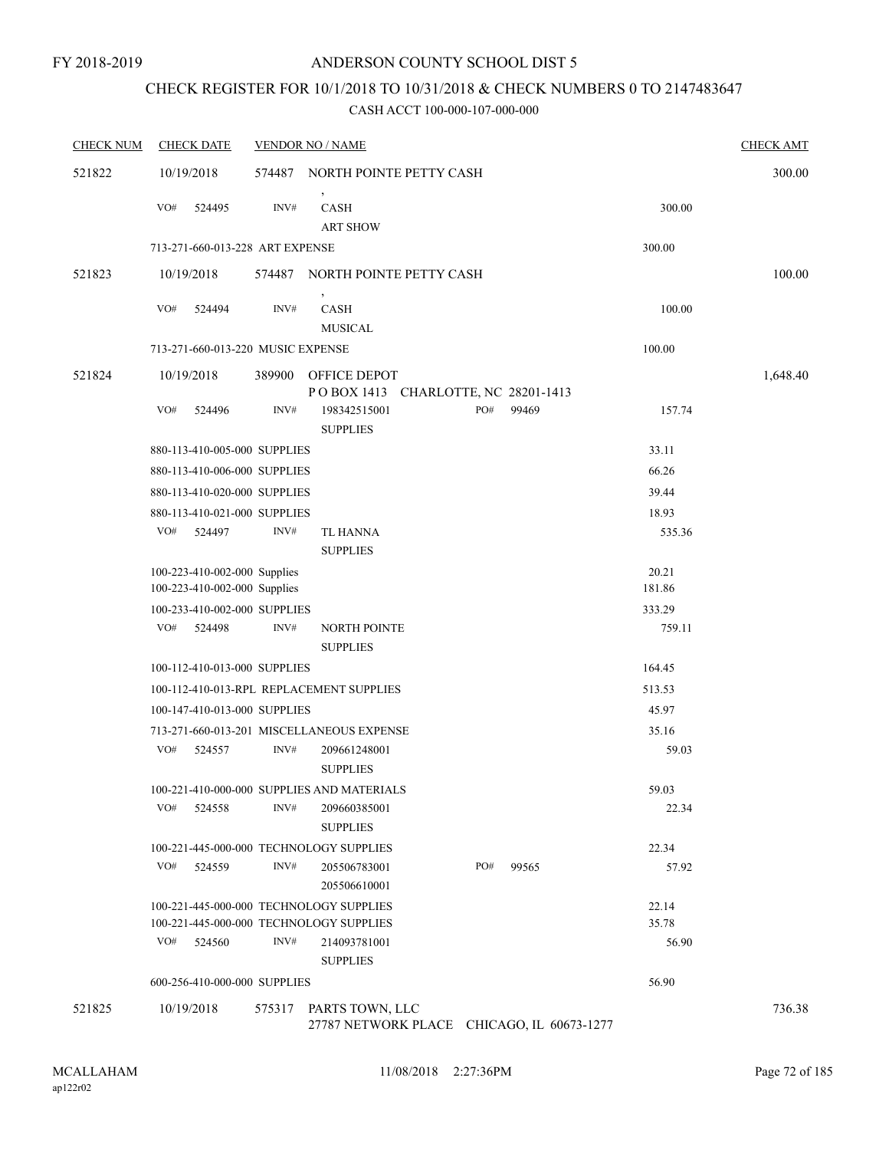## CHECK REGISTER FOR 10/1/2018 TO 10/31/2018 & CHECK NUMBERS 0 TO 2147483647

| <b>CHECK NUM</b> | <b>CHECK DATE</b>                        |        | <b>VENDOR NO / NAME</b>                                                      |     |       |                | <b>CHECK AMT</b> |
|------------------|------------------------------------------|--------|------------------------------------------------------------------------------|-----|-------|----------------|------------------|
| 521822           | 10/19/2018                               |        | 574487 NORTH POINTE PETTY CASH                                               |     |       |                | 300.00           |
|                  | VO#<br>524495                            | INV#   | CASH<br><b>ART SHOW</b>                                                      |     |       | 300.00         |                  |
|                  | 713-271-660-013-228 ART EXPENSE          |        |                                                                              |     |       | 300.00         |                  |
| 521823           | 10/19/2018                               |        | 574487 NORTH POINTE PETTY CASH                                               |     |       |                | 100.00           |
|                  | VO#<br>524494                            | INV#   | CASH<br><b>MUSICAL</b>                                                       |     |       | 100.00         |                  |
|                  | 713-271-660-013-220 MUSIC EXPENSE        |        |                                                                              |     |       | 100.00         |                  |
| 521824           | 10/19/2018                               |        | 389900 OFFICE DEPOT<br>POBOX 1413 CHARLOTTE, NC 28201-1413                   |     |       |                | 1,648.40         |
|                  | VO#<br>524496                            | INV#   | 198342515001<br><b>SUPPLIES</b>                                              | PO# | 99469 | 157.74         |                  |
|                  | 880-113-410-005-000 SUPPLIES             |        |                                                                              |     |       | 33.11          |                  |
|                  | 880-113-410-006-000 SUPPLIES             |        |                                                                              |     |       | 66.26          |                  |
|                  | 880-113-410-020-000 SUPPLIES             |        |                                                                              |     |       | 39.44          |                  |
|                  | 880-113-410-021-000 SUPPLIES             |        |                                                                              |     |       | 18.93          |                  |
|                  | VO#<br>524497                            | INV#   | <b>TL HANNA</b><br><b>SUPPLIES</b>                                           |     |       | 535.36         |                  |
|                  | 100-223-410-002-000 Supplies             |        |                                                                              |     |       | 20.21          |                  |
|                  | 100-223-410-002-000 Supplies             |        |                                                                              |     |       | 181.86         |                  |
|                  | 100-233-410-002-000 SUPPLIES             |        |                                                                              |     |       | 333.29         |                  |
|                  | VO#<br>524498                            | INV#   | <b>NORTH POINTE</b><br><b>SUPPLIES</b>                                       |     |       | 759.11         |                  |
|                  | 100-112-410-013-000 SUPPLIES             |        |                                                                              |     |       | 164.45         |                  |
|                  | 100-112-410-013-RPL REPLACEMENT SUPPLIES |        |                                                                              |     |       | 513.53         |                  |
|                  | 100-147-410-013-000 SUPPLIES             |        |                                                                              |     |       | 45.97          |                  |
|                  | VO#<br>524557                            | INV#   | 713-271-660-013-201 MISCELLANEOUS EXPENSE<br>209661248001<br><b>SUPPLIES</b> |     |       | 35.16<br>59.03 |                  |
|                  |                                          |        | 100-221-410-000-000 SUPPLIES AND MATERIALS                                   |     |       | 59.03          |                  |
|                  | VO#<br>524558                            | INV#   | 209660385001<br><b>SUPPLIES</b>                                              |     |       | 22.34          |                  |
|                  | 100-221-445-000-000 TECHNOLOGY SUPPLIES  |        |                                                                              |     |       | 22.34          |                  |
|                  | VO#<br>524559                            | INV#   | 205506783001<br>205506610001                                                 | PO# | 99565 | 57.92          |                  |
|                  | 100-221-445-000-000 TECHNOLOGY SUPPLIES  |        |                                                                              |     |       | 22.14          |                  |
|                  | 100-221-445-000-000 TECHNOLOGY SUPPLIES  |        |                                                                              |     |       | 35.78          |                  |
|                  | VO#<br>524560                            | INV#   | 214093781001<br><b>SUPPLIES</b>                                              |     |       | 56.90          |                  |
|                  | 600-256-410-000-000 SUPPLIES             |        |                                                                              |     |       | 56.90          |                  |
| 521825           | 10/19/2018                               | 575317 | PARTS TOWN, LLC<br>27787 NETWORK PLACE CHICAGO, IL 60673-1277                |     |       |                | 736.38           |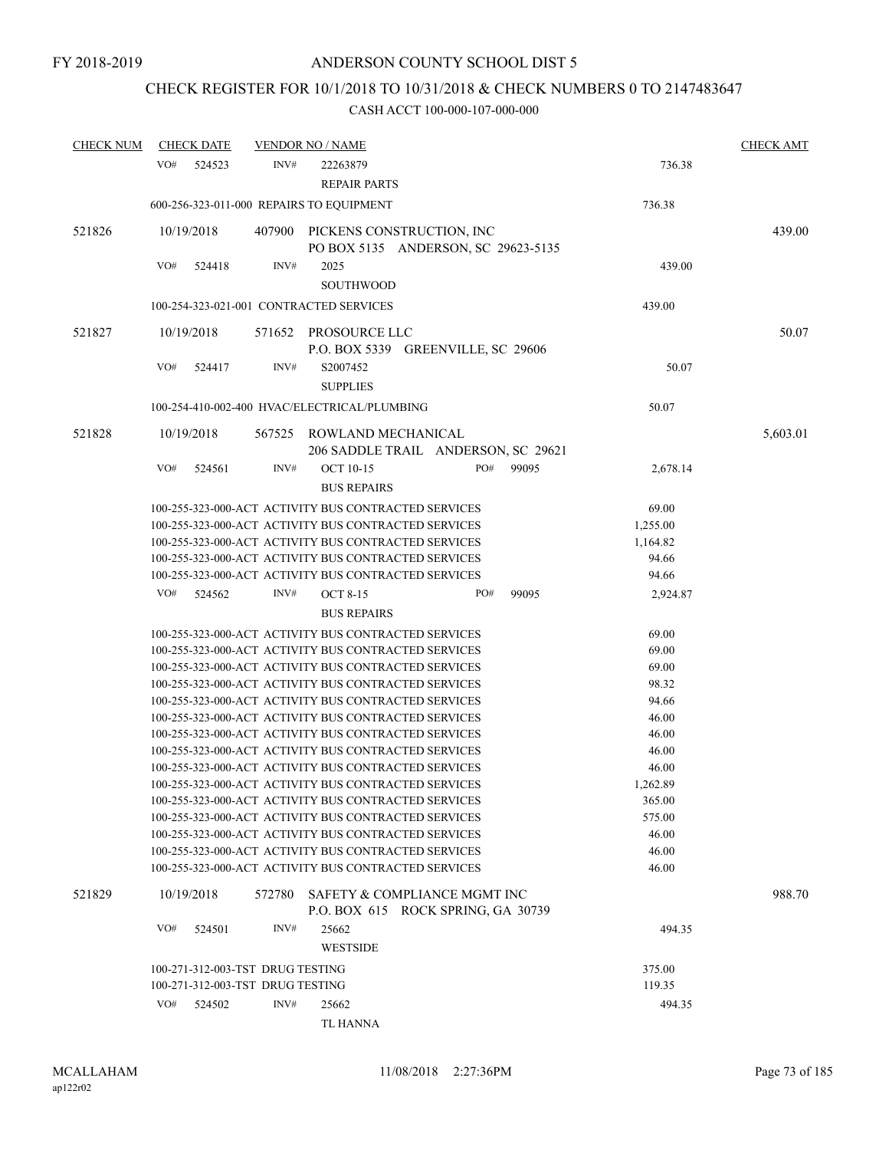### CHECK REGISTER FOR 10/1/2018 TO 10/31/2018 & CHECK NUMBERS 0 TO 2147483647

| <b>CHECK NUM</b> | <b>CHECK DATE</b>                                                                                            |        | <b>VENDOR NO / NAME</b>                              |                                     |       |                   | <b>CHECK AMT</b> |
|------------------|--------------------------------------------------------------------------------------------------------------|--------|------------------------------------------------------|-------------------------------------|-------|-------------------|------------------|
|                  | VO#<br>524523                                                                                                | INV#   | 22263879                                             |                                     |       | 736.38            |                  |
|                  |                                                                                                              |        | <b>REPAIR PARTS</b>                                  |                                     |       |                   |                  |
|                  | 600-256-323-011-000 REPAIRS TO EQUIPMENT                                                                     |        |                                                      |                                     |       | 736.38            |                  |
|                  |                                                                                                              |        |                                                      |                                     |       |                   |                  |
| 521826           | 10/19/2018                                                                                                   |        |                                                      | 407900 PICKENS CONSTRUCTION, INC    |       |                   | 439.00           |
|                  |                                                                                                              |        |                                                      | PO BOX 5135 ANDERSON, SC 29623-5135 |       |                   |                  |
|                  | VO#<br>524418                                                                                                | INV#   | 2025                                                 |                                     |       | 439.00            |                  |
|                  |                                                                                                              |        | <b>SOUTHWOOD</b>                                     |                                     |       |                   |                  |
|                  | 100-254-323-021-001 CONTRACTED SERVICES                                                                      |        |                                                      |                                     |       | 439.00            |                  |
| 521827           | 10/19/2018                                                                                                   |        | 571652 PROSOURCE LLC                                 |                                     |       |                   | 50.07            |
|                  |                                                                                                              |        |                                                      | P.O. BOX 5339 GREENVILLE, SC 29606  |       |                   |                  |
|                  | VO#<br>524417                                                                                                | INV#   | S2007452                                             |                                     |       | 50.07             |                  |
|                  |                                                                                                              |        | <b>SUPPLIES</b>                                      |                                     |       |                   |                  |
|                  | 100-254-410-002-400 HVAC/ELECTRICAL/PLUMBING                                                                 |        |                                                      |                                     |       | 50.07             |                  |
| 521828           | 10/19/2018                                                                                                   |        |                                                      |                                     |       |                   |                  |
|                  |                                                                                                              |        | 567525 ROWLAND MECHANICAL                            | 206 SADDLE TRAIL ANDERSON, SC 29621 |       |                   | 5,603.01         |
|                  | VO#<br>524561                                                                                                | INV#   | <b>OCT 10-15</b>                                     | PO#                                 | 99095 | 2,678.14          |                  |
|                  |                                                                                                              |        | <b>BUS REPAIRS</b>                                   |                                     |       |                   |                  |
|                  |                                                                                                              |        |                                                      |                                     |       |                   |                  |
|                  | 100-255-323-000-ACT ACTIVITY BUS CONTRACTED SERVICES<br>100-255-323-000-ACT ACTIVITY BUS CONTRACTED SERVICES |        |                                                      |                                     |       | 69.00             |                  |
|                  |                                                                                                              |        |                                                      |                                     |       | 1,255.00          |                  |
|                  | 100-255-323-000-ACT ACTIVITY BUS CONTRACTED SERVICES<br>100-255-323-000-ACT ACTIVITY BUS CONTRACTED SERVICES |        |                                                      |                                     |       | 1,164.82<br>94.66 |                  |
|                  | 100-255-323-000-ACT ACTIVITY BUS CONTRACTED SERVICES                                                         |        |                                                      |                                     |       | 94.66             |                  |
|                  | VO#<br>524562                                                                                                | INV#   | <b>OCT 8-15</b>                                      | PO#                                 | 99095 | 2,924.87          |                  |
|                  |                                                                                                              |        | <b>BUS REPAIRS</b>                                   |                                     |       |                   |                  |
|                  |                                                                                                              |        |                                                      |                                     |       |                   |                  |
|                  | 100-255-323-000-ACT ACTIVITY BUS CONTRACTED SERVICES<br>100-255-323-000-ACT ACTIVITY BUS CONTRACTED SERVICES |        |                                                      |                                     |       | 69.00<br>69.00    |                  |
|                  | 100-255-323-000-ACT ACTIVITY BUS CONTRACTED SERVICES                                                         |        |                                                      |                                     |       | 69.00             |                  |
|                  | 100-255-323-000-ACT ACTIVITY BUS CONTRACTED SERVICES                                                         |        |                                                      |                                     |       | 98.32             |                  |
|                  | 100-255-323-000-ACT ACTIVITY BUS CONTRACTED SERVICES                                                         |        |                                                      |                                     |       | 94.66             |                  |
|                  | 100-255-323-000-ACT ACTIVITY BUS CONTRACTED SERVICES                                                         |        |                                                      |                                     |       | 46.00             |                  |
|                  | 100-255-323-000-ACT ACTIVITY BUS CONTRACTED SERVICES                                                         |        |                                                      |                                     |       | 46.00             |                  |
|                  | 100-255-323-000-ACT ACTIVITY BUS CONTRACTED SERVICES                                                         |        |                                                      |                                     |       | 46.00             |                  |
|                  | 100-255-323-000-ACT ACTIVITY BUS CONTRACTED SERVICES                                                         |        |                                                      |                                     |       | 46.00             |                  |
|                  |                                                                                                              |        | 100-255-323-000-ACT ACTIVITY BUS CONTRACTED SERVICES |                                     |       | 1,262.89          |                  |
|                  | 100-255-323-000-ACT ACTIVITY BUS CONTRACTED SERVICES                                                         |        |                                                      |                                     |       | 365.00            |                  |
|                  | 100-255-323-000-ACT ACTIVITY BUS CONTRACTED SERVICES                                                         |        |                                                      |                                     |       | 575.00            |                  |
|                  | 100-255-323-000-ACT ACTIVITY BUS CONTRACTED SERVICES                                                         |        |                                                      |                                     |       | 46.00             |                  |
|                  | 100-255-323-000-ACT ACTIVITY BUS CONTRACTED SERVICES                                                         |        |                                                      |                                     |       | 46.00             |                  |
|                  | 100-255-323-000-ACT ACTIVITY BUS CONTRACTED SERVICES                                                         |        |                                                      |                                     |       | 46.00             |                  |
| 521829           | 10/19/2018                                                                                                   | 572780 |                                                      | SAFETY & COMPLIANCE MGMT INC        |       |                   | 988.70           |
|                  |                                                                                                              |        |                                                      | P.O. BOX 615 ROCK SPRING, GA 30739  |       |                   |                  |
|                  | VO#<br>524501                                                                                                | INV#   | 25662                                                |                                     |       | 494.35            |                  |
|                  |                                                                                                              |        | <b>WESTSIDE</b>                                      |                                     |       |                   |                  |
|                  | 100-271-312-003-TST DRUG TESTING                                                                             |        |                                                      |                                     |       | 375.00            |                  |
|                  | 100-271-312-003-TST DRUG TESTING                                                                             |        |                                                      |                                     |       | 119.35            |                  |
|                  | VO#<br>524502                                                                                                | INV#   | 25662                                                |                                     |       | 494.35            |                  |
|                  |                                                                                                              |        |                                                      |                                     |       |                   |                  |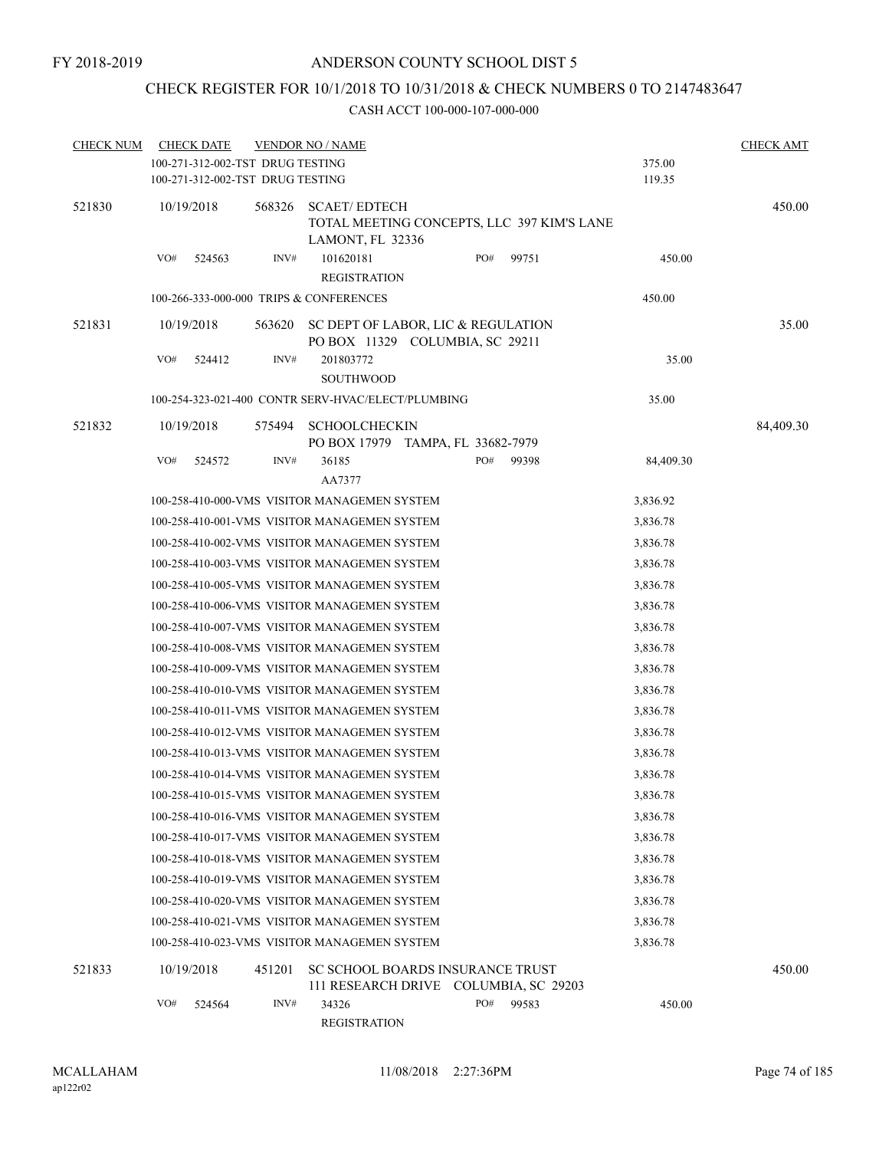### CHECK REGISTER FOR 10/1/2018 TO 10/31/2018 & CHECK NUMBERS 0 TO 2147483647

| <b>CHECK NUM</b> | <b>CHECK DATE</b>                       |        | <b>VENDOR NO / NAME</b>                                                   |     |                                            |           | <b>CHECK AMT</b> |
|------------------|-----------------------------------------|--------|---------------------------------------------------------------------------|-----|--------------------------------------------|-----------|------------------|
|                  | 100-271-312-002-TST DRUG TESTING        |        |                                                                           |     |                                            | 375.00    |                  |
|                  | 100-271-312-002-TST DRUG TESTING        |        |                                                                           |     |                                            | 119.35    |                  |
| 521830           | 10/19/2018                              | 568326 | <b>SCAET/EDTECH</b>                                                       |     |                                            |           | 450.00           |
|                  |                                         |        |                                                                           |     | TOTAL MEETING CONCEPTS, LLC 397 KIM'S LANE |           |                  |
|                  |                                         |        | LAMONT, FL 32336                                                          |     |                                            |           |                  |
|                  | VO#<br>524563                           | INV#   | 101620181<br><b>REGISTRATION</b>                                          | PO# | 99751                                      | 450.00    |                  |
|                  | 100-266-333-000-000 TRIPS & CONFERENCES |        |                                                                           |     |                                            | 450.00    |                  |
|                  |                                         |        |                                                                           |     |                                            |           |                  |
| 521831           | 10/19/2018                              | 563620 | SC DEPT OF LABOR, LIC & REGULATION<br>PO BOX 11329 COLUMBIA, SC 29211     |     |                                            |           | 35.00            |
|                  | VO#<br>524412                           | INV#   | 201803772                                                                 |     |                                            | 35.00     |                  |
|                  |                                         |        | <b>SOUTHWOOD</b>                                                          |     |                                            |           |                  |
|                  |                                         |        | 100-254-323-021-400 CONTR SERV-HVAC/ELECT/PLUMBING                        |     |                                            | 35.00     |                  |
| 521832           | 10/19/2018                              | 575494 | <b>SCHOOLCHECKIN</b>                                                      |     |                                            |           | 84,409.30        |
|                  |                                         |        | PO BOX 17979 TAMPA, FL 33682-7979                                         |     |                                            |           |                  |
|                  | VO#<br>524572                           | INV#   | 36185                                                                     | PO# | 99398                                      | 84,409.30 |                  |
|                  |                                         |        | AA7377                                                                    |     |                                            |           |                  |
|                  |                                         |        | 100-258-410-000-VMS VISITOR MANAGEMEN SYSTEM                              |     |                                            | 3,836.92  |                  |
|                  |                                         |        | 100-258-410-001-VMS VISITOR MANAGEMEN SYSTEM                              |     |                                            | 3,836.78  |                  |
|                  |                                         |        | 100-258-410-002-VMS VISITOR MANAGEMEN SYSTEM                              |     |                                            | 3,836.78  |                  |
|                  |                                         |        | 100-258-410-003-VMS VISITOR MANAGEMEN SYSTEM                              |     |                                            | 3,836.78  |                  |
|                  |                                         |        | 100-258-410-005-VMS VISITOR MANAGEMEN SYSTEM                              |     |                                            | 3,836.78  |                  |
|                  |                                         |        | 100-258-410-006-VMS VISITOR MANAGEMEN SYSTEM                              |     |                                            | 3,836.78  |                  |
|                  |                                         |        | 100-258-410-007-VMS VISITOR MANAGEMEN SYSTEM                              |     |                                            | 3,836.78  |                  |
|                  |                                         |        | 100-258-410-008-VMS VISITOR MANAGEMEN SYSTEM                              |     |                                            | 3,836.78  |                  |
|                  |                                         |        | 100-258-410-009-VMS VISITOR MANAGEMEN SYSTEM                              |     |                                            | 3,836.78  |                  |
|                  |                                         |        | 100-258-410-010-VMS VISITOR MANAGEMEN SYSTEM                              |     |                                            | 3,836.78  |                  |
|                  |                                         |        | 100-258-410-011-VMS VISITOR MANAGEMEN SYSTEM                              |     |                                            | 3,836.78  |                  |
|                  |                                         |        | 100-258-410-012-VMS VISITOR MANAGEMEN SYSTEM                              |     |                                            | 3,836.78  |                  |
|                  |                                         |        | 100-258-410-013-VMS VISITOR MANAGEMEN SYSTEM                              |     |                                            | 3,836.78  |                  |
|                  |                                         |        | 100-258-410-014-VMS VISITOR MANAGEMEN SYSTEM                              |     |                                            | 3,836.78  |                  |
|                  |                                         |        | 100-258-410-015-VMS VISITOR MANAGEMEN SYSTEM                              |     |                                            | 3,836.78  |                  |
|                  |                                         |        | 100-258-410-016-VMS VISITOR MANAGEMEN SYSTEM                              |     |                                            | 3,836.78  |                  |
|                  |                                         |        | 100-258-410-017-VMS VISITOR MANAGEMEN SYSTEM                              |     |                                            | 3,836.78  |                  |
|                  |                                         |        | 100-258-410-018-VMS VISITOR MANAGEMEN SYSTEM                              |     |                                            | 3,836.78  |                  |
|                  |                                         |        | 100-258-410-019-VMS VISITOR MANAGEMEN SYSTEM                              |     |                                            | 3,836.78  |                  |
|                  |                                         |        | 100-258-410-020-VMS VISITOR MANAGEMEN SYSTEM                              |     |                                            | 3,836.78  |                  |
|                  |                                         |        | 100-258-410-021-VMS VISITOR MANAGEMEN SYSTEM                              |     |                                            | 3,836.78  |                  |
|                  |                                         |        | 100-258-410-023-VMS VISITOR MANAGEMEN SYSTEM                              |     |                                            | 3,836.78  |                  |
| 521833           | 10/19/2018                              | 451201 | SC SCHOOL BOARDS INSURANCE TRUST<br>111 RESEARCH DRIVE COLUMBIA, SC 29203 |     |                                            |           | 450.00           |
|                  | VO#<br>524564                           | INV#   | 34326                                                                     | PO# | 99583                                      | 450.00    |                  |
|                  |                                         |        | <b>REGISTRATION</b>                                                       |     |                                            |           |                  |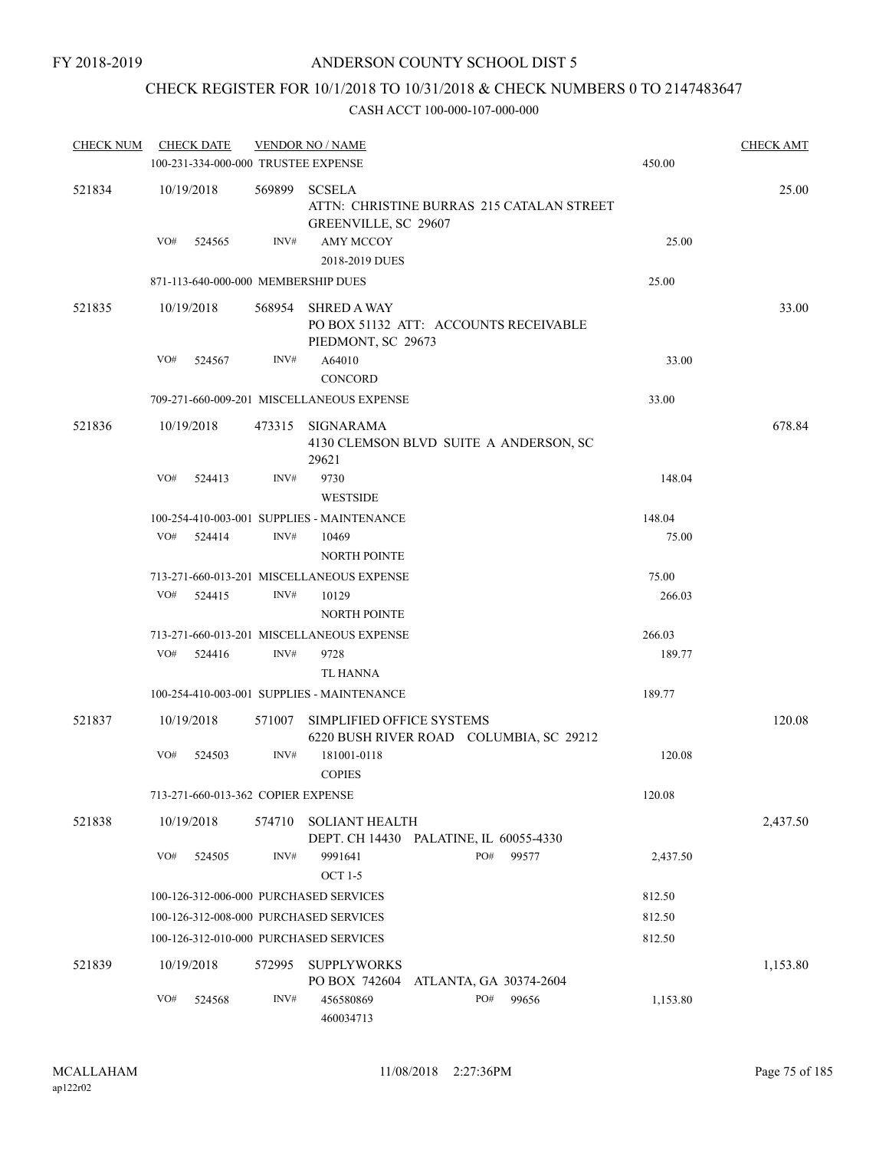### CHECK REGISTER FOR 10/1/2018 TO 10/31/2018 & CHECK NUMBERS 0 TO 2147483647

| <b>CHECK NUM</b> |     | <b>CHECK DATE</b>                  |        | <b>VENDOR NO / NAME</b>                                                            |                               |       |          | <b>CHECK AMT</b> |
|------------------|-----|------------------------------------|--------|------------------------------------------------------------------------------------|-------------------------------|-------|----------|------------------|
|                  |     |                                    |        | 100-231-334-000-000 TRUSTEE EXPENSE                                                |                               |       | 450.00   |                  |
| 521834           |     | 10/19/2018                         | 569899 | <b>SCSELA</b><br>ATTN: CHRISTINE BURRAS 215 CATALAN STREET<br>GREENVILLE, SC 29607 |                               |       |          | 25.00            |
|                  | VO# | 524565                             | INV#   | <b>AMY MCCOY</b><br>2018-2019 DUES                                                 |                               |       | 25.00    |                  |
|                  |     |                                    |        | 871-113-640-000-000 MEMBERSHIP DUES                                                |                               |       | 25.00    |                  |
| 521835           |     | 10/19/2018                         | 568954 | <b>SHRED A WAY</b><br>PO BOX 51132 ATT: ACCOUNTS RECEIVABLE<br>PIEDMONT, SC 29673  |                               |       |          | 33.00            |
|                  | VO# | 524567                             | INV#   | A64010<br>CONCORD                                                                  |                               |       | 33.00    |                  |
|                  |     |                                    |        | 709-271-660-009-201 MISCELLANEOUS EXPENSE                                          |                               |       | 33.00    |                  |
| 521836           |     | 10/19/2018                         |        | 473315 SIGNARAMA<br>4130 CLEMSON BLVD SUITE A ANDERSON, SC<br>29621                |                               |       |          | 678.84           |
|                  | VO# | 524413                             | INV#   | 9730<br><b>WESTSIDE</b>                                                            |                               |       | 148.04   |                  |
|                  |     |                                    |        | 100-254-410-003-001 SUPPLIES - MAINTENANCE                                         |                               |       | 148.04   |                  |
|                  | VO# | 524414                             | INV#   | 10469<br><b>NORTH POINTE</b>                                                       |                               |       | 75.00    |                  |
|                  |     |                                    |        | 713-271-660-013-201 MISCELLANEOUS EXPENSE                                          |                               |       | 75.00    |                  |
|                  | VO# | 524415                             | INV#   | 10129<br><b>NORTH POINTE</b>                                                       |                               |       | 266.03   |                  |
|                  |     |                                    |        | 713-271-660-013-201 MISCELLANEOUS EXPENSE                                          |                               |       | 266.03   |                  |
|                  | VO# | 524416                             | INV#   | 9728<br><b>TL HANNA</b>                                                            |                               |       | 189.77   |                  |
|                  |     |                                    |        | 100-254-410-003-001 SUPPLIES - MAINTENANCE                                         |                               |       | 189.77   |                  |
| 521837           |     | 10/19/2018                         | 571007 | SIMPLIFIED OFFICE SYSTEMS<br>6220 BUSH RIVER ROAD COLUMBIA, SC 29212               |                               |       |          | 120.08           |
|                  | VO# | 524503                             | INV#   | 181001-0118<br><b>COPIES</b>                                                       |                               |       | 120.08   |                  |
|                  |     | 713-271-660-013-362 COPIER EXPENSE |        |                                                                                    |                               |       | 120.08   |                  |
| 521838           |     | 10/19/2018                         | 574710 | <b>SOLIANT HEALTH</b><br>DEPT. CH 14430 PALATINE, IL 60055-4330                    |                               |       |          | 2,437.50         |
|                  | VO# | 524505                             | INV#   | 9991641<br><b>OCT 1-5</b>                                                          | PO#                           | 99577 | 2,437.50 |                  |
|                  |     |                                    |        | 100-126-312-006-000 PURCHASED SERVICES                                             |                               |       | 812.50   |                  |
|                  |     |                                    |        | 100-126-312-008-000 PURCHASED SERVICES                                             |                               |       | 812.50   |                  |
|                  |     |                                    |        | 100-126-312-010-000 PURCHASED SERVICES                                             |                               |       | 812.50   |                  |
| 521839           |     | 10/19/2018                         | 572995 | <b>SUPPLYWORKS</b>                                                                 |                               |       |          | 1,153.80         |
|                  | VO# | 524568                             | INV#   | PO BOX 742604<br>456580869<br>460034713                                            | ATLANTA, GA 30374-2604<br>PO# | 99656 | 1,153.80 |                  |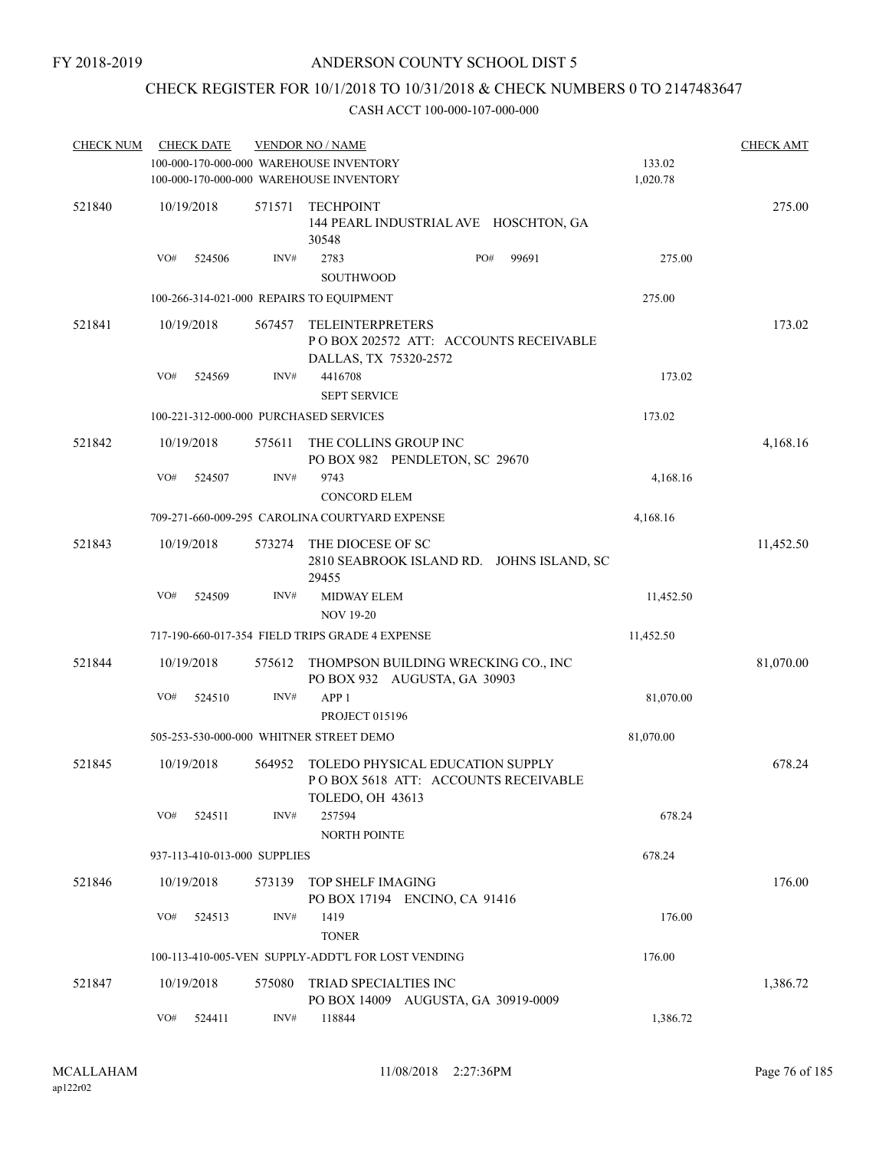### CHECK REGISTER FOR 10/1/2018 TO 10/31/2018 & CHECK NUMBERS 0 TO 2147483647

| <b>CHECK NUM</b> |     | <b>CHECK DATE</b> |                              | <b>VENDOR NO / NAME</b>                                                                             |                    | <b>CHECK AMT</b> |
|------------------|-----|-------------------|------------------------------|-----------------------------------------------------------------------------------------------------|--------------------|------------------|
|                  |     |                   |                              | 100-000-170-000-000 WAREHOUSE INVENTORY<br>100-000-170-000-000 WAREHOUSE INVENTORY                  | 133.02<br>1,020.78 |                  |
| 521840           |     | 10/19/2018        | 571571                       | <b>TECHPOINT</b><br>144 PEARL INDUSTRIAL AVE HOSCHTON, GA<br>30548                                  |                    | 275.00           |
|                  | VO# | 524506            | INV#                         | PO#<br>2783<br>99691<br><b>SOUTHWOOD</b>                                                            | 275.00             |                  |
|                  |     |                   |                              | 100-266-314-021-000 REPAIRS TO EQUIPMENT                                                            | 275.00             |                  |
| 521841           |     | 10/19/2018        | 567457                       | <b>TELEINTERPRETERS</b><br>PO BOX 202572 ATT: ACCOUNTS RECEIVABLE<br>DALLAS, TX 75320-2572          |                    | 173.02           |
|                  | VO# | 524569            | INV#                         | 4416708<br><b>SEPT SERVICE</b>                                                                      | 173.02             |                  |
|                  |     |                   |                              | 100-221-312-000-000 PURCHASED SERVICES                                                              | 173.02             |                  |
| 521842           |     | 10/19/2018        | 575611                       | THE COLLINS GROUP INC<br>PO BOX 982 PENDLETON, SC 29670                                             |                    | 4,168.16         |
|                  | VO# | 524507            | INV#                         | 9743<br><b>CONCORD ELEM</b>                                                                         | 4,168.16           |                  |
|                  |     |                   |                              | 709-271-660-009-295 CAROLINA COURTYARD EXPENSE                                                      | 4,168.16           |                  |
| 521843           |     | 10/19/2018        | 573274                       | THE DIOCESE OF SC<br>2810 SEABROOK ISLAND RD. JOHNS ISLAND, SC<br>29455                             |                    | 11,452.50        |
|                  | VO# | 524509            | INV#                         | <b>MIDWAY ELEM</b><br><b>NOV 19-20</b>                                                              | 11,452.50          |                  |
|                  |     |                   |                              | 717-190-660-017-354 FIELD TRIPS GRADE 4 EXPENSE                                                     | 11,452.50          |                  |
| 521844           |     | 10/19/2018        | 575612                       | THOMPSON BUILDING WRECKING CO., INC<br>PO BOX 932 AUGUSTA, GA 30903                                 |                    | 81,070.00        |
|                  | VO# | 524510            | INV#                         | APP <sub>1</sub><br><b>PROJECT 015196</b>                                                           | 81,070.00          |                  |
|                  |     |                   |                              | 505-253-530-000-000 WHITNER STREET DEMO                                                             | 81,070.00          |                  |
| 521845           |     | 10/19/2018        | 564952                       | TOLEDO PHYSICAL EDUCATION SUPPLY<br>PO BOX 5618 ATT: ACCOUNTS RECEIVABLE<br><b>TOLEDO, OH 43613</b> |                    | 678.24           |
|                  | VO# | 524511            | INV#                         | 257594<br><b>NORTH POINTE</b>                                                                       | 678.24             |                  |
|                  |     |                   | 937-113-410-013-000 SUPPLIES |                                                                                                     | 678.24             |                  |
| 521846           |     | 10/19/2018        | 573139                       | TOP SHELF IMAGING<br>PO BOX 17194 ENCINO, CA 91416                                                  |                    | 176.00           |
|                  | VO# | 524513            | INV#                         | 1419<br><b>TONER</b>                                                                                | 176.00             |                  |
|                  |     |                   |                              | 100-113-410-005-VEN SUPPLY-ADDT'L FOR LOST VENDING                                                  | 176.00             |                  |
| 521847           |     | 10/19/2018        | 575080                       | TRIAD SPECIALTIES INC<br>PO BOX 14009 AUGUSTA, GA 30919-0009                                        |                    | 1,386.72         |
|                  | VO# | 524411            | INV#                         | 118844                                                                                              | 1,386.72           |                  |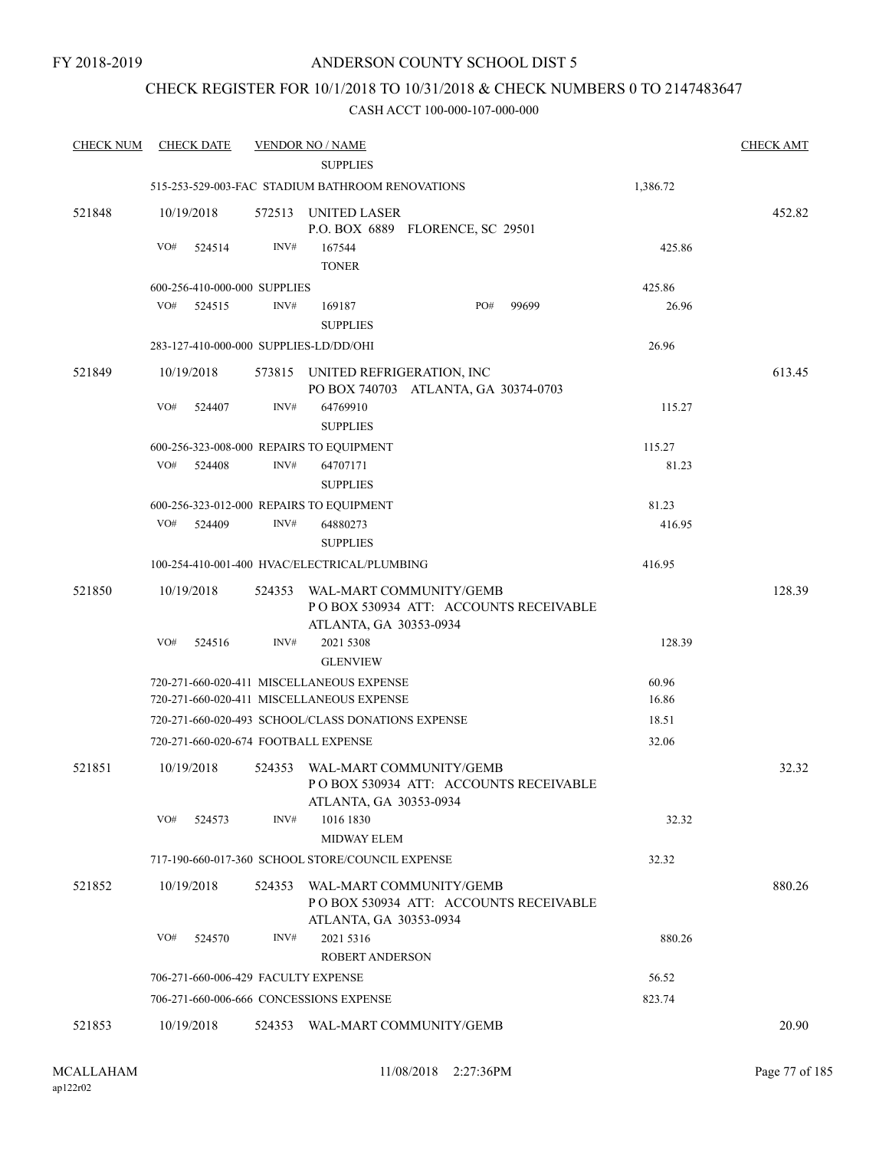### CHECK REGISTER FOR 10/1/2018 TO 10/31/2018 & CHECK NUMBERS 0 TO 2147483647

| <b>CHECK NUM</b> | <b>CHECK DATE</b>                      |        | <b>VENDOR NO / NAME</b>                                  |                                      |                                        |          | <b>CHECK AMT</b> |
|------------------|----------------------------------------|--------|----------------------------------------------------------|--------------------------------------|----------------------------------------|----------|------------------|
|                  |                                        |        | <b>SUPPLIES</b>                                          |                                      |                                        |          |                  |
|                  |                                        |        | 515-253-529-003-FAC STADIUM BATHROOM RENOVATIONS         |                                      |                                        | 1,386.72 |                  |
| 521848           | 10/19/2018                             |        | 572513 UNITED LASER                                      | P.O. BOX 6889 FLORENCE, SC 29501     |                                        |          | 452.82           |
|                  | VO#<br>524514                          | INV#   | 167544<br><b>TONER</b>                                   |                                      |                                        | 425.86   |                  |
|                  | 600-256-410-000-000 SUPPLIES           |        |                                                          |                                      |                                        | 425.86   |                  |
|                  | VO#<br>524515                          | INV#   | 169187<br><b>SUPPLIES</b>                                | PO#                                  | 99699                                  | 26.96    |                  |
|                  | 283-127-410-000-000 SUPPLIES-LD/DD/OHI |        |                                                          |                                      |                                        | 26.96    |                  |
| 521849           | 10/19/2018                             |        | 573815 UNITED REFRIGERATION, INC                         | PO BOX 740703 ATLANTA, GA 30374-0703 |                                        |          | 613.45           |
|                  | VO#<br>524407                          | INV#   | 64769910<br><b>SUPPLIES</b>                              |                                      |                                        | 115.27   |                  |
|                  |                                        |        | 600-256-323-008-000 REPAIRS TO EQUIPMENT                 |                                      |                                        | 115.27   |                  |
|                  | VO# 524408                             | INV#   | 64707171                                                 |                                      |                                        | 81.23    |                  |
|                  |                                        |        | <b>SUPPLIES</b>                                          |                                      |                                        |          |                  |
|                  |                                        |        | 600-256-323-012-000 REPAIRS TO EQUIPMENT                 |                                      |                                        | 81.23    |                  |
|                  | VO#<br>524409                          | INV#   | 64880273                                                 |                                      |                                        | 416.95   |                  |
|                  |                                        |        | <b>SUPPLIES</b>                                          |                                      |                                        |          |                  |
|                  |                                        |        | 100-254-410-001-400 HVAC/ELECTRICAL/PLUMBING             |                                      |                                        | 416.95   |                  |
| 521850           | 10/19/2018                             | 524353 | WAL-MART COMMUNITY/GEMB<br>ATLANTA, GA 30353-0934        |                                      | PO BOX 530934 ATT: ACCOUNTS RECEIVABLE |          | 128.39           |
|                  | VO#<br>524516                          | INV#   | 2021 5308<br><b>GLENVIEW</b>                             |                                      |                                        | 128.39   |                  |
|                  |                                        |        | 720-271-660-020-411 MISCELLANEOUS EXPENSE                |                                      |                                        | 60.96    |                  |
|                  |                                        |        | 720-271-660-020-411 MISCELLANEOUS EXPENSE                |                                      |                                        | 16.86    |                  |
|                  |                                        |        | 720-271-660-020-493 SCHOOL/CLASS DONATIONS EXPENSE       |                                      |                                        | 18.51    |                  |
|                  | 720-271-660-020-674 FOOTBALL EXPENSE   |        |                                                          |                                      |                                        | 32.06    |                  |
| 521851           | 10/19/2018                             |        | 524353 WAL-MART COMMUNITY/GEMB<br>ATLANTA, GA 30353-0934 |                                      | PO BOX 530934 ATT: ACCOUNTS RECEIVABLE |          | 32.32            |
|                  | VO#<br>524573                          | INV#   | 1016 1830<br><b>MIDWAY ELEM</b>                          |                                      |                                        | 32.32    |                  |
|                  |                                        |        | 717-190-660-017-360 SCHOOL STORE/COUNCIL EXPENSE         |                                      |                                        | 32.32    |                  |
| 521852           | 10/19/2018                             |        | 524353 WAL-MART COMMUNITY/GEMB                           |                                      |                                        |          | 880.26           |
|                  |                                        |        | ATLANTA, GA 30353-0934                                   |                                      | PO BOX 530934 ATT: ACCOUNTS RECEIVABLE |          |                  |
|                  | VO#<br>524570                          | INV#   | 2021 5316<br><b>ROBERT ANDERSON</b>                      |                                      |                                        | 880.26   |                  |
|                  | 706-271-660-006-429 FACULTY EXPENSE    |        |                                                          |                                      |                                        | 56.52    |                  |
|                  |                                        |        | 706-271-660-006-666 CONCESSIONS EXPENSE                  |                                      |                                        | 823.74   |                  |
| 521853           | 10/19/2018                             |        | 524353 WAL-MART COMMUNITY/GEMB                           |                                      |                                        |          | 20.90            |
|                  |                                        |        |                                                          |                                      |                                        |          |                  |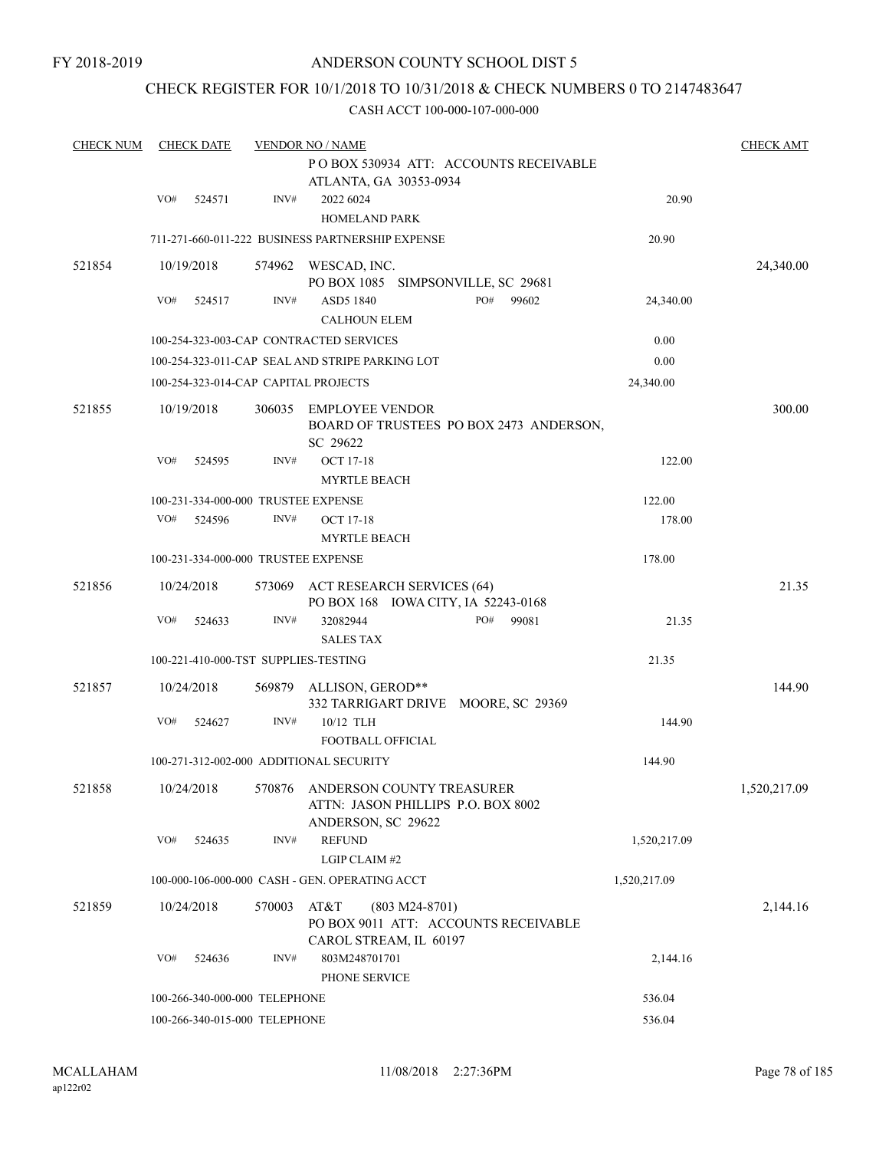### CHECK REGISTER FOR 10/1/2018 TO 10/31/2018 & CHECK NUMBERS 0 TO 2147483647

| <b>CHECK NUM</b> |     | <b>CHECK DATE</b> |                               | <b>VENDOR NO / NAME</b>                                                                      |                                         |              | <b>CHECK AMT</b> |
|------------------|-----|-------------------|-------------------------------|----------------------------------------------------------------------------------------------|-----------------------------------------|--------------|------------------|
|                  |     |                   |                               |                                                                                              | POBOX 530934 ATT: ACCOUNTS RECEIVABLE   |              |                  |
|                  |     |                   |                               | ATLANTA, GA 30353-0934                                                                       |                                         |              |                  |
|                  | VO# | 524571            | INV#                          | 2022 6024<br><b>HOMELAND PARK</b>                                                            |                                         | 20.90        |                  |
|                  |     |                   |                               | 711-271-660-011-222 BUSINESS PARTNERSHIP EXPENSE                                             |                                         | 20.90        |                  |
| 521854           |     | 10/19/2018        |                               | 574962 WESCAD, INC.                                                                          |                                         |              | 24,340.00        |
|                  |     |                   |                               | PO BOX 1085 SIMPSONVILLE, SC 29681                                                           |                                         |              |                  |
|                  | VO# | 524517            | INV#                          | ASD5 1840                                                                                    | PO#<br>99602                            | 24,340.00    |                  |
|                  |     |                   |                               | <b>CALHOUN ELEM</b>                                                                          |                                         |              |                  |
|                  |     |                   |                               | 100-254-323-003-CAP CONTRACTED SERVICES                                                      |                                         | 0.00         |                  |
|                  |     |                   |                               | 100-254-323-011-CAP SEAL AND STRIPE PARKING LOT                                              |                                         | 0.00         |                  |
|                  |     |                   |                               | 100-254-323-014-CAP CAPITAL PROJECTS                                                         |                                         | 24,340.00    |                  |
| 521855           |     | 10/19/2018        |                               | 306035 EMPLOYEE VENDOR                                                                       | BOARD OF TRUSTEES PO BOX 2473 ANDERSON, |              | 300.00           |
|                  |     |                   |                               | SC 29622                                                                                     |                                         |              |                  |
|                  | VO# | 524595            | INV#                          | <b>OCT 17-18</b>                                                                             |                                         | 122.00       |                  |
|                  |     |                   |                               | <b>MYRTLE BEACH</b>                                                                          |                                         |              |                  |
|                  |     |                   |                               | 100-231-334-000-000 TRUSTEE EXPENSE                                                          |                                         | 122.00       |                  |
|                  | VO# | 524596            | INV#                          | OCT 17-18                                                                                    |                                         | 178.00       |                  |
|                  |     |                   |                               | <b>MYRTLE BEACH</b>                                                                          |                                         |              |                  |
|                  |     |                   |                               | 100-231-334-000-000 TRUSTEE EXPENSE                                                          |                                         | 178.00       |                  |
| 521856           |     | 10/24/2018        |                               | 573069 ACT RESEARCH SERVICES (64)                                                            |                                         |              | 21.35            |
|                  |     |                   |                               | PO BOX 168 IOWA CITY, IA 52243-0168                                                          |                                         |              |                  |
|                  | VO# | 524633            | INV#                          | 32082944                                                                                     | PO#<br>99081                            | 21.35        |                  |
|                  |     |                   |                               | <b>SALES TAX</b>                                                                             |                                         |              |                  |
|                  |     |                   |                               | 100-221-410-000-TST SUPPLIES-TESTING                                                         |                                         | 21.35        |                  |
| 521857           |     | 10/24/2018        |                               | 569879 ALLISON, GEROD**<br>332 TARRIGART DRIVE MOORE, SC 29369                               |                                         |              | 144.90           |
|                  | VO# | 524627            | INV#                          | 10/12 TLH                                                                                    |                                         | 144.90       |                  |
|                  |     |                   |                               | FOOTBALL OFFICIAL                                                                            |                                         |              |                  |
|                  |     |                   |                               | 100-271-312-002-000 ADDITIONAL SECURITY                                                      |                                         | 144.90       |                  |
| 521858           |     | 10/24/2018        |                               | 570876 ANDERSON COUNTY TREASURER<br>ATTN: JASON PHILLIPS P.O. BOX 8002<br>ANDERSON, SC 29622 |                                         |              | 1,520,217.09     |
|                  | VO# | 524635            | INV#                          | <b>REFUND</b><br>LGIP CLAIM #2                                                               |                                         | 1,520,217.09 |                  |
|                  |     |                   |                               | 100-000-106-000-000 CASH - GEN. OPERATING ACCT                                               |                                         | 1,520,217.09 |                  |
| 521859           |     | 10/24/2018        | 570003                        | AT&T<br>$(803 M24-8701)$                                                                     |                                         |              | 2,144.16         |
|                  |     |                   |                               | CAROL STREAM, IL 60197                                                                       | PO BOX 9011 ATT: ACCOUNTS RECEIVABLE    |              |                  |
|                  | VO# | 524636            | INV#                          | 803M248701701<br>PHONE SERVICE                                                               |                                         | 2,144.16     |                  |
|                  |     |                   | 100-266-340-000-000 TELEPHONE |                                                                                              |                                         | 536.04       |                  |
|                  |     |                   | 100-266-340-015-000 TELEPHONE |                                                                                              |                                         | 536.04       |                  |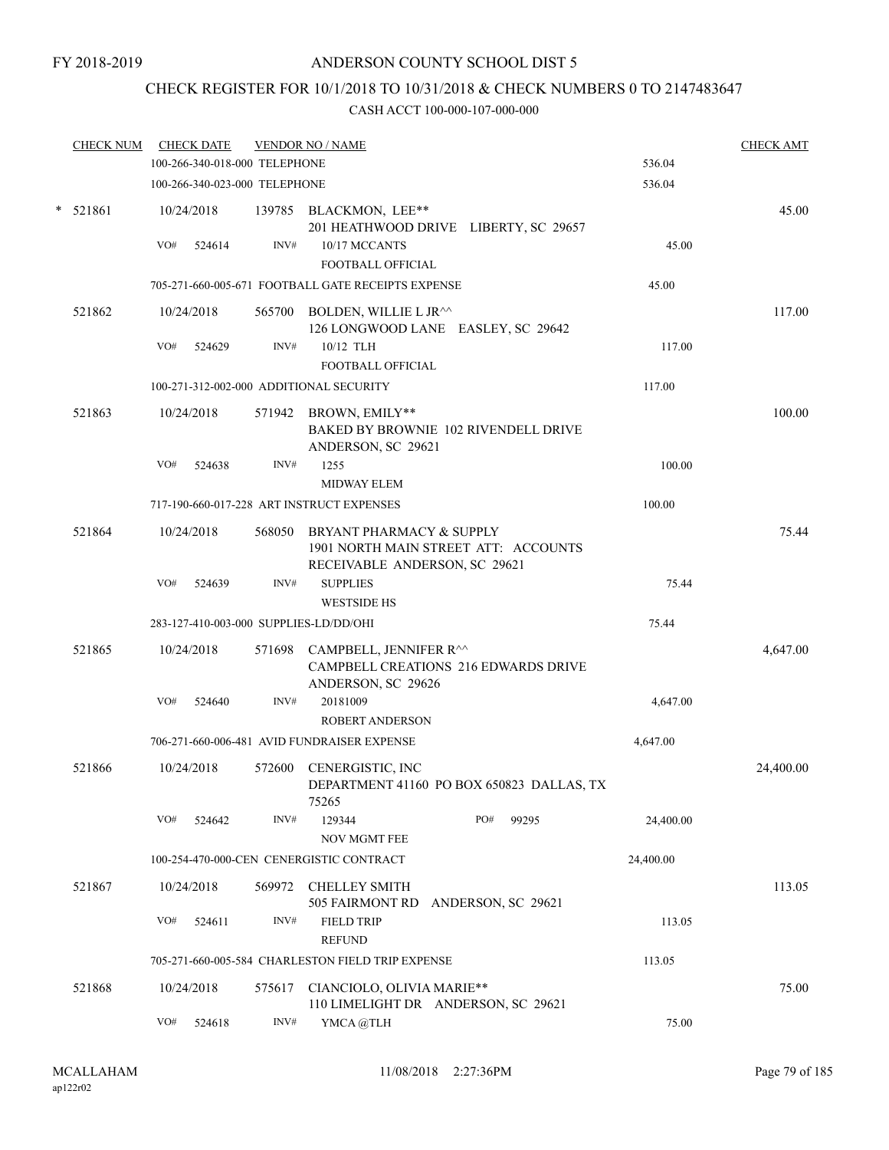## CHECK REGISTER FOR 10/1/2018 TO 10/31/2018 & CHECK NUMBERS 0 TO 2147483647

| <b>CHECK NUM</b> |     | <b>CHECK DATE</b>             |        | <b>VENDOR NO / NAME</b>                                                                               |     |       |           | <b>CHECK AMT</b> |
|------------------|-----|-------------------------------|--------|-------------------------------------------------------------------------------------------------------|-----|-------|-----------|------------------|
|                  |     | 100-266-340-018-000 TELEPHONE |        |                                                                                                       |     |       | 536.04    |                  |
|                  |     | 100-266-340-023-000 TELEPHONE |        |                                                                                                       |     |       | 536.04    |                  |
| $*$ 521861       | VO# | 10/24/2018<br>524614          | INV#   | 139785 BLACKMON, LEE**<br>201 HEATHWOOD DRIVE LIBERTY, SC 29657<br>10/17 MCCANTS<br>FOOTBALL OFFICIAL |     |       | 45.00     | 45.00            |
|                  |     |                               |        | 705-271-660-005-671 FOOTBALL GATE RECEIPTS EXPENSE                                                    |     |       | 45.00     |                  |
| 521862           |     | 10/24/2018                    |        | 565700 BOLDEN, WILLIE L JR^^<br>126 LONGWOOD LANE EASLEY, SC 29642                                    |     |       |           | 117.00           |
|                  | VO# | 524629                        | INV#   | 10/12 TLH<br>FOOTBALL OFFICIAL                                                                        |     |       | 117.00    |                  |
|                  |     |                               |        | 100-271-312-002-000 ADDITIONAL SECURITY                                                               |     |       | 117.00    |                  |
| 521863           |     | 10/24/2018                    |        | 571942 BROWN, EMILY**<br>BAKED BY BROWNIE 102 RIVENDELL DRIVE<br>ANDERSON, SC 29621                   |     |       |           | 100.00           |
|                  | VO# | 524638                        | INV#   | 1255                                                                                                  |     |       | 100.00    |                  |
|                  |     |                               |        | <b>MIDWAY ELEM</b><br>717-190-660-017-228 ART INSTRUCT EXPENSES                                       |     |       | 100.00    |                  |
| 521864           |     | 10/24/2018                    | 568050 | BRYANT PHARMACY & SUPPLY<br>1901 NORTH MAIN STREET ATT: ACCOUNTS<br>RECEIVABLE ANDERSON, SC 29621     |     |       |           | 75.44            |
|                  | VO# | 524639                        | INV#   | <b>SUPPLIES</b><br><b>WESTSIDE HS</b>                                                                 |     |       | 75.44     |                  |
|                  |     |                               |        | 283-127-410-003-000 SUPPLIES-LD/DD/OHI                                                                |     |       | 75.44     |                  |
| 521865           |     | 10/24/2018                    |        | 571698 CAMPBELL, JENNIFER R^^<br><b>CAMPBELL CREATIONS 216 EDWARDS DRIVE</b><br>ANDERSON, SC 29626    |     |       |           | 4,647.00         |
|                  | VO# | 524640                        | INV#   | 20181009                                                                                              |     |       | 4,647.00  |                  |
|                  |     |                               |        | <b>ROBERT ANDERSON</b><br>706-271-660-006-481 AVID FUNDRAISER EXPENSE                                 |     |       | 4,647.00  |                  |
| 521866           |     | 10/24/2018                    |        | 572600 CENERGISTIC, INC<br>DEPARTMENT 41160 PO BOX 650823 DALLAS, TX<br>75265                         |     |       |           | 24,400.00        |
|                  | VO# | 524642                        | INV#   | 129344                                                                                                | PO# | 99295 | 24,400.00 |                  |
|                  |     |                               |        | NOV MGMT FEE                                                                                          |     |       |           |                  |
|                  |     |                               |        | 100-254-470-000-CEN CENERGISTIC CONTRACT                                                              |     |       | 24,400.00 |                  |
| 521867           |     | 10/24/2018                    |        | 569972 CHELLEY SMITH<br>505 FAIRMONT RD ANDERSON, SC 29621                                            |     |       |           | 113.05           |
|                  | VO# | 524611                        | INV#   | <b>FIELD TRIP</b><br><b>REFUND</b>                                                                    |     |       | 113.05    |                  |
|                  |     |                               |        | 705-271-660-005-584 CHARLESTON FIELD TRIP EXPENSE                                                     |     |       | 113.05    |                  |
| 521868           |     | 10/24/2018                    |        | 575617 CIANCIOLO, OLIVIA MARIE**<br>110 LIMELIGHT DR ANDERSON, SC 29621                               |     |       |           | 75.00            |
|                  | VO# | 524618                        | INV#   | YMCA@TLH                                                                                              |     |       | 75.00     |                  |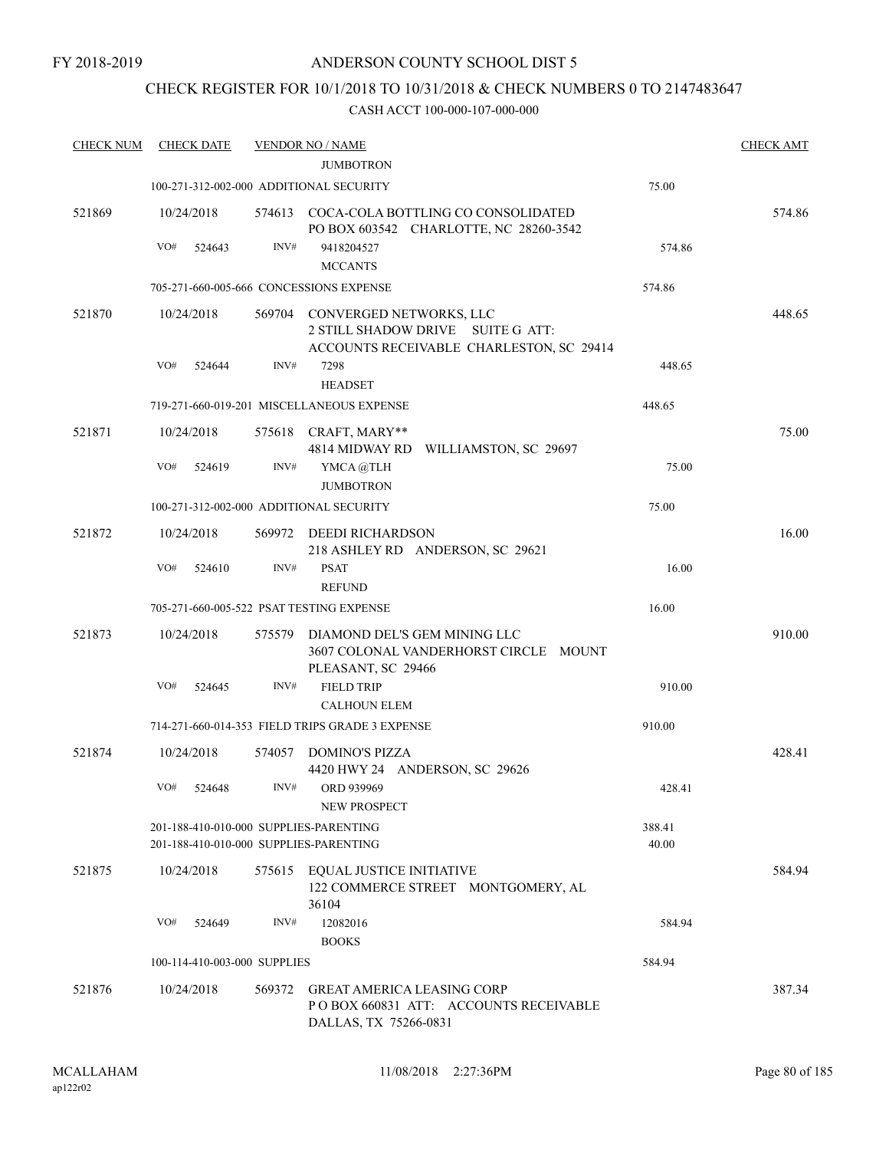### CHECK REGISTER FOR 10/1/2018 TO 10/31/2018 & CHECK NUMBERS 0 TO 2147483647

| <b>CHECK NUM</b> | <b>CHECK DATE</b>            |        | <b>VENDOR NO / NAME</b>                                                                                         |                 | <b>CHECK AMT</b> |
|------------------|------------------------------|--------|-----------------------------------------------------------------------------------------------------------------|-----------------|------------------|
|                  |                              |        | <b>JUMBOTRON</b>                                                                                                |                 |                  |
|                  |                              |        | 100-271-312-002-000 ADDITIONAL SECURITY                                                                         | 75.00           |                  |
| 521869           | 10/24/2018                   |        | 574613 COCA-COLA BOTTLING CO CONSOLIDATED<br>PO BOX 603542 CHARLOTTE, NC 28260-3542                             |                 | 574.86           |
|                  | VO#<br>524643                | INV#   | 9418204527<br><b>MCCANTS</b>                                                                                    | 574.86          |                  |
|                  |                              |        | 705-271-660-005-666 CONCESSIONS EXPENSE                                                                         |                 |                  |
|                  |                              |        |                                                                                                                 | 574.86          |                  |
| 521870           | 10/24/2018                   |        | 569704 CONVERGED NETWORKS, LLC<br>2 STILL SHADOW DRIVE SUITE G ATT:<br>ACCOUNTS RECEIVABLE CHARLESTON, SC 29414 |                 | 448.65           |
|                  | VO#<br>524644                | INV#   | 7298<br><b>HEADSET</b>                                                                                          | 448.65          |                  |
|                  |                              |        | 719-271-660-019-201 MISCELLANEOUS EXPENSE                                                                       | 448.65          |                  |
| 521871           | 10/24/2018                   |        | 575618 CRAFT, MARY**<br>4814 MIDWAY RD<br>WILLIAMSTON, SC 29697                                                 |                 | 75.00            |
|                  | VO#<br>524619                | INV#   | YMCA @TLH<br><b>JUMBOTRON</b>                                                                                   | 75.00           |                  |
|                  |                              |        | 100-271-312-002-000 ADDITIONAL SECURITY                                                                         | 75.00           |                  |
| 521872           | 10/24/2018                   |        | 569972 DEEDI RICHARDSON<br>218 ASHLEY RD ANDERSON, SC 29621                                                     |                 | 16.00            |
|                  | VO#<br>524610                | INV#   | <b>PSAT</b><br><b>REFUND</b>                                                                                    | 16.00           |                  |
|                  |                              |        | 705-271-660-005-522 PSAT TESTING EXPENSE                                                                        | 16.00           |                  |
| 521873           | 10/24/2018                   |        | 575579 DIAMOND DEL'S GEM MINING LLC<br>3607 COLONAL VANDERHORST CIRCLE MOUNT<br>PLEASANT, SC 29466              |                 | 910.00           |
|                  | VO#<br>524645                | INV#   | <b>FIELD TRIP</b><br><b>CALHOUN ELEM</b>                                                                        | 910.00          |                  |
|                  |                              |        | 714-271-660-014-353 FIELD TRIPS GRADE 3 EXPENSE                                                                 | 910.00          |                  |
| 521874           | 10/24/2018                   | 574057 | <b>DOMINO'S PIZZA</b><br>4420 HWY 24 ANDERSON, SC 29626                                                         |                 | 428.41           |
|                  | VO# 524648                   |        | INV# ORD 939969<br>NEW PROSPECT                                                                                 | 428.41          |                  |
|                  |                              |        | 201-188-410-010-000 SUPPLIES-PARENTING<br>201-188-410-010-000 SUPPLIES-PARENTING                                | 388.41<br>40.00 |                  |
| 521875           | 10/24/2018                   |        | 575615 EQUAL JUSTICE INITIATIVE<br>122 COMMERCE STREET MONTGOMERY, AL<br>36104                                  |                 | 584.94           |
|                  | VO#<br>524649                | INV#   | 12082016<br><b>BOOKS</b>                                                                                        | 584.94          |                  |
|                  | 100-114-410-003-000 SUPPLIES |        |                                                                                                                 | 584.94          |                  |
| 521876           | 10/24/2018                   | 569372 | <b>GREAT AMERICA LEASING CORP</b><br>POBOX 660831 ATT: ACCOUNTS RECEIVABLE<br>DALLAS, TX 75266-0831             |                 | 387.34           |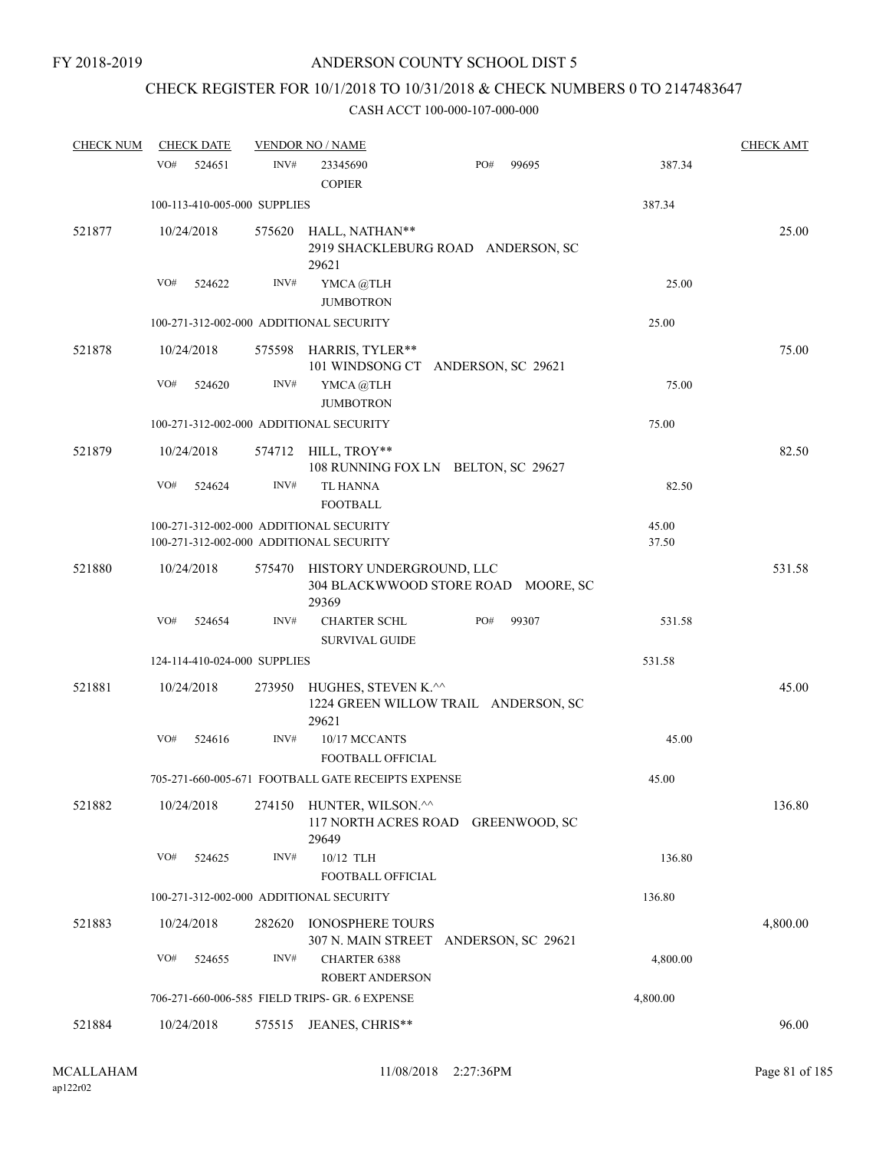# CHECK REGISTER FOR 10/1/2018 TO 10/31/2018 & CHECK NUMBERS 0 TO 2147483647

| <b>CHECK NUM</b> | <b>CHECK DATE</b>                       |        | <b>VENDOR NO / NAME</b>                            |                                       |          | <b>CHECK AMT</b> |
|------------------|-----------------------------------------|--------|----------------------------------------------------|---------------------------------------|----------|------------------|
|                  | VO#<br>524651                           | INV#   | 23345690<br><b>COPIER</b>                          | PO#<br>99695                          | 387.34   |                  |
|                  | 100-113-410-005-000 SUPPLIES            |        |                                                    |                                       | 387.34   |                  |
| 521877           | 10/24/2018                              |        | 575620 HALL, NATHAN**<br>29621                     | 2919 SHACKLEBURG ROAD ANDERSON, SC    |          | 25.00            |
|                  | VO#<br>524622                           | INV#   | YMCA @TLH<br><b>JUMBOTRON</b>                      |                                       | 25.00    |                  |
|                  | 100-271-312-002-000 ADDITIONAL SECURITY |        |                                                    |                                       | 25.00    |                  |
| 521878           | 10/24/2018                              |        | 575598 HARRIS, TYLER**                             | 101 WINDSONG CT ANDERSON, SC 29621    |          | 75.00            |
|                  | VO#<br>524620                           | INV#   | YMCA@TLH<br><b>JUMBOTRON</b>                       |                                       | 75.00    |                  |
|                  | 100-271-312-002-000 ADDITIONAL SECURITY |        |                                                    |                                       | 75.00    |                  |
| 521879           | 10/24/2018                              |        | 574712 HILL, TROY**                                | 108 RUNNING FOX LN BELTON, SC 29627   |          | 82.50            |
|                  | VO#<br>524624                           | INV#   | <b>TL HANNA</b><br><b>FOOTBALL</b>                 |                                       | 82.50    |                  |
|                  | 100-271-312-002-000 ADDITIONAL SECURITY |        |                                                    |                                       | 45.00    |                  |
|                  | 100-271-312-002-000 ADDITIONAL SECURITY |        |                                                    |                                       | 37.50    |                  |
| 521880           | 10/24/2018                              | 575470 | HISTORY UNDERGROUND, LLC<br>29369                  | 304 BLACKWWOOD STORE ROAD MOORE, SC   |          | 531.58           |
|                  | VO#<br>524654                           | INV#   | <b>CHARTER SCHL</b><br><b>SURVIVAL GUIDE</b>       | PO#<br>99307                          | 531.58   |                  |
|                  | 124-114-410-024-000 SUPPLIES            |        |                                                    |                                       | 531.58   |                  |
| 521881           | 10/24/2018                              | 273950 | HUGHES, STEVEN K.^^<br>29621                       | 1224 GREEN WILLOW TRAIL ANDERSON, SC  |          | 45.00            |
|                  | VO#<br>524616                           | INV#   | 10/17 MCCANTS<br>FOOTBALL OFFICIAL                 |                                       | 45.00    |                  |
|                  |                                         |        | 705-271-660-005-671 FOOTBALL GATE RECEIPTS EXPENSE |                                       | 45.00    |                  |
| 521882           | 10/24/2018                              |        | 274150 HUNTER, WILSON.^^<br>29649                  | 117 NORTH ACRES ROAD GREENWOOD, SC    |          | 136.80           |
|                  | VO#<br>524625                           | INV#   | 10/12 TLH<br>FOOTBALL OFFICIAL                     |                                       | 136.80   |                  |
|                  | 100-271-312-002-000 ADDITIONAL SECURITY |        |                                                    |                                       | 136.80   |                  |
| 521883           | 10/24/2018                              | 282620 | <b>IONOSPHERE TOURS</b>                            | 307 N. MAIN STREET ANDERSON, SC 29621 |          | 4,800.00         |
|                  | VO#<br>524655                           | INV#   | <b>CHARTER 6388</b><br><b>ROBERT ANDERSON</b>      |                                       | 4,800.00 |                  |
|                  |                                         |        | 706-271-660-006-585 FIELD TRIPS- GR. 6 EXPENSE     |                                       | 4,800.00 |                  |
| 521884           | 10/24/2018                              | 575515 | JEANES, CHRIS**                                    |                                       |          | 96.00            |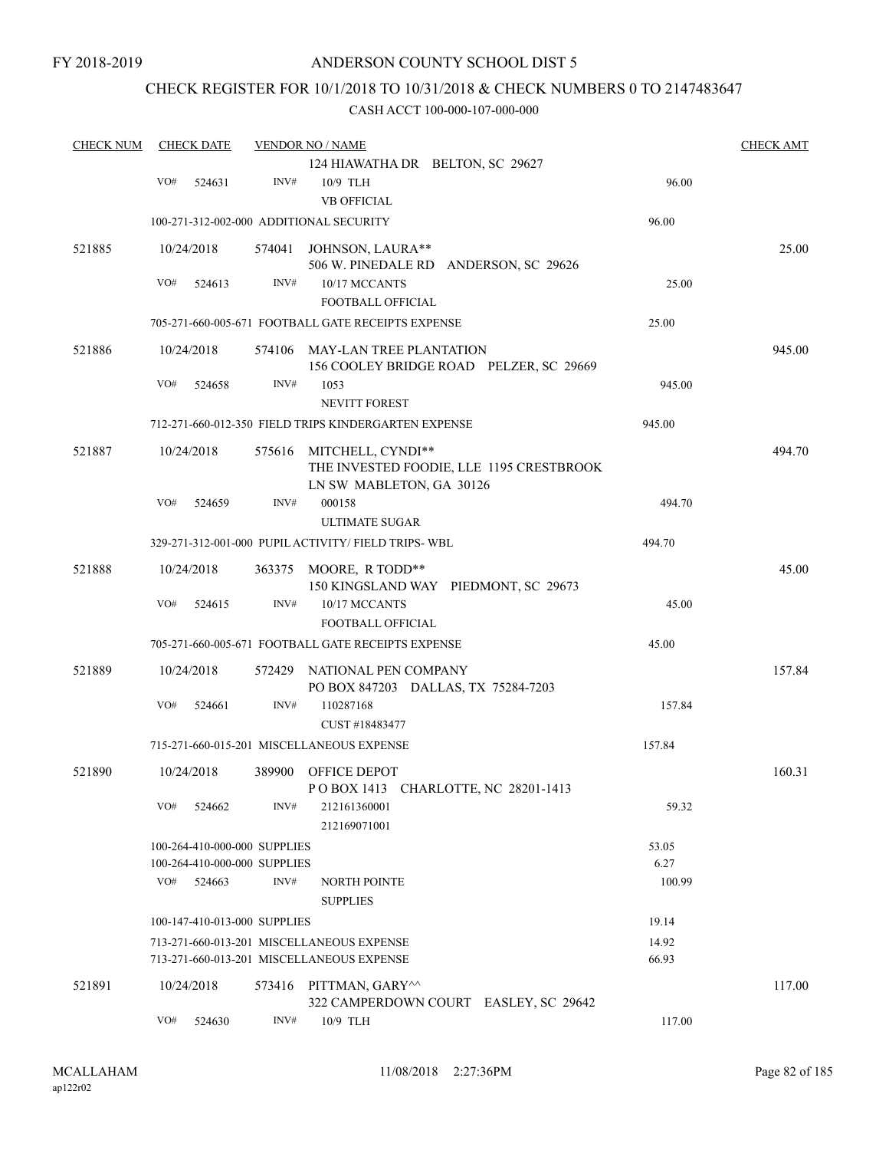### CHECK REGISTER FOR 10/1/2018 TO 10/31/2018 & CHECK NUMBERS 0 TO 2147483647

| <b>CHECK NUM</b> | <b>CHECK DATE</b> |                              |        | <b>VENDOR NO / NAME</b>                                          |        |        |  |  |
|------------------|-------------------|------------------------------|--------|------------------------------------------------------------------|--------|--------|--|--|
|                  |                   |                              |        | 124 HIAWATHA DR BELTON, SC 29627                                 |        |        |  |  |
|                  | VO#               | 524631                       | INV#   | 10/9 TLH<br><b>VB OFFICIAL</b>                                   | 96.00  |        |  |  |
|                  |                   |                              |        | 100-271-312-002-000 ADDITIONAL SECURITY                          | 96.00  |        |  |  |
|                  |                   |                              |        |                                                                  |        |        |  |  |
| 521885           |                   | 10/24/2018                   |        | 574041 JOHNSON, LAURA**<br>506 W. PINEDALE RD ANDERSON, SC 29626 |        | 25.00  |  |  |
|                  | VO#               | 524613                       | INV#   | 10/17 MCCANTS                                                    | 25.00  |        |  |  |
|                  |                   |                              |        | <b>FOOTBALL OFFICIAL</b>                                         |        |        |  |  |
|                  |                   |                              |        | 705-271-660-005-671 FOOTBALL GATE RECEIPTS EXPENSE               | 25.00  |        |  |  |
| 521886           |                   | 10/24/2018                   | 574106 | MAY-LAN TREE PLANTATION                                          |        | 945.00 |  |  |
|                  |                   |                              |        | 156 COOLEY BRIDGE ROAD PELZER, SC 29669                          |        |        |  |  |
|                  | VO#               | 524658                       | INV#   | 1053                                                             | 945.00 |        |  |  |
|                  |                   |                              |        | <b>NEVITT FOREST</b>                                             |        |        |  |  |
|                  |                   |                              |        | 712-271-660-012-350 FIELD TRIPS KINDERGARTEN EXPENSE             | 945.00 |        |  |  |
| 521887           |                   | 10/24/2018                   | 575616 | MITCHELL, CYNDI**                                                |        | 494.70 |  |  |
|                  |                   |                              |        | THE INVESTED FOODIE, LLE 1195 CRESTBROOK                         |        |        |  |  |
|                  |                   |                              |        | LN SW MABLETON, GA 30126                                         |        |        |  |  |
|                  | VO#               | 524659                       | INV#   | 000158<br><b>ULTIMATE SUGAR</b>                                  | 494.70 |        |  |  |
|                  |                   |                              |        | 329-271-312-001-000 PUPIL ACTIVITY/ FIELD TRIPS- WBL             | 494.70 |        |  |  |
| 521888           |                   | 10/24/2018                   |        | 363375 MOORE, R TODD**                                           |        | 45.00  |  |  |
|                  |                   |                              |        | 150 KINGSLAND WAY PIEDMONT, SC 29673                             |        |        |  |  |
|                  | VO#               | 524615                       | INV#   | 10/17 MCCANTS                                                    | 45.00  |        |  |  |
|                  |                   |                              |        | FOOTBALL OFFICIAL                                                |        |        |  |  |
|                  |                   |                              |        | 705-271-660-005-671 FOOTBALL GATE RECEIPTS EXPENSE               | 45.00  |        |  |  |
| 521889           |                   | 10/24/2018                   | 572429 | NATIONAL PEN COMPANY                                             |        | 157.84 |  |  |
|                  |                   |                              |        | PO BOX 847203 DALLAS, TX 75284-7203                              |        |        |  |  |
|                  | VO#               | 524661                       | INV#   | 110287168                                                        | 157.84 |        |  |  |
|                  |                   |                              |        | CUST #18483477                                                   |        |        |  |  |
|                  |                   |                              |        | 715-271-660-015-201 MISCELLANEOUS EXPENSE                        | 157.84 |        |  |  |
| 521890           |                   | 10/24/2018                   |        | 389900 OFFICE DEPOT                                              |        | 160.31 |  |  |
|                  | VO#               | 524662                       | INV#   | POBOX 1413 CHARLOTTE, NC 28201-1413<br>212161360001              | 59.32  |        |  |  |
|                  |                   |                              |        | 212169071001                                                     |        |        |  |  |
|                  |                   | 100-264-410-000-000 SUPPLIES |        |                                                                  | 53.05  |        |  |  |
|                  |                   | 100-264-410-000-000 SUPPLIES |        |                                                                  | 6.27   |        |  |  |
|                  | VO#               | 524663                       | INV#   | <b>NORTH POINTE</b>                                              | 100.99 |        |  |  |
|                  |                   |                              |        | <b>SUPPLIES</b>                                                  |        |        |  |  |
|                  |                   | 100-147-410-013-000 SUPPLIES |        |                                                                  | 19.14  |        |  |  |
|                  |                   |                              |        | 713-271-660-013-201 MISCELLANEOUS EXPENSE                        | 14.92  |        |  |  |
|                  |                   |                              |        | 713-271-660-013-201 MISCELLANEOUS EXPENSE                        | 66.93  |        |  |  |
| 521891           |                   | 10/24/2018                   |        | 573416 PITTMAN, GARY^^                                           |        | 117.00 |  |  |
|                  |                   |                              |        | 322 CAMPERDOWN COURT EASLEY, SC 29642                            |        |        |  |  |
|                  | VO#               | 524630                       | INV#   | 10/9 TLH                                                         | 117.00 |        |  |  |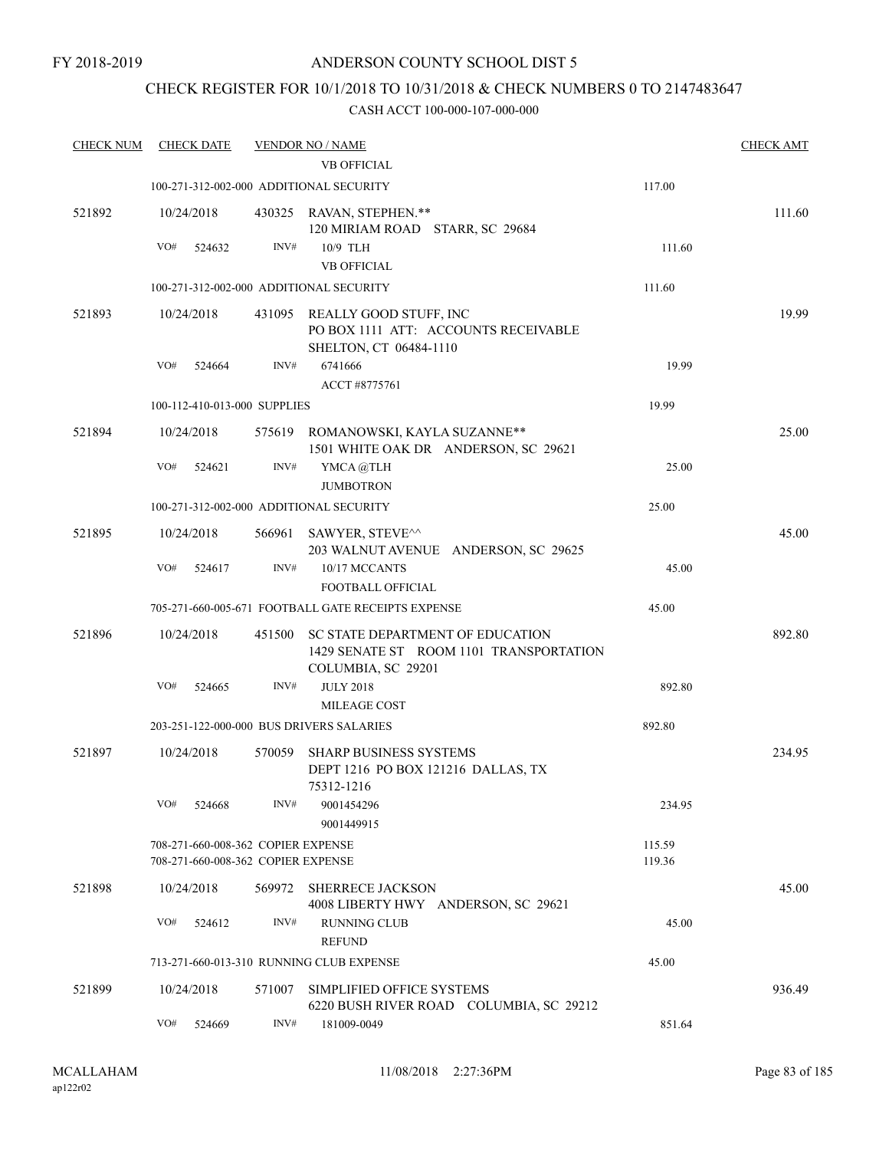### CHECK REGISTER FOR 10/1/2018 TO 10/31/2018 & CHECK NUMBERS 0 TO 2147483647

| <b>CHECK NUM</b> | <b>CHECK DATE</b> |                                                                          |        | <b>VENDOR NO / NAME</b>                                                                           |                  | <b>CHECK AMT</b> |
|------------------|-------------------|--------------------------------------------------------------------------|--------|---------------------------------------------------------------------------------------------------|------------------|------------------|
|                  |                   |                                                                          |        | <b>VB OFFICIAL</b>                                                                                |                  |                  |
|                  |                   |                                                                          |        | 100-271-312-002-000 ADDITIONAL SECURITY                                                           | 117.00           |                  |
| 521892           | 10/24/2018        |                                                                          |        | 430325 RAVAN, STEPHEN.**<br>120 MIRIAM ROAD STARR, SC 29684                                       |                  | 111.60           |
|                  | VO#               | 524632                                                                   | INV#   | 10/9 TLH                                                                                          | 111.60           |                  |
|                  |                   |                                                                          |        | <b>VB OFFICIAL</b>                                                                                |                  |                  |
|                  |                   |                                                                          |        | 100-271-312-002-000 ADDITIONAL SECURITY                                                           | 111.60           |                  |
| 521893           | 10/24/2018        |                                                                          |        | 431095 REALLY GOOD STUFF, INC<br>PO BOX 1111 ATT: ACCOUNTS RECEIVABLE<br>SHELTON, CT 06484-1110   |                  | 19.99            |
|                  | VO#               | 524664                                                                   | INV#   | 6741666<br>ACCT #8775761                                                                          | 19.99            |                  |
|                  |                   | 100-112-410-013-000 SUPPLIES                                             |        |                                                                                                   | 19.99            |                  |
| 521894           | 10/24/2018        |                                                                          |        | 575619 ROMANOWSKI, KAYLA SUZANNE**<br>1501 WHITE OAK DR ANDERSON, SC 29621                        |                  | 25.00            |
|                  | VO#               | 524621                                                                   | INV#   | YMCA@TLH<br><b>JUMBOTRON</b>                                                                      | 25.00            |                  |
|                  |                   |                                                                          |        | 100-271-312-002-000 ADDITIONAL SECURITY                                                           | 25.00            |                  |
| 521895           | 10/24/2018        |                                                                          | 566961 | SAWYER, STEVE^^<br>203 WALNUT AVENUE ANDERSON, SC 29625                                           |                  | 45.00            |
|                  | VO#               | 524617                                                                   | INV#   | 10/17 MCCANTS                                                                                     | 45.00            |                  |
|                  |                   |                                                                          |        | FOOTBALL OFFICIAL                                                                                 |                  |                  |
|                  |                   |                                                                          |        | 705-271-660-005-671 FOOTBALL GATE RECEIPTS EXPENSE                                                | 45.00            |                  |
| 521896           | 10/24/2018        |                                                                          | 451500 | SC STATE DEPARTMENT OF EDUCATION<br>1429 SENATE ST ROOM 1101 TRANSPORTATION<br>COLUMBIA, SC 29201 |                  | 892.80           |
|                  | VO#               | 524665                                                                   | INV#   | <b>JULY 2018</b><br><b>MILEAGE COST</b>                                                           | 892.80           |                  |
|                  |                   |                                                                          |        | 203-251-122-000-000 BUS DRIVERS SALARIES                                                          | 892.80           |                  |
| 521897           | 10/24/2018        |                                                                          | 570059 | SHARP BUSINESS SYSTEMS<br>DEPT 1216 PO BOX 121216 DALLAS, TX                                      |                  | 234.95           |
|                  | VO#               | 524668                                                                   | INV#   | 75312-1216<br>9001454296<br>9001449915                                                            | 234.95           |                  |
|                  |                   | 708-271-660-008-362 COPIER EXPENSE<br>708-271-660-008-362 COPIER EXPENSE |        |                                                                                                   | 115.59<br>119.36 |                  |
| 521898           | 10/24/2018        |                                                                          |        | 569972 SHERRECE JACKSON<br>4008 LIBERTY HWY ANDERSON, SC 29621                                    |                  | 45.00            |
|                  | VO#               | 524612                                                                   | INV#   | RUNNING CLUB<br><b>REFUND</b>                                                                     | 45.00            |                  |
|                  |                   |                                                                          |        | 713-271-660-013-310 RUNNING CLUB EXPENSE                                                          | 45.00            |                  |
| 521899           | 10/24/2018        |                                                                          | 571007 | SIMPLIFIED OFFICE SYSTEMS<br>6220 BUSH RIVER ROAD COLUMBIA, SC 29212                              |                  | 936.49           |
|                  | VO#               | 524669                                                                   | INV#   | 181009-0049                                                                                       | 851.64           |                  |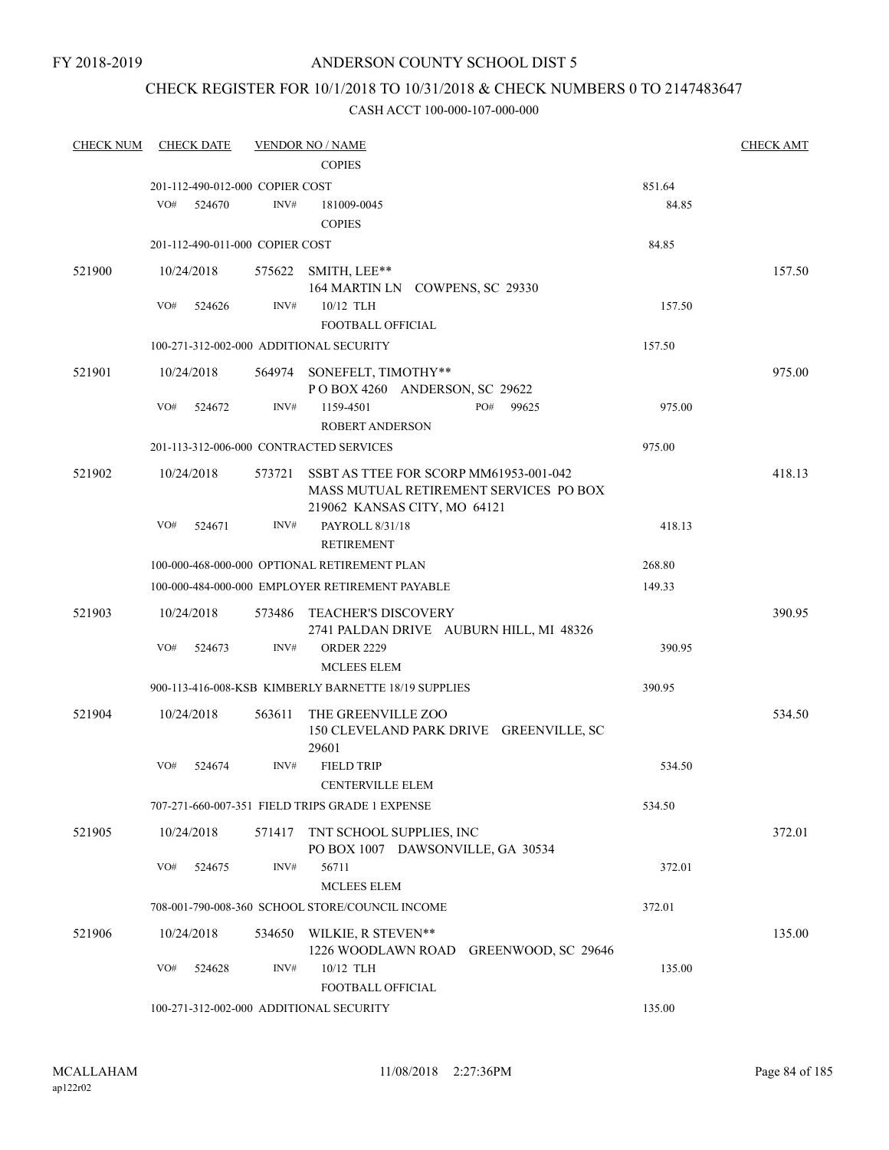### CHECK REGISTER FOR 10/1/2018 TO 10/31/2018 & CHECK NUMBERS 0 TO 2147483647

| <b>CHECK NUM</b> | <b>CHECK DATE</b>                       |        | <b>VENDOR NO / NAME</b>                                                                                          |        | <b>CHECK AMT</b> |
|------------------|-----------------------------------------|--------|------------------------------------------------------------------------------------------------------------------|--------|------------------|
|                  |                                         |        | <b>COPIES</b>                                                                                                    |        |                  |
|                  | 201-112-490-012-000 COPIER COST         |        |                                                                                                                  | 851.64 |                  |
|                  | VO#<br>524670                           | INV#   | 181009-0045<br><b>COPIES</b>                                                                                     | 84.85  |                  |
|                  | 201-112-490-011-000 COPIER COST         |        |                                                                                                                  | 84.85  |                  |
| 521900           | 10/24/2018                              |        | 575622 SMITH, LEE**                                                                                              |        | 157.50           |
|                  |                                         |        | 164 MARTIN LN COWPENS, SC 29330                                                                                  |        |                  |
|                  | VO#<br>524626                           | INV#   | 10/12 TLH<br>FOOTBALL OFFICIAL                                                                                   | 157.50 |                  |
|                  | 100-271-312-002-000 ADDITIONAL SECURITY |        |                                                                                                                  | 157.50 |                  |
| 521901           | 10/24/2018                              |        | 564974 SONEFELT, TIMOTHY**<br>POBOX 4260 ANDERSON, SC 29622                                                      |        | 975.00           |
|                  | VO#<br>524672                           | INV#   | PO#<br>1159-4501<br>99625<br><b>ROBERT ANDERSON</b>                                                              | 975.00 |                  |
|                  |                                         |        | 201-113-312-006-000 CONTRACTED SERVICES                                                                          | 975.00 |                  |
| 521902           | 10/24/2018                              | 573721 | SSBT AS TTEE FOR SCORP MM61953-001-042<br>MASS MUTUAL RETIREMENT SERVICES PO BOX<br>219062 KANSAS CITY, MO 64121 |        | 418.13           |
|                  | VO#<br>524671                           | INV#   | PAYROLL 8/31/18<br><b>RETIREMENT</b>                                                                             | 418.13 |                  |
|                  |                                         |        | 100-000-468-000-000 OPTIONAL RETIREMENT PLAN                                                                     | 268.80 |                  |
|                  |                                         |        | 100-000-484-000-000 EMPLOYER RETIREMENT PAYABLE                                                                  | 149.33 |                  |
| 521903           | 10/24/2018                              |        | 573486 TEACHER'S DISCOVERY<br>2741 PALDAN DRIVE AUBURN HILL, MI 48326                                            |        | 390.95           |
|                  | VO#<br>524673                           | INV#   | <b>ORDER 2229</b><br><b>MCLEES ELEM</b>                                                                          | 390.95 |                  |
|                  |                                         |        | 900-113-416-008-KSB KIMBERLY BARNETTE 18/19 SUPPLIES                                                             | 390.95 |                  |
| 521904           | 10/24/2018                              | 563611 | THE GREENVILLE ZOO<br>150 CLEVELAND PARK DRIVE GREENVILLE, SC<br>29601                                           |        | 534.50           |
|                  | VO#<br>524674                           | INV#   | <b>FIELD TRIP</b><br><b>CENTERVILLE ELEM</b>                                                                     | 534.50 |                  |
|                  |                                         |        | 707-271-660-007-351 FIELD TRIPS GRADE 1 EXPENSE                                                                  | 534.50 |                  |
| 521905           | 10/24/2018                              |        | 571417 TNT SCHOOL SUPPLIES, INC<br>PO BOX 1007 DAWSONVILLE, GA 30534                                             |        | 372.01           |
|                  | VO#<br>524675                           | INV#   | 56711<br><b>MCLEES ELEM</b>                                                                                      | 372.01 |                  |
|                  |                                         |        | 708-001-790-008-360 SCHOOL STORE/COUNCIL INCOME                                                                  | 372.01 |                  |
| 521906           | 10/24/2018                              |        | 534650 WILKIE, R STEVEN**<br>1226 WOODLAWN ROAD GREENWOOD, SC 29646                                              |        | 135.00           |
|                  | VO#<br>524628                           | INV#   | 10/12 TLH<br>FOOTBALL OFFICIAL                                                                                   | 135.00 |                  |
|                  | 100-271-312-002-000 ADDITIONAL SECURITY |        |                                                                                                                  | 135.00 |                  |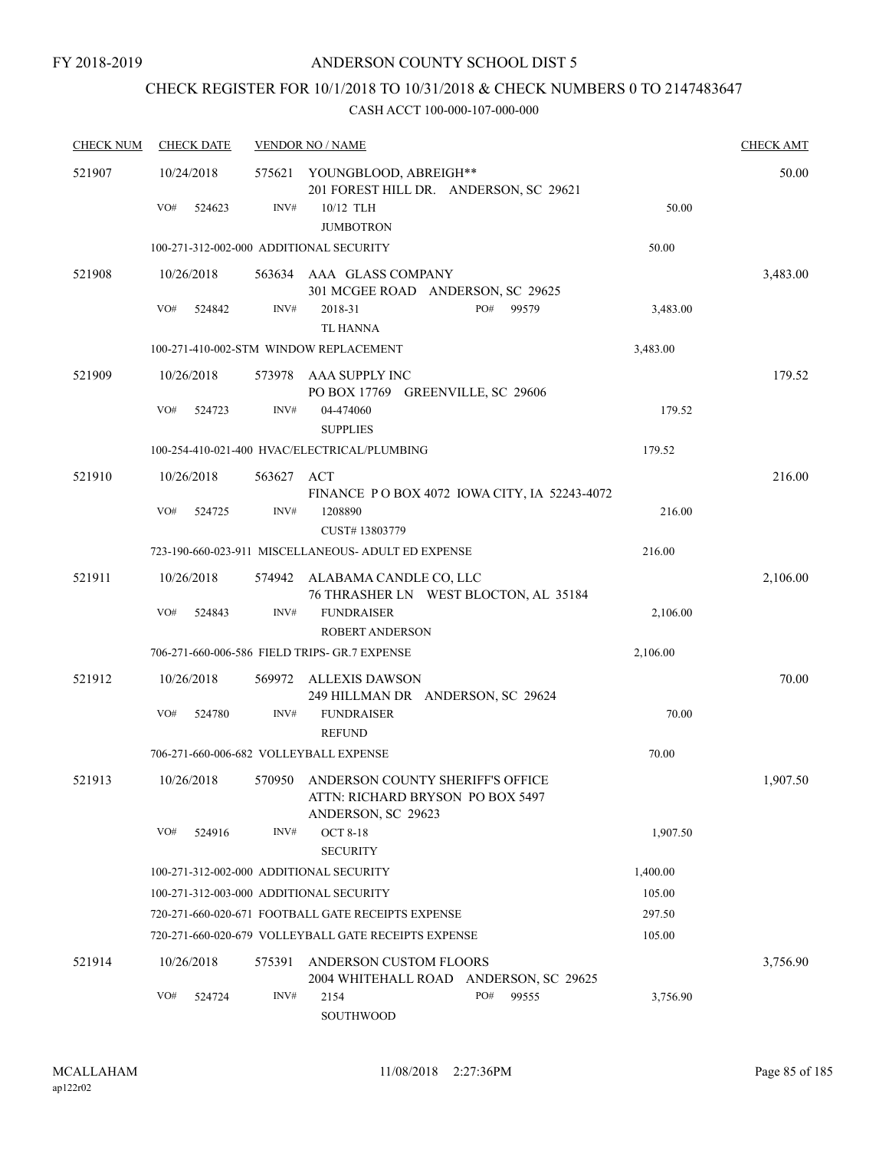## CHECK REGISTER FOR 10/1/2018 TO 10/31/2018 & CHECK NUMBERS 0 TO 2147483647

| <b>CHECK NUM</b> | <b>CHECK DATE</b>                       |            | <b>VENDOR NO / NAME</b>                                                                           |          | <b>CHECK AMT</b> |
|------------------|-----------------------------------------|------------|---------------------------------------------------------------------------------------------------|----------|------------------|
| 521907           | 10/24/2018                              |            | 575621 YOUNGBLOOD, ABREIGH**<br>201 FOREST HILL DR. ANDERSON, SC 29621                            |          | 50.00            |
|                  | VO#<br>524623                           | INV#       | 10/12 TLH<br><b>JUMBOTRON</b>                                                                     | 50.00    |                  |
|                  | 100-271-312-002-000 ADDITIONAL SECURITY |            |                                                                                                   | 50.00    |                  |
| 521908           | 10/26/2018                              |            | 563634 AAA GLASS COMPANY<br>301 MCGEE ROAD ANDERSON, SC 29625                                     |          | 3,483.00         |
|                  | VO#<br>524842                           | INV#       | PO#<br>99579<br>2018-31<br>TL HANNA                                                               | 3,483.00 |                  |
|                  |                                         |            | 100-271-410-002-STM WINDOW REPLACEMENT                                                            | 3,483.00 |                  |
| 521909           | 10/26/2018                              |            | 573978 AAA SUPPLY INC<br>PO BOX 17769 GREENVILLE, SC 29606                                        |          | 179.52           |
|                  | VO#<br>524723                           | INV#       | 04-474060<br><b>SUPPLIES</b>                                                                      | 179.52   |                  |
|                  |                                         |            | 100-254-410-021-400 HVAC/ELECTRICAL/PLUMBING                                                      | 179.52   |                  |
| 521910           | 10/26/2018                              | 563627 ACT | FINANCE PO BOX 4072 IOWA CITY, IA 52243-4072                                                      |          | 216.00           |
|                  | VO#<br>524725                           | INV#       | 1208890<br>CUST#13803779                                                                          | 216.00   |                  |
|                  |                                         |            | 723-190-660-023-911 MISCELLANEOUS- ADULT ED EXPENSE                                               | 216.00   |                  |
| 521911           | 10/26/2018                              |            | 574942 ALABAMA CANDLE CO, LLC<br>76 THRASHER LN WEST BLOCTON, AL 35184                            |          | 2,106.00         |
|                  | VO#<br>524843                           | INV#       | <b>FUNDRAISER</b><br><b>ROBERT ANDERSON</b>                                                       | 2,106.00 |                  |
|                  |                                         |            | 706-271-660-006-586 FIELD TRIPS- GR.7 EXPENSE                                                     | 2,106.00 |                  |
| 521912           | 10/26/2018                              | 569972     | ALLEXIS DAWSON<br>249 HILLMAN DR ANDERSON, SC 29624                                               |          | 70.00            |
|                  | VO#<br>524780                           | INV#       | <b>FUNDRAISER</b><br><b>REFUND</b>                                                                | 70.00    |                  |
|                  | 706-271-660-006-682 VOLLEYBALL EXPENSE  |            |                                                                                                   | 70.00    |                  |
| 521913           | 10/26/2018                              |            | 570950 ANDERSON COUNTY SHERIFF'S OFFICE<br>ATTN: RICHARD BRYSON PO BOX 5497<br>ANDERSON, SC 29623 |          | 1,907.50         |
|                  | VO#<br>524916                           | INV#       | <b>OCT 8-18</b><br><b>SECURITY</b>                                                                | 1,907.50 |                  |
|                  | 100-271-312-002-000 ADDITIONAL SECURITY |            |                                                                                                   | 1,400.00 |                  |
|                  | 100-271-312-003-000 ADDITIONAL SECURITY |            |                                                                                                   | 105.00   |                  |
|                  |                                         |            | 720-271-660-020-671 FOOTBALL GATE RECEIPTS EXPENSE                                                | 297.50   |                  |
|                  |                                         |            | 720-271-660-020-679 VOLLEYBALL GATE RECEIPTS EXPENSE                                              | 105.00   |                  |
| 521914           | 10/26/2018                              | 575391     | ANDERSON CUSTOM FLOORS<br>2004 WHITEHALL ROAD ANDERSON, SC 29625                                  |          | 3,756.90         |
|                  | VO#<br>524724                           | INV#       | PO#<br>2154<br>99555<br>SOUTHWOOD                                                                 | 3,756.90 |                  |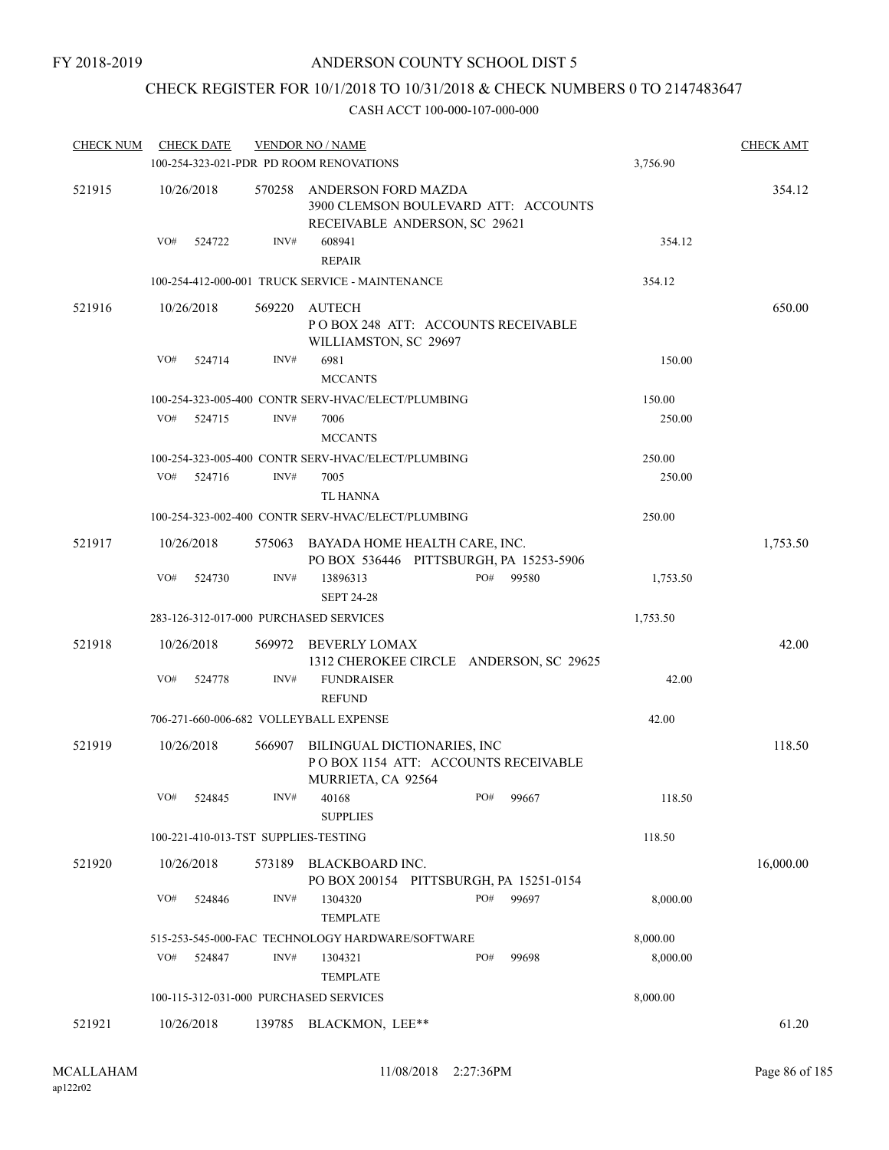### CHECK REGISTER FOR 10/1/2018 TO 10/31/2018 & CHECK NUMBERS 0 TO 2147483647

| <b>CHECK NUM</b> | <b>CHECK DATE</b>                      |        | <b>VENDOR NO / NAME</b>                                                                             |     |                                         |          | <b>CHECK AMT</b> |
|------------------|----------------------------------------|--------|-----------------------------------------------------------------------------------------------------|-----|-----------------------------------------|----------|------------------|
|                  |                                        |        | 100-254-323-021-PDR PD ROOM RENOVATIONS                                                             |     |                                         | 3,756.90 |                  |
| 521915           | 10/26/2018                             |        | 570258 ANDERSON FORD MAZDA<br>3900 CLEMSON BOULEVARD ATT: ACCOUNTS<br>RECEIVABLE ANDERSON, SC 29621 |     |                                         |          | 354.12           |
|                  | VO#<br>524722                          | INV#   | 608941<br><b>REPAIR</b>                                                                             |     |                                         | 354.12   |                  |
|                  |                                        |        | 100-254-412-000-001 TRUCK SERVICE - MAINTENANCE                                                     |     |                                         | 354.12   |                  |
| 521916           | 10/26/2018                             | 569220 | AUTECH<br>POBOX 248 ATT: ACCOUNTS RECEIVABLE<br>WILLIAMSTON, SC 29697                               |     |                                         |          | 650.00           |
|                  | VO#<br>524714                          | INV#   | 6981<br><b>MCCANTS</b>                                                                              |     |                                         | 150.00   |                  |
|                  |                                        |        | 100-254-323-005-400 CONTR SERV-HVAC/ELECT/PLUMBING                                                  |     |                                         | 150.00   |                  |
|                  | VO#<br>524715                          | INV#   | 7006<br><b>MCCANTS</b>                                                                              |     |                                         | 250.00   |                  |
|                  |                                        |        | 100-254-323-005-400 CONTR SERV-HVAC/ELECT/PLUMBING                                                  |     |                                         | 250.00   |                  |
|                  | VO#<br>524716                          | INV#   | 7005<br><b>TL HANNA</b>                                                                             |     |                                         | 250.00   |                  |
|                  |                                        |        | 100-254-323-002-400 CONTR SERV-HVAC/ELECT/PLUMBING                                                  |     |                                         | 250.00   |                  |
| 521917           | 10/26/2018                             |        | 575063 BAYADA HOME HEALTH CARE, INC.<br>PO BOX 536446 PITTSBURGH, PA 15253-5906                     |     |                                         |          | 1,753.50         |
|                  | VO#<br>524730                          | INV#   | 13896313<br><b>SEPT 24-28</b>                                                                       | PO# | 99580                                   | 1,753.50 |                  |
|                  | 283-126-312-017-000 PURCHASED SERVICES |        |                                                                                                     |     |                                         | 1,753.50 |                  |
| 521918           | 10/26/2018                             |        | 569972 BEVERLY LOMAX                                                                                |     | 1312 CHEROKEE CIRCLE ANDERSON, SC 29625 |          | 42.00            |
|                  | VO#<br>524778                          | INV#   | <b>FUNDRAISER</b><br><b>REFUND</b>                                                                  |     |                                         | 42.00    |                  |
|                  | 706-271-660-006-682 VOLLEYBALL EXPENSE |        |                                                                                                     |     |                                         | 42.00    |                  |
| 521919           | 10/26/2018                             | 566907 | BILINGUAL DICTIONARIES, INC<br>POBOX 1154 ATT: ACCOUNTS RECEIVABLE<br>MURRIETA, CA 92564            |     |                                         |          | 118.50           |
|                  | VO#<br>524845                          | INV#   | 40168<br><b>SUPPLIES</b>                                                                            | PO# | 99667                                   | 118.50   |                  |
|                  | 100-221-410-013-TST SUPPLIES-TESTING   |        |                                                                                                     |     |                                         | 118.50   |                  |
| 521920           | 10/26/2018                             | 573189 | <b>BLACKBOARD INC.</b><br>PO BOX 200154 PITTSBURGH, PA 15251-0154                                   |     |                                         |          | 16,000.00        |
|                  | VO#<br>524846                          | INV#   | 1304320<br><b>TEMPLATE</b>                                                                          | PO# | 99697                                   | 8,000.00 |                  |
|                  |                                        |        | 515-253-545-000-FAC TECHNOLOGY HARDWARE/SOFTWARE                                                    |     |                                         | 8,000.00 |                  |
|                  | VO#<br>524847                          | INV#   | 1304321<br><b>TEMPLATE</b>                                                                          | PO# | 99698                                   | 8,000.00 |                  |
|                  | 100-115-312-031-000 PURCHASED SERVICES |        |                                                                                                     |     |                                         | 8,000.00 |                  |
| 521921           | 10/26/2018                             |        | 139785 BLACKMON, LEE**                                                                              |     |                                         |          | 61.20            |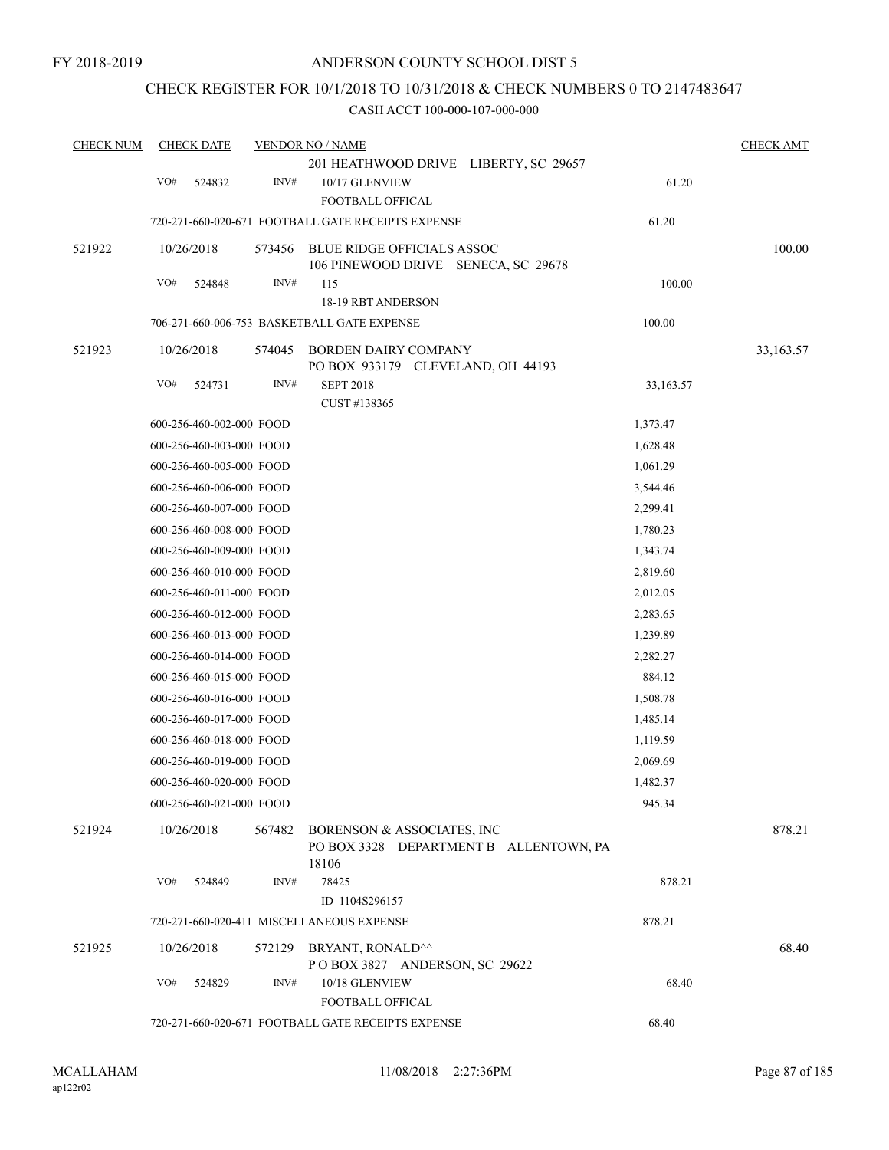### CHECK REGISTER FOR 10/1/2018 TO 10/31/2018 & CHECK NUMBERS 0 TO 2147483647

| <b>CHECK NUM</b> |     | <b>CHECK DATE</b>        |        | <b>VENDOR NO / NAME</b>                                                       |           | <b>CHECK AMT</b> |
|------------------|-----|--------------------------|--------|-------------------------------------------------------------------------------|-----------|------------------|
|                  |     |                          |        | 201 HEATHWOOD DRIVE LIBERTY, SC 29657                                         |           |                  |
|                  | VO# | 524832                   | INV#   | 10/17 GLENVIEW                                                                | 61.20     |                  |
|                  |     |                          |        | FOOTBALL OFFICAL                                                              |           |                  |
|                  |     |                          |        | 720-271-660-020-671 FOOTBALL GATE RECEIPTS EXPENSE                            | 61.20     |                  |
| 521922           |     | 10/26/2018               | 573456 | <b>BLUE RIDGE OFFICIALS ASSOC</b><br>106 PINEWOOD DRIVE SENECA, SC 29678      |           | 100.00           |
|                  | VO# | 524848                   | INV#   | 115                                                                           | 100.00    |                  |
|                  |     |                          |        | 18-19 RBT ANDERSON                                                            |           |                  |
|                  |     |                          |        | 706-271-660-006-753 BASKETBALL GATE EXPENSE                                   | 100.00    |                  |
| 521923           |     | 10/26/2018               | 574045 | <b>BORDEN DAIRY COMPANY</b><br>PO BOX 933179 CLEVELAND, OH 44193              |           | 33,163.57        |
|                  | VO# | 524731                   | INV#   | <b>SEPT 2018</b><br>CUST #138365                                              | 33,163.57 |                  |
|                  |     | 600-256-460-002-000 FOOD |        |                                                                               | 1,373.47  |                  |
|                  |     | 600-256-460-003-000 FOOD |        |                                                                               | 1,628.48  |                  |
|                  |     | 600-256-460-005-000 FOOD |        |                                                                               | 1,061.29  |                  |
|                  |     | 600-256-460-006-000 FOOD |        |                                                                               | 3,544.46  |                  |
|                  |     | 600-256-460-007-000 FOOD |        |                                                                               | 2,299.41  |                  |
|                  |     | 600-256-460-008-000 FOOD |        |                                                                               | 1,780.23  |                  |
|                  |     | 600-256-460-009-000 FOOD |        |                                                                               | 1,343.74  |                  |
|                  |     | 600-256-460-010-000 FOOD |        |                                                                               | 2,819.60  |                  |
|                  |     | 600-256-460-011-000 FOOD |        |                                                                               | 2,012.05  |                  |
|                  |     | 600-256-460-012-000 FOOD |        |                                                                               | 2,283.65  |                  |
|                  |     | 600-256-460-013-000 FOOD |        |                                                                               | 1,239.89  |                  |
|                  |     | 600-256-460-014-000 FOOD |        |                                                                               | 2,282.27  |                  |
|                  |     | 600-256-460-015-000 FOOD |        |                                                                               | 884.12    |                  |
|                  |     | 600-256-460-016-000 FOOD |        |                                                                               | 1,508.78  |                  |
|                  |     | 600-256-460-017-000 FOOD |        |                                                                               | 1,485.14  |                  |
|                  |     | 600-256-460-018-000 FOOD |        |                                                                               | 1,119.59  |                  |
|                  |     | 600-256-460-019-000 FOOD |        |                                                                               | 2,069.69  |                  |
|                  |     | 600-256-460-020-000 FOOD |        |                                                                               | 1,482.37  |                  |
|                  |     |                          |        |                                                                               | 945.34    |                  |
|                  |     | 600-256-460-021-000 FOOD |        |                                                                               |           |                  |
| 521924           |     | 10/26/2018               | 567482 | BORENSON & ASSOCIATES, INC<br>PO BOX 3328 DEPARTMENT B ALLENTOWN, PA<br>18106 |           | 878.21           |
|                  | VO# | 524849                   | INV#   | 78425<br>ID 1104S296157                                                       | 878.21    |                  |
|                  |     |                          |        | 720-271-660-020-411 MISCELLANEOUS EXPENSE                                     | 878.21    |                  |
| 521925           |     | 10/26/2018               |        | 572129 BRYANT, RONALD^^                                                       |           | 68.40            |
|                  |     |                          |        | POBOX 3827 ANDERSON, SC 29622                                                 |           |                  |
|                  | VO# | 524829                   | INV#   | 10/18 GLENVIEW                                                                | 68.40     |                  |
|                  |     |                          |        | FOOTBALL OFFICAL                                                              | 68.40     |                  |
|                  |     |                          |        | 720-271-660-020-671 FOOTBALL GATE RECEIPTS EXPENSE                            |           |                  |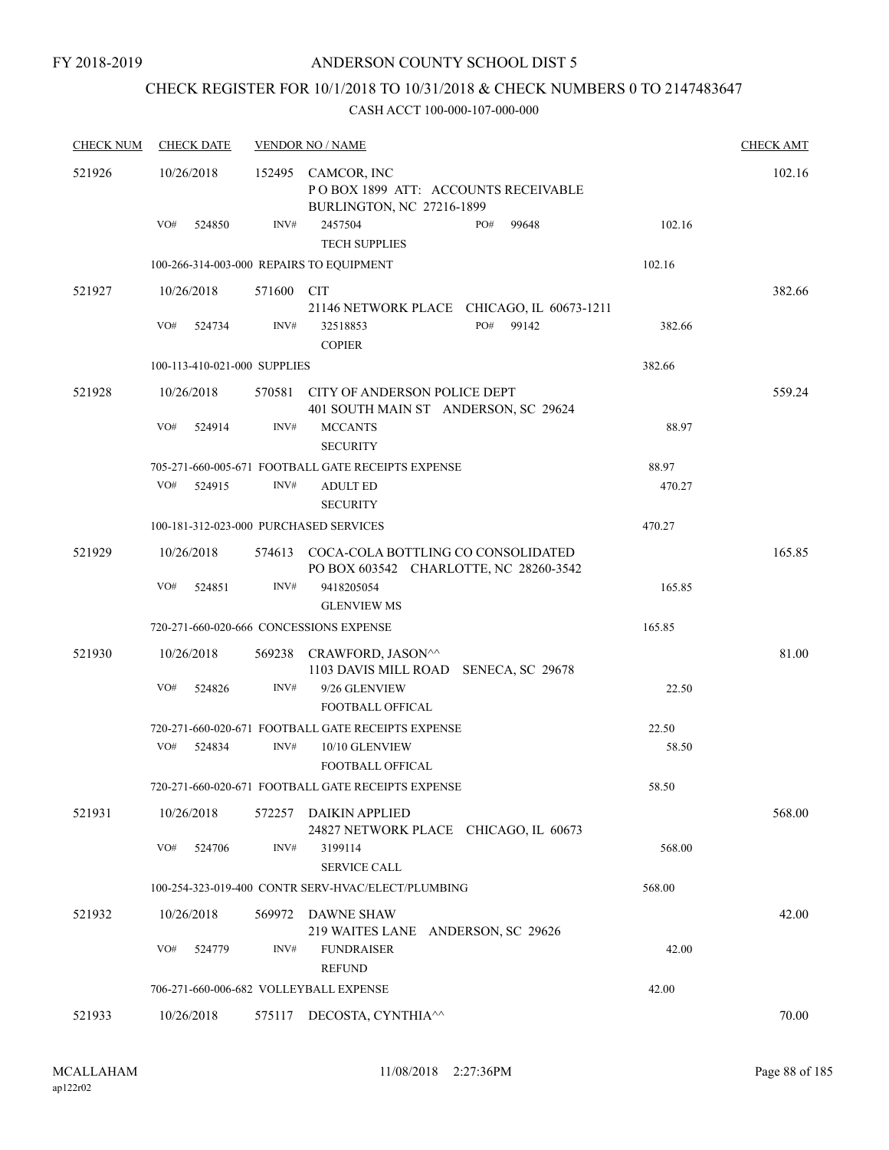FY 2018-2019

### ANDERSON COUNTY SCHOOL DIST 5

## CHECK REGISTER FOR 10/1/2018 TO 10/31/2018 & CHECK NUMBERS 0 TO 2147483647

| <b>CHECK NUM</b> | <b>CHECK DATE</b>                        |            | <b>VENDOR NO / NAME</b>                                                                |        | <b>CHECK AMT</b> |
|------------------|------------------------------------------|------------|----------------------------------------------------------------------------------------|--------|------------------|
| 521926           | 10/26/2018                               |            | 152495 CAMCOR, INC<br>POBOX 1899 ATT: ACCOUNTS RECEIVABLE<br>BURLINGTON, NC 27216-1899 |        | 102.16           |
|                  | VO#<br>524850                            | INV#       | PO#<br>2457504<br>99648<br><b>TECH SUPPLIES</b>                                        | 102.16 |                  |
|                  | 100-266-314-003-000 REPAIRS TO EQUIPMENT |            |                                                                                        | 102.16 |                  |
| 521927           | 10/26/2018                               | 571600 CIT | 21146 NETWORK PLACE CHICAGO, IL 60673-1211                                             |        | 382.66           |
|                  | VO#<br>524734                            | INV#       | PO# 99142<br>32518853<br><b>COPIER</b>                                                 | 382.66 |                  |
|                  | 100-113-410-021-000 SUPPLIES             |            |                                                                                        | 382.66 |                  |
| 521928           | 10/26/2018                               |            | 570581 CITY OF ANDERSON POLICE DEPT<br>401 SOUTH MAIN ST ANDERSON, SC 29624            |        | 559.24           |
|                  | VO#<br>524914                            | INV#       | <b>MCCANTS</b><br><b>SECURITY</b>                                                      | 88.97  |                  |
|                  |                                          |            | 705-271-660-005-671 FOOTBALL GATE RECEIPTS EXPENSE                                     | 88.97  |                  |
|                  | VO#<br>524915                            | INV#       | <b>ADULT ED</b><br><b>SECURITY</b>                                                     | 470.27 |                  |
|                  | 100-181-312-023-000 PURCHASED SERVICES   |            |                                                                                        | 470.27 |                  |
| 521929           | 10/26/2018                               |            | 574613 COCA-COLA BOTTLING CO CONSOLIDATED<br>PO BOX 603542 CHARLOTTE, NC 28260-3542    |        | 165.85           |
|                  | VO#<br>524851                            | INV#       | 9418205054<br><b>GLENVIEW MS</b>                                                       | 165.85 |                  |
|                  | 720-271-660-020-666 CONCESSIONS EXPENSE  |            |                                                                                        | 165.85 |                  |
| 521930           | 10/26/2018                               |            | 569238 CRAWFORD, JASON^^<br>1103 DAVIS MILL ROAD<br>SENECA, SC 29678                   |        | 81.00            |
|                  | VO#<br>524826                            | INV#       | 9/26 GLENVIEW<br>FOOTBALL OFFICAL                                                      | 22.50  |                  |
|                  |                                          |            | 720-271-660-020-671 FOOTBALL GATE RECEIPTS EXPENSE                                     | 22.50  |                  |
|                  | VO#<br>524834                            | INV#       | 10/10 GLENVIEW<br><b>FOOTBALL OFFICAL</b>                                              | 58.50  |                  |
|                  |                                          |            | 720-271-660-020-671 FOOTBALL GATE RECEIPTS EXPENSE                                     | 58.50  |                  |
| 521931           | 10/26/2018                               | 572257     | DAIKIN APPLIED<br>24827 NETWORK PLACE CHICAGO, IL 60673                                |        | 568.00           |
|                  | VO#<br>524706                            | INV#       | 3199114<br><b>SERVICE CALL</b>                                                         | 568.00 |                  |
|                  |                                          |            | 100-254-323-019-400 CONTR SERV-HVAC/ELECT/PLUMBING                                     | 568.00 |                  |
| 521932           | 10/26/2018                               | 569972     | DAWNE SHAW<br>219 WAITES LANE ANDERSON, SC 29626                                       |        | 42.00            |
|                  | VO#<br>524779                            | INV#       | <b>FUNDRAISER</b><br><b>REFUND</b>                                                     | 42.00  |                  |
|                  | 706-271-660-006-682 VOLLEYBALL EXPENSE   |            |                                                                                        | 42.00  |                  |
| 521933           | 10/26/2018                               |            | 575117 DECOSTA, CYNTHIA <sup>^^</sup>                                                  |        | 70.00            |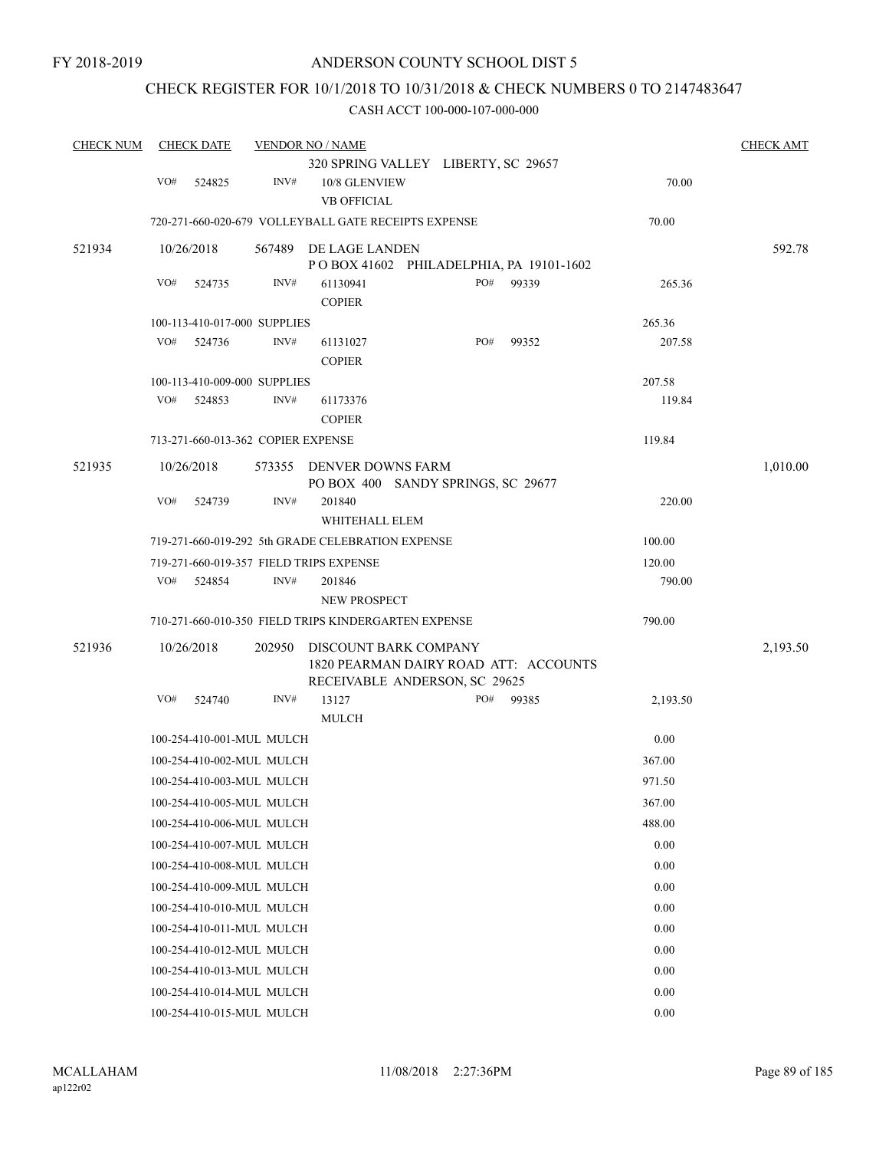### CHECK REGISTER FOR 10/1/2018 TO 10/31/2018 & CHECK NUMBERS 0 TO 2147483647

| 320 SPRING VALLEY LIBERTY, SC 29657<br>VO#<br>INV#<br>524825<br>10/8 GLENVIEW<br>70.00<br><b>VB OFFICIAL</b><br>70.00<br>720-271-660-020-679 VOLLEYBALL GATE RECEIPTS EXPENSE<br>521934<br>10/26/2018<br>567489<br>DE LAGE LANDEN<br>POBOX 41602 PHILADELPHIA, PA 19101-1602<br>VO#<br>INV#<br>PO#<br>99339<br>61130941<br>265.36<br>524735<br><b>COPIER</b><br>265.36<br>100-113-410-017-000 SUPPLIES<br>VO#<br>524736<br>INV#<br>PO#<br>99352<br>61131027<br>207.58<br><b>COPIER</b><br>207.58<br>100-113-410-009-000 SUPPLIES<br>VO#<br>524853<br>INV#<br>119.84<br>61173376<br><b>COPIER</b><br>119.84<br>713-271-660-013-362 COPIER EXPENSE<br>521935<br>10/26/2018<br><b>DENVER DOWNS FARM</b><br>573355<br>PO BOX 400 SANDY SPRINGS, SC 29677<br>VO#<br>INV#<br>524739<br>201840<br>220.00<br>WHITEHALL ELEM | <b>CHECK NUM</b> | <b>CHECK DATE</b> | <b>VENDOR NO / NAME</b> |  | <b>CHECK AMT</b> |
|---------------------------------------------------------------------------------------------------------------------------------------------------------------------------------------------------------------------------------------------------------------------------------------------------------------------------------------------------------------------------------------------------------------------------------------------------------------------------------------------------------------------------------------------------------------------------------------------------------------------------------------------------------------------------------------------------------------------------------------------------------------------------------------------------------------------|------------------|-------------------|-------------------------|--|------------------|
|                                                                                                                                                                                                                                                                                                                                                                                                                                                                                                                                                                                                                                                                                                                                                                                                                     |                  |                   |                         |  |                  |
|                                                                                                                                                                                                                                                                                                                                                                                                                                                                                                                                                                                                                                                                                                                                                                                                                     |                  |                   |                         |  |                  |
|                                                                                                                                                                                                                                                                                                                                                                                                                                                                                                                                                                                                                                                                                                                                                                                                                     |                  |                   |                         |  |                  |
|                                                                                                                                                                                                                                                                                                                                                                                                                                                                                                                                                                                                                                                                                                                                                                                                                     |                  |                   |                         |  |                  |
|                                                                                                                                                                                                                                                                                                                                                                                                                                                                                                                                                                                                                                                                                                                                                                                                                     |                  |                   |                         |  | 592.78           |
|                                                                                                                                                                                                                                                                                                                                                                                                                                                                                                                                                                                                                                                                                                                                                                                                                     |                  |                   |                         |  |                  |
|                                                                                                                                                                                                                                                                                                                                                                                                                                                                                                                                                                                                                                                                                                                                                                                                                     |                  |                   |                         |  |                  |
|                                                                                                                                                                                                                                                                                                                                                                                                                                                                                                                                                                                                                                                                                                                                                                                                                     |                  |                   |                         |  |                  |
|                                                                                                                                                                                                                                                                                                                                                                                                                                                                                                                                                                                                                                                                                                                                                                                                                     |                  |                   |                         |  |                  |
|                                                                                                                                                                                                                                                                                                                                                                                                                                                                                                                                                                                                                                                                                                                                                                                                                     |                  |                   |                         |  |                  |
|                                                                                                                                                                                                                                                                                                                                                                                                                                                                                                                                                                                                                                                                                                                                                                                                                     |                  |                   |                         |  |                  |
|                                                                                                                                                                                                                                                                                                                                                                                                                                                                                                                                                                                                                                                                                                                                                                                                                     |                  |                   |                         |  |                  |
|                                                                                                                                                                                                                                                                                                                                                                                                                                                                                                                                                                                                                                                                                                                                                                                                                     |                  |                   |                         |  |                  |
|                                                                                                                                                                                                                                                                                                                                                                                                                                                                                                                                                                                                                                                                                                                                                                                                                     |                  |                   |                         |  |                  |
|                                                                                                                                                                                                                                                                                                                                                                                                                                                                                                                                                                                                                                                                                                                                                                                                                     |                  |                   |                         |  | 1,010.00         |
|                                                                                                                                                                                                                                                                                                                                                                                                                                                                                                                                                                                                                                                                                                                                                                                                                     |                  |                   |                         |  |                  |
|                                                                                                                                                                                                                                                                                                                                                                                                                                                                                                                                                                                                                                                                                                                                                                                                                     |                  |                   |                         |  |                  |
| 719-271-660-019-292 5th GRADE CELEBRATION EXPENSE<br>100.00                                                                                                                                                                                                                                                                                                                                                                                                                                                                                                                                                                                                                                                                                                                                                         |                  |                   |                         |  |                  |
| 719-271-660-019-357 FIELD TRIPS EXPENSE<br>120.00                                                                                                                                                                                                                                                                                                                                                                                                                                                                                                                                                                                                                                                                                                                                                                   |                  |                   |                         |  |                  |
| VO#<br>INV#<br>524854<br>201846<br>790.00                                                                                                                                                                                                                                                                                                                                                                                                                                                                                                                                                                                                                                                                                                                                                                           |                  |                   |                         |  |                  |
| <b>NEW PROSPECT</b>                                                                                                                                                                                                                                                                                                                                                                                                                                                                                                                                                                                                                                                                                                                                                                                                 |                  |                   |                         |  |                  |
| 710-271-660-010-350 FIELD TRIPS KINDERGARTEN EXPENSE<br>790.00                                                                                                                                                                                                                                                                                                                                                                                                                                                                                                                                                                                                                                                                                                                                                      |                  |                   |                         |  |                  |
| 521936<br>10/26/2018<br>202950<br>DISCOUNT BARK COMPANY<br>1820 PEARMAN DAIRY ROAD ATT: ACCOUNTS                                                                                                                                                                                                                                                                                                                                                                                                                                                                                                                                                                                                                                                                                                                    |                  |                   |                         |  | 2,193.50         |
| RECEIVABLE ANDERSON, SC 29625<br>VO#<br>524740<br>INV#<br>13127<br>PO#<br>2,193.50                                                                                                                                                                                                                                                                                                                                                                                                                                                                                                                                                                                                                                                                                                                                  |                  |                   |                         |  |                  |
| 99385<br><b>MULCH</b>                                                                                                                                                                                                                                                                                                                                                                                                                                                                                                                                                                                                                                                                                                                                                                                               |                  |                   |                         |  |                  |
| 0.00<br>100-254-410-001-MUL MULCH                                                                                                                                                                                                                                                                                                                                                                                                                                                                                                                                                                                                                                                                                                                                                                                   |                  |                   |                         |  |                  |
| 367.00<br>100-254-410-002-MUL MULCH                                                                                                                                                                                                                                                                                                                                                                                                                                                                                                                                                                                                                                                                                                                                                                                 |                  |                   |                         |  |                  |
| 971.50<br>100-254-410-003-MUL MULCH                                                                                                                                                                                                                                                                                                                                                                                                                                                                                                                                                                                                                                                                                                                                                                                 |                  |                   |                         |  |                  |
| 100-254-410-005-MUL MULCH<br>367.00                                                                                                                                                                                                                                                                                                                                                                                                                                                                                                                                                                                                                                                                                                                                                                                 |                  |                   |                         |  |                  |
| 100-254-410-006-MUL MULCH<br>488.00                                                                                                                                                                                                                                                                                                                                                                                                                                                                                                                                                                                                                                                                                                                                                                                 |                  |                   |                         |  |                  |
| 100-254-410-007-MUL MULCH<br>0.00                                                                                                                                                                                                                                                                                                                                                                                                                                                                                                                                                                                                                                                                                                                                                                                   |                  |                   |                         |  |                  |
| 100-254-410-008-MUL MULCH<br>0.00                                                                                                                                                                                                                                                                                                                                                                                                                                                                                                                                                                                                                                                                                                                                                                                   |                  |                   |                         |  |                  |
| 100-254-410-009-MUL MULCH<br>0.00                                                                                                                                                                                                                                                                                                                                                                                                                                                                                                                                                                                                                                                                                                                                                                                   |                  |                   |                         |  |                  |
| 100-254-410-010-MUL MULCH<br>0.00                                                                                                                                                                                                                                                                                                                                                                                                                                                                                                                                                                                                                                                                                                                                                                                   |                  |                   |                         |  |                  |
| 100-254-410-011-MUL MULCH<br>0.00                                                                                                                                                                                                                                                                                                                                                                                                                                                                                                                                                                                                                                                                                                                                                                                   |                  |                   |                         |  |                  |
| 100-254-410-012-MUL MULCH<br>0.00                                                                                                                                                                                                                                                                                                                                                                                                                                                                                                                                                                                                                                                                                                                                                                                   |                  |                   |                         |  |                  |
| 100-254-410-013-MUL MULCH<br>0.00                                                                                                                                                                                                                                                                                                                                                                                                                                                                                                                                                                                                                                                                                                                                                                                   |                  |                   |                         |  |                  |
| 100-254-410-014-MUL MULCH<br>0.00                                                                                                                                                                                                                                                                                                                                                                                                                                                                                                                                                                                                                                                                                                                                                                                   |                  |                   |                         |  |                  |
| 100-254-410-015-MUL MULCH<br>0.00                                                                                                                                                                                                                                                                                                                                                                                                                                                                                                                                                                                                                                                                                                                                                                                   |                  |                   |                         |  |                  |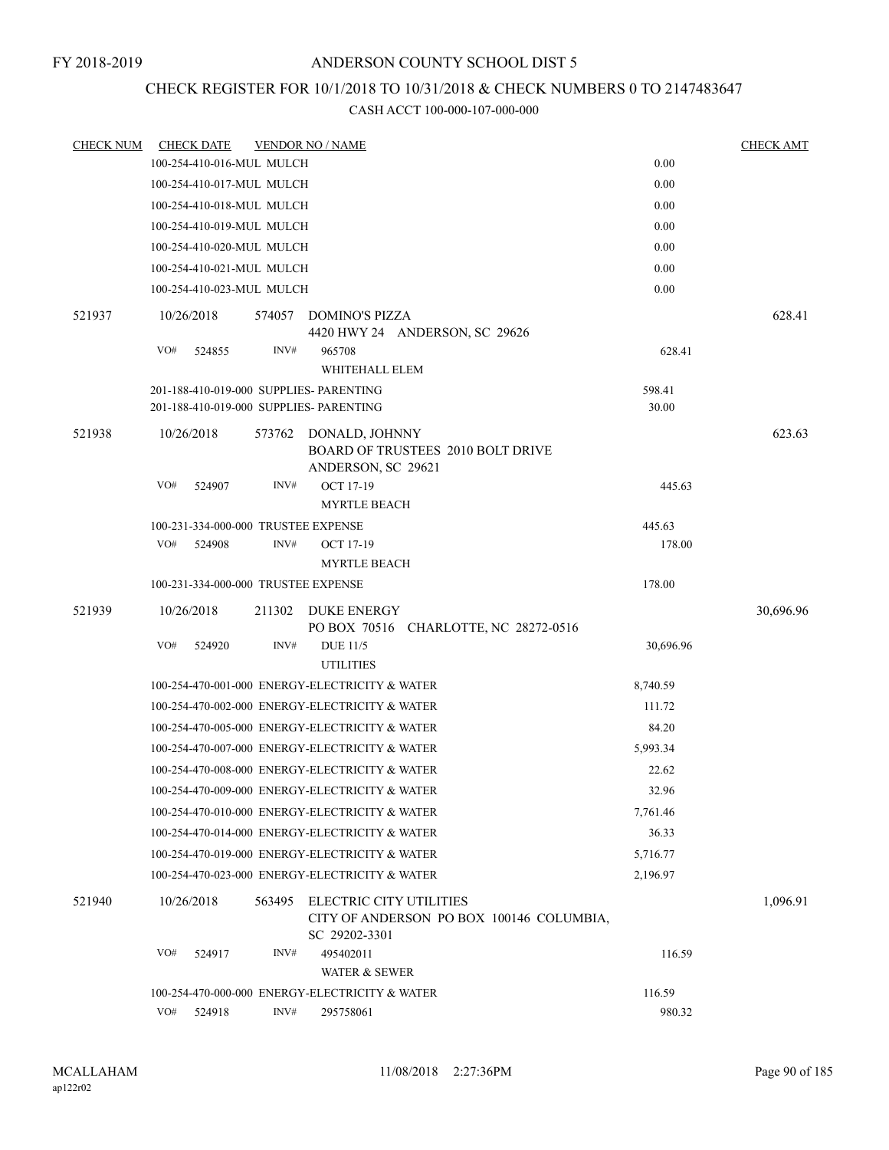## CHECK REGISTER FOR 10/1/2018 TO 10/31/2018 & CHECK NUMBERS 0 TO 2147483647

| <b>CHECK NUM</b> |     | <b>CHECK DATE</b>         |        | <b>VENDOR NO / NAME</b>                                                                 |           | <b>CHECK AMT</b> |
|------------------|-----|---------------------------|--------|-----------------------------------------------------------------------------------------|-----------|------------------|
|                  |     | 100-254-410-016-MUL MULCH |        |                                                                                         | 0.00      |                  |
|                  |     | 100-254-410-017-MUL MULCH |        |                                                                                         | 0.00      |                  |
|                  |     | 100-254-410-018-MUL MULCH |        |                                                                                         | 0.00      |                  |
|                  |     | 100-254-410-019-MUL MULCH |        |                                                                                         | 0.00      |                  |
|                  |     | 100-254-410-020-MUL MULCH |        |                                                                                         | 0.00      |                  |
|                  |     | 100-254-410-021-MUL MULCH |        |                                                                                         | 0.00      |                  |
|                  |     | 100-254-410-023-MUL MULCH |        |                                                                                         | 0.00      |                  |
| 521937           |     | 10/26/2018                |        | 574057 DOMINO'S PIZZA                                                                   |           | 628.41           |
|                  |     |                           |        | 4420 HWY 24 ANDERSON, SC 29626                                                          |           |                  |
|                  | VO# | 524855                    | INV#   | 965708<br>WHITEHALL ELEM                                                                | 628.41    |                  |
|                  |     |                           |        | 201-188-410-019-000 SUPPLIES- PARENTING                                                 | 598.41    |                  |
|                  |     |                           |        | 201-188-410-019-000 SUPPLIES- PARENTING                                                 | 30.00     |                  |
| 521938           |     | 10/26/2018                |        | 573762 DONALD, JOHNNY<br><b>BOARD OF TRUSTEES 2010 BOLT DRIVE</b><br>ANDERSON, SC 29621 |           | 623.63           |
|                  | VO# | 524907                    | INV#   | OCT 17-19                                                                               | 445.63    |                  |
|                  |     |                           |        | <b>MYRTLE BEACH</b>                                                                     |           |                  |
|                  |     |                           |        | 100-231-334-000-000 TRUSTEE EXPENSE                                                     | 445.63    |                  |
|                  | VO# | 524908                    | INV#   | OCT 17-19                                                                               | 178.00    |                  |
|                  |     |                           |        | <b>MYRTLE BEACH</b>                                                                     |           |                  |
|                  |     |                           |        | 100-231-334-000-000 TRUSTEE EXPENSE                                                     | 178.00    |                  |
| 521939           |     | 10/26/2018                | 211302 | DUKE ENERGY                                                                             |           | 30,696.96        |
|                  | VO# | 524920                    | INV#   | PO BOX 70516 CHARLOTTE, NC 28272-0516<br><b>DUE 11/5</b><br><b>UTILITIES</b>            | 30,696.96 |                  |
|                  |     |                           |        | 100-254-470-001-000 ENERGY-ELECTRICITY & WATER                                          | 8,740.59  |                  |
|                  |     |                           |        | 100-254-470-002-000 ENERGY-ELECTRICITY & WATER                                          | 111.72    |                  |
|                  |     |                           |        | 100-254-470-005-000 ENERGY-ELECTRICITY & WATER                                          | 84.20     |                  |
|                  |     |                           |        | 100-254-470-007-000 ENERGY-ELECTRICITY & WATER                                          | 5,993.34  |                  |
|                  |     |                           |        | 100-254-470-008-000 ENERGY-ELECTRICITY & WATER                                          | 22.62     |                  |
|                  |     |                           |        | 100-254-470-009-000 ENERGY-ELECTRICITY & WATER                                          | 32.96     |                  |
|                  |     |                           |        | 100-254-470-010-000 ENERGY-ELECTRICITY & WATER                                          | 7,761.46  |                  |
|                  |     |                           |        | 100-254-470-014-000 ENERGY-ELECTRICITY & WATER                                          | 36.33     |                  |
|                  |     |                           |        | 100-254-470-019-000 ENERGY-ELECTRICITY & WATER                                          | 5,716.77  |                  |
|                  |     |                           |        | 100-254-470-023-000 ENERGY-ELECTRICITY & WATER                                          | 2,196.97  |                  |
| 521940           |     | 10/26/2018                | 563495 | ELECTRIC CITY UTILITIES<br>CITY OF ANDERSON PO BOX 100146 COLUMBIA,<br>SC 29202-3301    |           | 1,096.91         |
|                  | VO# | 524917                    | INV#   | 495402011<br><b>WATER &amp; SEWER</b>                                                   | 116.59    |                  |
|                  |     |                           |        | 100-254-470-000-000 ENERGY-ELECTRICITY & WATER                                          | 116.59    |                  |
|                  | VO# | 524918                    | INV#   | 295758061                                                                               | 980.32    |                  |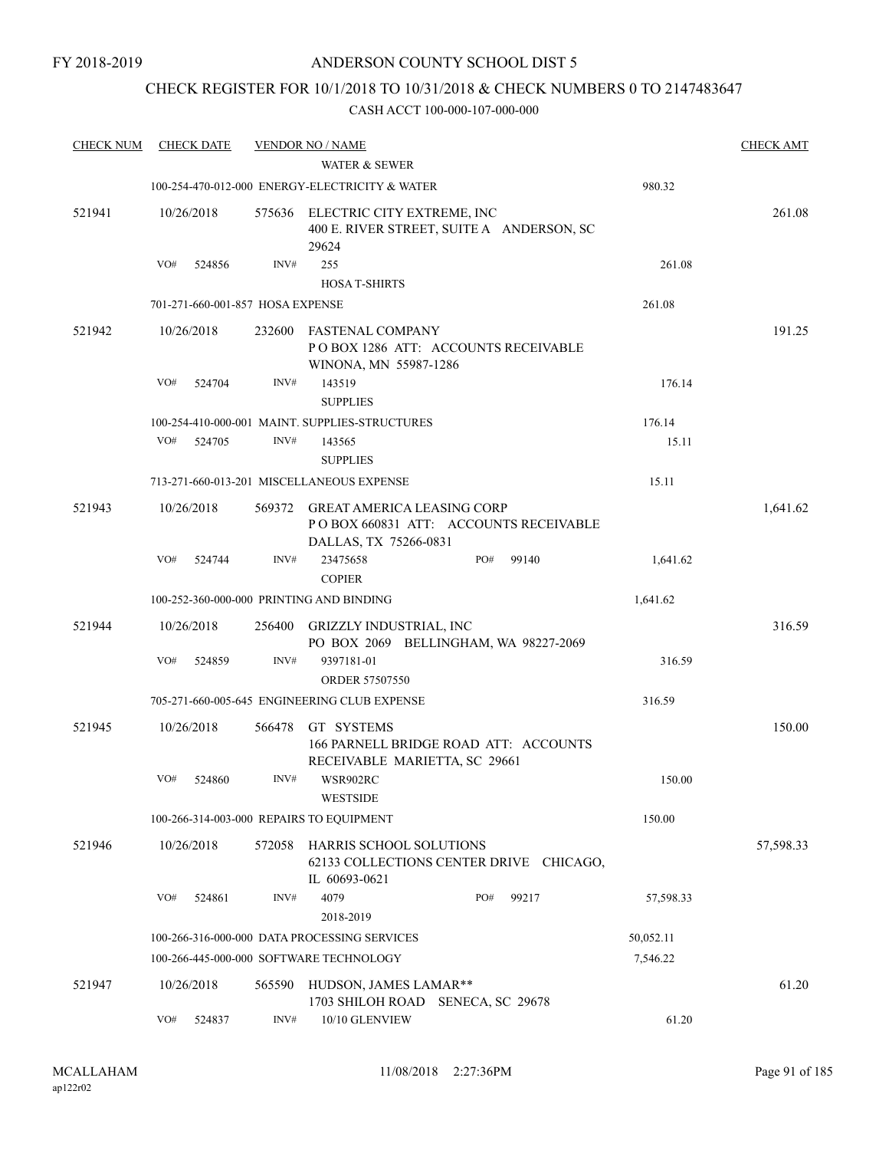## CHECK REGISTER FOR 10/1/2018 TO 10/31/2018 & CHECK NUMBERS 0 TO 2147483647

| <u>CHECK NUM</u> | <b>CHECK DATE</b>                |        | <b>VENDOR NO / NAME</b>                                    |                                           |           | <b>CHECK AMT</b> |
|------------------|----------------------------------|--------|------------------------------------------------------------|-------------------------------------------|-----------|------------------|
|                  |                                  |        | <b>WATER &amp; SEWER</b>                                   |                                           |           |                  |
|                  |                                  |        | 100-254-470-012-000 ENERGY-ELECTRICITY & WATER             |                                           | 980.32    |                  |
| 521941           | 10/26/2018                       |        | 575636 ELECTRIC CITY EXTREME, INC<br>29624                 | 400 E. RIVER STREET, SUITE A ANDERSON, SC |           | 261.08           |
|                  | VO#<br>524856                    | INV#   | 255                                                        |                                           | 261.08    |                  |
|                  |                                  |        | <b>HOSA T-SHIRTS</b>                                       |                                           |           |                  |
|                  | 701-271-660-001-857 HOSA EXPENSE |        |                                                            |                                           | 261.08    |                  |
| 521942           | 10/26/2018                       | 232600 | FASTENAL COMPANY<br>WINONA, MN 55987-1286                  | POBOX 1286 ATT: ACCOUNTS RECEIVABLE       |           | 191.25           |
|                  | VO#<br>524704                    | INV#   | 143519<br><b>SUPPLIES</b>                                  |                                           | 176.14    |                  |
|                  |                                  |        | 100-254-410-000-001 MAINT. SUPPLIES-STRUCTURES             |                                           | 176.14    |                  |
|                  | VO#<br>524705                    | INV#   | 143565<br><b>SUPPLIES</b>                                  |                                           | 15.11     |                  |
|                  |                                  |        | 713-271-660-013-201 MISCELLANEOUS EXPENSE                  |                                           | 15.11     |                  |
| 521943           | 10/26/2018                       |        | 569372 GREAT AMERICA LEASING CORP<br>DALLAS, TX 75266-0831 | POBOX 660831 ATT: ACCOUNTS RECEIVABLE     |           | 1,641.62         |
|                  | VO#<br>524744                    | INV#   | 23475658<br><b>COPIER</b>                                  | PO#<br>99140                              | 1,641.62  |                  |
|                  |                                  |        | 100-252-360-000-000 PRINTING AND BINDING                   |                                           | 1,641.62  |                  |
| 521944           | 10/26/2018                       | 256400 | GRIZZLY INDUSTRIAL, INC                                    | PO BOX 2069 BELLINGHAM, WA 98227-2069     |           | 316.59           |
|                  | VO#<br>524859                    | INV#   | 9397181-01<br><b>ORDER 57507550</b>                        |                                           | 316.59    |                  |
|                  |                                  |        | 705-271-660-005-645 ENGINEERING CLUB EXPENSE               |                                           | 316.59    |                  |
| 521945           | 10/26/2018                       | 566478 | GT SYSTEMS<br>RECEIVABLE MARIETTA, SC 29661                | 166 PARNELL BRIDGE ROAD ATT: ACCOUNTS     |           | 150.00           |
|                  | VO#<br>524860                    | INV#   | WSR902RC<br><b>WESTSIDE</b>                                |                                           | 150.00    |                  |
|                  |                                  |        | 100-266-314-003-000 REPAIRS TO EQUIPMENT                   |                                           | 150.00    |                  |
| 521946           | 10/26/2018                       | 572058 | HARRIS SCHOOL SOLUTIONS<br>IL 60693-0621                   | 62133 COLLECTIONS CENTER DRIVE CHICAGO,   |           | 57,598.33        |
|                  | VO#<br>524861                    | INV#   | 4079<br>2018-2019                                          | PO#<br>99217                              | 57,598.33 |                  |
|                  |                                  |        | 100-266-316-000-000 DATA PROCESSING SERVICES               |                                           | 50,052.11 |                  |
|                  |                                  |        | 100-266-445-000-000 SOFTWARE TECHNOLOGY                    |                                           | 7,546.22  |                  |
| 521947           | 10/26/2018                       | 565590 | HUDSON, JAMES LAMAR**<br>1703 SHILOH ROAD                  | SENECA, SC 29678                          |           | 61.20            |
|                  | VO#<br>524837                    | INV#   | 10/10 GLENVIEW                                             |                                           | 61.20     |                  |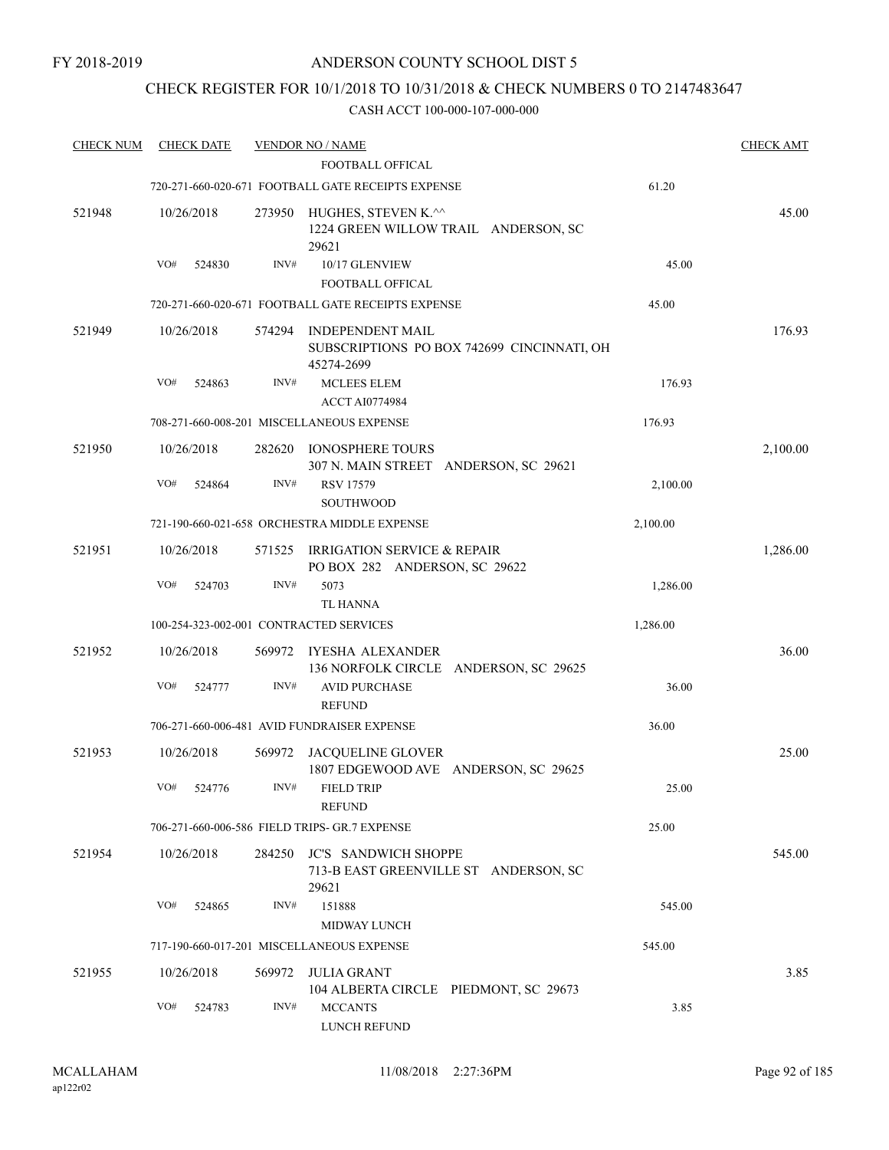### CHECK REGISTER FOR 10/1/2018 TO 10/31/2018 & CHECK NUMBERS 0 TO 2147483647

| <b>CHECK NUM</b> | <b>CHECK DATE</b>                       |        | <b>VENDOR NO / NAME</b>                                                             |          | <b>CHECK AMT</b> |
|------------------|-----------------------------------------|--------|-------------------------------------------------------------------------------------|----------|------------------|
|                  |                                         |        | FOOTBALL OFFICAL                                                                    |          |                  |
|                  |                                         |        | 720-271-660-020-671 FOOTBALL GATE RECEIPTS EXPENSE                                  | 61.20    |                  |
| 521948           | 10/26/2018                              | 273950 | HUGHES, STEVEN K.^^<br>1224 GREEN WILLOW TRAIL ANDERSON, SC<br>29621                |          | 45.00            |
|                  | VO#<br>524830                           | INV#   | 10/17 GLENVIEW<br>FOOTBALL OFFICAL                                                  | 45.00    |                  |
|                  |                                         |        | 720-271-660-020-671 FOOTBALL GATE RECEIPTS EXPENSE                                  | 45.00    |                  |
| 521949           | 10/26/2018                              | 574294 | <b>INDEPENDENT MAIL</b><br>SUBSCRIPTIONS PO BOX 742699 CINCINNATI, OH<br>45274-2699 |          | 176.93           |
|                  | VO#<br>524863                           | INV#   | <b>MCLEES ELEM</b><br><b>ACCT AI0774984</b>                                         | 176.93   |                  |
|                  |                                         |        | 708-271-660-008-201 MISCELLANEOUS EXPENSE                                           | 176.93   |                  |
| 521950           | 10/26/2018                              | 282620 | IONOSPHERE TOURS<br>307 N. MAIN STREET ANDERSON, SC 29621                           |          | 2,100.00         |
|                  | VO#<br>524864                           | INV#   | <b>RSV 17579</b><br><b>SOUTHWOOD</b>                                                | 2,100.00 |                  |
|                  |                                         |        | 721-190-660-021-658 ORCHESTRA MIDDLE EXPENSE                                        | 2,100.00 |                  |
| 521951           | 10/26/2018                              | 571525 | IRRIGATION SERVICE & REPAIR<br>PO BOX 282 ANDERSON, SC 29622                        |          | 1,286.00         |
|                  | VO#<br>524703                           | INV#   | 5073<br><b>TL HANNA</b>                                                             | 1,286.00 |                  |
|                  | 100-254-323-002-001 CONTRACTED SERVICES |        |                                                                                     | 1,286.00 |                  |
| 521952           | 10/26/2018                              |        | 569972 IYESHA ALEXANDER<br>136 NORFOLK CIRCLE ANDERSON, SC 29625                    |          | 36.00            |
|                  | VO#<br>524777                           | INV#   | <b>AVID PURCHASE</b><br><b>REFUND</b>                                               | 36.00    |                  |
|                  |                                         |        | 706-271-660-006-481 AVID FUNDRAISER EXPENSE                                         | 36.00    |                  |
| 521953           | 10/26/2018                              | 569972 | JACQUELINE GLOVER<br>1807 EDGEWOOD AVE ANDERSON, SC 29625                           |          | 25.00            |
|                  | VO# 524776                              | INV#   | FIELD TRIP<br><b>REFUND</b>                                                         | 25.00    |                  |
|                  |                                         |        | 706-271-660-006-586 FIELD TRIPS- GR.7 EXPENSE                                       | 25.00    |                  |
| 521954           | 10/26/2018                              | 284250 | <b>JC'S SANDWICH SHOPPE</b><br>713-B EAST GREENVILLE ST ANDERSON, SC<br>29621       |          | 545.00           |
|                  | VO#<br>524865                           | INV#   | 151888<br>MIDWAY LUNCH                                                              | 545.00   |                  |
|                  |                                         |        | 717-190-660-017-201 MISCELLANEOUS EXPENSE                                           | 545.00   |                  |
| 521955           | 10/26/2018                              |        | 569972 JULIA GRANT<br>104 ALBERTA CIRCLE PIEDMONT, SC 29673                         |          | 3.85             |
|                  | VO#<br>524783                           | INV#   | <b>MCCANTS</b><br>LUNCH REFUND                                                      | 3.85     |                  |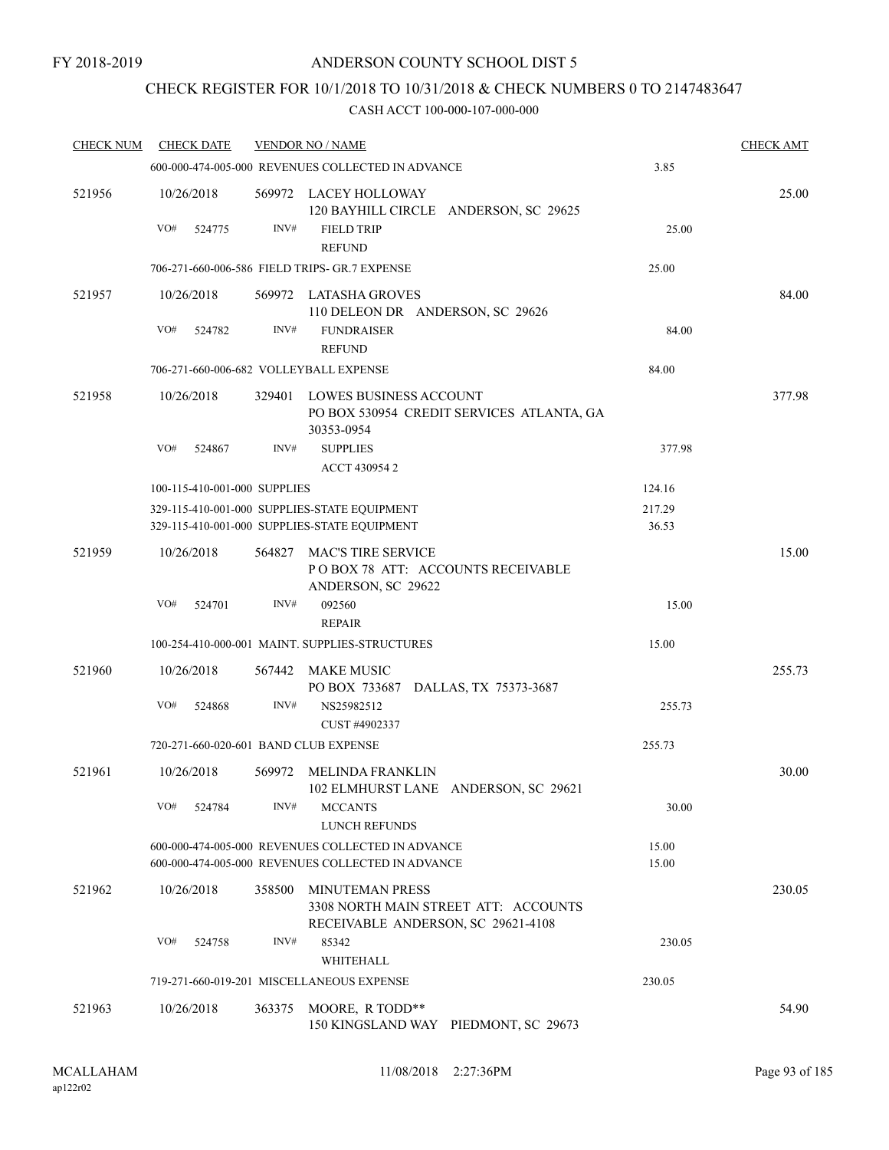### CHECK REGISTER FOR 10/1/2018 TO 10/31/2018 & CHECK NUMBERS 0 TO 2147483647

| <b>CHECK NUM</b> | <b>CHECK DATE</b>                      |        | <b>VENDOR NO / NAME</b>                                                                                |                 | <b>CHECK AMT</b> |
|------------------|----------------------------------------|--------|--------------------------------------------------------------------------------------------------------|-----------------|------------------|
|                  |                                        |        | 600-000-474-005-000 REVENUES COLLECTED IN ADVANCE                                                      | 3.85            |                  |
| 521956           | 10/26/2018                             |        | 569972 LACEY HOLLOWAY<br>120 BAYHILL CIRCLE ANDERSON, SC 29625                                         |                 | 25.00            |
|                  | VO#<br>524775                          | INV#   | <b>FIELD TRIP</b><br><b>REFUND</b>                                                                     | 25.00           |                  |
|                  |                                        |        | 706-271-660-006-586 FIELD TRIPS- GR.7 EXPENSE                                                          | 25.00           |                  |
| 521957           | 10/26/2018                             |        | 569972 LATASHA GROVES<br>110 DELEON DR ANDERSON, SC 29626                                              |                 | 84.00            |
|                  | VO#<br>524782                          | INV#   | <b>FUNDRAISER</b><br><b>REFUND</b>                                                                     | 84.00           |                  |
|                  | 706-271-660-006-682 VOLLEYBALL EXPENSE |        |                                                                                                        | 84.00           |                  |
| 521958           | 10/26/2018                             | 329401 | LOWES BUSINESS ACCOUNT<br>PO BOX 530954 CREDIT SERVICES ATLANTA, GA<br>30353-0954                      |                 | 377.98           |
|                  | VO#<br>524867                          | INV#   | <b>SUPPLIES</b><br>ACCT 430954 2                                                                       | 377.98          |                  |
|                  | 100-115-410-001-000 SUPPLIES           |        |                                                                                                        | 124.16          |                  |
|                  |                                        |        | 329-115-410-001-000 SUPPLIES-STATE EQUIPMENT<br>329-115-410-001-000 SUPPLIES-STATE EQUIPMENT           | 217.29<br>36.53 |                  |
| 521959           | 10/26/2018                             | 564827 | MAC'S TIRE SERVICE<br>POBOX 78 ATT: ACCOUNTS RECEIVABLE<br>ANDERSON, SC 29622                          |                 | 15.00            |
|                  | VO#<br>524701                          | INV#   | 092560                                                                                                 | 15.00           |                  |
|                  |                                        |        | <b>REPAIR</b>                                                                                          |                 |                  |
|                  |                                        |        | 100-254-410-000-001 MAINT. SUPPLIES-STRUCTURES                                                         | 15.00           |                  |
| 521960           | 10/26/2018                             |        | 567442 MAKE MUSIC<br>PO BOX 733687 DALLAS, TX 75373-3687                                               |                 | 255.73           |
|                  | VO#<br>524868                          | INV#   | NS25982512<br>CUST #4902337                                                                            | 255.73          |                  |
|                  | 720-271-660-020-601 BAND CLUB EXPENSE  |        |                                                                                                        | 255.73          |                  |
| 521961           | 10/26/2018                             |        | 569972 MELINDA FRANKLIN<br>102 ELMHURST LANE ANDERSON, SC 29621                                        |                 | 30.00            |
|                  | VO#<br>524784                          | INV#   | <b>MCCANTS</b><br>LUNCH REFUNDS                                                                        | 30.00           |                  |
|                  |                                        |        | 600-000-474-005-000 REVENUES COLLECTED IN ADVANCE<br>600-000-474-005-000 REVENUES COLLECTED IN ADVANCE | 15.00<br>15.00  |                  |
| 521962           | 10/26/2018                             | 358500 | <b>MINUTEMAN PRESS</b><br>3308 NORTH MAIN STREET ATT: ACCOUNTS<br>RECEIVABLE ANDERSON, SC 29621-4108   |                 | 230.05           |
|                  | VO#<br>524758                          | INV#   | 85342<br>WHITEHALL                                                                                     | 230.05          |                  |
|                  |                                        |        | 719-271-660-019-201 MISCELLANEOUS EXPENSE                                                              | 230.05          |                  |
| 521963           | 10/26/2018                             | 363375 | MOORE, R TODD**<br>150 KINGSLAND WAY PIEDMONT, SC 29673                                                |                 | 54.90            |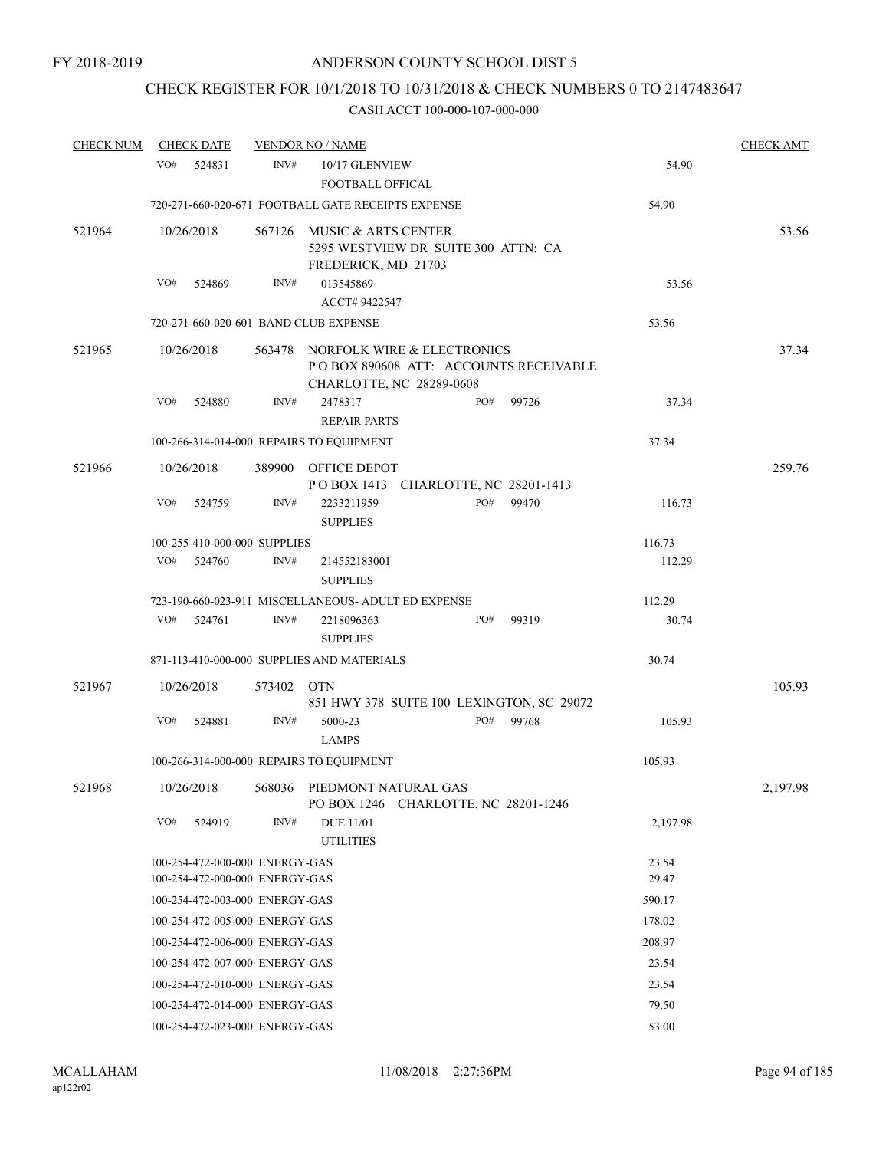# CHECK REGISTER FOR 10/1/2018 TO 10/31/2018 & CHECK NUMBERS 0 TO 2147483647

| <b>CHECK NUM</b> | <b>CHECK DATE</b> |                                       | <b>VENDOR NO / NAME</b>                                                                          |     |       |          | <b>CHECK AMT</b> |
|------------------|-------------------|---------------------------------------|--------------------------------------------------------------------------------------------------|-----|-------|----------|------------------|
|                  | VO#<br>524831     | INV#                                  | 10/17 GLENVIEW<br>FOOTBALL OFFICAL                                                               |     |       | 54.90    |                  |
|                  |                   |                                       | 720-271-660-020-671 FOOTBALL GATE RECEIPTS EXPENSE                                               |     |       | 54.90    |                  |
| 521964           | 10/26/2018        |                                       | 567126 MUSIC & ARTS CENTER<br>5295 WESTVIEW DR SUITE 300 ATTN: CA<br>FREDERICK, MD 21703         |     |       |          | 53.56            |
|                  | VO#               | INV#<br>524869                        | 013545869<br>ACCT# 9422547                                                                       |     | 53.56 |          |                  |
|                  |                   | 720-271-660-020-601 BAND CLUB EXPENSE |                                                                                                  |     |       | 53.56    |                  |
| 521965           | 10/26/2018        | 563478                                | NORFOLK WIRE & ELECTRONICS<br>PO BOX 890608 ATT: ACCOUNTS RECEIVABLE<br>CHARLOTTE, NC 28289-0608 |     |       |          | 37.34            |
|                  | VO#               | INV#<br>524880                        | 2478317<br><b>REPAIR PARTS</b>                                                                   | PO# | 99726 | 37.34    |                  |
|                  |                   |                                       | 100-266-314-014-000 REPAIRS TO EQUIPMENT                                                         |     |       | 37.34    |                  |
| 521966           | 10/26/2018        |                                       | 389900 OFFICE DEPOT<br>POBOX 1413 CHARLOTTE, NC 28201-1413                                       |     |       |          | 259.76           |
|                  | VO#               | 524759<br>INV#                        | 2233211959<br><b>SUPPLIES</b>                                                                    | PO# | 99470 | 116.73   |                  |
|                  |                   | 100-255-410-000-000 SUPPLIES          |                                                                                                  |     |       | 116.73   |                  |
|                  | VO#               | INV#<br>524760                        | 214552183001<br><b>SUPPLIES</b>                                                                  |     |       | 112.29   |                  |
|                  |                   |                                       | 723-190-660-023-911 MISCELLANEOUS- ADULT ED EXPENSE                                              |     |       | 112.29   |                  |
|                  | VO#<br>524761     | INV#                                  | 2218096363<br><b>SUPPLIES</b>                                                                    | PO# | 99319 | 30.74    |                  |
|                  |                   |                                       | 871-113-410-000-000 SUPPLIES AND MATERIALS                                                       |     |       | 30.74    |                  |
| 521967           | 10/26/2018        | 573402                                | <b>OTN</b><br>851 HWY 378 SUITE 100 LEXINGTON, SC 29072                                          |     |       |          | 105.93           |
|                  | VO#<br>524881     | INV#                                  | 5000-23<br><b>LAMPS</b>                                                                          | PO# | 99768 | 105.93   |                  |
|                  |                   |                                       | 100-266-314-000-000 REPAIRS TO EQUIPMENT                                                         |     |       | 105.93   |                  |
| 521968           |                   |                                       | 10/26/2018 568036 PIEDMONT NATURAL GAS<br>PO BOX 1246 CHARLOTTE, NC 28201-1246                   |     |       |          | 2,197.98         |
|                  | VO#<br>524919     | INV#                                  | <b>DUE 11/01</b><br><b>UTILITIES</b>                                                             |     |       | 2,197.98 |                  |
|                  |                   | 100-254-472-000-000 ENERGY-GAS        |                                                                                                  |     |       | 23.54    |                  |
|                  |                   | 100-254-472-000-000 ENERGY-GAS        |                                                                                                  |     |       | 29.47    |                  |
|                  |                   | 100-254-472-003-000 ENERGY-GAS        |                                                                                                  |     |       | 590.17   |                  |
|                  |                   | 100-254-472-005-000 ENERGY-GAS        |                                                                                                  |     |       | 178.02   |                  |
|                  |                   | 100-254-472-006-000 ENERGY-GAS        |                                                                                                  |     |       | 208.97   |                  |
|                  |                   | 100-254-472-007-000 ENERGY-GAS        |                                                                                                  |     |       | 23.54    |                  |
|                  |                   | 100-254-472-010-000 ENERGY-GAS        |                                                                                                  |     |       | 23.54    |                  |
|                  |                   | 100-254-472-014-000 ENERGY-GAS        |                                                                                                  |     |       | 79.50    |                  |
|                  |                   | 100-254-472-023-000 ENERGY-GAS        | 53.00                                                                                            |     |       |          |                  |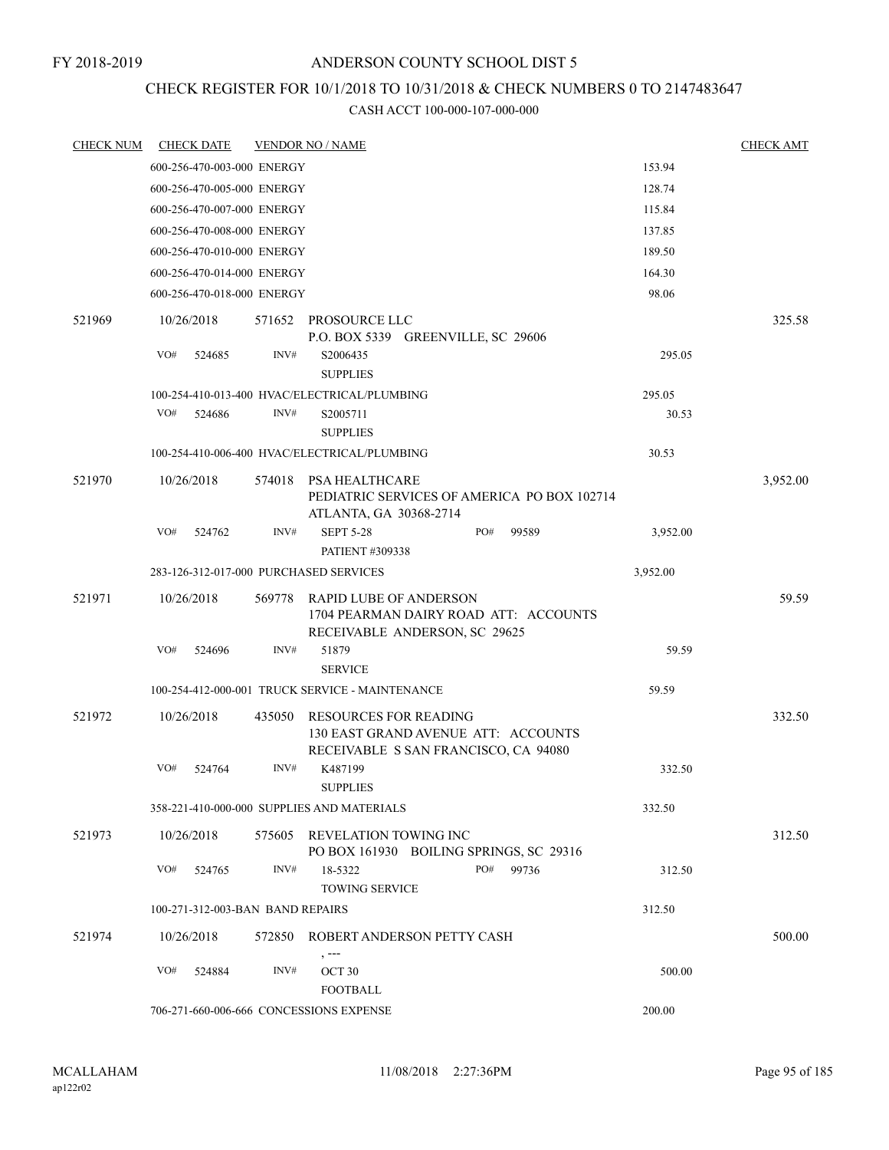### CHECK REGISTER FOR 10/1/2018 TO 10/31/2018 & CHECK NUMBERS 0 TO 2147483647

| <b>CHECK NUM</b> |            | <b>CHECK DATE</b>                |        | <b>VENDOR NO / NAME</b>                                                                                     |  |           |                                             |          | <b>CHECK AMT</b> |
|------------------|------------|----------------------------------|--------|-------------------------------------------------------------------------------------------------------------|--|-----------|---------------------------------------------|----------|------------------|
|                  |            | 600-256-470-003-000 ENERGY       |        |                                                                                                             |  |           |                                             | 153.94   |                  |
|                  |            | 600-256-470-005-000 ENERGY       |        |                                                                                                             |  |           |                                             | 128.74   |                  |
|                  |            | 600-256-470-007-000 ENERGY       |        |                                                                                                             |  |           |                                             | 115.84   |                  |
|                  |            | 600-256-470-008-000 ENERGY       |        |                                                                                                             |  |           |                                             | 137.85   |                  |
|                  |            | 600-256-470-010-000 ENERGY       |        |                                                                                                             |  |           |                                             | 189.50   |                  |
|                  |            | 600-256-470-014-000 ENERGY       |        |                                                                                                             |  |           |                                             | 164.30   |                  |
|                  |            | 600-256-470-018-000 ENERGY       |        |                                                                                                             |  |           |                                             | 98.06    |                  |
| 521969           |            | 10/26/2018                       |        | 571652 PROSOURCE LLC<br>P.O. BOX 5339 GREENVILLE, SC 29606                                                  |  |           |                                             |          | 325.58           |
|                  | VO#        | 524685                           | INV#   | S2006435<br><b>SUPPLIES</b>                                                                                 |  |           |                                             | 295.05   |                  |
|                  |            |                                  |        | 100-254-410-013-400 HVAC/ELECTRICAL/PLUMBING                                                                |  |           |                                             | 295.05   |                  |
|                  | VO#        | 524686                           | INV#   | S2005711<br><b>SUPPLIES</b>                                                                                 |  |           |                                             | 30.53    |                  |
|                  |            |                                  |        | 100-254-410-006-400 HVAC/ELECTRICAL/PLUMBING                                                                |  |           |                                             | 30.53    |                  |
| 521970           |            | 10/26/2018                       |        | 574018 PSA HEALTHCARE<br>ATLANTA, GA 30368-2714                                                             |  |           | PEDIATRIC SERVICES OF AMERICA PO BOX 102714 |          | 3,952.00         |
|                  | VO#        | 524762                           | INV#   | <b>SEPT 5-28</b><br><b>PATIENT #309338</b>                                                                  |  | PO#       | 99589                                       | 3,952.00 |                  |
|                  |            |                                  |        | 283-126-312-017-000 PURCHASED SERVICES                                                                      |  |           |                                             | 3,952.00 |                  |
| 521971           |            | 10/26/2018                       | 569778 | RAPID LUBE OF ANDERSON<br>1704 PEARMAN DAIRY ROAD ATT: ACCOUNTS<br>RECEIVABLE ANDERSON, SC 29625            |  |           |                                             |          | 59.59            |
|                  | VO#        | 524696                           | INV#   | 51879<br><b>SERVICE</b>                                                                                     |  |           |                                             | 59.59    |                  |
|                  |            |                                  |        | 100-254-412-000-001 TRUCK SERVICE - MAINTENANCE                                                             |  |           |                                             | 59.59    |                  |
| 521972           | 10/26/2018 |                                  | 435050 | <b>RESOURCES FOR READING</b><br>130 EAST GRAND AVENUE ATT: ACCOUNTS<br>RECEIVABLE S SAN FRANCISCO, CA 94080 |  |           |                                             | 332.50   |                  |
|                  | VO#        | 524764                           | INV#   | K487199<br><b>SUPPLIES</b>                                                                                  |  |           |                                             | 332.50   |                  |
|                  |            |                                  |        | 358-221-410-000-000 SUPPLIES AND MATERIALS                                                                  |  |           |                                             | 332.50   |                  |
| 521973           |            | 10/26/2018                       |        | 575605 REVELATION TOWING INC<br>PO BOX 161930 BOILING SPRINGS, SC 29316                                     |  |           |                                             |          | 312.50           |
|                  | VO#        | 524765                           | INV#   | 18-5322<br><b>TOWING SERVICE</b>                                                                            |  | PO# 99736 |                                             | 312.50   |                  |
|                  |            | 100-271-312-003-BAN BAND REPAIRS |        |                                                                                                             |  |           |                                             | 312.50   |                  |
| 521974           |            | 10/26/2018                       |        | 572850 ROBERT ANDERSON PETTY CASH                                                                           |  |           |                                             |          | 500.00           |
|                  | VO#        | 524884                           | INV#   | $, --$<br>OCT <sub>30</sub><br><b>FOOTBALL</b>                                                              |  |           |                                             | 500.00   |                  |
|                  |            |                                  |        | 706-271-660-006-666 CONCESSIONS EXPENSE                                                                     |  |           |                                             | 200.00   |                  |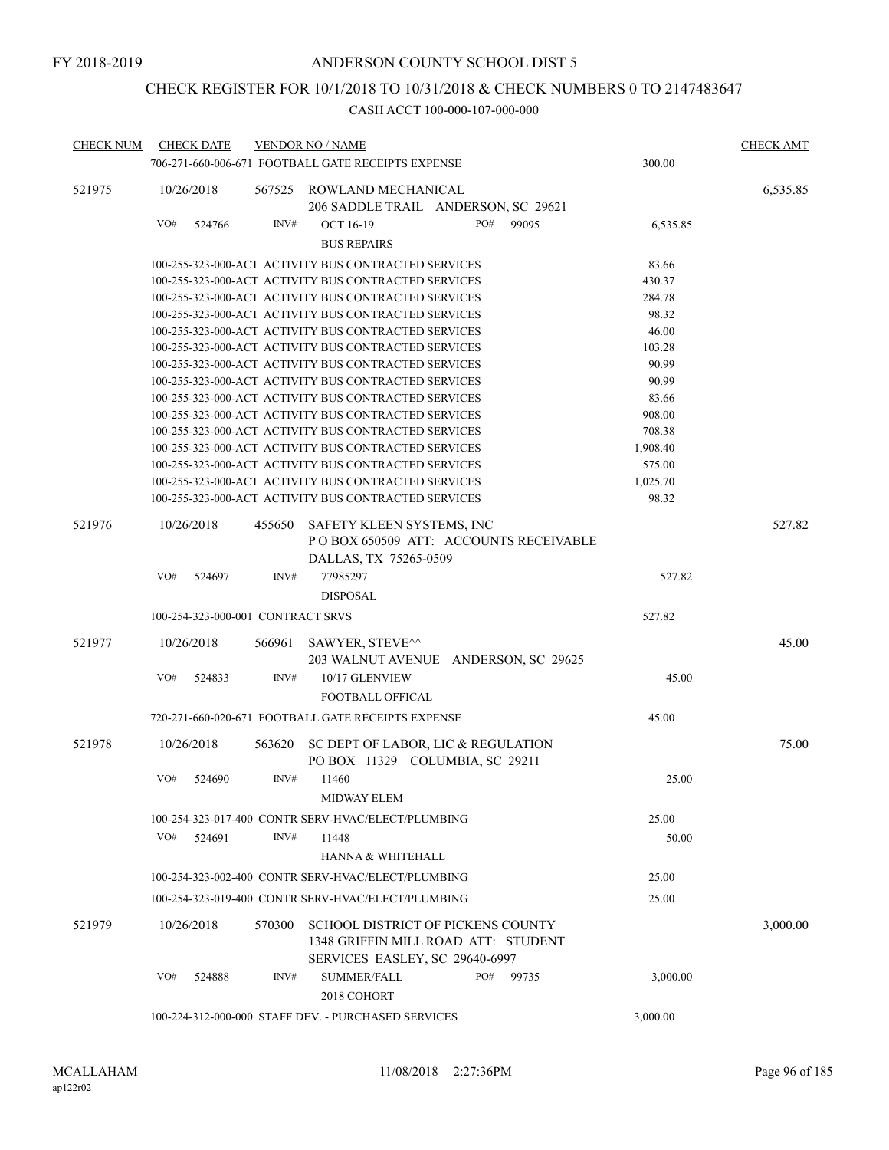## CHECK REGISTER FOR 10/1/2018 TO 10/31/2018 & CHECK NUMBERS 0 TO 2147483647

| <b>CHECK NUM</b> | <b>CHECK DATE</b>                 |        |        | <b>VENDOR NO / NAME</b>                                                                                      |     |       |                    | <b>CHECK AMT</b> |
|------------------|-----------------------------------|--------|--------|--------------------------------------------------------------------------------------------------------------|-----|-------|--------------------|------------------|
|                  |                                   |        |        | 706-271-660-006-671 FOOTBALL GATE RECEIPTS EXPENSE                                                           |     |       | 300.00             |                  |
| 521975           | 10/26/2018                        |        | 567525 | ROWLAND MECHANICAL<br>206 SADDLE TRAIL ANDERSON, SC 29621                                                    |     |       |                    | 6,535.85         |
|                  | VO#                               | 524766 | INV#   | <b>OCT 16-19</b><br><b>BUS REPAIRS</b>                                                                       | PO# | 99095 | 6,535.85           |                  |
|                  |                                   |        |        | 100-255-323-000-ACT ACTIVITY BUS CONTRACTED SERVICES                                                         |     |       | 83.66              |                  |
|                  |                                   |        |        | 100-255-323-000-ACT ACTIVITY BUS CONTRACTED SERVICES                                                         |     |       | 430.37             |                  |
|                  |                                   |        |        | 100-255-323-000-ACT ACTIVITY BUS CONTRACTED SERVICES                                                         |     |       | 284.78             |                  |
|                  |                                   |        |        | 100-255-323-000-ACT ACTIVITY BUS CONTRACTED SERVICES                                                         |     |       | 98.32              |                  |
|                  |                                   |        |        | 100-255-323-000-ACT ACTIVITY BUS CONTRACTED SERVICES                                                         |     |       | 46.00              |                  |
|                  |                                   |        |        | 100-255-323-000-ACT ACTIVITY BUS CONTRACTED SERVICES                                                         |     |       | 103.28             |                  |
|                  |                                   |        |        | 100-255-323-000-ACT ACTIVITY BUS CONTRACTED SERVICES                                                         |     |       | 90.99              |                  |
|                  |                                   |        |        | 100-255-323-000-ACT ACTIVITY BUS CONTRACTED SERVICES                                                         |     |       | 90.99              |                  |
|                  |                                   |        |        | 100-255-323-000-ACT ACTIVITY BUS CONTRACTED SERVICES                                                         |     |       | 83.66              |                  |
|                  |                                   |        |        | 100-255-323-000-ACT ACTIVITY BUS CONTRACTED SERVICES                                                         |     |       | 908.00             |                  |
|                  |                                   |        |        | 100-255-323-000-ACT ACTIVITY BUS CONTRACTED SERVICES                                                         |     |       | 708.38             |                  |
|                  |                                   |        |        | 100-255-323-000-ACT ACTIVITY BUS CONTRACTED SERVICES                                                         |     |       | 1,908.40           |                  |
|                  |                                   |        |        | 100-255-323-000-ACT ACTIVITY BUS CONTRACTED SERVICES<br>100-255-323-000-ACT ACTIVITY BUS CONTRACTED SERVICES |     |       | 575.00<br>1,025.70 |                  |
|                  |                                   |        |        | 100-255-323-000-ACT ACTIVITY BUS CONTRACTED SERVICES                                                         |     |       | 98.32              |                  |
| 521976           | 10/26/2018                        |        | 455650 | SAFETY KLEEN SYSTEMS, INC<br>POBOX 650509 ATT: ACCOUNTS RECEIVABLE                                           |     |       |                    | 527.82           |
|                  | VO#                               | 524697 | INV#   | DALLAS, TX 75265-0509<br>77985297                                                                            |     |       | 527.82             |                  |
|                  |                                   |        |        | <b>DISPOSAL</b>                                                                                              |     |       |                    |                  |
|                  | 100-254-323-000-001 CONTRACT SRVS |        |        |                                                                                                              |     |       | 527.82             |                  |
| 521977           | 10/26/2018                        |        | 566961 | SAWYER, STEVE^^                                                                                              |     |       |                    | 45.00            |
|                  |                                   |        |        | 203 WALNUT AVENUE ANDERSON, SC 29625                                                                         |     |       |                    |                  |
|                  | VO#                               | 524833 | INV#   | 10/17 GLENVIEW<br>FOOTBALL OFFICAL                                                                           |     |       | 45.00              |                  |
|                  |                                   |        |        | 720-271-660-020-671 FOOTBALL GATE RECEIPTS EXPENSE                                                           |     |       | 45.00              |                  |
| 521978           | 10/26/2018                        |        | 563620 | SC DEPT OF LABOR, LIC & REGULATION<br>PO BOX 11329 COLUMBIA, SC 29211                                        |     |       |                    | 75.00            |
|                  | VO#                               | 524690 | INV#   | 11460<br><b>MIDWAY ELEM</b>                                                                                  |     |       | 25.00              |                  |
|                  |                                   |        |        | 100-254-323-017-400 CONTR SERV-HVAC/ELECT/PLUMBING                                                           |     |       | 25.00              |                  |
|                  | VO#                               | 524691 | INV#   | 11448<br><b>HANNA &amp; WHITEHALL</b>                                                                        |     |       | 50.00              |                  |
|                  |                                   |        |        | 100-254-323-002-400 CONTR SERV-HVAC/ELECT/PLUMBING                                                           |     |       | 25.00              |                  |
|                  |                                   |        |        | 100-254-323-019-400 CONTR SERV-HVAC/ELECT/PLUMBING                                                           |     |       | 25.00              |                  |
| 521979           | 10/26/2018                        |        | 570300 | SCHOOL DISTRICT OF PICKENS COUNTY<br>1348 GRIFFIN MILL ROAD ATT: STUDENT<br>SERVICES EASLEY, SC 29640-6997   |     |       |                    | 3,000.00         |
|                  | VO#                               | 524888 | INV#   | <b>SUMMER/FALL</b><br>2018 COHORT                                                                            | PO# | 99735 | 3,000.00           |                  |
|                  |                                   |        |        | 100-224-312-000-000 STAFF DEV. - PURCHASED SERVICES                                                          |     |       | 3,000.00           |                  |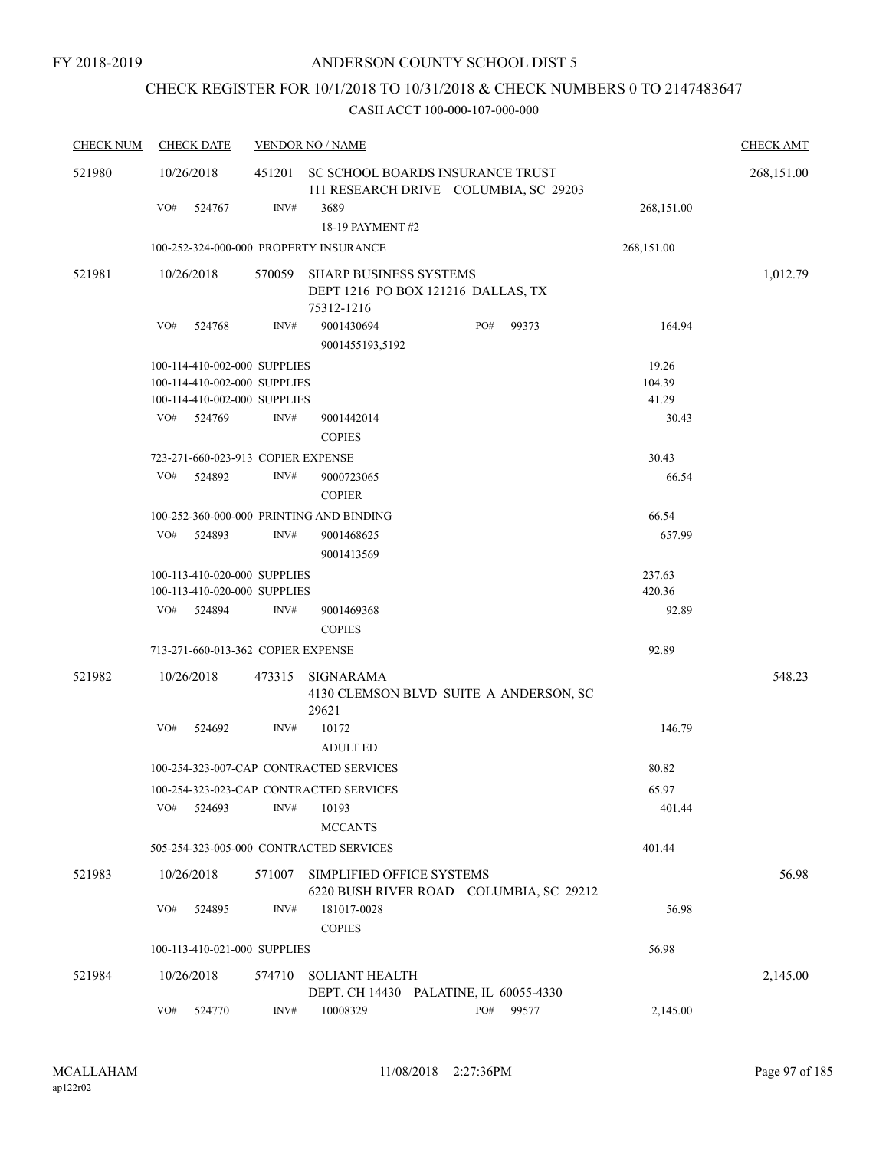## CHECK REGISTER FOR 10/1/2018 TO 10/31/2018 & CHECK NUMBERS 0 TO 2147483647

| <b>CHECK NUM</b> | <b>CHECK DATE</b> |                                          | <b>VENDOR NO / NAME</b>                 |                                                                           |            | <b>CHECK AMT</b> |
|------------------|-------------------|------------------------------------------|-----------------------------------------|---------------------------------------------------------------------------|------------|------------------|
| 521980           | 10/26/2018        | 451201                                   |                                         | SC SCHOOL BOARDS INSURANCE TRUST<br>111 RESEARCH DRIVE COLUMBIA, SC 29203 |            | 268,151.00       |
|                  | VO#               | INV#<br>524767                           | 3689<br>18-19 PAYMENT #2                |                                                                           | 268,151.00 |                  |
|                  |                   |                                          | 100-252-324-000-000 PROPERTY INSURANCE  |                                                                           | 268,151.00 |                  |
| 521981           | 10/26/2018        | 570059                                   | SHARP BUSINESS SYSTEMS<br>75312-1216    | DEPT 1216 PO BOX 121216 DALLAS, TX                                        |            | 1,012.79         |
|                  | VO#               | 524768<br>INV#                           | 9001430694<br>9001455193,5192           | PO#<br>99373                                                              | 164.94     |                  |
|                  |                   | 100-114-410-002-000 SUPPLIES             |                                         |                                                                           | 19.26      |                  |
|                  |                   | 100-114-410-002-000 SUPPLIES             |                                         |                                                                           | 104.39     |                  |
|                  |                   | 100-114-410-002-000 SUPPLIES             |                                         |                                                                           | 41.29      |                  |
|                  | VO#               | 524769<br>INV#                           | 9001442014<br><b>COPIES</b>             |                                                                           | 30.43      |                  |
|                  |                   | 723-271-660-023-913 COPIER EXPENSE       |                                         |                                                                           | 30.43      |                  |
|                  | VO#<br>524892     | INV#                                     | 9000723065<br><b>COPIER</b>             |                                                                           | 66.54      |                  |
|                  |                   | 100-252-360-000-000 PRINTING AND BINDING | 66.54                                   |                                                                           |            |                  |
|                  | VO#               | 524893<br>INV#                           | 9001468625<br>9001413569                |                                                                           | 657.99     |                  |
|                  |                   | 100-113-410-020-000 SUPPLIES             |                                         |                                                                           | 237.63     |                  |
|                  |                   | 100-113-410-020-000 SUPPLIES             |                                         |                                                                           | 420.36     |                  |
|                  | VO#               | 524894<br>INV#                           | 9001469368<br><b>COPIES</b>             |                                                                           | 92.89      |                  |
|                  |                   | 713-271-660-013-362 COPIER EXPENSE       |                                         |                                                                           | 92.89      |                  |
| 521982           | 10/26/2018        | 473315                                   | SIGNARAMA<br>29621                      | 4130 CLEMSON BLVD SUITE A ANDERSON, SC                                    |            | 548.23           |
|                  | VO#<br>524692     | INV#                                     | 10172<br><b>ADULT ED</b>                |                                                                           | 146.79     |                  |
|                  |                   |                                          | 100-254-323-007-CAP CONTRACTED SERVICES |                                                                           | 80.82      |                  |
|                  |                   |                                          | 100-254-323-023-CAP CONTRACTED SERVICES |                                                                           | 65.97      |                  |
|                  | VO#<br>524693     | INV#                                     | 10193                                   |                                                                           | 401.44     |                  |
|                  |                   |                                          | $\sf MCCANTS$                           |                                                                           |            |                  |
|                  |                   |                                          | 505-254-323-005-000 CONTRACTED SERVICES |                                                                           | 401.44     |                  |
| 521983           | 10/26/2018        |                                          | 571007 SIMPLIFIED OFFICE SYSTEMS        | 6220 BUSH RIVER ROAD COLUMBIA, SC 29212                                   |            | 56.98            |
|                  | VO#               | 524895<br>INV#                           | 181017-0028<br><b>COPIES</b>            |                                                                           | 56.98      |                  |
|                  |                   | 100-113-410-021-000 SUPPLIES             |                                         |                                                                           | 56.98      |                  |
| 521984           | 10/26/2018        | 574710                                   | <b>SOLIANT HEALTH</b>                   | DEPT. CH 14430 PALATINE, IL 60055-4330                                    |            | 2,145.00         |
|                  | VO#               | 524770<br>INV#                           | 10008329                                | PO#<br>99577                                                              | 2,145.00   |                  |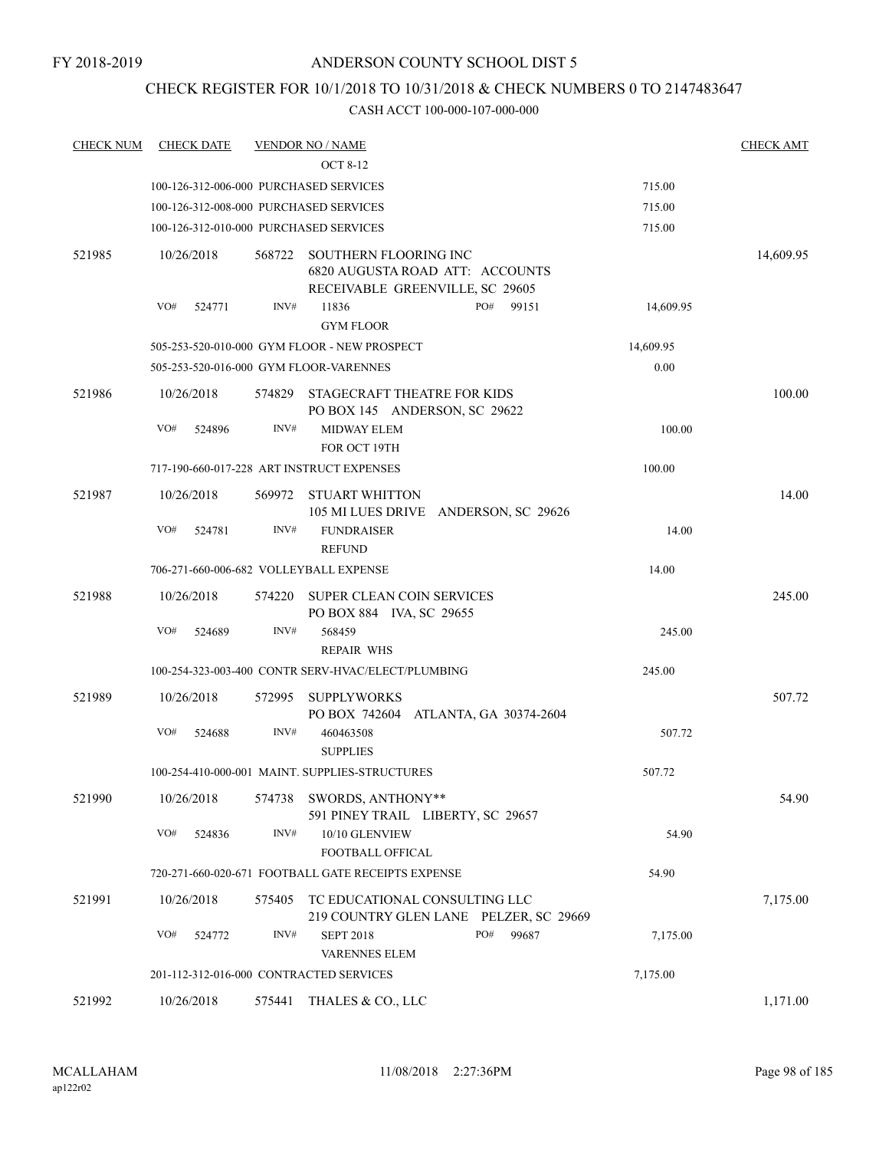### CHECK REGISTER FOR 10/1/2018 TO 10/31/2018 & CHECK NUMBERS 0 TO 2147483647

| <b>CHECK NUM</b> | <b>CHECK DATE</b>                      |        | <b>VENDOR NO / NAME</b>                                                                            |           | <b>CHECK AMT</b> |
|------------------|----------------------------------------|--------|----------------------------------------------------------------------------------------------------|-----------|------------------|
|                  |                                        |        | <b>OCT 8-12</b>                                                                                    |           |                  |
|                  | 100-126-312-006-000 PURCHASED SERVICES |        |                                                                                                    | 715.00    |                  |
|                  | 100-126-312-008-000 PURCHASED SERVICES |        |                                                                                                    | 715.00    |                  |
|                  | 100-126-312-010-000 PURCHASED SERVICES |        |                                                                                                    | 715.00    |                  |
| 521985           | 10/26/2018                             |        | 568722 SOUTHERN FLOORING INC<br>6820 AUGUSTA ROAD ATT: ACCOUNTS<br>RECEIVABLE GREENVILLE, SC 29605 |           | 14,609.95        |
|                  | VO#<br>524771                          | INV#   | PO#<br>11836<br>99151<br><b>GYM FLOOR</b>                                                          | 14,609.95 |                  |
|                  |                                        |        | 505-253-520-010-000 GYM FLOOR - NEW PROSPECT                                                       | 14,609.95 |                  |
|                  | 505-253-520-016-000 GYM FLOOR-VARENNES |        |                                                                                                    | 0.00      |                  |
| 521986           | 10/26/2018                             |        | 574829 STAGECRAFT THEATRE FOR KIDS<br>PO BOX 145 ANDERSON, SC 29622                                |           | 100.00           |
|                  | VO#<br>524896                          | INV#   | <b>MIDWAY ELEM</b><br>FOR OCT 19TH                                                                 | 100.00    |                  |
|                  |                                        |        | 717-190-660-017-228 ART INSTRUCT EXPENSES                                                          | 100.00    |                  |
| 521987           | 10/26/2018                             | 569972 | STUART WHITTON<br>105 MI LUES DRIVE ANDERSON, SC 29626                                             |           | 14.00            |
|                  | VO#<br>524781                          | INV#   | <b>FUNDRAISER</b><br><b>REFUND</b>                                                                 | 14.00     |                  |
|                  | 706-271-660-006-682 VOLLEYBALL EXPENSE |        |                                                                                                    | 14.00     |                  |
| 521988           | 10/26/2018                             | 574220 | <b>SUPER CLEAN COIN SERVICES</b><br>PO BOX 884 IVA, SC 29655                                       |           | 245.00           |
|                  | VO#<br>524689                          | INV#   | 568459<br><b>REPAIR WHS</b>                                                                        | 245.00    |                  |
|                  |                                        |        | 100-254-323-003-400 CONTR SERV-HVAC/ELECT/PLUMBING                                                 | 245.00    |                  |
| 521989           | 10/26/2018                             | 572995 | SUPPLYWORKS<br>PO BOX 742604 ATLANTA, GA 30374-2604                                                |           | 507.72           |
|                  | VO#<br>524688                          | INV#   | 460463508<br><b>SUPPLIES</b>                                                                       | 507.72    |                  |
|                  |                                        |        | 100-254-410-000-001 MAINT. SUPPLIES-STRUCTURES                                                     | 507.72    |                  |
| 521990           | 10/26/2018                             |        | 574738 SWORDS, ANTHONY**<br>591 PINEY TRAIL LIBERTY, SC 29657                                      |           | 54.90            |
|                  | VO#<br>524836                          | INV#   | 10/10 GLENVIEW<br>FOOTBALL OFFICAL                                                                 | 54.90     |                  |
|                  |                                        |        | 720-271-660-020-671 FOOTBALL GATE RECEIPTS EXPENSE                                                 | 54.90     |                  |
| 521991           | 10/26/2018                             | 575405 | TC EDUCATIONAL CONSULTING LLC<br>219 COUNTRY GLEN LANE PELZER, SC 29669                            |           | 7,175.00         |
|                  | VO#<br>524772                          | INV#   | <b>SEPT 2018</b><br>PO#<br>99687<br><b>VARENNES ELEM</b>                                           | 7,175.00  |                  |
|                  |                                        |        | 201-112-312-016-000 CONTRACTED SERVICES                                                            | 7,175.00  |                  |
| 521992           | 10/26/2018                             | 575441 | THALES & CO., LLC                                                                                  |           | 1,171.00         |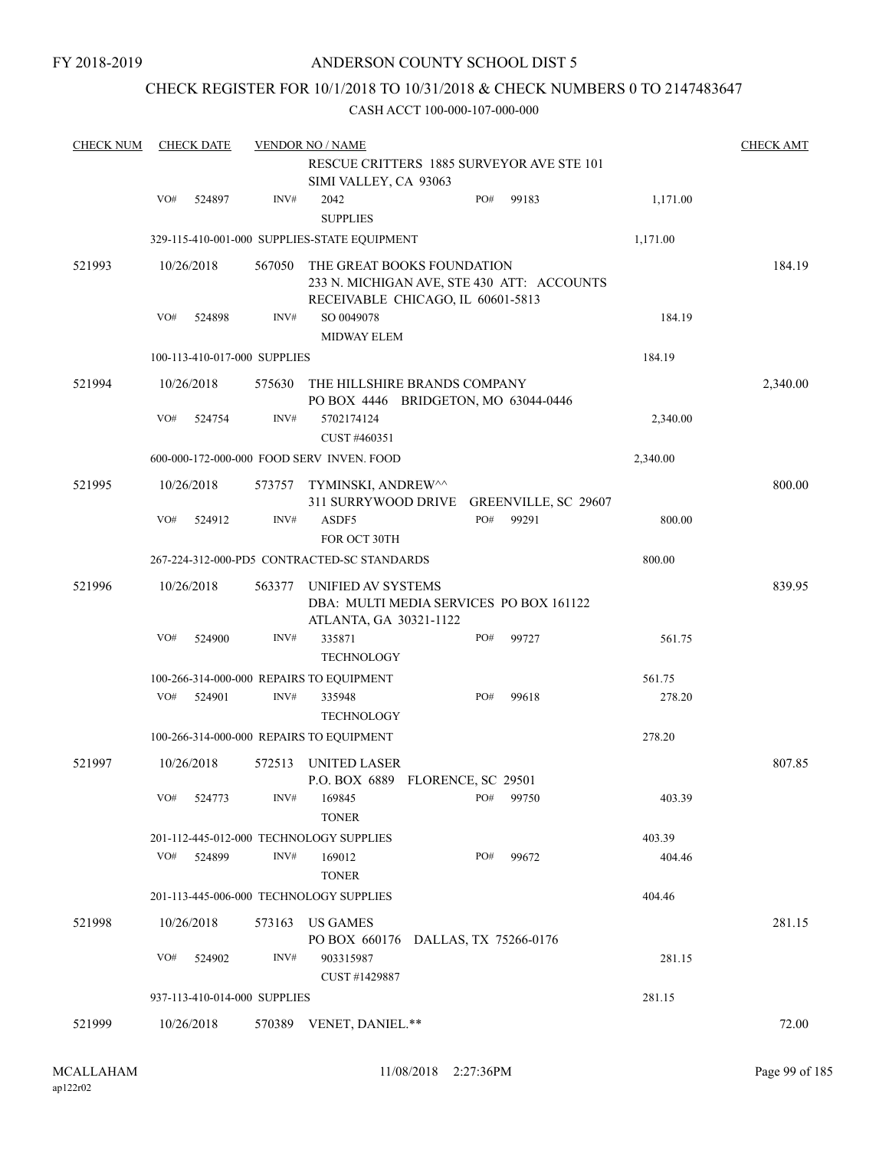### CHECK REGISTER FOR 10/1/2018 TO 10/31/2018 & CHECK NUMBERS 0 TO 2147483647

| <b>CHECK NUM</b> |     | <b>CHECK DATE</b>            |        | <b>VENDOR NO / NAME</b>                                                                                       |     |       |          | <b>CHECK AMT</b> |
|------------------|-----|------------------------------|--------|---------------------------------------------------------------------------------------------------------------|-----|-------|----------|------------------|
|                  |     |                              |        | RESCUE CRITTERS 1885 SURVEYOR AVE STE 101<br>SIMI VALLEY, CA 93063                                            |     |       |          |                  |
|                  | VO# | 524897                       | INV#   | 2042<br><b>SUPPLIES</b>                                                                                       | PO# | 99183 | 1,171.00 |                  |
|                  |     |                              |        | 329-115-410-001-000 SUPPLIES-STATE EQUIPMENT                                                                  |     |       | 1,171.00 |                  |
| 521993           |     | 10/26/2018                   | 567050 | THE GREAT BOOKS FOUNDATION<br>233 N. MICHIGAN AVE, STE 430 ATT: ACCOUNTS<br>RECEIVABLE CHICAGO, IL 60601-5813 |     |       |          | 184.19           |
|                  | VO# | 524898                       | INV#   | SO 0049078<br><b>MIDWAY ELEM</b>                                                                              |     |       | 184.19   |                  |
|                  |     | 100-113-410-017-000 SUPPLIES |        |                                                                                                               |     |       | 184.19   |                  |
| 521994           |     | 10/26/2018                   | 575630 | THE HILLSHIRE BRANDS COMPANY<br>PO BOX 4446 BRIDGETON, MO 63044-0446                                          |     |       |          | 2,340.00         |
|                  | VO# | 524754                       | INV#   | 5702174124<br>CUST #460351                                                                                    |     |       | 2,340.00 |                  |
|                  |     |                              |        | 600-000-172-000-000 FOOD SERV INVEN. FOOD                                                                     |     |       | 2,340.00 |                  |
| 521995           |     | 10/26/2018                   | 573757 | TYMINSKI, ANDREW^^<br>311 SURRYWOOD DRIVE GREENVILLE, SC 29607                                                |     |       |          | 800.00           |
|                  | VO# | 524912                       | INV#   | ASDF5                                                                                                         | PO# | 99291 | 800.00   |                  |
|                  |     |                              |        | FOR OCT 30TH                                                                                                  |     |       |          |                  |
|                  |     |                              |        | 267-224-312-000-PD5 CONTRACTED-SC STANDARDS                                                                   |     |       | 800.00   |                  |
| 521996           |     | 10/26/2018                   | 563377 | UNIFIED AV SYSTEMS<br>DBA: MULTI MEDIA SERVICES PO BOX 161122<br>ATLANTA, GA 30321-1122                       |     |       |          | 839.95           |
|                  | VO# | 524900                       | INV#   | 335871<br><b>TECHNOLOGY</b>                                                                                   | PO# | 99727 | 561.75   |                  |
|                  |     |                              |        | 100-266-314-000-000 REPAIRS TO EQUIPMENT                                                                      |     |       | 561.75   |                  |
|                  | VO# | 524901                       | INV#   | 335948<br><b>TECHNOLOGY</b>                                                                                   | PO# | 99618 | 278.20   |                  |
|                  |     |                              |        | 100-266-314-000-000 REPAIRS TO EQUIPMENT                                                                      |     |       | 278.20   |                  |
| 521997           |     | 10/26/2018                   | 572513 | <b>UNITED LASER</b><br>P.O. BOX 6889 FLORENCE, SC 29501                                                       |     |       |          | 807.85           |
|                  | VO# | 524773                       | INV#   | 169845<br><b>TONER</b>                                                                                        | PO# | 99750 | 403.39   |                  |
|                  |     |                              |        | 201-112-445-012-000 TECHNOLOGY SUPPLIES                                                                       |     |       | 403.39   |                  |
|                  | VO# | 524899                       | INV#   | 169012<br><b>TONER</b>                                                                                        | PO# | 99672 | 404.46   |                  |
|                  |     |                              |        | 201-113-445-006-000 TECHNOLOGY SUPPLIES                                                                       |     |       | 404.46   |                  |
| 521998           |     | 10/26/2018                   | 573163 | <b>US GAMES</b><br>PO BOX 660176 DALLAS, TX 75266-0176                                                        |     |       |          | 281.15           |
|                  | VO# | 524902                       | INV#   | 903315987<br>CUST #1429887                                                                                    |     |       | 281.15   |                  |
|                  |     | 937-113-410-014-000 SUPPLIES |        |                                                                                                               |     |       | 281.15   |                  |
| 521999           |     | 10/26/2018                   |        | 570389 VENET, DANIEL.**                                                                                       |     |       |          | 72.00            |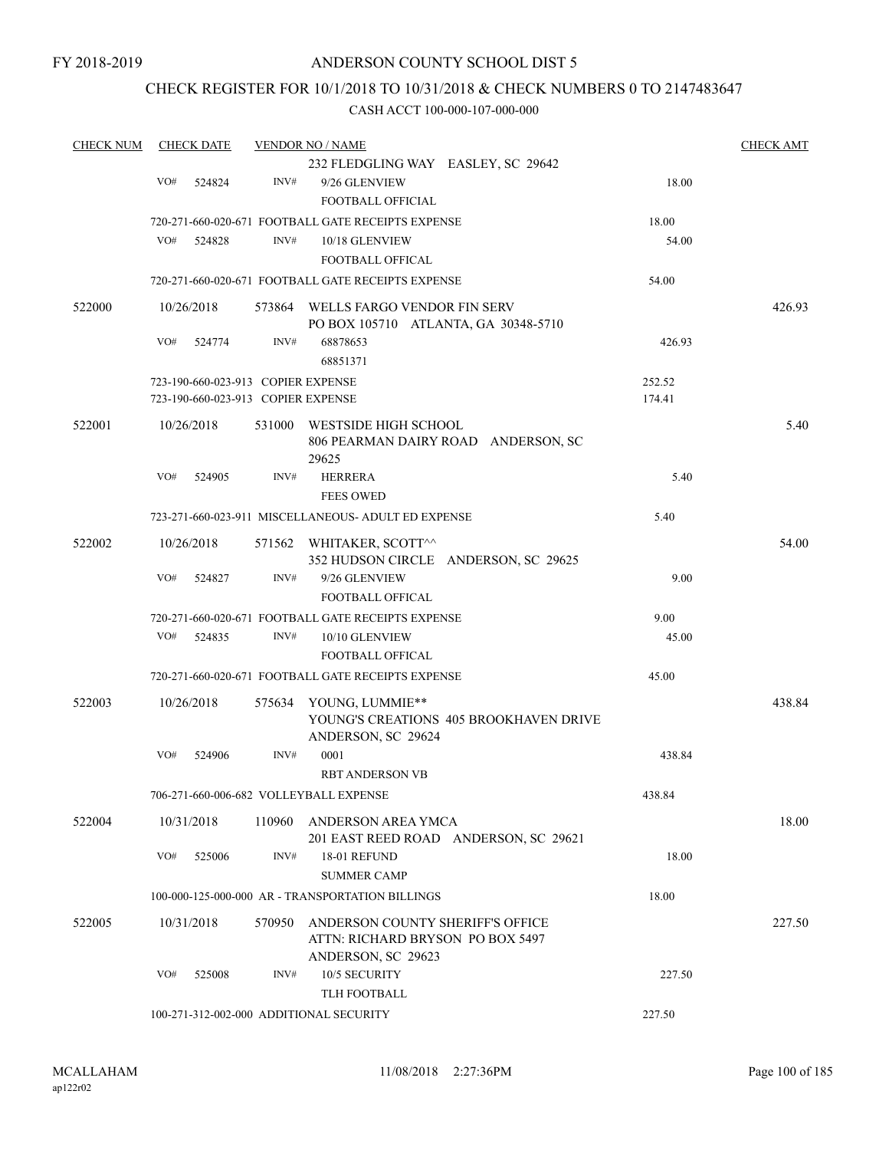### CHECK REGISTER FOR 10/1/2018 TO 10/31/2018 & CHECK NUMBERS 0 TO 2147483647

| <b>CHECK NUM</b> |     | <b>CHECK DATE</b> |                                    | <b>VENDOR NO / NAME</b>                                                    |        | <b>CHECK AMT</b> |
|------------------|-----|-------------------|------------------------------------|----------------------------------------------------------------------------|--------|------------------|
|                  |     |                   |                                    | 232 FLEDGLING WAY EASLEY, SC 29642                                         |        |                  |
|                  | VO# | 524824            | INV#                               | 9/26 GLENVIEW                                                              | 18.00  |                  |
|                  |     |                   |                                    | FOOTBALL OFFICIAL                                                          |        |                  |
|                  |     |                   |                                    | 720-271-660-020-671 FOOTBALL GATE RECEIPTS EXPENSE                         | 18.00  |                  |
|                  | VO# | 524828            | INV#                               | 10/18 GLENVIEW                                                             | 54.00  |                  |
|                  |     |                   |                                    | FOOTBALL OFFICAL                                                           |        |                  |
|                  |     |                   |                                    | 720-271-660-020-671 FOOTBALL GATE RECEIPTS EXPENSE                         | 54.00  |                  |
|                  |     |                   |                                    |                                                                            |        |                  |
| 522000           |     | 10/26/2018        |                                    | 573864 WELLS FARGO VENDOR FIN SERV<br>PO BOX 105710 ATLANTA, GA 30348-5710 |        | 426.93           |
|                  | VO# | 524774            | INV#                               | 68878653                                                                   | 426.93 |                  |
|                  |     |                   |                                    | 68851371                                                                   |        |                  |
|                  |     |                   | 723-190-660-023-913 COPIER EXPENSE |                                                                            | 252.52 |                  |
|                  |     |                   | 723-190-660-023-913 COPIER EXPENSE |                                                                            | 174.41 |                  |
|                  |     |                   |                                    |                                                                            |        |                  |
| 522001           |     | 10/26/2018        | 531000                             | WESTSIDE HIGH SCHOOL                                                       |        | 5.40             |
|                  |     |                   |                                    | 806 PEARMAN DAIRY ROAD ANDERSON, SC<br>29625                               |        |                  |
|                  | VO# | 524905            | INV#                               | <b>HERRERA</b>                                                             | 5.40   |                  |
|                  |     |                   |                                    | <b>FEES OWED</b>                                                           |        |                  |
|                  |     |                   |                                    |                                                                            |        |                  |
|                  |     |                   |                                    | 723-271-660-023-911 MISCELLANEOUS- ADULT ED EXPENSE                        | 5.40   |                  |
| 522002           |     | 10/26/2018        |                                    | 571562 WHITAKER, SCOTT^^                                                   |        | 54.00            |
|                  |     |                   |                                    | 352 HUDSON CIRCLE ANDERSON, SC 29625                                       |        |                  |
|                  | VO# | 524827            | INV#                               | 9/26 GLENVIEW                                                              | 9.00   |                  |
|                  |     |                   |                                    | FOOTBALL OFFICAL                                                           |        |                  |
|                  |     |                   |                                    | 720-271-660-020-671 FOOTBALL GATE RECEIPTS EXPENSE                         | 9.00   |                  |
|                  | VO# | 524835            | INV#                               | 10/10 GLENVIEW                                                             | 45.00  |                  |
|                  |     |                   |                                    | FOOTBALL OFFICAL                                                           |        |                  |
|                  |     |                   |                                    | 720-271-660-020-671 FOOTBALL GATE RECEIPTS EXPENSE                         | 45.00  |                  |
| 522003           |     | 10/26/2018        | 575634                             | YOUNG, LUMMIE**                                                            |        | 438.84           |
|                  |     |                   |                                    | YOUNG'S CREATIONS 405 BROOKHAVEN DRIVE                                     |        |                  |
|                  |     |                   |                                    | ANDERSON, SC 29624                                                         |        |                  |
|                  | VO# | 524906            | INV#                               | 0001                                                                       | 438.84 |                  |
|                  |     |                   |                                    | <b>RBT ANDERSON VB</b>                                                     |        |                  |
|                  |     |                   |                                    | 706-271-660-006-682 VOLLEYBALL EXPENSE                                     | 438.84 |                  |
| 522004           |     | 10/31/2018        | 110960                             | ANDERSON AREA YMCA                                                         |        | 18.00            |
|                  |     |                   |                                    | 201 EAST REED ROAD ANDERSON, SC 29621                                      |        |                  |
|                  | VO# | 525006            | INV#                               | 18-01 REFUND                                                               | 18.00  |                  |
|                  |     |                   |                                    | <b>SUMMER CAMP</b>                                                         |        |                  |
|                  |     |                   |                                    | 100-000-125-000-000 AR - TRANSPORTATION BILLINGS                           | 18.00  |                  |
| 522005           |     | 10/31/2018        | 570950                             | ANDERSON COUNTY SHERIFF'S OFFICE                                           |        | 227.50           |
|                  |     |                   |                                    | ATTN: RICHARD BRYSON PO BOX 5497                                           |        |                  |
|                  |     |                   |                                    | ANDERSON, SC 29623                                                         |        |                  |
|                  | VO# | 525008            | INV#                               | 10/5 SECURITY                                                              | 227.50 |                  |
|                  |     |                   |                                    | TLH FOOTBALL                                                               |        |                  |
|                  |     |                   |                                    | 100-271-312-002-000 ADDITIONAL SECURITY                                    | 227.50 |                  |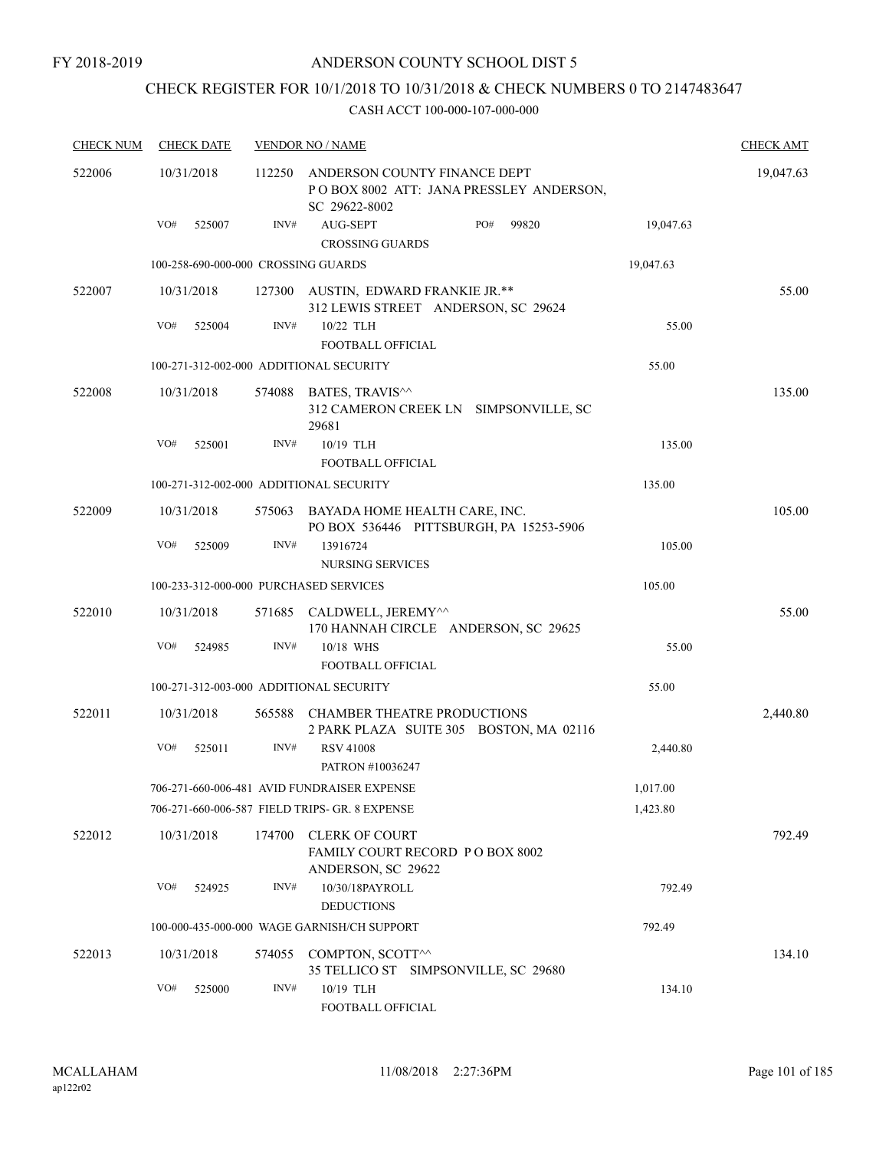## CHECK REGISTER FOR 10/1/2018 TO 10/31/2018 & CHECK NUMBERS 0 TO 2147483647

| <b>CHECK NUM</b> | <b>CHECK DATE</b>                       |        | <b>VENDOR NO / NAME</b>                                                                  |           | <b>CHECK AMT</b> |
|------------------|-----------------------------------------|--------|------------------------------------------------------------------------------------------|-----------|------------------|
| 522006           | 10/31/2018                              | 112250 | ANDERSON COUNTY FINANCE DEPT<br>POBOX 8002 ATT: JANA PRESSLEY ANDERSON,<br>SC 29622-8002 |           | 19,047.63        |
|                  | VO#<br>525007                           | INV#   | PO#<br>AUG-SEPT<br>99820<br><b>CROSSING GUARDS</b>                                       | 19,047.63 |                  |
|                  | 100-258-690-000-000 CROSSING GUARDS     |        |                                                                                          | 19,047.63 |                  |
| 522007           | 10/31/2018                              |        | 127300 AUSTIN, EDWARD FRANKIE JR.**<br>312 LEWIS STREET ANDERSON, SC 29624               |           | 55.00            |
|                  | VO#<br>525004                           | INV#   | 10/22 TLH<br>FOOTBALL OFFICIAL                                                           | 55.00     |                  |
|                  | 100-271-312-002-000 ADDITIONAL SECURITY |        |                                                                                          | 55.00     |                  |
| 522008           | 10/31/2018                              | 574088 | BATES, TRAVIS <sup>^^</sup><br>312 CAMERON CREEK LN SIMPSONVILLE, SC<br>29681            |           | 135.00           |
|                  | VO#<br>525001                           | INV#   | 10/19 TLH<br>FOOTBALL OFFICIAL                                                           | 135.00    |                  |
|                  | 100-271-312-002-000 ADDITIONAL SECURITY |        |                                                                                          | 135.00    |                  |
| 522009           | 10/31/2018                              | 575063 | BAYADA HOME HEALTH CARE, INC.<br>PO BOX 536446 PITTSBURGH, PA 15253-5906                 |           | 105.00           |
|                  | VO#<br>525009                           | INV#   | 13916724<br><b>NURSING SERVICES</b>                                                      | 105.00    |                  |
|                  | 100-233-312-000-000 PURCHASED SERVICES  |        |                                                                                          | 105.00    |                  |
| 522010           | 10/31/2018                              |        | 571685 CALDWELL, JEREMY^^<br>170 HANNAH CIRCLE ANDERSON, SC 29625                        |           | 55.00            |
|                  | VO#<br>524985                           | INV#   | 10/18 WHS<br><b>FOOTBALL OFFICIAL</b>                                                    | 55.00     |                  |
|                  | 100-271-312-003-000 ADDITIONAL SECURITY |        |                                                                                          | 55.00     |                  |
| 522011           | 10/31/2018                              | 565588 | <b>CHAMBER THEATRE PRODUCTIONS</b><br>2 PARK PLAZA SUITE 305 BOSTON, MA 02116            |           | 2,440.80         |
|                  | VO#<br>525011                           | INV#   | <b>RSV 41008</b><br>PATRON #10036247                                                     | 2,440.80  |                  |
|                  |                                         |        | 706-271-660-006-481 AVID FUNDRAISER EXPENSE                                              | 1,017.00  |                  |
|                  |                                         |        | 706-271-660-006-587 FIELD TRIPS- GR. 8 EXPENSE                                           | 1,423.80  |                  |
| 522012           | 10/31/2018                              | 174700 | <b>CLERK OF COURT</b><br>FAMILY COURT RECORD PO BOX 8002<br>ANDERSON, SC 29622           |           | 792.49           |
|                  | VO#<br>524925                           | INV#   | 10/30/18PAYROLL<br><b>DEDUCTIONS</b>                                                     | 792.49    |                  |
|                  |                                         |        | 100-000-435-000-000 WAGE GARNISH/CH SUPPORT                                              | 792.49    |                  |
| 522013           | 10/31/2018                              |        | 574055 COMPTON, SCOTT^^<br>35 TELLICO ST SIMPSONVILLE, SC 29680                          |           | 134.10           |
|                  | VO#<br>525000                           | INV#   | 10/19 TLH<br>FOOTBALL OFFICIAL                                                           | 134.10    |                  |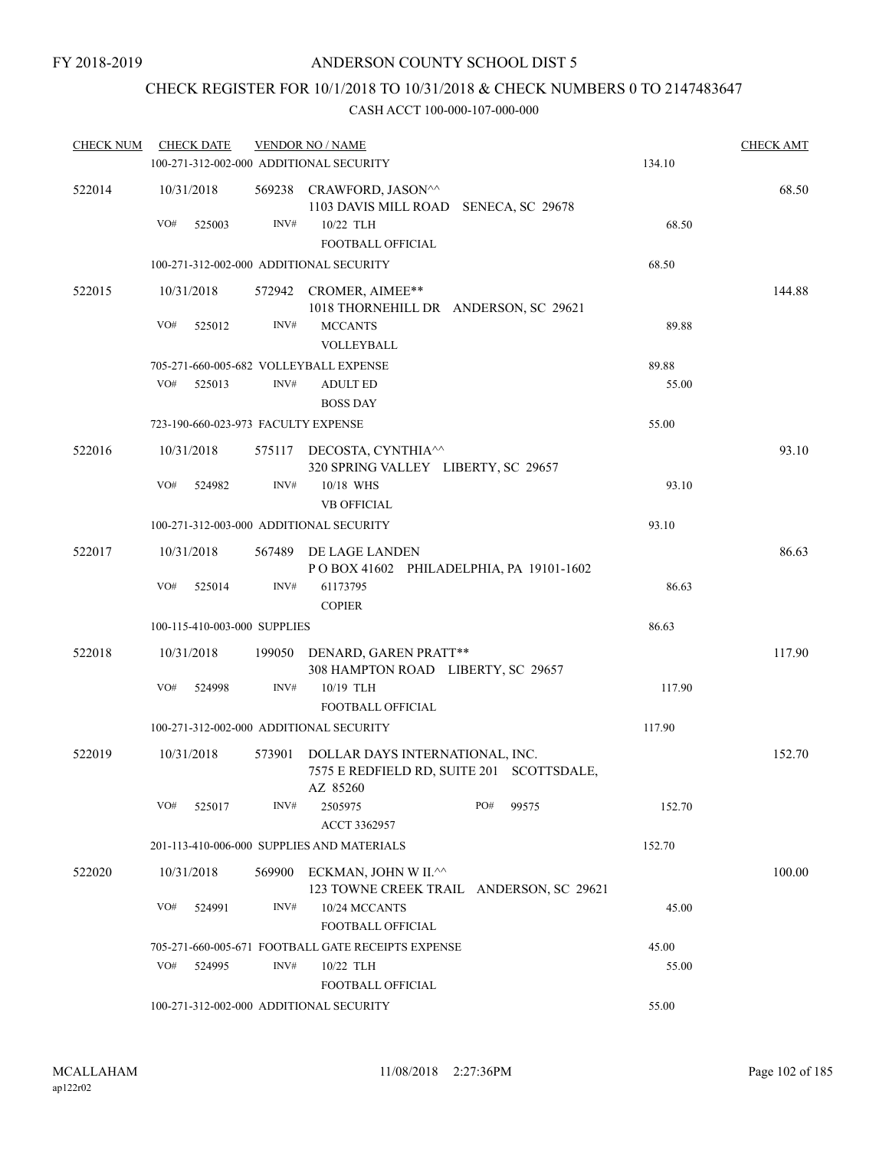## CHECK REGISTER FOR 10/1/2018 TO 10/31/2018 & CHECK NUMBERS 0 TO 2147483647

| <b>CHECK NUM</b> |     | <b>CHECK DATE</b><br><b>VENDOR NO / NAME</b> |        |                                                                                               |     |       |        | <b>CHECK AMT</b> |
|------------------|-----|----------------------------------------------|--------|-----------------------------------------------------------------------------------------------|-----|-------|--------|------------------|
|                  |     |                                              |        | 100-271-312-002-000 ADDITIONAL SECURITY                                                       |     |       | 134.10 |                  |
| 522014           |     | 10/31/2018                                   |        | 569238 CRAWFORD, JASON^^<br>1103 DAVIS MILL ROAD SENECA, SC 29678                             |     |       |        | 68.50            |
|                  | VO# | 525003                                       | INV#   | 10/22 TLH<br><b>FOOTBALL OFFICIAL</b>                                                         |     |       | 68.50  |                  |
|                  |     |                                              |        | 100-271-312-002-000 ADDITIONAL SECURITY                                                       |     |       | 68.50  |                  |
| 522015           |     | 10/31/2018                                   |        | 572942 CROMER, AIMEE**                                                                        |     |       |        | 144.88           |
|                  |     |                                              |        | 1018 THORNEHILL DR ANDERSON, SC 29621                                                         |     |       |        |                  |
|                  | VO# | 525012                                       | INV#   | <b>MCCANTS</b><br>VOLLEYBALL                                                                  |     |       | 89.88  |                  |
|                  |     |                                              |        | 705-271-660-005-682 VOLLEYBALL EXPENSE                                                        |     |       | 89.88  |                  |
|                  | VO# | 525013                                       | INV#   | <b>ADULT ED</b><br><b>BOSS DAY</b>                                                            |     |       | 55.00  |                  |
|                  |     |                                              |        | 723-190-660-023-973 FACULTY EXPENSE                                                           |     |       | 55.00  |                  |
| 522016           |     | 10/31/2018                                   |        | 575117 DECOSTA, CYNTHIA <sup><math>\wedge</math></sup><br>320 SPRING VALLEY LIBERTY, SC 29657 |     |       |        | 93.10            |
|                  | VO# | 524982                                       | INV#   | 10/18 WHS                                                                                     |     |       | 93.10  |                  |
|                  |     |                                              |        | <b>VB OFFICIAL</b>                                                                            |     |       |        |                  |
|                  |     |                                              |        | 100-271-312-003-000 ADDITIONAL SECURITY                                                       |     |       | 93.10  |                  |
| 522017           |     | 10/31/2018                                   | 567489 | DE LAGE LANDEN<br>POBOX 41602 PHILADELPHIA, PA 19101-1602                                     |     |       |        | 86.63            |
|                  | VO# | 525014                                       | INV#   | 61173795<br><b>COPIER</b>                                                                     |     |       | 86.63  |                  |
|                  |     | 100-115-410-003-000 SUPPLIES                 |        |                                                                                               |     |       | 86.63  |                  |
| 522018           |     | 10/31/2018                                   |        | 199050 DENARD, GAREN PRATT**<br>308 HAMPTON ROAD LIBERTY, SC 29657                            |     |       |        | 117.90           |
|                  | VO# | 524998                                       | INV#   | 10/19 TLH<br>FOOTBALL OFFICIAL                                                                |     |       | 117.90 |                  |
|                  |     |                                              |        | 100-271-312-002-000 ADDITIONAL SECURITY                                                       |     |       | 117.90 |                  |
| 522019           |     | 10/31/2018                                   | 573901 | DOLLAR DAYS INTERNATIONAL, INC.<br>7575 E REDFIELD RD, SUITE 201 SCOTTSDALE,<br>AZ 85260      |     |       |        | 152.70           |
|                  | VO# | 525017                                       | INV#   | 2505975<br>ACCT 3362957                                                                       | PO# | 99575 | 152.70 |                  |
|                  |     |                                              |        | 201-113-410-006-000 SUPPLIES AND MATERIALS                                                    |     |       | 152.70 |                  |
| 522020           |     | 10/31/2018                                   | 569900 | ECKMAN, JOHN W II.^^<br>123 TOWNE CREEK TRAIL ANDERSON, SC 29621                              |     |       |        | 100.00           |
|                  | VO# | 524991                                       | INV#   | 10/24 MCCANTS<br>FOOTBALL OFFICIAL                                                            |     |       | 45.00  |                  |
|                  |     |                                              |        | 705-271-660-005-671 FOOTBALL GATE RECEIPTS EXPENSE                                            |     |       | 45.00  |                  |
|                  | VO# | 524995                                       | INV#   | 10/22 TLH<br>FOOTBALL OFFICIAL                                                                |     |       | 55.00  |                  |
|                  |     |                                              |        | 100-271-312-002-000 ADDITIONAL SECURITY                                                       |     |       | 55.00  |                  |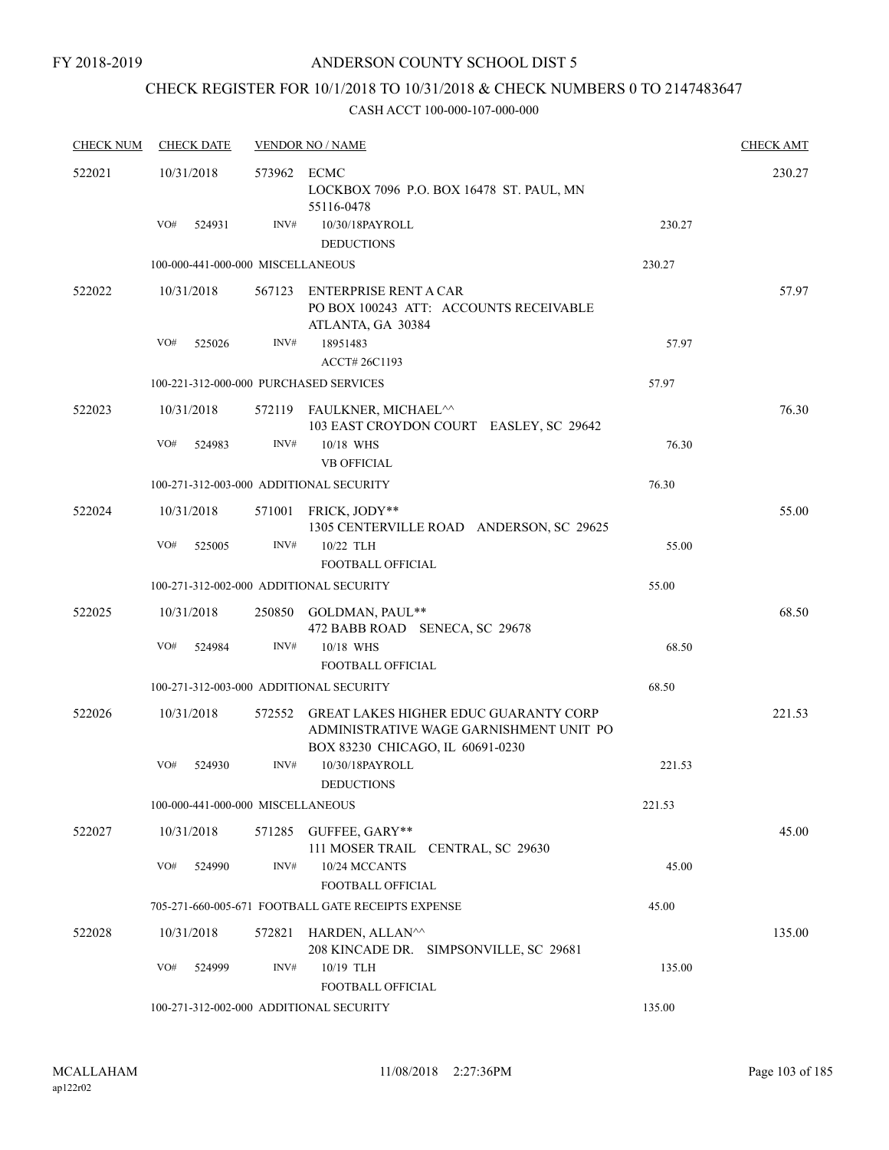FY 2018-2019

### ANDERSON COUNTY SCHOOL DIST 5

# CHECK REGISTER FOR 10/1/2018 TO 10/31/2018 & CHECK NUMBERS 0 TO 2147483647

| <b>CHECK NUM</b> | <b>CHECK DATE</b> |        |             | <b>VENDOR NO / NAME</b>                                                                                                     |        | <b>CHECK AMT</b> |
|------------------|-------------------|--------|-------------|-----------------------------------------------------------------------------------------------------------------------------|--------|------------------|
| 522021           | 10/31/2018        |        | 573962 ECMC | LOCKBOX 7096 P.O. BOX 16478 ST. PAUL, MN<br>55116-0478                                                                      |        | 230.27           |
|                  | VO#               | 524931 | INV#        | 10/30/18PAYROLL<br><b>DEDUCTIONS</b>                                                                                        | 230.27 |                  |
|                  |                   |        |             | 100-000-441-000-000 MISCELLANEOUS                                                                                           | 230.27 |                  |
| 522022           | 10/31/2018        |        | 567123      | ENTERPRISE RENT A CAR<br>PO BOX 100243 ATT: ACCOUNTS RECEIVABLE<br>ATLANTA, GA 30384                                        |        | 57.97            |
|                  | VO#               | 525026 | INV#        | 18951483<br>ACCT# 26C1193                                                                                                   | 57.97  |                  |
|                  |                   |        |             | 100-221-312-000-000 PURCHASED SERVICES                                                                                      | 57.97  |                  |
| 522023           | 10/31/2018        |        |             | 572119 FAULKNER, MICHAEL <sup>^^</sup><br>103 EAST CROYDON COURT EASLEY, SC 29642                                           |        | 76.30            |
|                  | VO#               | 524983 | INV#        | 10/18 WHS<br><b>VB OFFICIAL</b>                                                                                             | 76.30  |                  |
|                  |                   |        |             | 100-271-312-003-000 ADDITIONAL SECURITY                                                                                     | 76.30  |                  |
| 522024           | 10/31/2018        |        |             | 571001 FRICK, JODY**<br>1305 CENTERVILLE ROAD ANDERSON, SC 29625                                                            |        | 55.00            |
|                  | VO#               | 525005 | INV#        | 10/22 TLH<br><b>FOOTBALL OFFICIAL</b>                                                                                       | 55.00  |                  |
|                  |                   |        |             | 100-271-312-002-000 ADDITIONAL SECURITY                                                                                     | 55.00  |                  |
| 522025           | 10/31/2018        |        |             | 250850 GOLDMAN, PAUL**<br>472 BABB ROAD SENECA, SC 29678                                                                    |        | 68.50            |
|                  | VO#               | 524984 | INV#        | 10/18 WHS                                                                                                                   | 68.50  |                  |
|                  |                   |        |             | <b>FOOTBALL OFFICIAL</b>                                                                                                    |        |                  |
|                  |                   |        |             | 100-271-312-003-000 ADDITIONAL SECURITY                                                                                     | 68.50  |                  |
| 522026           | 10/31/2018        |        |             | 572552 GREAT LAKES HIGHER EDUC GUARANTY CORP<br>ADMINISTRATIVE WAGE GARNISHMENT UNIT PO<br>BOX 83230 CHICAGO, IL 60691-0230 |        | 221.53           |
|                  | VO#               | 524930 | INV#        | 10/30/18PAYROLL<br><b>DEDUCTIONS</b>                                                                                        | 221.53 |                  |
|                  |                   |        |             | 100-000-441-000-000 MISCELLANEOUS                                                                                           | 221.53 |                  |
| 522027           | 10/31/2018        |        |             | 571285 GUFFEE, GARY**<br>111 MOSER TRAIL CENTRAL, SC 29630                                                                  |        | 45.00            |
|                  | VO#               | 524990 | INV#        | 10/24 MCCANTS<br>FOOTBALL OFFICIAL                                                                                          | 45.00  |                  |
|                  |                   |        |             | 705-271-660-005-671 FOOTBALL GATE RECEIPTS EXPENSE                                                                          | 45.00  |                  |
| 522028           | 10/31/2018        |        | 572821      | HARDEN, ALLAN^^<br>208 KINCADE DR. SIMPSONVILLE, SC 29681                                                                   |        | 135.00           |
|                  | VO#               | 524999 | INV#        | 10/19 TLH<br>FOOTBALL OFFICIAL                                                                                              | 135.00 |                  |
|                  |                   |        |             | 100-271-312-002-000 ADDITIONAL SECURITY                                                                                     | 135.00 |                  |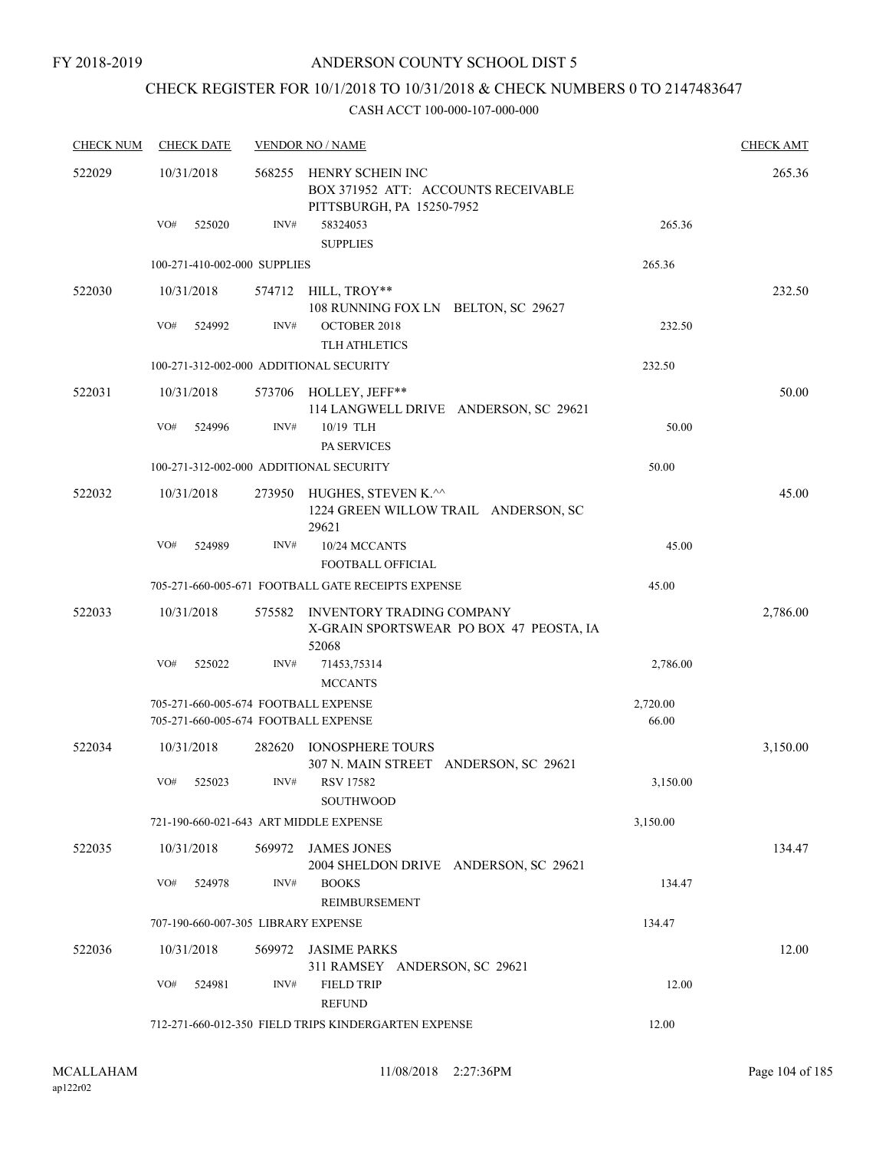FY 2018-2019

### ANDERSON COUNTY SCHOOL DIST 5

# CHECK REGISTER FOR 10/1/2018 TO 10/31/2018 & CHECK NUMBERS 0 TO 2147483647

| <b>CHECK NUM</b> | <b>CHECK DATE</b> |                              |                                                                                                | <b>VENDOR NO / NAME</b>                                                       |                   | <b>CHECK AMT</b> |
|------------------|-------------------|------------------------------|------------------------------------------------------------------------------------------------|-------------------------------------------------------------------------------|-------------------|------------------|
| 522029           | 10/31/2018        |                              | 568255<br>HENRY SCHEIN INC<br>BOX 371952 ATT: ACCOUNTS RECEIVABLE<br>PITTSBURGH, PA 15250-7952 |                                                                               |                   | 265.36           |
|                  | VO#               | 525020                       | INV#                                                                                           | 58324053<br><b>SUPPLIES</b>                                                   | 265.36            |                  |
|                  |                   | 100-271-410-002-000 SUPPLIES |                                                                                                |                                                                               | 265.36            |                  |
| 522030           | 10/31/2018<br>VO# | 524992                       | 574712<br>INV#                                                                                 | HILL, TROY**<br>108 RUNNING FOX LN BELTON, SC 29627<br><b>OCTOBER 2018</b>    | 232.50            | 232.50           |
|                  |                   |                              |                                                                                                | <b>TLH ATHLETICS</b>                                                          |                   |                  |
|                  |                   |                              |                                                                                                | 100-271-312-002-000 ADDITIONAL SECURITY                                       | 232.50            |                  |
| 522031           | 10/31/2018        |                              | 573706                                                                                         | HOLLEY, JEFF**<br>114 LANGWELL DRIVE ANDERSON, SC 29621                       |                   | 50.00            |
|                  | VO#               | 524996                       | INV#                                                                                           | 10/19 TLH<br><b>PA SERVICES</b>                                               | 50.00             |                  |
|                  |                   |                              |                                                                                                | 100-271-312-002-000 ADDITIONAL SECURITY                                       | 50.00             |                  |
| 522032           | 10/31/2018        |                              | 273950                                                                                         | HUGHES, STEVEN K.^^<br>1224 GREEN WILLOW TRAIL ANDERSON, SC<br>29621          |                   | 45.00            |
|                  | VO#               | 524989                       | INV#                                                                                           | 10/24 MCCANTS<br><b>FOOTBALL OFFICIAL</b>                                     | 45.00             |                  |
|                  |                   |                              |                                                                                                | 705-271-660-005-671 FOOTBALL GATE RECEIPTS EXPENSE                            | 45.00             |                  |
| 522033           | 10/31/2018        |                              | 575582                                                                                         | INVENTORY TRADING COMPANY<br>X-GRAIN SPORTSWEAR PO BOX 47 PEOSTA, IA<br>52068 |                   | 2,786.00         |
|                  | VO#               | 525022                       | INV#                                                                                           | 71453,75314<br><b>MCCANTS</b>                                                 | 2,786.00          |                  |
|                  |                   |                              |                                                                                                | 705-271-660-005-674 FOOTBALL EXPENSE<br>705-271-660-005-674 FOOTBALL EXPENSE  | 2,720.00<br>66.00 |                  |
| 522034           | 10/31/2018        |                              | 282620                                                                                         | <b>IONOSPHERE TOURS</b><br>307 N. MAIN STREET ANDERSON, SC 29621              |                   | 3,150.00         |
|                  | VO#               | 525023                       | INV#                                                                                           | <b>RSV 17582</b><br>SOUTHWOOD                                                 | 3,150.00          |                  |
|                  |                   |                              |                                                                                                | 721-190-660-021-643 ART MIDDLE EXPENSE                                        | 3,150.00          |                  |
| 522035           | 10/31/2018        |                              | 569972                                                                                         | JAMES JONES<br>2004 SHELDON DRIVE ANDERSON, SC 29621                          |                   | 134.47           |
|                  | VO#               | 524978                       | INV#                                                                                           | <b>BOOKS</b><br><b>REIMBURSEMENT</b>                                          | 134.47            |                  |
|                  |                   |                              |                                                                                                | 707-190-660-007-305 LIBRARY EXPENSE                                           | 134.47            |                  |
| 522036           | 10/31/2018        |                              | 569972                                                                                         | <b>JASIME PARKS</b><br>311 RAMSEY ANDERSON, SC 29621                          |                   | 12.00            |
|                  | VO#               | 524981                       | INV#                                                                                           | <b>FIELD TRIP</b><br><b>REFUND</b>                                            | 12.00             |                  |
|                  |                   |                              |                                                                                                | 712-271-660-012-350 FIELD TRIPS KINDERGARTEN EXPENSE                          | 12.00             |                  |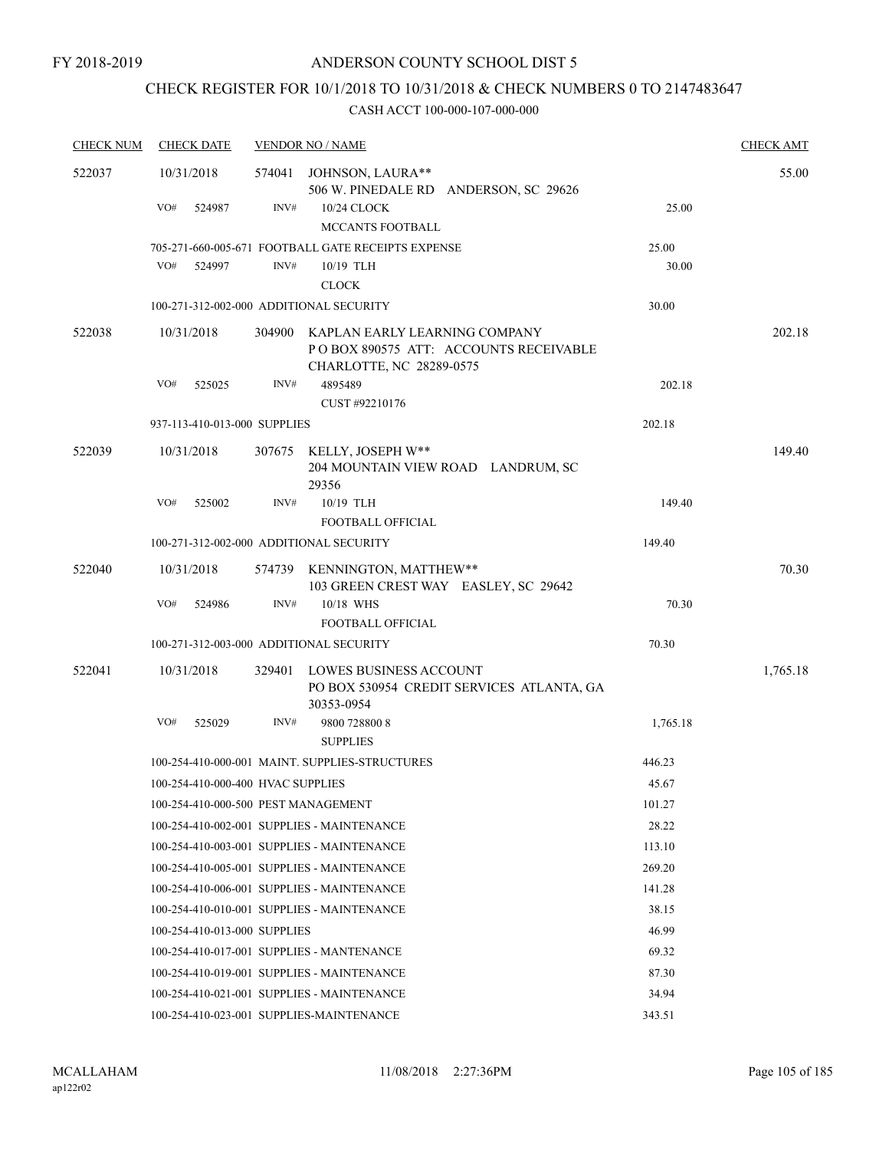## CHECK REGISTER FOR 10/1/2018 TO 10/31/2018 & CHECK NUMBERS 0 TO 2147483647

| <b>CHECK NUM</b> | <b>CHECK DATE</b>                       |        | <b>VENDOR NO / NAME</b>                                                                                   |          |          |  |  |
|------------------|-----------------------------------------|--------|-----------------------------------------------------------------------------------------------------------|----------|----------|--|--|
| 522037           | 10/31/2018                              | 574041 | JOHNSON, LAURA**<br>506 W. PINEDALE RD ANDERSON, SC 29626                                                 |          | 55.00    |  |  |
|                  | VO#<br>524987                           | INV#   | 10/24 CLOCK<br>MCCANTS FOOTBALL                                                                           | 25.00    |          |  |  |
|                  |                                         |        | 705-271-660-005-671 FOOTBALL GATE RECEIPTS EXPENSE                                                        | 25.00    |          |  |  |
|                  | VO#<br>524997                           | INV#   | 10/19 TLH                                                                                                 | 30.00    |          |  |  |
|                  |                                         |        | <b>CLOCK</b>                                                                                              |          |          |  |  |
|                  | 100-271-312-002-000 ADDITIONAL SECURITY |        |                                                                                                           | 30.00    |          |  |  |
| 522038           | 10/31/2018                              |        | 304900 KAPLAN EARLY LEARNING COMPANY<br>POBOX 890575 ATT: ACCOUNTS RECEIVABLE<br>CHARLOTTE, NC 28289-0575 |          | 202.18   |  |  |
|                  | VO#<br>525025                           | INV#   | 4895489                                                                                                   | 202.18   |          |  |  |
|                  |                                         |        | CUST #92210176                                                                                            |          |          |  |  |
|                  | 937-113-410-013-000 SUPPLIES            |        |                                                                                                           | 202.18   |          |  |  |
| 522039           | 10/31/2018                              |        | 307675 KELLY, JOSEPH W**<br>204 MOUNTAIN VIEW ROAD LANDRUM, SC<br>29356                                   |          | 149.40   |  |  |
|                  | VO#<br>525002                           | INV#   | 10/19 TLH                                                                                                 | 149.40   |          |  |  |
|                  |                                         |        | FOOTBALL OFFICIAL                                                                                         |          |          |  |  |
|                  | 100-271-312-002-000 ADDITIONAL SECURITY |        |                                                                                                           | 149.40   |          |  |  |
| 522040           | 10/31/2018                              |        | 574739 KENNINGTON, MATTHEW**<br>103 GREEN CREST WAY EASLEY, SC 29642                                      |          | 70.30    |  |  |
|                  | VO#<br>524986                           | INV#   | 10/18 WHS                                                                                                 | 70.30    |          |  |  |
|                  |                                         |        | FOOTBALL OFFICIAL                                                                                         |          |          |  |  |
|                  | 100-271-312-003-000 ADDITIONAL SECURITY |        |                                                                                                           | 70.30    |          |  |  |
| 522041           | 10/31/2018                              | 329401 | LOWES BUSINESS ACCOUNT<br>PO BOX 530954 CREDIT SERVICES ATLANTA, GA<br>30353-0954                         |          | 1,765.18 |  |  |
|                  | VO#<br>525029                           | INV#   | 9800 728800 8<br><b>SUPPLIES</b>                                                                          | 1,765.18 |          |  |  |
|                  |                                         |        | 100-254-410-000-001 MAINT, SUPPLIES-STRUCTURES                                                            | 446.23   |          |  |  |
|                  | 100-254-410-000-400 HVAC SUPPLIES       |        |                                                                                                           | 45.67    |          |  |  |
|                  | 100-254-410-000-500 PEST MANAGEMENT     |        |                                                                                                           | 101.27   |          |  |  |
|                  |                                         |        | 100-254-410-002-001 SUPPLIES - MAINTENANCE                                                                | 28.22    |          |  |  |
|                  |                                         |        | 100-254-410-003-001 SUPPLIES - MAINTENANCE                                                                | 113.10   |          |  |  |
|                  |                                         |        | 100-254-410-005-001 SUPPLIES - MAINTENANCE                                                                | 269.20   |          |  |  |
|                  |                                         |        | 100-254-410-006-001 SUPPLIES - MAINTENANCE                                                                | 141.28   |          |  |  |
|                  |                                         |        | 100-254-410-010-001 SUPPLIES - MAINTENANCE                                                                | 38.15    |          |  |  |
|                  | 100-254-410-013-000 SUPPLIES            |        |                                                                                                           | 46.99    |          |  |  |
|                  |                                         |        | 100-254-410-017-001 SUPPLIES - MANTENANCE                                                                 | 69.32    |          |  |  |
|                  |                                         |        | 100-254-410-019-001 SUPPLIES - MAINTENANCE                                                                | 87.30    |          |  |  |
|                  |                                         |        | 100-254-410-021-001 SUPPLIES - MAINTENANCE                                                                | 34.94    |          |  |  |
|                  |                                         |        | 100-254-410-023-001 SUPPLIES-MAINTENANCE                                                                  | 343.51   |          |  |  |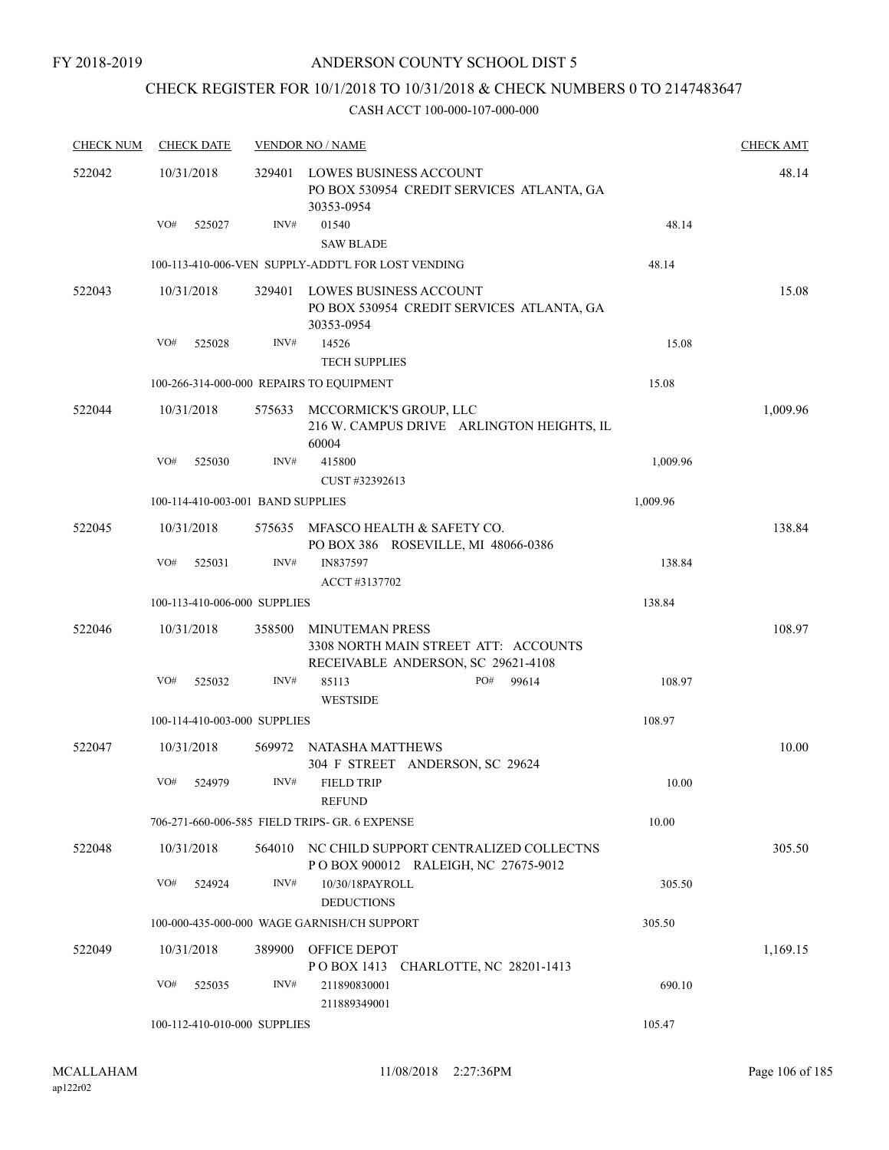## CHECK REGISTER FOR 10/1/2018 TO 10/31/2018 & CHECK NUMBERS 0 TO 2147483647

| <b>CHECK NUM</b> |     | <b>CHECK DATE</b>                 |        | <b>VENDOR NO / NAME</b>                                                                       |          | <b>CHECK AMT</b> |
|------------------|-----|-----------------------------------|--------|-----------------------------------------------------------------------------------------------|----------|------------------|
| 522042           |     | 10/31/2018                        | 329401 | LOWES BUSINESS ACCOUNT<br>PO BOX 530954 CREDIT SERVICES ATLANTA, GA<br>30353-0954             |          | 48.14            |
|                  | VO# | 525027                            | INV#   | 01540                                                                                         | 48.14    |                  |
|                  |     |                                   |        | <b>SAW BLADE</b>                                                                              |          |                  |
|                  |     |                                   |        | 100-113-410-006-VEN SUPPLY-ADDT'L FOR LOST VENDING                                            | 48.14    |                  |
| 522043           |     | 10/31/2018                        | 329401 | LOWES BUSINESS ACCOUNT<br>PO BOX 530954 CREDIT SERVICES ATLANTA, GA<br>30353-0954             |          | 15.08            |
|                  | VO# | 525028                            | INV#   | 14526                                                                                         | 15.08    |                  |
|                  |     |                                   |        | <b>TECH SUPPLIES</b>                                                                          |          |                  |
|                  |     |                                   |        | 100-266-314-000-000 REPAIRS TO EQUIPMENT                                                      | 15.08    |                  |
| 522044           |     | 10/31/2018                        | 575633 | MCCORMICK'S GROUP, LLC<br>216 W. CAMPUS DRIVE ARLINGTON HEIGHTS, IL<br>60004                  |          | 1,009.96         |
|                  | VO# | 525030                            | INV#   | 415800<br>CUST #32392613                                                                      | 1,009.96 |                  |
|                  |     | 100-114-410-003-001 BAND SUPPLIES |        |                                                                                               | 1,009.96 |                  |
| 522045           |     | 10/31/2018                        | 575635 | MFASCO HEALTH & SAFETY CO.                                                                    |          | 138.84           |
|                  | VO# | 525031                            | INV#   | PO BOX 386 ROSEVILLE, MI 48066-0386<br>IN837597                                               | 138.84   |                  |
|                  |     | 100-113-410-006-000 SUPPLIES      |        | ACCT #3137702                                                                                 | 138.84   |                  |
|                  |     |                                   |        |                                                                                               |          |                  |
| 522046           |     | 10/31/2018                        | 358500 | MINUTEMAN PRESS<br>3308 NORTH MAIN STREET ATT: ACCOUNTS<br>RECEIVABLE ANDERSON, SC 29621-4108 |          | 108.97           |
|                  | VO# | 525032                            | INV#   | 85113<br>PO#<br>99614<br><b>WESTSIDE</b>                                                      | 108.97   |                  |
|                  |     | 100-114-410-003-000 SUPPLIES      |        |                                                                                               | 108.97   |                  |
| 522047           |     | 10/31/2018                        |        | 569972 NATASHA MATTHEWS<br>304 F STREET ANDERSON, SC 29624                                    |          | 10.00            |
|                  | VO# | 524979                            | INV#   | <b>FIELD TRIP</b><br><b>REFUND</b>                                                            | 10.00    |                  |
|                  |     |                                   |        | 706-271-660-006-585 FIELD TRIPS- GR. 6 EXPENSE                                                | 10.00    |                  |
| 522048           |     | 10/31/2018                        | 564010 | NC CHILD SUPPORT CENTRALIZED COLLECTNS                                                        |          | 305.50           |
|                  | VO# | 524924                            | INV#   | POBOX 900012 RALEIGH, NC 27675-9012<br>10/30/18PAYROLL<br><b>DEDUCTIONS</b>                   | 305.50   |                  |
|                  |     |                                   |        | 100-000-435-000-000 WAGE GARNISH/CH SUPPORT                                                   | 305.50   |                  |
| 522049           |     | 10/31/2018                        | 389900 | OFFICE DEPOT<br>POBOX 1413 CHARLOTTE, NC 28201-1413                                           |          | 1,169.15         |
|                  | VO# | 525035                            | INV#   | 211890830001<br>211889349001                                                                  | 690.10   |                  |
|                  |     | 100-112-410-010-000 SUPPLIES      |        |                                                                                               | 105.47   |                  |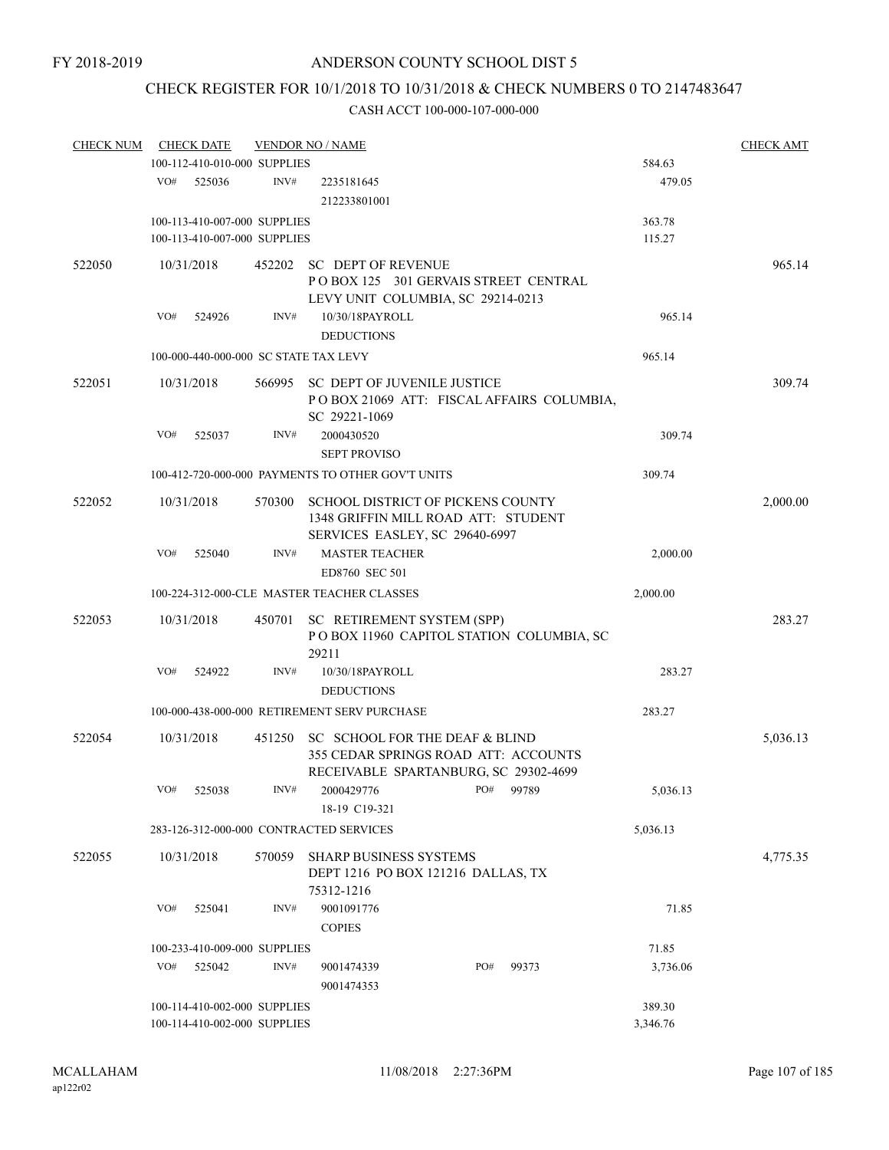## CHECK REGISTER FOR 10/1/2018 TO 10/31/2018 & CHECK NUMBERS 0 TO 2147483647

| <b>CHECK NUM</b> |     | <b>CHECK DATE</b> |                                                              | <b>VENDOR NO / NAME</b>                                                                                                |           |       |                    | <b>CHECK AMT</b> |
|------------------|-----|-------------------|--------------------------------------------------------------|------------------------------------------------------------------------------------------------------------------------|-----------|-------|--------------------|------------------|
|                  |     |                   | 100-112-410-010-000 SUPPLIES                                 |                                                                                                                        |           |       | 584.63             |                  |
|                  | VO# | 525036            | INV#                                                         | 2235181645<br>212233801001                                                                                             |           |       | 479.05             |                  |
|                  |     |                   | 100-113-410-007-000 SUPPLIES<br>100-113-410-007-000 SUPPLIES |                                                                                                                        |           |       | 363.78<br>115.27   |                  |
| 522050           |     | 10/31/2018        |                                                              | 452202 SC DEPT OF REVENUE<br>POBOX 125 301 GERVAIS STREET CENTRAL<br>LEVY UNIT COLUMBIA, SC 29214-0213                 |           |       |                    | 965.14           |
|                  | VO# | 524926            | INV#                                                         | 10/30/18PAYROLL<br><b>DEDUCTIONS</b>                                                                                   |           |       | 965.14             |                  |
|                  |     |                   |                                                              | 100-000-440-000-000 SC STATE TAX LEVY                                                                                  |           |       | 965.14             |                  |
| 522051           |     | 10/31/2018        |                                                              | 566995 SC DEPT OF JUVENILE JUSTICE<br>POBOX 21069 ATT: FISCAL AFFAIRS COLUMBIA,<br>SC 29221-1069                       |           |       |                    | 309.74           |
|                  | VO# | 525037            | INV#                                                         | 2000430520<br><b>SEPT PROVISO</b>                                                                                      |           |       | 309.74             |                  |
|                  |     |                   |                                                              | 100-412-720-000-000 PAYMENTS TO OTHER GOV'T UNITS                                                                      |           |       | 309.74             |                  |
| 522052           |     | 10/31/2018        | 570300                                                       | SCHOOL DISTRICT OF PICKENS COUNTY<br>1348 GRIFFIN MILL ROAD ATT: STUDENT<br>SERVICES EASLEY, SC 29640-6997             |           |       |                    | 2,000.00         |
|                  | VO# | 525040            | INV#                                                         | <b>MASTER TEACHER</b><br>ED8760 SEC 501                                                                                |           |       | 2,000.00           |                  |
|                  |     |                   |                                                              | 100-224-312-000-CLE MASTER TEACHER CLASSES                                                                             |           |       | 2,000.00           |                  |
| 522053           |     | 10/31/2018        |                                                              | 450701 SC RETIREMENT SYSTEM (SPP)<br>POBOX 11960 CAPITOL STATION COLUMBIA, SC<br>29211                                 |           |       |                    | 283.27           |
|                  | VO# | 524922            | INV#                                                         | 10/30/18PAYROLL<br><b>DEDUCTIONS</b>                                                                                   |           |       | 283.27             |                  |
|                  |     |                   |                                                              | 100-000-438-000-000 RETIREMENT SERV PURCHASE                                                                           |           |       | 283.27             |                  |
| 522054           |     | 10/31/2018        |                                                              | 451250 SC SCHOOL FOR THE DEAF & BLIND<br>355 CEDAR SPRINGS ROAD ATT: ACCOUNTS<br>RECEIVABLE SPARTANBURG, SC 29302-4699 |           |       |                    | 5,036.13         |
|                  | VO# | 525038            | INV#                                                         | 2000429776<br>18-19 C19-321                                                                                            | PO# 99789 |       | 5,036.13           |                  |
|                  |     |                   |                                                              | 283-126-312-000-000 CONTRACTED SERVICES                                                                                |           |       | 5,036.13           |                  |
| 522055           |     | 10/31/2018        | 570059                                                       | <b>SHARP BUSINESS SYSTEMS</b><br>DEPT 1216 PO BOX 121216 DALLAS, TX<br>75312-1216                                      |           |       |                    | 4,775.35         |
|                  | VO# | 525041            | INV#                                                         | 9001091776<br><b>COPIES</b>                                                                                            |           |       | 71.85              |                  |
|                  |     |                   | 100-233-410-009-000 SUPPLIES                                 |                                                                                                                        |           |       | 71.85              |                  |
|                  | VO# | 525042            | INV#                                                         | 9001474339<br>9001474353                                                                                               | PO#       | 99373 | 3,736.06           |                  |
|                  |     |                   | 100-114-410-002-000 SUPPLIES<br>100-114-410-002-000 SUPPLIES |                                                                                                                        |           |       | 389.30<br>3,346.76 |                  |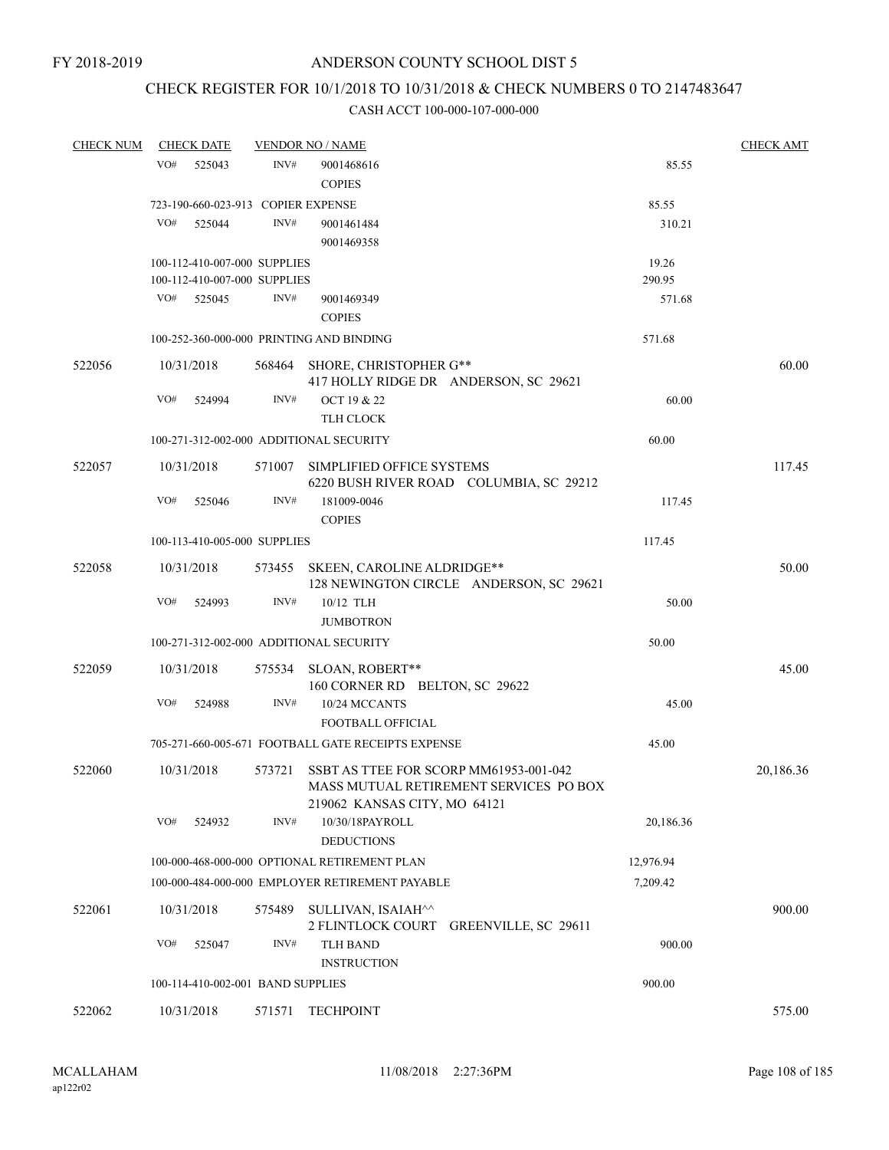### CHECK REGISTER FOR 10/1/2018 TO 10/31/2018 & CHECK NUMBERS 0 TO 2147483647

| <b>CHECK NUM</b> | <b>CHECK DATE</b>                  |        | <b>VENDOR NO / NAME</b>                                                                                                 |           | <b>CHECK AMT</b> |
|------------------|------------------------------------|--------|-------------------------------------------------------------------------------------------------------------------------|-----------|------------------|
|                  | VO#<br>525043                      | INV#   | 9001468616<br><b>COPIES</b>                                                                                             | 85.55     |                  |
|                  | 723-190-660-023-913 COPIER EXPENSE |        |                                                                                                                         | 85.55     |                  |
|                  | VO#<br>525044                      | INV#   | 9001461484<br>9001469358                                                                                                | 310.21    |                  |
|                  | 100-112-410-007-000 SUPPLIES       |        |                                                                                                                         | 19.26     |                  |
|                  | 100-112-410-007-000 SUPPLIES       |        |                                                                                                                         | 290.95    |                  |
|                  | VO#<br>525045                      | INV#   | 9001469349<br><b>COPIES</b>                                                                                             | 571.68    |                  |
|                  |                                    |        | 100-252-360-000-000 PRINTING AND BINDING                                                                                | 571.68    |                  |
| 522056           | 10/31/2018                         |        | 568464 SHORE, CHRISTOPHER G**<br>417 HOLLY RIDGE DR ANDERSON, SC 29621                                                  |           | 60.00            |
|                  | VO#<br>524994                      | INV#   | OCT 19 & 22<br><b>TLH CLOCK</b>                                                                                         | 60.00     |                  |
|                  |                                    |        | 100-271-312-002-000 ADDITIONAL SECURITY                                                                                 | 60.00     |                  |
| 522057           | 10/31/2018                         | 571007 | SIMPLIFIED OFFICE SYSTEMS<br>6220 BUSH RIVER ROAD COLUMBIA, SC 29212                                                    |           | 117.45           |
|                  | VO#<br>525046                      | INV#   | 181009-0046                                                                                                             | 117.45    |                  |
|                  |                                    |        | <b>COPIES</b>                                                                                                           |           |                  |
|                  | 100-113-410-005-000 SUPPLIES       |        |                                                                                                                         | 117.45    |                  |
| 522058           | 10/31/2018                         |        | 573455 SKEEN, CAROLINE ALDRIDGE**<br>128 NEWINGTON CIRCLE ANDERSON, SC 29621                                            |           | 50.00            |
|                  | VO#<br>524993                      | INV#   | 10/12 TLH<br><b>JUMBOTRON</b>                                                                                           | 50.00     |                  |
|                  |                                    |        | 100-271-312-002-000 ADDITIONAL SECURITY                                                                                 | 50.00     |                  |
| 522059           | 10/31/2018                         |        | 575534 SLOAN, ROBERT**<br>160 CORNER RD BELTON, SC 29622                                                                |           | 45.00            |
|                  | VO#<br>524988                      | INV#   | 10/24 MCCANTS                                                                                                           | 45.00     |                  |
|                  |                                    |        | FOOTBALL OFFICIAL                                                                                                       |           |                  |
|                  |                                    |        | 705-271-660-005-671 FOOTBALL GATE RECEIPTS EXPENSE                                                                      | 45.00     |                  |
| 522060           | 10/31/2018                         |        | 573721 SSBT AS TTEE FOR SCORP MM61953-001-042<br>MASS MUTUAL RETIREMENT SERVICES PO BOX<br>219062 KANSAS CITY, MO 64121 |           | 20,186.36        |
|                  | VO#<br>524932                      | INV#   | 10/30/18PAYROLL<br><b>DEDUCTIONS</b>                                                                                    | 20,186.36 |                  |
|                  |                                    |        | 100-000-468-000-000 OPTIONAL RETIREMENT PLAN                                                                            | 12,976.94 |                  |
|                  |                                    |        | 100-000-484-000-000 EMPLOYER RETIREMENT PAYABLE                                                                         | 7,209.42  |                  |
| 522061           | 10/31/2018                         | 575489 | SULLIVAN, ISAIAH^^<br>2 FLINTLOCK COURT GREENVILLE, SC 29611                                                            |           | 900.00           |
|                  | VO#<br>525047                      | INV#   | <b>TLH BAND</b><br><b>INSTRUCTION</b>                                                                                   | 900.00    |                  |
|                  | 100-114-410-002-001 BAND SUPPLIES  |        |                                                                                                                         | 900.00    |                  |
| 522062           | 10/31/2018                         |        | 571571 TECHPOINT                                                                                                        |           | 575.00           |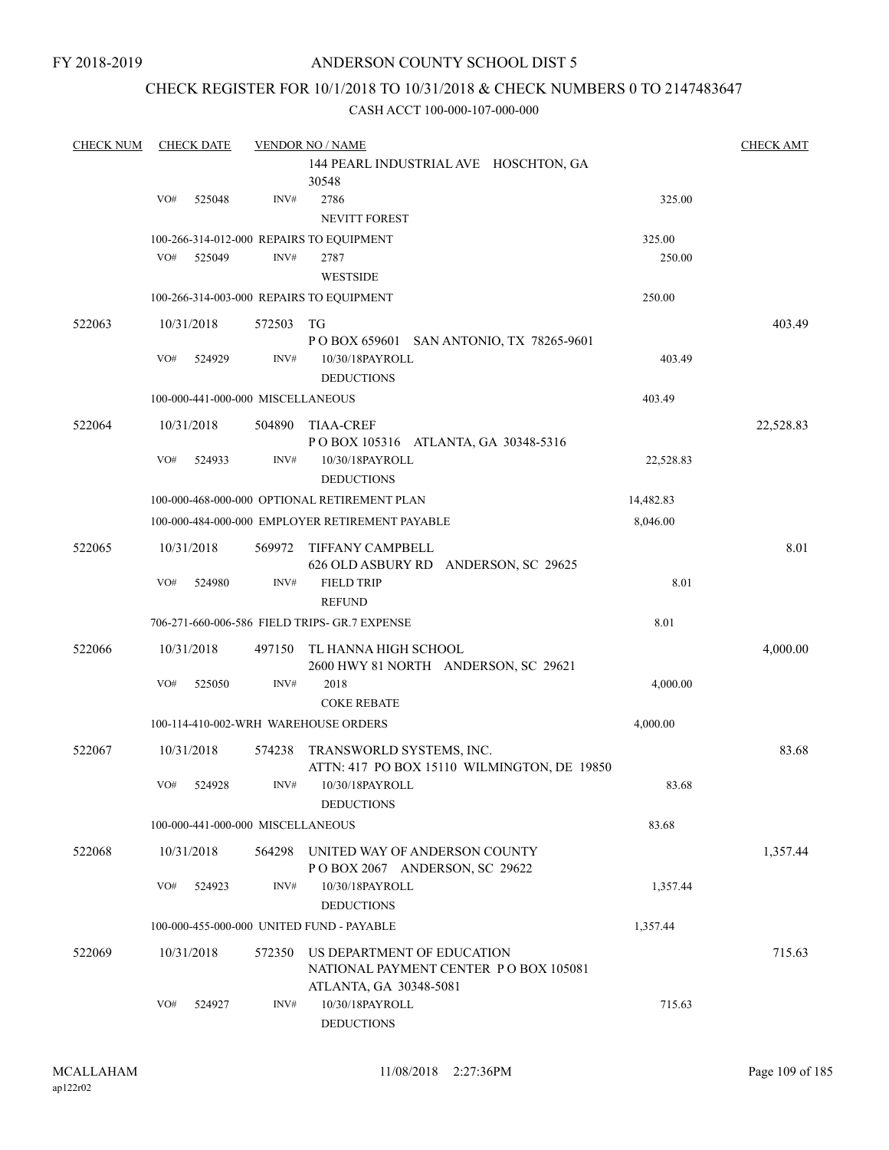## CHECK REGISTER FOR 10/1/2018 TO 10/31/2018 & CHECK NUMBERS 0 TO 2147483647

| <b>CHECK NUM</b> |     | <b>CHECK DATE</b> |                                   | <b>VENDOR NO / NAME</b>                                                                       |           | <b>CHECK AMT</b> |
|------------------|-----|-------------------|-----------------------------------|-----------------------------------------------------------------------------------------------|-----------|------------------|
|                  |     |                   |                                   | 144 PEARL INDUSTRIAL AVE HOSCHTON, GA<br>30548                                                |           |                  |
|                  | VO# | 525048            | INV#                              | 2786<br><b>NEVITT FOREST</b>                                                                  | 325.00    |                  |
|                  |     |                   |                                   | 100-266-314-012-000 REPAIRS TO EQUIPMENT                                                      | 325.00    |                  |
|                  | VO# | 525049            | INV#                              | 2787<br><b>WESTSIDE</b>                                                                       | 250.00    |                  |
|                  |     |                   |                                   | 100-266-314-003-000 REPAIRS TO EQUIPMENT                                                      | 250.00    |                  |
| 522063           |     | 10/31/2018        | 572503                            | <b>TG</b><br>P O BOX 659601 SAN ANTONIO, TX 78265-9601                                        |           | 403.49           |
|                  | VO# | 524929            | INV#                              | 10/30/18PAYROLL<br><b>DEDUCTIONS</b>                                                          | 403.49    |                  |
|                  |     |                   | 100-000-441-000-000 MISCELLANEOUS |                                                                                               | 403.49    |                  |
| 522064           |     | 10/31/2018        | 504890                            | <b>TIAA-CREF</b><br>POBOX 105316 ATLANTA, GA 30348-5316                                       |           | 22,528.83        |
|                  | VO# | 524933            | INV#                              | 10/30/18PAYROLL<br><b>DEDUCTIONS</b>                                                          | 22,528.83 |                  |
|                  |     |                   |                                   | 100-000-468-000-000 OPTIONAL RETIREMENT PLAN                                                  | 14,482.83 |                  |
|                  |     |                   |                                   | 100-000-484-000-000 EMPLOYER RETIREMENT PAYABLE                                               | 8,046.00  |                  |
| 522065           |     | 10/31/2018        | 569972                            | <b>TIFFANY CAMPBELL</b><br>626 OLD ASBURY RD ANDERSON, SC 29625                               |           | 8.01             |
|                  | VO# | 524980            | INV#                              | <b>FIELD TRIP</b><br><b>REFUND</b>                                                            | 8.01      |                  |
|                  |     |                   |                                   | 706-271-660-006-586 FIELD TRIPS- GR.7 EXPENSE                                                 | 8.01      |                  |
| 522066           |     | 10/31/2018        | 497150                            | TL HANNA HIGH SCHOOL<br>2600 HWY 81 NORTH ANDERSON, SC 29621                                  |           | 4,000.00         |
|                  | VO# | 525050            | INV#                              | 2018<br><b>COKE REBATE</b>                                                                    | 4,000.00  |                  |
|                  |     |                   |                                   | 100-114-410-002-WRH WAREHOUSE ORDERS                                                          | 4,000.00  |                  |
| 522067           |     | 10/31/2018        | 574238                            | TRANSWORLD SYSTEMS, INC.<br>ATTN: 417 PO BOX 15110 WILMINGTON, DE 19850                       |           | 83.68            |
|                  | VO# | 524928            | INV#                              | 10/30/18PAYROLL<br><b>DEDUCTIONS</b>                                                          | 83.68     |                  |
|                  |     |                   | 100-000-441-000-000 MISCELLANEOUS |                                                                                               | 83.68     |                  |
| 522068           |     | 10/31/2018        | 564298                            | UNITED WAY OF ANDERSON COUNTY<br>POBOX 2067 ANDERSON, SC 29622                                |           | 1,357.44         |
|                  | VO# | 524923            | INV#                              | 10/30/18PAYROLL<br><b>DEDUCTIONS</b>                                                          | 1,357.44  |                  |
|                  |     |                   |                                   | 100-000-455-000-000 UNITED FUND - PAYABLE                                                     | 1,357.44  |                  |
| 522069           |     | 10/31/2018        | 572350                            | US DEPARTMENT OF EDUCATION<br>NATIONAL PAYMENT CENTER PO BOX 105081<br>ATLANTA, GA 30348-5081 |           | 715.63           |
|                  | VO# | 524927            | INV#                              | 10/30/18PAYROLL<br><b>DEDUCTIONS</b>                                                          | 715.63    |                  |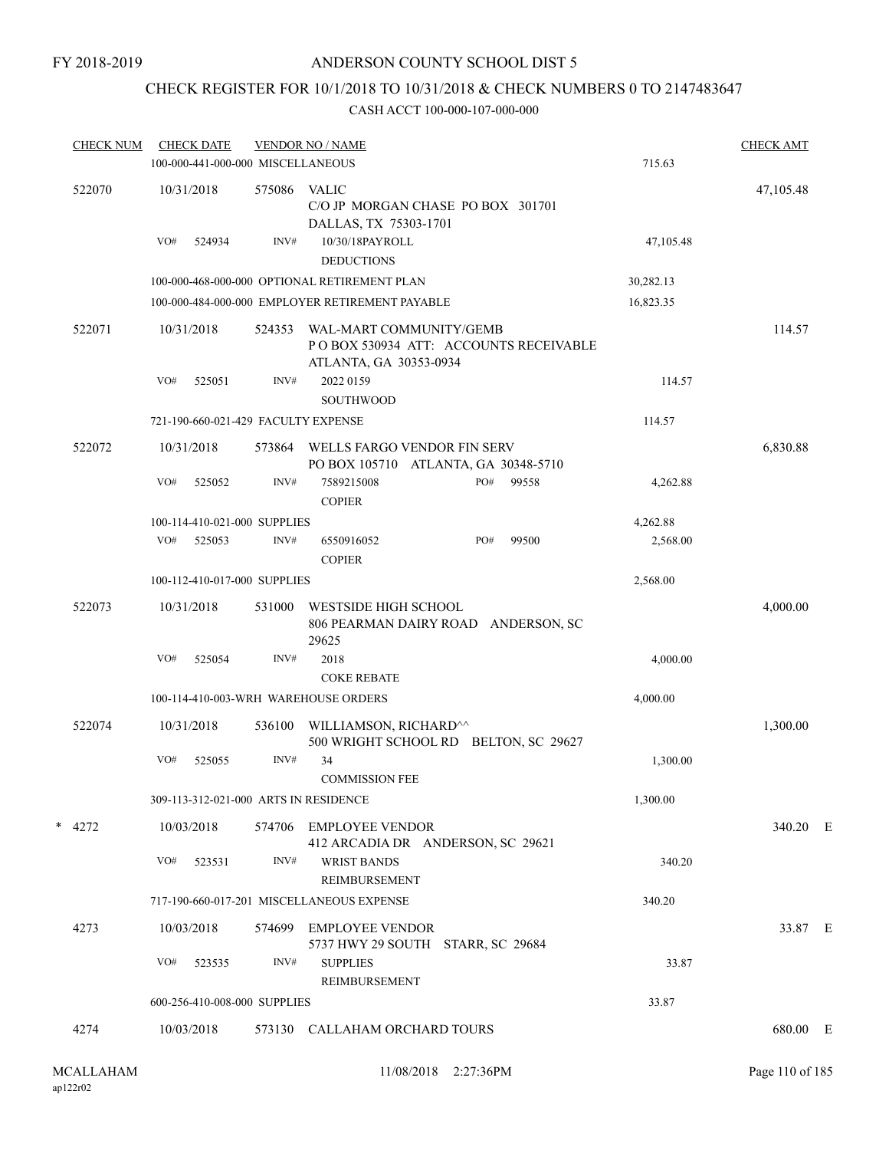## CHECK REGISTER FOR 10/1/2018 TO 10/31/2018 & CHECK NUMBERS 0 TO 2147483647

| <b>CHECK NUM</b> |     | <b>CHECK DATE</b><br>100-000-441-000-000 MISCELLANEOUS |        | <b>VENDOR NO / NAME</b>                                                                    | 715.63    | <b>CHECK AMT</b> |  |
|------------------|-----|--------------------------------------------------------|--------|--------------------------------------------------------------------------------------------|-----------|------------------|--|
| 522070           |     | 10/31/2018                                             | 575086 | VALIC<br>C/O JP MORGAN CHASE PO BOX 301701<br>DALLAS, TX 75303-1701                        |           | 47,105.48        |  |
|                  | VO# | 524934                                                 | INV#   | 10/30/18PAYROLL<br><b>DEDUCTIONS</b>                                                       | 47,105.48 |                  |  |
|                  |     |                                                        |        | 100-000-468-000-000 OPTIONAL RETIREMENT PLAN                                               | 30,282.13 |                  |  |
|                  |     |                                                        |        | 100-000-484-000-000 EMPLOYER RETIREMENT PAYABLE                                            | 16,823.35 |                  |  |
| 522071           |     | 10/31/2018                                             | 524353 | WAL-MART COMMUNITY/GEMB<br>POBOX 530934 ATT: ACCOUNTS RECEIVABLE<br>ATLANTA, GA 30353-0934 |           | 114.57           |  |
|                  | VO# | 525051                                                 | INV#   | 2022 0159<br><b>SOUTHWOOD</b>                                                              | 114.57    |                  |  |
|                  |     |                                                        |        | 721-190-660-021-429 FACULTY EXPENSE                                                        | 114.57    |                  |  |
| 522072           |     | 10/31/2018                                             | 573864 | WELLS FARGO VENDOR FIN SERV                                                                |           | 6,830.88         |  |
|                  | VO# | 525052                                                 | INV#   | PO BOX 105710 ATLANTA, GA 30348-5710<br>7589215008<br>PO#<br>99558<br><b>COPIER</b>        | 4,262.88  |                  |  |
|                  |     | 100-114-410-021-000 SUPPLIES                           |        |                                                                                            | 4,262.88  |                  |  |
|                  | VO# | 525053                                                 | INV#   | PO#<br>99500<br>6550916052<br><b>COPIER</b>                                                | 2,568.00  |                  |  |
|                  |     | 100-112-410-017-000 SUPPLIES                           |        |                                                                                            | 2,568.00  |                  |  |
|                  |     |                                                        |        |                                                                                            |           |                  |  |
| 522073           |     | 10/31/2018                                             | 531000 | WESTSIDE HIGH SCHOOL<br>806 PEARMAN DAIRY ROAD ANDERSON, SC<br>29625                       |           | 4,000.00         |  |
|                  | VO# | 525054                                                 | INV#   | 2018                                                                                       | 4,000.00  |                  |  |
|                  |     |                                                        |        | <b>COKE REBATE</b>                                                                         |           |                  |  |
|                  |     |                                                        |        | 100-114-410-003-WRH WAREHOUSE ORDERS                                                       | 4,000.00  |                  |  |
| 522074           |     | 10/31/2018                                             | 536100 | WILLIAMSON, RICHARD^^<br>500 WRIGHT SCHOOL RD BELTON, SC 29627                             |           | 1,300.00         |  |
|                  | VO# | 525055                                                 | INV#   | 34<br><b>COMMISSION FEE</b>                                                                | 1,300.00  |                  |  |
|                  |     |                                                        |        | 309-113-312-021-000 ARTS IN RESIDENCE                                                      | 1,300.00  |                  |  |
| $*$ 4272         |     | 10/03/2018                                             |        | 574706 EMPLOYEE VENDOR<br>412 ARCADIA DR ANDERSON, SC 29621                                |           | 340.20 E         |  |
|                  | VO# | 523531                                                 | INV#   | <b>WRIST BANDS</b><br>REIMBURSEMENT                                                        | 340.20    |                  |  |
|                  |     |                                                        |        | 717-190-660-017-201 MISCELLANEOUS EXPENSE                                                  | 340.20    |                  |  |
| 4273             |     | 10/03/2018                                             | 574699 | EMPLOYEE VENDOR                                                                            |           | 33.87 E          |  |
|                  |     |                                                        |        | 5737 HWY 29 SOUTH STARR, SC 29684                                                          |           |                  |  |
|                  | VO# | 523535                                                 | INV#   | <b>SUPPLIES</b><br>REIMBURSEMENT                                                           | 33.87     |                  |  |
|                  |     | 600-256-410-008-000 SUPPLIES                           |        |                                                                                            | 33.87     |                  |  |
| 4274             |     | 10/03/2018                                             |        | 573130 CALLAHAM ORCHARD TOURS                                                              |           | 680.00 E         |  |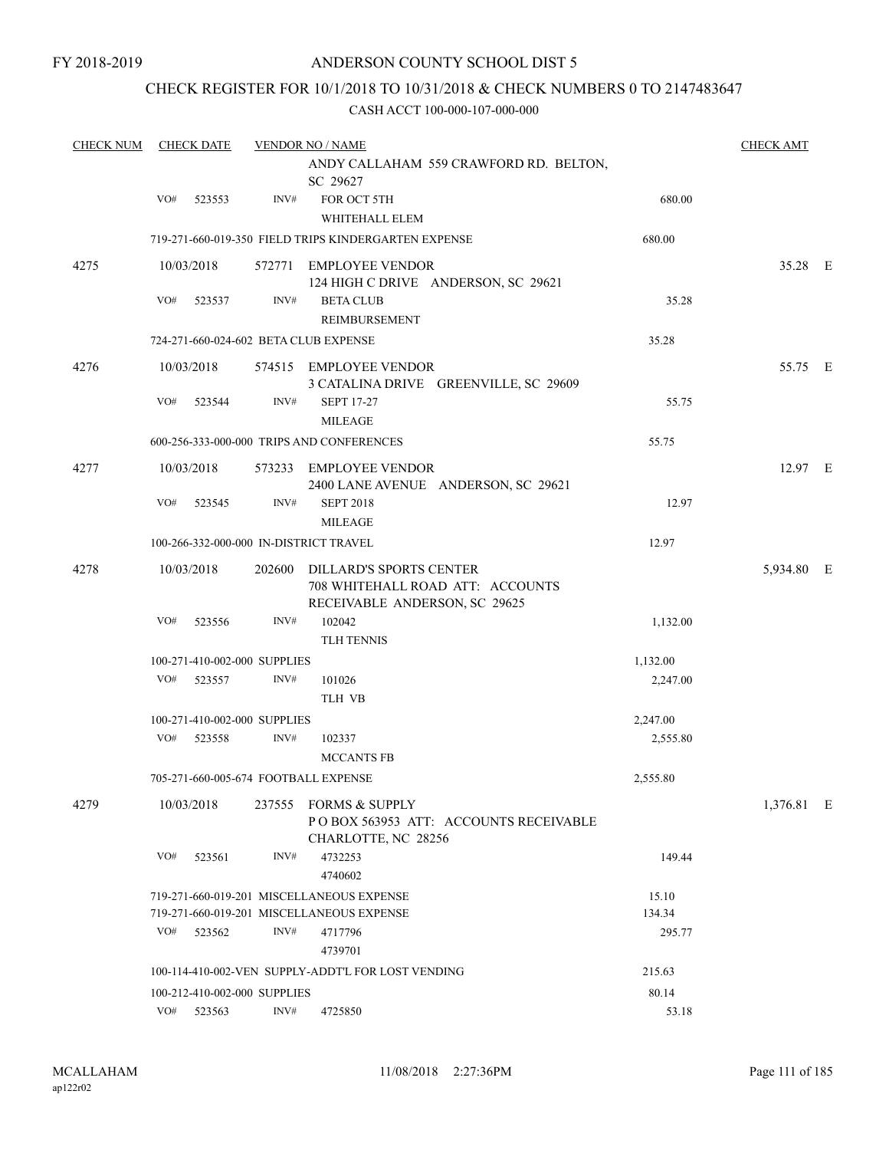## CHECK REGISTER FOR 10/1/2018 TO 10/31/2018 & CHECK NUMBERS 0 TO 2147483647

| <b>CHECK NUM</b> | <b>CHECK DATE</b> |            |                              | <b>VENDOR NO / NAME</b>                                                                      |          |            |  |  |  |
|------------------|-------------------|------------|------------------------------|----------------------------------------------------------------------------------------------|----------|------------|--|--|--|
|                  |                   |            |                              | ANDY CALLAHAM 559 CRAWFORD RD. BELTON,<br>SC 29627                                           |          |            |  |  |  |
|                  | VO#               | 523553     | INV#                         | FOR OCT 5TH<br>WHITEHALL ELEM                                                                | 680.00   |            |  |  |  |
|                  |                   |            |                              | 719-271-660-019-350 FIELD TRIPS KINDERGARTEN EXPENSE                                         | 680.00   |            |  |  |  |
| 4275             |                   | 10/03/2018 |                              | 572771 EMPLOYEE VENDOR<br>124 HIGH C DRIVE ANDERSON, SC 29621                                |          | 35.28 E    |  |  |  |
|                  | VO#               | 523537     | INV#                         | <b>BETA CLUB</b><br>REIMBURSEMENT                                                            | 35.28    |            |  |  |  |
|                  |                   |            |                              | 724-271-660-024-602 BETA CLUB EXPENSE                                                        | 35.28    |            |  |  |  |
| 4276             |                   | 10/03/2018 |                              | 574515 EMPLOYEE VENDOR<br>3 CATALINA DRIVE GREENVILLE, SC 29609                              |          | 55.75 E    |  |  |  |
|                  | VO#               | 523544     | INV#                         | <b>SEPT 17-27</b><br><b>MILEAGE</b>                                                          | 55.75    |            |  |  |  |
|                  |                   |            |                              | 600-256-333-000-000 TRIPS AND CONFERENCES                                                    | 55.75    |            |  |  |  |
| 4277             |                   | 10/03/2018 |                              | 573233 EMPLOYEE VENDOR<br>2400 LANE AVENUE ANDERSON, SC 29621                                |          | 12.97 E    |  |  |  |
|                  | VO#               | 523545     | INV#                         | <b>SEPT 2018</b><br><b>MILEAGE</b>                                                           | 12.97    |            |  |  |  |
|                  |                   |            |                              | 100-266-332-000-000 IN-DISTRICT TRAVEL                                                       | 12.97    |            |  |  |  |
| 4278             |                   | 10/03/2018 | 202600                       | DILLARD'S SPORTS CENTER<br>708 WHITEHALL ROAD ATT: ACCOUNTS<br>RECEIVABLE ANDERSON, SC 29625 |          | 5,934.80 E |  |  |  |
|                  | VO#               | 523556     | INV#                         | 102042<br><b>TLH TENNIS</b>                                                                  | 1,132.00 |            |  |  |  |
|                  |                   |            | 100-271-410-002-000 SUPPLIES |                                                                                              | 1,132.00 |            |  |  |  |
|                  | VO#               | 523557     | INV#                         | 101026<br>TLH VB                                                                             | 2,247.00 |            |  |  |  |
|                  |                   |            | 100-271-410-002-000 SUPPLIES |                                                                                              | 2,247.00 |            |  |  |  |
|                  | VO#               | 523558     | INV#                         | 102337<br><b>MCCANTS FB</b>                                                                  | 2,555.80 |            |  |  |  |
|                  |                   |            |                              | 705-271-660-005-674 FOOTBALL EXPENSE                                                         | 2,555.80 |            |  |  |  |
| 4279             |                   | 10/03/2018 |                              | 237555 FORMS & SUPPLY<br>POBOX 563953 ATT: ACCOUNTS RECEIVABLE<br>CHARLOTTE, NC 28256        |          | 1,376.81 E |  |  |  |
|                  | VO#               | 523561     | INV#                         | 4732253<br>4740602                                                                           | 149.44   |            |  |  |  |
|                  |                   |            |                              | 719-271-660-019-201 MISCELLANEOUS EXPENSE                                                    | 15.10    |            |  |  |  |
|                  |                   |            |                              | 719-271-660-019-201 MISCELLANEOUS EXPENSE                                                    | 134.34   |            |  |  |  |
|                  | VO#               | 523562     | INV#                         | 4717796<br>4739701                                                                           | 295.77   |            |  |  |  |
|                  |                   |            |                              | 100-114-410-002-VEN SUPPLY-ADDT'L FOR LOST VENDING                                           | 215.63   |            |  |  |  |
|                  |                   |            | 100-212-410-002-000 SUPPLIES |                                                                                              | 80.14    |            |  |  |  |
|                  | VO#               | 523563     | INV#                         | 4725850                                                                                      | 53.18    |            |  |  |  |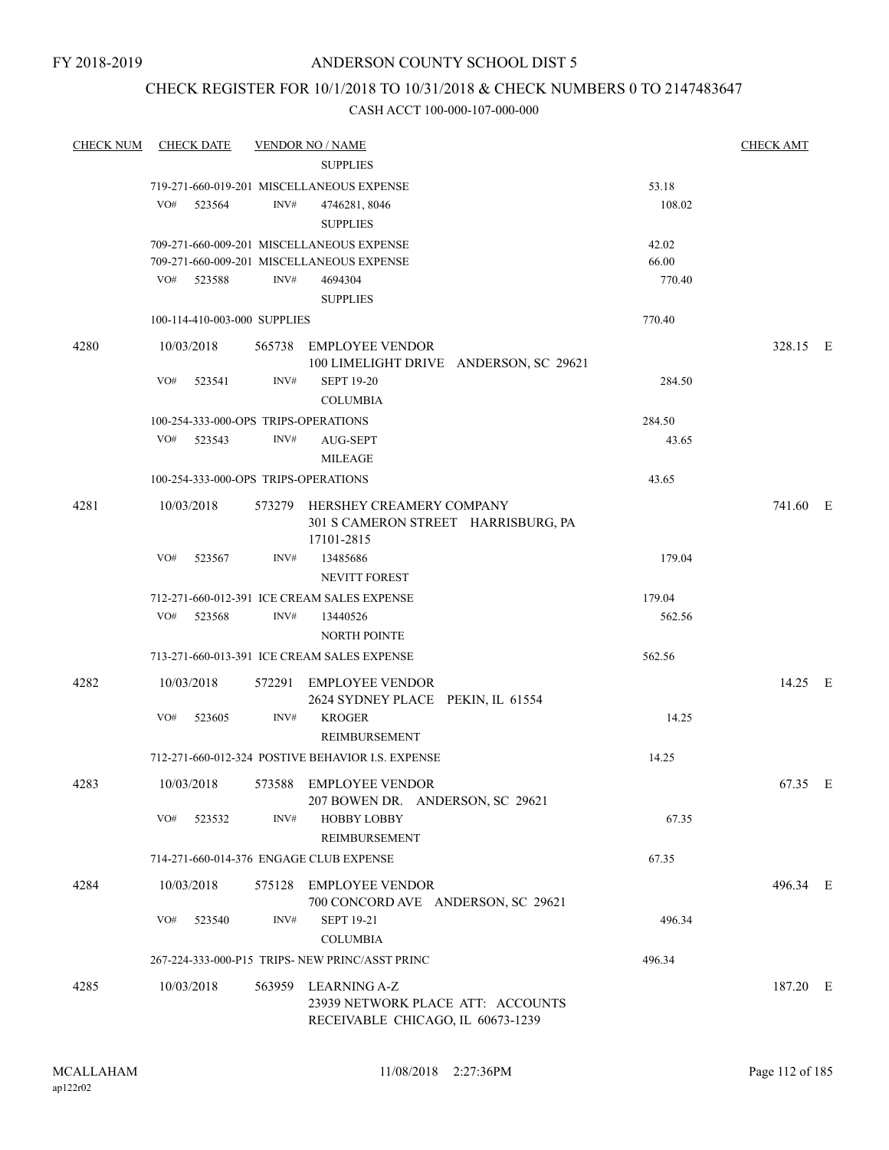## CHECK REGISTER FOR 10/1/2018 TO 10/31/2018 & CHECK NUMBERS 0 TO 2147483647

| <b>CHECK NUM</b> | <b>CHECK DATE</b>                       |      | <b>VENDOR NO / NAME</b>                                                                       |        | <b>CHECK AMT</b> |
|------------------|-----------------------------------------|------|-----------------------------------------------------------------------------------------------|--------|------------------|
|                  |                                         |      | <b>SUPPLIES</b>                                                                               |        |                  |
|                  |                                         |      | 719-271-660-019-201 MISCELLANEOUS EXPENSE                                                     | 53.18  |                  |
|                  | VO#<br>523564                           | INV# | 4746281, 8046<br><b>SUPPLIES</b>                                                              | 108.02 |                  |
|                  |                                         |      | 709-271-660-009-201 MISCELLANEOUS EXPENSE                                                     | 42.02  |                  |
|                  |                                         |      | 709-271-660-009-201 MISCELLANEOUS EXPENSE                                                     | 66.00  |                  |
|                  | VO# 523588                              | INV# | 4694304                                                                                       | 770.40 |                  |
|                  |                                         |      | <b>SUPPLIES</b>                                                                               |        |                  |
|                  | 100-114-410-003-000 SUPPLIES            |      |                                                                                               | 770.40 |                  |
| 4280             | 10/03/2018                              |      | 565738 EMPLOYEE VENDOR<br>100 LIMELIGHT DRIVE ANDERSON, SC 29621                              |        | 328.15 E         |
|                  | VO#<br>523541                           | INV# | <b>SEPT 19-20</b><br><b>COLUMBIA</b>                                                          | 284.50 |                  |
|                  | 100-254-333-000-OPS TRIPS-OPERATIONS    |      |                                                                                               | 284.50 |                  |
|                  | VO#<br>523543                           | INV# | AUG-SEPT<br><b>MILEAGE</b>                                                                    | 43.65  |                  |
|                  | 100-254-333-000-OPS TRIPS-OPERATIONS    |      |                                                                                               | 43.65  |                  |
| 4281             | 10/03/2018                              |      | 573279 HERSHEY CREAMERY COMPANY<br>301 S CAMERON STREET HARRISBURG, PA<br>17101-2815          |        | 741.60 E         |
|                  | VO#<br>523567                           | INV# | 13485686<br><b>NEVITT FOREST</b>                                                              | 179.04 |                  |
|                  |                                         |      | 712-271-660-012-391 ICE CREAM SALES EXPENSE                                                   | 179.04 |                  |
|                  | VO#<br>523568                           | INV# | 13440526<br><b>NORTH POINTE</b>                                                               | 562.56 |                  |
|                  |                                         |      | 713-271-660-013-391 ICE CREAM SALES EXPENSE                                                   | 562.56 |                  |
| 4282             | 10/03/2018                              |      | 572291 EMPLOYEE VENDOR<br>2624 SYDNEY PLACE PEKIN, IL 61554                                   |        | 14.25 E          |
|                  | VO#<br>523605                           | INV# | <b>KROGER</b><br>REIMBURSEMENT                                                                | 14.25  |                  |
|                  |                                         |      | 712-271-660-012-324 POSTIVE BEHAVIOR I.S. EXPENSE                                             | 14.25  |                  |
| 4283             | 10/03/2018                              |      | 573588 EMPLOYEE VENDOR<br>207 BOWEN DR. ANDERSON, SC 29621                                    |        | 67.35 E          |
|                  | VO#<br>523532                           | INV# | <b>HOBBY LOBBY</b><br>REIMBURSEMENT                                                           | 67.35  |                  |
|                  | 714-271-660-014-376 ENGAGE CLUB EXPENSE |      |                                                                                               | 67.35  |                  |
| 4284             | 10/03/2018                              |      | 575128 EMPLOYEE VENDOR<br>700 CONCORD AVE ANDERSON, SC 29621                                  |        | 496.34 E         |
|                  | VO#<br>523540                           | INV# | <b>SEPT 19-21</b><br><b>COLUMBIA</b>                                                          | 496.34 |                  |
|                  |                                         |      | 267-224-333-000-P15 TRIPS- NEW PRINC/ASST PRINC                                               | 496.34 |                  |
| 4285             | 10/03/2018                              |      | 563959 LEARNING A-Z<br>23939 NETWORK PLACE ATT: ACCOUNTS<br>RECEIVABLE CHICAGO, IL 60673-1239 |        | 187.20 E         |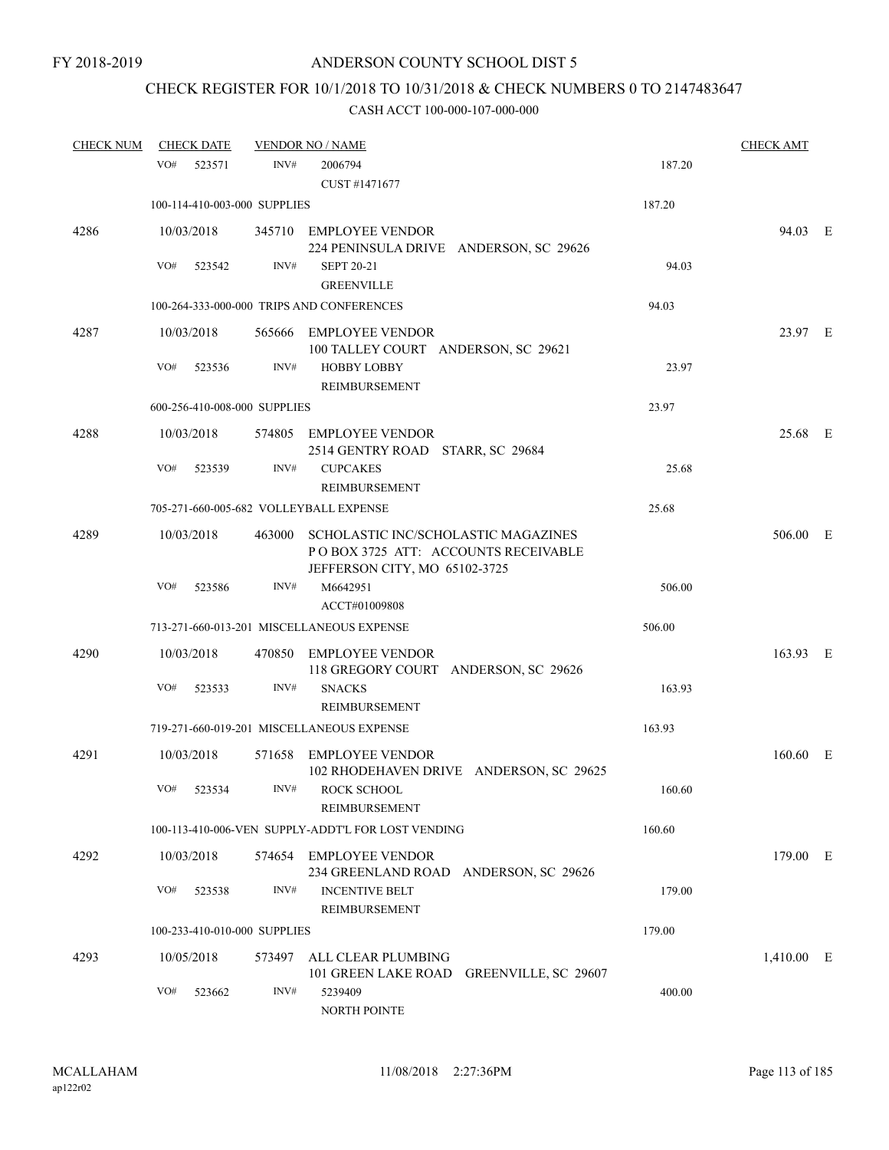# CHECK REGISTER FOR 10/1/2018 TO 10/31/2018 & CHECK NUMBERS 0 TO 2147483647

| <b>CHECK NUM</b> | <b>CHECK DATE</b>                      |                | <b>VENDOR NO / NAME</b>                                                                                            |        | <b>CHECK AMT</b> |  |
|------------------|----------------------------------------|----------------|--------------------------------------------------------------------------------------------------------------------|--------|------------------|--|
|                  | VO#<br>523571                          | INV#           | 2006794<br>CUST #1471677                                                                                           | 187.20 |                  |  |
|                  | 100-114-410-003-000 SUPPLIES           |                |                                                                                                                    | 187.20 |                  |  |
| 4286             | 10/03/2018                             |                | 345710 EMPLOYEE VENDOR<br>224 PENINSULA DRIVE ANDERSON, SC 29626                                                   |        | 94.03 E          |  |
|                  | VO#<br>523542                          | INV#           | <b>SEPT 20-21</b><br><b>GREENVILLE</b>                                                                             | 94.03  |                  |  |
|                  |                                        |                | 100-264-333-000-000 TRIPS AND CONFERENCES                                                                          | 94.03  |                  |  |
| 4287             | 10/03/2018                             |                | 565666 EMPLOYEE VENDOR<br>100 TALLEY COURT ANDERSON, SC 29621                                                      |        | 23.97 E          |  |
|                  | VO#<br>523536                          | INV#           | <b>HOBBY LOBBY</b><br>REIMBURSEMENT                                                                                | 23.97  |                  |  |
|                  | 600-256-410-008-000 SUPPLIES           |                |                                                                                                                    | 23.97  |                  |  |
| 4288             | 10/03/2018                             | 574805         | EMPLOYEE VENDOR<br>2514 GENTRY ROAD STARR, SC 29684                                                                |        | 25.68 E          |  |
|                  | VO#<br>523539                          | INV#           | <b>CUPCAKES</b><br><b>REIMBURSEMENT</b>                                                                            | 25.68  |                  |  |
|                  | 705-271-660-005-682 VOLLEYBALL EXPENSE |                |                                                                                                                    | 25.68  |                  |  |
| 4289             | 10/03/2018                             |                | 463000 SCHOLASTIC INC/SCHOLASTIC MAGAZINES<br>POBOX 3725 ATT: ACCOUNTS RECEIVABLE<br>JEFFERSON CITY, MO 65102-3725 |        | 506.00 E         |  |
|                  | VO#<br>523586                          | INV#           | M6642951<br>ACCT#01009808                                                                                          | 506.00 |                  |  |
|                  |                                        |                | 713-271-660-013-201 MISCELLANEOUS EXPENSE                                                                          | 506.00 |                  |  |
| 4290             | 10/03/2018                             |                | 470850 EMPLOYEE VENDOR<br>118 GREGORY COURT ANDERSON, SC 29626                                                     |        | 163.93 E         |  |
|                  | VO#<br>523533                          | INV#           | <b>SNACKS</b><br><b>REIMBURSEMENT</b>                                                                              | 163.93 |                  |  |
|                  |                                        |                | 719-271-660-019-201 MISCELLANEOUS EXPENSE                                                                          | 163.93 |                  |  |
| 4291             | 10/03/2018                             |                | 571658 EMPLOYEE VENDOR<br>102 RHODEHAVEN DRIVE ANDERSON, SC 29625                                                  |        | 160.60 E         |  |
|                  | VO# 523534                             | INV#           | ROCK SCHOOL<br>REIMBURSEMENT                                                                                       | 160.60 |                  |  |
|                  |                                        |                | 100-113-410-006-VEN SUPPLY-ADDT'L FOR LOST VENDING                                                                 | 160.60 |                  |  |
| 4292             | 10/03/2018                             |                | 574654 EMPLOYEE VENDOR<br>234 GREENLAND ROAD ANDERSON, SC 29626                                                    |        | 179.00 E         |  |
|                  | VO#<br>523538                          | INV#           | <b>INCENTIVE BELT</b><br>REIMBURSEMENT                                                                             | 179.00 |                  |  |
|                  | 100-233-410-010-000 SUPPLIES           |                |                                                                                                                    | 179.00 |                  |  |
| 4293             | 10/05/2018<br>VO#                      | 573497<br>INV# | ALL CLEAR PLUMBING<br>101 GREEN LAKE ROAD GREENVILLE, SC 29607                                                     |        | $1,410.00$ E     |  |
|                  | 523662                                 |                | 5239409<br>NORTH POINTE                                                                                            | 400.00 |                  |  |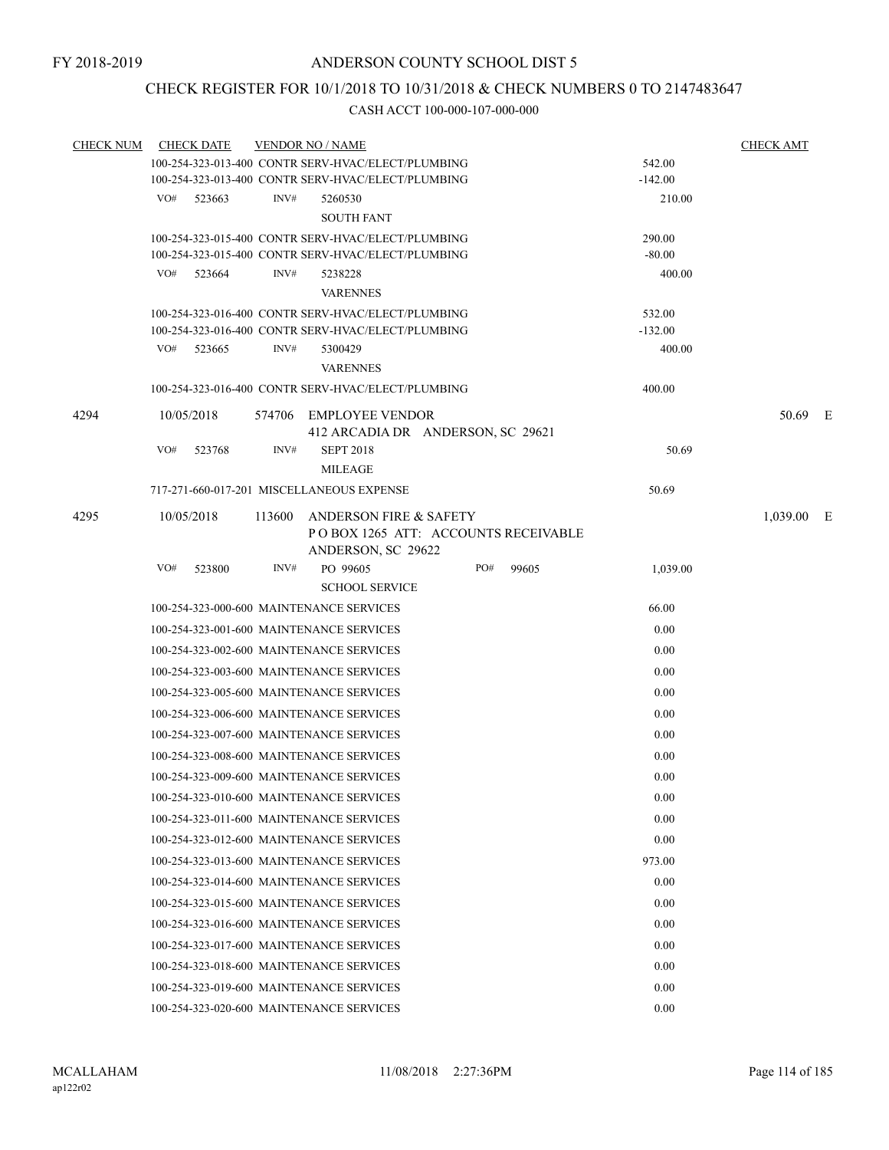# CHECK REGISTER FOR 10/1/2018 TO 10/31/2018 & CHECK NUMBERS 0 TO 2147483647

| <b>CHECK NUM</b> | <b>CHECK DATE</b> | <b>VENDOR NO / NAME</b>                                |                                     |           | <b>CHECK AMT</b> |  |
|------------------|-------------------|--------------------------------------------------------|-------------------------------------|-----------|------------------|--|
|                  |                   | 100-254-323-013-400 CONTR SERV-HVAC/ELECT/PLUMBING     |                                     | 542.00    |                  |  |
|                  |                   | 100-254-323-013-400 CONTR SERV-HVAC/ELECT/PLUMBING     |                                     | $-142.00$ |                  |  |
|                  | $VO#$ 523663      | INV#<br>5260530<br><b>SOUTH FANT</b>                   |                                     | 210.00    |                  |  |
|                  |                   | 100-254-323-015-400 CONTR SERV-HVAC/ELECT/PLUMBING     |                                     | 290.00    |                  |  |
|                  |                   | 100-254-323-015-400 CONTR SERV-HVAC/ELECT/PLUMBING     |                                     | $-80.00$  |                  |  |
|                  | VO#<br>523664     | INV#<br>5238228<br><b>VARENNES</b>                     |                                     | 400.00    |                  |  |
|                  |                   | 100-254-323-016-400 CONTR SERV-HVAC/ELECT/PLUMBING     |                                     | 532.00    |                  |  |
|                  |                   | 100-254-323-016-400 CONTR SERV-HVAC/ELECT/PLUMBING     |                                     | $-132.00$ |                  |  |
|                  | VO#<br>523665     | INV#<br>5300429<br><b>VARENNES</b>                     |                                     | 400.00    |                  |  |
|                  |                   | 100-254-323-016-400 CONTR SERV-HVAC/ELECT/PLUMBING     |                                     | 400.00    |                  |  |
| 4294             | 10/05/2018        | 574706 EMPLOYEE VENDOR                                 | 412 ARCADIA DR ANDERSON, SC 29621   |           | 50.69 E          |  |
|                  | VO#<br>523768     | INV#<br><b>SEPT 2018</b><br><b>MILEAGE</b>             |                                     | 50.69     |                  |  |
|                  |                   | 717-271-660-017-201 MISCELLANEOUS EXPENSE              |                                     | 50.69     |                  |  |
| 4295             | 10/05/2018        | 113600<br>ANDERSON FIRE & SAFETY<br>ANDERSON, SC 29622 | POBOX 1265 ATT: ACCOUNTS RECEIVABLE |           | $1,039.00$ E     |  |
|                  | VO#<br>523800     | INV#<br>PO 99605<br><b>SCHOOL SERVICE</b>              | PO#<br>99605                        | 1,039.00  |                  |  |
|                  |                   | 100-254-323-000-600 MAINTENANCE SERVICES               |                                     | 66.00     |                  |  |
|                  |                   | 100-254-323-001-600 MAINTENANCE SERVICES               |                                     | 0.00      |                  |  |
|                  |                   |                                                        |                                     |           |                  |  |
|                  |                   | 100-254-323-002-600 MAINTENANCE SERVICES               |                                     | 0.00      |                  |  |
|                  |                   | 100-254-323-003-600 MAINTENANCE SERVICES               |                                     | 0.00      |                  |  |
|                  |                   | 100-254-323-005-600 MAINTENANCE SERVICES               |                                     | 0.00      |                  |  |
|                  |                   | 100-254-323-006-600 MAINTENANCE SERVICES               |                                     | 0.00      |                  |  |
|                  |                   | 100-254-323-007-600 MAINTENANCE SERVICES               |                                     | 0.00      |                  |  |
|                  |                   | 100-254-323-008-600 MAINTENANCE SERVICES               |                                     | 0.00      |                  |  |
|                  |                   | 100-254-323-009-600 MAINTENANCE SERVICES               |                                     | 0.00      |                  |  |
|                  |                   | 100-254-323-010-600 MAINTENANCE SERVICES               |                                     | 0.00      |                  |  |
|                  |                   | 100-254-323-011-600 MAINTENANCE SERVICES               |                                     | 0.00      |                  |  |
|                  |                   | 100-254-323-012-600 MAINTENANCE SERVICES               |                                     | 0.00      |                  |  |
|                  |                   | 100-254-323-013-600 MAINTENANCE SERVICES               |                                     | 973.00    |                  |  |
|                  |                   | 100-254-323-014-600 MAINTENANCE SERVICES               |                                     | 0.00      |                  |  |
|                  |                   | 100-254-323-015-600 MAINTENANCE SERVICES               |                                     | 0.00      |                  |  |
|                  |                   | 100-254-323-016-600 MAINTENANCE SERVICES               |                                     | 0.00      |                  |  |
|                  |                   | 100-254-323-017-600 MAINTENANCE SERVICES               |                                     | 0.00      |                  |  |
|                  |                   | 100-254-323-018-600 MAINTENANCE SERVICES               |                                     | 0.00      |                  |  |
|                  |                   | 100-254-323-019-600 MAINTENANCE SERVICES               |                                     | 0.00      |                  |  |
|                  |                   |                                                        |                                     |           |                  |  |
|                  |                   | 100-254-323-020-600 MAINTENANCE SERVICES               |                                     | 0.00      |                  |  |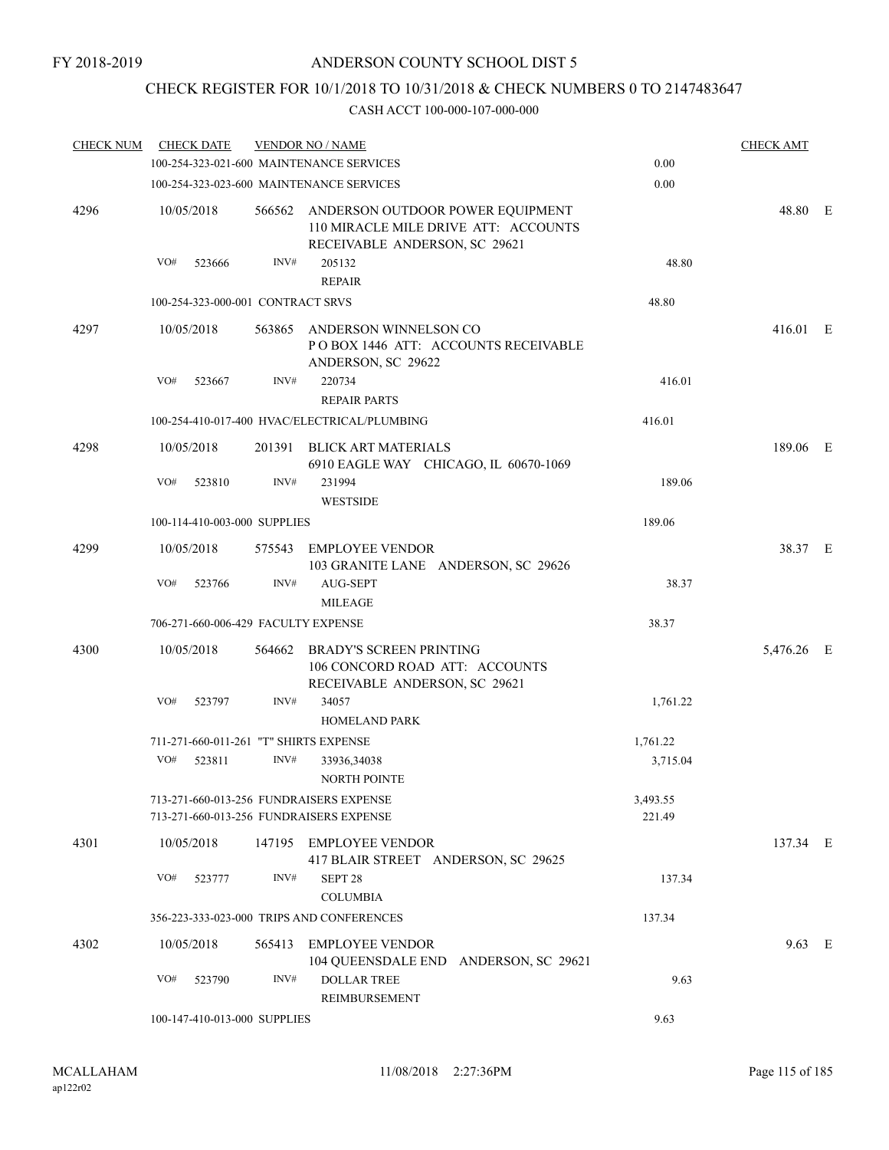# CHECK REGISTER FOR 10/1/2018 TO 10/31/2018 & CHECK NUMBERS 0 TO 2147483647

| <b>CHECK NUM</b> | <b>CHECK DATE</b> |        |                                   | <b>VENDOR NO / NAME</b>                                                                                          |                    | <b>CHECK AMT</b> |  |
|------------------|-------------------|--------|-----------------------------------|------------------------------------------------------------------------------------------------------------------|--------------------|------------------|--|
|                  |                   |        |                                   | 100-254-323-021-600 MAINTENANCE SERVICES                                                                         | 0.00               |                  |  |
|                  |                   |        |                                   | 100-254-323-023-600 MAINTENANCE SERVICES                                                                         | 0.00               |                  |  |
| 4296             | 10/05/2018        |        |                                   | 566562 ANDERSON OUTDOOR POWER EQUIPMENT<br>110 MIRACLE MILE DRIVE ATT: ACCOUNTS<br>RECEIVABLE ANDERSON, SC 29621 |                    | 48.80 E          |  |
|                  | VO#               | 523666 | INV#                              | 205132<br><b>REPAIR</b>                                                                                          | 48.80              |                  |  |
|                  |                   |        | 100-254-323-000-001 CONTRACT SRVS |                                                                                                                  | 48.80              |                  |  |
| 4297             | 10/05/2018        |        |                                   | 563865 ANDERSON WINNELSON CO<br>POBOX 1446 ATT: ACCOUNTS RECEIVABLE<br>ANDERSON, SC 29622                        |                    | 416.01 E         |  |
|                  | VO#               | 523667 | INV#                              | 220734<br><b>REPAIR PARTS</b>                                                                                    | 416.01             |                  |  |
|                  |                   |        |                                   | 100-254-410-017-400 HVAC/ELECTRICAL/PLUMBING                                                                     | 416.01             |                  |  |
| 4298             | 10/05/2018        |        |                                   | 201391 BLICK ART MATERIALS<br>6910 EAGLE WAY CHICAGO, IL 60670-1069                                              |                    | 189.06 E         |  |
|                  | VO#               | 523810 | INV#                              | 231994<br><b>WESTSIDE</b>                                                                                        | 189.06             |                  |  |
|                  |                   |        | 100-114-410-003-000 SUPPLIES      |                                                                                                                  | 189.06             |                  |  |
| 4299             | 10/05/2018        |        | 575543                            | <b>EMPLOYEE VENDOR</b><br>103 GRANITE LANE ANDERSON, SC 29626                                                    |                    | 38.37 E          |  |
|                  | VO#               | 523766 | INV#                              | AUG-SEPT<br><b>MILEAGE</b>                                                                                       | 38.37              |                  |  |
|                  |                   |        |                                   | 706-271-660-006-429 FACULTY EXPENSE                                                                              | 38.37              |                  |  |
| 4300             | 10/05/2018        |        | 564662                            | <b>BRADY'S SCREEN PRINTING</b><br>106 CONCORD ROAD ATT: ACCOUNTS<br>RECEIVABLE ANDERSON, SC 29621                |                    | 5,476.26 E       |  |
|                  | VO#               | 523797 | INV#                              | 34057<br><b>HOMELAND PARK</b>                                                                                    | 1,761.22           |                  |  |
|                  |                   |        |                                   | 711-271-660-011-261 "T" SHIRTS EXPENSE                                                                           | 1,761.22           |                  |  |
|                  | VO#               | 523811 | INV#                              | 33936,34038<br><b>NORTH POINTE</b>                                                                               | 3,715.04           |                  |  |
|                  |                   |        |                                   | 713-271-660-013-256 FUNDRAISERS EXPENSE<br>713-271-660-013-256 FUNDRAISERS EXPENSE                               | 3,493.55<br>221.49 |                  |  |
| 4301             | 10/05/2018        |        |                                   | 147195 EMPLOYEE VENDOR<br>417 BLAIR STREET ANDERSON, SC 29625                                                    |                    | 137.34 E         |  |
|                  | VO#               | 523777 | INV#                              | SEPT <sub>28</sub><br><b>COLUMBIA</b>                                                                            | 137.34             |                  |  |
|                  |                   |        |                                   | 356-223-333-023-000 TRIPS AND CONFERENCES                                                                        | 137.34             |                  |  |
| 4302             | 10/05/2018        |        | 565413                            | <b>EMPLOYEE VENDOR</b><br>104 QUEENSDALE END ANDERSON, SC 29621                                                  |                    | 9.63 E           |  |
|                  | VO#               | 523790 | INV#                              | <b>DOLLAR TREE</b><br>REIMBURSEMENT                                                                              | 9.63               |                  |  |
|                  |                   |        | 100-147-410-013-000 SUPPLIES      |                                                                                                                  | 9.63               |                  |  |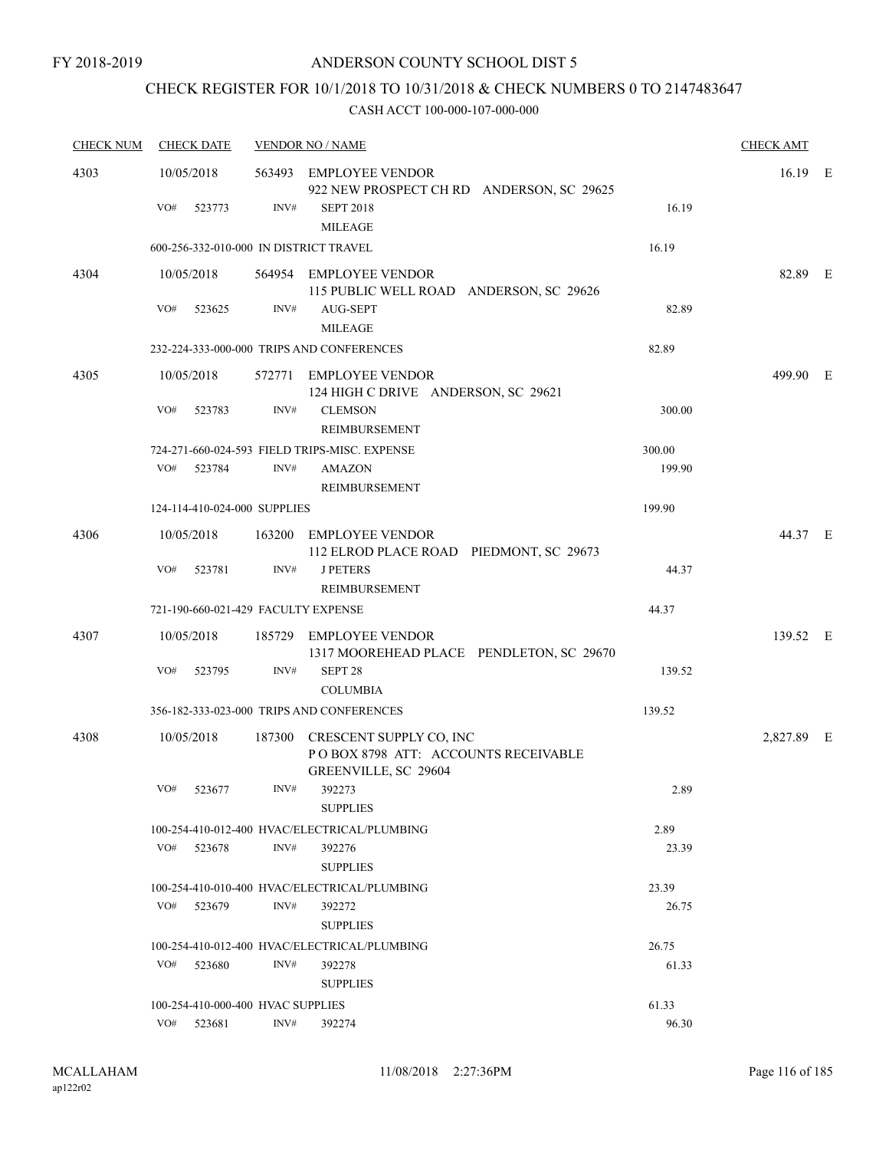# CHECK REGISTER FOR 10/1/2018 TO 10/31/2018 & CHECK NUMBERS 0 TO 2147483647

| <b>CHECK NUM</b> | <b>CHECK DATE</b>                      | <b>VENDOR NO / NAME</b> |                                                                                               |        |            |  |  |
|------------------|----------------------------------------|-------------------------|-----------------------------------------------------------------------------------------------|--------|------------|--|--|
| 4303             | 10/05/2018                             |                         | 563493 EMPLOYEE VENDOR<br>922 NEW PROSPECT CH RD ANDERSON, SC 29625                           |        | 16.19 E    |  |  |
|                  | VO#<br>523773                          | INV#                    | <b>SEPT 2018</b><br><b>MILEAGE</b>                                                            | 16.19  |            |  |  |
|                  | 600-256-332-010-000 IN DISTRICT TRAVEL |                         |                                                                                               | 16.19  |            |  |  |
| 4304             | 10/05/2018                             |                         | 564954 EMPLOYEE VENDOR<br>115 PUBLIC WELL ROAD ANDERSON, SC 29626                             |        | 82.89 E    |  |  |
|                  | VO#<br>523625                          | INV#                    | AUG-SEPT<br><b>MILEAGE</b>                                                                    | 82.89  |            |  |  |
|                  |                                        |                         | 232-224-333-000-000 TRIPS AND CONFERENCES                                                     | 82.89  |            |  |  |
| 4305             | 10/05/2018                             |                         | 572771 EMPLOYEE VENDOR<br>124 HIGH C DRIVE ANDERSON, SC 29621                                 |        | 499.90 E   |  |  |
|                  | VO#<br>523783                          | INV#                    | <b>CLEMSON</b><br><b>REIMBURSEMENT</b>                                                        | 300.00 |            |  |  |
|                  |                                        |                         | 724-271-660-024-593 FIELD TRIPS-MISC. EXPENSE                                                 | 300.00 |            |  |  |
|                  | VO#<br>523784                          | INV#                    | <b>AMAZON</b><br>REIMBURSEMENT                                                                | 199.90 |            |  |  |
|                  | 124-114-410-024-000 SUPPLIES           |                         |                                                                                               | 199.90 |            |  |  |
| 4306             | 10/05/2018                             |                         | 163200 EMPLOYEE VENDOR<br>112 ELROD PLACE ROAD PIEDMONT, SC 29673                             |        | 44.37 E    |  |  |
|                  | VO#<br>523781                          | INV#                    | <b>J PETERS</b><br>REIMBURSEMENT                                                              | 44.37  |            |  |  |
|                  | 721-190-660-021-429 FACULTY EXPENSE    |                         |                                                                                               | 44.37  |            |  |  |
| 4307             | 10/05/2018                             |                         | 185729 EMPLOYEE VENDOR<br>1317 MOOREHEAD PLACE PENDLETON, SC 29670                            |        | 139.52 E   |  |  |
|                  | VO#<br>523795                          | INV#                    | SEPT <sub>28</sub><br><b>COLUMBIA</b>                                                         | 139.52 |            |  |  |
|                  |                                        |                         | 356-182-333-023-000 TRIPS AND CONFERENCES                                                     | 139.52 |            |  |  |
| 4308             | 10/05/2018                             |                         | 187300 CRESCENT SUPPLY CO, INC<br>POBOX 8798 ATT: ACCOUNTS RECEIVABLE<br>GREENVILLE, SC 29604 |        | 2,827.89 E |  |  |
|                  | VO# 523677                             | INV#                    | 392273<br><b>SUPPLIES</b>                                                                     | 2.89   |            |  |  |
|                  |                                        |                         | 100-254-410-012-400 HVAC/ELECTRICAL/PLUMBING                                                  | 2.89   |            |  |  |
|                  | VO# 523678                             | INV#                    | 392276<br><b>SUPPLIES</b>                                                                     | 23.39  |            |  |  |
|                  |                                        |                         | 100-254-410-010-400 HVAC/ELECTRICAL/PLUMBING                                                  | 23.39  |            |  |  |
|                  | VO# 523679                             | INV#                    | 392272<br><b>SUPPLIES</b>                                                                     | 26.75  |            |  |  |
|                  |                                        |                         | 100-254-410-012-400 HVAC/ELECTRICAL/PLUMBING                                                  | 26.75  |            |  |  |
|                  | VO# 523680                             | INV#                    | 392278<br><b>SUPPLIES</b>                                                                     | 61.33  |            |  |  |
|                  | 100-254-410-000-400 HVAC SUPPLIES      |                         |                                                                                               | 61.33  |            |  |  |
|                  | VO# 523681                             | INV#                    | 392274                                                                                        | 96.30  |            |  |  |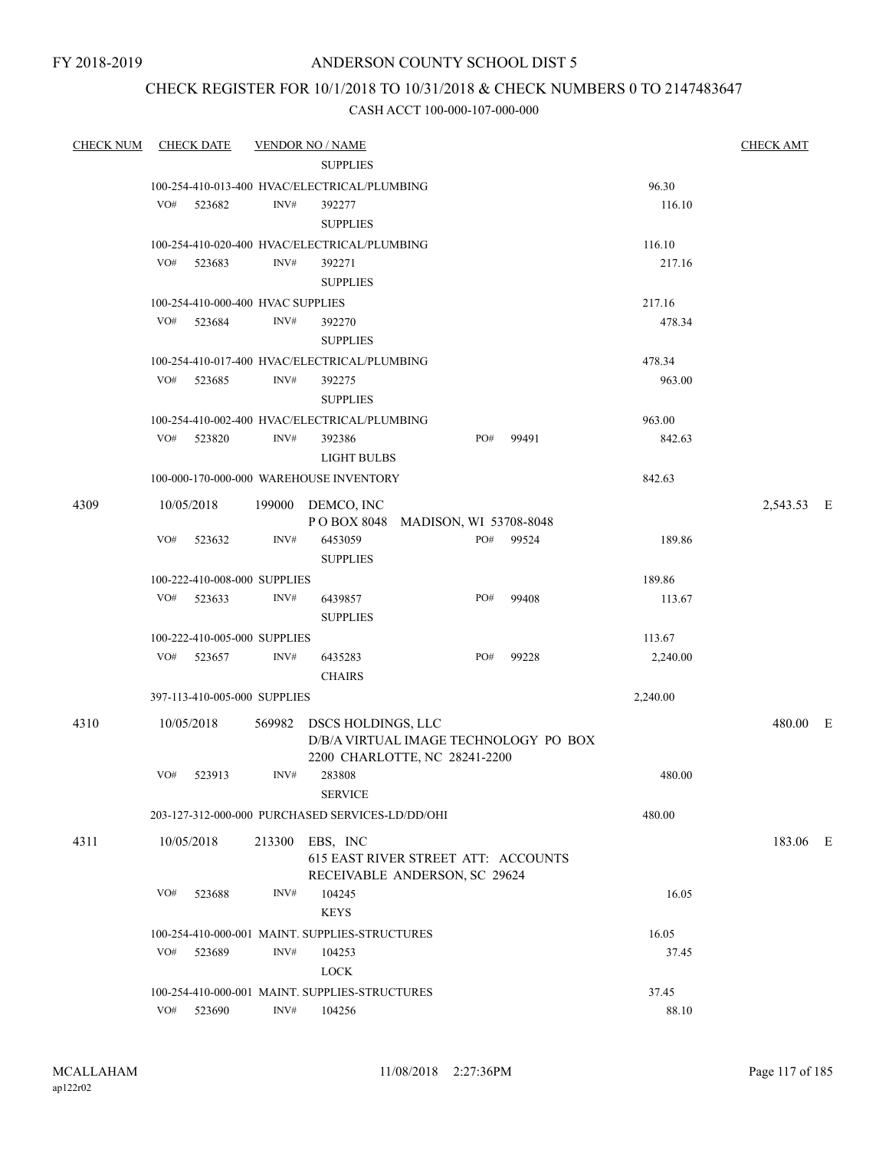FY 2018-2019

#### ANDERSON COUNTY SCHOOL DIST 5

# CHECK REGISTER FOR 10/1/2018 TO 10/31/2018 & CHECK NUMBERS 0 TO 2147483647

| <b>CHECK NUM</b> | <b>CHECK DATE</b>                 |      | <b>VENDOR NO / NAME</b>                                |     |                                       |          | <u>CHECK AMT</u> |  |
|------------------|-----------------------------------|------|--------------------------------------------------------|-----|---------------------------------------|----------|------------------|--|
|                  |                                   |      | <b>SUPPLIES</b>                                        |     |                                       |          |                  |  |
|                  |                                   |      | 100-254-410-013-400 HVAC/ELECTRICAL/PLUMBING           |     |                                       | 96.30    |                  |  |
|                  | VO#<br>523682                     | INV# | 392277<br><b>SUPPLIES</b>                              |     |                                       | 116.10   |                  |  |
|                  |                                   |      | 100-254-410-020-400 HVAC/ELECTRICAL/PLUMBING           |     |                                       | 116.10   |                  |  |
|                  | VO#<br>523683                     | INV# | 392271                                                 |     |                                       | 217.16   |                  |  |
|                  |                                   |      | <b>SUPPLIES</b>                                        |     |                                       |          |                  |  |
|                  | 100-254-410-000-400 HVAC SUPPLIES |      |                                                        |     |                                       | 217.16   |                  |  |
|                  | VO#<br>523684                     | INV# | 392270<br><b>SUPPLIES</b>                              |     |                                       | 478.34   |                  |  |
|                  |                                   |      | 100-254-410-017-400 HVAC/ELECTRICAL/PLUMBING           |     |                                       | 478.34   |                  |  |
|                  | VO#<br>523685                     | INV# | 392275                                                 |     |                                       | 963.00   |                  |  |
|                  |                                   |      | <b>SUPPLIES</b>                                        |     |                                       |          |                  |  |
|                  |                                   |      | 100-254-410-002-400 HVAC/ELECTRICAL/PLUMBING           |     |                                       | 963.00   |                  |  |
|                  | VO#<br>523820                     | INV# | 392386<br><b>LIGHT BULBS</b>                           | PO# | 99491                                 | 842.63   |                  |  |
|                  |                                   |      | 100-000-170-000-000 WAREHOUSE INVENTORY                |     |                                       | 842.63   |                  |  |
| 4309             | 10/05/2018                        |      |                                                        |     |                                       |          |                  |  |
|                  |                                   |      | 199000 DEMCO, INC<br>POBOX 8048 MADISON, WI 53708-8048 |     |                                       |          | 2,543.53 E       |  |
|                  | VO#<br>523632                     | INV# | 6453059                                                |     | PO# 99524                             | 189.86   |                  |  |
|                  |                                   |      | <b>SUPPLIES</b>                                        |     |                                       |          |                  |  |
|                  | 100-222-410-008-000 SUPPLIES      |      |                                                        |     |                                       | 189.86   |                  |  |
|                  | VO#<br>523633                     | INV# | 6439857                                                | PO# | 99408                                 | 113.67   |                  |  |
|                  |                                   |      | <b>SUPPLIES</b>                                        |     |                                       |          |                  |  |
|                  | 100-222-410-005-000 SUPPLIES      |      |                                                        |     |                                       | 113.67   |                  |  |
|                  | VO#<br>523657                     | INV# | 6435283                                                | PO# | 99228                                 | 2,240.00 |                  |  |
|                  |                                   |      | <b>CHAIRS</b>                                          |     |                                       |          |                  |  |
|                  | 397-113-410-005-000 SUPPLIES      |      |                                                        |     |                                       | 2,240.00 |                  |  |
| 4310             | 10/05/2018                        |      | 569982 DSCS HOLDINGS, LLC                              |     |                                       |          | 480.00 E         |  |
|                  |                                   |      |                                                        |     | D/B/A VIRTUAL IMAGE TECHNOLOGY PO BOX |          |                  |  |
|                  |                                   |      | 2200 CHARLOTTE, NC 28241-2200                          |     |                                       |          |                  |  |
|                  | VO#<br>523913                     | INV# | 283808                                                 |     |                                       | 480.00   |                  |  |
|                  |                                   |      | <b>SERVICE</b>                                         |     |                                       |          |                  |  |
|                  |                                   |      | 203-127-312-000-000 PURCHASED SERVICES-LD/DD/OHI       |     |                                       | 480.00   |                  |  |
| 4311             | 10/05/2018                        |      | 213300 EBS, INC                                        |     |                                       |          | 183.06 E         |  |
|                  |                                   |      | 615 EAST RIVER STREET ATT: ACCOUNTS                    |     |                                       |          |                  |  |
|                  |                                   |      | RECEIVABLE ANDERSON, SC 29624                          |     |                                       |          |                  |  |
|                  | VO#<br>523688                     | INV# | 104245                                                 |     |                                       | 16.05    |                  |  |
|                  |                                   |      | <b>KEYS</b>                                            |     |                                       |          |                  |  |
|                  |                                   |      | 100-254-410-000-001 MAINT. SUPPLIES-STRUCTURES         |     |                                       | 16.05    |                  |  |
|                  | VO#<br>523689                     | INV# | 104253                                                 |     |                                       | 37.45    |                  |  |
|                  |                                   |      | <b>LOCK</b>                                            |     |                                       |          |                  |  |
|                  |                                   |      | 100-254-410-000-001 MAINT. SUPPLIES-STRUCTURES         |     |                                       | 37.45    |                  |  |
|                  | VO#<br>523690                     | INV# | 104256                                                 |     |                                       | 88.10    |                  |  |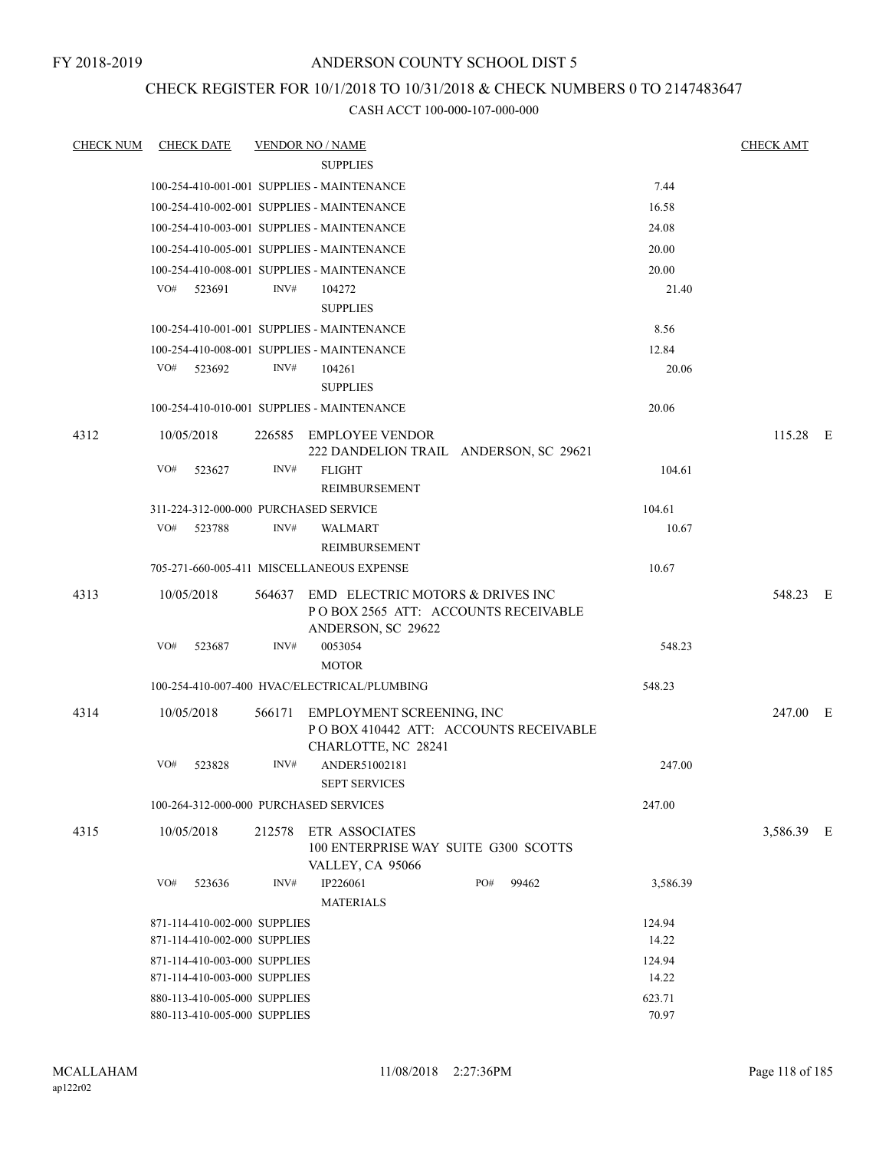## CHECK REGISTER FOR 10/1/2018 TO 10/31/2018 & CHECK NUMBERS 0 TO 2147483647

| <b>CHECK NUM</b> | <b>CHECK DATE</b>                                            |        | <u>VENDOR NO / NAME</u>                                                                       |     |       |                 | <b>CHECK AMT</b> |  |
|------------------|--------------------------------------------------------------|--------|-----------------------------------------------------------------------------------------------|-----|-------|-----------------|------------------|--|
|                  |                                                              |        | <b>SUPPLIES</b>                                                                               |     |       |                 |                  |  |
|                  | 100-254-410-001-001 SUPPLIES - MAINTENANCE                   |        |                                                                                               |     |       | 7.44            |                  |  |
|                  | 100-254-410-002-001 SUPPLIES - MAINTENANCE                   |        |                                                                                               |     |       | 16.58           |                  |  |
|                  | 100-254-410-003-001 SUPPLIES - MAINTENANCE                   |        |                                                                                               |     |       | 24.08           |                  |  |
|                  | 100-254-410-005-001 SUPPLIES - MAINTENANCE                   |        |                                                                                               |     |       | 20.00           |                  |  |
|                  | 100-254-410-008-001 SUPPLIES - MAINTENANCE                   |        |                                                                                               |     |       | 20.00           |                  |  |
|                  | VO#<br>523691                                                | INV#   | 104272<br><b>SUPPLIES</b>                                                                     |     |       | 21.40           |                  |  |
|                  | 100-254-410-001-001 SUPPLIES - MAINTENANCE                   |        |                                                                                               |     |       | 8.56            |                  |  |
|                  | 100-254-410-008-001 SUPPLIES - MAINTENANCE                   |        |                                                                                               |     |       | 12.84           |                  |  |
|                  | VO# 523692                                                   | INV#   | 104261<br><b>SUPPLIES</b>                                                                     |     |       | 20.06           |                  |  |
|                  | 100-254-410-010-001 SUPPLIES - MAINTENANCE                   |        |                                                                                               |     |       | 20.06           |                  |  |
| 4312             | 10/05/2018                                                   | 226585 | EMPLOYEE VENDOR<br>222 DANDELION TRAIL ANDERSON, SC 29621                                     |     |       |                 | 115.28 E         |  |
|                  | VO#<br>523627                                                | INV#   | <b>FLIGHT</b><br><b>REIMBURSEMENT</b>                                                         |     |       | 104.61          |                  |  |
|                  | 311-224-312-000-000 PURCHASED SERVICE                        |        |                                                                                               |     |       | 104.61          |                  |  |
|                  | VO#<br>523788                                                | INV#   | <b>WALMART</b><br><b>REIMBURSEMENT</b>                                                        |     |       | 10.67           |                  |  |
|                  | 705-271-660-005-411 MISCELLANEOUS EXPENSE                    |        |                                                                                               |     |       | 10.67           |                  |  |
| 4313             | 10/05/2018                                                   | 564637 | EMD ELECTRIC MOTORS & DRIVES INC<br>POBOX 2565 ATT: ACCOUNTS RECEIVABLE<br>ANDERSON, SC 29622 |     |       |                 | 548.23 E         |  |
|                  | VO#<br>523687                                                | INV#   | 0053054<br><b>MOTOR</b>                                                                       |     |       | 548.23          |                  |  |
|                  |                                                              |        | 100-254-410-007-400 HVAC/ELECTRICAL/PLUMBING                                                  |     |       | 548.23          |                  |  |
| 4314             | 10/05/2018                                                   | 566171 | EMPLOYMENT SCREENING, INC<br>PO BOX 410442 ATT: ACCOUNTS RECEIVABLE<br>CHARLOTTE, NC 28241    |     |       |                 | 247.00 E         |  |
|                  | VO#<br>523828                                                | INV#   | ANDER51002181<br><b>SEPT SERVICES</b>                                                         |     |       | 247.00          |                  |  |
|                  | 100-264-312-000-000 PURCHASED SERVICES                       |        |                                                                                               |     |       | 247.00          |                  |  |
| 4315             | 10/05/2018                                                   |        | 212578 ETR ASSOCIATES<br>100 ENTERPRISE WAY SUITE G300 SCOTTS<br>VALLEY, CA 95066             |     |       |                 | 3,586.39 E       |  |
|                  | VO#<br>523636                                                | INV#   | IP226061<br><b>MATERIALS</b>                                                                  | PO# | 99462 | 3,586.39        |                  |  |
|                  | 871-114-410-002-000 SUPPLIES<br>871-114-410-002-000 SUPPLIES |        |                                                                                               |     |       | 124.94<br>14.22 |                  |  |
|                  | 871-114-410-003-000 SUPPLIES<br>871-114-410-003-000 SUPPLIES |        |                                                                                               |     |       | 124.94<br>14.22 |                  |  |
|                  | 880-113-410-005-000 SUPPLIES<br>880-113-410-005-000 SUPPLIES |        |                                                                                               |     |       | 623.71<br>70.97 |                  |  |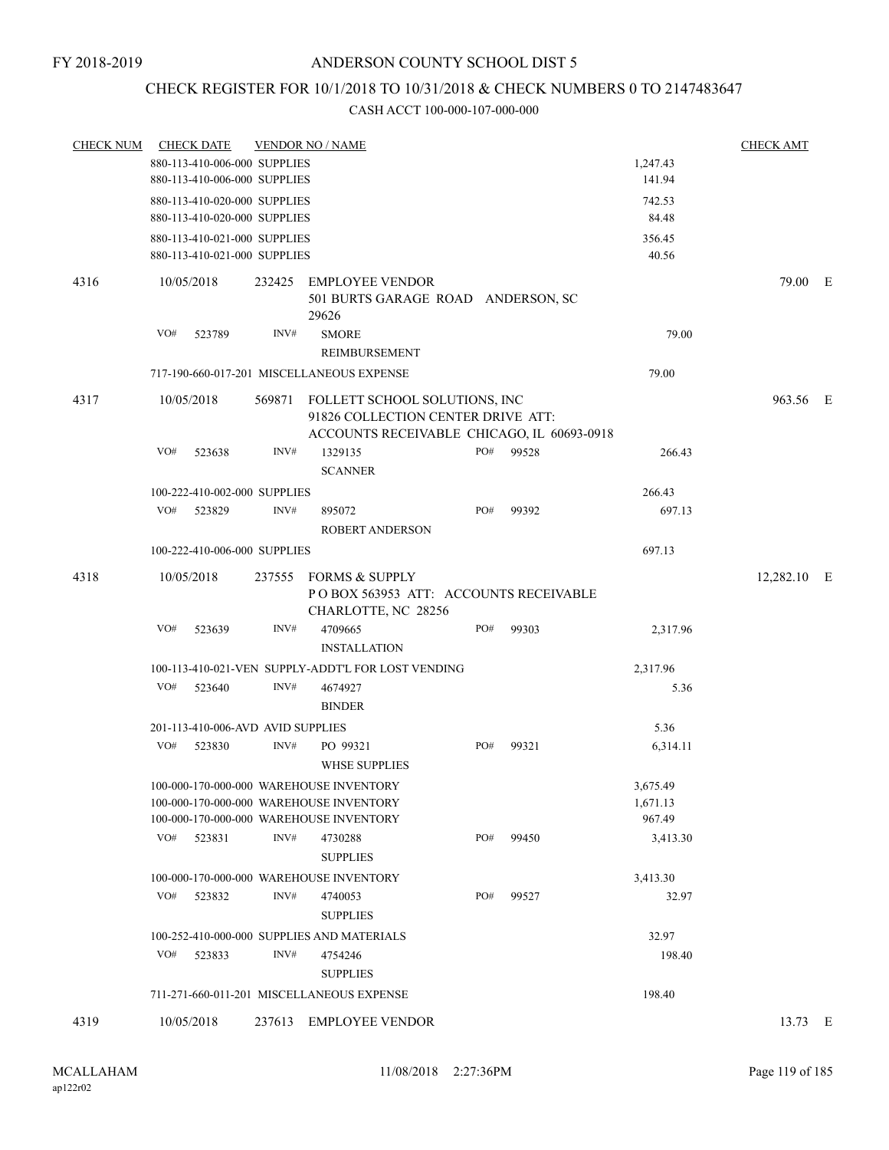## CHECK REGISTER FOR 10/1/2018 TO 10/31/2018 & CHECK NUMBERS 0 TO 2147483647

| <u>CHECK NUM</u> |            | <b>CHECK DATE</b>                                            |                | <b>VENDOR NO / NAME</b>                                                                                                       |     |          |                                | <b>CHECK AMT</b> |  |
|------------------|------------|--------------------------------------------------------------|----------------|-------------------------------------------------------------------------------------------------------------------------------|-----|----------|--------------------------------|------------------|--|
|                  |            | 880-113-410-006-000 SUPPLIES                                 |                |                                                                                                                               |     |          | 1,247.43                       |                  |  |
|                  |            | 880-113-410-006-000 SUPPLIES                                 |                |                                                                                                                               |     |          | 141.94                         |                  |  |
|                  |            | 880-113-410-020-000 SUPPLIES                                 |                |                                                                                                                               |     |          | 742.53                         |                  |  |
|                  |            | 880-113-410-020-000 SUPPLIES                                 |                |                                                                                                                               |     |          | 84.48                          |                  |  |
|                  |            | 880-113-410-021-000 SUPPLIES<br>880-113-410-021-000 SUPPLIES |                |                                                                                                                               |     |          | 356.45<br>40.56                |                  |  |
| 4316             |            | 10/05/2018                                                   |                | 232425 EMPLOYEE VENDOR<br>501 BURTS GARAGE ROAD ANDERSON, SC<br>29626                                                         |     |          |                                | 79.00 E          |  |
|                  | VO#        | 523789                                                       | INV#           | <b>SMORE</b><br>REIMBURSEMENT                                                                                                 |     |          | 79.00                          |                  |  |
|                  |            |                                                              |                | 717-190-660-017-201 MISCELLANEOUS EXPENSE                                                                                     |     |          | 79.00                          |                  |  |
| 4317             | 10/05/2018 |                                                              |                | 569871 FOLLETT SCHOOL SOLUTIONS, INC<br>91826 COLLECTION CENTER DRIVE ATT:<br>ACCOUNTS RECEIVABLE CHICAGO, IL 60693-0918      |     |          |                                | 963.56 E         |  |
|                  | VO#        | 523638                                                       | INV#           | 1329135                                                                                                                       | PO# | 99528    | 266.43                         |                  |  |
|                  |            |                                                              |                | <b>SCANNER</b>                                                                                                                |     |          |                                |                  |  |
|                  |            | 100-222-410-002-000 SUPPLIES                                 |                |                                                                                                                               |     |          | 266.43                         |                  |  |
|                  | VO#        | 523829                                                       | INV#           | 895072<br><b>ROBERT ANDERSON</b>                                                                                              | PO# | 99392    | 697.13                         |                  |  |
|                  |            | 100-222-410-006-000 SUPPLIES                                 |                |                                                                                                                               |     |          | 697.13                         |                  |  |
|                  |            |                                                              |                |                                                                                                                               |     |          |                                |                  |  |
| 4318             |            | 10/05/2018                                                   |                | 237555 FORMS & SUPPLY<br>POBOX 563953 ATT: ACCOUNTS RECEIVABLE<br>CHARLOTTE, NC 28256                                         |     |          |                                | 12,282.10 E      |  |
|                  | VO#        | 523639                                                       | INV#           | 4709665<br><b>INSTALLATION</b>                                                                                                | PO# | 99303    | 2,317.96                       |                  |  |
|                  |            |                                                              |                | 100-113-410-021-VEN SUPPLY-ADDT'L FOR LOST VENDING                                                                            |     | 2,317.96 |                                |                  |  |
|                  | VO#        | 523640                                                       | $\text{INV}\#$ | 4674927<br><b>BINDER</b>                                                                                                      |     |          | 5.36                           |                  |  |
|                  |            | 201-113-410-006-AVD AVID SUPPLIES                            |                |                                                                                                                               |     |          | 5.36                           |                  |  |
|                  | VO#        | 523830                                                       | INV#           | PO 99321<br><b>WHSE SUPPLIES</b>                                                                                              | PO# | 99321    | 6,314.11                       |                  |  |
|                  |            |                                                              |                | 100-000-170-000-000 WAREHOUSE INVENTORY<br>100-000-170-000-000 WAREHOUSE INVENTORY<br>100-000-170-000-000 WAREHOUSE INVENTORY |     |          | 3,675.49<br>1,671.13<br>967.49 |                  |  |
|                  | VO#        | 523831                                                       | INV#           | 4730288<br><b>SUPPLIES</b>                                                                                                    | PO# | 99450    | 3,413.30                       |                  |  |
|                  |            |                                                              |                | 100-000-170-000-000 WAREHOUSE INVENTORY                                                                                       |     |          | 3,413.30                       |                  |  |
|                  | VO#        | 523832                                                       | INV#           | 4740053<br><b>SUPPLIES</b>                                                                                                    | PO# | 99527    | 32.97                          |                  |  |
|                  |            |                                                              |                | 100-252-410-000-000 SUPPLIES AND MATERIALS                                                                                    |     |          | 32.97                          |                  |  |
|                  | VO#        | 523833                                                       | INV#           | 4754246<br><b>SUPPLIES</b>                                                                                                    |     |          | 198.40                         |                  |  |
|                  |            |                                                              |                | 711-271-660-011-201 MISCELLANEOUS EXPENSE                                                                                     |     |          | 198.40                         |                  |  |
| 4319             |            | 10/05/2018                                                   |                | 237613 EMPLOYEE VENDOR                                                                                                        |     |          |                                | 13.73 E          |  |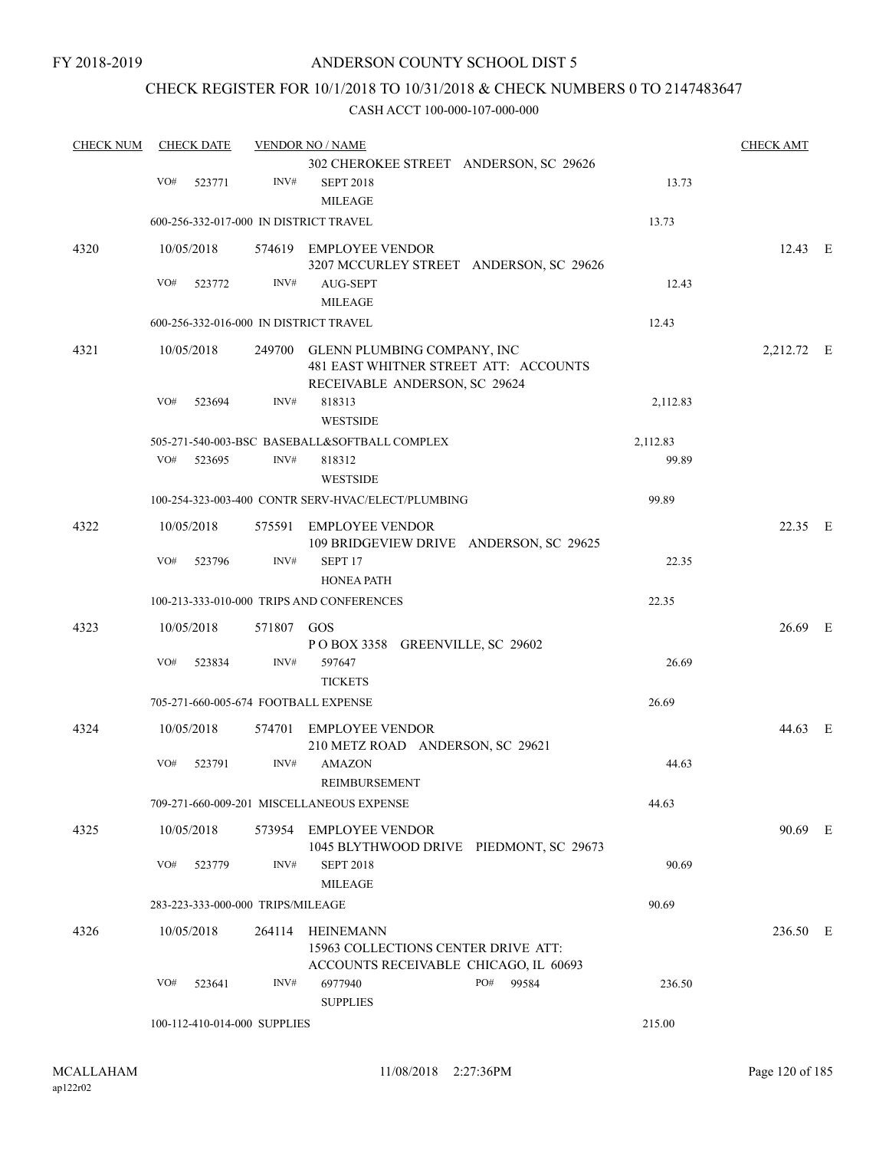## CHECK REGISTER FOR 10/1/2018 TO 10/31/2018 & CHECK NUMBERS 0 TO 2147483647

| <b>CHECK NUM</b> |     | <b>CHECK DATE</b> |                                   | <b>VENDOR NO / NAME</b>                                                                                      |              |          | <b>CHECK AMT</b> |  |
|------------------|-----|-------------------|-----------------------------------|--------------------------------------------------------------------------------------------------------------|--------------|----------|------------------|--|
|                  |     |                   |                                   | 302 CHEROKEE STREET ANDERSON, SC 29626                                                                       |              |          |                  |  |
|                  | VO# | 523771            | INV#                              | <b>SEPT 2018</b><br><b>MILEAGE</b>                                                                           |              | 13.73    |                  |  |
|                  |     |                   |                                   | 600-256-332-017-000 IN DISTRICT TRAVEL                                                                       |              | 13.73    |                  |  |
| 4320             |     | 10/05/2018        |                                   | 574619 EMPLOYEE VENDOR                                                                                       |              |          | 12.43 E          |  |
|                  |     |                   |                                   | 3207 MCCURLEY STREET ANDERSON, SC 29626                                                                      |              |          |                  |  |
|                  | VO# | 523772            | INV#                              | AUG-SEPT                                                                                                     |              | 12.43    |                  |  |
|                  |     |                   |                                   | <b>MILEAGE</b>                                                                                               |              |          |                  |  |
|                  |     |                   |                                   | 600-256-332-016-000 IN DISTRICT TRAVEL                                                                       |              | 12.43    |                  |  |
| 4321             |     | 10/05/2018        |                                   | 249700 GLENN PLUMBING COMPANY, INC<br>481 EAST WHITNER STREET ATT: ACCOUNTS<br>RECEIVABLE ANDERSON, SC 29624 |              |          | 2,212.72 E       |  |
|                  | VO# | 523694            | INV#                              | 818313<br><b>WESTSIDE</b>                                                                                    |              | 2,112.83 |                  |  |
|                  |     |                   |                                   | 505-271-540-003-BSC BASEBALL&SOFTBALL COMPLEX                                                                |              | 2,112.83 |                  |  |
|                  | VO# | 523695            | INV#                              | 818312                                                                                                       |              | 99.89    |                  |  |
|                  |     |                   |                                   | <b>WESTSIDE</b>                                                                                              |              |          |                  |  |
|                  |     |                   |                                   | 100-254-323-003-400 CONTR SERV-HVAC/ELECT/PLUMBING                                                           |              | 99.89    |                  |  |
| 4322             |     | 10/05/2018        | 575591                            | <b>EMPLOYEE VENDOR</b><br>109 BRIDGEVIEW DRIVE ANDERSON, SC 29625                                            |              |          | 22.35 E          |  |
|                  | VO# | 523796            | INV#                              | SEPT <sub>17</sub><br><b>HONEA PATH</b>                                                                      |              | 22.35    |                  |  |
|                  |     |                   |                                   | 100-213-333-010-000 TRIPS AND CONFERENCES                                                                    |              | 22.35    |                  |  |
| 4323             |     | 10/05/2018        | 571807 GOS                        |                                                                                                              |              |          | 26.69 E          |  |
|                  |     |                   |                                   | POBOX 3358 GREENVILLE, SC 29602                                                                              |              |          |                  |  |
|                  | VO# | 523834            | INV#                              | 597647                                                                                                       |              | 26.69    |                  |  |
|                  |     |                   |                                   | <b>TICKETS</b>                                                                                               |              |          |                  |  |
|                  |     |                   |                                   | 705-271-660-005-674 FOOTBALL EXPENSE                                                                         |              | 26.69    |                  |  |
| 4324             |     | 10/05/2018        |                                   | 574701 EMPLOYEE VENDOR<br>210 METZ ROAD ANDERSON, SC 29621                                                   |              |          | 44.63 E          |  |
|                  | VO# | 523791            | INV#                              | <b>AMAZON</b><br>REIMBURSEMENT                                                                               |              | 44.63    |                  |  |
|                  |     |                   |                                   | 709-271-660-009-201 MISCELLANEOUS EXPENSE                                                                    |              | 44.63    |                  |  |
|                  |     |                   |                                   | 573954 EMPLOYEE VENDOR                                                                                       |              |          | 90.69 E          |  |
| 4325             |     | 10/05/2018        |                                   | 1045 BLYTHWOOD DRIVE PIEDMONT, SC 29673                                                                      |              |          |                  |  |
|                  | VO# | 523779            | INV#                              | <b>SEPT 2018</b>                                                                                             |              | 90.69    |                  |  |
|                  |     |                   |                                   | <b>MILEAGE</b>                                                                                               |              |          |                  |  |
|                  |     |                   | 283-223-333-000-000 TRIPS/MILEAGE |                                                                                                              |              | 90.69    |                  |  |
| 4326             |     | 10/05/2018        | 264114                            | <b>HEINEMANN</b><br>15963 COLLECTIONS CENTER DRIVE ATT:                                                      |              |          | 236.50 E         |  |
|                  |     |                   |                                   | ACCOUNTS RECEIVABLE CHICAGO, IL 60693                                                                        |              |          |                  |  |
|                  | VO# | 523641            | INV#                              | 6977940<br><b>SUPPLIES</b>                                                                                   | PO#<br>99584 | 236.50   |                  |  |
|                  |     |                   | 100-112-410-014-000 SUPPLIES      |                                                                                                              |              | 215.00   |                  |  |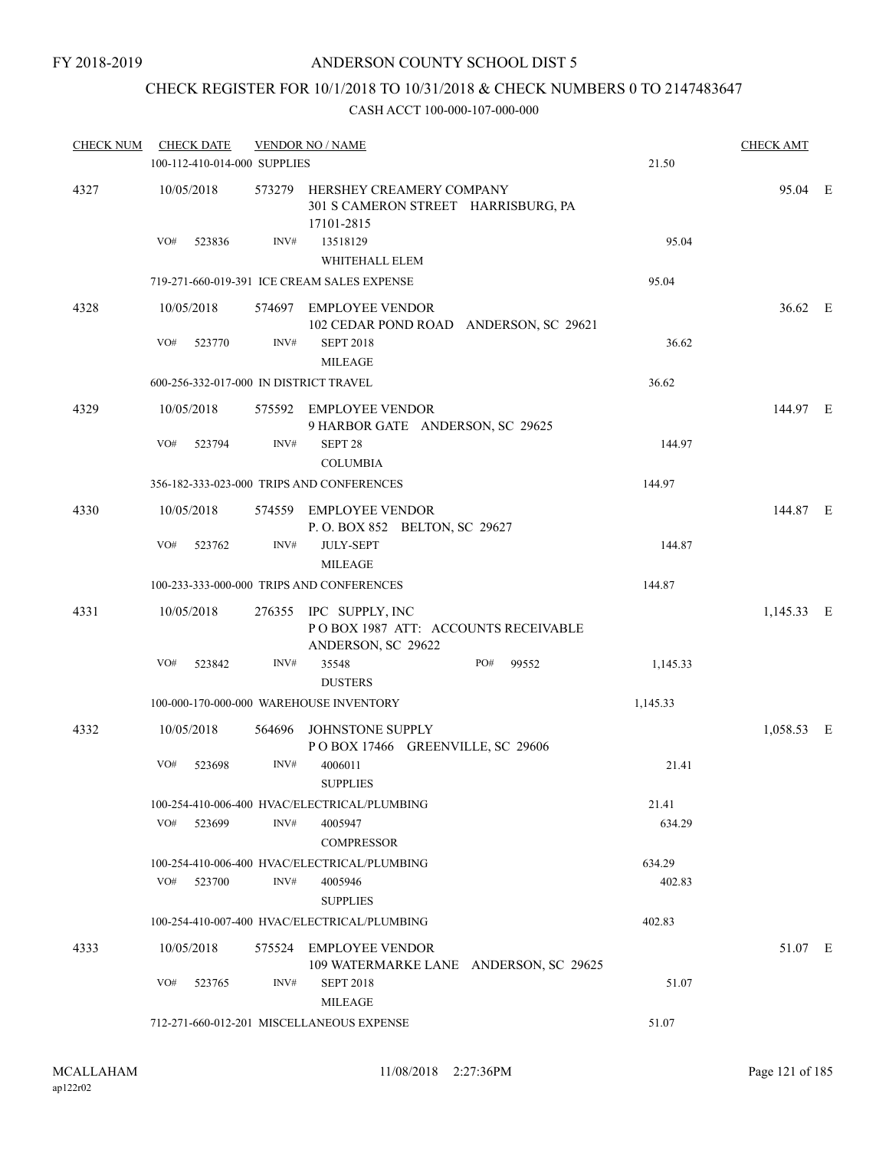# CHECK REGISTER FOR 10/1/2018 TO 10/31/2018 & CHECK NUMBERS 0 TO 2147483647

| <b>CHECK NUM</b> | <b>CHECK DATE</b>                      |        | <b>VENDOR NO / NAME</b>                                                              |              |          | <b>CHECK AMT</b> |  |
|------------------|----------------------------------------|--------|--------------------------------------------------------------------------------------|--------------|----------|------------------|--|
|                  | 100-112-410-014-000 SUPPLIES           |        |                                                                                      |              | 21.50    |                  |  |
| 4327             | 10/05/2018                             |        | 573279 HERSHEY CREAMERY COMPANY<br>301 S CAMERON STREET HARRISBURG, PA<br>17101-2815 |              |          | 95.04 E          |  |
|                  | VO#<br>523836                          | INV#   | 13518129<br>WHITEHALL ELEM                                                           |              | 95.04    |                  |  |
|                  |                                        |        | 719-271-660-019-391 ICE CREAM SALES EXPENSE                                          |              | 95.04    |                  |  |
| 4328             | 10/05/2018                             |        | 574697 EMPLOYEE VENDOR<br>102 CEDAR POND ROAD ANDERSON, SC 29621                     |              |          | 36.62 E          |  |
|                  | VO#<br>523770                          | INV#   | <b>SEPT 2018</b><br><b>MILEAGE</b>                                                   |              | 36.62    |                  |  |
|                  | 600-256-332-017-000 IN DISTRICT TRAVEL |        |                                                                                      |              | 36.62    |                  |  |
| 4329             | 10/05/2018                             |        | 575592 EMPLOYEE VENDOR<br>9 HARBOR GATE ANDERSON, SC 29625                           |              |          | 144.97 E         |  |
|                  | VO#<br>523794                          | INV#   | SEPT <sub>28</sub><br><b>COLUMBIA</b>                                                |              | 144.97   |                  |  |
|                  |                                        |        | 356-182-333-023-000 TRIPS AND CONFERENCES                                            |              | 144.97   |                  |  |
| 4330             | 10/05/2018                             |        | 574559 EMPLOYEE VENDOR<br>P.O. BOX 852 BELTON, SC 29627                              |              |          | 144.87 E         |  |
|                  | VO#<br>523762                          | INV#   | <b>JULY-SEPT</b><br><b>MILEAGE</b>                                                   |              | 144.87   |                  |  |
|                  |                                        |        | 100-233-333-000-000 TRIPS AND CONFERENCES                                            |              | 144.87   |                  |  |
| 4331             | 10/05/2018                             |        | 276355 IPC SUPPLY, INC<br>POBOX 1987 ATT: ACCOUNTS RECEIVABLE<br>ANDERSON, SC 29622  |              |          | 1,145.33 E       |  |
|                  | VO#<br>523842                          | INV#   | 35548<br><b>DUSTERS</b>                                                              | PO#<br>99552 | 1,145.33 |                  |  |
|                  |                                        |        | 100-000-170-000-000 WAREHOUSE INVENTORY                                              |              | 1,145.33 |                  |  |
| 4332             | 10/05/2018                             | 564696 | JOHNSTONE SUPPLY<br>POBOX 17466 GREENVILLE, SC 29606                                 |              |          | 1,058.53 E       |  |
|                  | VO#<br>523698                          | INV#   | 4006011<br><b>SUPPLIES</b>                                                           |              | 21.41    |                  |  |
|                  |                                        |        | 100-254-410-006-400 HVAC/ELECTRICAL/PLUMBING                                         |              | 21.41    |                  |  |
|                  | VO# 523699                             | INV#   | 4005947<br><b>COMPRESSOR</b>                                                         |              | 634.29   |                  |  |
|                  |                                        |        | 100-254-410-006-400 HVAC/ELECTRICAL/PLUMBING                                         |              | 634.29   |                  |  |
|                  | VO#<br>523700                          | INV#   | 4005946<br><b>SUPPLIES</b>                                                           |              | 402.83   |                  |  |
|                  |                                        |        | 100-254-410-007-400 HVAC/ELECTRICAL/PLUMBING                                         |              | 402.83   |                  |  |
| 4333             | 10/05/2018                             |        | 575524 EMPLOYEE VENDOR<br>109 WATERMARKE LANE ANDERSON, SC 29625                     |              |          | 51.07 E          |  |
|                  | VO#<br>523765                          | INV#   | <b>SEPT 2018</b><br>MILEAGE                                                          |              | 51.07    |                  |  |
|                  |                                        |        | 712-271-660-012-201 MISCELLANEOUS EXPENSE                                            |              | 51.07    |                  |  |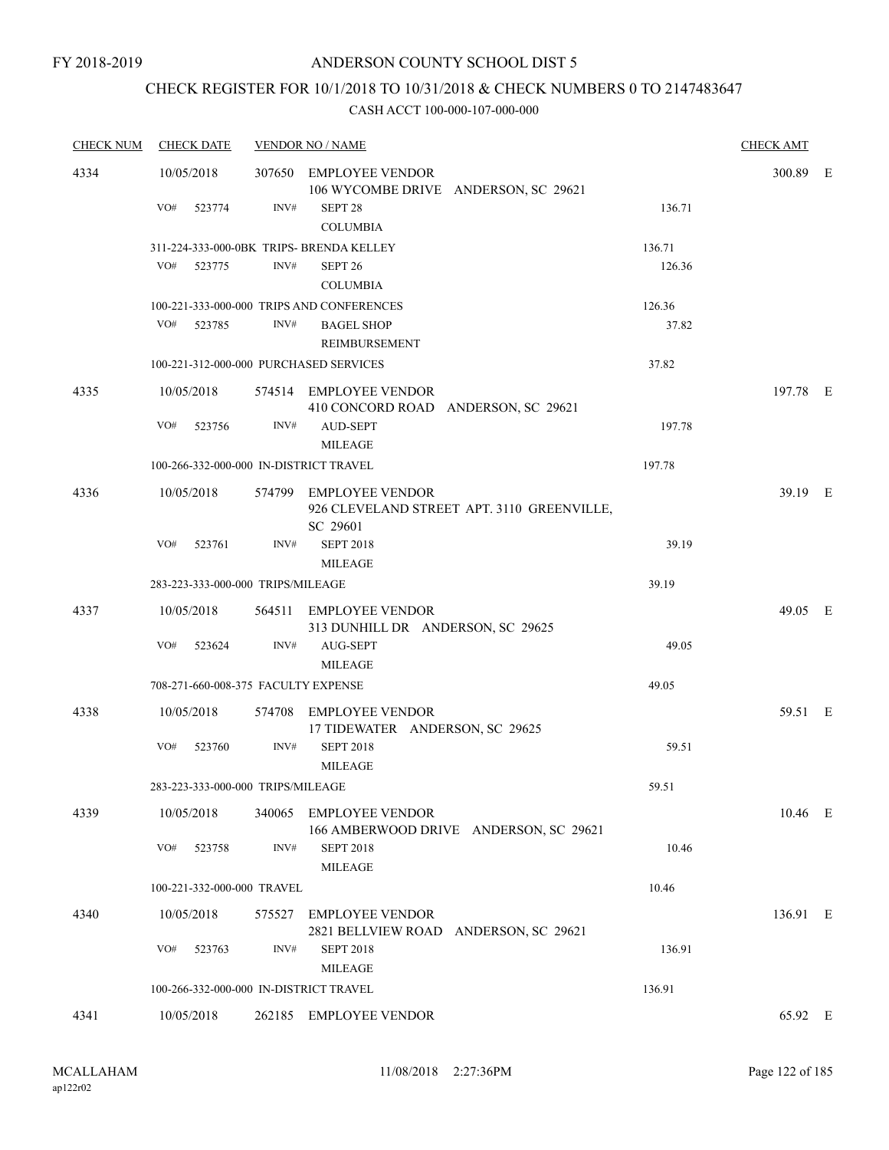## CHECK REGISTER FOR 10/1/2018 TO 10/31/2018 & CHECK NUMBERS 0 TO 2147483647

| <b>CHECK NUM</b> | <b>CHECK DATE</b>                      |        | <b>VENDOR NO / NAME</b>                                                          |        | <b>CHECK AMT</b> |  |
|------------------|----------------------------------------|--------|----------------------------------------------------------------------------------|--------|------------------|--|
| 4334             | 10/05/2018<br>VO#<br>523774            | INV#   | 307650 EMPLOYEE VENDOR<br>106 WYCOMBE DRIVE ANDERSON, SC 29621<br>SEPT 28        | 136.71 | 300.89 E         |  |
|                  |                                        |        | <b>COLUMBIA</b>                                                                  |        |                  |  |
|                  |                                        |        | 311-224-333-000-0BK TRIPS- BRENDA KELLEY                                         | 136.71 |                  |  |
|                  | VO#<br>523775                          | INV#   | SEPT 26<br><b>COLUMBIA</b>                                                       | 126.36 |                  |  |
|                  |                                        |        | 100-221-333-000-000 TRIPS AND CONFERENCES                                        | 126.36 |                  |  |
|                  | VO#<br>523785                          | INV#   | <b>BAGEL SHOP</b><br>REIMBURSEMENT                                               | 37.82  |                  |  |
|                  | 100-221-312-000-000 PURCHASED SERVICES |        |                                                                                  | 37.82  |                  |  |
| 4335             | 10/05/2018                             |        | 574514 EMPLOYEE VENDOR<br>410 CONCORD ROAD ANDERSON, SC 29621                    |        | 197.78 E         |  |
|                  | VO#<br>523756                          | INV#   | <b>AUD-SEPT</b><br><b>MILEAGE</b>                                                | 197.78 |                  |  |
|                  | 100-266-332-000-000 IN-DISTRICT TRAVEL |        |                                                                                  | 197.78 |                  |  |
| 4336             | 10/05/2018                             |        | 574799 EMPLOYEE VENDOR<br>926 CLEVELAND STREET APT. 3110 GREENVILLE,<br>SC 29601 |        | 39.19 E          |  |
|                  | VO#<br>523761                          | INV#   | <b>SEPT 2018</b><br><b>MILEAGE</b>                                               | 39.19  |                  |  |
|                  | 283-223-333-000-000 TRIPS/MILEAGE      |        |                                                                                  | 39.19  |                  |  |
| 4337             | 10/05/2018                             |        | 564511 EMPLOYEE VENDOR<br>313 DUNHILL DR ANDERSON, SC 29625                      |        | 49.05 E          |  |
|                  | VO#<br>523624                          | INV#   | AUG-SEPT<br><b>MILEAGE</b>                                                       | 49.05  |                  |  |
|                  | 708-271-660-008-375 FACULTY EXPENSE    |        |                                                                                  | 49.05  |                  |  |
| 4338             | 10/05/2018                             |        | 574708 EMPLOYEE VENDOR<br>17 TIDEWATER ANDERSON, SC 29625                        |        | 59.51 E          |  |
|                  | VO#<br>523760                          | INV#   | <b>SEPT 2018</b><br><b>MILEAGE</b>                                               | 59.51  |                  |  |
|                  | 283-223-333-000-000 TRIPS/MILEAGE      |        |                                                                                  | 59.51  |                  |  |
| 4339             | 10/05/2018                             | 340065 | <b>EMPLOYEE VENDOR</b><br>166 AMBERWOOD DRIVE ANDERSON, SC 29621                 |        | 10.46 E          |  |
|                  | VO#<br>523758                          | INV#   | <b>SEPT 2018</b><br><b>MILEAGE</b>                                               | 10.46  |                  |  |
|                  | 100-221-332-000-000 TRAVEL             |        |                                                                                  | 10.46  |                  |  |
| 4340             | 10/05/2018                             | 575527 | <b>EMPLOYEE VENDOR</b><br>2821 BELLVIEW ROAD ANDERSON, SC 29621                  |        | 136.91 E         |  |
|                  | VO#<br>523763                          | INV#   | <b>SEPT 2018</b><br><b>MILEAGE</b>                                               | 136.91 |                  |  |
|                  | 100-266-332-000-000 IN-DISTRICT TRAVEL |        |                                                                                  | 136.91 |                  |  |
| 4341             | 10/05/2018                             |        | 262185 EMPLOYEE VENDOR                                                           |        | 65.92 E          |  |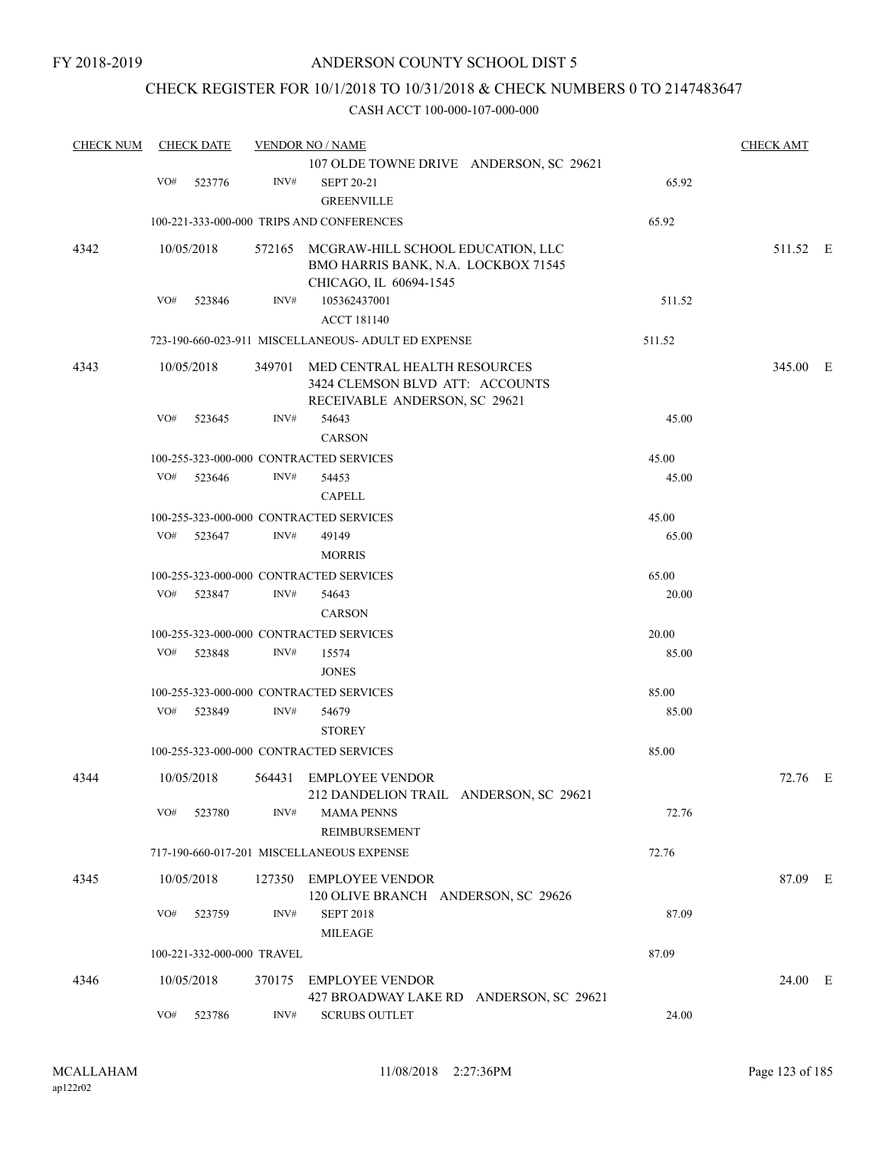## CHECK REGISTER FOR 10/1/2018 TO 10/31/2018 & CHECK NUMBERS 0 TO 2147483647

| <b>CHECK NUM</b> |     | <b>CHECK DATE</b> |                            | <b>VENDOR NO / NAME</b>                                                                                   |        | <b>CHECK AMT</b> |
|------------------|-----|-------------------|----------------------------|-----------------------------------------------------------------------------------------------------------|--------|------------------|
|                  |     |                   |                            | 107 OLDE TOWNE DRIVE ANDERSON, SC 29621                                                                   |        |                  |
|                  | VO# | 523776            | INV#                       | <b>SEPT 20-21</b><br><b>GREENVILLE</b>                                                                    | 65.92  |                  |
|                  |     |                   |                            | 100-221-333-000-000 TRIPS AND CONFERENCES                                                                 | 65.92  |                  |
| 4342             |     | 10/05/2018        |                            | 572165 MCGRAW-HILL SCHOOL EDUCATION, LLC<br>BMO HARRIS BANK, N.A. LOCKBOX 71545<br>CHICAGO, IL 60694-1545 |        | 511.52 E         |
|                  | VO# | 523846            | INV#                       | 105362437001<br><b>ACCT 181140</b>                                                                        | 511.52 |                  |
|                  |     |                   |                            | 723-190-660-023-911 MISCELLANEOUS- ADULT ED EXPENSE                                                       | 511.52 |                  |
| 4343             |     | 10/05/2018        |                            | 349701 MED CENTRAL HEALTH RESOURCES<br>3424 CLEMSON BLVD ATT: ACCOUNTS<br>RECEIVABLE ANDERSON, SC 29621   |        | 345.00 E         |
|                  | VO# | 523645            | INV#                       | 54643<br><b>CARSON</b>                                                                                    | 45.00  |                  |
|                  |     |                   |                            | 100-255-323-000-000 CONTRACTED SERVICES                                                                   | 45.00  |                  |
|                  | VO# | 523646            | INV#                       | 54453                                                                                                     | 45.00  |                  |
|                  |     |                   |                            | <b>CAPELL</b>                                                                                             |        |                  |
|                  |     |                   |                            | 100-255-323-000-000 CONTRACTED SERVICES                                                                   | 45.00  |                  |
|                  | VO# | 523647            | INV#                       | 49149                                                                                                     | 65.00  |                  |
|                  |     |                   |                            | <b>MORRIS</b>                                                                                             |        |                  |
|                  |     |                   |                            | 100-255-323-000-000 CONTRACTED SERVICES                                                                   | 65.00  |                  |
|                  | VO# | 523847            | INV#                       | 54643                                                                                                     | 20.00  |                  |
|                  |     |                   |                            | <b>CARSON</b>                                                                                             |        |                  |
|                  |     |                   |                            | 100-255-323-000-000 CONTRACTED SERVICES                                                                   | 20.00  |                  |
|                  | VO# | 523848            | INV#                       | 15574<br><b>JONES</b>                                                                                     | 85.00  |                  |
|                  |     |                   |                            | 100-255-323-000-000 CONTRACTED SERVICES                                                                   | 85.00  |                  |
|                  | VO# | 523849            | INV#                       | 54679                                                                                                     | 85.00  |                  |
|                  |     |                   |                            | <b>STOREY</b>                                                                                             |        |                  |
|                  |     |                   |                            | 100-255-323-000-000 CONTRACTED SERVICES                                                                   | 85.00  |                  |
| 4344             |     | 10/05/2018        |                            | 564431 EMPLOYEE VENDOR<br>212 DANDELION TRAIL ANDERSON, SC 29621                                          |        | 72.76 E          |
|                  | VO# | 523780            | INV#                       | <b>MAMA PENNS</b><br>REIMBURSEMENT                                                                        | 72.76  |                  |
|                  |     |                   |                            | 717-190-660-017-201 MISCELLANEOUS EXPENSE                                                                 | 72.76  |                  |
| 4345             |     | 10/05/2018        | 127350                     | <b>EMPLOYEE VENDOR</b><br>120 OLIVE BRANCH ANDERSON, SC 29626                                             |        | 87.09 E          |
|                  | VO# | 523759            | INV#                       | <b>SEPT 2018</b>                                                                                          | 87.09  |                  |
|                  |     |                   |                            | <b>MILEAGE</b>                                                                                            |        |                  |
|                  |     |                   | 100-221-332-000-000 TRAVEL |                                                                                                           | 87.09  |                  |
| 4346             |     | 10/05/2018        | 370175                     | <b>EMPLOYEE VENDOR</b><br>427 BROADWAY LAKE RD ANDERSON, SC 29621                                         |        | 24.00 E          |
|                  | VO# | 523786            | INV#                       | <b>SCRUBS OUTLET</b>                                                                                      | 24.00  |                  |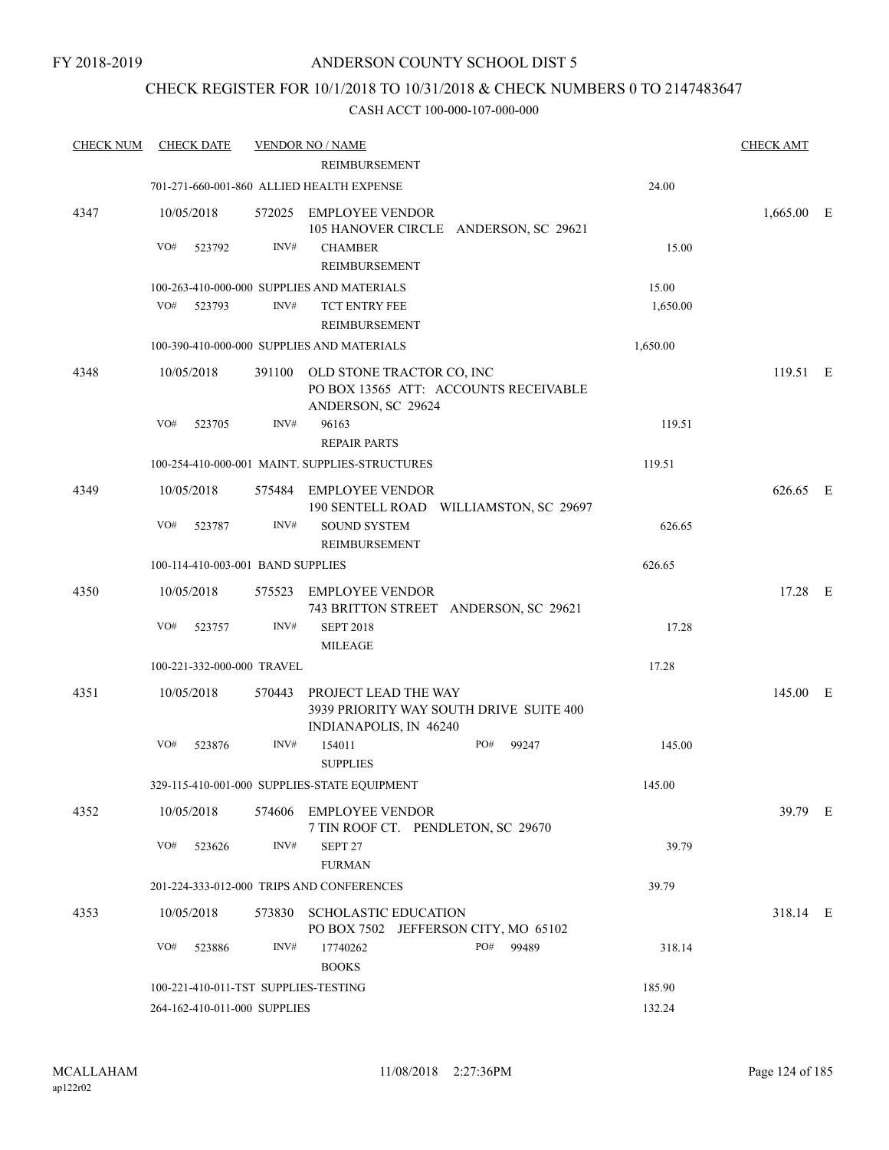## CHECK REGISTER FOR 10/1/2018 TO 10/31/2018 & CHECK NUMBERS 0 TO 2147483647

| <b>CHECK NUM</b> | <b>CHECK DATE</b>                    |        | <b>VENDOR NO / NAME</b>                                                                         |          | <b>CHECK AMT</b> |  |
|------------------|--------------------------------------|--------|-------------------------------------------------------------------------------------------------|----------|------------------|--|
|                  |                                      |        | REIMBURSEMENT                                                                                   |          |                  |  |
|                  |                                      |        | 701-271-660-001-860 ALLIED HEALTH EXPENSE                                                       | 24.00    |                  |  |
| 4347             | 10/05/2018                           |        | 572025 EMPLOYEE VENDOR<br>105 HANOVER CIRCLE ANDERSON, SC 29621                                 |          | $1,665.00$ E     |  |
|                  | VO#<br>523792                        | INV#   | <b>CHAMBER</b>                                                                                  | 15.00    |                  |  |
|                  |                                      |        | REIMBURSEMENT                                                                                   |          |                  |  |
|                  |                                      |        | 100-263-410-000-000 SUPPLIES AND MATERIALS                                                      | 15.00    |                  |  |
|                  | VO#<br>523793                        | INV#   | <b>TCT ENTRY FEE</b>                                                                            | 1,650.00 |                  |  |
|                  |                                      |        | <b>REIMBURSEMENT</b>                                                                            |          |                  |  |
|                  |                                      |        | 100-390-410-000-000 SUPPLIES AND MATERIALS                                                      | 1,650.00 |                  |  |
| 4348             | 10/05/2018                           |        | 391100 OLD STONE TRACTOR CO, INC<br>PO BOX 13565 ATT: ACCOUNTS RECEIVABLE<br>ANDERSON, SC 29624 |          | 119.51 E         |  |
|                  | VO#<br>523705                        | INV#   | 96163                                                                                           | 119.51   |                  |  |
|                  |                                      |        | <b>REPAIR PARTS</b>                                                                             |          |                  |  |
|                  |                                      |        | 100-254-410-000-001 MAINT. SUPPLIES-STRUCTURES                                                  | 119.51   |                  |  |
| 4349             | 10/05/2018                           | 575484 | <b>EMPLOYEE VENDOR</b>                                                                          |          | 626.65 E         |  |
|                  |                                      |        | 190 SENTELL ROAD WILLIAMSTON, SC 29697                                                          |          |                  |  |
|                  | VO#<br>523787                        | INV#   | <b>SOUND SYSTEM</b>                                                                             | 626.65   |                  |  |
|                  |                                      |        | <b>REIMBURSEMENT</b>                                                                            |          |                  |  |
|                  | 100-114-410-003-001 BAND SUPPLIES    |        |                                                                                                 | 626.65   |                  |  |
| 4350             | 10/05/2018                           | 575523 | <b>EMPLOYEE VENDOR</b><br>743 BRITTON STREET ANDERSON, SC 29621                                 |          | 17.28 E          |  |
|                  | VO#<br>523757                        | INV#   | <b>SEPT 2018</b><br><b>MILEAGE</b>                                                              | 17.28    |                  |  |
|                  | 100-221-332-000-000 TRAVEL           |        |                                                                                                 | 17.28    |                  |  |
| 4351             | 10/05/2018                           | 570443 | PROJECT LEAD THE WAY<br>3939 PRIORITY WAY SOUTH DRIVE SUITE 400                                 |          | 145.00 E         |  |
|                  | VO#<br>523876                        | INV#   | INDIANAPOLIS, IN 46240<br>154011<br>PO#<br>99247<br><b>SUPPLIES</b>                             | 145.00   |                  |  |
|                  |                                      |        | 329-115-410-001-000 SUPPLIES-STATE EQUIPMENT                                                    | 145.00   |                  |  |
| 4352             | 10/05/2018                           |        | 574606 EMPLOYEE VENDOR<br>7 TIN ROOF CT. PENDLETON, SC 29670                                    |          | 39.79 E          |  |
|                  | VO#<br>523626                        | INV#   | SEPT 27<br><b>FURMAN</b>                                                                        | 39.79    |                  |  |
|                  |                                      |        | 201-224-333-012-000 TRIPS AND CONFERENCES                                                       | 39.79    |                  |  |
| 4353             | 10/05/2018                           |        | 573830 SCHOLASTIC EDUCATION<br>PO BOX 7502 JEFFERSON CITY, MO 65102                             |          | 318.14 E         |  |
|                  | VO#<br>523886                        | INV#   | PO#<br>99489<br>17740262<br><b>BOOKS</b>                                                        | 318.14   |                  |  |
|                  | 100-221-410-011-TST SUPPLIES-TESTING |        |                                                                                                 | 185.90   |                  |  |
|                  | 264-162-410-011-000 SUPPLIES         |        |                                                                                                 | 132.24   |                  |  |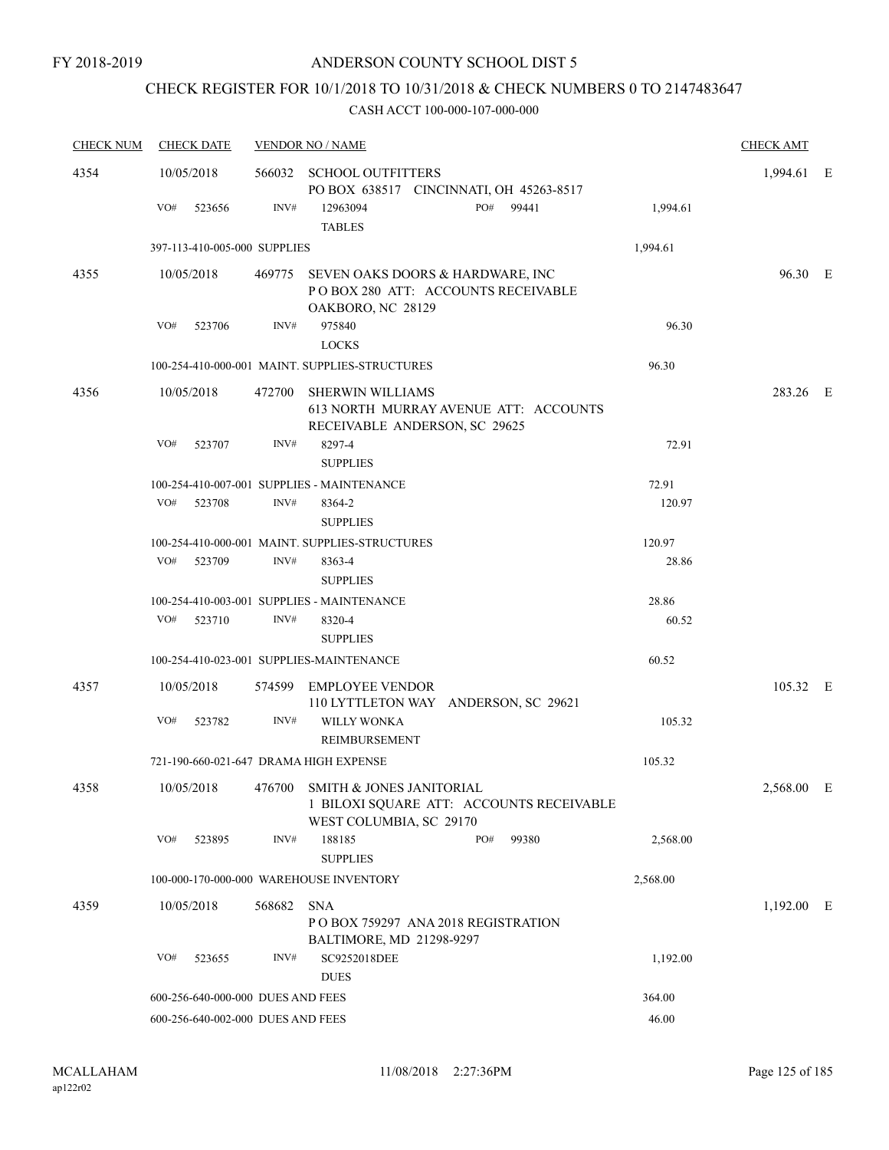# CHECK REGISTER FOR 10/1/2018 TO 10/31/2018 & CHECK NUMBERS 0 TO 2147483647

| <b>CHECK NUM</b> | <b>CHECK DATE</b>                      |        | <b>VENDOR NO / NAME</b>                                                                                |          | <b>CHECK AMT</b> |  |
|------------------|----------------------------------------|--------|--------------------------------------------------------------------------------------------------------|----------|------------------|--|
| 4354             | 10/05/2018                             |        | 566032 SCHOOL OUTFITTERS                                                                               |          | 1,994.61 E       |  |
|                  | VO#<br>523656                          | INV#   | PO BOX 638517 CINCINNATI, OH 45263-8517<br>12963094<br>PO#<br>99441<br><b>TABLES</b>                   | 1,994.61 |                  |  |
|                  | 397-113-410-005-000 SUPPLIES           |        |                                                                                                        | 1,994.61 |                  |  |
| 4355             | 10/05/2018                             |        | 469775 SEVEN OAKS DOORS & HARDWARE, INC<br>POBOX 280 ATT: ACCOUNTS RECEIVABLE<br>OAKBORO, NC 28129     |          | 96.30 E          |  |
|                  | VO#<br>523706                          | INV#   | 975840<br><b>LOCKS</b>                                                                                 | 96.30    |                  |  |
|                  |                                        |        | 100-254-410-000-001 MAINT. SUPPLIES-STRUCTURES                                                         | 96.30    |                  |  |
| 4356             | 10/05/2018                             |        | 472700 SHERWIN WILLIAMS<br>613 NORTH MURRAY AVENUE ATT: ACCOUNTS<br>RECEIVABLE ANDERSON, SC 29625      |          | 283.26 E         |  |
|                  | VO#<br>523707                          | INV#   | 8297-4<br><b>SUPPLIES</b>                                                                              | 72.91    |                  |  |
|                  |                                        |        | 100-254-410-007-001 SUPPLIES - MAINTENANCE                                                             | 72.91    |                  |  |
|                  | VO#<br>523708                          | INV#   | 8364-2<br><b>SUPPLIES</b>                                                                              | 120.97   |                  |  |
|                  |                                        |        | 100-254-410-000-001 MAINT. SUPPLIES-STRUCTURES                                                         | 120.97   |                  |  |
|                  | VO#<br>523709                          | INV#   | 8363-4<br><b>SUPPLIES</b>                                                                              | 28.86    |                  |  |
|                  |                                        |        | 100-254-410-003-001 SUPPLIES - MAINTENANCE                                                             | 28.86    |                  |  |
|                  | VO#<br>523710                          | INV#   | 8320-4<br><b>SUPPLIES</b>                                                                              | 60.52    |                  |  |
|                  |                                        |        | 100-254-410-023-001 SUPPLIES-MAINTENANCE                                                               | 60.52    |                  |  |
| 4357             | 10/05/2018                             |        | 574599 EMPLOYEE VENDOR<br>110 LYTTLETON WAY ANDERSON, SC 29621                                         |          | 105.32 E         |  |
|                  | VO#<br>523782                          | INV#   | <b>WILLY WONKA</b><br>REIMBURSEMENT                                                                    | 105.32   |                  |  |
|                  | 721-190-660-021-647 DRAMA HIGH EXPENSE |        |                                                                                                        | 105.32   |                  |  |
| 4358             | 10/05/2018                             |        | 476700 SMITH & JONES JANITORIAL<br>1 BILOXI SQUARE ATT: ACCOUNTS RECEIVABLE<br>WEST COLUMBIA, SC 29170 |          | 2,568.00 E       |  |
|                  | VO#<br>523895                          | INV#   | 188185<br>99380<br>PO#<br><b>SUPPLIES</b>                                                              | 2,568.00 |                  |  |
|                  |                                        |        | 100-000-170-000-000 WAREHOUSE INVENTORY                                                                | 2,568.00 |                  |  |
| 4359             | 10/05/2018                             | 568682 | <b>SNA</b><br>POBOX 759297 ANA 2018 REGISTRATION<br>BALTIMORE, MD 21298-9297                           |          | $1,192.00$ E     |  |
|                  | VO#<br>523655                          | INV#   | SC9252018DEE<br><b>DUES</b>                                                                            | 1,192.00 |                  |  |
|                  | 600-256-640-000-000 DUES AND FEES      |        |                                                                                                        | 364.00   |                  |  |
|                  | 600-256-640-002-000 DUES AND FEES      |        |                                                                                                        | 46.00    |                  |  |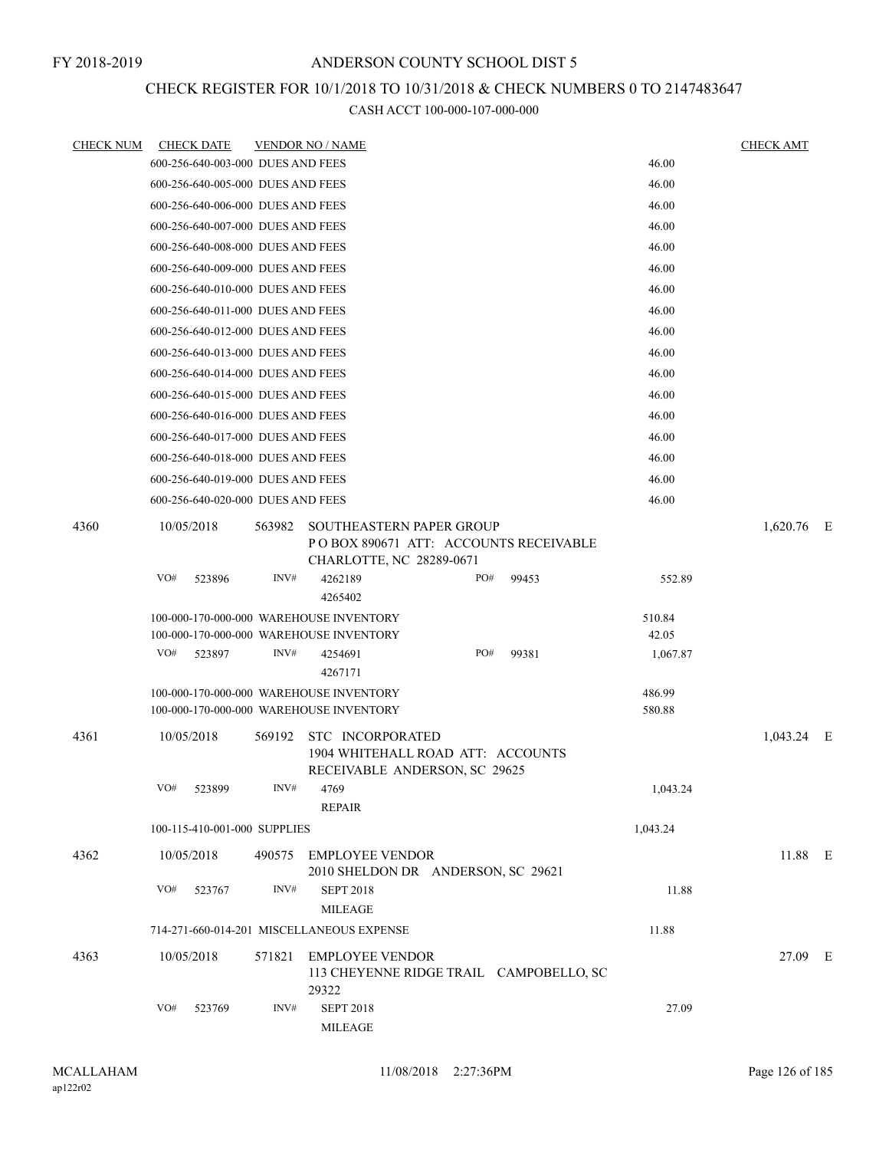## CHECK REGISTER FOR 10/1/2018 TO 10/31/2018 & CHECK NUMBERS 0 TO 2147483647

| <b>CHECK NUM</b> | <b>CHECK DATE</b>                       |      | <b>VENDOR NO / NAME</b>                                                                               |     |       |          | <u>CHECK AMT</u> |  |
|------------------|-----------------------------------------|------|-------------------------------------------------------------------------------------------------------|-----|-------|----------|------------------|--|
|                  | 600-256-640-003-000 DUES AND FEES       |      |                                                                                                       |     |       | 46.00    |                  |  |
|                  | 600-256-640-005-000 DUES AND FEES       |      |                                                                                                       |     |       | 46.00    |                  |  |
|                  | 600-256-640-006-000 DUES AND FEES       |      |                                                                                                       |     |       | 46.00    |                  |  |
|                  | 600-256-640-007-000 DUES AND FEES       |      |                                                                                                       |     |       | 46.00    |                  |  |
|                  | 600-256-640-008-000 DUES AND FEES       |      |                                                                                                       |     |       | 46.00    |                  |  |
|                  | 600-256-640-009-000 DUES AND FEES       |      |                                                                                                       |     |       | 46.00    |                  |  |
|                  | 600-256-640-010-000 DUES AND FEES       |      |                                                                                                       |     |       | 46.00    |                  |  |
|                  | 600-256-640-011-000 DUES AND FEES       |      |                                                                                                       |     |       | 46.00    |                  |  |
|                  | 600-256-640-012-000 DUES AND FEES       |      |                                                                                                       |     |       | 46.00    |                  |  |
|                  | 600-256-640-013-000 DUES AND FEES       |      |                                                                                                       |     |       | 46.00    |                  |  |
|                  | 600-256-640-014-000 DUES AND FEES       |      |                                                                                                       |     |       | 46.00    |                  |  |
|                  | 600-256-640-015-000 DUES AND FEES       |      |                                                                                                       |     |       | 46.00    |                  |  |
|                  | 600-256-640-016-000 DUES AND FEES       |      |                                                                                                       |     |       | 46.00    |                  |  |
|                  | 600-256-640-017-000 DUES AND FEES       |      |                                                                                                       |     |       | 46.00    |                  |  |
|                  | 600-256-640-018-000 DUES AND FEES       |      |                                                                                                       |     |       | 46.00    |                  |  |
|                  | 600-256-640-019-000 DUES AND FEES       |      |                                                                                                       |     |       | 46.00    |                  |  |
|                  | 600-256-640-020-000 DUES AND FEES       |      |                                                                                                       |     |       | 46.00    |                  |  |
| 4360             | 10/05/2018                              |      | 563982 SOUTHEASTERN PAPER GROUP<br>PO BOX 890671 ATT: ACCOUNTS RECEIVABLE<br>CHARLOTTE, NC 28289-0671 |     |       |          | $1,620.76$ E     |  |
|                  | VO#<br>523896                           | INV# | 4262189<br>4265402                                                                                    | PO# | 99453 | 552.89   |                  |  |
|                  | 100-000-170-000-000 WAREHOUSE INVENTORY |      |                                                                                                       |     |       | 510.84   |                  |  |
|                  | 100-000-170-000-000 WAREHOUSE INVENTORY |      |                                                                                                       |     |       | 42.05    |                  |  |
|                  | VO#<br>523897                           | INV# | 4254691<br>4267171                                                                                    | PO# | 99381 | 1,067.87 |                  |  |
|                  | 100-000-170-000-000 WAREHOUSE INVENTORY |      |                                                                                                       |     |       | 486.99   |                  |  |
|                  | 100-000-170-000-000 WAREHOUSE INVENTORY |      |                                                                                                       |     |       | 580.88   |                  |  |
| 4361             | 10/05/2018                              |      | 569192 STC INCORPORATED<br>1904 WHITEHALL ROAD ATT: ACCOUNTS<br>RECEIVABLE ANDERSON, SC 29625         |     |       |          | $1,043.24$ E     |  |
|                  | VO# 523899                              | INV# | 4769<br><b>REPAIR</b>                                                                                 |     |       | 1,043.24 |                  |  |
|                  | 100-115-410-001-000 SUPPLIES            |      |                                                                                                       |     |       | 1,043.24 |                  |  |
| 4362             | 10/05/2018                              |      | 490575 EMPLOYEE VENDOR<br>2010 SHELDON DR ANDERSON, SC 29621                                          |     |       |          | 11.88 E          |  |
|                  | VO#<br>523767                           | INV# | <b>SEPT 2018</b><br><b>MILEAGE</b>                                                                    |     |       | 11.88    |                  |  |
|                  |                                         |      | 714-271-660-014-201 MISCELLANEOUS EXPENSE                                                             |     |       | 11.88    |                  |  |
|                  |                                         |      |                                                                                                       |     |       |          |                  |  |
| 4363             | 10/05/2018                              |      | 571821 EMPLOYEE VENDOR<br>113 CHEYENNE RIDGE TRAIL CAMPOBELLO, SC<br>29322                            |     |       |          | 27.09 E          |  |
|                  | VO#<br>523769                           | INV# | <b>SEPT 2018</b><br><b>MILEAGE</b>                                                                    |     |       | 27.09    |                  |  |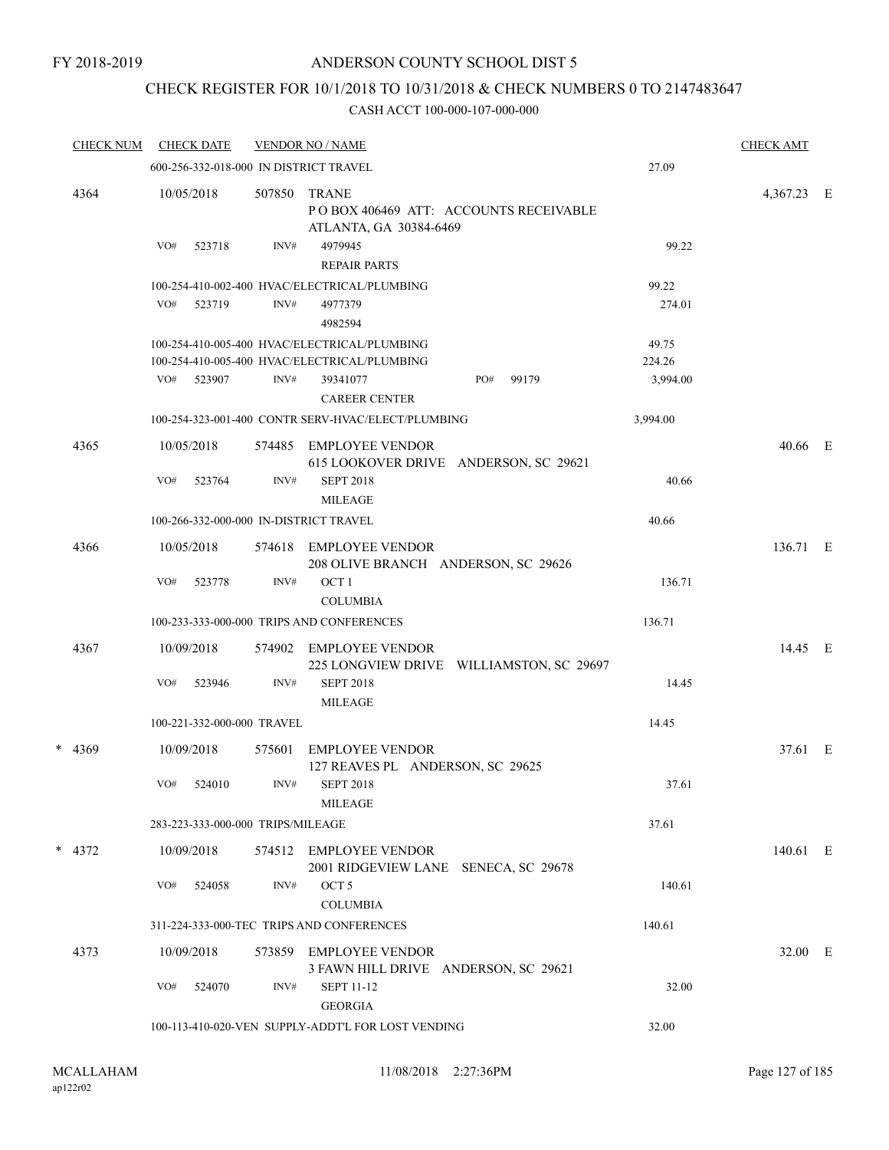## CHECK REGISTER FOR 10/1/2018 TO 10/31/2018 & CHECK NUMBERS 0 TO 2147483647

| <b>CHECK NUM</b> | <b>CHECK DATE</b>                      |        | <b>VENDOR NO / NAME</b>                                                    |                                          |          | <b>CHECK AMT</b> |  |
|------------------|----------------------------------------|--------|----------------------------------------------------------------------------|------------------------------------------|----------|------------------|--|
|                  | 600-256-332-018-000 IN DISTRICT TRAVEL |        |                                                                            |                                          | 27.09    |                  |  |
| 4364             | 10/05/2018                             | 507850 | <b>TRANE</b><br>ATLANTA, GA 30384-6469                                     | POBOX 406469 ATT: ACCOUNTS RECEIVABLE    |          | 4,367.23 E       |  |
|                  | VO#<br>523718                          | INV#   | 4979945<br><b>REPAIR PARTS</b>                                             |                                          | 99.22    |                  |  |
|                  |                                        |        | 100-254-410-002-400 HVAC/ELECTRICAL/PLUMBING                               |                                          | 99.22    |                  |  |
|                  | VO#<br>523719                          | INV#   | 4977379<br>4982594                                                         |                                          | 274.01   |                  |  |
|                  |                                        |        | 100-254-410-005-400 HVAC/ELECTRICAL/PLUMBING                               |                                          | 49.75    |                  |  |
|                  |                                        |        | 100-254-410-005-400 HVAC/ELECTRICAL/PLUMBING                               |                                          | 224.26   |                  |  |
|                  | VO#<br>523907                          | INV#   | 39341077                                                                   | PO#<br>99179                             | 3,994.00 |                  |  |
|                  |                                        |        | <b>CAREER CENTER</b><br>100-254-323-001-400 CONTR SERV-HVAC/ELECT/PLUMBING |                                          | 3,994.00 |                  |  |
|                  |                                        |        |                                                                            |                                          |          |                  |  |
| 4365             | 10/05/2018                             | 574485 | EMPLOYEE VENDOR<br>615 LOOKOVER DRIVE ANDERSON, SC 29621                   |                                          |          | 40.66 E          |  |
|                  | VO#<br>523764                          | INV#   | <b>SEPT 2018</b><br><b>MILEAGE</b>                                         |                                          | 40.66    |                  |  |
|                  | 100-266-332-000-000 IN-DISTRICT TRAVEL |        |                                                                            |                                          | 40.66    |                  |  |
| 4366             | 10/05/2018                             | 574618 | EMPLOYEE VENDOR<br>208 OLIVE BRANCH ANDERSON, SC 29626                     |                                          |          | 136.71 E         |  |
|                  | VO#<br>523778                          | INV#   | OCT <sub>1</sub>                                                           |                                          | 136.71   |                  |  |
|                  |                                        |        | <b>COLUMBIA</b>                                                            |                                          |          |                  |  |
|                  |                                        |        | 100-233-333-000-000 TRIPS AND CONFERENCES                                  |                                          | 136.71   |                  |  |
| 4367             | 10/09/2018                             | 574902 | <b>EMPLOYEE VENDOR</b>                                                     | 225 LONGVIEW DRIVE WILLIAMSTON, SC 29697 |          | 14.45 E          |  |
|                  | VO#<br>523946                          | INV#   | <b>SEPT 2018</b><br><b>MILEAGE</b>                                         |                                          | 14.45    |                  |  |
|                  | 100-221-332-000-000 TRAVEL             |        |                                                                            |                                          | 14.45    |                  |  |
| $* 4369$         | 10/09/2018                             | 575601 | <b>EMPLOYEE VENDOR</b><br>127 REAVES PL ANDERSON, SC 29625                 |                                          |          | 37.61 E          |  |
|                  | VO# 524010                             | INV#   | <b>SEPT 2018</b><br><b>MILEAGE</b>                                         |                                          | 37.61    |                  |  |
|                  | 283-223-333-000-000 TRIPS/MILEAGE      |        |                                                                            |                                          | 37.61    |                  |  |
| * 4372           | 10/09/2018                             |        | 574512 EMPLOYEE VENDOR<br>2001 RIDGEVIEW LANE SENECA, SC 29678             |                                          |          | 140.61 E         |  |
|                  | VO#<br>524058                          | INV#   | OCT <sub>5</sub><br><b>COLUMBIA</b>                                        |                                          | 140.61   |                  |  |
|                  |                                        |        | 311-224-333-000-TEC TRIPS AND CONFERENCES                                  |                                          | 140.61   |                  |  |
| 4373             | 10/09/2018                             |        | 573859 EMPLOYEE VENDOR                                                     |                                          |          | 32.00 E          |  |
|                  | VO#<br>524070                          | INV#   | 3 FAWN HILL DRIVE ANDERSON, SC 29621<br><b>SEPT 11-12</b>                  |                                          | 32.00    |                  |  |
|                  |                                        |        | <b>GEORGIA</b><br>100-113-410-020-VEN SUPPLY-ADDT'L FOR LOST VENDING       |                                          | 32.00    |                  |  |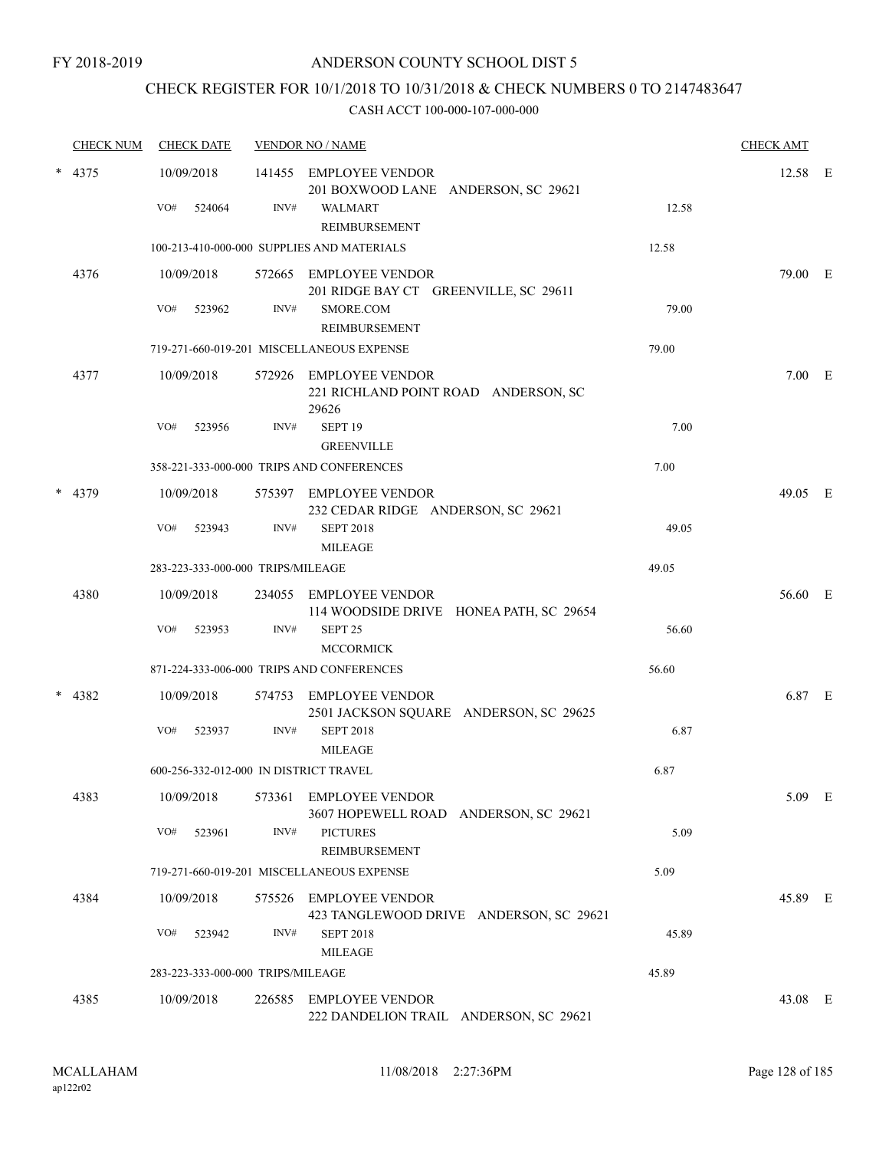# CHECK REGISTER FOR 10/1/2018 TO 10/31/2018 & CHECK NUMBERS 0 TO 2147483647

|   | <b>CHECK NUM</b> |     | <b>CHECK DATE</b>                 |        | <b>VENDOR NO / NAME</b>                                                 |       | <b>CHECK AMT</b> |  |
|---|------------------|-----|-----------------------------------|--------|-------------------------------------------------------------------------|-------|------------------|--|
| * | 4375             |     | 10/09/2018                        |        | 141455 EMPLOYEE VENDOR<br>201 BOXWOOD LANE ANDERSON, SC 29621           |       | 12.58 E          |  |
|   |                  | VO# | 524064                            | INV#   | <b>WALMART</b><br>REIMBURSEMENT                                         | 12.58 |                  |  |
|   |                  |     |                                   |        | 100-213-410-000-000 SUPPLIES AND MATERIALS                              | 12.58 |                  |  |
|   | 4376             |     | 10/09/2018                        |        | 572665 EMPLOYEE VENDOR<br>201 RIDGE BAY CT GREENVILLE, SC 29611         |       | 79.00 E          |  |
|   |                  | VO# | 523962                            | INV#   | SMORE.COM<br><b>REIMBURSEMENT</b>                                       | 79.00 |                  |  |
|   |                  |     |                                   |        | 719-271-660-019-201 MISCELLANEOUS EXPENSE                               | 79.00 |                  |  |
|   | 4377             |     | 10/09/2018                        |        | 572926 EMPLOYEE VENDOR<br>221 RICHLAND POINT ROAD ANDERSON, SC<br>29626 |       | $7.00$ E         |  |
|   |                  | VO# | 523956                            | INV#   | SEPT <sub>19</sub><br><b>GREENVILLE</b>                                 | 7.00  |                  |  |
|   |                  |     |                                   |        | 358-221-333-000-000 TRIPS AND CONFERENCES                               | 7.00  |                  |  |
|   | 4379             |     | 10/09/2018                        |        | 575397 EMPLOYEE VENDOR<br>232 CEDAR RIDGE ANDERSON, SC 29621            |       | 49.05 E          |  |
|   |                  | VO# | 523943                            | INV#   | <b>SEPT 2018</b><br><b>MILEAGE</b>                                      | 49.05 |                  |  |
|   |                  |     | 283-223-333-000-000 TRIPS/MILEAGE |        |                                                                         | 49.05 |                  |  |
|   | 4380             |     | 10/09/2018                        |        | 234055 EMPLOYEE VENDOR<br>114 WOODSIDE DRIVE HONEA PATH, SC 29654       |       | 56.60 E          |  |
|   |                  | VO# | 523953                            | INV#   | SEPT <sub>25</sub><br><b>MCCORMICK</b>                                  | 56.60 |                  |  |
|   |                  |     |                                   |        | 871-224-333-006-000 TRIPS AND CONFERENCES                               | 56.60 |                  |  |
| * | 4382             |     | 10/09/2018                        |        | 574753 EMPLOYEE VENDOR<br>2501 JACKSON SQUARE ANDERSON, SC 29625        |       | 6.87 E           |  |
|   |                  | VO# | 523937                            | INV#   | <b>SEPT 2018</b><br><b>MILEAGE</b>                                      | 6.87  |                  |  |
|   |                  |     |                                   |        | 600-256-332-012-000 IN DISTRICT TRAVEL                                  | 6.87  |                  |  |
|   | 4383             |     | 10/09/2018                        | 573361 | <b>EMPLOYEE VENDOR</b><br>3607 HOPEWELL ROAD ANDERSON, SC 29621         |       | 5.09 E           |  |
|   |                  | VO# | 523961                            | INV#   | <b>PICTURES</b><br>REIMBURSEMENT                                        | 5.09  |                  |  |
|   |                  |     |                                   |        | 719-271-660-019-201 MISCELLANEOUS EXPENSE                               | 5.09  |                  |  |
|   | 4384             |     | 10/09/2018                        |        | 575526 EMPLOYEE VENDOR<br>423 TANGLEWOOD DRIVE ANDERSON, SC 29621       |       | 45.89 E          |  |
|   |                  | VO# | 523942                            | INV#   | <b>SEPT 2018</b>                                                        | 45.89 |                  |  |
|   |                  |     |                                   |        | <b>MILEAGE</b>                                                          |       |                  |  |
|   |                  |     | 283-223-333-000-000 TRIPS/MILEAGE |        |                                                                         | 45.89 |                  |  |
|   | 4385             |     | 10/09/2018                        |        | 226585 EMPLOYEE VENDOR<br>222 DANDELION TRAIL ANDERSON, SC 29621        |       | 43.08 E          |  |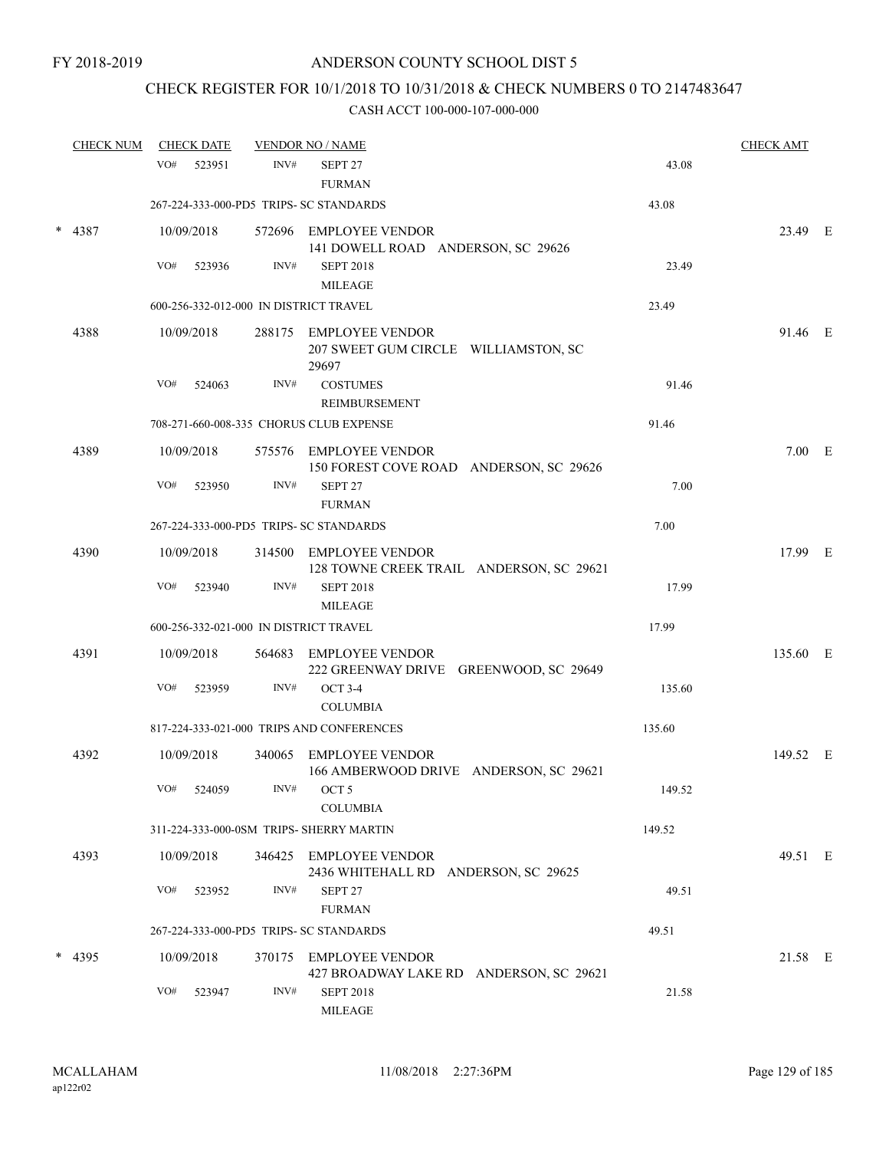# CHECK REGISTER FOR 10/1/2018 TO 10/31/2018 & CHECK NUMBERS 0 TO 2147483647

| <b>CHECK NUM</b> |     | <b>CHECK DATE</b> |        | <b>VENDOR NO / NAME</b>                                                 |        | <b>CHECK AMT</b> |  |
|------------------|-----|-------------------|--------|-------------------------------------------------------------------------|--------|------------------|--|
|                  | VO# | 523951            | INV#   | SEPT <sub>27</sub><br><b>FURMAN</b>                                     | 43.08  |                  |  |
|                  |     |                   |        | 267-224-333-000-PD5 TRIPS- SC STANDARDS                                 | 43.08  |                  |  |
| $* 4387$         |     | 10/09/2018        |        | 572696 EMPLOYEE VENDOR<br>141 DOWELL ROAD ANDERSON, SC 29626            |        | 23.49 E          |  |
|                  | VO# | 523936            | INV#   | <b>SEPT 2018</b><br><b>MILEAGE</b>                                      | 23.49  |                  |  |
|                  |     |                   |        | 600-256-332-012-000 IN DISTRICT TRAVEL                                  | 23.49  |                  |  |
| 4388             |     | 10/09/2018        |        | 288175 EMPLOYEE VENDOR<br>207 SWEET GUM CIRCLE WILLIAMSTON, SC<br>29697 |        | 91.46 E          |  |
|                  | VO# | 524063            | INV#   | <b>COSTUMES</b><br>REIMBURSEMENT                                        | 91.46  |                  |  |
|                  |     |                   |        | 708-271-660-008-335 CHORUS CLUB EXPENSE                                 | 91.46  |                  |  |
| 4389             |     | 10/09/2018        |        | 575576 EMPLOYEE VENDOR<br>150 FOREST COVE ROAD ANDERSON, SC 29626       |        | 7.00 E           |  |
|                  | VO# | 523950            | INV#   | SEPT <sub>27</sub><br><b>FURMAN</b>                                     | 7.00   |                  |  |
|                  |     |                   |        | 267-224-333-000-PD5 TRIPS- SC STANDARDS                                 | 7.00   |                  |  |
| 4390             |     | 10/09/2018        |        | 314500 EMPLOYEE VENDOR<br>128 TOWNE CREEK TRAIL ANDERSON, SC 29621      |        | 17.99 E          |  |
|                  | VO# | 523940            | INV#   | <b>SEPT 2018</b><br><b>MILEAGE</b>                                      | 17.99  |                  |  |
|                  |     |                   |        | 600-256-332-021-000 IN DISTRICT TRAVEL                                  | 17.99  |                  |  |
| 4391             |     | 10/09/2018        | 564683 | EMPLOYEE VENDOR<br>222 GREENWAY DRIVE GREENWOOD, SC 29649               |        | 135.60 E         |  |
|                  | VO# | 523959            | INV#   | <b>OCT 3-4</b><br><b>COLUMBIA</b>                                       | 135.60 |                  |  |
|                  |     |                   |        | 817-224-333-021-000 TRIPS AND CONFERENCES                               | 135.60 |                  |  |
| 4392             |     | 10/09/2018        |        | 340065 EMPLOYEE VENDOR<br>166 AMBERWOOD DRIVE ANDERSON, SC 29621        |        | 149.52 E         |  |
|                  |     | VO# 524059        | INV#   | OCT 5<br><b>COLUMBIA</b>                                                | 149.52 |                  |  |
|                  |     |                   |        | 311-224-333-000-0SM TRIPS- SHERRY MARTIN                                | 149.52 |                  |  |
| 4393             |     | 10/09/2018        |        | 346425 EMPLOYEE VENDOR<br>2436 WHITEHALL RD ANDERSON, SC 29625          |        | 49.51 E          |  |
|                  | VO# | 523952            | INV#   | SEPT <sub>27</sub><br><b>FURMAN</b>                                     | 49.51  |                  |  |
|                  |     |                   |        | 267-224-333-000-PD5 TRIPS- SC STANDARDS                                 | 49.51  |                  |  |
| $*$ 4395         |     | 10/09/2018        |        | 370175 EMPLOYEE VENDOR<br>427 BROADWAY LAKE RD ANDERSON, SC 29621       |        | 21.58 E          |  |
|                  | VO# | 523947            | INV#   | <b>SEPT 2018</b><br><b>MILEAGE</b>                                      | 21.58  |                  |  |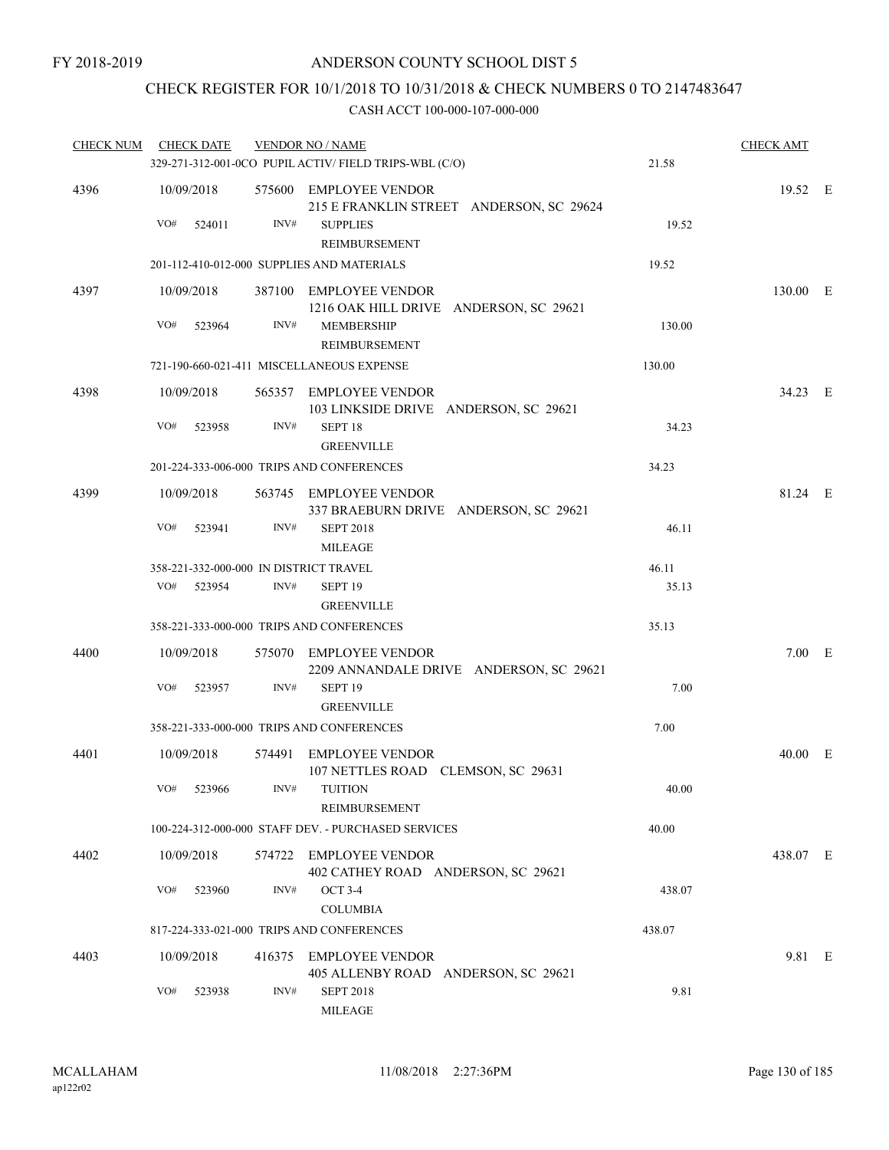# CHECK REGISTER FOR 10/1/2018 TO 10/31/2018 & CHECK NUMBERS 0 TO 2147483647

| <b>CHECK NUM</b> | <b>CHECK DATE</b> |                                        | <b>VENDOR NO / NAME</b>                                            |        | <b>CHECK AMT</b> |  |
|------------------|-------------------|----------------------------------------|--------------------------------------------------------------------|--------|------------------|--|
|                  |                   |                                        | 329-271-312-001-0CO PUPIL ACTIV/ FIELD TRIPS-WBL (C/O)             | 21.58  |                  |  |
| 4396             | 10/09/2018        |                                        | 575600 EMPLOYEE VENDOR<br>215 E FRANKLIN STREET ANDERSON, SC 29624 |        | 19.52 E          |  |
|                  | VO#               | 524011<br>INV#                         | <b>SUPPLIES</b><br>REIMBURSEMENT                                   | 19.52  |                  |  |
|                  |                   |                                        | 201-112-410-012-000 SUPPLIES AND MATERIALS                         | 19.52  |                  |  |
| 4397             | 10/09/2018        |                                        | 387100 EMPLOYEE VENDOR<br>1216 OAK HILL DRIVE ANDERSON, SC 29621   |        | 130.00 E         |  |
|                  | VO#               | INV#<br>523964                         | <b>MEMBERSHIP</b><br>REIMBURSEMENT                                 | 130.00 |                  |  |
|                  |                   |                                        | 721-190-660-021-411 MISCELLANEOUS EXPENSE                          | 130.00 |                  |  |
| 4398             | 10/09/2018        |                                        | 565357 EMPLOYEE VENDOR<br>103 LINKSIDE DRIVE ANDERSON, SC 29621    |        | 34.23 E          |  |
|                  | VO#               | INV#<br>523958                         | SEPT <sub>18</sub><br><b>GREENVILLE</b>                            | 34.23  |                  |  |
|                  |                   |                                        | 201-224-333-006-000 TRIPS AND CONFERENCES                          | 34.23  |                  |  |
| 4399             | 10/09/2018        |                                        | 563745 EMPLOYEE VENDOR<br>337 BRAEBURN DRIVE ANDERSON, SC 29621    |        | 81.24 E          |  |
|                  | VO#               | INV#<br>523941                         | <b>SEPT 2018</b><br><b>MILEAGE</b>                                 | 46.11  |                  |  |
|                  |                   | 358-221-332-000-000 IN DISTRICT TRAVEL |                                                                    | 46.11  |                  |  |
|                  | VO# 523954        | INV#                                   | SEPT <sub>19</sub><br><b>GREENVILLE</b>                            | 35.13  |                  |  |
|                  |                   |                                        | 358-221-333-000-000 TRIPS AND CONFERENCES                          | 35.13  |                  |  |
| 4400             | 10/09/2018        |                                        | 575070 EMPLOYEE VENDOR<br>2209 ANNANDALE DRIVE ANDERSON, SC 29621  |        | 7.00 E           |  |
|                  | VO#               | 523957<br>INV#                         | SEPT <sub>19</sub><br><b>GREENVILLE</b>                            | 7.00   |                  |  |
|                  |                   |                                        | 358-221-333-000-000 TRIPS AND CONFERENCES                          | 7.00   |                  |  |
| 4401             | 10/09/2018        |                                        | 574491 EMPLOYEE VENDOR<br>107 NETTLES ROAD CLEMSON, SC 29631       |        | 40.00 E          |  |
|                  | VO# 523966        |                                        | INV# TUITION<br>REIMBURSEMENT                                      | 40.00  |                  |  |
|                  |                   |                                        | 100-224-312-000-000 STAFF DEV. - PURCHASED SERVICES                | 40.00  |                  |  |
| 4402             | 10/09/2018        |                                        | 574722 EMPLOYEE VENDOR<br>402 CATHEY ROAD ANDERSON, SC 29621       |        | 438.07 E         |  |
|                  | VO#               | 523960<br>INV#                         | $OCT$ 3-4<br><b>COLUMBIA</b>                                       | 438.07 |                  |  |
|                  |                   |                                        | 817-224-333-021-000 TRIPS AND CONFERENCES                          | 438.07 |                  |  |
| 4403             | 10/09/2018        |                                        | 416375 EMPLOYEE VENDOR<br>405 ALLENBY ROAD ANDERSON, SC 29621      |        | 9.81 E           |  |
|                  | VO#               | 523938<br>INV#                         | <b>SEPT 2018</b><br><b>MILEAGE</b>                                 | 9.81   |                  |  |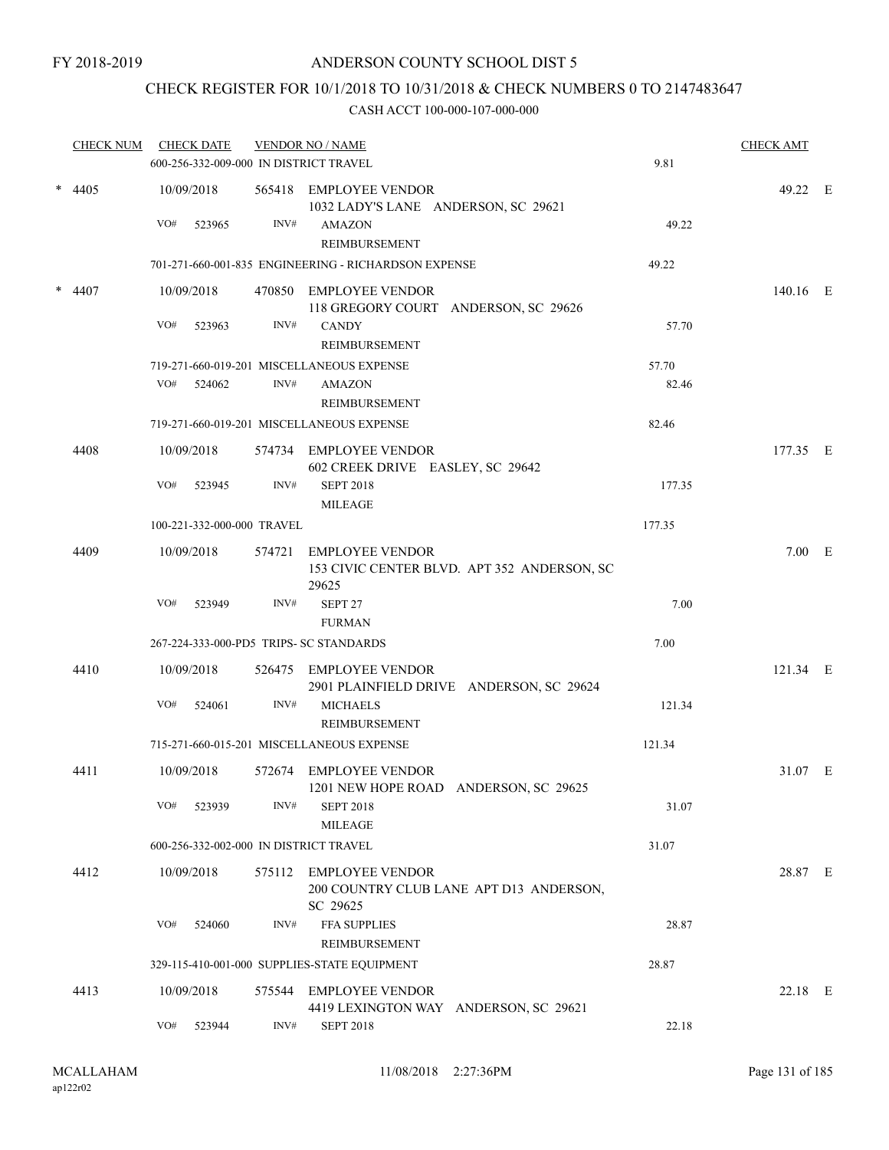# CHECK REGISTER FOR 10/1/2018 TO 10/31/2018 & CHECK NUMBERS 0 TO 2147483647

|   | <b>CHECK NUM</b> |     | <b>CHECK DATE</b>          |      | <b>VENDOR NO / NAME</b><br>600-256-332-009-000 IN DISTRICT TRAVEL              | 9.81   | <b>CHECK AMT</b> |  |
|---|------------------|-----|----------------------------|------|--------------------------------------------------------------------------------|--------|------------------|--|
|   | $* 4405$         | VO# | 10/09/2018<br>523965       | INV# | 565418 EMPLOYEE VENDOR<br>1032 LADY'S LANE ANDERSON, SC 29621<br><b>AMAZON</b> | 49.22  | 49.22 E          |  |
|   |                  |     |                            |      | REIMBURSEMENT<br>701-271-660-001-835 ENGINEERING - RICHARDSON EXPENSE          | 49.22  |                  |  |
| * | 4407             |     | 10/09/2018                 |      | 470850 EMPLOYEE VENDOR                                                         |        | 140.16 E         |  |
|   |                  | VO# | 523963                     | INV# | 118 GREGORY COURT ANDERSON, SC 29626<br><b>CANDY</b>                           | 57.70  |                  |  |
|   |                  |     |                            |      | REIMBURSEMENT                                                                  |        |                  |  |
|   |                  |     |                            |      | 719-271-660-019-201 MISCELLANEOUS EXPENSE                                      | 57.70  |                  |  |
|   |                  | VO# | 524062                     | INV# | <b>AMAZON</b><br>REIMBURSEMENT                                                 | 82.46  |                  |  |
|   |                  |     |                            |      | 719-271-660-019-201 MISCELLANEOUS EXPENSE                                      | 82.46  |                  |  |
|   | 4408             |     | 10/09/2018                 |      | 574734 EMPLOYEE VENDOR<br>602 CREEK DRIVE EASLEY, SC 29642                     |        | 177.35 E         |  |
|   |                  | VO# | 523945                     | INV# | <b>SEPT 2018</b><br><b>MILEAGE</b>                                             | 177.35 |                  |  |
|   |                  |     | 100-221-332-000-000 TRAVEL |      |                                                                                | 177.35 |                  |  |
|   | 4409             |     | 10/09/2018                 |      | 574721 EMPLOYEE VENDOR<br>153 CIVIC CENTER BLVD. APT 352 ANDERSON, SC<br>29625 |        | $7.00$ E         |  |
|   |                  | VO# | 523949                     | INV# | SEPT 27<br><b>FURMAN</b>                                                       | 7.00   |                  |  |
|   |                  |     |                            |      | 267-224-333-000-PD5 TRIPS- SC STANDARDS                                        | 7.00   |                  |  |
|   | 4410             |     | 10/09/2018                 |      | 526475 EMPLOYEE VENDOR<br>2901 PLAINFIELD DRIVE ANDERSON, SC 29624             |        | 121.34 E         |  |
|   |                  | VO# | 524061                     | INV# | <b>MICHAELS</b><br>REIMBURSEMENT                                               | 121.34 |                  |  |
|   |                  |     |                            |      | 715-271-660-015-201 MISCELLANEOUS EXPENSE                                      | 121.34 |                  |  |
|   | 4411             |     | 10/09/2018                 |      | 572674 EMPLOYEE VENDOR<br>1201 NEW HOPE ROAD ANDERSON, SC 29625                |        | 31.07 E          |  |
|   |                  | VO# | 523939                     | INV# | <b>SEPT 2018</b><br><b>MILEAGE</b>                                             | 31.07  |                  |  |
|   |                  |     |                            |      | 600-256-332-002-000 IN DISTRICT TRAVEL                                         | 31.07  |                  |  |
|   | 4412             |     | 10/09/2018                 |      | 575112 EMPLOYEE VENDOR<br>200 COUNTRY CLUB LANE APT D13 ANDERSON,<br>SC 29625  |        | 28.87 E          |  |
|   |                  | VO# | 524060                     | INV# | <b>FFA SUPPLIES</b><br>REIMBURSEMENT                                           | 28.87  |                  |  |
|   |                  |     |                            |      | 329-115-410-001-000 SUPPLIES-STATE EQUIPMENT                                   | 28.87  |                  |  |
|   | 4413             |     | 10/09/2018                 |      | 575544 EMPLOYEE VENDOR<br>4419 LEXINGTON WAY ANDERSON, SC 29621                |        | 22.18 E          |  |
|   |                  | VO# | 523944                     | INV# | <b>SEPT 2018</b>                                                               | 22.18  |                  |  |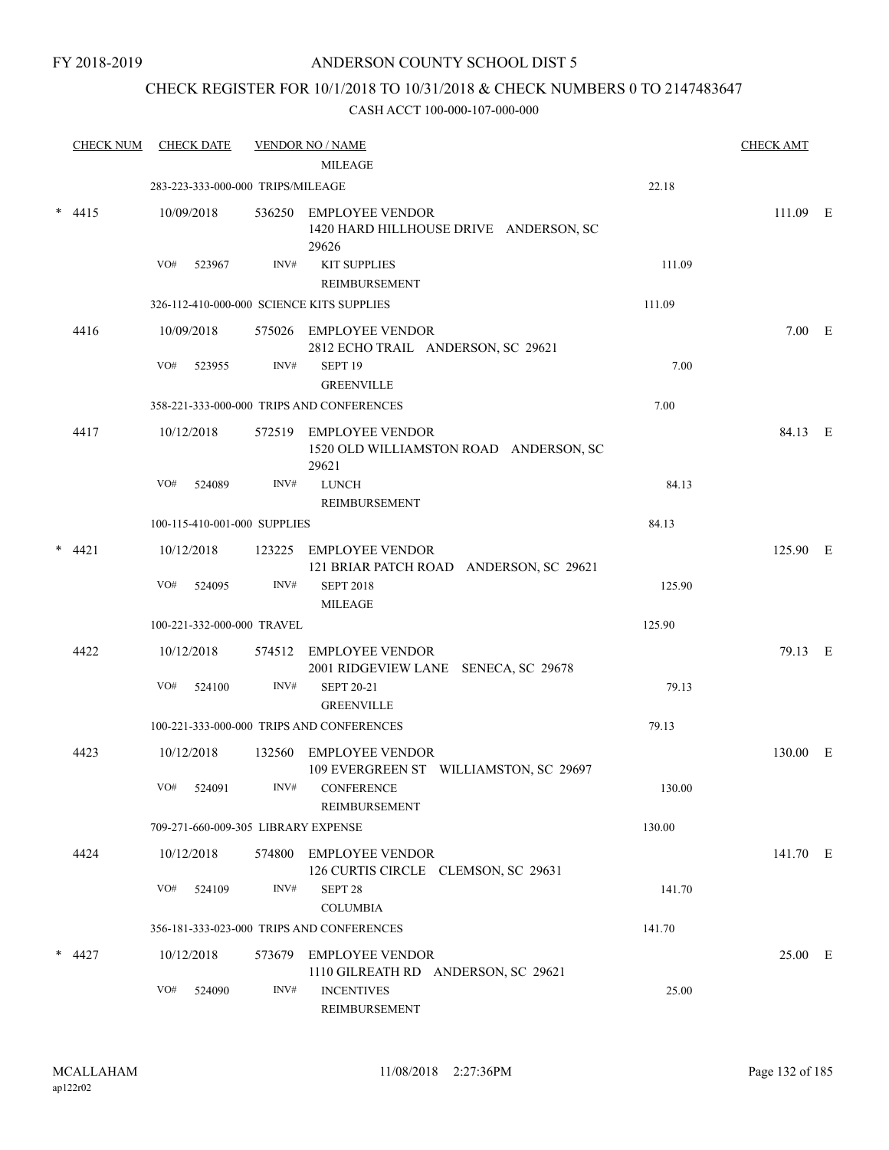FY 2018-2019

#### ANDERSON COUNTY SCHOOL DIST 5

## CHECK REGISTER FOR 10/1/2018 TO 10/31/2018 & CHECK NUMBERS 0 TO 2147483647

| <b>CHECK NUM</b> |     | <b>CHECK DATE</b>                 |      | <b>VENDOR NO / NAME</b><br><b>MILEAGE</b>                                 |        | <b>CHECK AMT</b> |  |
|------------------|-----|-----------------------------------|------|---------------------------------------------------------------------------|--------|------------------|--|
|                  |     | 283-223-333-000-000 TRIPS/MILEAGE |      |                                                                           | 22.18  |                  |  |
| $* 4415$         |     | 10/09/2018                        |      | 536250 EMPLOYEE VENDOR<br>1420 HARD HILLHOUSE DRIVE ANDERSON, SC<br>29626 |        | 111.09 E         |  |
|                  | VO# | 523967                            | INV# | <b>KIT SUPPLIES</b><br>REIMBURSEMENT                                      | 111.09 |                  |  |
|                  |     |                                   |      | 326-112-410-000-000 SCIENCE KITS SUPPLIES                                 | 111.09 |                  |  |
| 4416             |     | 10/09/2018                        |      | 575026 EMPLOYEE VENDOR<br>2812 ECHO TRAIL ANDERSON, SC 29621              |        | 7.00 E           |  |
|                  | VO# | 523955                            | INV# | SEPT <sub>19</sub><br><b>GREENVILLE</b>                                   | 7.00   |                  |  |
|                  |     |                                   |      | 358-221-333-000-000 TRIPS AND CONFERENCES                                 | 7.00   |                  |  |
| 4417             |     | 10/12/2018                        |      | 572519 EMPLOYEE VENDOR<br>1520 OLD WILLIAMSTON ROAD ANDERSON, SC<br>29621 |        | 84.13 E          |  |
|                  | VO# | 524089                            | INV# | <b>LUNCH</b><br>REIMBURSEMENT                                             | 84.13  |                  |  |
|                  |     | 100-115-410-001-000 SUPPLIES      |      |                                                                           | 84.13  |                  |  |
| 4421             |     | 10/12/2018                        |      | 123225 EMPLOYEE VENDOR<br>121 BRIAR PATCH ROAD ANDERSON, SC 29621         |        | 125.90 E         |  |
|                  | VO# | 524095                            | INV# | <b>SEPT 2018</b><br><b>MILEAGE</b>                                        | 125.90 |                  |  |
|                  |     | 100-221-332-000-000 TRAVEL        |      |                                                                           | 125.90 |                  |  |
| 4422             |     | 10/12/2018                        |      | 574512 EMPLOYEE VENDOR<br>2001 RIDGEVIEW LANE SENECA, SC 29678            |        | 79.13 E          |  |
|                  | VO# | 524100                            | INV# | <b>SEPT 20-21</b><br><b>GREENVILLE</b>                                    | 79.13  |                  |  |
|                  |     |                                   |      | 100-221-333-000-000 TRIPS AND CONFERENCES                                 | 79.13  |                  |  |
| 4423             |     | 10/12/2018                        |      | 132560 EMPLOYEE VENDOR<br>109 EVERGREEN ST WILLIAMSTON, SC 29697          |        | 130.00 E         |  |
|                  |     | VO# 524091                        |      | INV# CONFERENCE<br>REIMBURSEMENT                                          | 130.00 |                  |  |
|                  |     |                                   |      | 709-271-660-009-305 LIBRARY EXPENSE                                       | 130.00 |                  |  |
| 4424             |     | 10/12/2018                        |      | 574800 EMPLOYEE VENDOR<br>126 CURTIS CIRCLE CLEMSON, SC 29631             |        | 141.70 E         |  |
|                  |     | VO# 524109                        | INV# | SEPT 28<br><b>COLUMBIA</b>                                                | 141.70 |                  |  |
|                  |     |                                   |      | 356-181-333-023-000 TRIPS AND CONFERENCES                                 | 141.70 |                  |  |
| * 4427           |     | 10/12/2018                        |      | 573679 EMPLOYEE VENDOR<br>1110 GILREATH RD ANDERSON, SC 29621             |        | 25.00 E          |  |
|                  | VO# | 524090                            | INV# | <b>INCENTIVES</b><br>REIMBURSEMENT                                        | 25.00  |                  |  |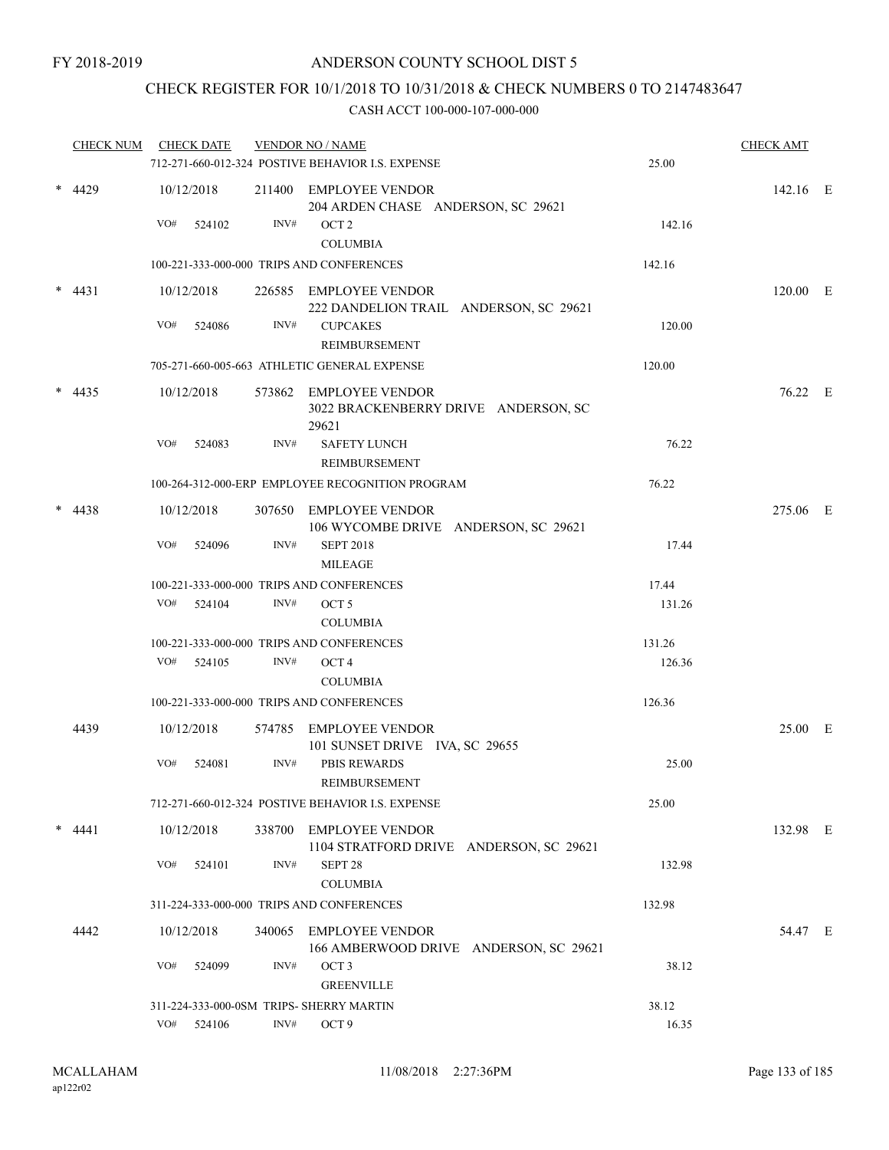## CHECK REGISTER FOR 10/1/2018 TO 10/31/2018 & CHECK NUMBERS 0 TO 2147483647

|   | CHECK NUM |     | <b>CHECK DATE</b> |      | <b>VENDOR NO / NAME</b><br>712-271-660-012-324 POSTIVE BEHAVIOR I.S. EXPENSE | 25.00  | <b>CHECK AMT</b> |  |
|---|-----------|-----|-------------------|------|------------------------------------------------------------------------------|--------|------------------|--|
|   |           |     |                   |      |                                                                              |        |                  |  |
|   | $*$ 4429  |     | 10/12/2018        |      | 211400 EMPLOYEE VENDOR<br>204 ARDEN CHASE ANDERSON, SC 29621                 |        | 142.16 E         |  |
|   |           | VO# | 524102            | INV# | OCT <sub>2</sub>                                                             | 142.16 |                  |  |
|   |           |     |                   |      | <b>COLUMBIA</b>                                                              |        |                  |  |
|   |           |     |                   |      | 100-221-333-000-000 TRIPS AND CONFERENCES                                    | 142.16 |                  |  |
|   | $*$ 4431  |     | 10/12/2018        |      | 226585 EMPLOYEE VENDOR                                                       |        | 120.00 E         |  |
|   |           |     |                   |      | 222 DANDELION TRAIL ANDERSON, SC 29621                                       |        |                  |  |
|   |           | VO# | 524086            | INV# | <b>CUPCAKES</b>                                                              | 120.00 |                  |  |
|   |           |     |                   |      | REIMBURSEMENT                                                                |        |                  |  |
|   |           |     |                   |      | 705-271-660-005-663 ATHLETIC GENERAL EXPENSE                                 | 120.00 |                  |  |
|   | 4435      |     | 10/12/2018        |      | 573862 EMPLOYEE VENDOR<br>3022 BRACKENBERRY DRIVE ANDERSON, SC<br>29621      |        | 76.22 E          |  |
|   |           | VO# | 524083            | INV# | <b>SAFETY LUNCH</b><br><b>REIMBURSEMENT</b>                                  | 76.22  |                  |  |
|   |           |     |                   |      | 100-264-312-000-ERP EMPLOYEE RECOGNITION PROGRAM                             | 76.22  |                  |  |
|   | 4438      |     | 10/12/2018        |      | 307650 EMPLOYEE VENDOR<br>106 WYCOMBE DRIVE ANDERSON, SC 29621               |        | 275.06 E         |  |
|   |           | VO# | 524096            | INV# | <b>SEPT 2018</b>                                                             | 17.44  |                  |  |
|   |           |     |                   |      | <b>MILEAGE</b>                                                               |        |                  |  |
|   |           |     |                   |      | 100-221-333-000-000 TRIPS AND CONFERENCES                                    | 17.44  |                  |  |
|   |           |     | VO# 524104        | INV# | OCT <sub>5</sub>                                                             | 131.26 |                  |  |
|   |           |     |                   |      | <b>COLUMBIA</b>                                                              |        |                  |  |
|   |           |     |                   |      | 100-221-333-000-000 TRIPS AND CONFERENCES                                    | 131.26 |                  |  |
|   |           | VO# | 524105            | INV# | OCT <sub>4</sub>                                                             | 126.36 |                  |  |
|   |           |     |                   |      | <b>COLUMBIA</b>                                                              |        |                  |  |
|   |           |     |                   |      | 100-221-333-000-000 TRIPS AND CONFERENCES                                    | 126.36 |                  |  |
|   | 4439      |     | 10/12/2018        |      | 574785 EMPLOYEE VENDOR<br>101 SUNSET DRIVE IVA, SC 29655                     |        | 25.00 E          |  |
|   |           | VO# | 524081            | INV# | <b>PBIS REWARDS</b><br>REIMBURSEMENT                                         | 25.00  |                  |  |
|   |           |     |                   |      | 712-271-660-012-324 POSTIVE BEHAVIOR I.S. EXPENSE                            | 25.00  |                  |  |
| * | 4441      |     | 10/12/2018        |      | 338700 EMPLOYEE VENDOR<br>1104 STRATFORD DRIVE ANDERSON, SC 29621            |        | 132.98 E         |  |
|   |           | VO# | 524101            | INV# | SEPT <sub>28</sub><br><b>COLUMBIA</b>                                        | 132.98 |                  |  |
|   |           |     |                   |      | 311-224-333-000-000 TRIPS AND CONFERENCES                                    | 132.98 |                  |  |
|   | 4442      |     | 10/12/2018        |      | 340065 EMPLOYEE VENDOR<br>166 AMBERWOOD DRIVE ANDERSON, SC 29621             |        | 54.47 E          |  |
|   |           | VO# | 524099            | INV# | OCT <sub>3</sub><br><b>GREENVILLE</b>                                        | 38.12  |                  |  |
|   |           |     |                   |      | 311-224-333-000-0SM TRIPS- SHERRY MARTIN                                     | 38.12  |                  |  |
|   |           |     | VO# 524106        | INV# | OCT <sub>9</sub>                                                             | 16.35  |                  |  |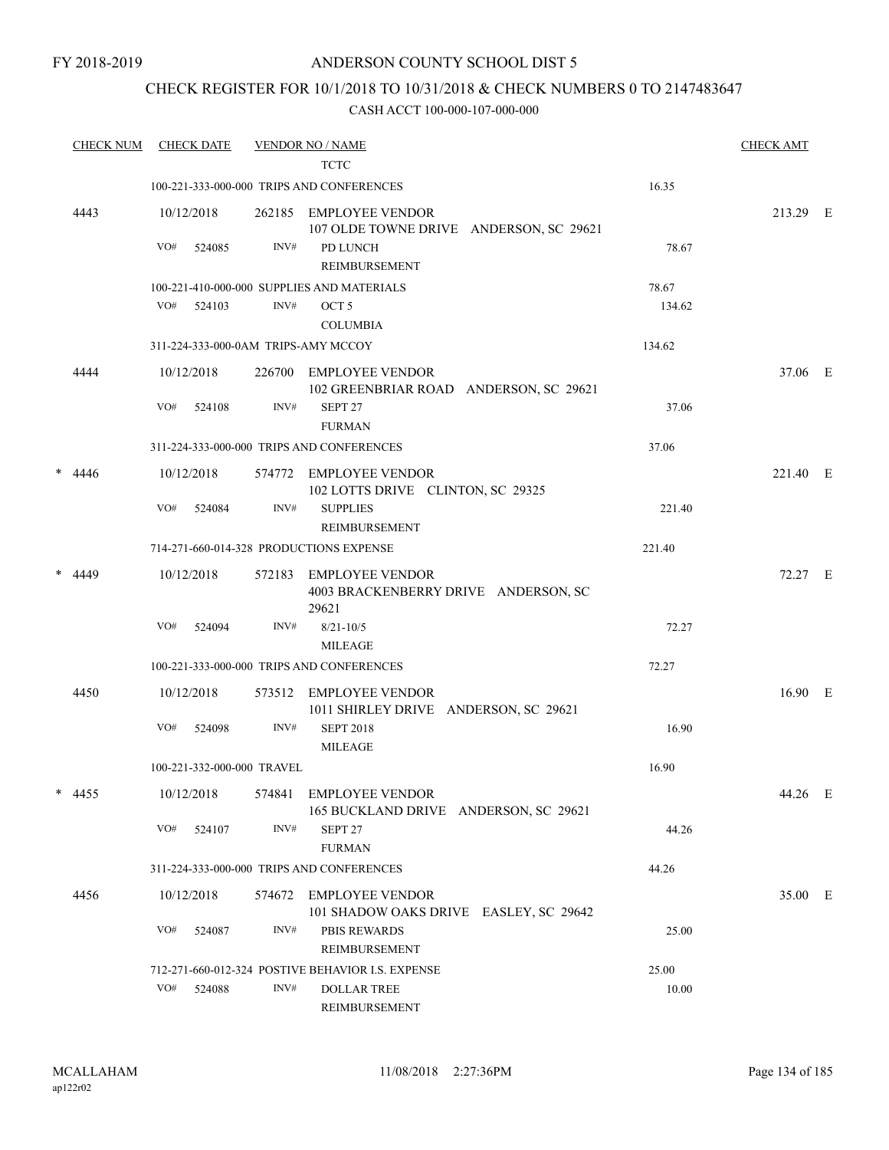## CHECK REGISTER FOR 10/1/2018 TO 10/31/2018 & CHECK NUMBERS 0 TO 2147483647

|        | <b>CHECK NUM</b> |     | <b>CHECK DATE</b> |                            | <b>VENDOR NO / NAME</b>                                           |        | <b>CHECK AMT</b> |  |
|--------|------------------|-----|-------------------|----------------------------|-------------------------------------------------------------------|--------|------------------|--|
|        |                  |     |                   |                            | <b>TCTC</b>                                                       |        |                  |  |
|        |                  |     |                   |                            | 100-221-333-000-000 TRIPS AND CONFERENCES                         | 16.35  |                  |  |
|        | 4443             |     | 10/12/2018        |                            | 262185 EMPLOYEE VENDOR<br>107 OLDE TOWNE DRIVE ANDERSON, SC 29621 |        | 213.29 E         |  |
|        |                  | VO# | 524085            | INV#                       | PD LUNCH<br>REIMBURSEMENT                                         | 78.67  |                  |  |
|        |                  |     |                   |                            | 100-221-410-000-000 SUPPLIES AND MATERIALS                        | 78.67  |                  |  |
|        |                  | VO# | 524103            | INV#                       | OCT <sub>5</sub><br><b>COLUMBIA</b>                               | 134.62 |                  |  |
|        |                  |     |                   |                            | 311-224-333-000-0AM TRIPS-AMY MCCOY                               | 134.62 |                  |  |
|        | 4444             |     | 10/12/2018        |                            | 226700 EMPLOYEE VENDOR<br>102 GREENBRIAR ROAD ANDERSON, SC 29621  |        | 37.06 E          |  |
|        |                  | VO# | 524108            | INV#                       | SEPT 27<br><b>FURMAN</b>                                          | 37.06  |                  |  |
|        |                  |     |                   |                            | 311-224-333-000-000 TRIPS AND CONFERENCES                         | 37.06  |                  |  |
| $\ast$ | 4446             |     | 10/12/2018        | 574772                     | EMPLOYEE VENDOR<br>102 LOTTS DRIVE CLINTON, SC 29325              |        | 221.40 E         |  |
|        |                  | VO# | 524084            | INV#                       | <b>SUPPLIES</b><br>REIMBURSEMENT                                  | 221.40 |                  |  |
|        |                  |     |                   |                            | 714-271-660-014-328 PRODUCTIONS EXPENSE                           | 221.40 |                  |  |
| *      | 4449             |     | 10/12/2018        | 572183                     | EMPLOYEE VENDOR<br>4003 BRACKENBERRY DRIVE ANDERSON, SC<br>29621  |        | 72.27 E          |  |
|        |                  | VO# | 524094            | INV#                       | $8/21 - 10/5$<br><b>MILEAGE</b>                                   | 72.27  |                  |  |
|        |                  |     |                   |                            | 100-221-333-000-000 TRIPS AND CONFERENCES                         | 72.27  |                  |  |
|        | 4450             |     | 10/12/2018        | 573512                     | EMPLOYEE VENDOR<br>1011 SHIRLEY DRIVE ANDERSON, SC 29621          |        | 16.90 E          |  |
|        |                  | VO# | 524098            | INV#                       | <b>SEPT 2018</b><br><b>MILEAGE</b>                                | 16.90  |                  |  |
|        |                  |     |                   | 100-221-332-000-000 TRAVEL |                                                                   | 16.90  |                  |  |
| *      | 4455             |     | 10/12/2018        | 574841                     | <b>EMPLOYEE VENDOR</b><br>165 BUCKLAND DRIVE ANDERSON, SC 29621   |        | 44.26 E          |  |
|        |                  | VO# | 524107            | INV#                       | SEPT 27<br><b>FURMAN</b>                                          | 44.26  |                  |  |
|        |                  |     |                   |                            | 311-224-333-000-000 TRIPS AND CONFERENCES                         | 44.26  |                  |  |
|        | 4456             |     | 10/12/2018        | 574672                     | <b>EMPLOYEE VENDOR</b><br>101 SHADOW OAKS DRIVE EASLEY, SC 29642  |        | 35.00 E          |  |
|        |                  | VO# | 524087            | INV#                       | <b>PBIS REWARDS</b><br>REIMBURSEMENT                              | 25.00  |                  |  |
|        |                  |     |                   |                            | 712-271-660-012-324 POSTIVE BEHAVIOR I.S. EXPENSE                 | 25.00  |                  |  |
|        |                  | VO# | 524088            | INV#                       | <b>DOLLAR TREE</b><br>REIMBURSEMENT                               | 10.00  |                  |  |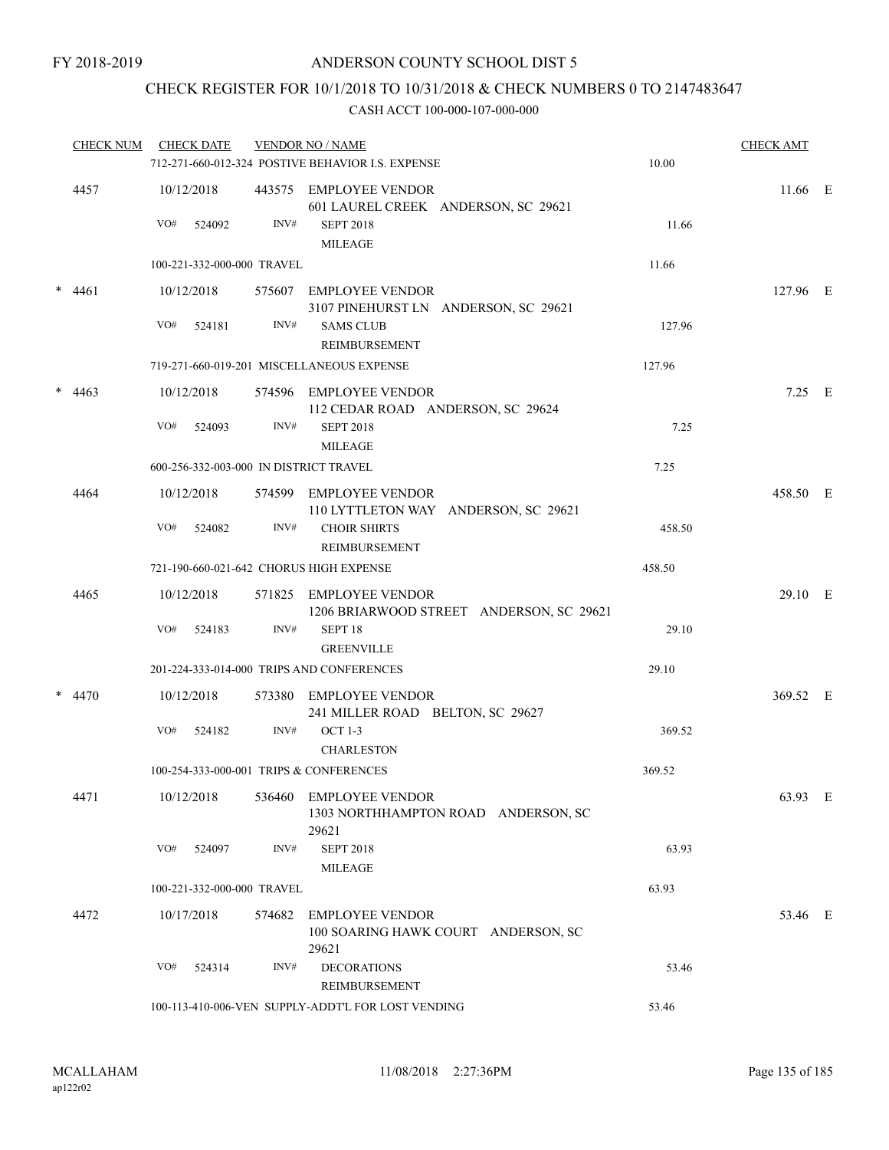# CHECK REGISTER FOR 10/1/2018 TO 10/31/2018 & CHECK NUMBERS 0 TO 2147483647

| <b>CHECK NUM</b> |     | <b>CHECK DATE</b>          |        | <b>VENDOR NO / NAME</b><br>712-271-660-012-324 POSTIVE BEHAVIOR I.S. EXPENSE                        | 10.00  | <b>CHECK AMT</b> |  |
|------------------|-----|----------------------------|--------|-----------------------------------------------------------------------------------------------------|--------|------------------|--|
| 4457             | VO# | 10/12/2018<br>524092       | INV#   | 443575 EMPLOYEE VENDOR<br>601 LAUREL CREEK ANDERSON, SC 29621<br><b>SEPT 2018</b><br><b>MILEAGE</b> | 11.66  | 11.66 E          |  |
|                  |     | 100-221-332-000-000 TRAVEL |        |                                                                                                     | 11.66  |                  |  |
| $* 4461$         |     | 10/12/2018                 |        | 575607 EMPLOYEE VENDOR<br>3107 PINEHURST LN ANDERSON, SC 29621                                      |        | 127.96 E         |  |
|                  | VO# | 524181                     | INV#   | <b>SAMS CLUB</b><br>REIMBURSEMENT                                                                   | 127.96 |                  |  |
|                  |     |                            |        | 719-271-660-019-201 MISCELLANEOUS EXPENSE                                                           | 127.96 |                  |  |
| $* 4463$         |     | 10/12/2018                 |        | 574596 EMPLOYEE VENDOR<br>112 CEDAR ROAD ANDERSON, SC 29624                                         |        | $7.25$ E         |  |
|                  | VO# | 524093                     | INV#   | <b>SEPT 2018</b><br><b>MILEAGE</b>                                                                  | 7.25   |                  |  |
|                  |     |                            |        | 600-256-332-003-000 IN DISTRICT TRAVEL                                                              | 7.25   |                  |  |
| 4464             |     | 10/12/2018                 |        | 574599 EMPLOYEE VENDOR<br>110 LYTTLETON WAY ANDERSON, SC 29621                                      |        | 458.50 E         |  |
|                  | VO# | 524082                     | INV#   | <b>CHOIR SHIRTS</b><br>REIMBURSEMENT                                                                | 458.50 |                  |  |
|                  |     |                            |        | 721-190-660-021-642 CHORUS HIGH EXPENSE                                                             | 458.50 |                  |  |
| 4465             |     | 10/12/2018                 |        | 571825 EMPLOYEE VENDOR<br>1206 BRIARWOOD STREET ANDERSON, SC 29621                                  |        | 29.10 E          |  |
|                  | VO# | 524183                     | INV#   | SEPT <sub>18</sub><br><b>GREENVILLE</b>                                                             | 29.10  |                  |  |
|                  |     |                            |        | 201-224-333-014-000 TRIPS AND CONFERENCES                                                           | 29.10  |                  |  |
| $* 4470$         |     | 10/12/2018                 |        | 573380 EMPLOYEE VENDOR<br>241 MILLER ROAD BELTON, SC 29627                                          |        | 369.52 E         |  |
|                  | VO# | 524182                     | INV#   | <b>OCT 1-3</b><br><b>CHARLESTON</b>                                                                 | 369.52 |                  |  |
|                  |     |                            |        | 100-254-333-000-001 TRIPS & CONFERENCES                                                             | 369.52 |                  |  |
| 4471             |     | 10/12/2018                 | 536460 | <b>EMPLOYEE VENDOR</b><br>1303 NORTHHAMPTON ROAD ANDERSON, SC<br>29621                              |        | 63.93 E          |  |
|                  | VO# | 524097                     | INV#   | <b>SEPT 2018</b><br><b>MILEAGE</b>                                                                  | 63.93  |                  |  |
|                  |     | 100-221-332-000-000 TRAVEL |        |                                                                                                     | 63.93  |                  |  |
| 4472             |     | 10/17/2018                 | 574682 | <b>EMPLOYEE VENDOR</b><br>100 SOARING HAWK COURT ANDERSON, SC<br>29621                              |        | 53.46 E          |  |
|                  | VO# | 524314                     | INV#   | <b>DECORATIONS</b><br>REIMBURSEMENT                                                                 | 53.46  |                  |  |
|                  |     |                            |        | 100-113-410-006-VEN SUPPLY-ADDT'L FOR LOST VENDING                                                  | 53.46  |                  |  |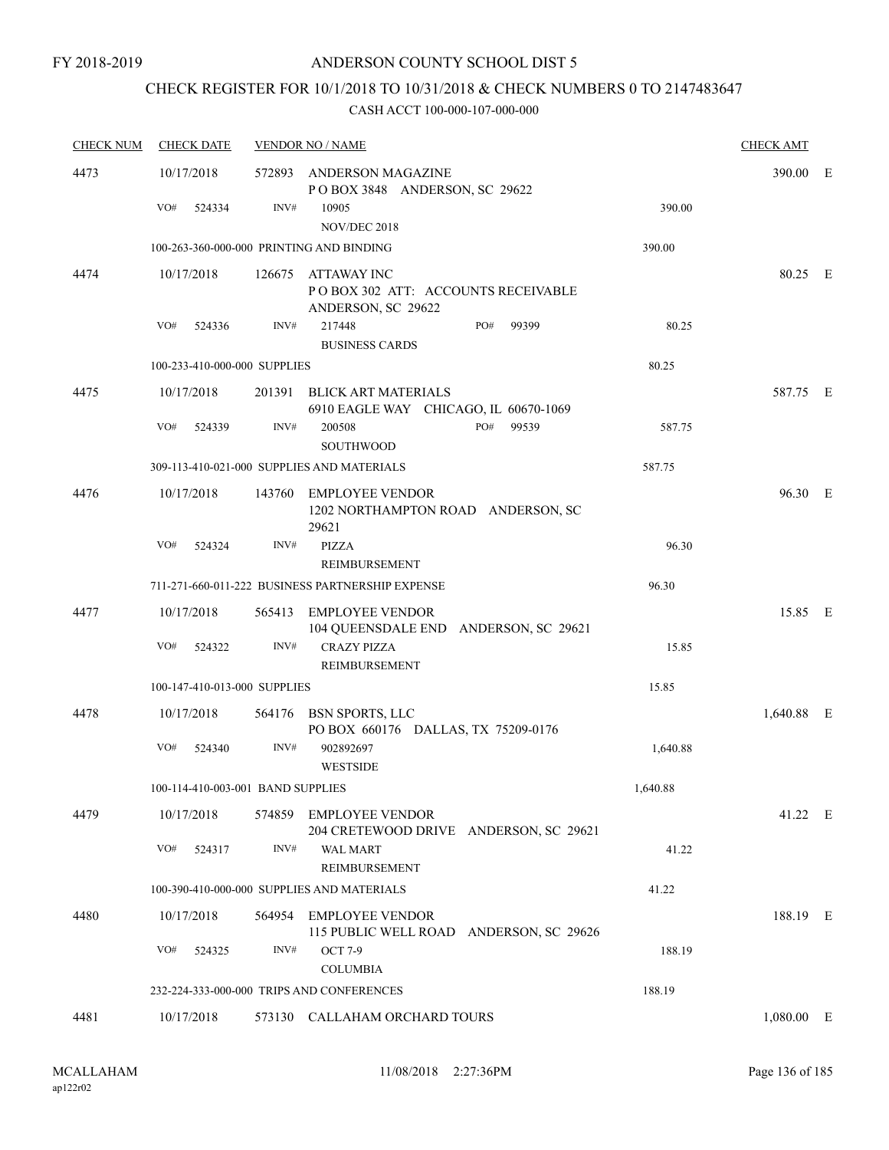# CHECK REGISTER FOR 10/1/2018 TO 10/31/2018 & CHECK NUMBERS 0 TO 2147483647

| <b>CHECK NUM</b> | <b>CHECK DATE</b>                        |        | <b>VENDOR NO / NAME</b>                                                 |          | <b>CHECK AMT</b> |  |
|------------------|------------------------------------------|--------|-------------------------------------------------------------------------|----------|------------------|--|
| 4473             | 10/17/2018                               | 572893 | ANDERSON MAGAZINE<br>POBOX 3848 ANDERSON, SC 29622                      |          | 390.00 E         |  |
|                  | VO#<br>524334                            | INV#   | 10905<br>NOV/DEC 2018                                                   | 390.00   |                  |  |
|                  | 100-263-360-000-000 PRINTING AND BINDING |        |                                                                         | 390.00   |                  |  |
| 4474             | 10/17/2018                               | 126675 | ATTAWAY INC<br>POBOX 302 ATT: ACCOUNTS RECEIVABLE<br>ANDERSON, SC 29622 |          | 80.25 E          |  |
|                  | VO#<br>524336                            | INV#   | 217448<br>99399<br>PO#<br><b>BUSINESS CARDS</b>                         | 80.25    |                  |  |
|                  | 100-233-410-000-000 SUPPLIES             |        |                                                                         | 80.25    |                  |  |
| 4475             | 10/17/2018                               |        | 201391 BLICK ART MATERIALS<br>6910 EAGLE WAY CHICAGO, IL 60670-1069     |          | 587.75 E         |  |
|                  | VO#<br>524339                            | INV#   | PO#<br>200508<br>99539<br><b>SOUTHWOOD</b>                              | 587.75   |                  |  |
|                  |                                          |        | 309-113-410-021-000 SUPPLIES AND MATERIALS                              | 587.75   |                  |  |
| 4476             | 10/17/2018                               |        | 143760 EMPLOYEE VENDOR<br>1202 NORTHAMPTON ROAD ANDERSON, SC<br>29621   |          | 96.30 E          |  |
|                  | VO#<br>524324                            | INV#   | <b>PIZZA</b><br>REIMBURSEMENT                                           | 96.30    |                  |  |
|                  |                                          |        | 711-271-660-011-222 BUSINESS PARTNERSHIP EXPENSE                        | 96.30    |                  |  |
| 4477             | 10/17/2018                               | 565413 | <b>EMPLOYEE VENDOR</b><br>104 QUEENSDALE END ANDERSON, SC 29621         |          | 15.85 E          |  |
|                  | VO#<br>524322                            | INV#   | <b>CRAZY PIZZA</b><br>REIMBURSEMENT                                     | 15.85    |                  |  |
|                  | 100-147-410-013-000 SUPPLIES             |        |                                                                         | 15.85    |                  |  |
| 4478             | 10/17/2018                               |        | 564176 BSN SPORTS, LLC<br>PO BOX 660176 DALLAS, TX 75209-0176           |          | 1,640.88 E       |  |
|                  | VO#<br>524340                            | INV#   | 902892697<br><b>WESTSIDE</b>                                            | 1,640.88 |                  |  |
|                  | 100-114-410-003-001 BAND SUPPLIES        |        |                                                                         | 1,640.88 |                  |  |
| 4479             | 10/17/2018                               |        | 574859 EMPLOYEE VENDOR<br>204 CRETEWOOD DRIVE ANDERSON, SC 29621        |          | 41.22 E          |  |
|                  | VO#<br>524317                            | INV#   | <b>WAL MART</b><br>REIMBURSEMENT                                        | 41.22    |                  |  |
|                  |                                          |        | 100-390-410-000-000 SUPPLIES AND MATERIALS                              | 41.22    |                  |  |
| 4480             | 10/17/2018                               | 564954 | <b>EMPLOYEE VENDOR</b><br>115 PUBLIC WELL ROAD ANDERSON, SC 29626       |          | 188.19 E         |  |
|                  | VO#<br>524325                            | INV#   | <b>OCT 7-9</b>                                                          | 188.19   |                  |  |
|                  |                                          |        | <b>COLUMBIA</b><br>232-224-333-000-000 TRIPS AND CONFERENCES            | 188.19   |                  |  |
|                  |                                          |        |                                                                         |          |                  |  |
| 4481             | 10/17/2018                               |        | 573130 CALLAHAM ORCHARD TOURS                                           |          | $1,080.00$ E     |  |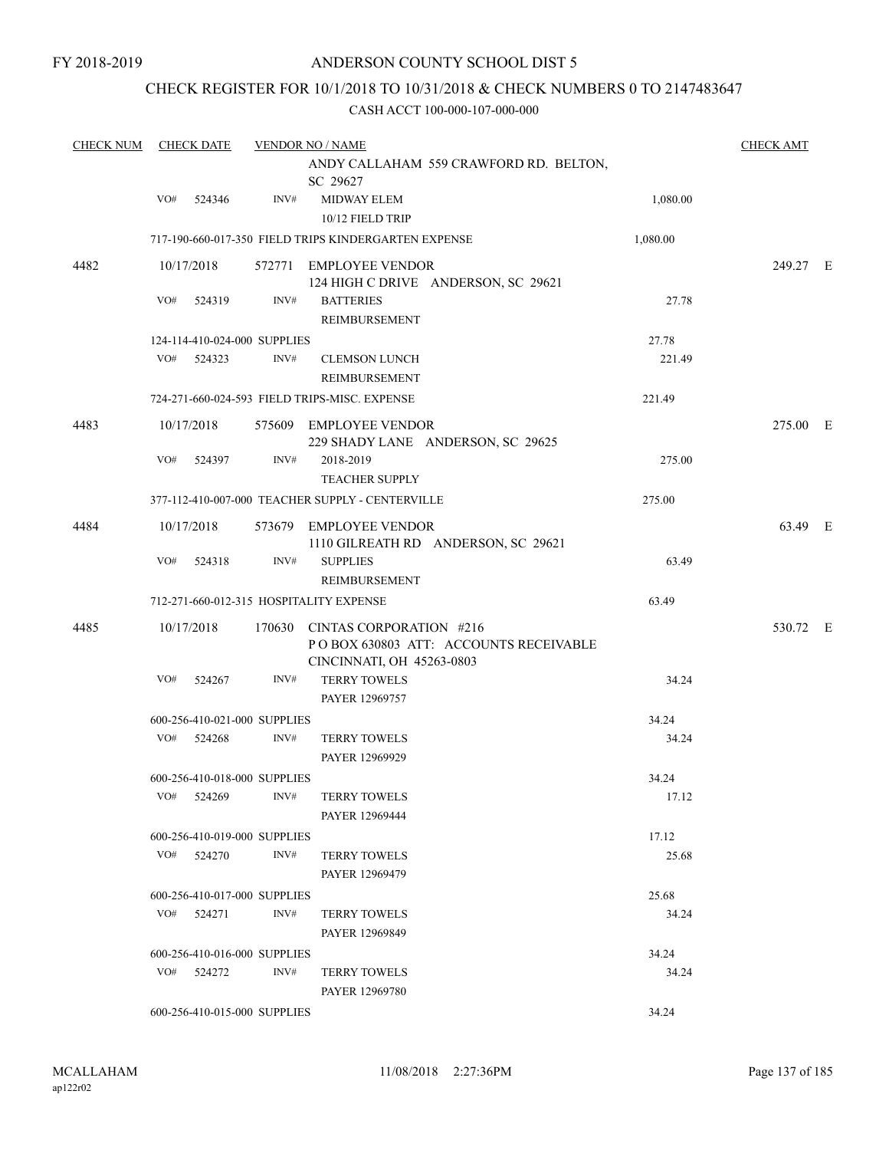## CHECK REGISTER FOR 10/1/2018 TO 10/31/2018 & CHECK NUMBERS 0 TO 2147483647

| <b>CHECK NUM</b> |     | <b>CHECK DATE</b>                            |      | <b>VENDOR NO / NAME</b>                                                                               |                | <b>CHECK AMT</b> |  |
|------------------|-----|----------------------------------------------|------|-------------------------------------------------------------------------------------------------------|----------------|------------------|--|
|                  |     |                                              |      | ANDY CALLAHAM 559 CRAWFORD RD. BELTON,<br>SC 29627                                                    |                |                  |  |
|                  | VO# | 524346                                       | INV# | MIDWAY ELEM<br>10/12 FIELD TRIP                                                                       | 1,080.00       |                  |  |
|                  |     |                                              |      | 717-190-660-017-350 FIELD TRIPS KINDERGARTEN EXPENSE                                                  | 1,080.00       |                  |  |
| 4482             |     | 10/17/2018                                   |      | 572771 EMPLOYEE VENDOR<br>124 HIGH C DRIVE ANDERSON, SC 29621                                         |                | 249.27 E         |  |
|                  | VO# | 524319                                       | INV# | <b>BATTERIES</b><br>REIMBURSEMENT                                                                     | 27.78          |                  |  |
|                  |     | 124-114-410-024-000 SUPPLIES                 |      |                                                                                                       | 27.78          |                  |  |
|                  | VO# | 524323                                       | INV# | <b>CLEMSON LUNCH</b><br>REIMBURSEMENT                                                                 | 221.49         |                  |  |
|                  |     |                                              |      | 724-271-660-024-593 FIELD TRIPS-MISC. EXPENSE                                                         | 221.49         |                  |  |
| 4483             |     | 10/17/2018                                   |      | 575609 EMPLOYEE VENDOR<br>229 SHADY LANE ANDERSON, SC 29625                                           |                | 275.00 E         |  |
|                  | VO# | 524397                                       | INV# | 2018-2019<br><b>TEACHER SUPPLY</b>                                                                    | 275.00         |                  |  |
|                  |     |                                              |      | 377-112-410-007-000 TEACHER SUPPLY - CENTERVILLE                                                      | 275.00         |                  |  |
| 4484             |     | 10/17/2018                                   |      | 573679 EMPLOYEE VENDOR<br>1110 GILREATH RD ANDERSON, SC 29621                                         |                | 63.49 E          |  |
|                  | VO# | 524318                                       | INV# | <b>SUPPLIES</b><br>REIMBURSEMENT                                                                      | 63.49          |                  |  |
|                  |     |                                              |      | 712-271-660-012-315 HOSPITALITY EXPENSE                                                               | 63.49          |                  |  |
| 4485             |     | 10/17/2018                                   |      | 170630 CINTAS CORPORATION #216<br>PO BOX 630803 ATT: ACCOUNTS RECEIVABLE<br>CINCINNATI, OH 45263-0803 |                | 530.72 E         |  |
|                  | VO# | 524267                                       | INV# | <b>TERRY TOWELS</b><br>PAYER 12969757                                                                 | 34.24          |                  |  |
|                  |     | 600-256-410-021-000 SUPPLIES                 |      |                                                                                                       | 34.24          |                  |  |
|                  | VO# | 524268                                       | INV# | <b>TERRY TOWELS</b><br>PAYER 12969929                                                                 | 34.24          |                  |  |
|                  |     | 600-256-410-018-000 SUPPLIES                 |      |                                                                                                       | 34.24          |                  |  |
|                  | VO# | 524269                                       | INV# | <b>TERRY TOWELS</b><br>PAYER 12969444                                                                 | 17.12          |                  |  |
|                  |     | 600-256-410-019-000 SUPPLIES                 |      |                                                                                                       | 17.12          |                  |  |
|                  |     | VO# 524270                                   | INV# | <b>TERRY TOWELS</b><br>PAYER 12969479                                                                 | 25.68          |                  |  |
|                  |     |                                              |      |                                                                                                       | 25.68          |                  |  |
|                  |     | 600-256-410-017-000 SUPPLIES<br>$VO#$ 524271 | INV# | <b>TERRY TOWELS</b><br>PAYER 12969849                                                                 | 34.24          |                  |  |
|                  |     |                                              |      |                                                                                                       |                |                  |  |
|                  |     | 600-256-410-016-000 SUPPLIES<br>VO# 524272   | INV# | <b>TERRY TOWELS</b><br>PAYER 12969780                                                                 | 34.24<br>34.24 |                  |  |
|                  |     | 600-256-410-015-000 SUPPLIES                 |      |                                                                                                       | 34.24          |                  |  |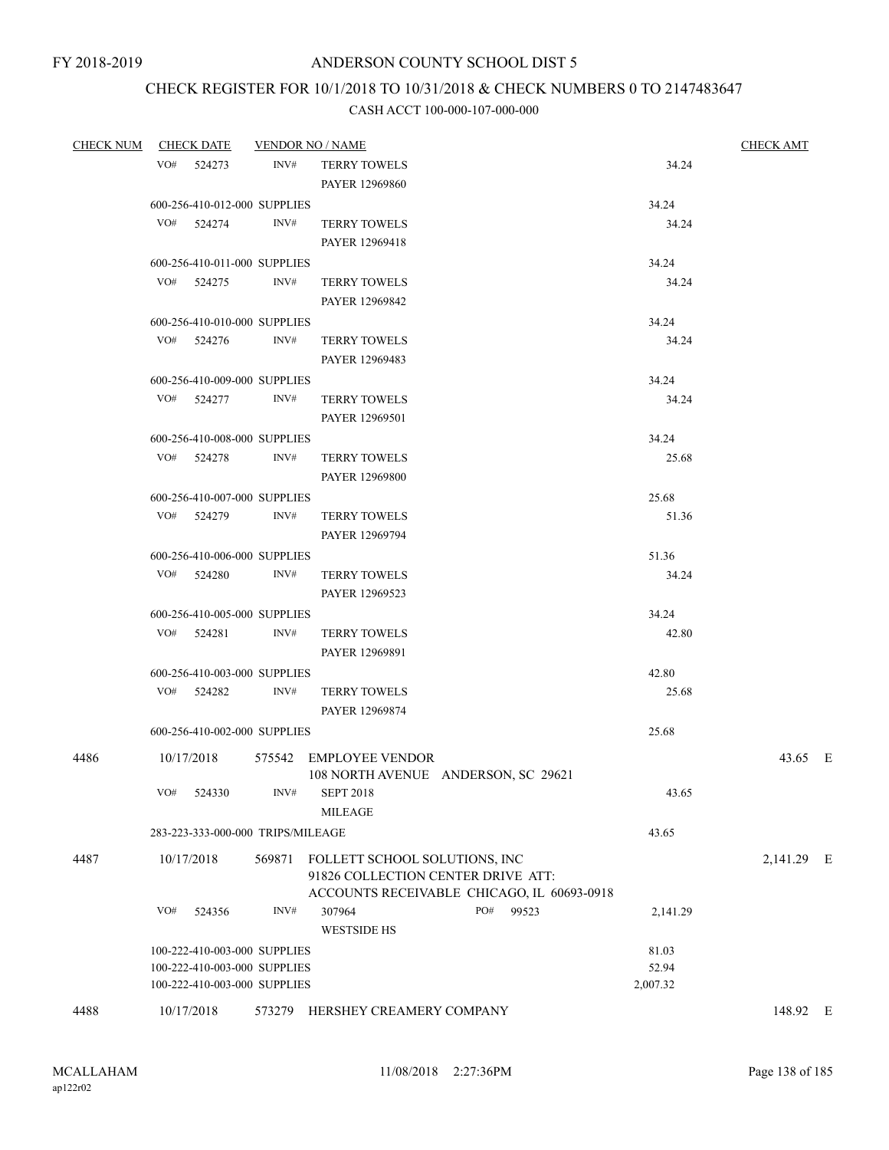# CHECK REGISTER FOR 10/1/2018 TO 10/31/2018 & CHECK NUMBERS 0 TO 2147483647

| CHECK NUM |     |                                                              |      | CHECK DATE VENDOR NO / NAME                                   |                | <b>CHECK AMT</b> |  |
|-----------|-----|--------------------------------------------------------------|------|---------------------------------------------------------------|----------------|------------------|--|
|           |     | VO# 524273                                                   | INV# | <b>TERRY TOWELS</b>                                           | 34.24          |                  |  |
|           |     |                                                              |      | PAYER 12969860                                                |                |                  |  |
|           |     | 600-256-410-012-000 SUPPLIES                                 |      |                                                               | 34.24          |                  |  |
|           |     | VO# 524274                                                   | INV# | <b>TERRY TOWELS</b>                                           | 34.24          |                  |  |
|           |     |                                                              |      | PAYER 12969418                                                |                |                  |  |
|           |     | 600-256-410-011-000 SUPPLIES                                 |      |                                                               | 34.24          |                  |  |
|           |     | VO# 524275                                                   | INV# | <b>TERRY TOWELS</b>                                           | 34.24          |                  |  |
|           |     |                                                              |      | PAYER 12969842                                                |                |                  |  |
|           |     | 600-256-410-010-000 SUPPLIES                                 |      |                                                               | 34.24          |                  |  |
|           |     | VO# 524276                                                   | INV# | <b>TERRY TOWELS</b>                                           | 34.24          |                  |  |
|           |     |                                                              |      | PAYER 12969483                                                |                |                  |  |
|           |     | 600-256-410-009-000 SUPPLIES                                 |      |                                                               | 34.24          |                  |  |
|           |     | VO# 524277                                                   | INV# | <b>TERRY TOWELS</b>                                           | 34.24          |                  |  |
|           |     |                                                              |      | PAYER 12969501                                                |                |                  |  |
|           |     | 600-256-410-008-000 SUPPLIES                                 |      |                                                               | 34.24          |                  |  |
|           |     | VO# 524278                                                   | INV# | <b>TERRY TOWELS</b>                                           | 25.68          |                  |  |
|           |     |                                                              |      | PAYER 12969800                                                |                |                  |  |
|           |     | 600-256-410-007-000 SUPPLIES                                 |      |                                                               | 25.68          |                  |  |
|           |     | VO# 524279 INV#                                              |      | <b>TERRY TOWELS</b>                                           | 51.36          |                  |  |
|           |     |                                                              |      | PAYER 12969794                                                |                |                  |  |
|           |     | 600-256-410-006-000 SUPPLIES                                 |      |                                                               | 51.36          |                  |  |
|           |     | VO# 524280                                                   | INV# | <b>TERRY TOWELS</b>                                           | 34.24          |                  |  |
|           |     |                                                              |      | PAYER 12969523                                                |                |                  |  |
|           |     | 600-256-410-005-000 SUPPLIES                                 |      |                                                               | 34.24          |                  |  |
|           |     | VO# 524281                                                   | INV# | <b>TERRY TOWELS</b>                                           | 42.80          |                  |  |
|           |     |                                                              |      | PAYER 12969891                                                |                |                  |  |
|           |     | 600-256-410-003-000 SUPPLIES                                 |      |                                                               | 42.80          |                  |  |
|           |     | VO# 524282                                                   | INV# | <b>TERRY TOWELS</b>                                           | 25.68          |                  |  |
|           |     |                                                              |      | PAYER 12969874                                                |                |                  |  |
|           |     | 600-256-410-002-000 SUPPLIES                                 |      |                                                               | 25.68          |                  |  |
|           |     |                                                              |      |                                                               |                |                  |  |
| 4486      |     | 10/17/2018                                                   |      | 575542 EMPLOYEE VENDOR<br>108 NORTH AVENUE ANDERSON, SC 29621 |                | 43.65 E          |  |
|           | VO# | 524330                                                       | INV# | <b>SEPT 2018</b>                                              | 43.65          |                  |  |
|           |     |                                                              |      | <b>MILEAGE</b>                                                |                |                  |  |
|           |     | 283-223-333-000-000 TRIPS/MILEAGE                            |      |                                                               |                |                  |  |
|           |     |                                                              |      |                                                               | 43.65          |                  |  |
| 4487      |     | 10/17/2018                                                   |      | 569871 FOLLETT SCHOOL SOLUTIONS, INC                          |                | 2,141.29 E       |  |
|           |     |                                                              |      | 91826 COLLECTION CENTER DRIVE ATT:                            |                |                  |  |
|           |     |                                                              |      | ACCOUNTS RECEIVABLE CHICAGO, IL 60693-0918<br>PO#             |                |                  |  |
|           | VO# | 524356                                                       | INV# | 99523<br>307964                                               | 2,141.29       |                  |  |
|           |     |                                                              |      | <b>WESTSIDE HS</b>                                            |                |                  |  |
|           |     | 100-222-410-003-000 SUPPLIES<br>100-222-410-003-000 SUPPLIES |      |                                                               | 81.03<br>52.94 |                  |  |
|           |     | 100-222-410-003-000 SUPPLIES                                 |      |                                                               | 2,007.32       |                  |  |
|           |     |                                                              |      |                                                               |                |                  |  |
| 4488      |     | 10/17/2018                                                   |      | 573279 HERSHEY CREAMERY COMPANY                               |                | 148.92 E         |  |
|           |     |                                                              |      |                                                               |                |                  |  |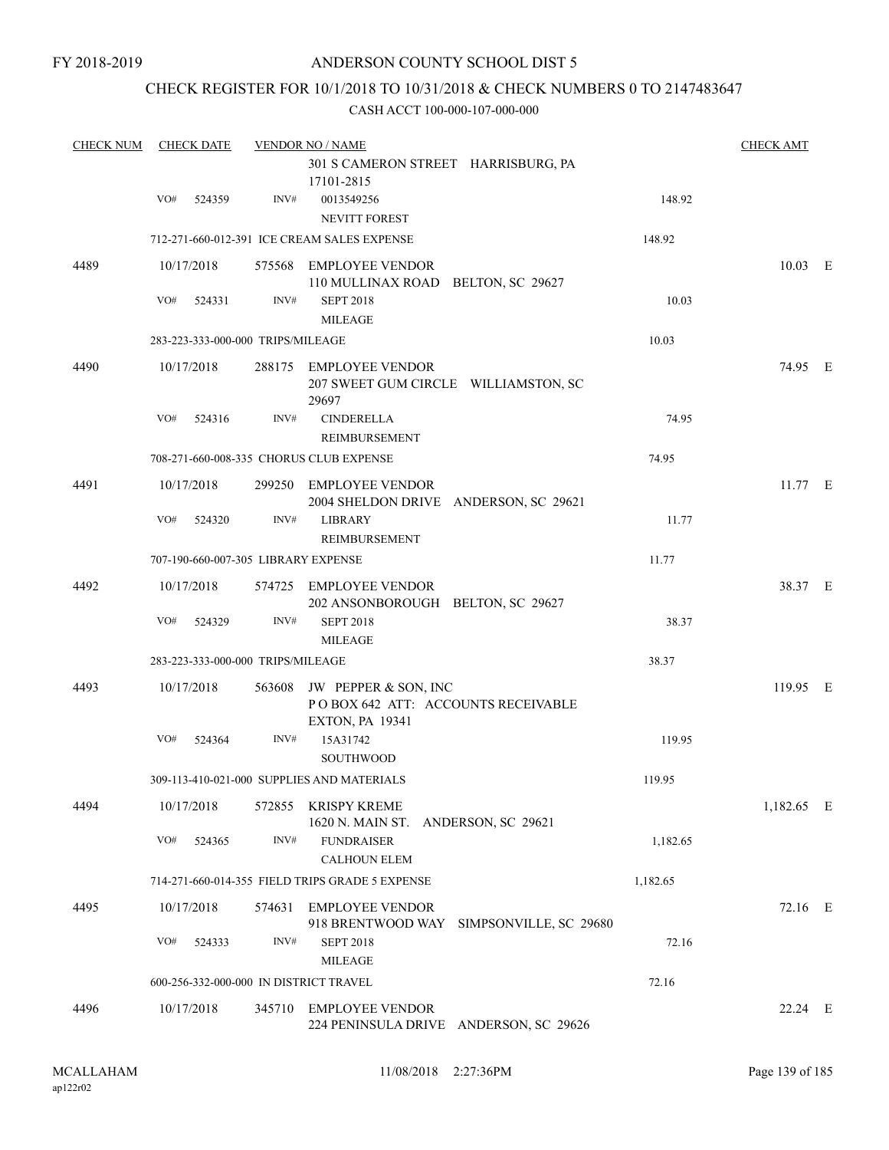## CHECK REGISTER FOR 10/1/2018 TO 10/31/2018 & CHECK NUMBERS 0 TO 2147483647

| <b>CHECK NUM</b> | <b>CHECK DATE</b>                      |        | <b>VENDOR NO / NAME</b>                                          |          | <b>CHECK AMT</b> |  |
|------------------|----------------------------------------|--------|------------------------------------------------------------------|----------|------------------|--|
|                  |                                        |        | 301 S CAMERON STREET HARRISBURG, PA                              |          |                  |  |
|                  |                                        |        | 17101-2815                                                       |          |                  |  |
|                  | VO#<br>524359                          | INV#   | 0013549256                                                       | 148.92   |                  |  |
|                  |                                        |        | <b>NEVITT FOREST</b>                                             |          |                  |  |
|                  |                                        |        | 712-271-660-012-391 ICE CREAM SALES EXPENSE                      | 148.92   |                  |  |
| 4489             | 10/17/2018                             |        | 575568 EMPLOYEE VENDOR                                           |          | $10.03$ E        |  |
|                  |                                        |        | 110 MULLINAX ROAD BELTON, SC 29627                               |          |                  |  |
|                  | VO#<br>524331                          | INV#   | <b>SEPT 2018</b>                                                 | 10.03    |                  |  |
|                  |                                        |        | <b>MILEAGE</b>                                                   |          |                  |  |
|                  | 283-223-333-000-000 TRIPS/MILEAGE      |        |                                                                  | 10.03    |                  |  |
| 4490             | 10/17/2018                             |        | 288175 EMPLOYEE VENDOR                                           |          | 74.95 E          |  |
|                  |                                        |        | 207 SWEET GUM CIRCLE WILLIAMSTON, SC<br>29697                    |          |                  |  |
|                  | VO#<br>524316                          | INV#   | <b>CINDERELLA</b>                                                | 74.95    |                  |  |
|                  |                                        |        | REIMBURSEMENT                                                    |          |                  |  |
|                  |                                        |        | 708-271-660-008-335 CHORUS CLUB EXPENSE                          | 74.95    |                  |  |
|                  |                                        |        |                                                                  |          |                  |  |
| 4491             | 10/17/2018                             |        | 299250 EMPLOYEE VENDOR                                           |          | 11.77 E          |  |
|                  |                                        |        | 2004 SHELDON DRIVE ANDERSON, SC 29621                            |          |                  |  |
|                  | VO#<br>524320                          | INV#   | <b>LIBRARY</b>                                                   | 11.77    |                  |  |
|                  |                                        |        | REIMBURSEMENT                                                    |          |                  |  |
|                  | 707-190-660-007-305 LIBRARY EXPENSE    |        |                                                                  | 11.77    |                  |  |
| 4492             | 10/17/2018                             |        | 574725 EMPLOYEE VENDOR                                           |          | 38.37 E          |  |
|                  |                                        |        | 202 ANSONBOROUGH BELTON, SC 29627                                |          |                  |  |
|                  | VO#<br>524329                          | INV#   | <b>SEPT 2018</b>                                                 | 38.37    |                  |  |
|                  |                                        |        | <b>MILEAGE</b>                                                   |          |                  |  |
|                  | 283-223-333-000-000 TRIPS/MILEAGE      |        |                                                                  | 38.37    |                  |  |
| 4493             | 10/17/2018                             | 563608 | JW PEPPER & SON, INC                                             |          | 119.95 E         |  |
|                  |                                        |        | POBOX 642 ATT: ACCOUNTS RECEIVABLE                               |          |                  |  |
|                  |                                        |        | <b>EXTON, PA 19341</b>                                           |          |                  |  |
|                  | VO#<br>524364                          | INV#   | 15A31742                                                         | 119.95   |                  |  |
|                  |                                        |        | SOUTHWOOD                                                        |          |                  |  |
|                  |                                        |        | 309-113-410-021-000 SUPPLIES AND MATERIALS                       | 119.95   |                  |  |
| 4494             | 10/17/2018                             |        | 572855 KRISPY KREME                                              |          | 1,182.65 E       |  |
|                  | VO#<br>524365                          | INV#   | 1620 N. MAIN ST. ANDERSON, SC 29621                              | 1,182.65 |                  |  |
|                  |                                        |        | <b>FUNDRAISER</b>                                                |          |                  |  |
|                  |                                        |        | <b>CALHOUN ELEM</b>                                              |          |                  |  |
|                  |                                        |        | 714-271-660-014-355 FIELD TRIPS GRADE 5 EXPENSE                  | 1,182.65 |                  |  |
| 4495             | 10/17/2018                             | 574631 | EMPLOYEE VENDOR                                                  |          | 72.16 E          |  |
|                  |                                        |        | 918 BRENTWOOD WAY SIMPSONVILLE, SC 29680                         |          |                  |  |
|                  | VO#<br>524333                          | INV#   | <b>SEPT 2018</b>                                                 | 72.16    |                  |  |
|                  |                                        |        | <b>MILEAGE</b>                                                   |          |                  |  |
|                  | 600-256-332-000-000 IN DISTRICT TRAVEL |        |                                                                  | 72.16    |                  |  |
|                  |                                        |        |                                                                  |          |                  |  |
| 4496             | 10/17/2018                             |        | 345710 EMPLOYEE VENDOR<br>224 PENINSULA DRIVE ANDERSON, SC 29626 |          | 22.24 E          |  |
|                  |                                        |        |                                                                  |          |                  |  |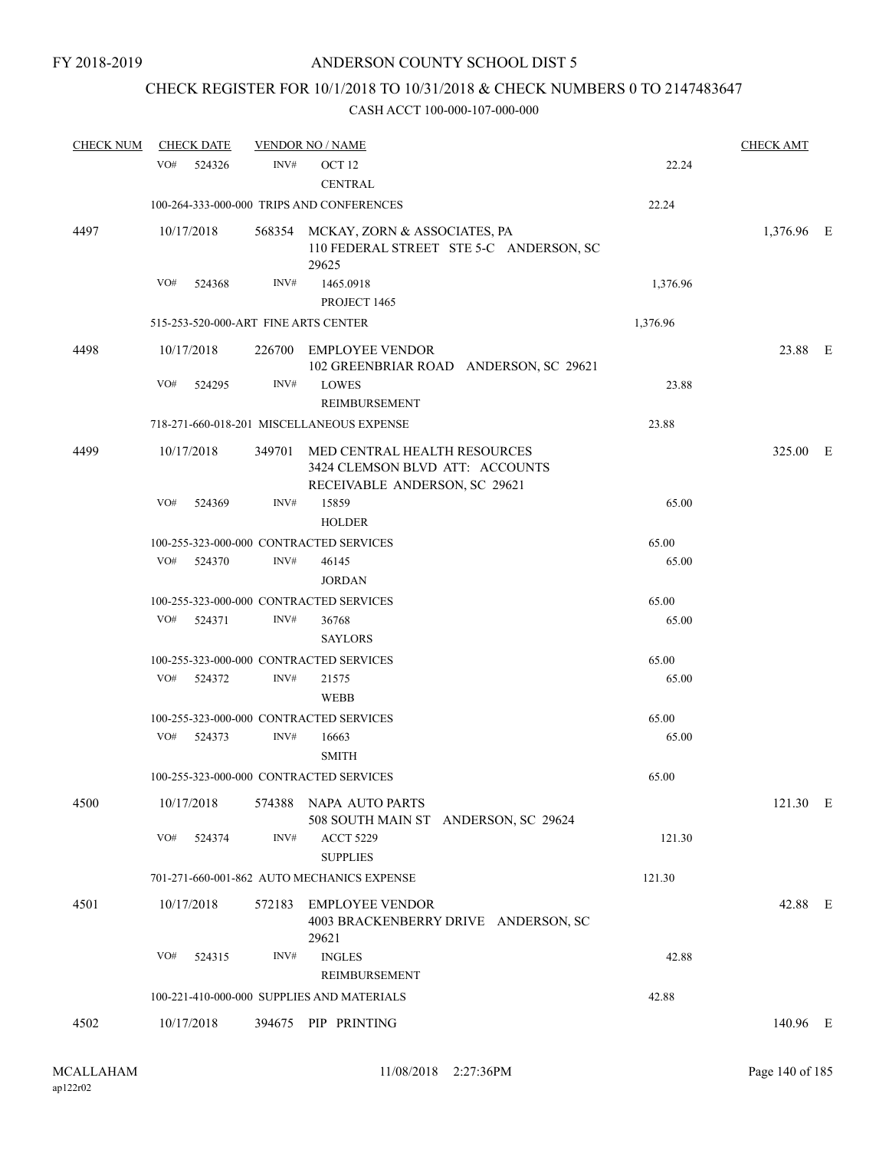## CHECK REGISTER FOR 10/1/2018 TO 10/31/2018 & CHECK NUMBERS 0 TO 2147483647

| <b>CHECK NUM</b> | <b>CHECK DATE</b> |        |        | <b>VENDOR NO / NAME</b>                                                                          |          | <b>CHECK AMT</b> |  |
|------------------|-------------------|--------|--------|--------------------------------------------------------------------------------------------------|----------|------------------|--|
|                  | VO#               | 524326 | INV#   | OCT <sub>12</sub><br><b>CENTRAL</b>                                                              | 22.24    |                  |  |
|                  |                   |        |        | 100-264-333-000-000 TRIPS AND CONFERENCES                                                        | 22.24    |                  |  |
| 4497             | 10/17/2018        |        |        | 568354 MCKAY, ZORN & ASSOCIATES, PA<br>110 FEDERAL STREET STE 5-C ANDERSON, SC<br>29625          |          | 1,376.96 E       |  |
|                  | VO#               | 524368 | INV#   | 1465.0918<br>PROJECT 1465                                                                        | 1,376.96 |                  |  |
|                  |                   |        |        | 515-253-520-000-ART FINE ARTS CENTER                                                             | 1,376.96 |                  |  |
| 4498             | 10/17/2018        |        |        | 226700 EMPLOYEE VENDOR<br>102 GREENBRIAR ROAD ANDERSON, SC 29621                                 |          | 23.88 E          |  |
|                  | VO#               | 524295 | INV#   | <b>LOWES</b><br>REIMBURSEMENT                                                                    | 23.88    |                  |  |
|                  |                   |        |        | 718-271-660-018-201 MISCELLANEOUS EXPENSE                                                        | 23.88    |                  |  |
| 4499             | 10/17/2018        |        | 349701 | MED CENTRAL HEALTH RESOURCES<br>3424 CLEMSON BLVD ATT: ACCOUNTS<br>RECEIVABLE ANDERSON, SC 29621 |          | 325.00 E         |  |
|                  | VO#               | 524369 | INV#   | 15859<br><b>HOLDER</b>                                                                           | 65.00    |                  |  |
|                  |                   |        |        | 100-255-323-000-000 CONTRACTED SERVICES                                                          | 65.00    |                  |  |
|                  | VO#               | 524370 | INV#   | 46145<br><b>JORDAN</b>                                                                           | 65.00    |                  |  |
|                  |                   |        |        | 100-255-323-000-000 CONTRACTED SERVICES                                                          | 65.00    |                  |  |
|                  | VO#               | 524371 | INV#   | 36768<br><b>SAYLORS</b>                                                                          | 65.00    |                  |  |
|                  |                   |        |        | 100-255-323-000-000 CONTRACTED SERVICES                                                          | 65.00    |                  |  |
|                  | VO#               | 524372 | INV#   | 21575<br><b>WEBB</b>                                                                             | 65.00    |                  |  |
|                  |                   |        |        | 100-255-323-000-000 CONTRACTED SERVICES                                                          | 65.00    |                  |  |
|                  | VO#               | 524373 | INV#   | 16663<br><b>SMITH</b>                                                                            | 65.00    |                  |  |
|                  |                   |        |        | 100-255-323-000-000 CONTRACTED SERVICES                                                          | 65.00    |                  |  |
| 4500             | 10/17/2018        |        |        | 574388 NAPA AUTO PARTS<br>508 SOUTH MAIN ST ANDERSON, SC 29624                                   |          | 121.30 E         |  |
|                  | VO#               | 524374 | INV#   | <b>ACCT 5229</b><br><b>SUPPLIES</b>                                                              | 121.30   |                  |  |
|                  |                   |        |        | 701-271-660-001-862 AUTO MECHANICS EXPENSE                                                       | 121.30   |                  |  |
| 4501             | 10/17/2018        |        |        | 572183 EMPLOYEE VENDOR<br>4003 BRACKENBERRY DRIVE ANDERSON, SC<br>29621                          |          | 42.88 E          |  |
|                  | VO#               | 524315 | INV#   | <b>INGLES</b><br>REIMBURSEMENT                                                                   | 42.88    |                  |  |
|                  |                   |        |        | 100-221-410-000-000 SUPPLIES AND MATERIALS                                                       | 42.88    |                  |  |
| 4502             | 10/17/2018        |        |        | 394675 PIP PRINTING                                                                              |          | 140.96 E         |  |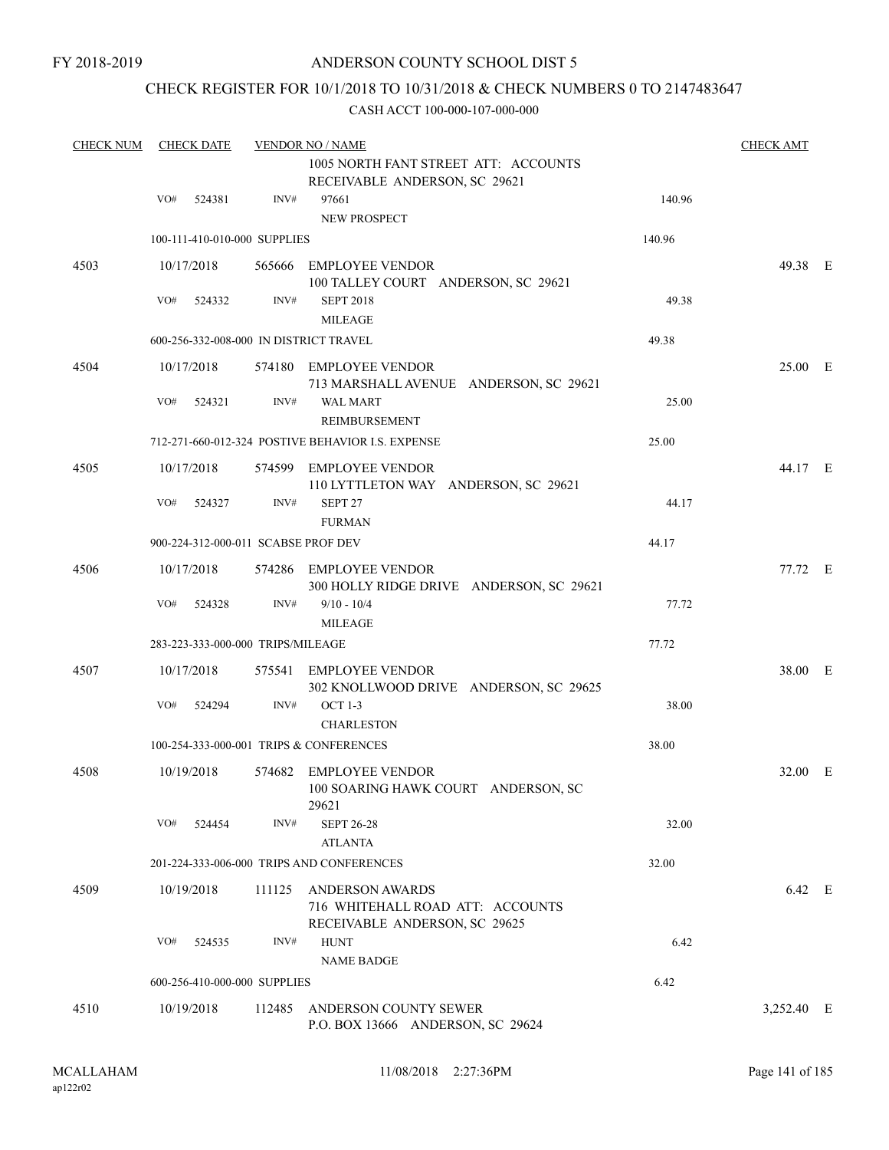## CHECK REGISTER FOR 10/1/2018 TO 10/31/2018 & CHECK NUMBERS 0 TO 2147483647

| <b>CHECK NUM</b> | <b>CHECK DATE</b> |            | <b>VENDOR NO / NAME</b>           | <b>CHECK AMT</b>                                                                            |        |            |  |
|------------------|-------------------|------------|-----------------------------------|---------------------------------------------------------------------------------------------|--------|------------|--|
|                  |                   |            |                                   | 1005 NORTH FANT STREET ATT: ACCOUNTS<br>RECEIVABLE ANDERSON, SC 29621                       |        |            |  |
|                  | VO#               | 524381     | INV#                              | 97661<br>NEW PROSPECT                                                                       | 140.96 |            |  |
|                  |                   |            | 100-111-410-010-000 SUPPLIES      |                                                                                             | 140.96 |            |  |
| 4503             |                   | 10/17/2018 |                                   | 565666 EMPLOYEE VENDOR<br>100 TALLEY COURT ANDERSON, SC 29621                               |        | 49.38 E    |  |
|                  | VO#               | 524332     | INV#                              | <b>SEPT 2018</b><br><b>MILEAGE</b>                                                          | 49.38  |            |  |
|                  |                   |            |                                   | 600-256-332-008-000 IN DISTRICT TRAVEL                                                      | 49.38  |            |  |
| 4504             |                   | 10/17/2018 |                                   | 574180 EMPLOYEE VENDOR<br>713 MARSHALL AVENUE ANDERSON, SC 29621                            |        | 25.00 E    |  |
|                  | VO#               | 524321     | INV#                              | <b>WAL MART</b><br>REIMBURSEMENT                                                            | 25.00  |            |  |
|                  |                   |            |                                   | 712-271-660-012-324 POSTIVE BEHAVIOR I.S. EXPENSE                                           | 25.00  |            |  |
| 4505             |                   | 10/17/2018 |                                   | 574599 EMPLOYEE VENDOR<br>110 LYTTLETON WAY ANDERSON, SC 29621                              |        | 44.17 E    |  |
|                  | VO#               | 524327     | INV#                              | SEPT <sub>27</sub><br><b>FURMAN</b>                                                         | 44.17  |            |  |
|                  |                   |            |                                   | 900-224-312-000-011 SCABSE PROF DEV                                                         | 44.17  |            |  |
| 4506             |                   | 10/17/2018 |                                   | 574286 EMPLOYEE VENDOR<br>300 HOLLY RIDGE DRIVE ANDERSON, SC 29621                          |        | 77.72 E    |  |
|                  | VO#               | 524328     | INV#                              | $9/10 - 10/4$<br><b>MILEAGE</b>                                                             | 77.72  |            |  |
|                  |                   |            | 283-223-333-000-000 TRIPS/MILEAGE |                                                                                             | 77.72  |            |  |
| 4507             |                   | 10/17/2018 | 575541                            | <b>EMPLOYEE VENDOR</b><br>302 KNOLLWOOD DRIVE ANDERSON, SC 29625                            |        | 38.00 E    |  |
|                  | VO#               | 524294     | INV#                              | <b>OCT 1-3</b><br><b>CHARLESTON</b>                                                         | 38.00  |            |  |
|                  |                   |            |                                   | 100-254-333-000-001 TRIPS & CONFERENCES                                                     | 38.00  |            |  |
| 4508             |                   | 10/19/2018 |                                   | 574682 EMPLOYEE VENDOR<br>100 SOARING HAWK COURT ANDERSON, SC<br>29621                      |        | 32.00 E    |  |
|                  | VO#               | 524454     | INV#                              | <b>SEPT 26-28</b><br><b>ATLANTA</b>                                                         | 32.00  |            |  |
|                  |                   |            |                                   | 201-224-333-006-000 TRIPS AND CONFERENCES                                                   | 32.00  |            |  |
| 4509             |                   | 10/19/2018 |                                   | 111125 ANDERSON AWARDS<br>716 WHITEHALL ROAD ATT: ACCOUNTS<br>RECEIVABLE ANDERSON, SC 29625 |        | 6.42 E     |  |
|                  | VO#               | 524535     | INV#                              | <b>HUNT</b><br><b>NAME BADGE</b>                                                            | 6.42   |            |  |
|                  |                   |            | 600-256-410-000-000 SUPPLIES      |                                                                                             | 6.42   |            |  |
| 4510             |                   | 10/19/2018 |                                   | 112485 ANDERSON COUNTY SEWER<br>P.O. BOX 13666 ANDERSON, SC 29624                           |        | 3,252.40 E |  |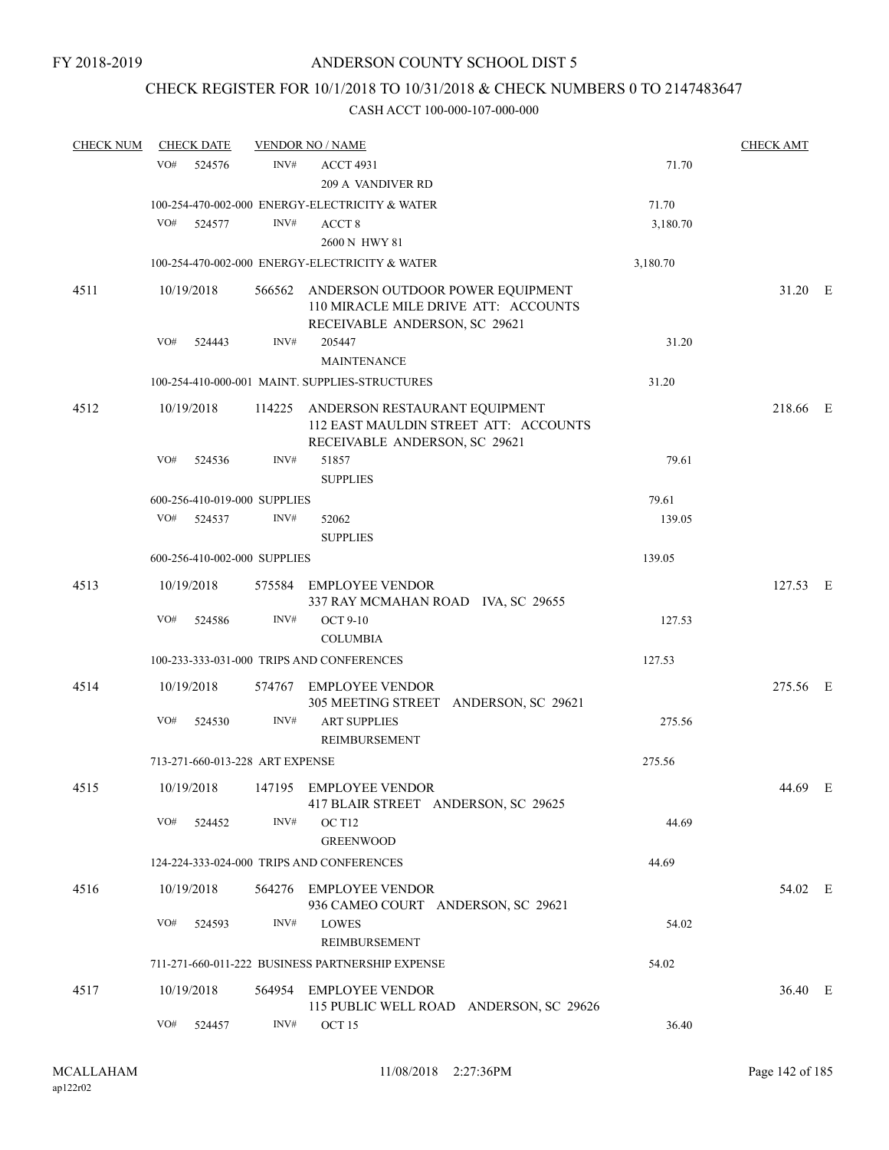## CHECK REGISTER FOR 10/1/2018 TO 10/31/2018 & CHECK NUMBERS 0 TO 2147483647

| <b>CHECK NUM</b> | <b>CHECK DATE</b>               |      | <b>VENDOR NO / NAME</b>                                                                                          |          | <b>CHECK AMT</b> |  |
|------------------|---------------------------------|------|------------------------------------------------------------------------------------------------------------------|----------|------------------|--|
|                  | VO#<br>524576                   | INV# | <b>ACCT 4931</b>                                                                                                 | 71.70    |                  |  |
|                  |                                 |      | 209 A VANDIVER RD                                                                                                |          |                  |  |
|                  |                                 |      | 100-254-470-002-000 ENERGY-ELECTRICITY & WATER                                                                   | 71.70    |                  |  |
|                  | VO#<br>524577                   | INV# | ACCT <sub>8</sub>                                                                                                | 3,180.70 |                  |  |
|                  |                                 |      | 2600 N HWY 81                                                                                                    |          |                  |  |
|                  |                                 |      | 100-254-470-002-000 ENERGY-ELECTRICITY & WATER                                                                   | 3,180.70 |                  |  |
| 4511             | 10/19/2018                      |      | 566562 ANDERSON OUTDOOR POWER EQUIPMENT<br>110 MIRACLE MILE DRIVE ATT: ACCOUNTS<br>RECEIVABLE ANDERSON, SC 29621 |          | 31.20 E          |  |
|                  | VO#<br>524443                   | INV# | 205447                                                                                                           | 31.20    |                  |  |
|                  |                                 |      | <b>MAINTENANCE</b>                                                                                               |          |                  |  |
|                  |                                 |      | 100-254-410-000-001 MAINT. SUPPLIES-STRUCTURES                                                                   | 31.20    |                  |  |
| 4512             | 10/19/2018                      |      | 114225 ANDERSON RESTAURANT EQUIPMENT<br>112 EAST MAULDIN STREET ATT: ACCOUNTS<br>RECEIVABLE ANDERSON, SC 29621   |          | 218.66 E         |  |
|                  | VO#<br>524536                   | INV# | 51857<br><b>SUPPLIES</b>                                                                                         | 79.61    |                  |  |
|                  | 600-256-410-019-000 SUPPLIES    |      |                                                                                                                  | 79.61    |                  |  |
|                  | VO#<br>524537                   | INV# | 52062                                                                                                            | 139.05   |                  |  |
|                  |                                 |      | <b>SUPPLIES</b>                                                                                                  |          |                  |  |
|                  | 600-256-410-002-000 SUPPLIES    |      |                                                                                                                  | 139.05   |                  |  |
| 4513             | 10/19/2018                      |      | 575584 EMPLOYEE VENDOR                                                                                           |          | 127.53 E         |  |
|                  |                                 |      | 337 RAY MCMAHAN ROAD IVA, SC 29655                                                                               |          |                  |  |
|                  | VO#<br>524586                   | INV# | <b>OCT 9-10</b><br><b>COLUMBIA</b>                                                                               | 127.53   |                  |  |
|                  |                                 |      | 100-233-333-031-000 TRIPS AND CONFERENCES                                                                        | 127.53   |                  |  |
| 4514             | 10/19/2018                      |      | 574767 EMPLOYEE VENDOR                                                                                           |          | 275.56 E         |  |
|                  | VO#<br>524530                   | INV# | 305 MEETING STREET ANDERSON, SC 29621<br><b>ART SUPPLIES</b>                                                     | 275.56   |                  |  |
|                  |                                 |      | REIMBURSEMENT                                                                                                    |          |                  |  |
|                  | 713-271-660-013-228 ART EXPENSE |      |                                                                                                                  | 275.56   |                  |  |
| 4515             |                                 |      | 10/19/2018 147195 EMPLOYEE VENDOR<br>417 BLAIR STREET ANDERSON, SC 29625                                         |          | 44.69 E          |  |
|                  | VO#<br>524452                   | INV# | OC T <sub>12</sub><br><b>GREENWOOD</b>                                                                           | 44.69    |                  |  |
|                  |                                 |      | 124-224-333-024-000 TRIPS AND CONFERENCES                                                                        | 44.69    |                  |  |
| 4516             | 10/19/2018                      |      | 564276 EMPLOYEE VENDOR<br>936 CAMEO COURT ANDERSON, SC 29621                                                     |          | 54.02 E          |  |
|                  | VO#<br>524593                   | INV# | <b>LOWES</b><br>REIMBURSEMENT                                                                                    | 54.02    |                  |  |
|                  |                                 |      | 711-271-660-011-222 BUSINESS PARTNERSHIP EXPENSE                                                                 | 54.02    |                  |  |
| 4517             | 10/19/2018                      |      | 564954 EMPLOYEE VENDOR                                                                                           |          | 36.40 E          |  |
|                  |                                 |      | 115 PUBLIC WELL ROAD ANDERSON, SC 29626                                                                          |          |                  |  |
|                  | VO#<br>524457                   | INV# | OCT <sub>15</sub>                                                                                                | 36.40    |                  |  |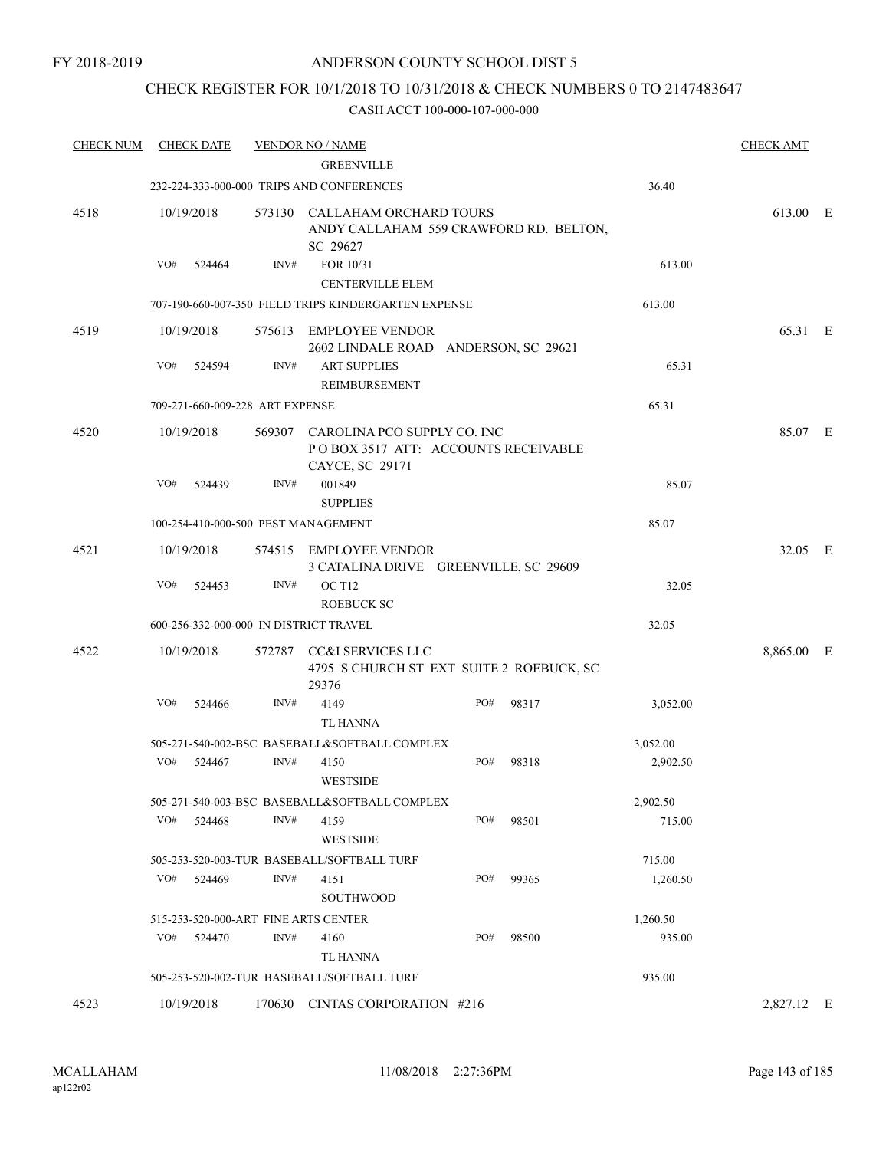## CHECK REGISTER FOR 10/1/2018 TO 10/31/2018 & CHECK NUMBERS 0 TO 2147483647

| <b>CHECK NUM</b> |            | <b>CHECK DATE</b> |                                 | <u>VENDOR NO / NAME</u>                                                                      |     |       |          | <b>CHECK AMT</b> |  |
|------------------|------------|-------------------|---------------------------------|----------------------------------------------------------------------------------------------|-----|-------|----------|------------------|--|
|                  |            |                   |                                 | <b>GREENVILLE</b>                                                                            |     |       |          |                  |  |
|                  |            |                   |                                 | 232-224-333-000-000 TRIPS AND CONFERENCES                                                    |     |       | 36.40    |                  |  |
| 4518             | 10/19/2018 |                   |                                 | 573130 CALLAHAM ORCHARD TOURS<br>ANDY CALLAHAM 559 CRAWFORD RD. BELTON,<br>SC 29627          |     |       |          | 613.00 E         |  |
|                  | VO#        | 524464            | INV#                            | FOR 10/31<br><b>CENTERVILLE ELEM</b>                                                         |     |       | 613.00   |                  |  |
|                  |            |                   |                                 | 707-190-660-007-350 FIELD TRIPS KINDERGARTEN EXPENSE                                         |     |       | 613.00   |                  |  |
| 4519             | 10/19/2018 |                   |                                 | 575613 EMPLOYEE VENDOR<br>2602 LINDALE ROAD ANDERSON, SC 29621                               |     |       |          | 65.31 E          |  |
|                  | VO#        | 524594            | INV#                            | <b>ART SUPPLIES</b><br>REIMBURSEMENT                                                         |     |       | 65.31    |                  |  |
|                  |            |                   | 709-271-660-009-228 ART EXPENSE |                                                                                              |     |       | 65.31    |                  |  |
| 4520             | 10/19/2018 |                   |                                 | 569307 CAROLINA PCO SUPPLY CO. INC<br>POBOX 3517 ATT: ACCOUNTS RECEIVABLE<br>CAYCE, SC 29171 |     |       |          | 85.07 E          |  |
|                  | VO#        | 524439            | INV#                            | 001849                                                                                       |     |       | 85.07    |                  |  |
|                  |            |                   |                                 | <b>SUPPLIES</b>                                                                              |     |       |          |                  |  |
|                  |            |                   |                                 | 100-254-410-000-500 PEST MANAGEMENT                                                          |     |       | 85.07    |                  |  |
| 4521             | 10/19/2018 |                   |                                 | 574515 EMPLOYEE VENDOR<br>3 CATALINA DRIVE GREENVILLE, SC 29609                              |     |       |          | 32.05 E          |  |
|                  | VO#        | 524453            | INV#                            | OC T <sub>12</sub><br><b>ROEBUCK SC</b>                                                      |     |       | 32.05    |                  |  |
|                  |            |                   |                                 | 600-256-332-000-000 IN DISTRICT TRAVEL                                                       |     |       | 32.05    |                  |  |
| 4522             |            | 10/19/2018        |                                 | 572787 CC&I SERVICES LLC<br>4795 S CHURCH ST EXT SUITE 2 ROEBUCK, SC<br>29376                |     |       |          | 8,865.00 E       |  |
|                  | VO#        | 524466            | INV#                            | 4149<br>TL HANNA                                                                             | PO# | 98317 | 3,052.00 |                  |  |
|                  |            |                   |                                 | 505-271-540-002-BSC BASEBALL&SOFTBALL COMPLEX                                                |     |       | 3,052.00 |                  |  |
|                  | VO#        | 524467            | INV#                            | 4150<br><b>WESTSIDE</b>                                                                      | PO# | 98318 | 2,902.50 |                  |  |
|                  |            |                   |                                 | 505-271-540-003-BSC BASEBALL&SOFTBALL COMPLEX                                                |     |       | 2,902.50 |                  |  |
|                  | VO#        | 524468            | INV#                            | 4159<br><b>WESTSIDE</b>                                                                      | PO# | 98501 | 715.00   |                  |  |
|                  |            |                   |                                 | 505-253-520-003-TUR BASEBALL/SOFTBALL TURF                                                   |     |       | 715.00   |                  |  |
|                  | VO#        | 524469            | INV#                            | 4151<br><b>SOUTHWOOD</b>                                                                     | PO# | 99365 | 1,260.50 |                  |  |
|                  |            |                   |                                 | 515-253-520-000-ART FINE ARTS CENTER                                                         |     |       | 1,260.50 |                  |  |
|                  | VO#        | 524470            | INV#                            | 4160<br>TL HANNA                                                                             | PO# | 98500 | 935.00   |                  |  |
|                  |            |                   |                                 | 505-253-520-002-TUR BASEBALL/SOFTBALL TURF                                                   |     |       | 935.00   |                  |  |
| 4523             | 10/19/2018 |                   |                                 | 170630 CINTAS CORPORATION #216                                                               |     |       |          | 2,827.12 E       |  |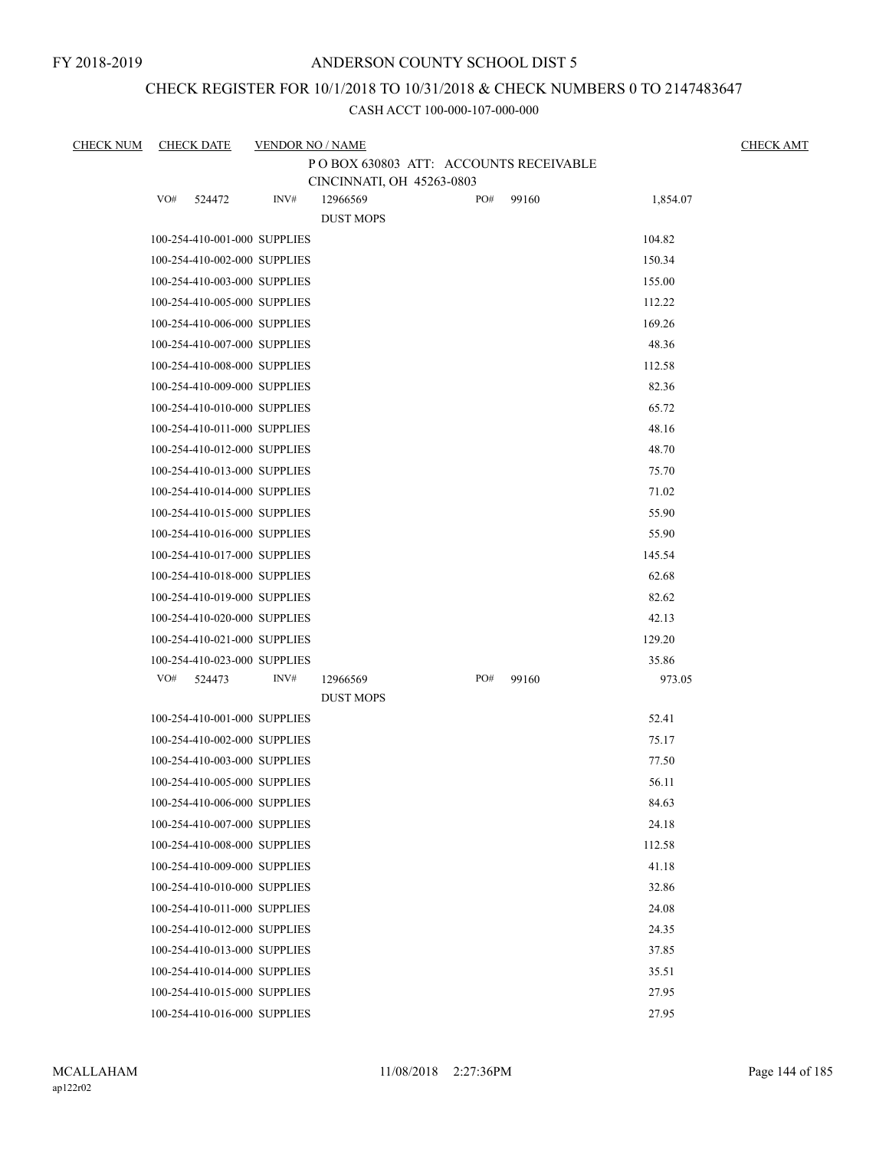## CHECK REGISTER FOR 10/1/2018 TO 10/31/2018 & CHECK NUMBERS 0 TO 2147483647

| <b>CHECK NUM</b> |     | <b>CHECK DATE</b>            | <b>VENDOR NO / NAME</b> |                                       |     |       | <b>CHECK AMT</b> |  |
|------------------|-----|------------------------------|-------------------------|---------------------------------------|-----|-------|------------------|--|
|                  |     |                              |                         | POBOX 630803 ATT: ACCOUNTS RECEIVABLE |     |       |                  |  |
|                  |     |                              |                         | CINCINNATI, OH 45263-0803             |     |       |                  |  |
|                  | VO# | 524472                       | INV#                    | 12966569<br><b>DUST MOPS</b>          | PO# | 99160 | 1,854.07         |  |
|                  |     | 100-254-410-001-000 SUPPLIES |                         |                                       |     |       | 104.82           |  |
|                  |     | 100-254-410-002-000 SUPPLIES |                         |                                       |     |       | 150.34           |  |
|                  |     | 100-254-410-003-000 SUPPLIES |                         |                                       |     |       | 155.00           |  |
|                  |     | 100-254-410-005-000 SUPPLIES |                         |                                       |     |       | 112.22           |  |
|                  |     | 100-254-410-006-000 SUPPLIES |                         |                                       |     |       | 169.26           |  |
|                  |     | 100-254-410-007-000 SUPPLIES |                         |                                       |     |       | 48.36            |  |
|                  |     | 100-254-410-008-000 SUPPLIES |                         |                                       |     |       | 112.58           |  |
|                  |     | 100-254-410-009-000 SUPPLIES |                         |                                       |     |       | 82.36            |  |
|                  |     | 100-254-410-010-000 SUPPLIES |                         |                                       |     |       | 65.72            |  |
|                  |     | 100-254-410-011-000 SUPPLIES |                         |                                       |     |       | 48.16            |  |
|                  |     | 100-254-410-012-000 SUPPLIES |                         |                                       |     |       | 48.70            |  |
|                  |     | 100-254-410-013-000 SUPPLIES |                         |                                       |     |       | 75.70            |  |
|                  |     | 100-254-410-014-000 SUPPLIES |                         |                                       |     |       | 71.02            |  |
|                  |     | 100-254-410-015-000 SUPPLIES |                         |                                       |     |       | 55.90            |  |
|                  |     | 100-254-410-016-000 SUPPLIES |                         |                                       |     |       | 55.90            |  |
|                  |     | 100-254-410-017-000 SUPPLIES |                         |                                       |     |       | 145.54           |  |
|                  |     | 100-254-410-018-000 SUPPLIES |                         |                                       |     |       | 62.68            |  |
|                  |     | 100-254-410-019-000 SUPPLIES |                         |                                       |     |       | 82.62            |  |
|                  |     | 100-254-410-020-000 SUPPLIES |                         |                                       |     |       | 42.13            |  |
|                  |     | 100-254-410-021-000 SUPPLIES |                         |                                       |     |       | 129.20           |  |
|                  |     | 100-254-410-023-000 SUPPLIES |                         |                                       |     |       | 35.86            |  |
|                  | VO# | 524473                       | INV#                    | 12966569                              | PO# | 99160 | 973.05           |  |
|                  |     |                              |                         | <b>DUST MOPS</b>                      |     |       |                  |  |
|                  |     | 100-254-410-001-000 SUPPLIES |                         |                                       |     |       | 52.41            |  |
|                  |     | 100-254-410-002-000 SUPPLIES |                         |                                       |     |       | 75.17            |  |
|                  |     | 100-254-410-003-000 SUPPLIES |                         |                                       |     |       | 77.50            |  |
|                  |     | 100-254-410-005-000 SUPPLIES |                         |                                       |     |       | 56.11            |  |
|                  |     | 100-254-410-006-000 SUPPLIES |                         |                                       |     |       | 84.63            |  |
|                  |     | 100-254-410-007-000 SUPPLIES |                         |                                       |     |       | 24.18            |  |
|                  |     | 100-254-410-008-000 SUPPLIES |                         |                                       |     |       | 112.58           |  |
|                  |     | 100-254-410-009-000 SUPPLIES |                         |                                       |     |       | 41.18            |  |
|                  |     | 100-254-410-010-000 SUPPLIES |                         |                                       |     |       | 32.86            |  |
|                  |     | 100-254-410-011-000 SUPPLIES |                         |                                       |     |       | 24.08            |  |
|                  |     | 100-254-410-012-000 SUPPLIES |                         |                                       |     |       | 24.35            |  |
|                  |     | 100-254-410-013-000 SUPPLIES |                         |                                       |     |       | 37.85            |  |
|                  |     | 100-254-410-014-000 SUPPLIES |                         |                                       |     |       | 35.51            |  |
|                  |     | 100-254-410-015-000 SUPPLIES |                         |                                       |     |       | 27.95            |  |
|                  |     | 100-254-410-016-000 SUPPLIES |                         |                                       |     |       | 27.95            |  |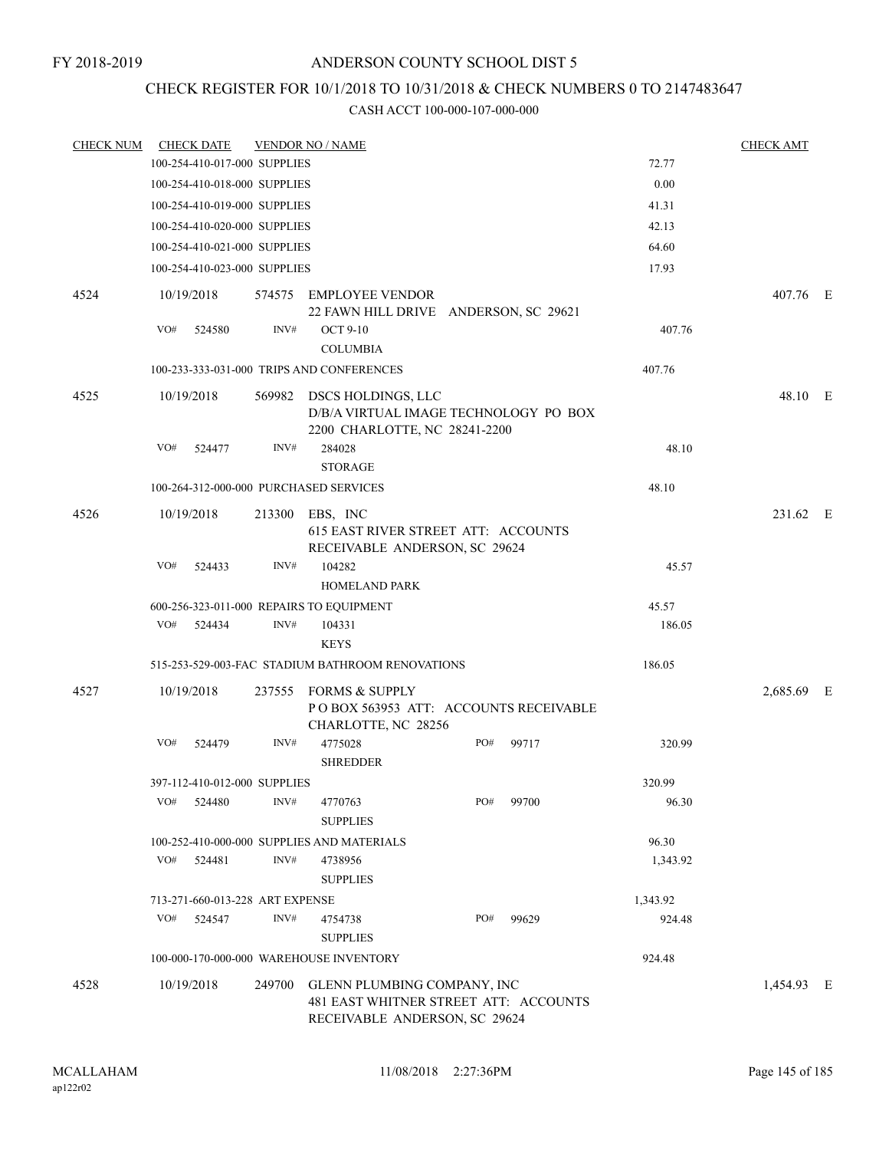### CHECK REGISTER FOR 10/1/2018 TO 10/31/2018 & CHECK NUMBERS 0 TO 2147483647

| <b>CHECK NUM</b> | <b>CHECK DATE</b>               |        |        | <b>VENDOR NO / NAME</b>                                                                               |     |       |          | <b>CHECK AMT</b> |  |
|------------------|---------------------------------|--------|--------|-------------------------------------------------------------------------------------------------------|-----|-------|----------|------------------|--|
|                  | 100-254-410-017-000 SUPPLIES    |        |        |                                                                                                       |     |       | 72.77    |                  |  |
|                  | 100-254-410-018-000 SUPPLIES    |        |        |                                                                                                       |     |       | 0.00     |                  |  |
|                  | 100-254-410-019-000 SUPPLIES    |        |        |                                                                                                       |     |       | 41.31    |                  |  |
|                  | 100-254-410-020-000 SUPPLIES    |        |        |                                                                                                       |     |       | 42.13    |                  |  |
|                  | 100-254-410-021-000 SUPPLIES    |        |        |                                                                                                       |     |       | 64.60    |                  |  |
|                  | 100-254-410-023-000 SUPPLIES    |        |        |                                                                                                       |     |       | 17.93    |                  |  |
| 4524             | 10/19/2018                      |        |        | 574575 EMPLOYEE VENDOR<br>22 FAWN HILL DRIVE ANDERSON, SC 29621                                       |     |       |          | 407.76 E         |  |
|                  | VO#                             | 524580 | INV#   | <b>OCT 9-10</b><br><b>COLUMBIA</b>                                                                    |     |       | 407.76   |                  |  |
|                  |                                 |        |        | 100-233-333-031-000 TRIPS AND CONFERENCES                                                             |     |       | 407.76   |                  |  |
|                  |                                 |        |        |                                                                                                       |     |       |          |                  |  |
| 4525             | 10/19/2018                      |        |        | 569982 DSCS HOLDINGS, LLC<br>D/B/A VIRTUAL IMAGE TECHNOLOGY PO BOX<br>2200 CHARLOTTE, NC 28241-2200   |     |       |          | 48.10 E          |  |
|                  | VO#                             | 524477 | INV#   | 284028<br><b>STORAGE</b>                                                                              |     |       | 48.10    |                  |  |
|                  |                                 |        |        | 100-264-312-000-000 PURCHASED SERVICES                                                                |     |       | 48.10    |                  |  |
| 4526             | 10/19/2018                      |        |        | 213300 EBS, INC<br>615 EAST RIVER STREET ATT: ACCOUNTS<br>RECEIVABLE ANDERSON, SC 29624               |     |       |          | 231.62 E         |  |
|                  | VO#                             | 524433 | INV#   | 104282<br><b>HOMELAND PARK</b>                                                                        |     |       | 45.57    |                  |  |
|                  |                                 |        |        | 600-256-323-011-000 REPAIRS TO EQUIPMENT                                                              |     |       | 45.57    |                  |  |
|                  | VO#                             | 524434 | INV#   | 104331<br><b>KEYS</b>                                                                                 |     |       | 186.05   |                  |  |
|                  |                                 |        |        | 515-253-529-003-FAC STADIUM BATHROOM RENOVATIONS                                                      |     |       | 186.05   |                  |  |
| 4527             | 10/19/2018                      |        |        | 237555 FORMS & SUPPLY<br>POBOX 563953 ATT: ACCOUNTS RECEIVABLE<br>CHARLOTTE, NC 28256                 |     |       |          | 2,685.69 E       |  |
|                  | VO#                             | 524479 | INV#   | 4775028<br><b>SHREDDER</b>                                                                            | PO# | 99717 | 320.99   |                  |  |
|                  | 397-112-410-012-000 SUPPLIES    |        |        |                                                                                                       |     |       | 320.99   |                  |  |
|                  | VO#                             | 524480 | INV#   | 4770763<br><b>SUPPLIES</b>                                                                            | PO# | 99700 | 96.30    |                  |  |
|                  |                                 |        |        | 100-252-410-000-000 SUPPLIES AND MATERIALS                                                            |     |       | 96.30    |                  |  |
|                  | VO#                             | 524481 | INV#   | 4738956<br><b>SUPPLIES</b>                                                                            |     |       | 1,343.92 |                  |  |
|                  | 713-271-660-013-228 ART EXPENSE |        |        |                                                                                                       |     |       | 1,343.92 |                  |  |
|                  | VO#                             | 524547 | INV#   | 4754738<br><b>SUPPLIES</b>                                                                            | PO# | 99629 | 924.48   |                  |  |
|                  |                                 |        |        | 100-000-170-000-000 WAREHOUSE INVENTORY                                                               |     |       | 924.48   |                  |  |
| 4528             | 10/19/2018                      |        | 249700 | GLENN PLUMBING COMPANY, INC<br>481 EAST WHITNER STREET ATT: ACCOUNTS<br>RECEIVABLE ANDERSON, SC 29624 |     |       |          | 1,454.93 E       |  |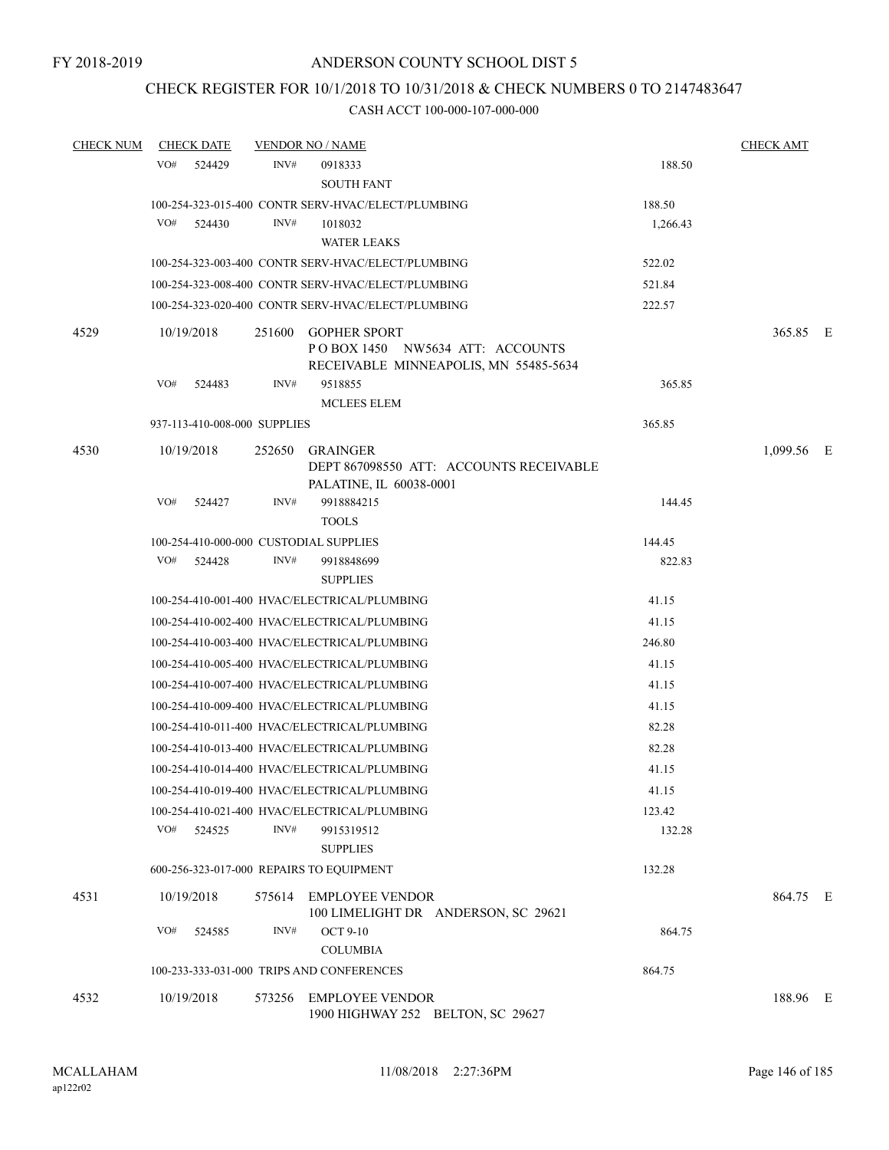# CHECK REGISTER FOR 10/1/2018 TO 10/31/2018 & CHECK NUMBERS 0 TO 2147483647

| <b>CHECK NUM</b> | <b>CHECK DATE</b>                      |        | <b>VENDOR NO / NAME</b>                                                                         |          | <b>CHECK AMT</b> |  |
|------------------|----------------------------------------|--------|-------------------------------------------------------------------------------------------------|----------|------------------|--|
|                  | VO#<br>524429                          | INV#   | 0918333<br><b>SOUTH FANT</b>                                                                    | 188.50   |                  |  |
|                  |                                        |        | 100-254-323-015-400 CONTR SERV-HVAC/ELECT/PLUMBING                                              | 188.50   |                  |  |
|                  | VO#<br>524430                          | INV#   | 1018032<br><b>WATER LEAKS</b>                                                                   | 1,266.43 |                  |  |
|                  |                                        |        | 100-254-323-003-400 CONTR SERV-HVAC/ELECT/PLUMBING                                              | 522.02   |                  |  |
|                  |                                        |        | 100-254-323-008-400 CONTR SERV-HVAC/ELECT/PLUMBING                                              | 521.84   |                  |  |
|                  |                                        |        | 100-254-323-020-400 CONTR SERV-HVAC/ELECT/PLUMBING                                              | 222.57   |                  |  |
| 4529             | 10/19/2018                             | 251600 | <b>GOPHER SPORT</b><br>POBOX 1450 NW5634 ATT: ACCOUNTS<br>RECEIVABLE MINNEAPOLIS, MN 55485-5634 |          | 365.85 E         |  |
|                  | VO#<br>524483                          | INV#   | 9518855<br><b>MCLEES ELEM</b>                                                                   | 365.85   |                  |  |
|                  | 937-113-410-008-000 SUPPLIES           |        |                                                                                                 | 365.85   |                  |  |
| 4530             | 10/19/2018                             | 252650 | GRAINGER<br>DEPT 867098550 ATT: ACCOUNTS RECEIVABLE<br>PALATINE, IL 60038-0001                  |          | 1,099.56 E       |  |
|                  | VO#<br>524427                          | INV#   | 9918884215<br><b>TOOLS</b>                                                                      | 144.45   |                  |  |
|                  | 100-254-410-000-000 CUSTODIAL SUPPLIES |        |                                                                                                 | 144.45   |                  |  |
|                  | VO#<br>524428                          | INV#   | 9918848699<br><b>SUPPLIES</b>                                                                   | 822.83   |                  |  |
|                  |                                        |        | 100-254-410-001-400 HVAC/ELECTRICAL/PLUMBING                                                    | 41.15    |                  |  |
|                  |                                        |        | 100-254-410-002-400 HVAC/ELECTRICAL/PLUMBING                                                    | 41.15    |                  |  |
|                  |                                        |        | 100-254-410-003-400 HVAC/ELECTRICAL/PLUMBING                                                    | 246.80   |                  |  |
|                  |                                        |        | 100-254-410-005-400 HVAC/ELECTRICAL/PLUMBING                                                    | 41.15    |                  |  |
|                  |                                        |        | 100-254-410-007-400 HVAC/ELECTRICAL/PLUMBING                                                    | 41.15    |                  |  |
|                  |                                        |        | 100-254-410-009-400 HVAC/ELECTRICAL/PLUMBING                                                    | 41.15    |                  |  |
|                  |                                        |        | 100-254-410-011-400 HVAC/ELECTRICAL/PLUMBING                                                    | 82.28    |                  |  |
|                  |                                        |        | 100-254-410-013-400 HVAC/ELECTRICAL/PLUMBING                                                    | 82.28    |                  |  |
|                  |                                        |        | 100-254-410-014-400 HVAC/ELECTRICAL/PLUMBING                                                    | 41.15    |                  |  |
|                  |                                        |        | 100-254-410-019-400 HVAC/ELECTRICAL/PLUMBING                                                    | 41.15    |                  |  |
|                  |                                        |        | 100-254-410-021-400 HVAC/ELECTRICAL/PLUMBING                                                    | 123.42   |                  |  |
|                  | VO#<br>524525                          | INV#   | 9915319512<br><b>SUPPLIES</b>                                                                   | 132.28   |                  |  |
|                  |                                        |        | 600-256-323-017-000 REPAIRS TO EQUIPMENT                                                        | 132.28   |                  |  |
| 4531             | 10/19/2018                             |        | 575614 EMPLOYEE VENDOR<br>100 LIMELIGHT DR ANDERSON, SC 29621                                   |          | 864.75 E         |  |
|                  | VO#<br>524585                          | INV#   | <b>OCT 9-10</b><br><b>COLUMBIA</b>                                                              | 864.75   |                  |  |
|                  |                                        |        | 100-233-333-031-000 TRIPS AND CONFERENCES                                                       | 864.75   |                  |  |
| 4532             | 10/19/2018                             |        | 573256 EMPLOYEE VENDOR<br>1900 HIGHWAY 252 BELTON, SC 29627                                     |          | 188.96 E         |  |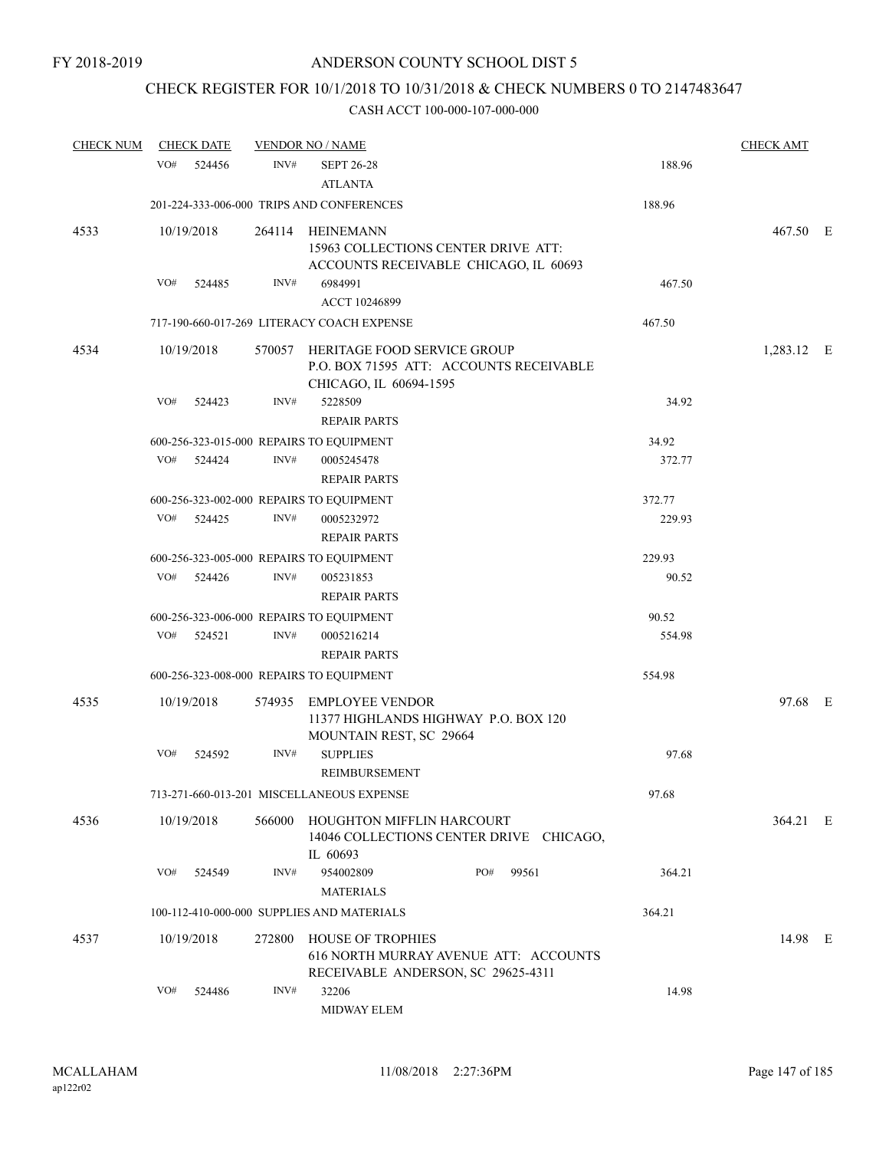# CHECK REGISTER FOR 10/1/2018 TO 10/31/2018 & CHECK NUMBERS 0 TO 2147483647

| <b>CHECK NUM</b> | <b>CHECK DATE</b> |        | <b>VENDOR NO / NAME</b>                                                                                 |        | <b>CHECK AMT</b> |  |
|------------------|-------------------|--------|---------------------------------------------------------------------------------------------------------|--------|------------------|--|
|                  | VO#<br>524456     | INV#   | <b>SEPT 26-28</b><br><b>ATLANTA</b>                                                                     | 188.96 |                  |  |
|                  |                   |        | 201-224-333-006-000 TRIPS AND CONFERENCES                                                               | 188.96 |                  |  |
| 4533             | 10/19/2018        |        | 264114 HEINEMANN<br>15963 COLLECTIONS CENTER DRIVE ATT:<br>ACCOUNTS RECEIVABLE CHICAGO, IL 60693        |        | 467.50 E         |  |
|                  | VO#<br>524485     | INV#   | 6984991<br>ACCT 10246899                                                                                | 467.50 |                  |  |
|                  |                   |        | 717-190-660-017-269 LITERACY COACH EXPENSE                                                              | 467.50 |                  |  |
| 4534             | 10/19/2018        |        | 570057 HERITAGE FOOD SERVICE GROUP<br>P.O. BOX 71595 ATT: ACCOUNTS RECEIVABLE<br>CHICAGO, IL 60694-1595 |        | 1,283.12 E       |  |
|                  | VO#<br>524423     | INV#   | 5228509<br><b>REPAIR PARTS</b>                                                                          | 34.92  |                  |  |
|                  |                   |        | 600-256-323-015-000 REPAIRS TO EQUIPMENT                                                                | 34.92  |                  |  |
|                  | VO#<br>524424     | INV#   | 0005245478<br><b>REPAIR PARTS</b>                                                                       | 372.77 |                  |  |
|                  |                   |        | 600-256-323-002-000 REPAIRS TO EQUIPMENT                                                                | 372.77 |                  |  |
|                  | VO#<br>524425     | INV#   | 0005232972<br><b>REPAIR PARTS</b>                                                                       | 229.93 |                  |  |
|                  |                   |        | 600-256-323-005-000 REPAIRS TO EQUIPMENT                                                                | 229.93 |                  |  |
|                  | VO#<br>524426     | INV#   | 005231853<br><b>REPAIR PARTS</b>                                                                        | 90.52  |                  |  |
|                  |                   |        | 600-256-323-006-000 REPAIRS TO EQUIPMENT                                                                | 90.52  |                  |  |
|                  | VO#<br>524521     | INV#   | 0005216214<br><b>REPAIR PARTS</b>                                                                       | 554.98 |                  |  |
|                  |                   |        | 600-256-323-008-000 REPAIRS TO EQUIPMENT                                                                | 554.98 |                  |  |
| 4535             | 10/19/2018        |        | 574935 EMPLOYEE VENDOR<br>11377 HIGHLANDS HIGHWAY P.O. BOX 120<br>MOUNTAIN REST, SC 29664               |        | 97.68 E          |  |
|                  | VO#<br>524592     | INV#   | <b>SUPPLIES</b><br>REIMBURSEMENT                                                                        | 97.68  |                  |  |
|                  |                   |        | 713-271-660-013-201 MISCELLANEOUS EXPENSE                                                               | 97.68  |                  |  |
| 4536             | 10/19/2018        | 566000 | HOUGHTON MIFFLIN HARCOURT<br>14046 COLLECTIONS CENTER DRIVE CHICAGO,<br>IL 60693                        |        | 364.21 E         |  |
|                  | VO#<br>524549     | INV#   | 954002809<br>PO#<br>99561<br><b>MATERIALS</b>                                                           | 364.21 |                  |  |
|                  |                   |        | 100-112-410-000-000 SUPPLIES AND MATERIALS                                                              | 364.21 |                  |  |
| 4537             | 10/19/2018        | 272800 | <b>HOUSE OF TROPHIES</b><br>616 NORTH MURRAY AVENUE ATT: ACCOUNTS<br>RECEIVABLE ANDERSON, SC 29625-4311 |        | 14.98 E          |  |
|                  | VO#<br>524486     | INV#   | 32206<br>MIDWAY ELEM                                                                                    | 14.98  |                  |  |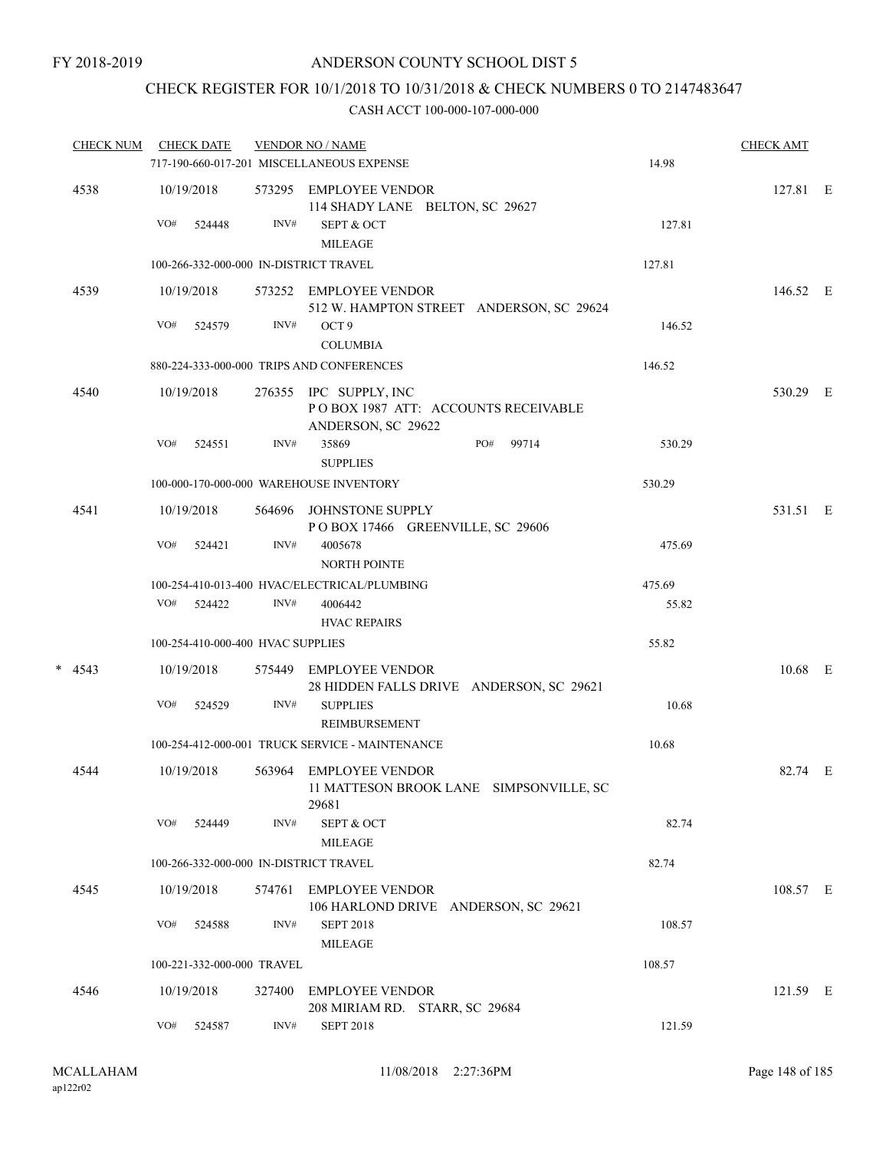### CHECK REGISTER FOR 10/1/2018 TO 10/31/2018 & CHECK NUMBERS 0 TO 2147483647

| <b>CHECK NUM</b> |     | <b>CHECK DATE</b>                 |        | <b>VENDOR NO / NAME</b><br>717-190-660-017-201 MISCELLANEOUS EXPENSE                | 14.98  | <b>CHECK AMT</b> |  |
|------------------|-----|-----------------------------------|--------|-------------------------------------------------------------------------------------|--------|------------------|--|
| 4538             | VO# | 10/19/2018<br>524448              | INV#   | 573295 EMPLOYEE VENDOR<br>114 SHADY LANE BELTON, SC 29627<br><b>SEPT &amp; OCT</b>  | 127.81 | 127.81 E         |  |
|                  |     |                                   |        | <b>MILEAGE</b>                                                                      |        |                  |  |
|                  |     |                                   |        | 100-266-332-000-000 IN-DISTRICT TRAVEL                                              | 127.81 |                  |  |
| 4539             |     | 10/19/2018                        |        | 573252 EMPLOYEE VENDOR<br>512 W. HAMPTON STREET ANDERSON, SC 29624                  |        | 146.52 E         |  |
|                  | VO# | 524579                            | INV#   | OCT <sub>9</sub><br><b>COLUMBIA</b>                                                 | 146.52 |                  |  |
|                  |     |                                   |        | 880-224-333-000-000 TRIPS AND CONFERENCES                                           | 146.52 |                  |  |
| 4540             |     | 10/19/2018                        |        | 276355 IPC SUPPLY, INC<br>POBOX 1987 ATT: ACCOUNTS RECEIVABLE<br>ANDERSON, SC 29622 |        | 530.29 E         |  |
|                  | VO# | 524551                            | INV#   | 35869<br>PO#<br>99714                                                               | 530.29 |                  |  |
|                  |     |                                   |        | <b>SUPPLIES</b>                                                                     |        |                  |  |
|                  |     |                                   |        | 100-000-170-000-000 WAREHOUSE INVENTORY                                             | 530.29 |                  |  |
| 4541             | VO# | 10/19/2018<br>524421              | INV#   | 564696 JOHNSTONE SUPPLY<br>POBOX 17466 GREENVILLE, SC 29606<br>4005678              | 475.69 | 531.51 E         |  |
|                  |     |                                   |        | NORTH POINTE                                                                        |        |                  |  |
|                  |     |                                   |        | 100-254-410-013-400 HVAC/ELECTRICAL/PLUMBING                                        | 475.69 |                  |  |
|                  | VO# | 524422                            | INV#   | 4006442<br><b>HVAC REPAIRS</b>                                                      | 55.82  |                  |  |
|                  |     | 100-254-410-000-400 HVAC SUPPLIES |        |                                                                                     | 55.82  |                  |  |
| $* 4543$         |     | 10/19/2018                        |        | 575449 EMPLOYEE VENDOR<br>28 HIDDEN FALLS DRIVE ANDERSON, SC 29621                  |        | 10.68 E          |  |
|                  | VO# | 524529                            | INV#   | <b>SUPPLIES</b><br>REIMBURSEMENT                                                    | 10.68  |                  |  |
|                  |     |                                   |        | 100-254-412-000-001 TRUCK SERVICE - MAINTENANCE                                     | 10.68  |                  |  |
| 4544             |     | 10/19/2018                        |        | 563964 EMPLOYEE VENDOR<br>11 MATTESON BROOK LANE SIMPSONVILLE, SC<br>29681          |        | 82.74 E          |  |
|                  |     | VO# 524449                        | INV#   | <b>SEPT &amp; OCT</b><br><b>MILEAGE</b>                                             | 82.74  |                  |  |
|                  |     |                                   |        | 100-266-332-000-000 IN-DISTRICT TRAVEL                                              | 82.74  |                  |  |
| 4545             |     | 10/19/2018                        |        | 574761 EMPLOYEE VENDOR<br>106 HARLOND DRIVE ANDERSON, SC 29621                      |        | 108.57 E         |  |
|                  | VO# | 524588                            | INV#   | <b>SEPT 2018</b><br><b>MILEAGE</b>                                                  | 108.57 |                  |  |
|                  |     | 100-221-332-000-000 TRAVEL        |        |                                                                                     | 108.57 |                  |  |
| 4546             |     | 10/19/2018                        | 327400 | <b>EMPLOYEE VENDOR</b><br>208 MIRIAM RD. STARR, SC 29684                            |        | 121.59 E         |  |
|                  | VO# | 524587                            | INV#   | <b>SEPT 2018</b>                                                                    | 121.59 |                  |  |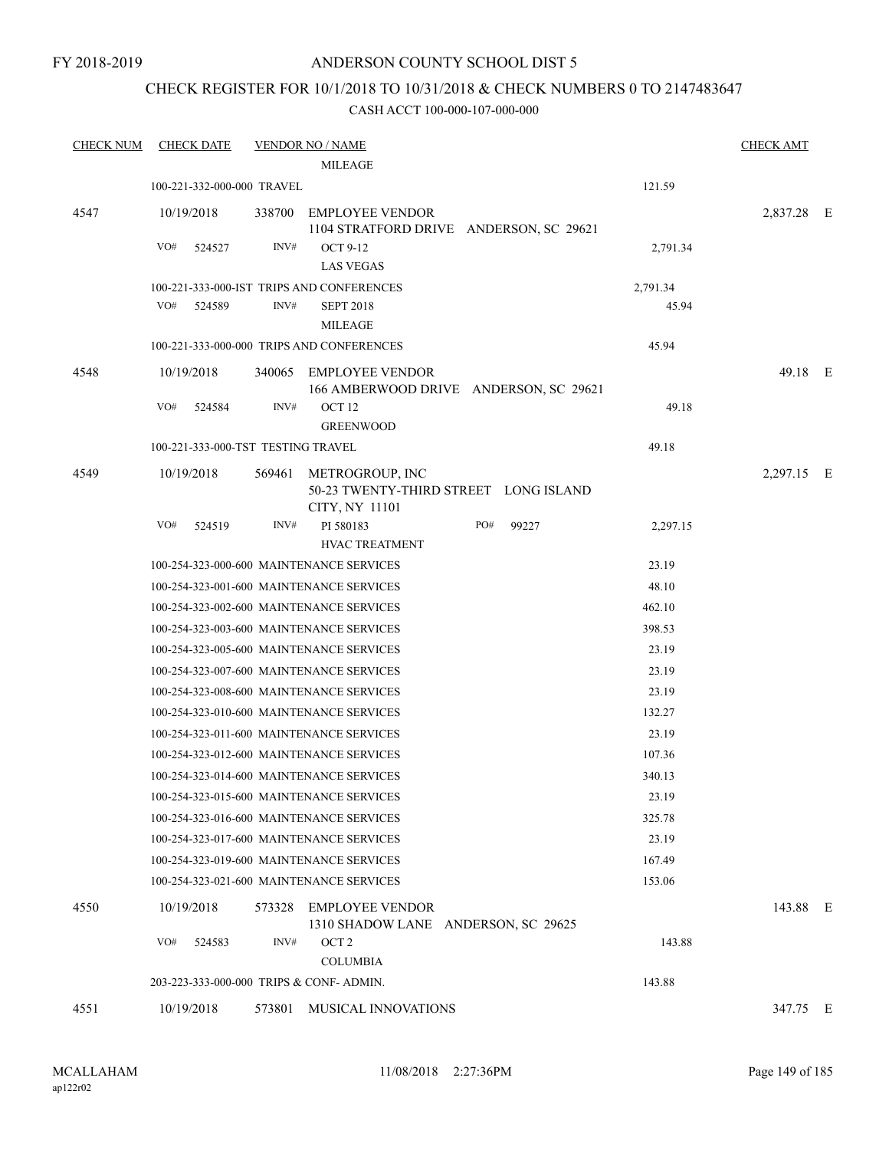### CHECK REGISTER FOR 10/1/2018 TO 10/31/2018 & CHECK NUMBERS 0 TO 2147483647

| <b>CHECK NUM</b> | <b>CHECK DATE</b>                       |        | <b>VENDOR NO / NAME</b>                                           |                                        |          | <b>CHECK AMT</b> |  |
|------------------|-----------------------------------------|--------|-------------------------------------------------------------------|----------------------------------------|----------|------------------|--|
|                  |                                         |        | <b>MILEAGE</b>                                                    |                                        |          |                  |  |
|                  | 100-221-332-000-000 TRAVEL              |        |                                                                   |                                        | 121.59   |                  |  |
| 4547             | 10/19/2018                              | 338700 | <b>EMPLOYEE VENDOR</b><br>1104 STRATFORD DRIVE ANDERSON, SC 29621 |                                        |          | 2,837.28 E       |  |
|                  | VO#<br>524527                           | INV#   | <b>OCT 9-12</b><br><b>LAS VEGAS</b>                               |                                        | 2,791.34 |                  |  |
|                  |                                         |        | 100-221-333-000-IST TRIPS AND CONFERENCES                         |                                        | 2,791.34 |                  |  |
|                  | VO#<br>524589                           | INV#   | <b>SEPT 2018</b><br><b>MILEAGE</b>                                |                                        | 45.94    |                  |  |
|                  |                                         |        | 100-221-333-000-000 TRIPS AND CONFERENCES                         |                                        | 45.94    |                  |  |
| 4548             | 10/19/2018                              | 340065 | <b>EMPLOYEE VENDOR</b>                                            | 166 AMBERWOOD DRIVE ANDERSON, SC 29621 |          | 49.18 E          |  |
|                  | VO#<br>524584                           | INV#   | OCT <sub>12</sub><br><b>GREENWOOD</b>                             |                                        | 49.18    |                  |  |
|                  | 100-221-333-000-TST TESTING TRAVEL      |        |                                                                   |                                        | 49.18    |                  |  |
| 4549             | 10/19/2018                              | 569461 | METROGROUP, INC<br>50-23 TWENTY-THIRD STREET LONG ISLAND          |                                        |          | 2,297.15 E       |  |
|                  | VO#<br>524519                           | INV#   | CITY, NY 11101<br>PI 580183<br><b>HVAC TREATMENT</b>              | PO#<br>99227                           | 2,297.15 |                  |  |
|                  |                                         |        | 100-254-323-000-600 MAINTENANCE SERVICES                          |                                        | 23.19    |                  |  |
|                  |                                         |        | 100-254-323-001-600 MAINTENANCE SERVICES                          |                                        | 48.10    |                  |  |
|                  |                                         |        | 100-254-323-002-600 MAINTENANCE SERVICES                          |                                        | 462.10   |                  |  |
|                  |                                         |        | 100-254-323-003-600 MAINTENANCE SERVICES                          |                                        | 398.53   |                  |  |
|                  |                                         |        | 100-254-323-005-600 MAINTENANCE SERVICES                          |                                        | 23.19    |                  |  |
|                  |                                         |        | 100-254-323-007-600 MAINTENANCE SERVICES                          |                                        | 23.19    |                  |  |
|                  |                                         |        | 100-254-323-008-600 MAINTENANCE SERVICES                          |                                        | 23.19    |                  |  |
|                  |                                         |        | 100-254-323-010-600 MAINTENANCE SERVICES                          |                                        | 132.27   |                  |  |
|                  |                                         |        | 100-254-323-011-600 MAINTENANCE SERVICES                          |                                        | 23.19    |                  |  |
|                  |                                         |        | 100-254-323-012-600 MAINTENANCE SERVICES                          |                                        | 107.36   |                  |  |
|                  |                                         |        | 100-254-323-014-600 MAINTENANCE SERVICES                          |                                        | 340.13   |                  |  |
|                  |                                         |        | 100-254-323-015-600 MAINTENANCE SERVICES                          |                                        | 23.19    |                  |  |
|                  |                                         |        | 100-254-323-016-600 MAINTENANCE SERVICES                          |                                        | 325.78   |                  |  |
|                  |                                         |        | 100-254-323-017-600 MAINTENANCE SERVICES                          |                                        | 23.19    |                  |  |
|                  |                                         |        | 100-254-323-019-600 MAINTENANCE SERVICES                          |                                        | 167.49   |                  |  |
|                  |                                         |        | 100-254-323-021-600 MAINTENANCE SERVICES                          |                                        | 153.06   |                  |  |
| 4550             | 10/19/2018                              | 573328 | <b>EMPLOYEE VENDOR</b><br>1310 SHADOW LANE ANDERSON, SC 29625     |                                        |          | 143.88 E         |  |
|                  | VO#<br>524583                           | INV#   | OCT <sub>2</sub><br><b>COLUMBIA</b>                               |                                        | 143.88   |                  |  |
|                  | 203-223-333-000-000 TRIPS & CONF-ADMIN. |        |                                                                   |                                        | 143.88   |                  |  |
| 4551             | 10/19/2018                              | 573801 | MUSICAL INNOVATIONS                                               |                                        |          | 347.75 E         |  |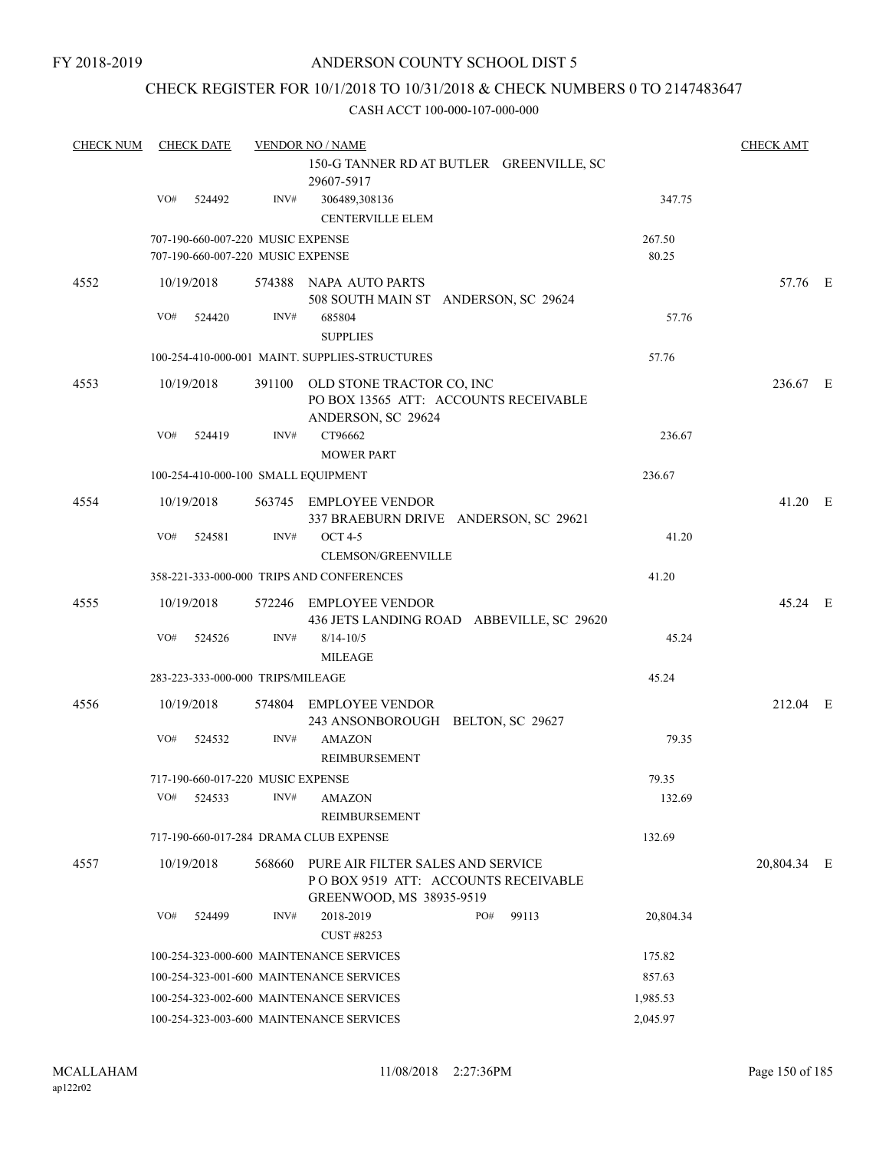### CHECK REGISTER FOR 10/1/2018 TO 10/31/2018 & CHECK NUMBERS 0 TO 2147483647

| <b>CHECK NUM</b> | <b>CHECK DATE</b>                                                      |        | <b>VENDOR NO / NAME</b><br>150-G TANNER RD AT BUTLER GREENVILLE, SC<br>29607-5917                    |                 | <b>CHECK AMT</b> |  |
|------------------|------------------------------------------------------------------------|--------|------------------------------------------------------------------------------------------------------|-----------------|------------------|--|
|                  | VO#<br>524492                                                          | INV#   | 306489,308136<br><b>CENTERVILLE ELEM</b>                                                             | 347.75          |                  |  |
|                  | 707-190-660-007-220 MUSIC EXPENSE<br>707-190-660-007-220 MUSIC EXPENSE |        |                                                                                                      | 267.50<br>80.25 |                  |  |
| 4552             | 10/19/2018                                                             |        | 574388 NAPA AUTO PARTS<br>508 SOUTH MAIN ST ANDERSON, SC 29624                                       |                 | 57.76 E          |  |
|                  | VO#<br>524420                                                          | INV#   | 685804<br><b>SUPPLIES</b>                                                                            | 57.76           |                  |  |
|                  |                                                                        |        | 100-254-410-000-001 MAINT. SUPPLIES-STRUCTURES                                                       | 57.76           |                  |  |
| 4553             | 10/19/2018                                                             |        | 391100 OLD STONE TRACTOR CO, INC<br>PO BOX 13565 ATT: ACCOUNTS RECEIVABLE<br>ANDERSON, SC 29624      |                 | 236.67 E         |  |
|                  | VO#<br>524419                                                          | INV#   | CT96662<br><b>MOWER PART</b>                                                                         | 236.67          |                  |  |
|                  | 100-254-410-000-100 SMALL EQUIPMENT                                    |        |                                                                                                      | 236.67          |                  |  |
| 4554             | 10/19/2018                                                             |        | 563745 EMPLOYEE VENDOR<br>337 BRAEBURN DRIVE ANDERSON, SC 29621                                      |                 | 41.20 E          |  |
|                  | VO#<br>524581                                                          | INV#   | <b>OCT 4-5</b><br><b>CLEMSON/GREENVILLE</b>                                                          | 41.20           |                  |  |
|                  |                                                                        |        | 358-221-333-000-000 TRIPS AND CONFERENCES                                                            | 41.20           |                  |  |
| 4555             | 10/19/2018                                                             |        | 572246 EMPLOYEE VENDOR<br>436 JETS LANDING ROAD ABBEVILLE, SC 29620                                  |                 | 45.24 E          |  |
|                  | VO#<br>524526                                                          | INV#   | $8/14 - 10/5$<br><b>MILEAGE</b>                                                                      | 45.24           |                  |  |
|                  | 283-223-333-000-000 TRIPS/MILEAGE                                      |        |                                                                                                      | 45.24           |                  |  |
| 4556             | 10/19/2018                                                             |        | 574804 EMPLOYEE VENDOR<br>243 ANSONBOROUGH BELTON, SC 29627                                          |                 | 212.04 E         |  |
|                  | VO#<br>524532                                                          | INV#   | <b>AMAZON</b><br>REIMBURSEMENT                                                                       | 79.35           |                  |  |
|                  | 717-190-660-017-220 MUSIC EXPENSE                                      |        |                                                                                                      | 79.35           |                  |  |
|                  | VO#<br>524533                                                          | INV#   | <b>AMAZON</b><br>REIMBURSEMENT                                                                       | 132.69          |                  |  |
|                  | 717-190-660-017-284 DRAMA CLUB EXPENSE                                 |        |                                                                                                      | 132.69          |                  |  |
| 4557             | 10/19/2018                                                             | 568660 | PURE AIR FILTER SALES AND SERVICE<br>POBOX 9519 ATT: ACCOUNTS RECEIVABLE<br>GREENWOOD, MS 38935-9519 |                 | 20,804.34 E      |  |
|                  | VO#<br>524499                                                          | INV#   | 2018-2019<br>99113<br>PO#<br>CUST #8253                                                              | 20,804.34       |                  |  |
|                  |                                                                        |        | 100-254-323-000-600 MAINTENANCE SERVICES                                                             | 175.82          |                  |  |
|                  |                                                                        |        | 100-254-323-001-600 MAINTENANCE SERVICES                                                             | 857.63          |                  |  |
|                  |                                                                        |        | 100-254-323-002-600 MAINTENANCE SERVICES                                                             | 1,985.53        |                  |  |
|                  |                                                                        |        | 100-254-323-003-600 MAINTENANCE SERVICES                                                             | 2,045.97        |                  |  |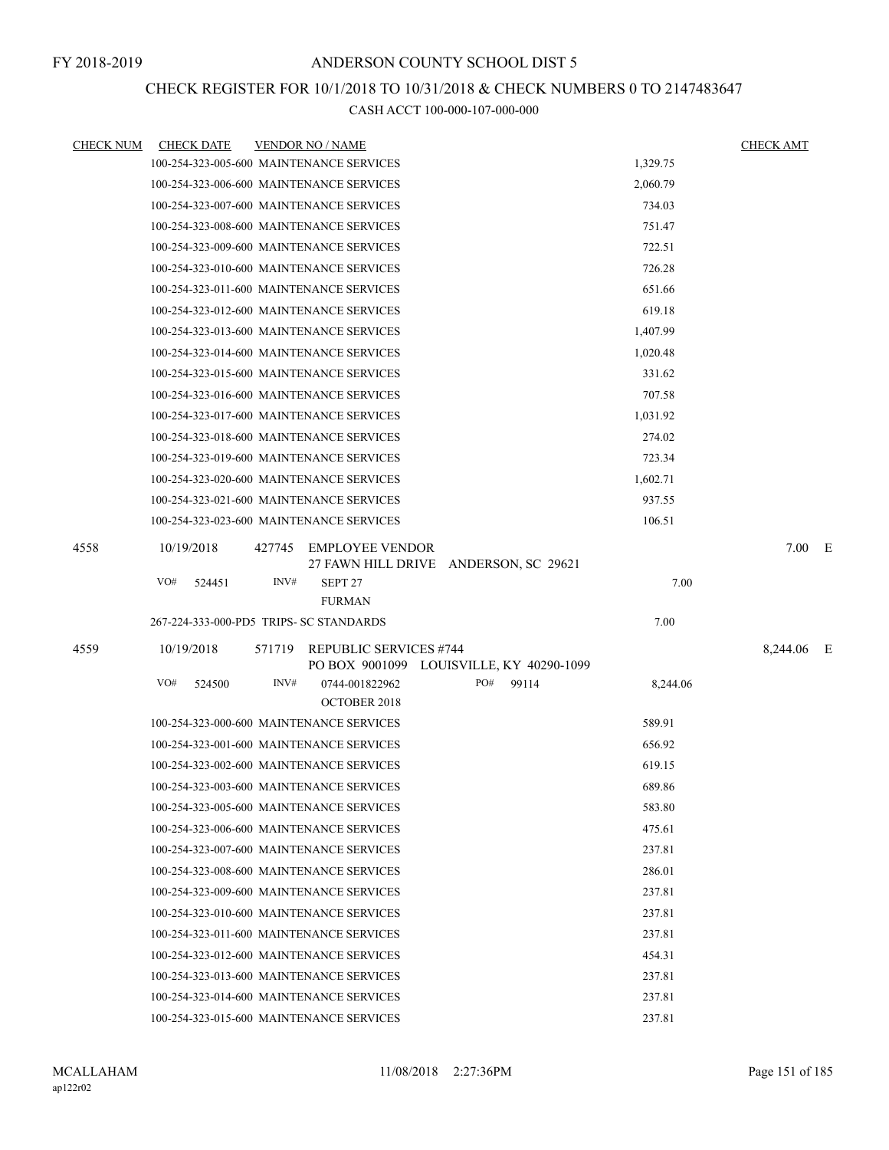### CHECK REGISTER FOR 10/1/2018 TO 10/31/2018 & CHECK NUMBERS 0 TO 2147483647

| <b>CHECK NUM</b> | <b>CHECK DATE</b> | <b>VENDOR NO / NAME</b>                                                             | <b>CHECK AMT</b> |
|------------------|-------------------|-------------------------------------------------------------------------------------|------------------|
|                  |                   | 1,329.75<br>100-254-323-005-600 MAINTENANCE SERVICES                                |                  |
|                  |                   | 100-254-323-006-600 MAINTENANCE SERVICES<br>2,060.79                                |                  |
|                  |                   | 100-254-323-007-600 MAINTENANCE SERVICES<br>734.03                                  |                  |
|                  |                   | 100-254-323-008-600 MAINTENANCE SERVICES<br>751.47                                  |                  |
|                  |                   | 100-254-323-009-600 MAINTENANCE SERVICES<br>722.51                                  |                  |
|                  |                   | 100-254-323-010-600 MAINTENANCE SERVICES<br>726.28                                  |                  |
|                  |                   | 100-254-323-011-600 MAINTENANCE SERVICES<br>651.66                                  |                  |
|                  |                   | 619.18<br>100-254-323-012-600 MAINTENANCE SERVICES                                  |                  |
|                  |                   | 100-254-323-013-600 MAINTENANCE SERVICES<br>1,407.99                                |                  |
|                  |                   | 100-254-323-014-600 MAINTENANCE SERVICES<br>1,020.48                                |                  |
|                  |                   | 100-254-323-015-600 MAINTENANCE SERVICES<br>331.62                                  |                  |
|                  |                   | 707.58<br>100-254-323-016-600 MAINTENANCE SERVICES                                  |                  |
|                  |                   | 100-254-323-017-600 MAINTENANCE SERVICES<br>1,031.92                                |                  |
|                  |                   | 100-254-323-018-600 MAINTENANCE SERVICES<br>274.02                                  |                  |
|                  |                   | 100-254-323-019-600 MAINTENANCE SERVICES<br>723.34                                  |                  |
|                  |                   | 100-254-323-020-600 MAINTENANCE SERVICES<br>1,602.71                                |                  |
|                  |                   | 100-254-323-021-600 MAINTENANCE SERVICES<br>937.55                                  |                  |
|                  |                   | 106.51<br>100-254-323-023-600 MAINTENANCE SERVICES                                  |                  |
| 4558             | 10/19/2018        | 427745 EMPLOYEE VENDOR<br>27 FAWN HILL DRIVE ANDERSON, SC 29621                     | 7.00 E           |
|                  | VO#<br>524451     | INV#<br>7.00<br>SEPT <sub>27</sub><br><b>FURMAN</b>                                 |                  |
|                  |                   | 267-224-333-000-PD5 TRIPS- SC STANDARDS<br>7.00                                     |                  |
| 4559             | 10/19/2018        | <b>REPUBLIC SERVICES #744</b><br>571719<br>PO BOX 9001099 LOUISVILLE, KY 40290-1099 | 8,244.06 E       |
|                  | VO#<br>524500     | INV#<br>0744-001822962<br>PO#<br>99114<br>8,244.06<br><b>OCTOBER 2018</b>           |                  |
|                  |                   | 100-254-323-000-600 MAINTENANCE SERVICES<br>589.91                                  |                  |
|                  |                   | 100-254-323-001-600 MAINTENANCE SERVICES<br>656.92                                  |                  |
|                  |                   | 100-254-323-002-600 MAINTENANCE SERVICES<br>619.15                                  |                  |
|                  |                   | 100-254-323-003-600 MAINTENANCE SERVICES<br>689.86                                  |                  |
|                  |                   | 583.80<br>100-254-323-005-600 MAINTENANCE SERVICES                                  |                  |
|                  |                   | 100-254-323-006-600 MAINTENANCE SERVICES<br>475.61                                  |                  |
|                  |                   | 237.81<br>100-254-323-007-600 MAINTENANCE SERVICES                                  |                  |
|                  |                   | 100-254-323-008-600 MAINTENANCE SERVICES<br>286.01                                  |                  |
|                  |                   | 100-254-323-009-600 MAINTENANCE SERVICES<br>237.81                                  |                  |
|                  |                   | 100-254-323-010-600 MAINTENANCE SERVICES<br>237.81                                  |                  |
|                  |                   | 237.81<br>100-254-323-011-600 MAINTENANCE SERVICES                                  |                  |
|                  |                   | 100-254-323-012-600 MAINTENANCE SERVICES<br>454.31                                  |                  |
|                  |                   | 237.81<br>100-254-323-013-600 MAINTENANCE SERVICES                                  |                  |
|                  |                   | 237.81<br>100-254-323-014-600 MAINTENANCE SERVICES                                  |                  |
|                  |                   | 100-254-323-015-600 MAINTENANCE SERVICES<br>237.81                                  |                  |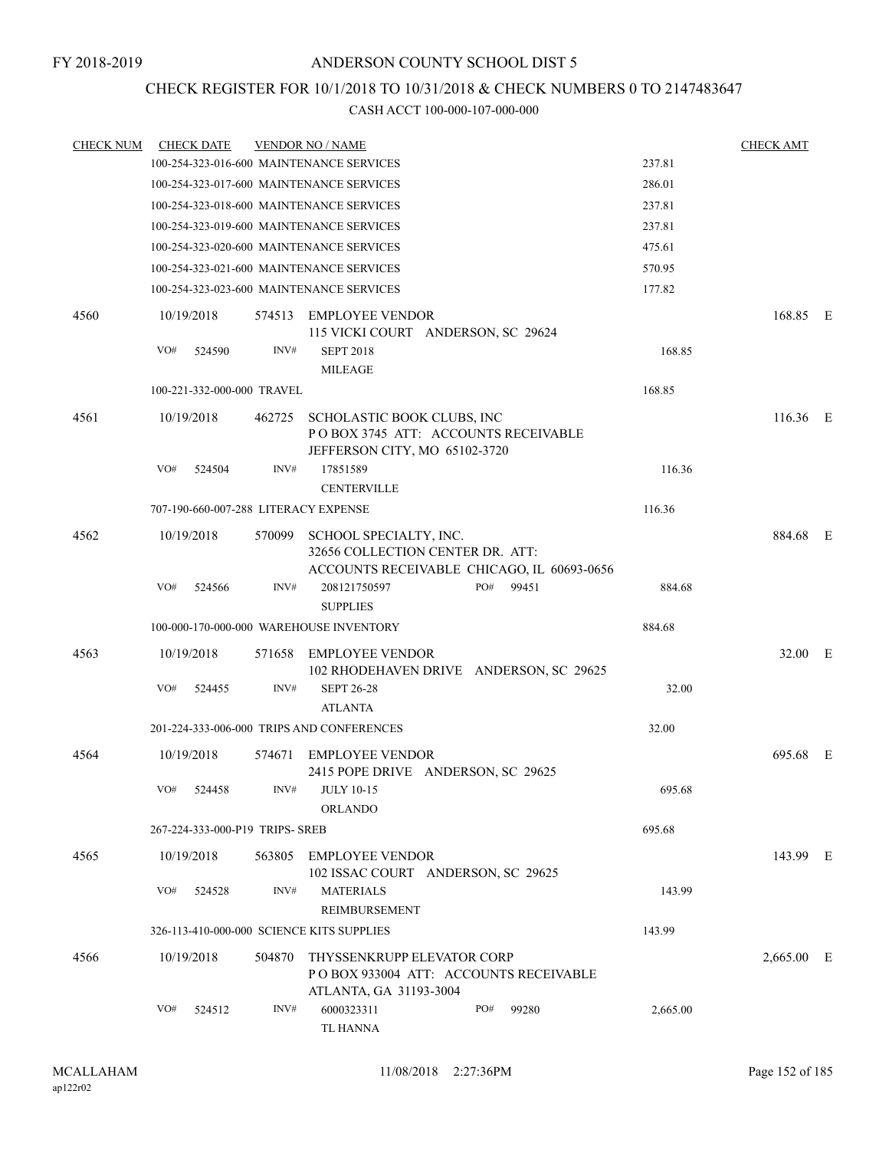### CHECK REGISTER FOR 10/1/2018 TO 10/31/2018 & CHECK NUMBERS 0 TO 2147483647

| <b>CHECK NUM</b> | <b>CHECK DATE</b> |                                 |        | <b>VENDOR NO / NAME</b>                                                                                         |     |       |          | <b>CHECK AMT</b> |  |
|------------------|-------------------|---------------------------------|--------|-----------------------------------------------------------------------------------------------------------------|-----|-------|----------|------------------|--|
|                  |                   |                                 |        | 100-254-323-016-600 MAINTENANCE SERVICES                                                                        |     |       | 237.81   |                  |  |
|                  |                   |                                 |        | 100-254-323-017-600 MAINTENANCE SERVICES                                                                        |     |       | 286.01   |                  |  |
|                  |                   |                                 |        | 100-254-323-018-600 MAINTENANCE SERVICES                                                                        |     |       | 237.81   |                  |  |
|                  |                   |                                 |        | 100-254-323-019-600 MAINTENANCE SERVICES                                                                        |     |       | 237.81   |                  |  |
|                  |                   |                                 |        | 100-254-323-020-600 MAINTENANCE SERVICES                                                                        |     |       | 475.61   |                  |  |
|                  |                   |                                 |        | 100-254-323-021-600 MAINTENANCE SERVICES                                                                        |     |       | 570.95   |                  |  |
|                  |                   |                                 |        | 100-254-323-023-600 MAINTENANCE SERVICES                                                                        |     |       | 177.82   |                  |  |
| 4560             | 10/19/2018        |                                 |        | 574513 EMPLOYEE VENDOR<br>115 VICKI COURT ANDERSON, SC 29624                                                    |     |       |          | 168.85 E         |  |
|                  | VO#               | 524590                          | INV#   | <b>SEPT 2018</b><br><b>MILEAGE</b>                                                                              |     |       | 168.85   |                  |  |
|                  |                   | 100-221-332-000-000 TRAVEL      |        |                                                                                                                 |     |       | 168.85   |                  |  |
| 4561             | 10/19/2018        |                                 |        | 462725 SCHOLASTIC BOOK CLUBS, INC<br>POBOX 3745 ATT: ACCOUNTS RECEIVABLE<br>JEFFERSON CITY, MO 65102-3720       |     |       |          | 116.36 E         |  |
|                  | VO#               | 524504                          | INV#   | 17851589<br><b>CENTERVILLE</b>                                                                                  |     |       | 116.36   |                  |  |
|                  |                   |                                 |        | 707-190-660-007-288 LITERACY EXPENSE                                                                            |     |       | 116.36   |                  |  |
| 4562             | 10/19/2018        |                                 |        | 570099 SCHOOL SPECIALTY, INC.<br>32656 COLLECTION CENTER DR. ATT:<br>ACCOUNTS RECEIVABLE CHICAGO, IL 60693-0656 |     |       |          | 884.68 E         |  |
|                  | VO#               | 524566                          | INV#   | 208121750597<br><b>SUPPLIES</b>                                                                                 | PO# | 99451 | 884.68   |                  |  |
|                  |                   |                                 |        | 100-000-170-000-000 WAREHOUSE INVENTORY                                                                         |     |       | 884.68   |                  |  |
| 4563             | 10/19/2018        |                                 | 571658 | EMPLOYEE VENDOR<br>102 RHODEHAVEN DRIVE ANDERSON, SC 29625                                                      |     |       |          | 32.00 E          |  |
|                  | VO#               | 524455                          | INV#   | <b>SEPT 26-28</b><br><b>ATLANTA</b>                                                                             |     |       | 32.00    |                  |  |
|                  |                   |                                 |        | 201-224-333-006-000 TRIPS AND CONFERENCES                                                                       |     |       | 32.00    |                  |  |
| 4564             | 10/19/2018        |                                 |        | 574671 EMPLOYEE VENDOR<br>2415 POPE DRIVE ANDERSON, SC 29625                                                    |     |       |          | 695.68 E         |  |
|                  | VO#               | 524458                          | INV#   | <b>JULY 10-15</b><br><b>ORLANDO</b>                                                                             |     |       | 695.68   |                  |  |
|                  |                   | 267-224-333-000-P19 TRIPS- SREB |        |                                                                                                                 |     |       | 695.68   |                  |  |
| 4565             | 10/19/2018        |                                 | 563805 | <b>EMPLOYEE VENDOR</b><br>102 ISSAC COURT ANDERSON, SC 29625                                                    |     |       |          | 143.99 E         |  |
|                  | VO#               | 524528                          | INV#   | <b>MATERIALS</b><br>REIMBURSEMENT                                                                               |     |       | 143.99   |                  |  |
|                  |                   |                                 |        | 326-113-410-000-000 SCIENCE KITS SUPPLIES                                                                       |     |       | 143.99   |                  |  |
| 4566             | 10/19/2018        |                                 | 504870 | THYSSENKRUPP ELEVATOR CORP<br>POBOX 933004 ATT: ACCOUNTS RECEIVABLE<br>ATLANTA, GA 31193-3004                   |     |       |          | $2,665.00$ E     |  |
|                  | VO#               | 524512                          | INV#   | 6000323311<br>TL HANNA                                                                                          | PO# | 99280 | 2,665.00 |                  |  |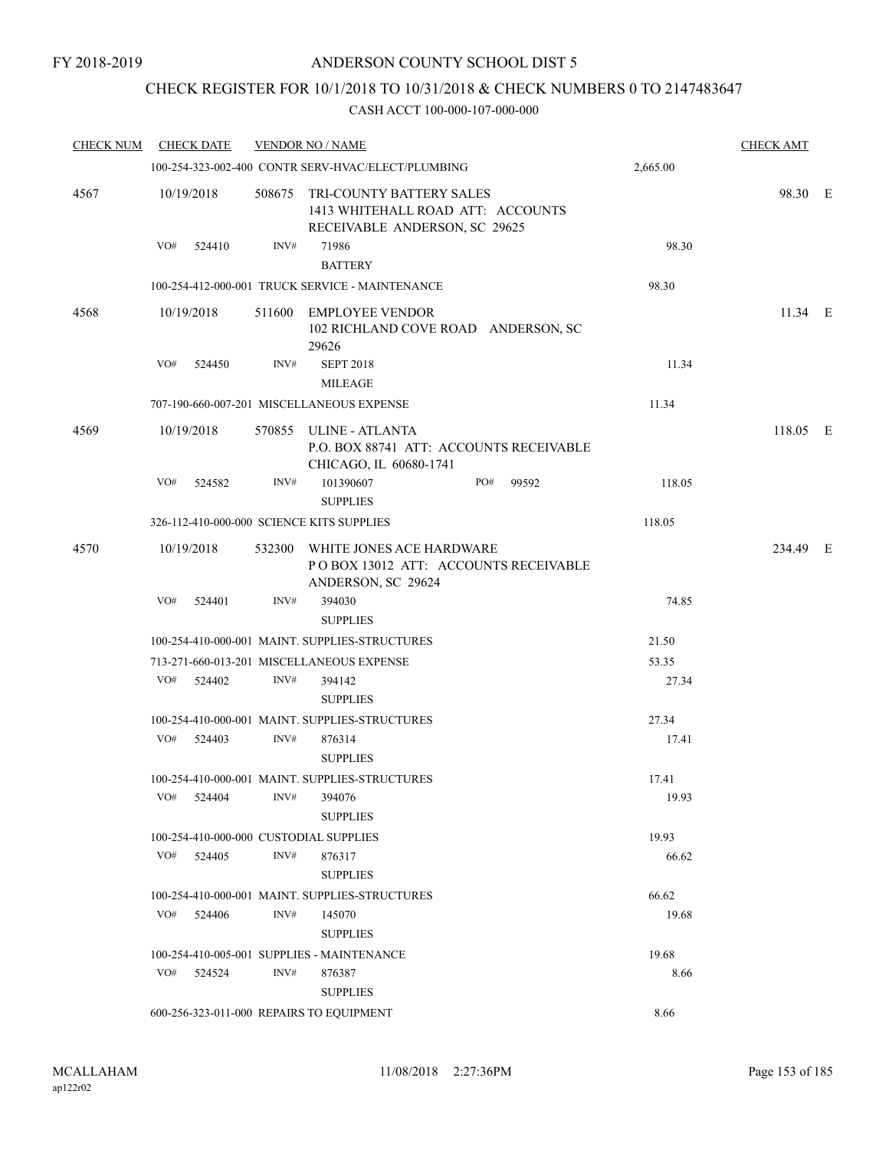### CHECK REGISTER FOR 10/1/2018 TO 10/31/2018 & CHECK NUMBERS 0 TO 2147483647

| <b>CHECK NUM</b> | <b>CHECK DATE</b>                      |      | <b>VENDOR NO / NAME</b>                                                                               |                | <b>CHECK AMT</b> |  |
|------------------|----------------------------------------|------|-------------------------------------------------------------------------------------------------------|----------------|------------------|--|
|                  |                                        |      | 100-254-323-002-400 CONTR SERV-HVAC/ELECT/PLUMBING                                                    | 2,665.00       |                  |  |
| 4567             | 10/19/2018                             |      | 508675 TRI-COUNTY BATTERY SALES<br>1413 WHITEHALL ROAD ATT: ACCOUNTS<br>RECEIVABLE ANDERSON, SC 29625 |                | 98.30 E          |  |
|                  | VO#<br>524410                          | INV# | 71986<br><b>BATTERY</b>                                                                               | 98.30          |                  |  |
|                  |                                        |      | 100-254-412-000-001 TRUCK SERVICE - MAINTENANCE                                                       | 98.30          |                  |  |
| 4568             | 10/19/2018                             |      | 511600 EMPLOYEE VENDOR<br>102 RICHLAND COVE ROAD ANDERSON, SC<br>29626                                |                | 11.34 E          |  |
|                  | VO#<br>524450                          | INV# | <b>SEPT 2018</b><br><b>MILEAGE</b>                                                                    | 11.34          |                  |  |
|                  |                                        |      | 707-190-660-007-201 MISCELLANEOUS EXPENSE                                                             | 11.34          |                  |  |
| 4569             | 10/19/2018                             |      | 570855 ULINE - ATLANTA<br>P.O. BOX 88741 ATT: ACCOUNTS RECEIVABLE<br>CHICAGO, IL 60680-1741           |                | 118.05 E         |  |
|                  | VO#<br>524582                          | INV# | PO#<br>99592<br>101390607<br><b>SUPPLIES</b>                                                          | 118.05         |                  |  |
|                  |                                        |      | 326-112-410-000-000 SCIENCE KITS SUPPLIES                                                             | 118.05         |                  |  |
| 4570             | 10/19/2018                             |      | 532300 WHITE JONES ACE HARDWARE<br>POBOX 13012 ATT: ACCOUNTS RECEIVABLE<br>ANDERSON, SC 29624         |                | 234.49 E         |  |
|                  | VO#<br>524401                          | INV# | 394030<br><b>SUPPLIES</b>                                                                             | 74.85          |                  |  |
|                  |                                        |      | 100-254-410-000-001 MAINT. SUPPLIES-STRUCTURES                                                        | 21.50          |                  |  |
|                  |                                        |      | 713-271-660-013-201 MISCELLANEOUS EXPENSE                                                             | 53.35          |                  |  |
|                  | VO#<br>524402                          | INV# | 394142<br><b>SUPPLIES</b>                                                                             | 27.34          |                  |  |
|                  |                                        |      | 100-254-410-000-001 MAINT. SUPPLIES-STRUCTURES                                                        | 27.34          |                  |  |
|                  | VO#<br>524403                          | INV# | 876314<br><b>SUPPLIES</b>                                                                             | 17.41          |                  |  |
|                  | VO#<br>524404                          | INV# | 100-254-410-000-001 MAINT, SUPPLIES-STRUCTURES<br>394076<br><b>SUPPLIES</b>                           | 17.41<br>19.93 |                  |  |
|                  | 100-254-410-000-000 CUSTODIAL SUPPLIES |      |                                                                                                       | 19.93          |                  |  |
|                  | VO#<br>524405                          | INV# | 876317<br><b>SUPPLIES</b>                                                                             | 66.62          |                  |  |
|                  |                                        |      | 100-254-410-000-001 MAINT. SUPPLIES-STRUCTURES                                                        | 66.62          |                  |  |
|                  | VO#<br>524406                          | INV# | 145070<br><b>SUPPLIES</b>                                                                             | 19.68          |                  |  |
|                  |                                        |      | 100-254-410-005-001 SUPPLIES - MAINTENANCE                                                            | 19.68          |                  |  |
|                  | VO#<br>524524                          | INV# | 876387<br><b>SUPPLIES</b>                                                                             | 8.66           |                  |  |
|                  |                                        |      | 600-256-323-011-000 REPAIRS TO EQUIPMENT                                                              | 8.66           |                  |  |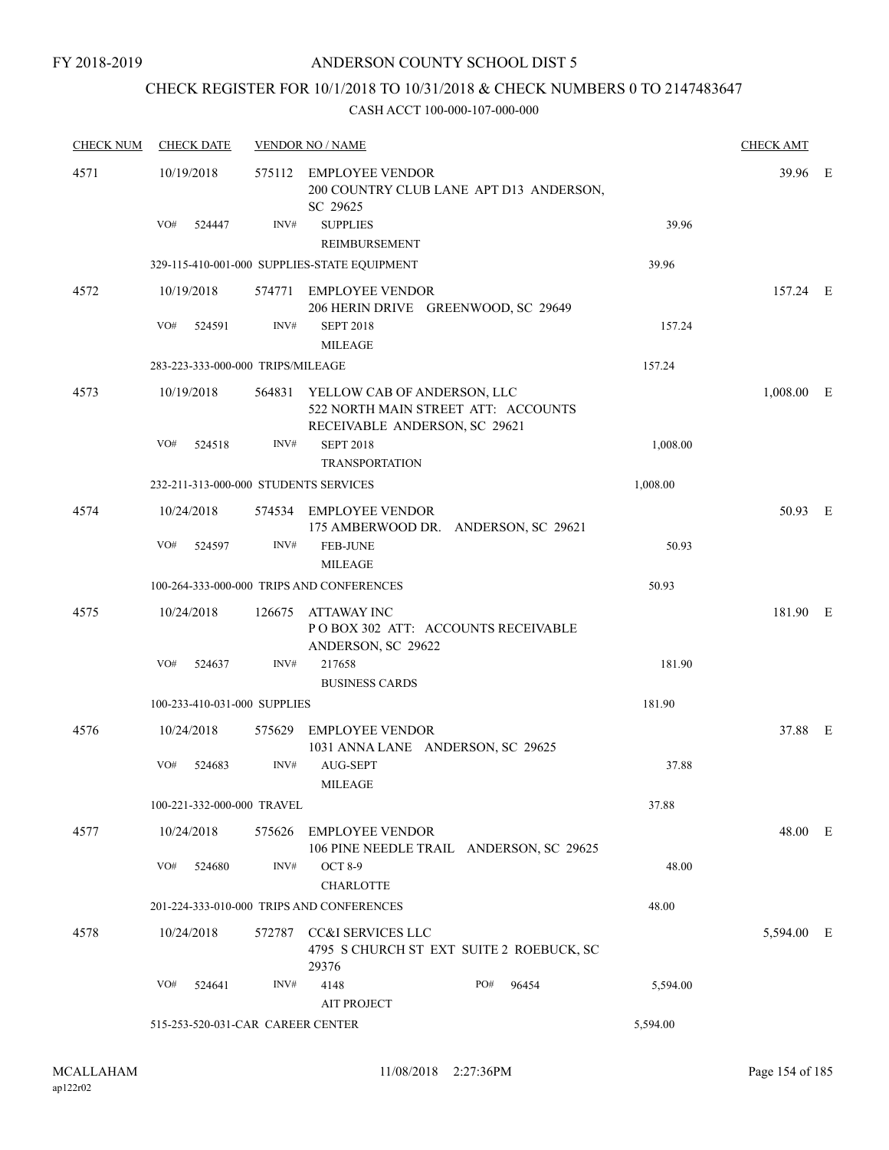## CHECK REGISTER FOR 10/1/2018 TO 10/31/2018 & CHECK NUMBERS 0 TO 2147483647

| <b>CHECK NUM</b> | <b>CHECK DATE</b>                     |        | <b>VENDOR NO / NAME</b>                                                                             |          | <b>CHECK AMT</b> |  |
|------------------|---------------------------------------|--------|-----------------------------------------------------------------------------------------------------|----------|------------------|--|
| 4571             | 10/19/2018                            | 575112 | EMPLOYEE VENDOR<br>200 COUNTRY CLUB LANE APT D13 ANDERSON,<br>SC 29625                              |          | 39.96 E          |  |
|                  | VO#<br>524447                         | INV#   | <b>SUPPLIES</b><br>REIMBURSEMENT                                                                    | 39.96    |                  |  |
|                  |                                       |        | 329-115-410-001-000 SUPPLIES-STATE EQUIPMENT                                                        | 39.96    |                  |  |
| 4572             | 10/19/2018                            |        | 574771 EMPLOYEE VENDOR<br>206 HERIN DRIVE GREENWOOD, SC 29649                                       |          | 157.24 E         |  |
|                  | VO#<br>524591                         | INV#   | <b>SEPT 2018</b><br><b>MILEAGE</b>                                                                  | 157.24   |                  |  |
|                  | 283-223-333-000-000 TRIPS/MILEAGE     |        |                                                                                                     | 157.24   |                  |  |
| 4573             | 10/19/2018                            | 564831 | YELLOW CAB OF ANDERSON, LLC<br>522 NORTH MAIN STREET ATT: ACCOUNTS<br>RECEIVABLE ANDERSON, SC 29621 |          | $1,008.00$ E     |  |
|                  | VO#<br>524518                         | INV#   | <b>SEPT 2018</b><br><b>TRANSPORTATION</b>                                                           | 1,008.00 |                  |  |
|                  | 232-211-313-000-000 STUDENTS SERVICES |        |                                                                                                     | 1,008.00 |                  |  |
| 4574             | 10/24/2018                            |        | 574534 EMPLOYEE VENDOR<br>175 AMBERWOOD DR. ANDERSON, SC 29621                                      |          | 50.93 E          |  |
|                  | VO#<br>524597                         | INV#   | <b>FEB-JUNE</b><br><b>MILEAGE</b>                                                                   | 50.93    |                  |  |
|                  |                                       |        | 100-264-333-000-000 TRIPS AND CONFERENCES                                                           | 50.93    |                  |  |
| 4575             | 10/24/2018                            |        | 126675 ATTAWAY INC<br>POBOX 302 ATT: ACCOUNTS RECEIVABLE<br>ANDERSON, SC 29622                      |          | 181.90 E         |  |
|                  | VO#<br>524637                         | INV#   | 217658<br><b>BUSINESS CARDS</b>                                                                     | 181.90   |                  |  |
|                  | 100-233-410-031-000 SUPPLIES          |        |                                                                                                     | 181.90   |                  |  |
| 4576             | 10/24/2018                            | 575629 | <b>EMPLOYEE VENDOR</b><br>1031 ANNA LANE ANDERSON, SC 29625                                         |          | 37.88 E          |  |
|                  | VO#<br>524683                         | INV#   | AUG-SEPT<br><b>MILEAGE</b>                                                                          | 37.88    |                  |  |
|                  | 100-221-332-000-000 TRAVEL            |        |                                                                                                     | 37.88    |                  |  |
| 4577             | 10/24/2018                            |        | 575626 EMPLOYEE VENDOR<br>106 PINE NEEDLE TRAIL ANDERSON, SC 29625                                  |          | 48.00 E          |  |
|                  | VO#<br>524680                         | INV#   | <b>OCT 8-9</b><br><b>CHARLOTTE</b>                                                                  | 48.00    |                  |  |
|                  |                                       |        | 201-224-333-010-000 TRIPS AND CONFERENCES                                                           | 48.00    |                  |  |
| 4578             | 10/24/2018                            |        | 572787 CC&I SERVICES LLC<br>4795 S CHURCH ST EXT SUITE 2 ROEBUCK, SC<br>29376                       |          | 5,594.00 E       |  |
|                  | VO#<br>524641                         | INV#   | 4148<br>PO#<br>96454<br><b>AIT PROJECT</b>                                                          | 5,594.00 |                  |  |
|                  | 515-253-520-031-CAR CAREER CENTER     |        |                                                                                                     | 5,594.00 |                  |  |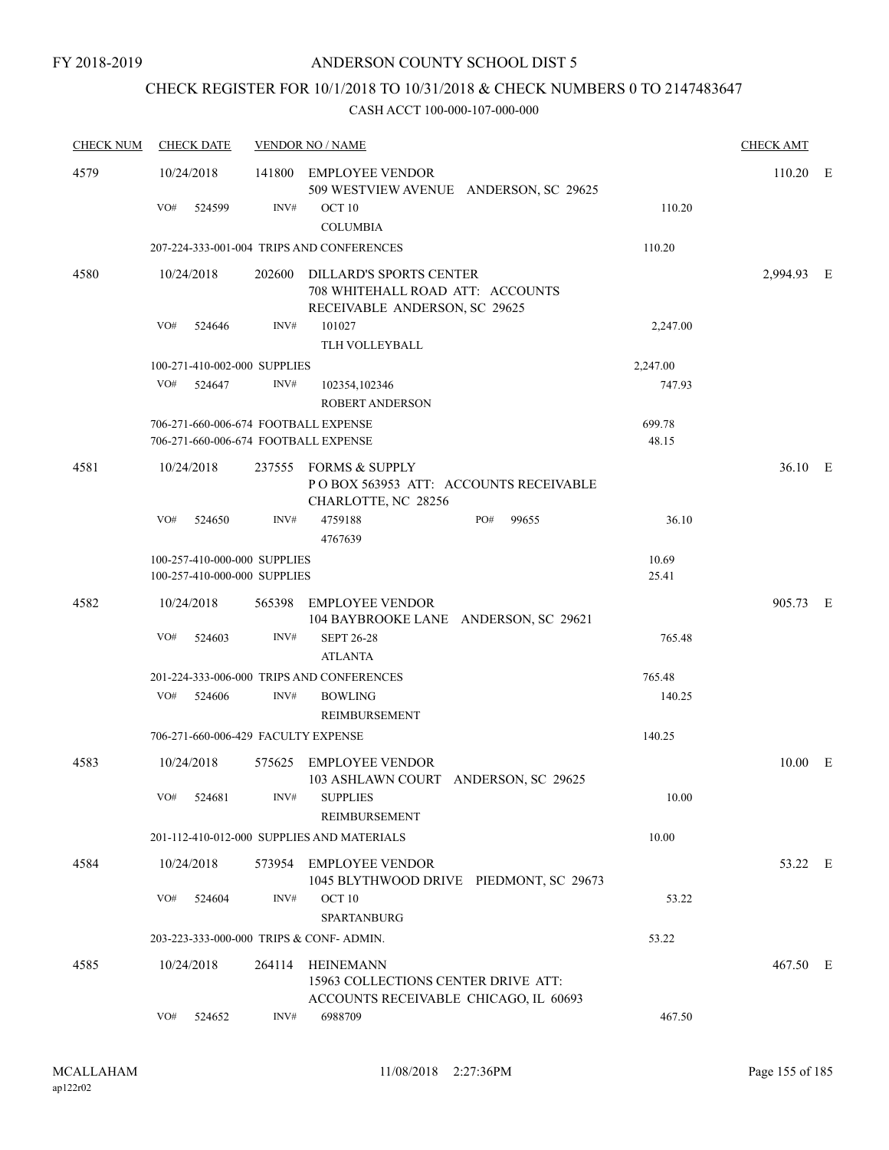### CHECK REGISTER FOR 10/1/2018 TO 10/31/2018 & CHECK NUMBERS 0 TO 2147483647

| <b>CHECK NUM</b> | <b>CHECK DATE</b>                                                            |        | <b>VENDOR NO / NAME</b>                                                                             |                 | <b>CHECK AMT</b> |  |
|------------------|------------------------------------------------------------------------------|--------|-----------------------------------------------------------------------------------------------------|-----------------|------------------|--|
| 4579             | 10/24/2018                                                                   | 141800 | EMPLOYEE VENDOR<br>509 WESTVIEW AVENUE ANDERSON, SC 29625                                           |                 | $110.20$ E       |  |
|                  | VO#<br>524599                                                                | INV#   | OCT 10<br><b>COLUMBIA</b>                                                                           | 110.20          |                  |  |
|                  |                                                                              |        | 207-224-333-001-004 TRIPS AND CONFERENCES                                                           | 110.20          |                  |  |
| 4580             | 10/24/2018                                                                   |        | 202600 DILLARD'S SPORTS CENTER<br>708 WHITEHALL ROAD ATT: ACCOUNTS<br>RECEIVABLE ANDERSON, SC 29625 |                 | 2,994.93 E       |  |
|                  | VO#<br>524646                                                                | INV#   | 101027<br>TLH VOLLEYBALL                                                                            | 2,247.00        |                  |  |
|                  | 100-271-410-002-000 SUPPLIES                                                 |        |                                                                                                     | 2,247.00        |                  |  |
|                  | VO#<br>524647                                                                | INV#   | 102354,102346<br><b>ROBERT ANDERSON</b>                                                             | 747.93          |                  |  |
|                  | 706-271-660-006-674 FOOTBALL EXPENSE<br>706-271-660-006-674 FOOTBALL EXPENSE |        |                                                                                                     | 699.78<br>48.15 |                  |  |
| 4581             | 10/24/2018                                                                   |        | 237555 FORMS & SUPPLY<br>POBOX 563953 ATT: ACCOUNTS RECEIVABLE<br>CHARLOTTE, NC 28256               |                 | 36.10 E          |  |
|                  | VO#<br>524650                                                                | INV#   | 4759188<br>PO#<br>99655<br>4767639                                                                  | 36.10           |                  |  |
|                  | 100-257-410-000-000 SUPPLIES<br>100-257-410-000-000 SUPPLIES                 |        |                                                                                                     | 10.69<br>25.41  |                  |  |
| 4582             | 10/24/2018                                                                   |        | 565398 EMPLOYEE VENDOR<br>104 BAYBROOKE LANE ANDERSON, SC 29621                                     |                 | 905.73 E         |  |
|                  | VO#<br>524603                                                                | INV#   | <b>SEPT 26-28</b><br><b>ATLANTA</b>                                                                 | 765.48          |                  |  |
|                  |                                                                              |        | 201-224-333-006-000 TRIPS AND CONFERENCES                                                           | 765.48          |                  |  |
|                  | VO#<br>524606                                                                | INV#   | <b>BOWLING</b><br>REIMBURSEMENT                                                                     | 140.25          |                  |  |
|                  | 706-271-660-006-429 FACULTY EXPENSE                                          |        |                                                                                                     | 140.25          |                  |  |
| 4583             | 10/24/2018                                                                   | 575625 | <b>EMPLOYEE VENDOR</b><br>103 ASHLAWN COURT ANDERSON, SC 29625                                      |                 | $10.00$ E        |  |
|                  | VO#<br>524681                                                                | INV#   | <b>SUPPLIES</b><br>REIMBURSEMENT                                                                    | 10.00           |                  |  |
|                  |                                                                              |        | 201-112-410-012-000 SUPPLIES AND MATERIALS                                                          | 10.00           |                  |  |
| 4584             | 10/24/2018                                                                   |        | 573954 EMPLOYEE VENDOR<br>1045 BLYTHWOOD DRIVE PIEDMONT, SC 29673                                   |                 | 53.22 E          |  |
|                  | VO#<br>524604                                                                | INV#   | OCT 10<br>SPARTANBURG                                                                               | 53.22           |                  |  |
|                  | 203-223-333-000-000 TRIPS & CONF-ADMIN.                                      |        |                                                                                                     | 53.22           |                  |  |
| 4585             | 10/24/2018                                                                   | 264114 | <b>HEINEMANN</b><br>15963 COLLECTIONS CENTER DRIVE ATT:<br>ACCOUNTS RECEIVABLE CHICAGO, IL 60693    |                 | 467.50 E         |  |
|                  | VO#<br>524652                                                                | INV#   | 6988709                                                                                             | 467.50          |                  |  |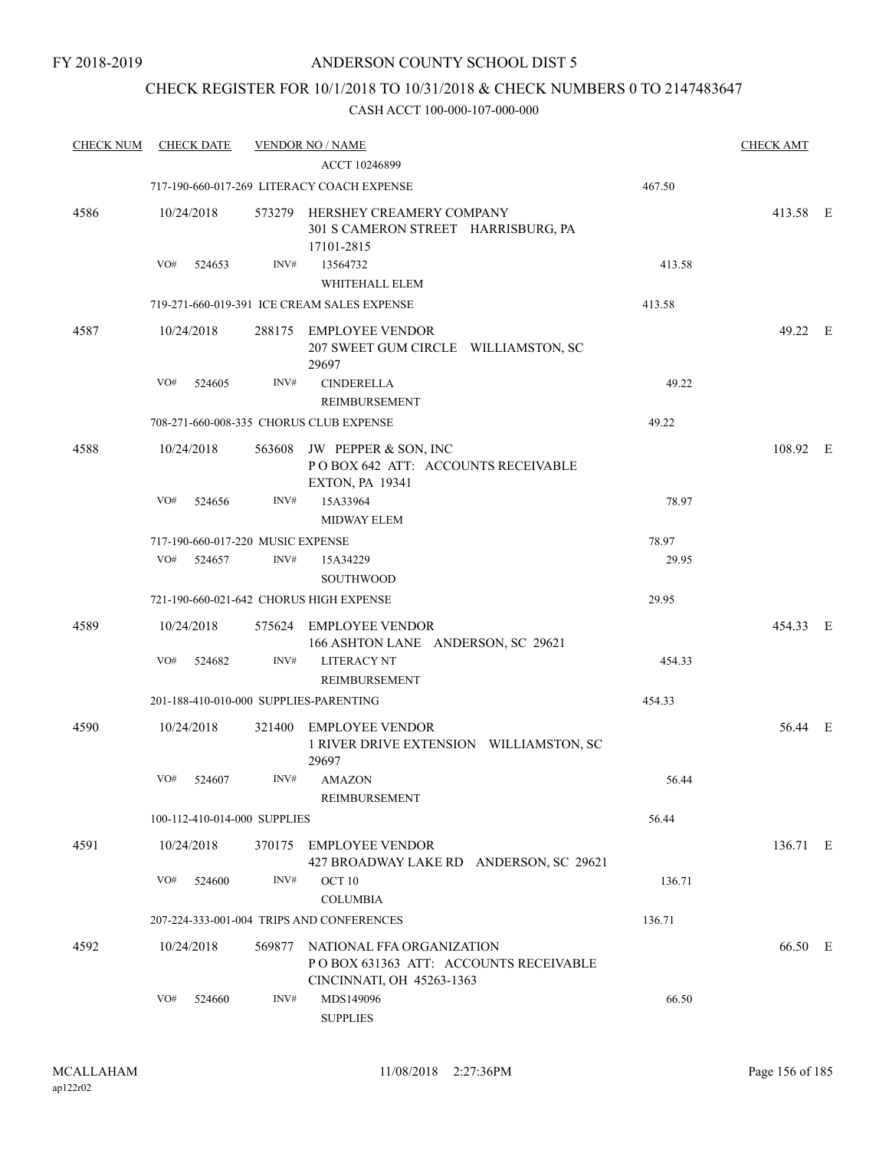### CHECK REGISTER FOR 10/1/2018 TO 10/31/2018 & CHECK NUMBERS 0 TO 2147483647

| <b>CHECK NUM</b> | <b>CHECK DATE</b>                      |        | <b>VENDOR NO / NAME</b>                                                                         |        | <b>CHECK AMT</b> |  |
|------------------|----------------------------------------|--------|-------------------------------------------------------------------------------------------------|--------|------------------|--|
|                  |                                        |        | ACCT 10246899                                                                                   |        |                  |  |
|                  |                                        |        | 717-190-660-017-269 LITERACY COACH EXPENSE                                                      | 467.50 |                  |  |
| 4586             | 10/24/2018                             |        | 573279 HERSHEY CREAMERY COMPANY<br>301 S CAMERON STREET HARRISBURG, PA<br>17101-2815            |        | 413.58 E         |  |
|                  | VO#<br>524653                          | INV#   | 13564732<br>WHITEHALL ELEM                                                                      | 413.58 |                  |  |
|                  |                                        |        | 719-271-660-019-391 ICE CREAM SALES EXPENSE                                                     | 413.58 |                  |  |
| 4587             | 10/24/2018                             |        | 288175 EMPLOYEE VENDOR<br>207 SWEET GUM CIRCLE WILLIAMSTON, SC<br>29697                         |        | 49.22 E          |  |
|                  | VO#<br>524605                          | INV#   | <b>CINDERELLA</b><br>REIMBURSEMENT                                                              | 49.22  |                  |  |
|                  |                                        |        | 708-271-660-008-335 CHORUS CLUB EXPENSE                                                         | 49.22  |                  |  |
| 4588             | 10/24/2018                             |        | 563608 JW PEPPER & SON, INC<br>POBOX 642 ATT: ACCOUNTS RECEIVABLE<br><b>EXTON, PA 19341</b>     |        | 108.92 E         |  |
|                  | VO#<br>524656                          | INV#   | 15A33964<br>MIDWAY ELEM                                                                         | 78.97  |                  |  |
|                  | 717-190-660-017-220 MUSIC EXPENSE      |        |                                                                                                 | 78.97  |                  |  |
|                  | VO#<br>524657                          | INV#   | 15A34229<br><b>SOUTHWOOD</b>                                                                    | 29.95  |                  |  |
|                  |                                        |        | 721-190-660-021-642 CHORUS HIGH EXPENSE                                                         | 29.95  |                  |  |
| 4589             | 10/24/2018                             |        | 575624 EMPLOYEE VENDOR<br>166 ASHTON LANE ANDERSON, SC 29621                                    |        | 454.33 E         |  |
|                  | VO#<br>524682                          | INV#   | <b>LITERACY NT</b><br>REIMBURSEMENT                                                             | 454.33 |                  |  |
|                  | 201-188-410-010-000 SUPPLIES-PARENTING |        |                                                                                                 | 454.33 |                  |  |
| 4590             | 10/24/2018                             | 321400 | <b>EMPLOYEE VENDOR</b><br>1 RIVER DRIVE EXTENSION WILLIAMSTON, SC<br>29697                      |        | 56.44 E          |  |
|                  | VO#<br>524607                          | INV#   | <b>AMAZON</b><br><b>REIMBURSEMENT</b>                                                           | 56.44  |                  |  |
|                  | 100-112-410-014-000 SUPPLIES           |        |                                                                                                 | 56.44  |                  |  |
| 4591             | 10/24/2018                             | 370175 | <b>EMPLOYEE VENDOR</b><br>427 BROADWAY LAKE RD ANDERSON, SC 29621                               |        | 136.71 E         |  |
|                  | VO#<br>524600                          | INV#   | OCT 10<br><b>COLUMBIA</b>                                                                       | 136.71 |                  |  |
|                  |                                        |        | 207-224-333-001-004 TRIPS AND CONFERENCES                                                       | 136.71 |                  |  |
| 4592             | 10/24/2018                             | 569877 | NATIONAL FFA ORGANIZATION<br>POBOX 631363 ATT: ACCOUNTS RECEIVABLE<br>CINCINNATI, OH 45263-1363 |        | 66.50 E          |  |
|                  | VO#<br>524660                          | INV#   | MDS149096<br><b>SUPPLIES</b>                                                                    | 66.50  |                  |  |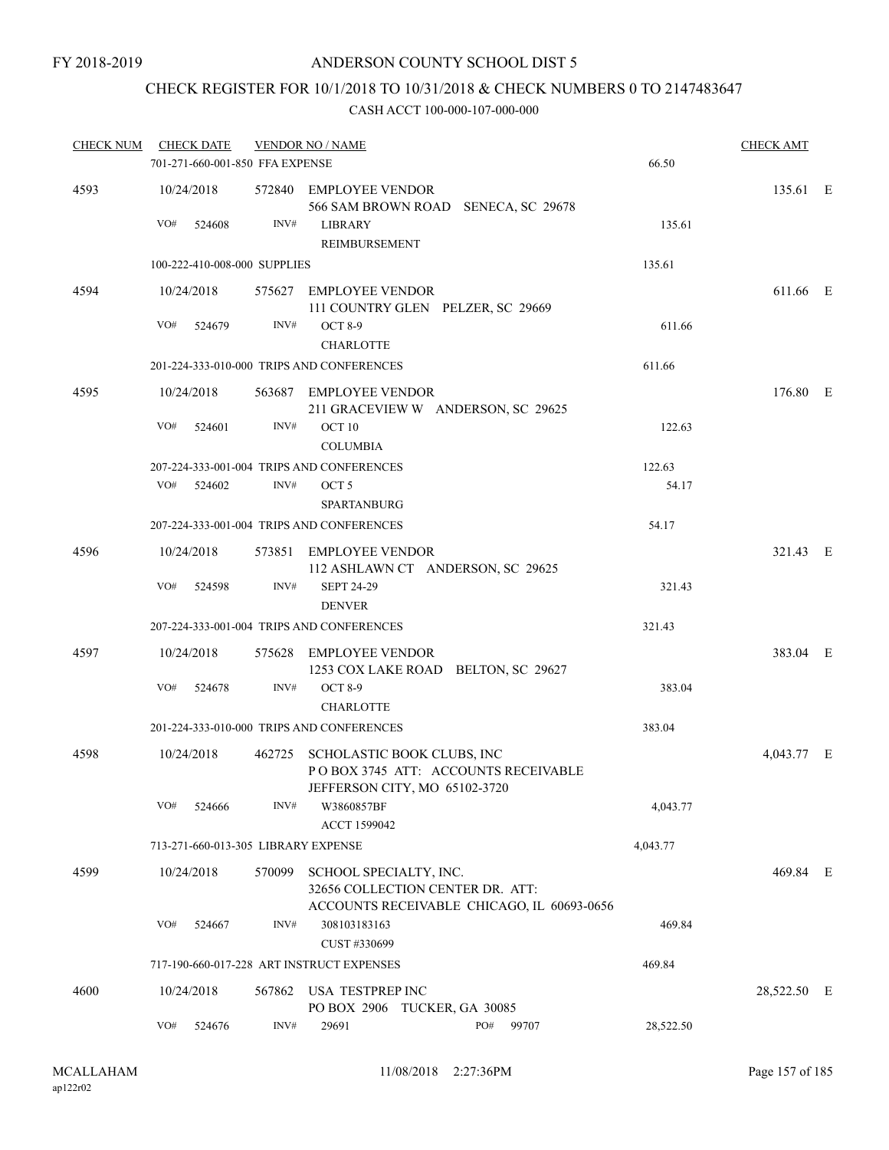### CHECK REGISTER FOR 10/1/2018 TO 10/31/2018 & CHECK NUMBERS 0 TO 2147483647

| <u>CHECK NUM</u> |            | <b>CHECK DATE</b>               |        | <b>VENDOR NO / NAME</b>                                                                                    |     |       |           | <b>CHECK AMT</b> |  |
|------------------|------------|---------------------------------|--------|------------------------------------------------------------------------------------------------------------|-----|-------|-----------|------------------|--|
|                  |            | 701-271-660-001-850 FFA EXPENSE |        |                                                                                                            |     |       | 66.50     |                  |  |
| 4593             |            | 10/24/2018                      |        | 572840 EMPLOYEE VENDOR<br>566 SAM BROWN ROAD SENECA, SC 29678                                              |     |       |           | 135.61 E         |  |
|                  | VO#        | 524608                          | INV#   | <b>LIBRARY</b><br>REIMBURSEMENT                                                                            |     |       | 135.61    |                  |  |
|                  |            | 100-222-410-008-000 SUPPLIES    |        |                                                                                                            |     |       | 135.61    |                  |  |
| 4594             | 10/24/2018 |                                 |        | 575627 EMPLOYEE VENDOR<br>111 COUNTRY GLEN PELZER, SC 29669                                                |     |       |           | 611.66 E         |  |
|                  | VO#        | 524679                          | INV#   | <b>OCT 8-9</b><br><b>CHARLOTTE</b>                                                                         |     |       | 611.66    |                  |  |
|                  |            |                                 |        | 201-224-333-010-000 TRIPS AND CONFERENCES                                                                  |     |       | 611.66    |                  |  |
| 4595             | 10/24/2018 |                                 |        | 563687 EMPLOYEE VENDOR<br>211 GRACEVIEW W ANDERSON, SC 29625                                               |     |       |           | 176.80 E         |  |
|                  | VO#        | 524601                          | INV#   | OCT 10<br><b>COLUMBIA</b>                                                                                  |     |       | 122.63    |                  |  |
|                  |            |                                 |        | 207-224-333-001-004 TRIPS AND CONFERENCES                                                                  |     |       | 122.63    |                  |  |
|                  |            | VO# 524602                      | INV#   | OCT <sub>5</sub><br><b>SPARTANBURG</b>                                                                     |     |       | 54.17     |                  |  |
|                  |            |                                 |        | 207-224-333-001-004 TRIPS AND CONFERENCES                                                                  |     |       | 54.17     |                  |  |
| 4596             | 10/24/2018 |                                 |        | 573851 EMPLOYEE VENDOR<br>112 ASHLAWN CT ANDERSON, SC 29625                                                |     |       |           | 321.43 E         |  |
|                  | VO#        | 524598                          | INV#   | <b>SEPT 24-29</b><br><b>DENVER</b>                                                                         |     |       | 321.43    |                  |  |
|                  |            |                                 |        | 207-224-333-001-004 TRIPS AND CONFERENCES                                                                  |     |       | 321.43    |                  |  |
| 4597             |            | 10/24/2018                      |        | 575628 EMPLOYEE VENDOR<br>1253 COX LAKE ROAD BELTON, SC 29627                                              |     |       |           | 383.04 E         |  |
|                  | VO#        | 524678                          | INV#   | <b>OCT 8-9</b><br><b>CHARLOTTE</b>                                                                         |     |       | 383.04    |                  |  |
|                  |            |                                 |        | 201-224-333-010-000 TRIPS AND CONFERENCES                                                                  |     |       | 383.04    |                  |  |
| 4598             | 10/24/2018 |                                 |        | 462725 SCHOLASTIC BOOK CLUBS, INC<br>PO BOX 3745 ATT: ACCOUNTS RECEIVABLE<br>JEFFERSON CITY, MO 65102-3720 |     |       |           | 4,043.77 E       |  |
|                  | VO#        | 524666                          | INV#   | W3860857BF<br>ACCT 1599042                                                                                 |     |       | 4,043.77  |                  |  |
|                  |            |                                 |        | 713-271-660-013-305 LIBRARY EXPENSE                                                                        |     |       | 4,043.77  |                  |  |
| 4599             | 10/24/2018 |                                 | 570099 | SCHOOL SPECIALTY, INC.<br>32656 COLLECTION CENTER DR. ATT:                                                 |     |       |           | 469.84 E         |  |
|                  | VO#        | 524667                          | INV#   | ACCOUNTS RECEIVABLE CHICAGO, IL 60693-0656<br>308103183163<br>CUST #330699                                 |     |       | 469.84    |                  |  |
|                  |            |                                 |        | 717-190-660-017-228 ART INSTRUCT EXPENSES                                                                  |     |       | 469.84    |                  |  |
| 4600             | 10/24/2018 |                                 |        | 567862 USA TESTPREP INC<br>PO BOX 2906 TUCKER, GA 30085                                                    |     |       |           | 28,522.50 E      |  |
|                  | VO#        | 524676                          | INV#   | 29691                                                                                                      | PO# | 99707 | 28,522.50 |                  |  |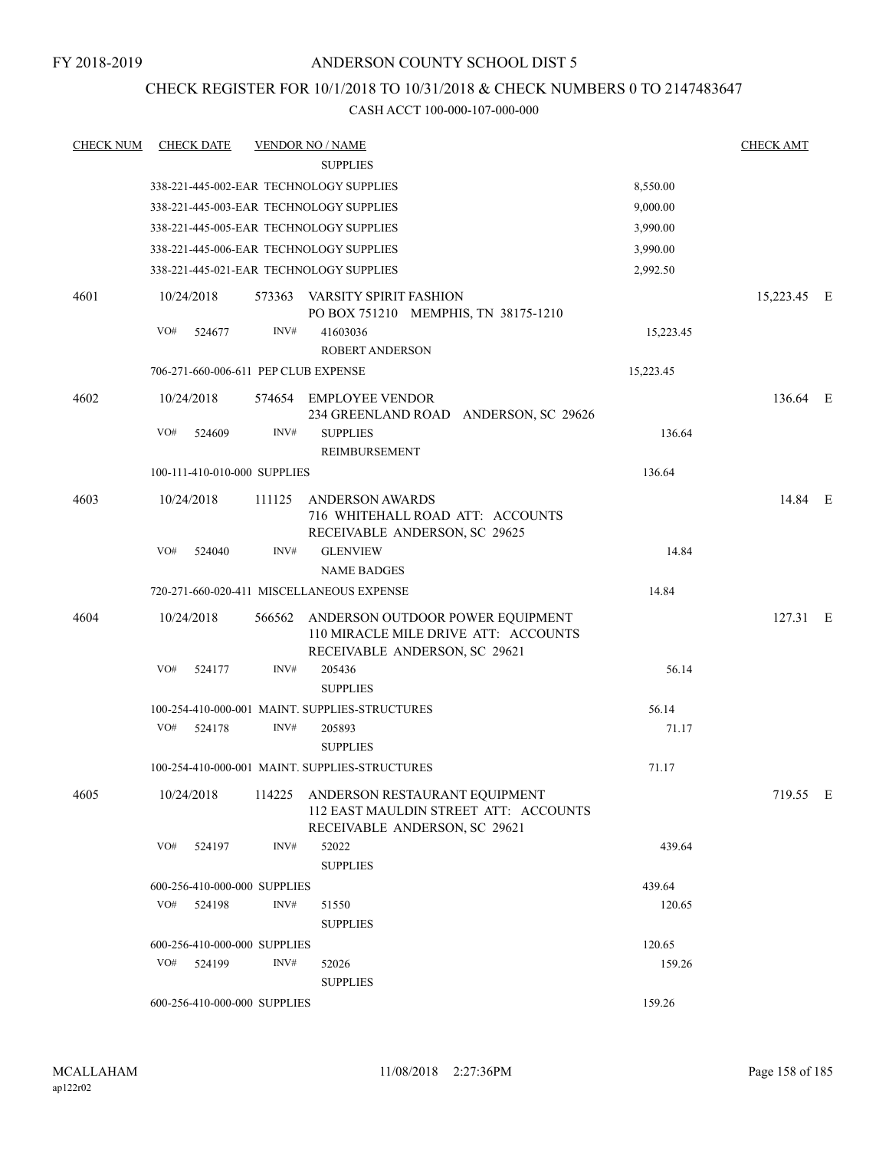### CHECK REGISTER FOR 10/1/2018 TO 10/31/2018 & CHECK NUMBERS 0 TO 2147483647

| <u>CHECK NUM</u> | <b>CHECK DATE</b> |        |                              | <b>VENDOR NO / NAME</b>                                                                                          |           | <b>CHECK AMT</b> |  |
|------------------|-------------------|--------|------------------------------|------------------------------------------------------------------------------------------------------------------|-----------|------------------|--|
|                  |                   |        |                              | <b>SUPPLIES</b>                                                                                                  |           |                  |  |
|                  |                   |        |                              | 338-221-445-002-EAR TECHNOLOGY SUPPLIES                                                                          | 8,550.00  |                  |  |
|                  |                   |        |                              | 338-221-445-003-EAR TECHNOLOGY SUPPLIES                                                                          | 9,000.00  |                  |  |
|                  |                   |        |                              | 338-221-445-005-EAR TECHNOLOGY SUPPLIES                                                                          | 3,990.00  |                  |  |
|                  |                   |        |                              | 338-221-445-006-EAR TECHNOLOGY SUPPLIES                                                                          | 3,990.00  |                  |  |
|                  |                   |        |                              | 338-221-445-021-EAR TECHNOLOGY SUPPLIES                                                                          | 2,992.50  |                  |  |
| 4601             | 10/24/2018<br>VO# |        | INV#                         | 573363 VARSITY SPIRIT FASHION<br>PO BOX 751210 MEMPHIS, TN 38175-1210<br>41603036                                |           | 15,223.45 E      |  |
|                  |                   | 524677 |                              | <b>ROBERT ANDERSON</b>                                                                                           | 15,223.45 |                  |  |
|                  |                   |        |                              | 706-271-660-006-611 PEP CLUB EXPENSE                                                                             | 15,223.45 |                  |  |
|                  |                   |        |                              |                                                                                                                  |           |                  |  |
| 4602             | 10/24/2018        |        |                              | 574654 EMPLOYEE VENDOR<br>234 GREENLAND ROAD ANDERSON, SC 29626                                                  |           | 136.64 E         |  |
|                  | VO#               | 524609 | INV#                         | <b>SUPPLIES</b><br>REIMBURSEMENT                                                                                 | 136.64    |                  |  |
|                  |                   |        | 100-111-410-010-000 SUPPLIES |                                                                                                                  | 136.64    |                  |  |
| 4603             | 10/24/2018        |        | 111125                       | ANDERSON AWARDS<br>716 WHITEHALL ROAD ATT: ACCOUNTS<br>RECEIVABLE ANDERSON, SC 29625                             |           | 14.84 E          |  |
|                  | VO#               | 524040 | INV#                         | <b>GLENVIEW</b>                                                                                                  | 14.84     |                  |  |
|                  |                   |        |                              | <b>NAME BADGES</b>                                                                                               |           |                  |  |
|                  |                   |        |                              | 720-271-660-020-411 MISCELLANEOUS EXPENSE                                                                        | 14.84     |                  |  |
| 4604             | 10/24/2018        |        |                              | 566562 ANDERSON OUTDOOR POWER EQUIPMENT<br>110 MIRACLE MILE DRIVE ATT: ACCOUNTS<br>RECEIVABLE ANDERSON, SC 29621 |           | 127.31 E         |  |
|                  | VO#               | 524177 | INV#                         | 205436<br><b>SUPPLIES</b>                                                                                        | 56.14     |                  |  |
|                  |                   |        |                              | 100-254-410-000-001 MAINT. SUPPLIES-STRUCTURES                                                                   | 56.14     |                  |  |
|                  | VO#               | 524178 | INV#                         | 205893<br><b>SUPPLIES</b>                                                                                        | 71.17     |                  |  |
|                  |                   |        |                              | 100-254-410-000-001 MAINT. SUPPLIES-STRUCTURES                                                                   | 71.17     |                  |  |
| 4605             | 10/24/2018        |        |                              | 114225 ANDERSON RESTAURANT EQUIPMENT<br>112 EAST MAULDIN STREET ATT: ACCOUNTS<br>RECEIVABLE ANDERSON, SC 29621   |           | 719.55 E         |  |
|                  | VO#               | 524197 | INV#                         | 52022                                                                                                            | 439.64    |                  |  |
|                  |                   |        |                              | <b>SUPPLIES</b>                                                                                                  |           |                  |  |
|                  |                   |        | 600-256-410-000-000 SUPPLIES |                                                                                                                  | 439.64    |                  |  |
|                  | VO#               | 524198 | INV#                         | 51550<br><b>SUPPLIES</b>                                                                                         | 120.65    |                  |  |
|                  |                   |        | 600-256-410-000-000 SUPPLIES |                                                                                                                  | 120.65    |                  |  |
|                  | VO#               | 524199 | INV#                         | 52026<br><b>SUPPLIES</b>                                                                                         | 159.26    |                  |  |
|                  |                   |        | 600-256-410-000-000 SUPPLIES |                                                                                                                  | 159.26    |                  |  |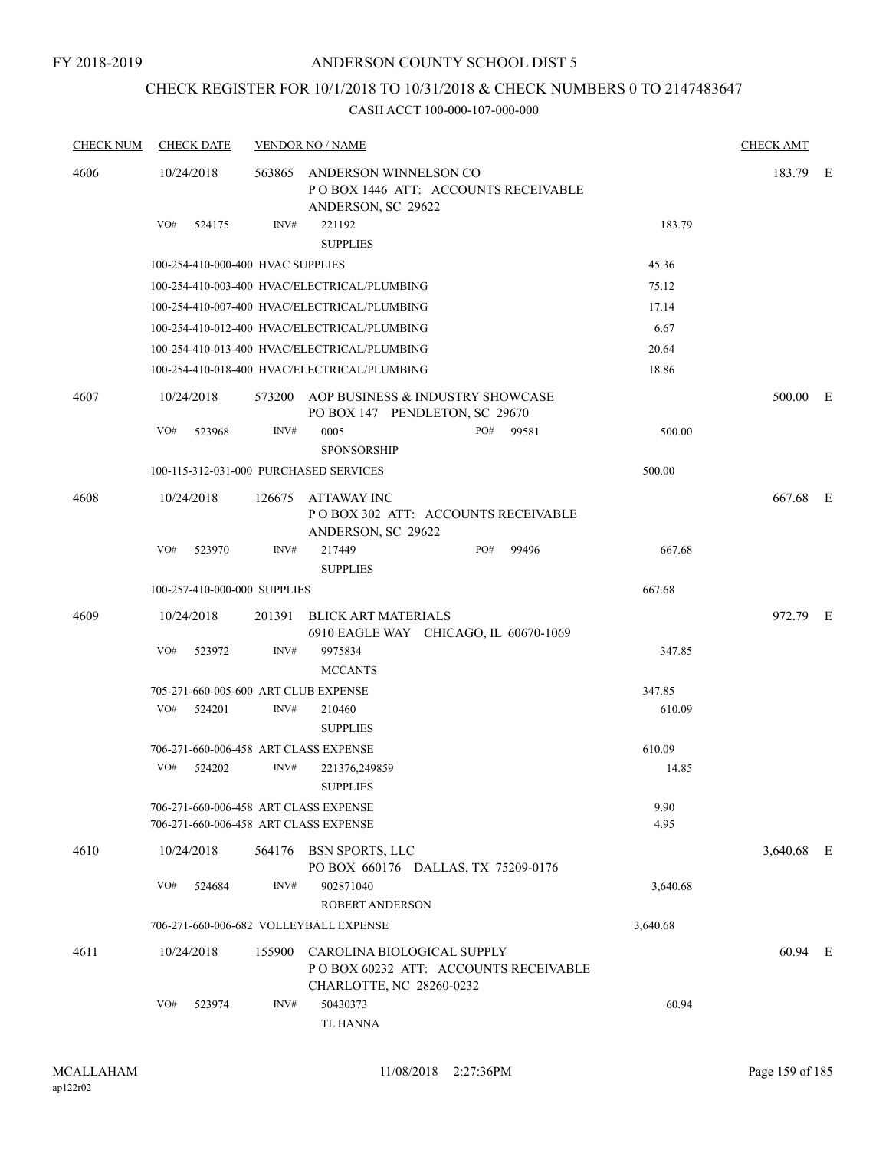FY 2018-2019

### ANDERSON COUNTY SCHOOL DIST 5

# CHECK REGISTER FOR 10/1/2018 TO 10/31/2018 & CHECK NUMBERS 0 TO 2147483647

| <b>CHECK NUM</b> | <b>CHECK DATE</b>                      |        | <b>VENDOR NO / NAME</b>                                                                        |     |       |          | <b>CHECK AMT</b> |  |
|------------------|----------------------------------------|--------|------------------------------------------------------------------------------------------------|-----|-------|----------|------------------|--|
| 4606             | 10/24/2018                             |        | 563865 ANDERSON WINNELSON CO<br>POBOX 1446 ATT: ACCOUNTS RECEIVABLE<br>ANDERSON, SC 29622      |     |       |          | 183.79 E         |  |
|                  | VO#<br>524175                          | INV#   | 221192<br><b>SUPPLIES</b>                                                                      |     |       | 183.79   |                  |  |
|                  | 100-254-410-000-400 HVAC SUPPLIES      |        |                                                                                                |     |       | 45.36    |                  |  |
|                  |                                        |        | 100-254-410-003-400 HVAC/ELECTRICAL/PLUMBING                                                   |     |       | 75.12    |                  |  |
|                  |                                        |        | 100-254-410-007-400 HVAC/ELECTRICAL/PLUMBING                                                   |     |       | 17.14    |                  |  |
|                  |                                        |        | 100-254-410-012-400 HVAC/ELECTRICAL/PLUMBING                                                   |     |       | 6.67     |                  |  |
|                  |                                        |        | 100-254-410-013-400 HVAC/ELECTRICAL/PLUMBING                                                   |     |       | 20.64    |                  |  |
|                  |                                        |        | 100-254-410-018-400 HVAC/ELECTRICAL/PLUMBING                                                   |     |       | 18.86    |                  |  |
| 4607             | 10/24/2018                             |        | 573200 AOP BUSINESS & INDUSTRY SHOWCASE<br>PO BOX 147 PENDLETON, SC 29670                      |     |       |          | 500.00 E         |  |
|                  | VO#<br>523968                          | INV#   | 0005<br><b>SPONSORSHIP</b>                                                                     | PO# | 99581 | 500.00   |                  |  |
|                  | 100-115-312-031-000 PURCHASED SERVICES |        |                                                                                                |     |       | 500.00   |                  |  |
| 4608             | 10/24/2018                             |        | 126675 ATTAWAY INC<br>POBOX 302 ATT: ACCOUNTS RECEIVABLE<br>ANDERSON, SC 29622                 |     |       |          | 667.68 E         |  |
|                  | VO#<br>523970                          | INV#   | 217449<br><b>SUPPLIES</b>                                                                      | PO# | 99496 | 667.68   |                  |  |
|                  | 100-257-410-000-000 SUPPLIES           |        |                                                                                                |     |       | 667.68   |                  |  |
| 4609             | 10/24/2018                             | 201391 | <b>BLICK ART MATERIALS</b><br>6910 EAGLE WAY CHICAGO, IL 60670-1069                            |     |       |          | 972.79 E         |  |
|                  | VO#<br>523972                          | INV#   | 9975834<br><b>MCCANTS</b>                                                                      |     |       | 347.85   |                  |  |
|                  | 705-271-660-005-600 ART CLUB EXPENSE   |        |                                                                                                |     |       | 347.85   |                  |  |
|                  | VO#<br>524201                          | INV#   | 210460<br><b>SUPPLIES</b>                                                                      |     |       | 610.09   |                  |  |
|                  | 706-271-660-006-458 ART CLASS EXPENSE  |        |                                                                                                |     |       | 610.09   |                  |  |
|                  | VO#<br>524202                          | INV#   | 221376,249859<br><b>SUPPLIES</b>                                                               |     |       | 14.85    |                  |  |
|                  | 706-271-660-006-458 ART CLASS EXPENSE  |        |                                                                                                |     |       | 9.90     |                  |  |
|                  | 706-271-660-006-458 ART CLASS EXPENSE  |        |                                                                                                |     |       | 4.95     |                  |  |
| 4610             | 10/24/2018                             |        | 564176 BSN SPORTS, LLC<br>PO BOX 660176 DALLAS, TX 75209-0176                                  |     |       |          | 3,640.68 E       |  |
|                  | VO#<br>524684                          | INV#   | 902871040<br>ROBERT ANDERSON                                                                   |     |       | 3,640.68 |                  |  |
|                  | 706-271-660-006-682 VOLLEYBALL EXPENSE |        |                                                                                                |     |       | 3,640.68 |                  |  |
| 4611             | 10/24/2018                             | 155900 | CAROLINA BIOLOGICAL SUPPLY<br>POBOX 60232 ATT: ACCOUNTS RECEIVABLE<br>CHARLOTTE, NC 28260-0232 |     |       |          | 60.94 E          |  |
|                  | VO#<br>523974                          | INV#   | 50430373<br>TL HANNA                                                                           |     |       | 60.94    |                  |  |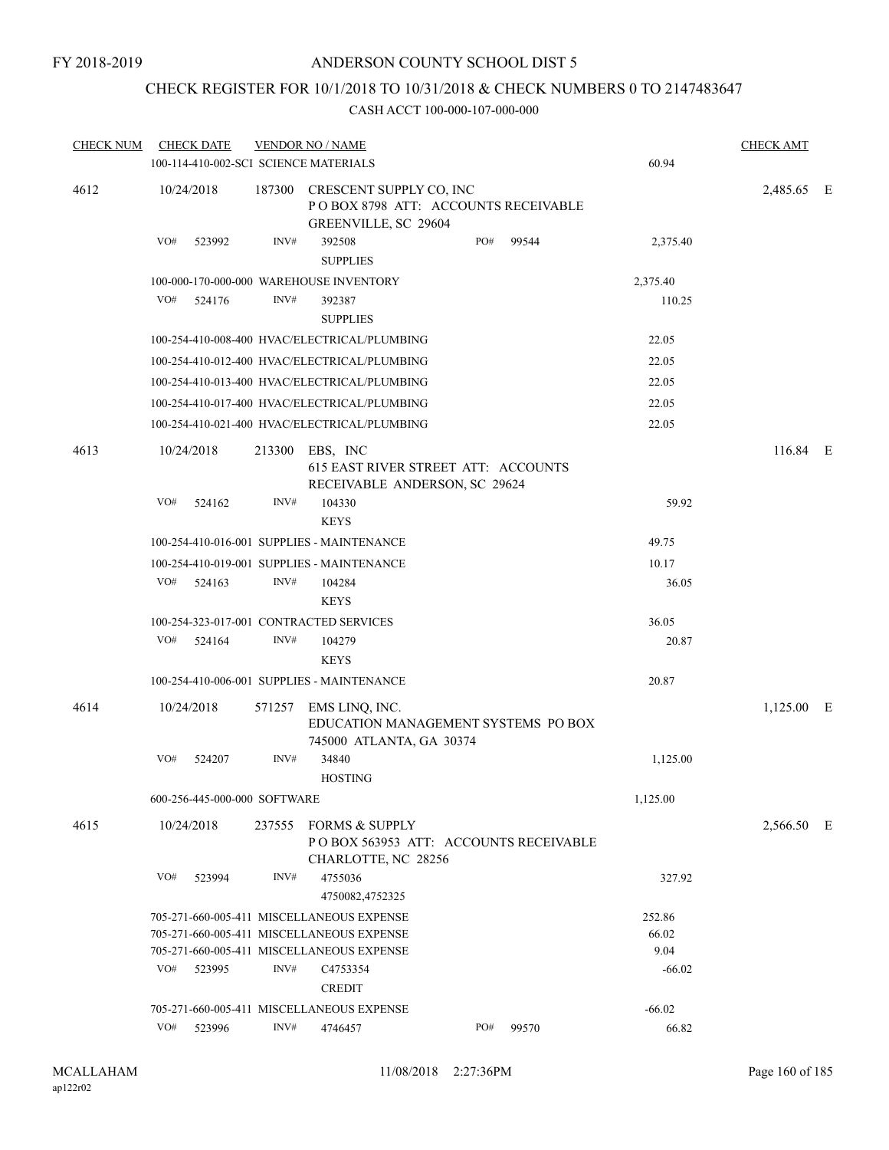### CHECK REGISTER FOR 10/1/2018 TO 10/31/2018 & CHECK NUMBERS 0 TO 2147483647

| <b>CHECK NUM</b> | <b>CHECK DATE</b> |                                       | <b>VENDOR NO / NAME</b>                                                                       |     |       |          | <b>CHECK AMT</b> |  |
|------------------|-------------------|---------------------------------------|-----------------------------------------------------------------------------------------------|-----|-------|----------|------------------|--|
|                  |                   | 100-114-410-002-SCI SCIENCE MATERIALS |                                                                                               |     |       | 60.94    |                  |  |
| 4612             | 10/24/2018        |                                       | 187300 CRESCENT SUPPLY CO, INC<br>POBOX 8798 ATT: ACCOUNTS RECEIVABLE<br>GREENVILLE, SC 29604 |     |       |          | 2,485.65 E       |  |
|                  | VO#<br>523992     | INV#                                  | 392508<br><b>SUPPLIES</b>                                                                     | PO# | 99544 | 2,375.40 |                  |  |
|                  |                   |                                       | 100-000-170-000-000 WAREHOUSE INVENTORY                                                       |     |       | 2,375.40 |                  |  |
|                  | VO#<br>524176     | INV#                                  | 392387<br><b>SUPPLIES</b>                                                                     |     |       | 110.25   |                  |  |
|                  |                   |                                       | 100-254-410-008-400 HVAC/ELECTRICAL/PLUMBING                                                  |     |       | 22.05    |                  |  |
|                  |                   |                                       | 100-254-410-012-400 HVAC/ELECTRICAL/PLUMBING                                                  |     |       | 22.05    |                  |  |
|                  |                   |                                       | 100-254-410-013-400 HVAC/ELECTRICAL/PLUMBING                                                  |     |       | 22.05    |                  |  |
|                  |                   |                                       | 100-254-410-017-400 HVAC/ELECTRICAL/PLUMBING                                                  |     |       | 22.05    |                  |  |
|                  |                   |                                       | 100-254-410-021-400 HVAC/ELECTRICAL/PLUMBING                                                  |     |       | 22.05    |                  |  |
| 4613             | 10/24/2018        |                                       | 213300 EBS, INC<br>615 EAST RIVER STREET ATT: ACCOUNTS<br>RECEIVABLE ANDERSON, SC 29624       |     |       |          | 116.84 E         |  |
|                  | VO#<br>524162     | INV#                                  | 104330<br><b>KEYS</b>                                                                         |     |       | 59.92    |                  |  |
|                  |                   |                                       | 100-254-410-016-001 SUPPLIES - MAINTENANCE                                                    |     |       | 49.75    |                  |  |
|                  |                   |                                       | 100-254-410-019-001 SUPPLIES - MAINTENANCE                                                    |     |       | 10.17    |                  |  |
|                  | VO#<br>524163     | INV#                                  | 104284<br><b>KEYS</b>                                                                         |     |       | 36.05    |                  |  |
|                  |                   |                                       | 100-254-323-017-001 CONTRACTED SERVICES                                                       |     |       | 36.05    |                  |  |
|                  | VO#<br>524164     | INV#                                  | 104279                                                                                        |     |       | 20.87    |                  |  |
|                  |                   |                                       | <b>KEYS</b>                                                                                   |     |       |          |                  |  |
|                  |                   |                                       | 100-254-410-006-001 SUPPLIES - MAINTENANCE                                                    |     |       | 20.87    |                  |  |
| 4614             | 10/24/2018        |                                       | 571257 EMS LINQ, INC.<br>EDUCATION MANAGEMENT SYSTEMS PO BOX<br>745000 ATLANTA, GA 30374      |     |       |          | $1,125.00$ E     |  |
|                  | VO#<br>524207     | INV#                                  | 34840<br><b>HOSTING</b>                                                                       |     |       | 1,125.00 |                  |  |
|                  |                   | 600-256-445-000-000 SOFTWARE          |                                                                                               |     |       | 1,125.00 |                  |  |
| 4615             | 10/24/2018        |                                       | 237555 FORMS & SUPPLY<br>POBOX 563953 ATT: ACCOUNTS RECEIVABLE<br>CHARLOTTE, NC 28256         |     |       |          | 2,566.50 E       |  |
|                  | VO#<br>523994     | INV#                                  | 4755036<br>4750082,4752325                                                                    |     |       | 327.92   |                  |  |
|                  |                   |                                       | 705-271-660-005-411 MISCELLANEOUS EXPENSE                                                     |     |       | 252.86   |                  |  |
|                  |                   |                                       | 705-271-660-005-411 MISCELLANEOUS EXPENSE                                                     |     |       | 66.02    |                  |  |
|                  |                   |                                       | 705-271-660-005-411 MISCELLANEOUS EXPENSE                                                     |     |       | 9.04     |                  |  |
|                  | VO#<br>523995     | INV#                                  | C4753354<br><b>CREDIT</b>                                                                     |     |       | $-66.02$ |                  |  |
|                  |                   |                                       | 705-271-660-005-411 MISCELLANEOUS EXPENSE                                                     |     |       | $-66.02$ |                  |  |
|                  | VO#<br>523996     | INV#                                  | 4746457                                                                                       | PO# | 99570 | 66.82    |                  |  |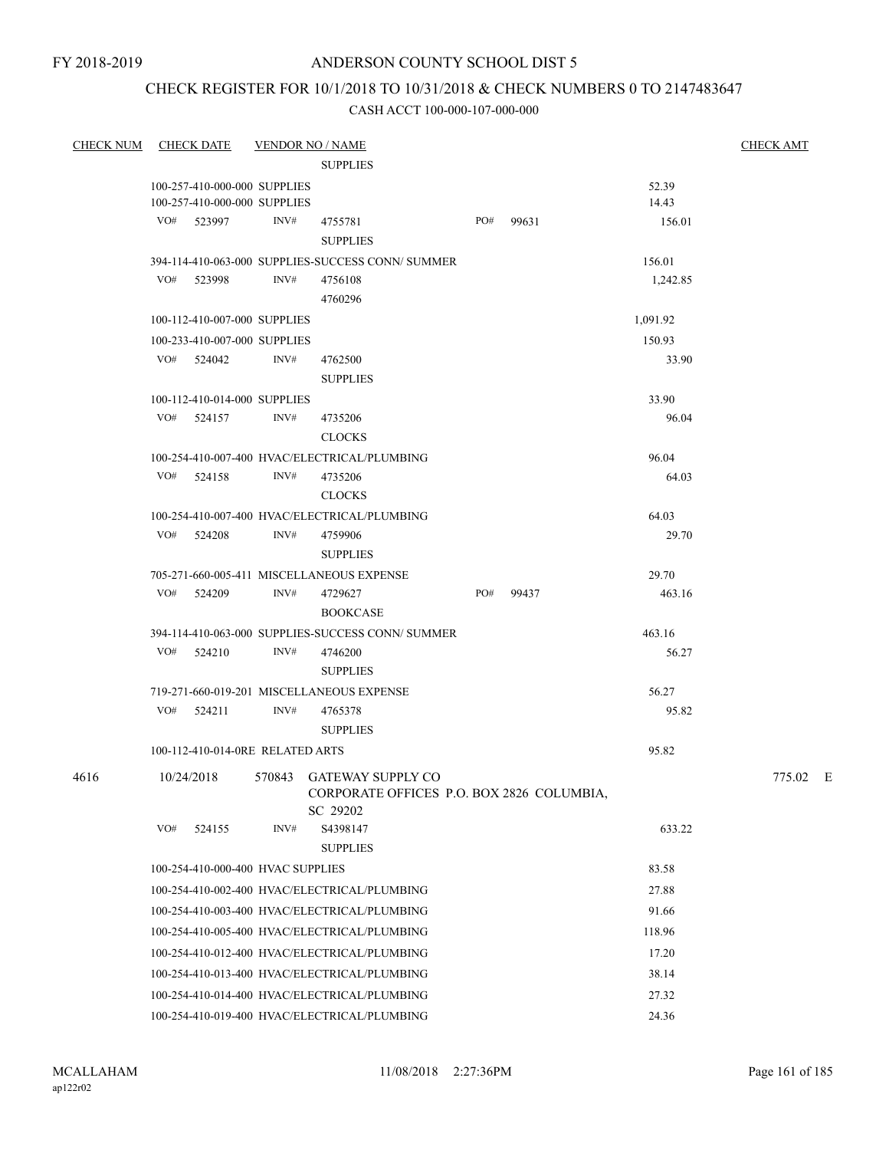### CHECK REGISTER FOR 10/1/2018 TO 10/31/2018 & CHECK NUMBERS 0 TO 2147483647

| <b>CHECK NUM</b> | <b>CHECK DATE</b> |        |                                   | <b>VENDOR NO / NAME</b>                                                           |     |       |                 | <b>CHECK AMT</b> |
|------------------|-------------------|--------|-----------------------------------|-----------------------------------------------------------------------------------|-----|-------|-----------------|------------------|
|                  |                   |        |                                   | <b>SUPPLIES</b>                                                                   |     |       |                 |                  |
|                  |                   |        | 100-257-410-000-000 SUPPLIES      |                                                                                   |     |       | 52.39           |                  |
|                  |                   |        | 100-257-410-000-000 SUPPLIES      |                                                                                   |     |       | 14.43           |                  |
|                  | VO# 523997        |        | INV#                              | 4755781<br><b>SUPPLIES</b>                                                        | PO# | 99631 | 156.01          |                  |
|                  |                   |        |                                   | 394-114-410-063-000 SUPPLIES-SUCCESS CONN/ SUMMER                                 |     |       | 156.01          |                  |
|                  | VO# 523998        |        | INV#                              | 4756108<br>4760296                                                                |     |       | 1,242.85        |                  |
|                  |                   |        | 100-112-410-007-000 SUPPLIES      |                                                                                   |     |       | 1,091.92        |                  |
|                  |                   |        | 100-233-410-007-000 SUPPLIES      |                                                                                   |     |       | 150.93          |                  |
|                  | VO# 524042        |        | INV#                              | 4762500<br><b>SUPPLIES</b>                                                        |     |       | 33.90           |                  |
|                  |                   |        | 100-112-410-014-000 SUPPLIES      |                                                                                   |     |       | 33.90           |                  |
|                  | VO# 524157        |        | INV#                              | 4735206<br><b>CLOCKS</b>                                                          |     |       | 96.04           |                  |
|                  |                   |        |                                   | 100-254-410-007-400 HVAC/ELECTRICAL/PLUMBING                                      |     |       | 96.04           |                  |
|                  | VO# 524158        |        | INV#                              | 4735206<br><b>CLOCKS</b>                                                          |     |       | 64.03           |                  |
|                  |                   |        |                                   | 100-254-410-007-400 HVAC/ELECTRICAL/PLUMBING                                      |     |       | 64.03           |                  |
|                  | VO# 524208        |        | INV#                              | 4759906<br><b>SUPPLIES</b>                                                        |     |       | 29.70           |                  |
|                  |                   |        |                                   | 705-271-660-005-411 MISCELLANEOUS EXPENSE                                         |     |       | 29.70           |                  |
|                  | VO# 524209        |        | INV#                              | 4729627<br><b>BOOKCASE</b>                                                        | PO# | 99437 | 463.16          |                  |
|                  | VO#               | 524210 | INV#                              | 394-114-410-063-000 SUPPLIES-SUCCESS CONN/ SUMMER<br>4746200<br><b>SUPPLIES</b>   |     |       | 463.16<br>56.27 |                  |
|                  |                   |        |                                   | 719-271-660-019-201 MISCELLANEOUS EXPENSE                                         |     |       | 56.27           |                  |
|                  | VO# 524211        |        | INV#                              | 4765378<br><b>SUPPLIES</b>                                                        |     |       | 95.82           |                  |
|                  |                   |        | 100-112-410-014-0RE RELATED ARTS  |                                                                                   |     |       | 95.82           |                  |
| 4616             | 10/24/2018        |        |                                   | 570843 GATEWAY SUPPLY CO<br>CORPORATE OFFICES P.O. BOX 2826 COLUMBIA,<br>SC 29202 |     |       |                 | 775.02 E         |
|                  | VO#               | 524155 | INV#                              | S4398147<br><b>SUPPLIES</b>                                                       |     |       | 633.22          |                  |
|                  |                   |        | 100-254-410-000-400 HVAC SUPPLIES |                                                                                   |     |       | 83.58           |                  |
|                  |                   |        |                                   | 100-254-410-002-400 HVAC/ELECTRICAL/PLUMBING                                      |     |       | 27.88           |                  |
|                  |                   |        |                                   | 100-254-410-003-400 HVAC/ELECTRICAL/PLUMBING                                      |     |       | 91.66           |                  |
|                  |                   |        |                                   | 100-254-410-005-400 HVAC/ELECTRICAL/PLUMBING                                      |     |       | 118.96          |                  |
|                  |                   |        |                                   | 100-254-410-012-400 HVAC/ELECTRICAL/PLUMBING                                      |     |       | 17.20           |                  |
|                  |                   |        |                                   | 100-254-410-013-400 HVAC/ELECTRICAL/PLUMBING                                      |     |       | 38.14           |                  |
|                  |                   |        |                                   | 100-254-410-014-400 HVAC/ELECTRICAL/PLUMBING                                      |     |       | 27.32           |                  |
|                  |                   |        |                                   | 100-254-410-019-400 HVAC/ELECTRICAL/PLUMBING                                      |     |       | 24.36           |                  |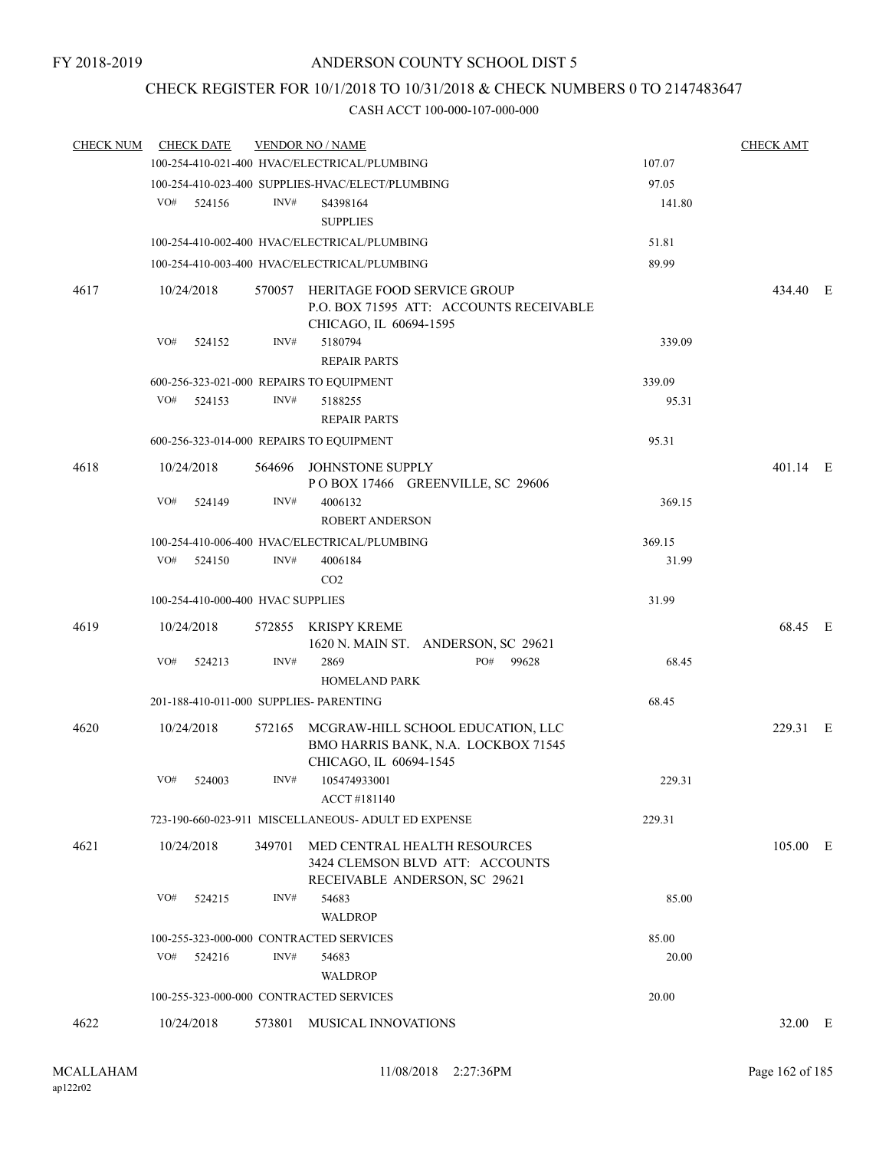### CHECK REGISTER FOR 10/1/2018 TO 10/31/2018 & CHECK NUMBERS 0 TO 2147483647

| <b>CHECK NUM</b> | <b>CHECK DATE</b>                        |      | <b>VENDOR NO / NAME</b>                                                       |        | <b>CHECK AMT</b> |  |
|------------------|------------------------------------------|------|-------------------------------------------------------------------------------|--------|------------------|--|
|                  |                                          |      | 100-254-410-021-400 HVAC/ELECTRICAL/PLUMBING                                  | 107.07 |                  |  |
|                  |                                          |      | 100-254-410-023-400 SUPPLIES-HVAC/ELECT/PLUMBING                              | 97.05  |                  |  |
|                  | VO# 524156                               | INV# | S4398164                                                                      | 141.80 |                  |  |
|                  |                                          |      | <b>SUPPLIES</b>                                                               |        |                  |  |
|                  |                                          |      | 100-254-410-002-400 HVAC/ELECTRICAL/PLUMBING                                  | 51.81  |                  |  |
|                  |                                          |      | 100-254-410-003-400 HVAC/ELECTRICAL/PLUMBING                                  | 89.99  |                  |  |
|                  |                                          |      |                                                                               |        |                  |  |
| 4617             | 10/24/2018                               |      | 570057 HERITAGE FOOD SERVICE GROUP<br>P.O. BOX 71595 ATT: ACCOUNTS RECEIVABLE |        | 434.40 E         |  |
|                  |                                          |      | CHICAGO, IL 60694-1595                                                        |        |                  |  |
|                  | VO# 524152                               | INV# | 5180794                                                                       | 339.09 |                  |  |
|                  |                                          |      | <b>REPAIR PARTS</b>                                                           |        |                  |  |
|                  | 600-256-323-021-000 REPAIRS TO EQUIPMENT |      |                                                                               | 339.09 |                  |  |
|                  | VO#<br>524153                            | INV# | 5188255                                                                       | 95.31  |                  |  |
|                  |                                          |      | <b>REPAIR PARTS</b>                                                           |        |                  |  |
|                  | 600-256-323-014-000 REPAIRS TO EQUIPMENT |      |                                                                               | 95.31  |                  |  |
|                  |                                          |      |                                                                               |        |                  |  |
| 4618             | 10/24/2018                               |      | 564696 JOHNSTONE SUPPLY                                                       |        | 401.14 E         |  |
|                  | VO#                                      | INV# | POBOX 17466 GREENVILLE, SC 29606                                              |        |                  |  |
|                  | 524149                                   |      | 4006132<br>ROBERT ANDERSON                                                    | 369.15 |                  |  |
|                  |                                          |      | 100-254-410-006-400 HVAC/ELECTRICAL/PLUMBING                                  | 369.15 |                  |  |
|                  | VO# 524150                               | INV# | 4006184                                                                       | 31.99  |                  |  |
|                  |                                          |      | CO <sub>2</sub>                                                               |        |                  |  |
|                  | 100-254-410-000-400 HVAC SUPPLIES        |      |                                                                               | 31.99  |                  |  |
| 4619             | 10/24/2018                               |      | 572855 KRISPY KREME                                                           |        | 68.45 E          |  |
|                  |                                          |      | 1620 N. MAIN ST. ANDERSON, SC 29621                                           |        |                  |  |
|                  | VO#<br>524213                            | INV# | 2869<br>PO#<br>99628                                                          | 68.45  |                  |  |
|                  |                                          |      | <b>HOMELAND PARK</b>                                                          |        |                  |  |
|                  | 201-188-410-011-000 SUPPLIES- PARENTING  |      |                                                                               | 68.45  |                  |  |
| 4620             | 10/24/2018                               |      | 572165 MCGRAW-HILL SCHOOL EDUCATION, LLC                                      |        | 229.31 E         |  |
|                  |                                          |      | BMO HARRIS BANK, N.A. LOCKBOX 71545                                           |        |                  |  |
|                  |                                          |      | CHICAGO, IL 60694-1545                                                        |        |                  |  |
|                  | VO#<br>524003                            | INV# | 105474933001                                                                  | 229.31 |                  |  |
|                  |                                          |      | ACCT#181140                                                                   |        |                  |  |
|                  |                                          |      | 723-190-660-023-911 MISCELLANEOUS- ADULT ED EXPENSE                           | 229.31 |                  |  |
| 4621             | 10/24/2018                               |      | 349701 MED CENTRAL HEALTH RESOURCES                                           |        | 105.00 E         |  |
|                  |                                          |      | 3424 CLEMSON BLVD ATT: ACCOUNTS                                               |        |                  |  |
|                  |                                          |      | RECEIVABLE ANDERSON, SC 29621                                                 |        |                  |  |
|                  | VO#<br>524215                            | INV# | 54683                                                                         | 85.00  |                  |  |
|                  |                                          |      | <b>WALDROP</b>                                                                |        |                  |  |
|                  | 100-255-323-000-000 CONTRACTED SERVICES  |      |                                                                               | 85.00  |                  |  |
|                  | VO#<br>524216                            | INV# | 54683                                                                         | 20.00  |                  |  |
|                  |                                          |      | <b>WALDROP</b>                                                                |        |                  |  |
|                  | 100-255-323-000-000 CONTRACTED SERVICES  |      |                                                                               | 20.00  |                  |  |
| 4622             | 10/24/2018                               |      | 573801 MUSICAL INNOVATIONS                                                    |        | 32.00 E          |  |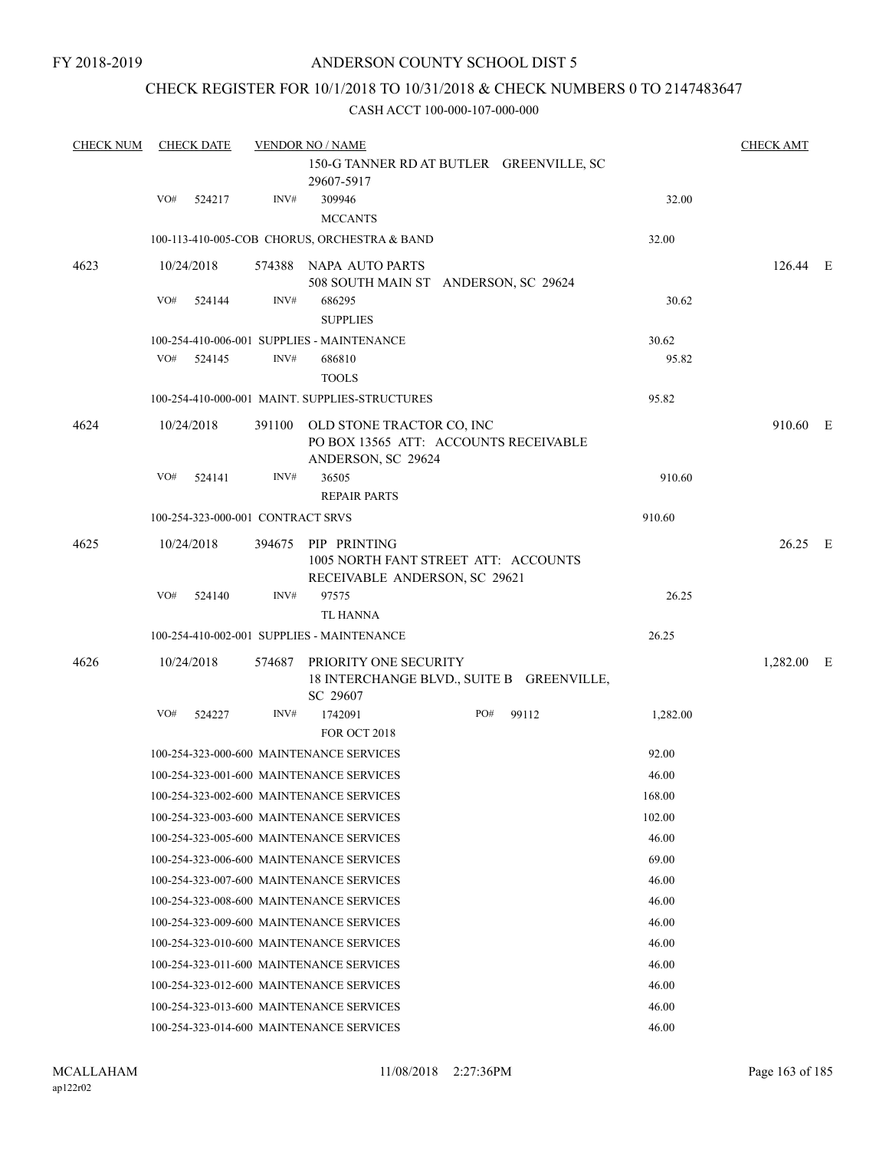### CHECK REGISTER FOR 10/1/2018 TO 10/31/2018 & CHECK NUMBERS 0 TO 2147483647

| <b>CHECK NUM</b> |     | <b>CHECK DATE</b> |                                   | <b>VENDOR NO / NAME</b>                                                                         |     |       |          | <b>CHECK AMT</b> |  |
|------------------|-----|-------------------|-----------------------------------|-------------------------------------------------------------------------------------------------|-----|-------|----------|------------------|--|
|                  |     |                   |                                   | 150-G TANNER RD AT BUTLER GREENVILLE, SC<br>29607-5917                                          |     |       |          |                  |  |
|                  | VO# | 524217            | INV#                              | 309946<br><b>MCCANTS</b>                                                                        |     |       | 32.00    |                  |  |
|                  |     |                   |                                   | 100-113-410-005-COB CHORUS, ORCHESTRA & BAND                                                    |     |       | 32.00    |                  |  |
| 4623             |     | 10/24/2018        |                                   | 574388 NAPA AUTO PARTS<br>508 SOUTH MAIN ST ANDERSON, SC 29624                                  |     |       |          | 126.44 E         |  |
|                  | VO# | 524144            | INV#                              | 686295<br><b>SUPPLIES</b>                                                                       |     |       | 30.62    |                  |  |
|                  |     |                   |                                   | 100-254-410-006-001 SUPPLIES - MAINTENANCE                                                      |     |       | 30.62    |                  |  |
|                  | VO# | 524145            | INV#                              | 686810<br><b>TOOLS</b>                                                                          |     |       | 95.82    |                  |  |
|                  |     |                   |                                   | 100-254-410-000-001 MAINT. SUPPLIES-STRUCTURES                                                  |     |       | 95.82    |                  |  |
|                  |     |                   |                                   |                                                                                                 |     |       |          |                  |  |
| 4624             |     | 10/24/2018        |                                   | 391100 OLD STONE TRACTOR CO, INC<br>PO BOX 13565 ATT: ACCOUNTS RECEIVABLE<br>ANDERSON, SC 29624 |     |       |          | 910.60 E         |  |
|                  | VO# | 524141            | INV#                              | 36505<br><b>REPAIR PARTS</b>                                                                    |     |       | 910.60   |                  |  |
|                  |     |                   | 100-254-323-000-001 CONTRACT SRVS |                                                                                                 |     |       | 910.60   |                  |  |
| 4625             |     | 10/24/2018        |                                   | 394675 PIP PRINTING<br>1005 NORTH FANT STREET ATT: ACCOUNTS<br>RECEIVABLE ANDERSON, SC 29621    |     |       |          | 26.25 E          |  |
|                  | VO# | 524140            | INV#                              | 97575                                                                                           |     |       | 26.25    |                  |  |
|                  |     |                   |                                   | <b>TL HANNA</b>                                                                                 |     |       |          |                  |  |
|                  |     |                   |                                   | 100-254-410-002-001 SUPPLIES - MAINTENANCE                                                      |     |       | 26.25    |                  |  |
| 4626             |     | 10/24/2018        |                                   | 574687 PRIORITY ONE SECURITY<br>18 INTERCHANGE BLVD., SUITE B GREENVILLE,<br>SC 29607           |     |       |          | 1,282.00 E       |  |
|                  | VO# | 524227            | INV#                              | 1742091<br><b>FOR OCT 2018</b>                                                                  | PO# | 99112 | 1,282.00 |                  |  |
|                  |     |                   |                                   | 100-254-323-000-600 MAINTENANCE SERVICES                                                        |     |       | 92.00    |                  |  |
|                  |     |                   |                                   | 100-254-323-001-600 MAINTENANCE SERVICES                                                        |     |       | 46.00    |                  |  |
|                  |     |                   |                                   | 100-254-323-002-600 MAINTENANCE SERVICES                                                        |     |       | 168.00   |                  |  |
|                  |     |                   |                                   | 100-254-323-003-600 MAINTENANCE SERVICES                                                        |     |       | 102.00   |                  |  |
|                  |     |                   |                                   | 100-254-323-005-600 MAINTENANCE SERVICES                                                        |     |       | 46.00    |                  |  |
|                  |     |                   |                                   | 100-254-323-006-600 MAINTENANCE SERVICES                                                        |     |       | 69.00    |                  |  |
|                  |     |                   |                                   | 100-254-323-007-600 MAINTENANCE SERVICES                                                        |     |       | 46.00    |                  |  |
|                  |     |                   |                                   | 100-254-323-008-600 MAINTENANCE SERVICES                                                        |     |       | 46.00    |                  |  |
|                  |     |                   |                                   | 100-254-323-009-600 MAINTENANCE SERVICES                                                        |     |       | 46.00    |                  |  |
|                  |     |                   |                                   | 100-254-323-010-600 MAINTENANCE SERVICES                                                        |     |       | 46.00    |                  |  |
|                  |     |                   |                                   | 100-254-323-011-600 MAINTENANCE SERVICES                                                        |     |       | 46.00    |                  |  |
|                  |     |                   |                                   | 100-254-323-012-600 MAINTENANCE SERVICES                                                        |     |       | 46.00    |                  |  |
|                  |     |                   |                                   | 100-254-323-013-600 MAINTENANCE SERVICES                                                        |     |       | 46.00    |                  |  |
|                  |     |                   |                                   | 100-254-323-014-600 MAINTENANCE SERVICES                                                        |     |       | 46.00    |                  |  |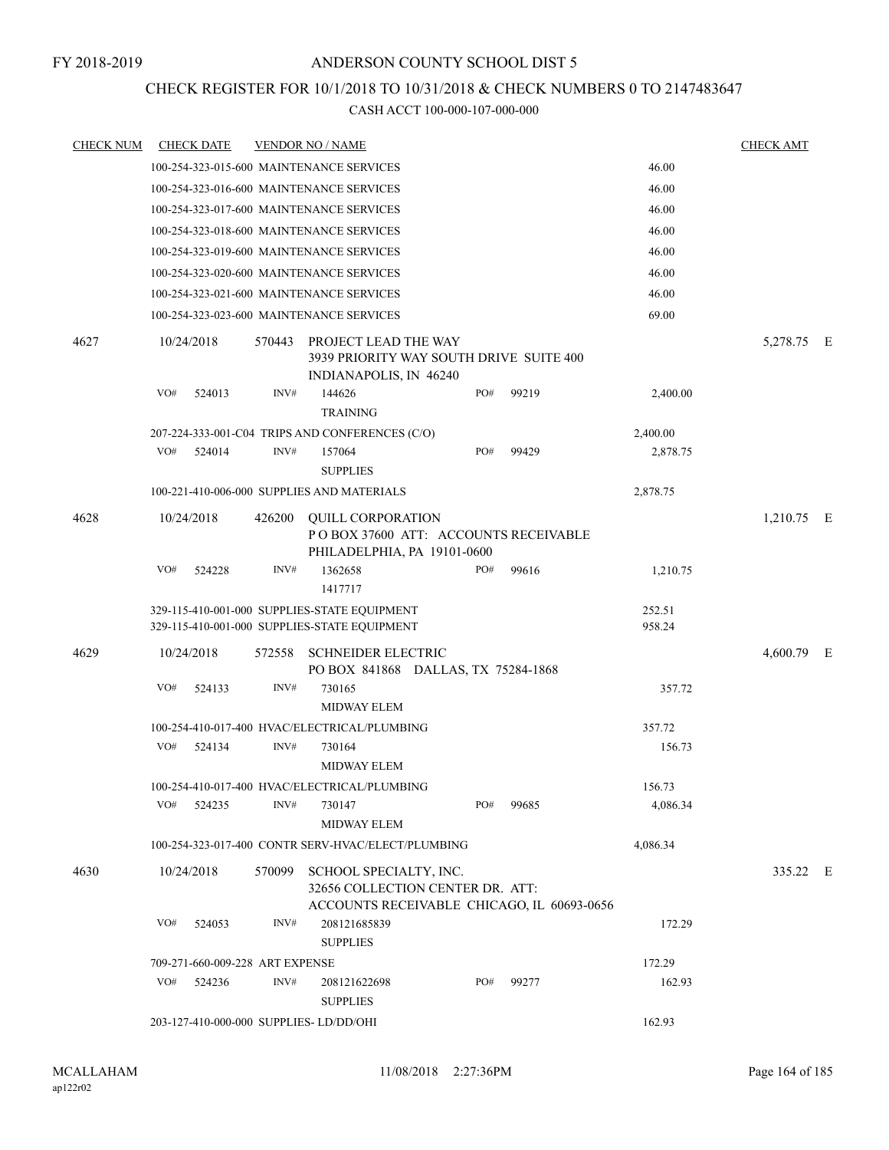### CHECK REGISTER FOR 10/1/2018 TO 10/31/2018 & CHECK NUMBERS 0 TO 2147483647

| <b>CHECK NUM</b> | <b>CHECK DATE</b>               |        | <b>VENDOR NO / NAME</b>                                                                                  |     |       |          | <b>CHECK AMT</b> |  |
|------------------|---------------------------------|--------|----------------------------------------------------------------------------------------------------------|-----|-------|----------|------------------|--|
|                  |                                 |        | 100-254-323-015-600 MAINTENANCE SERVICES                                                                 |     |       | 46.00    |                  |  |
|                  |                                 |        | 100-254-323-016-600 MAINTENANCE SERVICES                                                                 |     |       | 46.00    |                  |  |
|                  |                                 |        | 100-254-323-017-600 MAINTENANCE SERVICES                                                                 |     |       | 46.00    |                  |  |
|                  |                                 |        | 100-254-323-018-600 MAINTENANCE SERVICES                                                                 |     |       | 46.00    |                  |  |
|                  |                                 |        | 100-254-323-019-600 MAINTENANCE SERVICES                                                                 |     |       | 46.00    |                  |  |
|                  |                                 |        | 100-254-323-020-600 MAINTENANCE SERVICES                                                                 |     |       | 46.00    |                  |  |
|                  |                                 |        | 100-254-323-021-600 MAINTENANCE SERVICES                                                                 |     |       | 46.00    |                  |  |
|                  |                                 |        | 100-254-323-023-600 MAINTENANCE SERVICES                                                                 |     |       | 69.00    |                  |  |
| 4627             | 10/24/2018                      | 570443 | PROJECT LEAD THE WAY<br>3939 PRIORITY WAY SOUTH DRIVE SUITE 400<br>INDIANAPOLIS, IN 46240                |     |       |          | 5,278.75 E       |  |
|                  | VO#<br>524013                   | INV#   | 144626<br><b>TRAINING</b>                                                                                | PO# | 99219 | 2,400.00 |                  |  |
|                  |                                 |        | 207-224-333-001-C04 TRIPS AND CONFERENCES (C/O)                                                          |     |       | 2,400.00 |                  |  |
|                  | VO#<br>524014                   | INV#   | 157064<br><b>SUPPLIES</b>                                                                                | PO# | 99429 | 2,878.75 |                  |  |
|                  |                                 |        | 100-221-410-006-000 SUPPLIES AND MATERIALS                                                               |     |       | 2,878.75 |                  |  |
| 4628             | 10/24/2018                      | 426200 | <b>OUILL CORPORATION</b><br>POBOX 37600 ATT: ACCOUNTS RECEIVABLE<br>PHILADELPHIA, PA 19101-0600          |     |       |          | 1,210.75 E       |  |
|                  | VO#<br>524228                   | INV#   | 1362658<br>1417717                                                                                       | PO# | 99616 | 1,210.75 |                  |  |
|                  |                                 |        | 329-115-410-001-000 SUPPLIES-STATE EQUIPMENT                                                             |     |       | 252.51   |                  |  |
|                  |                                 |        | 329-115-410-001-000 SUPPLIES-STATE EQUIPMENT                                                             |     |       | 958.24   |                  |  |
| 4629             | 10/24/2018                      | 572558 | <b>SCHNEIDER ELECTRIC</b><br>PO BOX 841868 DALLAS, TX 75284-1868                                         |     |       |          | 4,600.79 E       |  |
|                  | VO#<br>524133                   | INV#   | 730165<br><b>MIDWAY ELEM</b>                                                                             |     |       | 357.72   |                  |  |
|                  |                                 |        | 100-254-410-017-400 HVAC/ELECTRICAL/PLUMBING                                                             |     |       | 357.72   |                  |  |
|                  | VO#<br>524134                   | INV#   | 730164<br><b>MIDWAY ELEM</b>                                                                             |     |       | 156.73   |                  |  |
|                  |                                 |        | 100-254-410-017-400 HVAC/ELECTRICAL/PLUMBING                                                             |     |       | 156.73   |                  |  |
|                  | $VO#$ 524235                    | INV#   | 730147<br>MIDWAY ELEM                                                                                    | PO# | 99685 | 4,086.34 |                  |  |
|                  |                                 |        | 100-254-323-017-400 CONTR SERV-HVAC/ELECT/PLUMBING                                                       |     |       | 4,086.34 |                  |  |
| 4630             | 10/24/2018                      | 570099 | SCHOOL SPECIALTY, INC.<br>32656 COLLECTION CENTER DR. ATT:<br>ACCOUNTS RECEIVABLE CHICAGO, IL 60693-0656 |     |       |          | 335.22 E         |  |
|                  | VO#<br>524053                   | INV#   | 208121685839<br><b>SUPPLIES</b>                                                                          |     |       | 172.29   |                  |  |
|                  | 709-271-660-009-228 ART EXPENSE |        |                                                                                                          |     |       | 172.29   |                  |  |
|                  | VO#<br>524236                   | INV#   | 208121622698<br><b>SUPPLIES</b>                                                                          | PO# | 99277 | 162.93   |                  |  |
|                  |                                 |        | 203-127-410-000-000 SUPPLIES- LD/DD/OHI                                                                  |     |       | 162.93   |                  |  |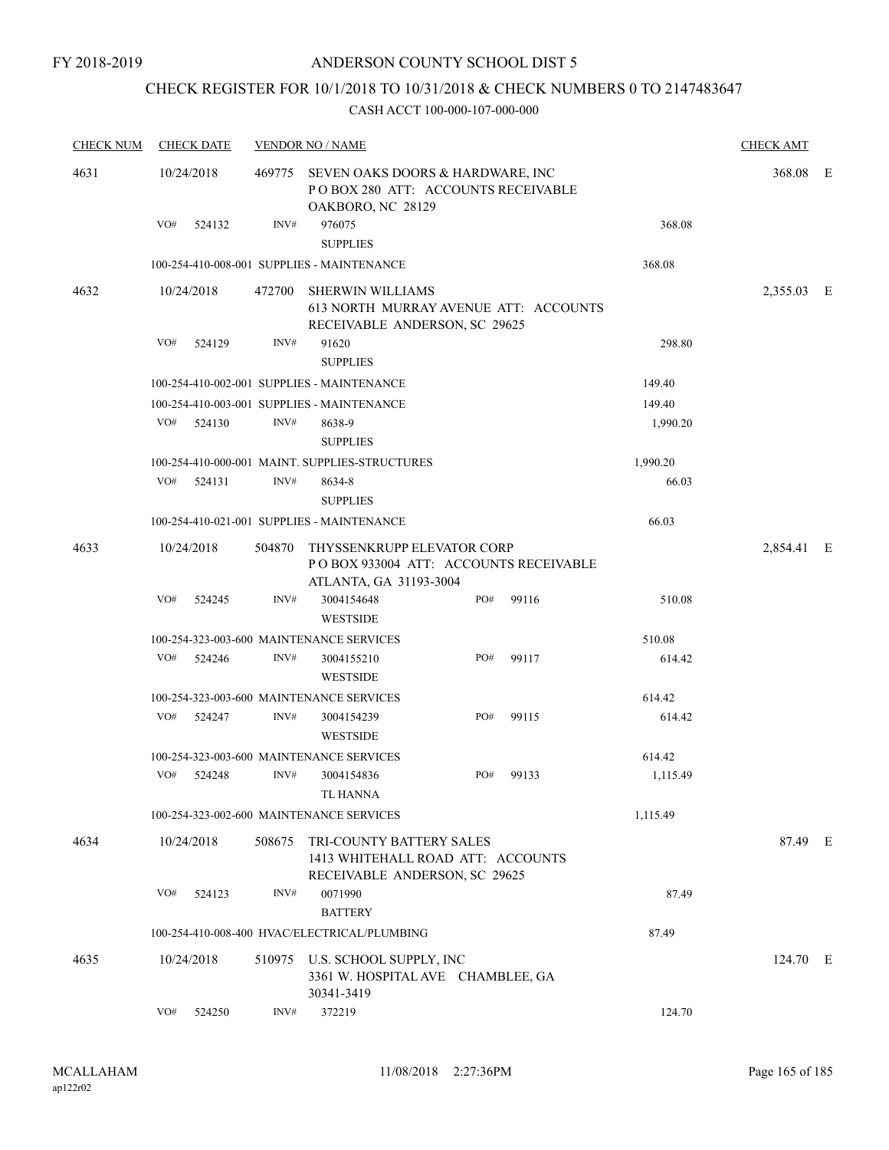## CHECK REGISTER FOR 10/1/2018 TO 10/31/2018 & CHECK NUMBERS 0 TO 2147483647

| <b>CHECK NUM</b> |     | <b>CHECK DATE</b> |        | <b>VENDOR NO / NAME</b>                                                                               |     |       |          | <b>CHECK AMT</b> |  |
|------------------|-----|-------------------|--------|-------------------------------------------------------------------------------------------------------|-----|-------|----------|------------------|--|
| 4631             |     | 10/24/2018        |        | 469775 SEVEN OAKS DOORS & HARDWARE, INC<br>POBOX 280 ATT: ACCOUNTS RECEIVABLE<br>OAKBORO, NC 28129    |     |       |          | 368.08 E         |  |
|                  | VO# | 524132            | INV#   | 976075<br><b>SUPPLIES</b>                                                                             |     |       | 368.08   |                  |  |
|                  |     |                   |        | 100-254-410-008-001 SUPPLIES - MAINTENANCE                                                            |     |       | 368.08   |                  |  |
| 4632             |     | 10/24/2018        |        | 472700 SHERWIN WILLIAMS                                                                               |     |       |          | 2,355.03 E       |  |
|                  |     |                   |        | 613 NORTH MURRAY AVENUE ATT: ACCOUNTS<br>RECEIVABLE ANDERSON, SC 29625                                |     |       |          |                  |  |
|                  | VO# | 524129            | INV#   | 91620                                                                                                 |     |       | 298.80   |                  |  |
|                  |     |                   |        | <b>SUPPLIES</b>                                                                                       |     |       |          |                  |  |
|                  |     |                   |        | 100-254-410-002-001 SUPPLIES - MAINTENANCE                                                            |     |       | 149.40   |                  |  |
|                  |     |                   |        | 100-254-410-003-001 SUPPLIES - MAINTENANCE                                                            |     |       | 149.40   |                  |  |
|                  | VO# | 524130            | INV#   | 8638-9<br><b>SUPPLIES</b>                                                                             |     |       | 1,990.20 |                  |  |
|                  |     |                   |        | 100-254-410-000-001 MAINT. SUPPLIES-STRUCTURES                                                        |     |       | 1,990.20 |                  |  |
|                  | VO# | 524131            | INV#   | 8634-8<br><b>SUPPLIES</b>                                                                             |     |       | 66.03    |                  |  |
|                  |     |                   |        | 100-254-410-021-001 SUPPLIES - MAINTENANCE                                                            |     |       | 66.03    |                  |  |
| 4633             |     | 10/24/2018        |        | 504870 THYSSENKRUPP ELEVATOR CORP<br>PO BOX 933004 ATT: ACCOUNTS RECEIVABLE<br>ATLANTA, GA 31193-3004 |     |       |          | 2,854.41 E       |  |
|                  | VO# | 524245            | INV#   | 3004154648<br><b>WESTSIDE</b>                                                                         | PO# | 99116 | 510.08   |                  |  |
|                  |     |                   |        | 100-254-323-003-600 MAINTENANCE SERVICES                                                              |     |       | 510.08   |                  |  |
|                  | VO# | 524246            | INV#   | 3004155210<br><b>WESTSIDE</b>                                                                         | PO# | 99117 | 614.42   |                  |  |
|                  |     |                   |        | 100-254-323-003-600 MAINTENANCE SERVICES                                                              |     |       | 614.42   |                  |  |
|                  | VO# | 524247            | INV#   | 3004154239<br><b>WESTSIDE</b>                                                                         | PO# | 99115 | 614.42   |                  |  |
|                  |     |                   |        | 100-254-323-003-600 MAINTENANCE SERVICES                                                              |     |       | 614.42   |                  |  |
|                  | VO# | 524248            | INV#   | 3004154836<br><b>TL HANNA</b>                                                                         | PO# | 99133 | 1,115.49 |                  |  |
|                  |     |                   |        | 100-254-323-002-600 MAINTENANCE SERVICES                                                              |     |       | 1,115.49 |                  |  |
| 4634             |     | 10/24/2018        | 508675 | TRI-COUNTY BATTERY SALES<br>1413 WHITEHALL ROAD ATT: ACCOUNTS<br>RECEIVABLE ANDERSON, SC 29625        |     |       |          | 87.49 E          |  |
|                  | VO# | 524123            | INV#   | 0071990<br><b>BATTERY</b>                                                                             |     |       | 87.49    |                  |  |
|                  |     |                   |        | 100-254-410-008-400 HVAC/ELECTRICAL/PLUMBING                                                          |     |       | 87.49    |                  |  |
| 4635             |     | 10/24/2018        |        | 510975 U.S. SCHOOL SUPPLY, INC<br>3361 W. HOSPITAL AVE CHAMBLEE, GA<br>30341-3419                     |     |       |          | 124.70 E         |  |
|                  | VO# | 524250            | INV#   | 372219                                                                                                |     |       | 124.70   |                  |  |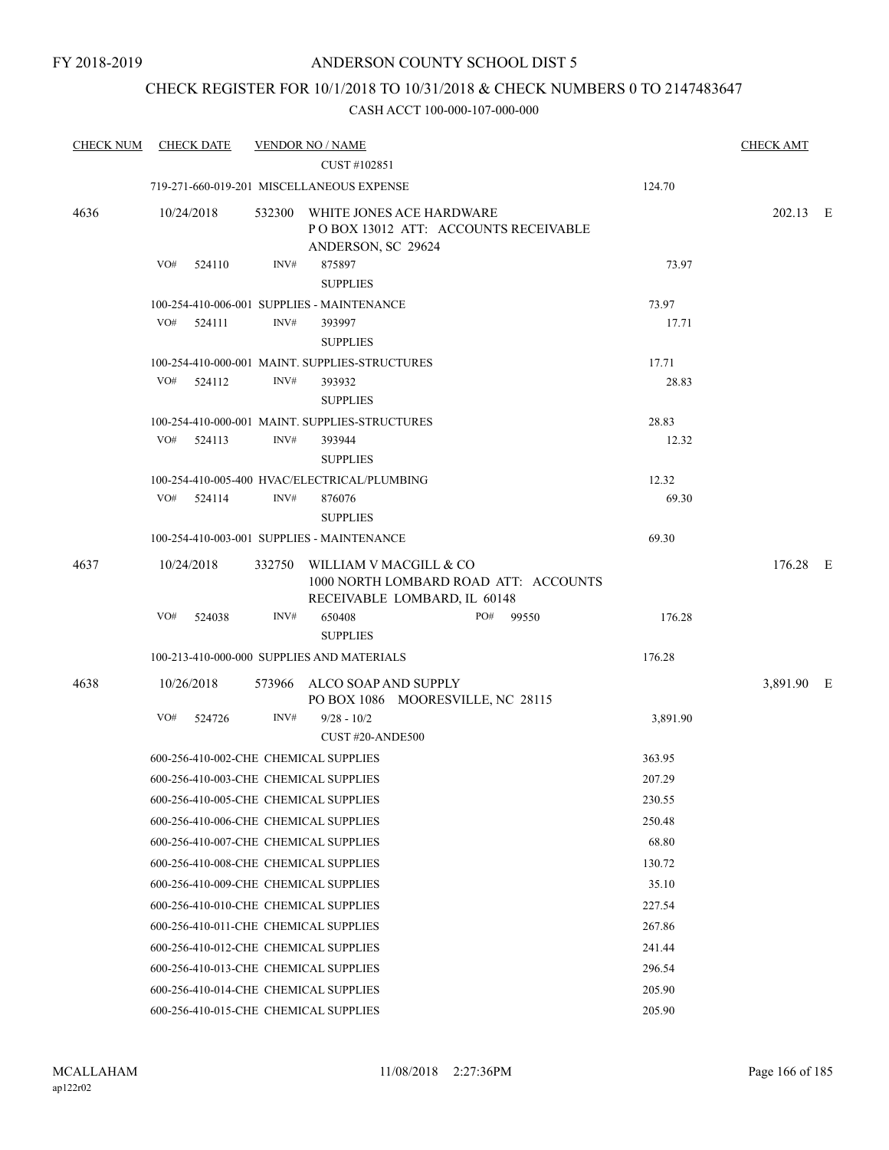### CHECK REGISTER FOR 10/1/2018 TO 10/31/2018 & CHECK NUMBERS 0 TO 2147483647

| <b>CHECK NUM</b> | <b>CHECK DATE</b>                     |                | <b>VENDOR NO / NAME</b>                                                                                |          | <b>CHECK AMT</b> |  |
|------------------|---------------------------------------|----------------|--------------------------------------------------------------------------------------------------------|----------|------------------|--|
|                  |                                       |                | CUST #102851                                                                                           |          |                  |  |
|                  |                                       |                | 719-271-660-019-201 MISCELLANEOUS EXPENSE                                                              | 124.70   |                  |  |
| 4636             | 10/24/2018                            |                | 532300 WHITE JONES ACE HARDWARE<br>POBOX 13012 ATT: ACCOUNTS RECEIVABLE<br>ANDERSON, SC 29624          |          | 202.13 E         |  |
|                  | VO#<br>524110                         | INV#           | 875897<br><b>SUPPLIES</b>                                                                              | 73.97    |                  |  |
|                  |                                       |                | 100-254-410-006-001 SUPPLIES - MAINTENANCE                                                             | 73.97    |                  |  |
|                  | VO#<br>524111                         | INV#           | 393997<br><b>SUPPLIES</b>                                                                              | 17.71    |                  |  |
|                  |                                       |                | 100-254-410-000-001 MAINT. SUPPLIES-STRUCTURES                                                         | 17.71    |                  |  |
|                  | VO#<br>524112                         | INV#           | 393932<br><b>SUPPLIES</b>                                                                              | 28.83    |                  |  |
|                  |                                       |                | 100-254-410-000-001 MAINT, SUPPLIES-STRUCTURES                                                         | 28.83    |                  |  |
|                  | VO# 524113                            | INV#           | 393944<br><b>SUPPLIES</b>                                                                              | 12.32    |                  |  |
|                  |                                       |                | 100-254-410-005-400 HVAC/ELECTRICAL/PLUMBING                                                           | 12.32    |                  |  |
|                  | VO#<br>524114                         | INV#           | 876076<br><b>SUPPLIES</b>                                                                              | 69.30    |                  |  |
|                  |                                       |                | 100-254-410-003-001 SUPPLIES - MAINTENANCE                                                             | 69.30    |                  |  |
| 4637             | 10/24/2018                            |                | 332750 WILLIAM V MACGILL & CO<br>1000 NORTH LOMBARD ROAD ATT: ACCOUNTS<br>RECEIVABLE LOMBARD, IL 60148 |          | 176.28 E         |  |
|                  | VO#<br>524038                         | $\text{INV}\#$ | PO# 99550<br>650408<br><b>SUPPLIES</b>                                                                 | 176.28   |                  |  |
|                  |                                       |                | 100-213-410-000-000 SUPPLIES AND MATERIALS                                                             | 176.28   |                  |  |
| 4638             | 10/26/2018                            |                | 573966 ALCO SOAP AND SUPPLY<br>PO BOX 1086 MOORESVILLE, NC 28115                                       |          | 3,891.90 E       |  |
|                  | VO#<br>524726                         | INV#           | $9/28 - 10/2$<br>CUST #20-ANDE500                                                                      | 3,891.90 |                  |  |
|                  | 600-256-410-002-CHE CHEMICAL SUPPLIES |                |                                                                                                        | 363.95   |                  |  |
|                  | 600-256-410-003-CHE CHEMICAL SUPPLIES |                |                                                                                                        | 207.29   |                  |  |
|                  | 600-256-410-005-CHE CHEMICAL SUPPLIES |                |                                                                                                        | 230.55   |                  |  |
|                  | 600-256-410-006-CHE CHEMICAL SUPPLIES |                |                                                                                                        | 250.48   |                  |  |
|                  | 600-256-410-007-CHE CHEMICAL SUPPLIES |                |                                                                                                        | 68.80    |                  |  |
|                  | 600-256-410-008-CHE CHEMICAL SUPPLIES |                |                                                                                                        | 130.72   |                  |  |
|                  | 600-256-410-009-CHE CHEMICAL SUPPLIES |                |                                                                                                        | 35.10    |                  |  |
|                  | 600-256-410-010-CHE CHEMICAL SUPPLIES |                |                                                                                                        | 227.54   |                  |  |
|                  | 600-256-410-011-CHE CHEMICAL SUPPLIES |                |                                                                                                        | 267.86   |                  |  |
|                  | 600-256-410-012-CHE CHEMICAL SUPPLIES |                |                                                                                                        | 241.44   |                  |  |
|                  | 600-256-410-013-CHE CHEMICAL SUPPLIES |                |                                                                                                        | 296.54   |                  |  |
|                  | 600-256-410-014-CHE CHEMICAL SUPPLIES |                |                                                                                                        | 205.90   |                  |  |
|                  | 600-256-410-015-CHE CHEMICAL SUPPLIES |                |                                                                                                        | 205.90   |                  |  |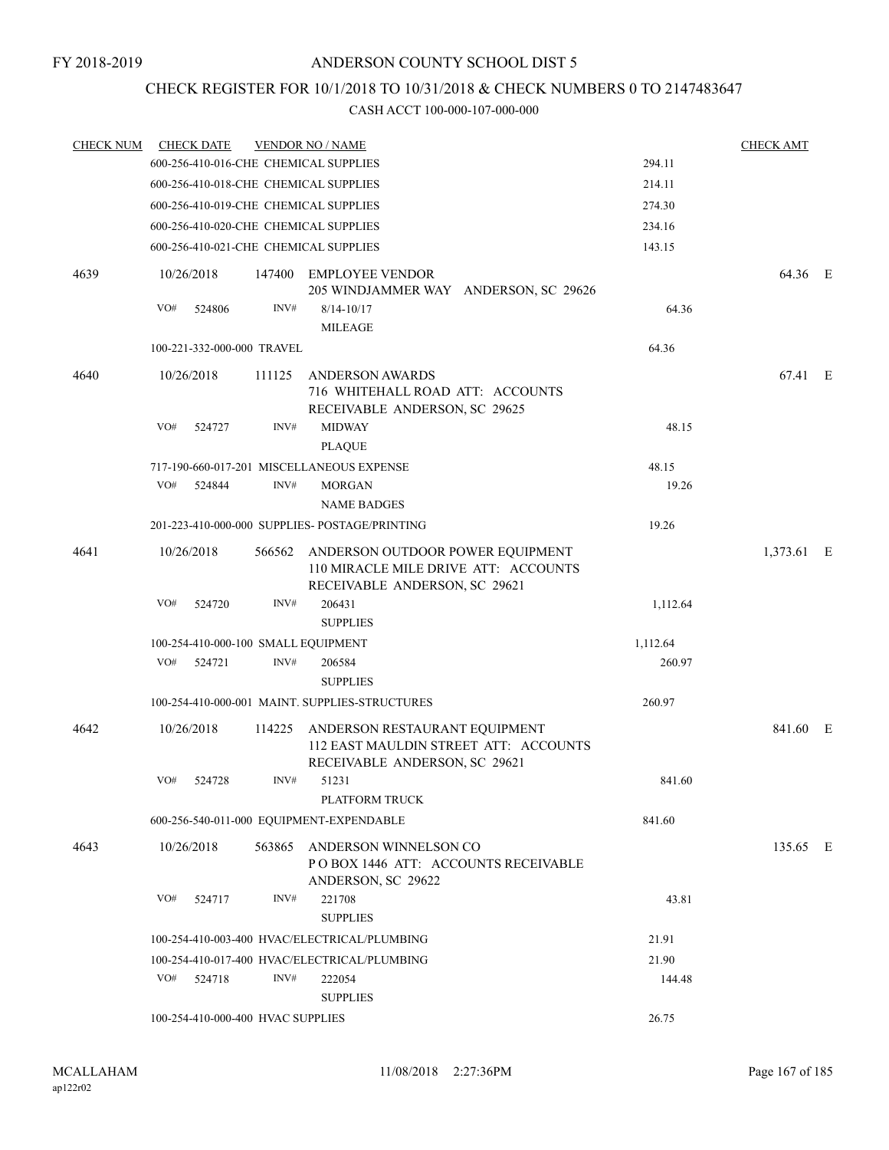### CHECK REGISTER FOR 10/1/2018 TO 10/31/2018 & CHECK NUMBERS 0 TO 2147483647

| <b>CHECK NUM</b> |            | <b>CHECK DATE</b>                 |        | <b>VENDOR NO / NAME</b>                                                                                        |          | <b>CHECK AMT</b> |  |
|------------------|------------|-----------------------------------|--------|----------------------------------------------------------------------------------------------------------------|----------|------------------|--|
|                  |            |                                   |        | 600-256-410-016-CHE CHEMICAL SUPPLIES                                                                          | 294.11   |                  |  |
|                  |            |                                   |        | 600-256-410-018-CHE CHEMICAL SUPPLIES                                                                          | 214.11   |                  |  |
|                  |            |                                   |        | 600-256-410-019-CHE CHEMICAL SUPPLIES                                                                          | 274.30   |                  |  |
|                  |            |                                   |        | 600-256-410-020-CHE CHEMICAL SUPPLIES                                                                          | 234.16   |                  |  |
|                  |            |                                   |        | 600-256-410-021-CHE CHEMICAL SUPPLIES                                                                          | 143.15   |                  |  |
| 4639             |            | 10/26/2018                        |        | 147400 EMPLOYEE VENDOR<br>205 WINDJAMMER WAY ANDERSON, SC 29626                                                |          | 64.36 E          |  |
|                  | VO#        | 524806                            | INV#   | $8/14 - 10/17$<br><b>MILEAGE</b>                                                                               | 64.36    |                  |  |
|                  |            | 100-221-332-000-000 TRAVEL        |        |                                                                                                                | 64.36    |                  |  |
| 4640             |            | 10/26/2018                        | 111125 | <b>ANDERSON AWARDS</b><br>716 WHITEHALL ROAD ATT: ACCOUNTS<br>RECEIVABLE ANDERSON, SC 29625                    |          | 67.41 E          |  |
|                  | VO#        | 524727                            | INV#   | <b>MIDWAY</b><br><b>PLAQUE</b>                                                                                 | 48.15    |                  |  |
|                  |            |                                   |        | 717-190-660-017-201 MISCELLANEOUS EXPENSE                                                                      | 48.15    |                  |  |
|                  | VO#        | 524844                            | INV#   | <b>MORGAN</b><br><b>NAME BADGES</b>                                                                            | 19.26    |                  |  |
|                  |            |                                   |        | 201-223-410-000-000 SUPPLIES- POSTAGE/PRINTING                                                                 | 19.26    |                  |  |
| 4641             |            | 10/26/2018                        |        | 566562 ANDERSON OUTDOOR POWER EQUIPMENT<br>110 MIRACLE MILE DRIVE ATT: ACCOUNTS                                |          | 1,373.61 E       |  |
|                  | VO#        | 524720                            | INV#   | RECEIVABLE ANDERSON, SC 29621<br>206431<br><b>SUPPLIES</b>                                                     | 1,112.64 |                  |  |
|                  |            |                                   |        | 100-254-410-000-100 SMALL EQUIPMENT                                                                            | 1,112.64 |                  |  |
|                  | VO#        | 524721                            | INV#   | 206584                                                                                                         | 260.97   |                  |  |
|                  |            |                                   |        | <b>SUPPLIES</b>                                                                                                |          |                  |  |
|                  |            |                                   |        | 100-254-410-000-001 MAINT. SUPPLIES-STRUCTURES                                                                 | 260.97   |                  |  |
| 4642             | 10/26/2018 |                                   |        | 114225 ANDERSON RESTAURANT EQUIPMENT<br>112 EAST MAULDIN STREET ATT: ACCOUNTS<br>RECEIVABLE ANDERSON, SC 29621 |          | 841.60 E         |  |
|                  | VO#        | 524728                            | INV#   | 51231<br>PLATFORM TRUCK                                                                                        | 841.60   |                  |  |
|                  |            |                                   |        | 600-256-540-011-000 EQUIPMENT-EXPENDABLE                                                                       | 841.60   |                  |  |
|                  |            |                                   |        |                                                                                                                |          |                  |  |
| 4643             |            | 10/26/2018                        |        | 563865 ANDERSON WINNELSON CO<br>POBOX 1446 ATT: ACCOUNTS RECEIVABLE<br>ANDERSON, SC 29622                      |          | 135.65 E         |  |
|                  | VO#        | 524717                            | INV#   | 221708<br><b>SUPPLIES</b>                                                                                      | 43.81    |                  |  |
|                  |            |                                   |        | 100-254-410-003-400 HVAC/ELECTRICAL/PLUMBING                                                                   | 21.91    |                  |  |
|                  |            |                                   |        | 100-254-410-017-400 HVAC/ELECTRICAL/PLUMBING                                                                   | 21.90    |                  |  |
|                  | VO#        | 524718                            | INV#   | 222054<br><b>SUPPLIES</b>                                                                                      | 144.48   |                  |  |
|                  |            | 100-254-410-000-400 HVAC SUPPLIES |        |                                                                                                                | 26.75    |                  |  |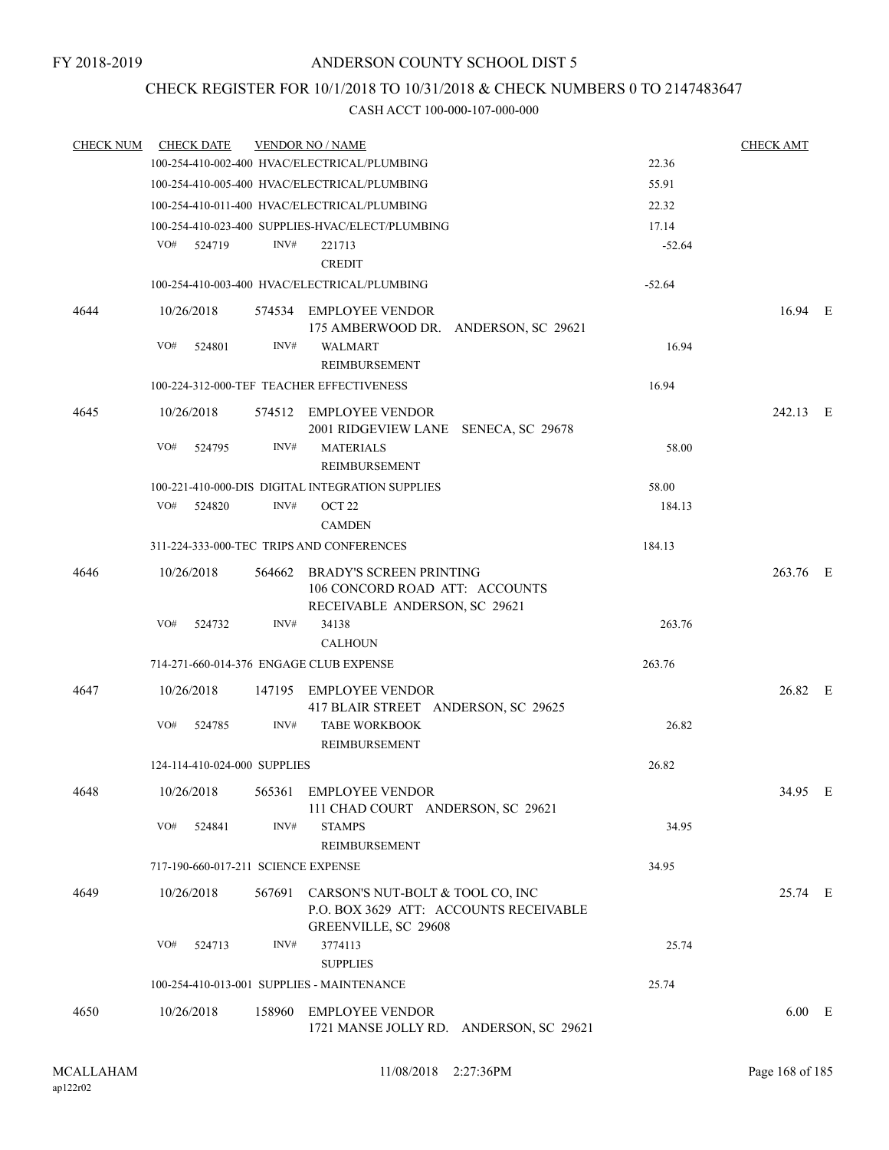### CHECK REGISTER FOR 10/1/2018 TO 10/31/2018 & CHECK NUMBERS 0 TO 2147483647

| <b>CHECK NUM</b> | <b>CHECK DATE</b>                       |        | <b>VENDOR NO / NAME</b>                                                                                   |          | <b>CHECK AMT</b> |  |
|------------------|-----------------------------------------|--------|-----------------------------------------------------------------------------------------------------------|----------|------------------|--|
|                  |                                         |        | 100-254-410-002-400 HVAC/ELECTRICAL/PLUMBING                                                              | 22.36    |                  |  |
|                  |                                         |        | 100-254-410-005-400 HVAC/ELECTRICAL/PLUMBING                                                              | 55.91    |                  |  |
|                  |                                         |        | 100-254-410-011-400 HVAC/ELECTRICAL/PLUMBING                                                              | 22.32    |                  |  |
|                  |                                         |        | 100-254-410-023-400 SUPPLIES-HVAC/ELECT/PLUMBING                                                          | 17.14    |                  |  |
|                  | VO# 524719                              | INV#   | 221713<br><b>CREDIT</b>                                                                                   | $-52.64$ |                  |  |
|                  |                                         |        | 100-254-410-003-400 HVAC/ELECTRICAL/PLUMBING                                                              | $-52.64$ |                  |  |
| 4644             | 10/26/2018                              |        | 574534 EMPLOYEE VENDOR<br>175 AMBERWOOD DR. ANDERSON, SC 29621                                            |          | 16.94 E          |  |
|                  | VO#<br>524801                           | INV#   | WALMART<br>REIMBURSEMENT                                                                                  | 16.94    |                  |  |
|                  |                                         |        | 100-224-312-000-TEF TEACHER EFFECTIVENESS                                                                 | 16.94    |                  |  |
| 4645             | 10/26/2018                              |        | 574512 EMPLOYEE VENDOR<br>2001 RIDGEVIEW LANE SENECA, SC 29678                                            |          | 242.13 E         |  |
|                  | VO#<br>524795                           | INV#   | <b>MATERIALS</b><br>REIMBURSEMENT                                                                         | 58.00    |                  |  |
|                  |                                         |        | 100-221-410-000-DIS DIGITAL INTEGRATION SUPPLIES                                                          | 58.00    |                  |  |
|                  | VO#<br>524820                           | INV#   | OCT <sub>22</sub><br><b>CAMDEN</b>                                                                        | 184.13   |                  |  |
|                  |                                         |        | 311-224-333-000-TEC TRIPS AND CONFERENCES                                                                 | 184.13   |                  |  |
| 4646             | 10/26/2018                              | 564662 | <b>BRADY'S SCREEN PRINTING</b><br>106 CONCORD ROAD ATT: ACCOUNTS<br>RECEIVABLE ANDERSON, SC 29621         |          | 263.76 E         |  |
|                  | VO#<br>524732                           | INV#   | 34138<br><b>CALHOUN</b>                                                                                   | 263.76   |                  |  |
|                  | 714-271-660-014-376 ENGAGE CLUB EXPENSE |        |                                                                                                           | 263.76   |                  |  |
|                  |                                         |        |                                                                                                           |          |                  |  |
| 4647             | 10/26/2018                              |        | 147195 EMPLOYEE VENDOR<br>417 BLAIR STREET ANDERSON, SC 29625                                             |          | 26.82 E          |  |
|                  | VO#<br>524785                           | INV#   | <b>TABE WORKBOOK</b><br>REIMBURSEMENT                                                                     | 26.82    |                  |  |
|                  | 124-114-410-024-000 SUPPLIES            |        |                                                                                                           | 26.82    |                  |  |
| 4648             | 10/26/2018                              |        | 565361 EMPLOYEE VENDOR<br>111 CHAD COURT ANDERSON, SC 29621                                               |          | 34.95 E          |  |
|                  | VO#<br>524841                           | INV#   | <b>STAMPS</b><br><b>REIMBURSEMENT</b>                                                                     | 34.95    |                  |  |
|                  | 717-190-660-017-211 SCIENCE EXPENSE     |        |                                                                                                           | 34.95    |                  |  |
| 4649             | 10/26/2018                              |        | 567691 CARSON'S NUT-BOLT & TOOL CO, INC<br>P.O. BOX 3629 ATT: ACCOUNTS RECEIVABLE<br>GREENVILLE, SC 29608 |          | 25.74 E          |  |
|                  | VO#<br>524713                           | INV#   | 3774113<br><b>SUPPLIES</b>                                                                                | 25.74    |                  |  |
|                  |                                         |        | 100-254-410-013-001 SUPPLIES - MAINTENANCE                                                                | 25.74    |                  |  |
| 4650             | 10/26/2018                              |        | 158960 EMPLOYEE VENDOR<br>1721 MANSE JOLLY RD. ANDERSON, SC 29621                                         |          | $6.00$ E         |  |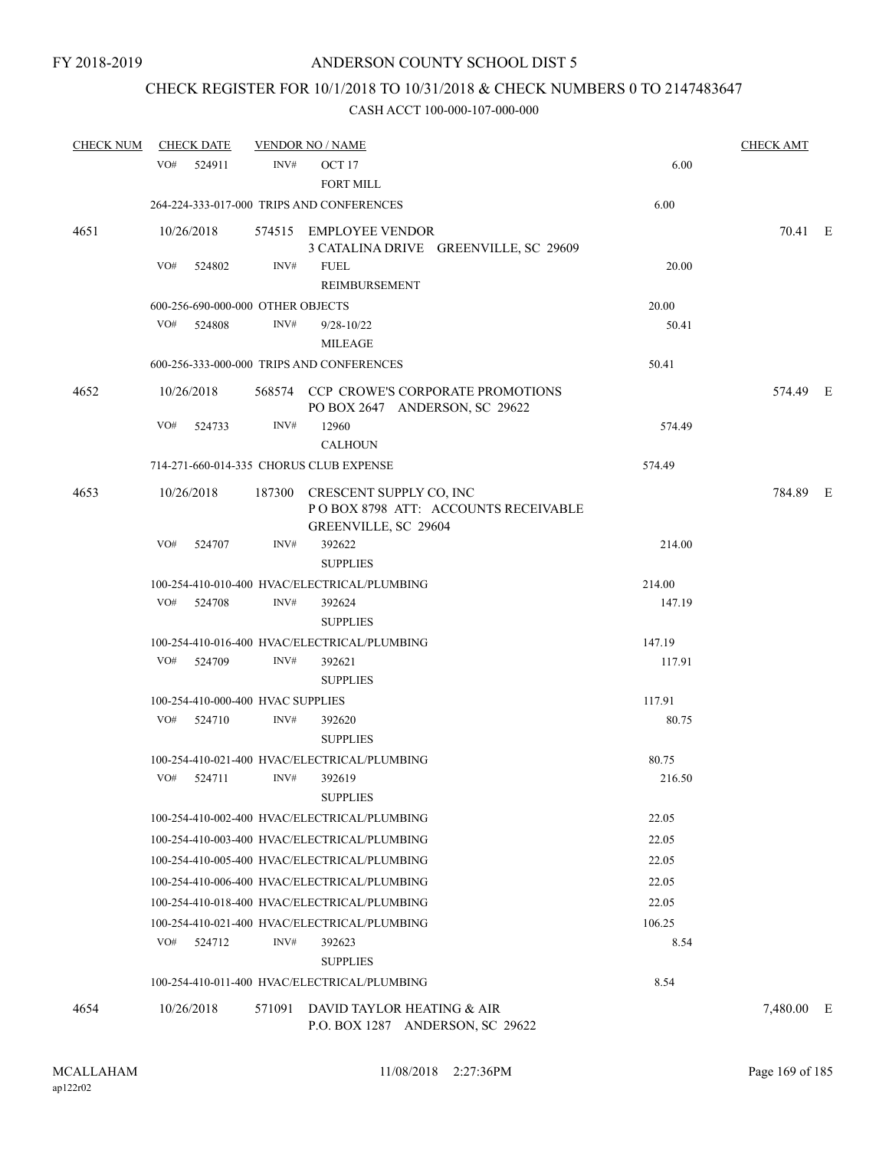### CHECK REGISTER FOR 10/1/2018 TO 10/31/2018 & CHECK NUMBERS 0 TO 2147483647

| <b>CHECK NUM</b> | <b>CHECK DATE</b>                       |        | <b>VENDOR NO / NAME</b>                                                                       |        | <b>CHECK AMT</b> |  |
|------------------|-----------------------------------------|--------|-----------------------------------------------------------------------------------------------|--------|------------------|--|
|                  | VO#<br>524911                           | INV#   | OCT <sub>17</sub><br><b>FORT MILL</b>                                                         | 6.00   |                  |  |
|                  |                                         |        | 264-224-333-017-000 TRIPS AND CONFERENCES                                                     | 6.00   |                  |  |
| 4651             | 10/26/2018                              |        | 574515 EMPLOYEE VENDOR<br>3 CATALINA DRIVE GREENVILLE, SC 29609                               |        | 70.41 E          |  |
|                  | VO#<br>524802                           | INV#   | <b>FUEL</b><br>REIMBURSEMENT                                                                  | 20.00  |                  |  |
|                  | 600-256-690-000-000 OTHER OBJECTS       |        |                                                                                               | 20.00  |                  |  |
|                  | VO# 524808                              | INV#   | $9/28 - 10/22$<br>MILEAGE                                                                     | 50.41  |                  |  |
|                  |                                         |        | 600-256-333-000-000 TRIPS AND CONFERENCES                                                     | 50.41  |                  |  |
| 4652             | 10/26/2018                              |        | 568574 CCP CROWE'S CORPORATE PROMOTIONS<br>PO BOX 2647 ANDERSON, SC 29622                     |        | 574.49 E         |  |
|                  | VO#<br>524733                           | INV#   | 12960<br><b>CALHOUN</b>                                                                       | 574.49 |                  |  |
|                  | 714-271-660-014-335 CHORUS CLUB EXPENSE |        |                                                                                               | 574.49 |                  |  |
| 4653             | 10/26/2018                              |        | 187300 CRESCENT SUPPLY CO, INC<br>POBOX 8798 ATT: ACCOUNTS RECEIVABLE<br>GREENVILLE, SC 29604 |        | 784.89 E         |  |
|                  | VO#<br>524707                           | INV#   | 392622<br><b>SUPPLIES</b>                                                                     | 214.00 |                  |  |
|                  |                                         |        | 100-254-410-010-400 HVAC/ELECTRICAL/PLUMBING                                                  | 214.00 |                  |  |
|                  | VO# 524708                              | INV#   | 392624<br><b>SUPPLIES</b>                                                                     | 147.19 |                  |  |
|                  |                                         |        | 100-254-410-016-400 HVAC/ELECTRICAL/PLUMBING                                                  | 147.19 |                  |  |
|                  | VO#<br>524709                           | INV#   | 392621<br><b>SUPPLIES</b>                                                                     | 117.91 |                  |  |
|                  | 100-254-410-000-400 HVAC SUPPLIES       |        |                                                                                               | 117.91 |                  |  |
|                  | VO#<br>524710                           | INV#   | 392620<br><b>SUPPLIES</b>                                                                     | 80.75  |                  |  |
|                  |                                         |        | 100-254-410-021-400 HVAC/ELECTRICAL/PLUMBING                                                  | 80.75  |                  |  |
|                  | VO#<br>524711                           | INV#   | 392619<br><b>SUPPLIES</b>                                                                     | 216.50 |                  |  |
|                  |                                         |        | 100-254-410-002-400 HVAC/ELECTRICAL/PLUMBING                                                  | 22.05  |                  |  |
|                  |                                         |        | 100-254-410-003-400 HVAC/ELECTRICAL/PLUMBING                                                  | 22.05  |                  |  |
|                  |                                         |        | 100-254-410-005-400 HVAC/ELECTRICAL/PLUMBING                                                  | 22.05  |                  |  |
|                  |                                         |        | 100-254-410-006-400 HVAC/ELECTRICAL/PLUMBING                                                  | 22.05  |                  |  |
|                  |                                         |        | 100-254-410-018-400 HVAC/ELECTRICAL/PLUMBING                                                  | 22.05  |                  |  |
|                  |                                         |        | 100-254-410-021-400 HVAC/ELECTRICAL/PLUMBING                                                  | 106.25 |                  |  |
|                  | VO#<br>524712                           | INV#   | 392623<br><b>SUPPLIES</b>                                                                     | 8.54   |                  |  |
|                  |                                         |        | 100-254-410-011-400 HVAC/ELECTRICAL/PLUMBING                                                  | 8.54   |                  |  |
| 4654             | 10/26/2018                              | 571091 | DAVID TAYLOR HEATING & AIR<br>P.O. BOX 1287 ANDERSON, SC 29622                                |        | 7,480.00 E       |  |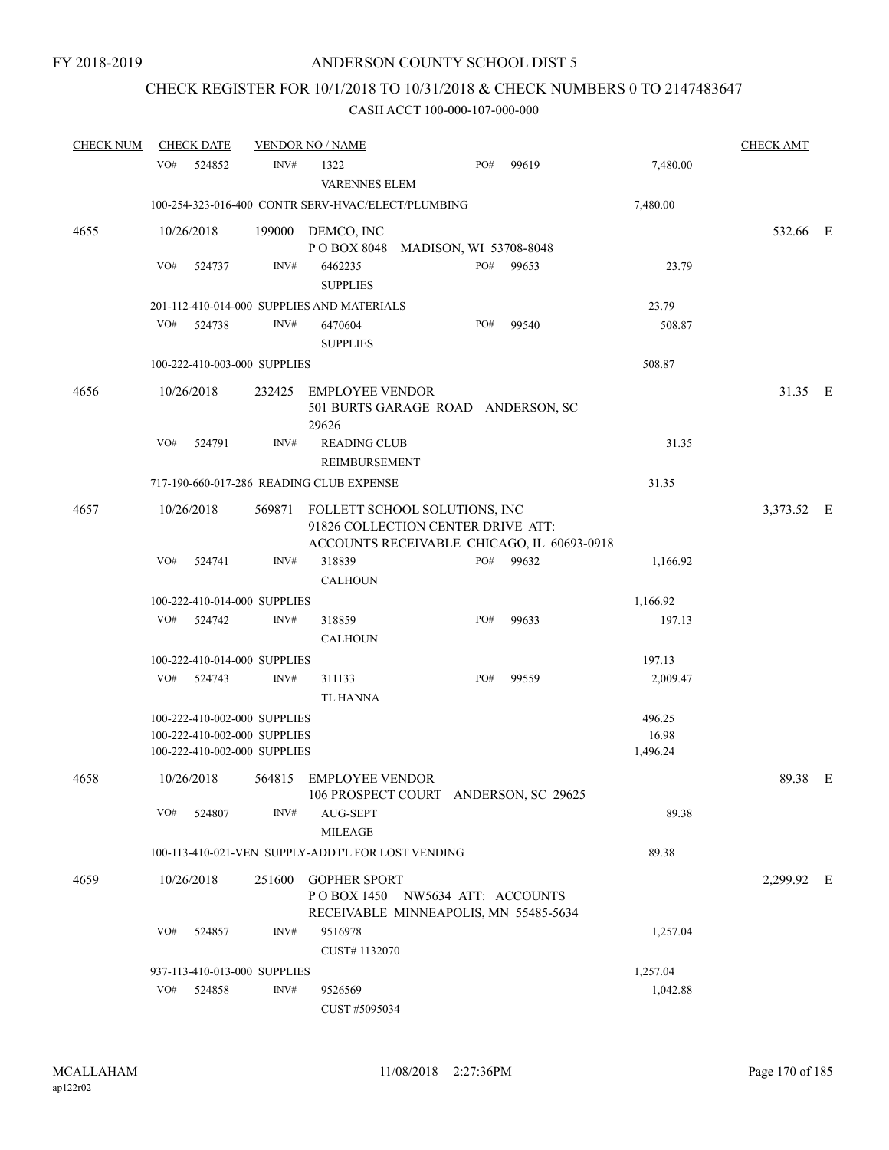### CHECK REGISTER FOR 10/1/2018 TO 10/31/2018 & CHECK NUMBERS 0 TO 2147483647

| <b>CHECK NUM</b> | <b>CHECK DATE</b>                                            |        | <b>VENDOR NO / NAME</b>                            |                                                                          |     |                                            |                   | <b>CHECK AMT</b> |  |
|------------------|--------------------------------------------------------------|--------|----------------------------------------------------|--------------------------------------------------------------------------|-----|--------------------------------------------|-------------------|------------------|--|
|                  | VO#<br>524852                                                | INV#   | 1322<br><b>VARENNES ELEM</b>                       |                                                                          | PO# | 99619                                      | 7,480.00          |                  |  |
|                  |                                                              |        | 100-254-323-016-400 CONTR SERV-HVAC/ELECT/PLUMBING |                                                                          |     |                                            | 7,480.00          |                  |  |
| 4655             | 10/26/2018                                                   |        | 199000 DEMCO, INC                                  | POBOX 8048 MADISON, WI 53708-8048                                        |     |                                            |                   | 532.66 E         |  |
|                  | VO#<br>524737                                                | INV#   | 6462235<br><b>SUPPLIES</b>                         |                                                                          | PO# | 99653                                      | 23.79             |                  |  |
|                  |                                                              |        | 201-112-410-014-000 SUPPLIES AND MATERIALS         |                                                                          |     |                                            | 23.79             |                  |  |
|                  | VO#<br>524738                                                | INV#   | 6470604<br><b>SUPPLIES</b>                         |                                                                          | PO# | 99540                                      | 508.87            |                  |  |
|                  | 100-222-410-003-000 SUPPLIES                                 |        |                                                    |                                                                          |     |                                            | 508.87            |                  |  |
| 4656             | 10/26/2018                                                   |        | 232425 EMPLOYEE VENDOR<br>29626                    | 501 BURTS GARAGE ROAD ANDERSON, SC                                       |     |                                            |                   | 31.35 E          |  |
|                  | VO#<br>524791                                                | INV#   | <b>READING CLUB</b><br>REIMBURSEMENT               |                                                                          |     |                                            | 31.35             |                  |  |
|                  |                                                              |        | 717-190-660-017-286 READING CLUB EXPENSE           |                                                                          |     |                                            | 31.35             |                  |  |
| 4657             | 10/26/2018                                                   |        | 569871 FOLLETT SCHOOL SOLUTIONS, INC               | 91826 COLLECTION CENTER DRIVE ATT:                                       |     | ACCOUNTS RECEIVABLE CHICAGO, IL 60693-0918 |                   | 3,373.52 E       |  |
|                  | VO#<br>524741                                                | INV#   | 318839                                             |                                                                          | PO# | 99632                                      | 1,166.92          |                  |  |
|                  |                                                              |        | <b>CALHOUN</b>                                     |                                                                          |     |                                            |                   |                  |  |
|                  | 100-222-410-014-000 SUPPLIES                                 |        |                                                    |                                                                          |     |                                            | 1,166.92          |                  |  |
|                  | VO#<br>524742                                                | INV#   | 318859<br><b>CALHOUN</b>                           |                                                                          | PO# | 99633                                      | 197.13            |                  |  |
|                  | 100-222-410-014-000 SUPPLIES                                 |        |                                                    |                                                                          |     |                                            | 197.13            |                  |  |
|                  | VO#<br>524743                                                | INV#   | 311133<br><b>TL HANNA</b>                          |                                                                          | PO# | 99559                                      | 2,009.47          |                  |  |
|                  | 100-222-410-002-000 SUPPLIES                                 |        |                                                    |                                                                          |     |                                            | 496.25            |                  |  |
|                  | 100-222-410-002-000 SUPPLIES<br>100-222-410-002-000 SUPPLIES |        |                                                    |                                                                          |     |                                            | 16.98<br>1,496.24 |                  |  |
| 4658             | 10/26/2018                                                   |        | 564815 EMPLOYEE VENDOR                             | 106 PROSPECT COURT ANDERSON, SC 29625                                    |     |                                            |                   | 89.38 E          |  |
|                  | VO#<br>524807                                                | INV#   | AUG-SEPT<br><b>MILEAGE</b>                         |                                                                          |     |                                            | 89.38             |                  |  |
|                  |                                                              |        | 100-113-410-021-VEN SUPPLY-ADDT'L FOR LOST VENDING |                                                                          |     |                                            | 89.38             |                  |  |
| 4659             | 10/26/2018                                                   | 251600 | <b>GOPHER SPORT</b>                                | POBOX 1450 NW5634 ATT: ACCOUNTS<br>RECEIVABLE MINNEAPOLIS, MN 55485-5634 |     |                                            |                   | 2,299.92 E       |  |
|                  | VO#<br>524857                                                | INV#   | 9516978<br>CUST#1132070                            |                                                                          |     |                                            | 1,257.04          |                  |  |
|                  | 937-113-410-013-000 SUPPLIES                                 |        |                                                    |                                                                          |     |                                            | 1,257.04          |                  |  |
|                  | VO#<br>524858                                                | INV#   | 9526569<br>CUST #5095034                           |                                                                          |     |                                            | 1,042.88          |                  |  |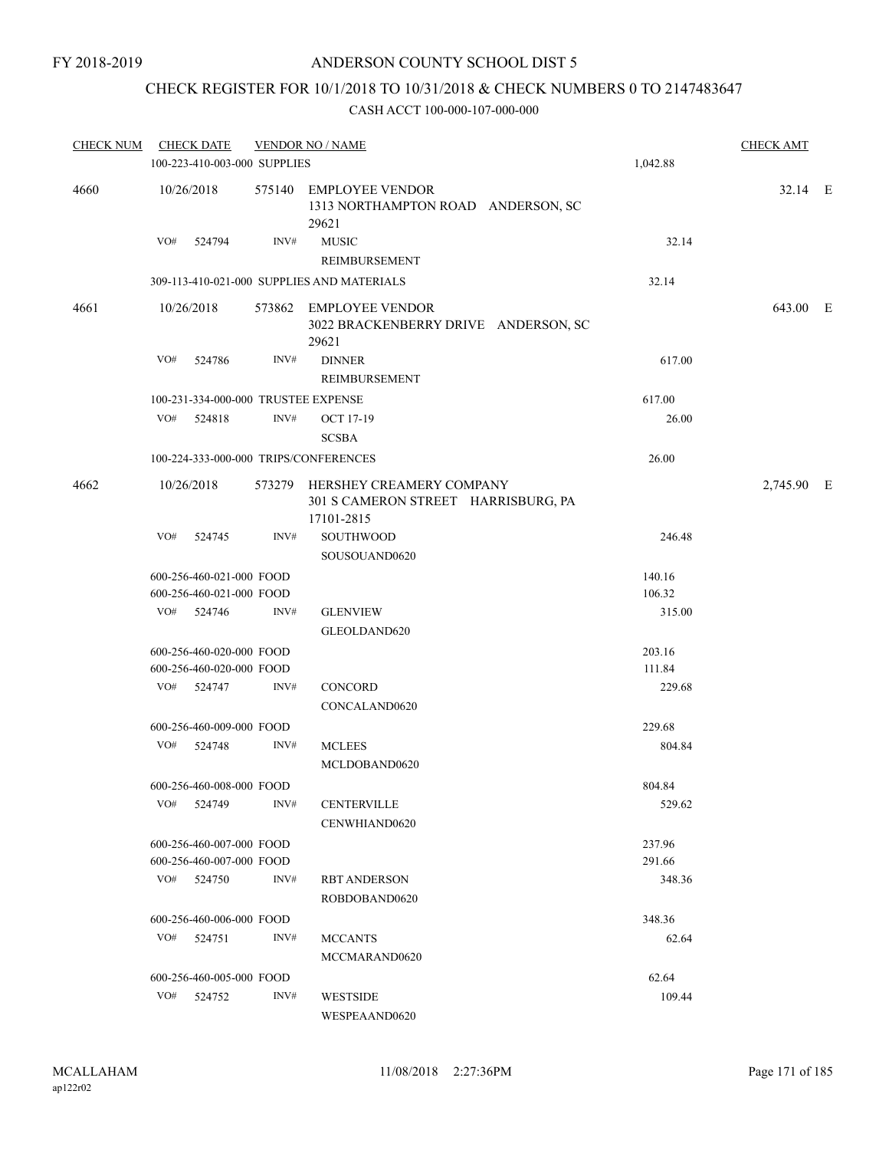### CHECK REGISTER FOR 10/1/2018 TO 10/31/2018 & CHECK NUMBERS 0 TO 2147483647

| <b>CHECK NUM</b> | <b>CHECK DATE</b>            |        |      | <b>VENDOR NO / NAME</b>                                                              |        | <b>CHECK AMT</b> |  |
|------------------|------------------------------|--------|------|--------------------------------------------------------------------------------------|--------|------------------|--|
|                  | 100-223-410-003-000 SUPPLIES |        |      | 1,042.88                                                                             |        |                  |  |
| 4660             | 10/26/2018                   |        |      | 575140 EMPLOYEE VENDOR<br>1313 NORTHAMPTON ROAD ANDERSON, SC<br>29621                |        | 32.14 E          |  |
|                  | VO#                          | 524794 | INV# | <b>MUSIC</b><br>REIMBURSEMENT                                                        | 32.14  |                  |  |
|                  |                              |        |      | 309-113-410-021-000 SUPPLIES AND MATERIALS                                           | 32.14  |                  |  |
| 4661             | 10/26/2018                   |        |      | 573862 EMPLOYEE VENDOR<br>3022 BRACKENBERRY DRIVE ANDERSON, SC<br>29621              |        | 643.00 E         |  |
|                  | VO#                          | 524786 | INV# | <b>DINNER</b><br>REIMBURSEMENT                                                       | 617.00 |                  |  |
|                  |                              |        |      | 100-231-334-000-000 TRUSTEE EXPENSE                                                  | 617.00 |                  |  |
|                  | VO#                          | 524818 | INV# | OCT 17-19                                                                            | 26.00  |                  |  |
|                  |                              |        |      | <b>SCSBA</b>                                                                         |        |                  |  |
|                  |                              |        |      | 100-224-333-000-000 TRIPS/CONFERENCES                                                | 26.00  |                  |  |
| 4662             | 10/26/2018                   |        |      | 573279 HERSHEY CREAMERY COMPANY<br>301 S CAMERON STREET HARRISBURG, PA<br>17101-2815 |        | 2,745.90 E       |  |
|                  | VO#                          | 524745 | INV# | <b>SOUTHWOOD</b><br>SOUSOUAND0620                                                    | 246.48 |                  |  |
|                  | 600-256-460-021-000 FOOD     |        |      |                                                                                      | 140.16 |                  |  |
|                  | 600-256-460-021-000 FOOD     |        |      |                                                                                      | 106.32 |                  |  |
|                  | VO# 524746                   |        | INV# | <b>GLENVIEW</b>                                                                      | 315.00 |                  |  |
|                  |                              |        |      | GLEOLDAND620                                                                         |        |                  |  |
|                  | 600-256-460-020-000 FOOD     |        |      |                                                                                      | 203.16 |                  |  |
|                  | 600-256-460-020-000 FOOD     |        |      |                                                                                      | 111.84 |                  |  |
|                  | VO# 524747                   |        | INV# | <b>CONCORD</b><br>CONCALAND0620                                                      | 229.68 |                  |  |
|                  | 600-256-460-009-000 FOOD     |        |      |                                                                                      | 229.68 |                  |  |
|                  | VO# 524748                   |        | INV# | <b>MCLEES</b>                                                                        | 804.84 |                  |  |
|                  |                              |        |      | MCLDOBAND0620                                                                        |        |                  |  |
|                  | 600-256-460-008-000 FOOD     |        |      |                                                                                      | 804.84 |                  |  |
|                  | VO#                          | 524749 | INV# | <b>CENTERVILLE</b><br>CENWHIAND0620                                                  | 529.62 |                  |  |
|                  | 600-256-460-007-000 FOOD     |        |      |                                                                                      | 237.96 |                  |  |
|                  | 600-256-460-007-000 FOOD     |        |      |                                                                                      | 291.66 |                  |  |
|                  | VO# 524750                   |        | INV# | <b>RBT ANDERSON</b>                                                                  | 348.36 |                  |  |
|                  |                              |        |      | ROBDOBAND0620                                                                        |        |                  |  |
|                  | 600-256-460-006-000 FOOD     |        |      |                                                                                      | 348.36 |                  |  |
|                  | VO# 524751                   |        | INV# | <b>MCCANTS</b><br>MCCMARAND0620                                                      | 62.64  |                  |  |
|                  | 600-256-460-005-000 FOOD     |        |      |                                                                                      | 62.64  |                  |  |
|                  | VO#                          | 524752 | INV# | <b>WESTSIDE</b>                                                                      | 109.44 |                  |  |
|                  |                              |        |      | WESPEAAND0620                                                                        |        |                  |  |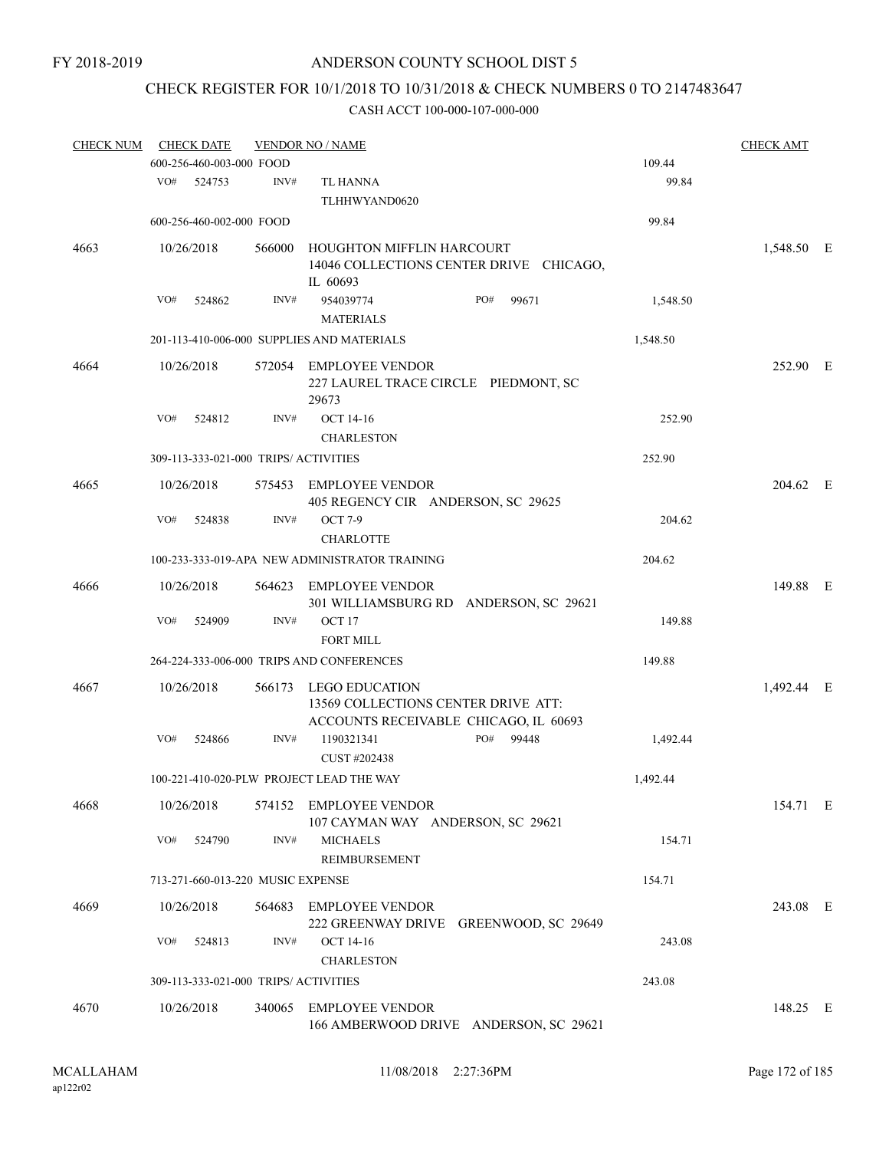# CHECK REGISTER FOR 10/1/2018 TO 10/31/2018 & CHECK NUMBERS 0 TO 2147483647

| <b>CHECK NUM</b> | <b>CHECK DATE</b> |                                       | <b>VENDOR NO / NAME</b>                                                                               |          | <b>CHECK AMT</b> |  |
|------------------|-------------------|---------------------------------------|-------------------------------------------------------------------------------------------------------|----------|------------------|--|
|                  |                   | 600-256-460-003-000 FOOD              |                                                                                                       | 109.44   |                  |  |
|                  | VO#<br>524753     | INV#                                  | <b>TL HANNA</b><br>TLHHWYAND0620                                                                      | 99.84    |                  |  |
|                  |                   | 600-256-460-002-000 FOOD              |                                                                                                       | 99.84    |                  |  |
| 4663             | 10/26/2018        | 566000                                | HOUGHTON MIFFLIN HARCOURT<br>14046 COLLECTIONS CENTER DRIVE CHICAGO,<br>IL 60693                      |          | 1,548.50 E       |  |
|                  | VO#<br>524862     | INV#                                  | 954039774<br>PO#<br>99671<br><b>MATERIALS</b>                                                         | 1,548.50 |                  |  |
|                  |                   |                                       | 201-113-410-006-000 SUPPLIES AND MATERIALS                                                            | 1,548.50 |                  |  |
| 4664             | 10/26/2018        |                                       | 572054 EMPLOYEE VENDOR<br>227 LAUREL TRACE CIRCLE PIEDMONT, SC<br>29673                               |          | 252.90 E         |  |
|                  | VO#<br>524812     | INV#                                  | <b>OCT 14-16</b><br><b>CHARLESTON</b>                                                                 | 252.90   |                  |  |
|                  |                   | 309-113-333-021-000 TRIPS/ ACTIVITIES |                                                                                                       | 252.90   |                  |  |
| 4665             | 10/26/2018        | 575453                                | <b>EMPLOYEE VENDOR</b><br>405 REGENCY CIR ANDERSON, SC 29625                                          |          | 204.62 E         |  |
|                  | VO#<br>524838     | INV#                                  | <b>OCT 7-9</b><br><b>CHARLOTTE</b>                                                                    | 204.62   |                  |  |
|                  |                   |                                       | 100-233-333-019-APA NEW ADMINISTRATOR TRAINING                                                        | 204.62   |                  |  |
| 4666             | 10/26/2018        | 564623                                | <b>EMPLOYEE VENDOR</b><br>301 WILLIAMSBURG RD ANDERSON, SC 29621                                      |          | 149.88 E         |  |
|                  | VO#<br>524909     | INV#                                  | OCT <sub>17</sub><br><b>FORT MILL</b>                                                                 | 149.88   |                  |  |
|                  |                   |                                       | 264-224-333-006-000 TRIPS AND CONFERENCES                                                             | 149.88   |                  |  |
| 4667             | 10/26/2018        |                                       | 566173 LEGO EDUCATION<br>13569 COLLECTIONS CENTER DRIVE ATT:<br>ACCOUNTS RECEIVABLE CHICAGO, IL 60693 |          | 1,492.44 E       |  |
|                  | VO#<br>524866     | INV#                                  | 1190321341<br>PO#<br>99448<br>CUST #202438                                                            | 1,492.44 |                  |  |
|                  |                   |                                       | 100-221-410-020-PLW PROJECT LEAD THE WAY                                                              | 1,492.44 |                  |  |
| 4668             | 10/26/2018        |                                       | 574152 EMPLOYEE VENDOR<br>107 CAYMAN WAY ANDERSON, SC 29621                                           |          | 154.71 E         |  |
|                  | VO#<br>524790     | INV#                                  | <b>MICHAELS</b><br>REIMBURSEMENT                                                                      | 154.71   |                  |  |
|                  |                   | 713-271-660-013-220 MUSIC EXPENSE     |                                                                                                       | 154.71   |                  |  |
| 4669             | 10/26/2018        |                                       | 564683 EMPLOYEE VENDOR<br>222 GREENWAY DRIVE GREENWOOD, SC 29649                                      |          | 243.08 E         |  |
|                  | VO#<br>524813     | INV#                                  | <b>OCT 14-16</b><br><b>CHARLESTON</b>                                                                 | 243.08   |                  |  |
|                  |                   | 309-113-333-021-000 TRIPS/ ACTIVITIES |                                                                                                       | 243.08   |                  |  |
| 4670             | 10/26/2018        |                                       | 340065 EMPLOYEE VENDOR<br>166 AMBERWOOD DRIVE ANDERSON, SC 29621                                      |          | 148.25 E         |  |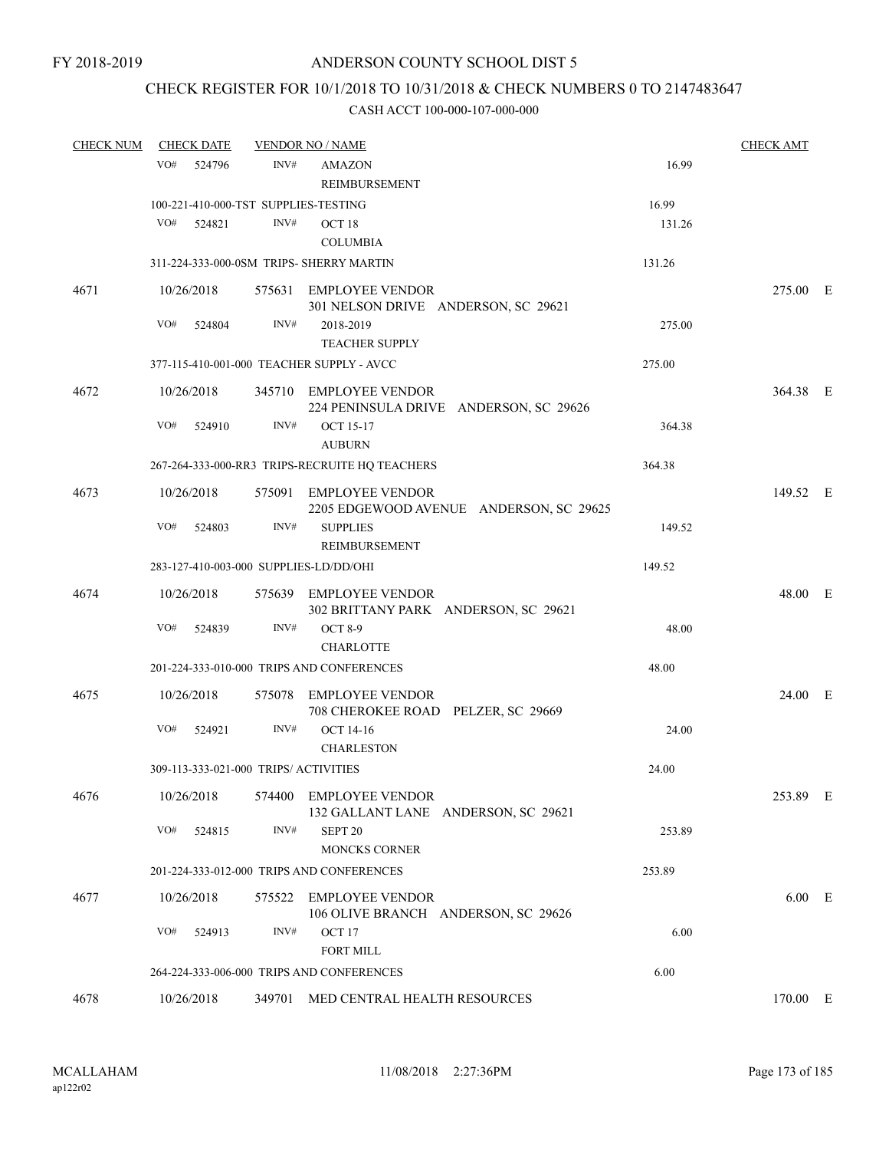### CHECK REGISTER FOR 10/1/2018 TO 10/31/2018 & CHECK NUMBERS 0 TO 2147483647

| <b>CHECK NUM</b> | <b>CHECK DATE</b>                      |        | <b>VENDOR NO / NAME</b>                                           |        | <b>CHECK AMT</b> |  |
|------------------|----------------------------------------|--------|-------------------------------------------------------------------|--------|------------------|--|
|                  | VO#<br>524796                          | INV#   | <b>AMAZON</b>                                                     | 16.99  |                  |  |
|                  |                                        |        | <b>REIMBURSEMENT</b>                                              |        |                  |  |
|                  | 100-221-410-000-TST SUPPLIES-TESTING   |        |                                                                   | 16.99  |                  |  |
|                  | VO#<br>524821                          | INV#   | OCT <sub>18</sub>                                                 | 131.26 |                  |  |
|                  |                                        |        | <b>COLUMBIA</b>                                                   |        |                  |  |
|                  |                                        |        | 311-224-333-000-0SM TRIPS- SHERRY MARTIN                          | 131.26 |                  |  |
| 4671             | 10/26/2018                             |        | 575631 EMPLOYEE VENDOR<br>301 NELSON DRIVE ANDERSON, SC 29621     |        | 275.00 E         |  |
|                  | VO#<br>524804                          | INV#   | 2018-2019<br>TEACHER SUPPLY                                       | 275.00 |                  |  |
|                  |                                        |        | 377-115-410-001-000 TEACHER SUPPLY - AVCC                         | 275.00 |                  |  |
| 4672             | 10/26/2018                             |        | 345710 EMPLOYEE VENDOR<br>224 PENINSULA DRIVE ANDERSON, SC 29626  |        | 364.38 E         |  |
|                  | VO#<br>524910                          | INV#   | <b>OCT 15-17</b><br><b>AUBURN</b>                                 | 364.38 |                  |  |
|                  |                                        |        | 267-264-333-000-RR3 TRIPS-RECRUITE HQ TEACHERS                    | 364.38 |                  |  |
| 4673             | 10/26/2018                             |        | 575091 EMPLOYEE VENDOR<br>2205 EDGEWOOD AVENUE ANDERSON, SC 29625 |        | 149.52 E         |  |
|                  | VO#<br>524803                          | INV#   | <b>SUPPLIES</b><br><b>REIMBURSEMENT</b>                           | 149.52 |                  |  |
|                  | 283-127-410-003-000 SUPPLIES-LD/DD/OHI |        |                                                                   | 149.52 |                  |  |
| 4674             | 10/26/2018                             |        | 575639 EMPLOYEE VENDOR<br>302 BRITTANY PARK ANDERSON, SC 29621    |        | 48.00 E          |  |
|                  | VO#<br>524839                          | INV#   | <b>OCT 8-9</b><br><b>CHARLOTTE</b>                                | 48.00  |                  |  |
|                  |                                        |        | 201-224-333-010-000 TRIPS AND CONFERENCES                         | 48.00  |                  |  |
| 4675             | 10/26/2018                             | 575078 | EMPLOYEE VENDOR<br>708 CHEROKEE ROAD PELZER, SC 29669             |        | 24.00 E          |  |
|                  | VO#<br>524921                          | INV#   | <b>OCT 14-16</b><br><b>CHARLESTON</b>                             | 24.00  |                  |  |
|                  | 309-113-333-021-000 TRIPS/ ACTIVITIES  |        |                                                                   | 24.00  |                  |  |
| 4676             | 10/26/2018                             |        | 574400 EMPLOYEE VENDOR<br>132 GALLANT LANE ANDERSON, SC 29621     |        | 253.89 E         |  |
|                  | VO#<br>524815                          | INV#   | SEPT <sub>20</sub><br><b>MONCKS CORNER</b>                        | 253.89 |                  |  |
|                  |                                        |        | 201-224-333-012-000 TRIPS AND CONFERENCES                         | 253.89 |                  |  |
| 4677             | 10/26/2018                             | 575522 | <b>EMPLOYEE VENDOR</b><br>106 OLIVE BRANCH ANDERSON, SC 29626     |        | $6.00$ E         |  |
|                  | VO#<br>524913                          | INV#   | OCT <sub>17</sub><br><b>FORT MILL</b>                             | 6.00   |                  |  |
|                  |                                        |        | 264-224-333-006-000 TRIPS AND CONFERENCES                         | 6.00   |                  |  |
| 4678             | 10/26/2018                             |        | 349701 MED CENTRAL HEALTH RESOURCES                               |        | 170.00 E         |  |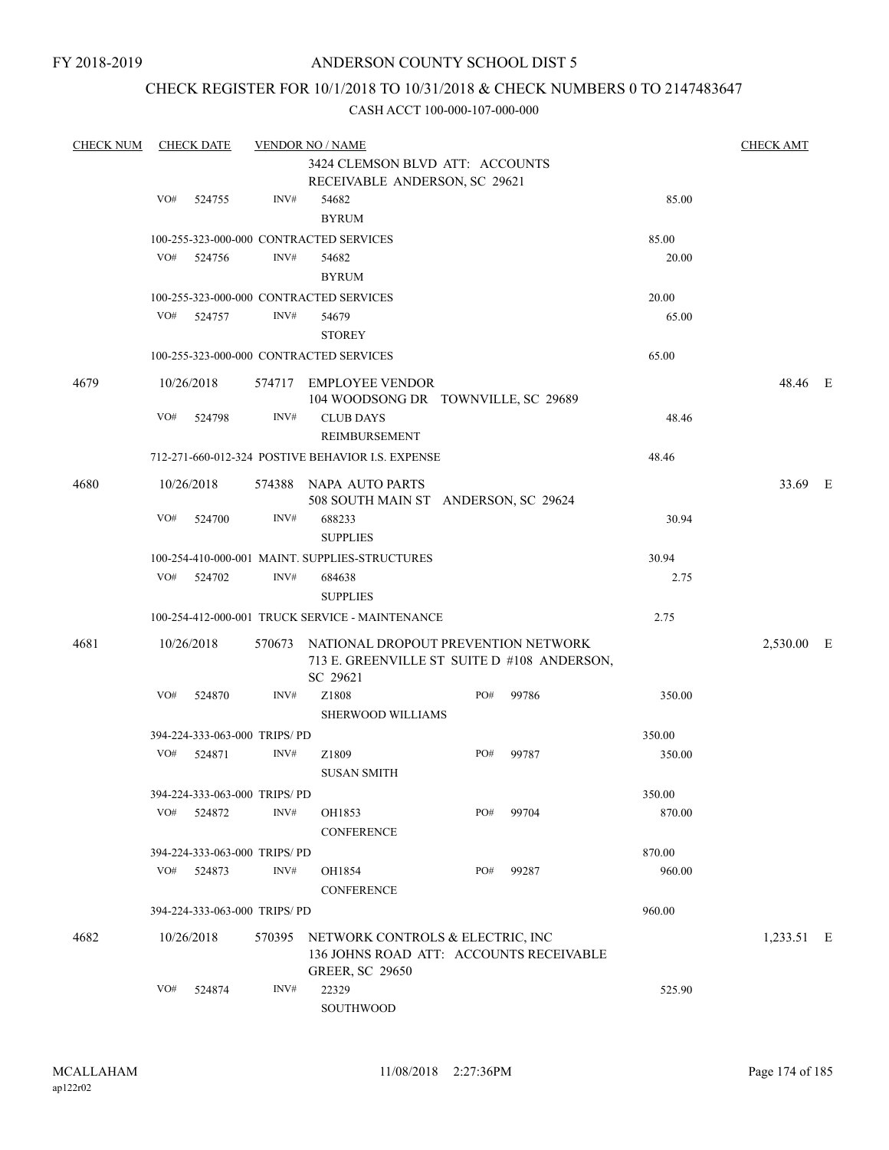### CHECK REGISTER FOR 10/1/2018 TO 10/31/2018 & CHECK NUMBERS 0 TO 2147483647

| <b>CHECK NUM</b> |            | <b>CHECK DATE</b>             |                              | <b>VENDOR NO / NAME</b>                                       |     |       |        | <b>CHECK AMT</b> |  |
|------------------|------------|-------------------------------|------------------------------|---------------------------------------------------------------|-----|-------|--------|------------------|--|
|                  |            |                               |                              | 3424 CLEMSON BLVD ATT: ACCOUNTS                               |     |       |        |                  |  |
|                  |            | RECEIVABLE ANDERSON, SC 29621 |                              |                                                               |     |       |        |                  |  |
|                  | VO#        | 524755                        | INV#                         | 54682                                                         |     |       | 85.00  |                  |  |
|                  |            |                               |                              | <b>BYRUM</b>                                                  |     |       |        |                  |  |
|                  |            |                               |                              | 100-255-323-000-000 CONTRACTED SERVICES                       |     | 85.00 |        |                  |  |
|                  | VO#        | 524756                        | INV#                         | 54682                                                         |     |       | 20.00  |                  |  |
|                  |            |                               |                              | <b>BYRUM</b>                                                  |     |       |        |                  |  |
|                  |            |                               |                              | 100-255-323-000-000 CONTRACTED SERVICES                       |     |       | 20.00  |                  |  |
|                  | VO#        | 524757                        | INV#                         | 54679                                                         |     |       | 65.00  |                  |  |
|                  |            |                               |                              | <b>STOREY</b>                                                 |     |       |        |                  |  |
|                  |            |                               |                              | 100-255-323-000-000 CONTRACTED SERVICES                       |     |       | 65.00  |                  |  |
|                  |            |                               |                              |                                                               |     |       |        |                  |  |
| 4679             |            | 10/26/2018                    |                              | 574717 EMPLOYEE VENDOR<br>104 WOODSONG DR TOWNVILLE, SC 29689 |     |       |        | 48.46 E          |  |
|                  | VO#        | 524798                        | INV#                         | <b>CLUB DAYS</b>                                              |     |       | 48.46  |                  |  |
|                  |            |                               |                              | REIMBURSEMENT                                                 |     |       |        |                  |  |
|                  |            |                               |                              | 712-271-660-012-324 POSTIVE BEHAVIOR I.S. EXPENSE             |     |       | 48.46  |                  |  |
|                  |            |                               |                              |                                                               |     |       |        |                  |  |
| 4680             |            | 10/26/2018                    |                              | 574388 NAPA AUTO PARTS                                        |     |       |        | 33.69 E          |  |
|                  |            |                               |                              | 508 SOUTH MAIN ST ANDERSON, SC 29624                          |     |       |        |                  |  |
|                  | VO#        | 524700                        | INV#                         | 688233                                                        |     |       | 30.94  |                  |  |
|                  |            |                               |                              | <b>SUPPLIES</b>                                               |     |       |        |                  |  |
|                  |            |                               |                              | 100-254-410-000-001 MAINT. SUPPLIES-STRUCTURES                |     |       | 30.94  |                  |  |
|                  | VO#        | 524702                        | INV#                         | 684638                                                        |     |       | 2.75   |                  |  |
|                  |            |                               |                              | <b>SUPPLIES</b>                                               |     |       |        |                  |  |
|                  |            |                               |                              | 100-254-412-000-001 TRUCK SERVICE - MAINTENANCE               |     |       | 2.75   |                  |  |
| 4681             | 10/26/2018 |                               |                              | 570673 NATIONAL DROPOUT PREVENTION NETWORK                    |     |       |        | 2,530.00 E       |  |
|                  |            |                               |                              | 713 E. GREENVILLE ST SUITE D #108 ANDERSON,                   |     |       |        |                  |  |
|                  |            |                               |                              | SC 29621                                                      |     |       |        |                  |  |
|                  | VO#        | 524870                        | INV#                         | Z1808                                                         | PO# | 99786 | 350.00 |                  |  |
|                  |            |                               |                              | SHERWOOD WILLIAMS                                             |     |       |        |                  |  |
|                  |            |                               | 394-224-333-063-000 TRIPS/PD |                                                               |     |       | 350.00 |                  |  |
|                  | VO#        | 524871                        | INV#                         | Z1809                                                         | PO# | 99787 | 350.00 |                  |  |
|                  |            |                               |                              | <b>SUSAN SMITH</b>                                            |     |       |        |                  |  |
|                  |            |                               | 394-224-333-063-000 TRIPS/PD |                                                               |     |       | 350.00 |                  |  |
|                  | VO#        | 524872                        | INV#                         | OH1853                                                        | PO# | 99704 | 870.00 |                  |  |
|                  |            |                               |                              | <b>CONFERENCE</b>                                             |     |       |        |                  |  |
|                  |            |                               | 394-224-333-063-000 TRIPS/PD |                                                               |     |       | 870.00 |                  |  |
|                  | VO#        | 524873                        | INV#                         | OH1854                                                        | PO# | 99287 | 960.00 |                  |  |
|                  |            |                               |                              | <b>CONFERENCE</b>                                             |     |       |        |                  |  |
|                  |            |                               | 394-224-333-063-000 TRIPS/PD |                                                               |     |       | 960.00 |                  |  |
| 4682             |            | 10/26/2018                    | 570395                       | NETWORK CONTROLS & ELECTRIC, INC                              |     |       |        | 1,233.51 E       |  |
|                  |            |                               |                              | 136 JOHNS ROAD ATT: ACCOUNTS RECEIVABLE                       |     |       |        |                  |  |
|                  |            |                               |                              | <b>GREER, SC 29650</b>                                        |     |       |        |                  |  |
|                  | VO#        | 524874                        | INV#                         | 22329                                                         |     |       | 525.90 |                  |  |
|                  |            |                               |                              | SOUTHWOOD                                                     |     |       |        |                  |  |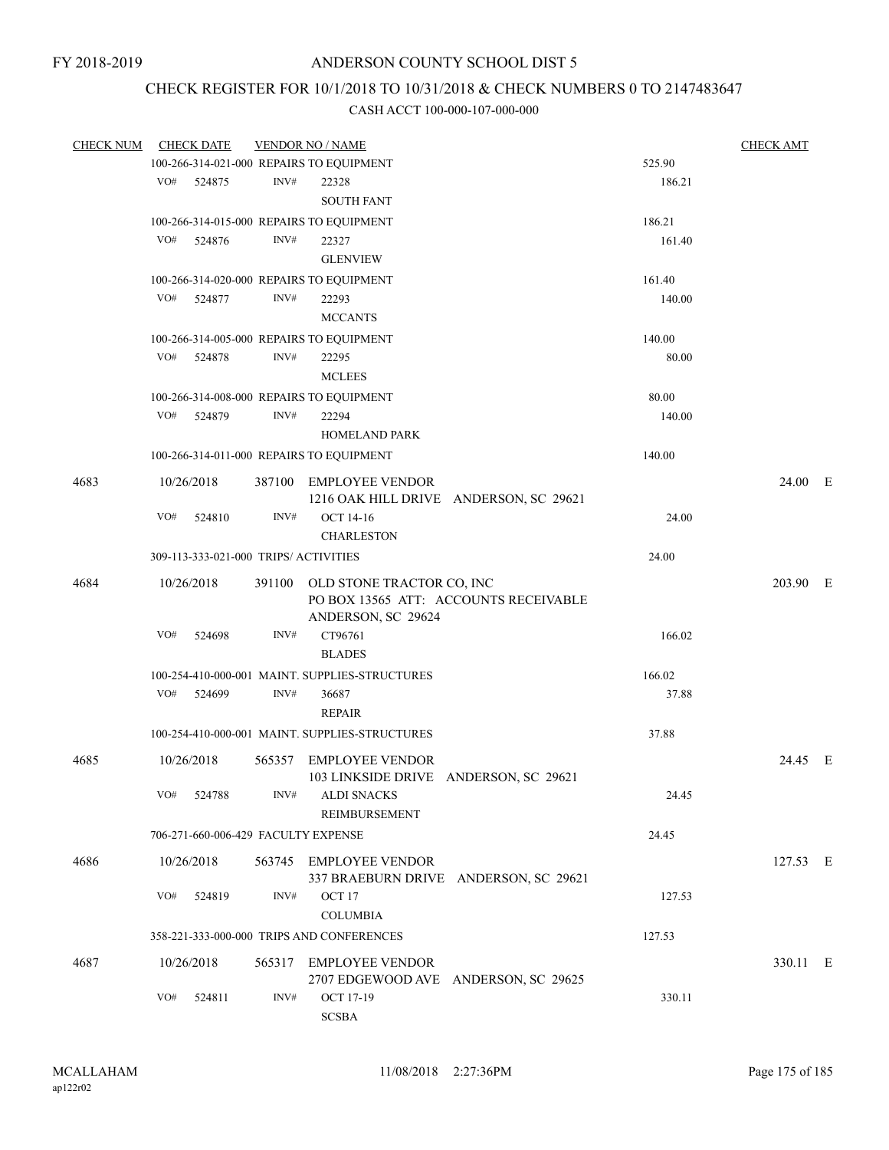### CHECK REGISTER FOR 10/1/2018 TO 10/31/2018 & CHECK NUMBERS 0 TO 2147483647

| <b>CHECK NUM</b> | <b>CHECK DATE</b> |                                       | <b>VENDOR NO / NAME</b>                        |                                       |        | <b>CHECK AMT</b> |  |
|------------------|-------------------|---------------------------------------|------------------------------------------------|---------------------------------------|--------|------------------|--|
|                  |                   |                                       | 100-266-314-021-000 REPAIRS TO EQUIPMENT       |                                       | 525.90 |                  |  |
|                  | VO#<br>524875     | $\text{INV}\#$                        | 22328                                          |                                       | 186.21 |                  |  |
|                  |                   |                                       | <b>SOUTH FANT</b>                              |                                       |        |                  |  |
|                  |                   |                                       | 100-266-314-015-000 REPAIRS TO EQUIPMENT       |                                       | 186.21 |                  |  |
|                  | VO#<br>524876     | INV#                                  | 22327                                          |                                       | 161.40 |                  |  |
|                  |                   |                                       | <b>GLENVIEW</b>                                |                                       |        |                  |  |
|                  |                   |                                       | 100-266-314-020-000 REPAIRS TO EQUIPMENT       |                                       | 161.40 |                  |  |
|                  | VO# 524877        | INV#                                  | 22293                                          |                                       | 140.00 |                  |  |
|                  |                   |                                       | <b>MCCANTS</b>                                 |                                       |        |                  |  |
|                  |                   |                                       | 100-266-314-005-000 REPAIRS TO EQUIPMENT       |                                       | 140.00 |                  |  |
|                  | VO#<br>524878     | INV#                                  | 22295                                          |                                       | 80.00  |                  |  |
|                  |                   |                                       |                                                |                                       |        |                  |  |
|                  |                   |                                       | <b>MCLEES</b>                                  |                                       |        |                  |  |
|                  |                   |                                       | 100-266-314-008-000 REPAIRS TO EQUIPMENT       |                                       | 80.00  |                  |  |
|                  | VO# 524879        | INV#                                  | 22294                                          |                                       | 140.00 |                  |  |
|                  |                   |                                       | <b>HOMELAND PARK</b>                           |                                       |        |                  |  |
|                  |                   |                                       | 100-266-314-011-000 REPAIRS TO EQUIPMENT       |                                       | 140.00 |                  |  |
| 4683             | 10/26/2018        |                                       | 387100 EMPLOYEE VENDOR                         |                                       |        | 24.00 E          |  |
|                  |                   |                                       | 1216 OAK HILL DRIVE ANDERSON, SC 29621         |                                       |        |                  |  |
|                  | VO#<br>524810     | INV#                                  | <b>OCT 14-16</b>                               |                                       | 24.00  |                  |  |
|                  |                   |                                       | <b>CHARLESTON</b>                              |                                       |        |                  |  |
|                  |                   | 309-113-333-021-000 TRIPS/ ACTIVITIES |                                                |                                       | 24.00  |                  |  |
| 4684             | 10/26/2018        |                                       | 391100 OLD STONE TRACTOR CO, INC               |                                       |        | 203.90 E         |  |
|                  |                   |                                       |                                                | PO BOX 13565 ATT: ACCOUNTS RECEIVABLE |        |                  |  |
|                  |                   |                                       | ANDERSON, SC 29624                             |                                       |        |                  |  |
|                  | VO#<br>524698     | INV#                                  | CT96761                                        |                                       | 166.02 |                  |  |
|                  |                   |                                       | <b>BLADES</b>                                  |                                       |        |                  |  |
|                  |                   |                                       | 100-254-410-000-001 MAINT. SUPPLIES-STRUCTURES |                                       | 166.02 |                  |  |
|                  | VO#<br>524699     | INV#                                  | 36687                                          |                                       | 37.88  |                  |  |
|                  |                   |                                       | <b>REPAIR</b>                                  |                                       |        |                  |  |
|                  |                   |                                       | 100-254-410-000-001 MAINT. SUPPLIES-STRUCTURES |                                       | 37.88  |                  |  |
| 4685             | 10/26/2018        | 565357                                | <b>EMPLOYEE VENDOR</b>                         |                                       |        | 24.45 E          |  |
|                  |                   |                                       | 103 LINKSIDE DRIVE ANDERSON, SC 29621          |                                       |        |                  |  |
|                  | VO#<br>524788     | INV#                                  | <b>ALDI SNACKS</b>                             |                                       | 24.45  |                  |  |
|                  |                   |                                       | REIMBURSEMENT                                  |                                       |        |                  |  |
|                  |                   | 706-271-660-006-429 FACULTY EXPENSE   |                                                |                                       | 24.45  |                  |  |
| 4686             | 10/26/2018        |                                       | 563745 EMPLOYEE VENDOR                         |                                       |        | $127.53$ E       |  |
|                  |                   |                                       |                                                | 337 BRAEBURN DRIVE ANDERSON, SC 29621 |        |                  |  |
|                  | VO#<br>524819     | INV#                                  | OCT 17                                         |                                       | 127.53 |                  |  |
|                  |                   |                                       | <b>COLUMBIA</b>                                |                                       |        |                  |  |
|                  |                   |                                       |                                                |                                       |        |                  |  |
|                  |                   |                                       | 358-221-333-000-000 TRIPS AND CONFERENCES      |                                       | 127.53 |                  |  |
| 4687             | 10/26/2018        | 565317                                | <b>EMPLOYEE VENDOR</b>                         |                                       |        | 330.11 E         |  |
|                  |                   |                                       | 2707 EDGEWOOD AVE ANDERSON, SC 29625           |                                       |        |                  |  |
|                  | VO#<br>524811     | INV#                                  | OCT 17-19                                      |                                       | 330.11 |                  |  |
|                  |                   |                                       | <b>SCSBA</b>                                   |                                       |        |                  |  |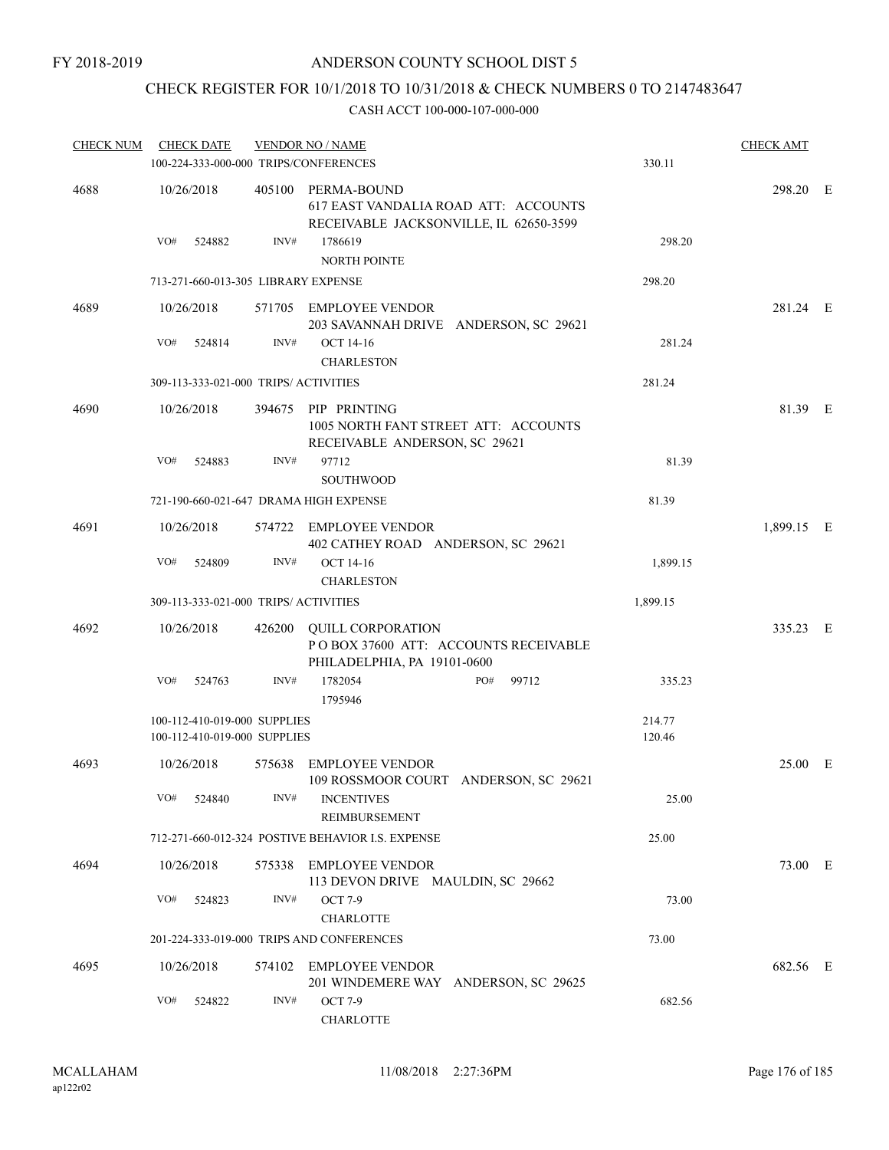## CHECK REGISTER FOR 10/1/2018 TO 10/31/2018 & CHECK NUMBERS 0 TO 2147483647

| <b>CHECK NUM</b> | <b>CHECK DATE</b> |                                                              | <b>VENDOR NO / NAME</b>                                                                              |              |                  | <b>CHECK AMT</b> |  |
|------------------|-------------------|--------------------------------------------------------------|------------------------------------------------------------------------------------------------------|--------------|------------------|------------------|--|
|                  |                   | 100-224-333-000-000 TRIPS/CONFERENCES                        |                                                                                                      |              | 330.11           |                  |  |
| 4688             | 10/26/2018        |                                                              | 405100 PERMA-BOUND<br>617 EAST VANDALIA ROAD ATT: ACCOUNTS<br>RECEIVABLE JACKSONVILLE, IL 62650-3599 |              |                  | 298.20 E         |  |
|                  | VO#<br>524882     | INV#                                                         | 1786619<br><b>NORTH POINTE</b>                                                                       |              | 298.20           |                  |  |
|                  |                   | 713-271-660-013-305 LIBRARY EXPENSE                          |                                                                                                      |              | 298.20           |                  |  |
| 4689             | 10/26/2018        |                                                              | 571705 EMPLOYEE VENDOR<br>203 SAVANNAH DRIVE ANDERSON, SC 29621                                      |              |                  | 281.24 E         |  |
|                  | VO#               | INV#<br>524814                                               | <b>OCT 14-16</b><br><b>CHARLESTON</b>                                                                |              | 281.24           |                  |  |
|                  |                   | 309-113-333-021-000 TRIPS/ ACTIVITIES                        |                                                                                                      |              | 281.24           |                  |  |
| 4690             | 10/26/2018        |                                                              | 394675 PIP PRINTING<br>1005 NORTH FANT STREET ATT: ACCOUNTS<br>RECEIVABLE ANDERSON, SC 29621         |              |                  | 81.39 E          |  |
|                  | VO#<br>524883     | INV#                                                         | 97712<br><b>SOUTHWOOD</b>                                                                            |              | 81.39            |                  |  |
|                  |                   | 721-190-660-021-647 DRAMA HIGH EXPENSE                       |                                                                                                      |              | 81.39            |                  |  |
| 4691             | 10/26/2018        |                                                              | 574722 EMPLOYEE VENDOR<br>402 CATHEY ROAD ANDERSON, SC 29621                                         |              |                  | 1,899.15 E       |  |
|                  | VO#               | 524809<br>INV#                                               | <b>OCT 14-16</b><br><b>CHARLESTON</b>                                                                |              | 1,899.15         |                  |  |
|                  |                   | 309-113-333-021-000 TRIPS/ ACTIVITIES                        |                                                                                                      |              | 1,899.15         |                  |  |
| 4692             | 10/26/2018        |                                                              | 426200 QUILL CORPORATION<br>POBOX 37600 ATT: ACCOUNTS RECEIVABLE<br>PHILADELPHIA, PA 19101-0600      |              |                  | 335.23 E         |  |
|                  | VO#<br>524763     | INV#                                                         | 1782054<br>1795946                                                                                   | 99712<br>PO# | 335.23           |                  |  |
|                  |                   | 100-112-410-019-000 SUPPLIES<br>100-112-410-019-000 SUPPLIES |                                                                                                      |              | 214.77<br>120.46 |                  |  |
| 4693             | 10/26/2018        | 575638                                                       | <b>EMPLOYEE VENDOR</b><br>109 ROSSMOOR COURT ANDERSON, SC 29621                                      |              |                  | 25.00 E          |  |
|                  | VO#               | INV#<br>524840                                               | <b>INCENTIVES</b><br>REIMBURSEMENT                                                                   |              | 25.00            |                  |  |
|                  |                   |                                                              | 712-271-660-012-324 POSTIVE BEHAVIOR I.S. EXPENSE                                                    |              | 25.00            |                  |  |
| 4694             | 10/26/2018        |                                                              | 575338 EMPLOYEE VENDOR<br>113 DEVON DRIVE MAULDIN, SC 29662                                          |              |                  | 73.00 E          |  |
|                  | VO#               | INV#<br>524823                                               | <b>OCT 7-9</b><br><b>CHARLOTTE</b>                                                                   |              | 73.00            |                  |  |
|                  |                   |                                                              | 201-224-333-019-000 TRIPS AND CONFERENCES                                                            |              | 73.00            |                  |  |
| 4695             | 10/26/2018        | 574102                                                       | <b>EMPLOYEE VENDOR</b><br>201 WINDEMERE WAY ANDERSON, SC 29625                                       |              |                  | 682.56 E         |  |
|                  | VO#               | INV#<br>524822                                               | <b>OCT 7-9</b><br><b>CHARLOTTE</b>                                                                   |              | 682.56           |                  |  |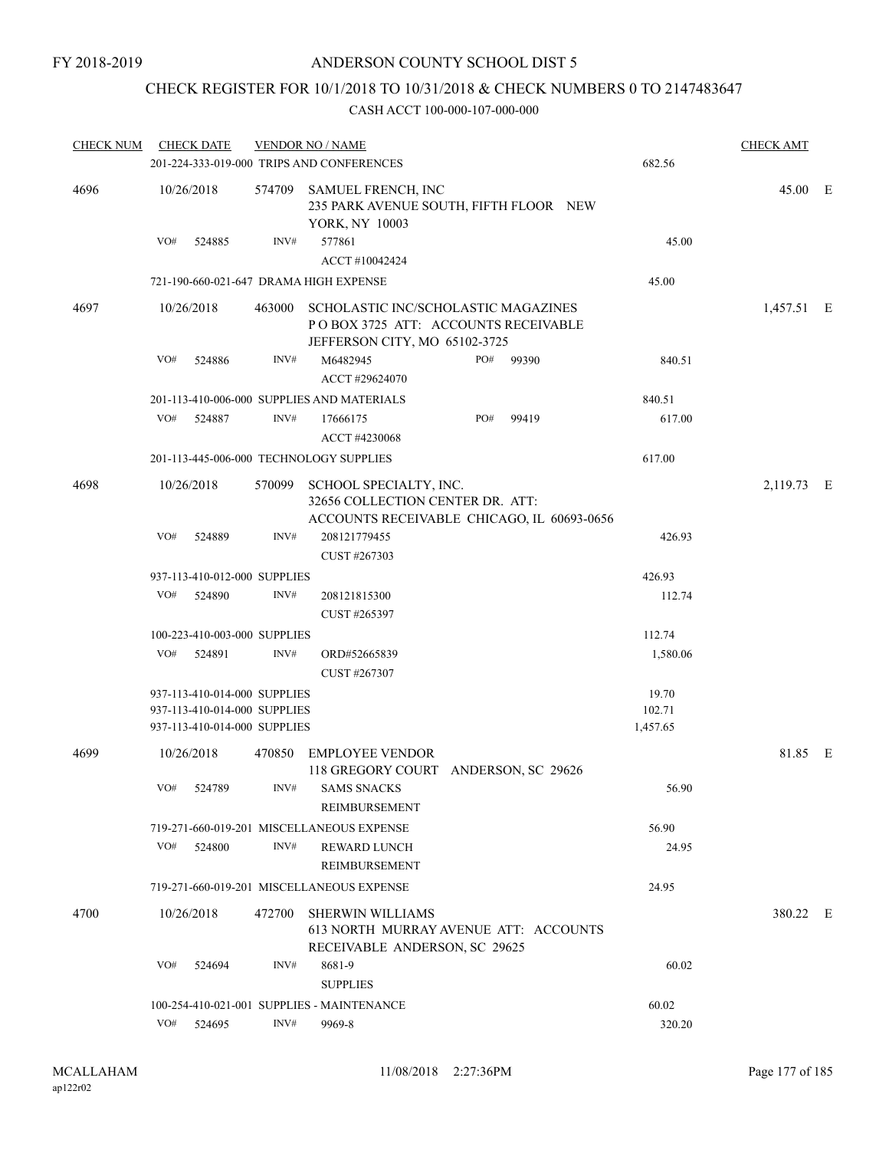### CHECK REGISTER FOR 10/1/2018 TO 10/31/2018 & CHECK NUMBERS 0 TO 2147483647

| <b>CHECK NUM</b> | <b>CHECK DATE</b> |                              | <b>VENDOR NO / NAME</b>                                                                                            |     |       |          | <b>CHECK AMT</b> |  |
|------------------|-------------------|------------------------------|--------------------------------------------------------------------------------------------------------------------|-----|-------|----------|------------------|--|
|                  |                   |                              | 201-224-333-019-000 TRIPS AND CONFERENCES                                                                          |     |       | 682.56   |                  |  |
| 4696             | 10/26/2018        |                              | 574709 SAMUEL FRENCH, INC<br>235 PARK AVENUE SOUTH, FIFTH FLOOR NEW<br><b>YORK, NY 10003</b>                       |     |       |          | 45.00 E          |  |
|                  | VO#<br>524885     | INV#                         | 577861<br>ACCT#10042424                                                                                            |     |       | 45.00    |                  |  |
|                  |                   |                              | 721-190-660-021-647 DRAMA HIGH EXPENSE                                                                             |     |       | 45.00    |                  |  |
| 4697             | 10/26/2018        |                              | 463000 SCHOLASTIC INC/SCHOLASTIC MAGAZINES<br>POBOX 3725 ATT: ACCOUNTS RECEIVABLE<br>JEFFERSON CITY, MO 65102-3725 |     |       |          | 1,457.51 E       |  |
|                  | VO#<br>524886     | INV#                         | M6482945<br>ACCT #29624070                                                                                         | PO# | 99390 | 840.51   |                  |  |
|                  |                   |                              | 201-113-410-006-000 SUPPLIES AND MATERIALS                                                                         |     |       | 840.51   |                  |  |
|                  | VO#<br>524887     | INV#                         | 17666175                                                                                                           | PO# | 99419 | 617.00   |                  |  |
|                  |                   |                              | ACCT #4230068                                                                                                      |     |       |          |                  |  |
|                  |                   |                              | 201-113-445-006-000 TECHNOLOGY SUPPLIES                                                                            |     |       | 617.00   |                  |  |
| 4698             | 10/26/2018        | 570099                       | SCHOOL SPECIALTY, INC.<br>32656 COLLECTION CENTER DR. ATT:<br>ACCOUNTS RECEIVABLE CHICAGO, IL 60693-0656           |     |       |          | 2,119.73 E       |  |
|                  | VO#<br>524889     | INV#                         | 208121779455<br>CUST #267303                                                                                       |     |       | 426.93   |                  |  |
|                  |                   | 937-113-410-012-000 SUPPLIES |                                                                                                                    |     |       | 426.93   |                  |  |
|                  | VO#<br>524890     | INV#                         | 208121815300<br>CUST #265397                                                                                       |     |       | 112.74   |                  |  |
|                  |                   | 100-223-410-003-000 SUPPLIES |                                                                                                                    |     |       | 112.74   |                  |  |
|                  | VO#<br>524891     | INV#                         | ORD#52665839<br>CUST #267307                                                                                       |     |       | 1,580.06 |                  |  |
|                  |                   | 937-113-410-014-000 SUPPLIES |                                                                                                                    |     |       | 19.70    |                  |  |
|                  |                   | 937-113-410-014-000 SUPPLIES |                                                                                                                    |     |       | 102.71   |                  |  |
|                  |                   | 937-113-410-014-000 SUPPLIES |                                                                                                                    |     |       | 1,457.65 |                  |  |
| 4699             | 10/26/2018        |                              | 470850 EMPLOYEE VENDOR<br>118 GREGORY COURT ANDERSON, SC 29626                                                     |     |       |          | 81.85 E          |  |
|                  | VO# 524789        |                              | INV# SAMS SNACKS<br>REIMBURSEMENT                                                                                  |     |       | 56.90    |                  |  |
|                  |                   |                              | 719-271-660-019-201 MISCELLANEOUS EXPENSE                                                                          |     |       | 56.90    |                  |  |
|                  | VO#<br>524800     | INV#                         | REWARD LUNCH<br>REIMBURSEMENT                                                                                      |     |       | 24.95    |                  |  |
|                  |                   |                              | 719-271-660-019-201 MISCELLANEOUS EXPENSE                                                                          |     |       | 24.95    |                  |  |
| 4700             | 10/26/2018        |                              | 472700 SHERWIN WILLIAMS<br>613 NORTH MURRAY AVENUE ATT: ACCOUNTS<br>RECEIVABLE ANDERSON, SC 29625                  |     |       |          | 380.22 E         |  |
|                  | VO#<br>524694     | INV#                         | 8681-9<br><b>SUPPLIES</b>                                                                                          |     |       | 60.02    |                  |  |
|                  |                   |                              | 100-254-410-021-001 SUPPLIES - MAINTENANCE                                                                         |     |       | 60.02    |                  |  |
|                  | VO#<br>524695     | INV#                         | 9969-8                                                                                                             |     |       | 320.20   |                  |  |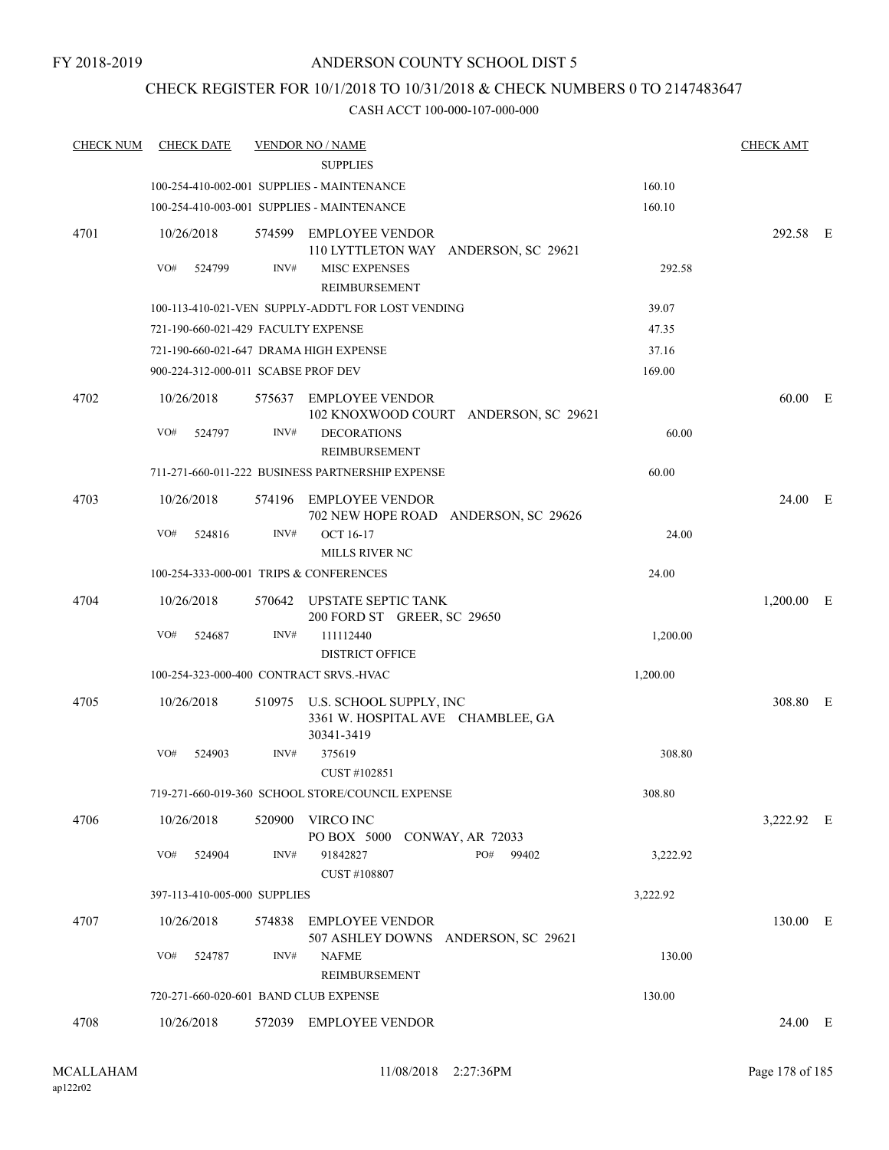### CHECK REGISTER FOR 10/1/2018 TO 10/31/2018 & CHECK NUMBERS 0 TO 2147483647

| <b>CHECK NUM</b> | <b>CHECK DATE</b>                       |                | <b>VENDOR NO / NAME</b>                                                           |          | <b>CHECK AMT</b> |  |
|------------------|-----------------------------------------|----------------|-----------------------------------------------------------------------------------|----------|------------------|--|
|                  |                                         |                | <b>SUPPLIES</b>                                                                   |          |                  |  |
|                  |                                         |                | 100-254-410-002-001 SUPPLIES - MAINTENANCE                                        | 160.10   |                  |  |
|                  |                                         |                | 100-254-410-003-001 SUPPLIES - MAINTENANCE                                        | 160.10   |                  |  |
| 4701             | 10/26/2018                              |                | 574599 EMPLOYEE VENDOR<br>110 LYTTLETON WAY ANDERSON, SC 29621                    |          | 292.58 E         |  |
|                  | VO#<br>524799                           | INV#           | <b>MISC EXPENSES</b><br>REIMBURSEMENT                                             | 292.58   |                  |  |
|                  |                                         |                | 100-113-410-021-VEN SUPPLY-ADDT'L FOR LOST VENDING                                | 39.07    |                  |  |
|                  | 721-190-660-021-429 FACULTY EXPENSE     |                |                                                                                   | 47.35    |                  |  |
|                  | 721-190-660-021-647 DRAMA HIGH EXPENSE  |                |                                                                                   | 37.16    |                  |  |
|                  | 900-224-312-000-011 SCABSE PROF DEV     |                |                                                                                   | 169.00   |                  |  |
|                  |                                         |                |                                                                                   |          |                  |  |
| 4702             | 10/26/2018                              |                | 575637 EMPLOYEE VENDOR<br>102 KNOXWOOD COURT ANDERSON, SC 29621                   |          | 60.00 E          |  |
|                  | VO#<br>524797                           | INV#           | <b>DECORATIONS</b><br><b>REIMBURSEMENT</b>                                        | 60.00    |                  |  |
|                  |                                         |                | 711-271-660-011-222 BUSINESS PARTNERSHIP EXPENSE                                  | 60.00    |                  |  |
| 4703             | 10/26/2018                              |                | 574196 EMPLOYEE VENDOR                                                            |          | 24.00 E          |  |
|                  |                                         |                | 702 NEW HOPE ROAD ANDERSON, SC 29626                                              |          |                  |  |
|                  | VO#<br>524816                           | INV#           | OCT 16-17                                                                         | 24.00    |                  |  |
|                  |                                         |                | <b>MILLS RIVER NC</b>                                                             |          |                  |  |
|                  | 100-254-333-000-001 TRIPS & CONFERENCES |                |                                                                                   | 24.00    |                  |  |
| 4704             | 10/26/2018                              |                | 570642 UPSTATE SEPTIC TANK<br>200 FORD ST GREER, SC 29650                         |          | $1,200.00$ E     |  |
|                  | VO#<br>524687                           | $\text{INV}\#$ | 111112440<br><b>DISTRICT OFFICE</b>                                               | 1,200.00 |                  |  |
|                  | 100-254-323-000-400 CONTRACT SRVS.-HVAC |                |                                                                                   | 1,200.00 |                  |  |
| 4705             | 10/26/2018                              |                |                                                                                   |          | 308.80 E         |  |
|                  |                                         |                | 510975 U.S. SCHOOL SUPPLY, INC<br>3361 W. HOSPITAL AVE CHAMBLEE, GA<br>30341-3419 |          |                  |  |
|                  | VO#<br>524903                           | INV#           | 375619<br>CUST #102851                                                            | 308.80   |                  |  |
|                  |                                         |                | 719-271-660-019-360 SCHOOL STORE/COUNCIL EXPENSE                                  | 308.80   |                  |  |
| 4706             | 10/26/2018                              |                | 520900 VIRCO INC<br>PO BOX 5000 CONWAY, AR 72033                                  |          | 3,222.92 E       |  |
|                  | VO#<br>524904                           | INV#           | PO# 99402<br>91842827<br>CUST #108807                                             | 3,222.92 |                  |  |
|                  | 397-113-410-005-000 SUPPLIES            |                |                                                                                   | 3,222.92 |                  |  |
| 4707             | 10/26/2018                              | 574838         | <b>EMPLOYEE VENDOR</b>                                                            |          | 130.00 E         |  |
|                  |                                         |                | 507 ASHLEY DOWNS ANDERSON, SC 29621                                               |          |                  |  |
|                  | VO#<br>524787                           | INV#           | <b>NAFME</b>                                                                      | 130.00   |                  |  |
|                  |                                         |                | REIMBURSEMENT                                                                     |          |                  |  |
|                  | 720-271-660-020-601 BAND CLUB EXPENSE   |                |                                                                                   | 130.00   |                  |  |
| 4708             | 10/26/2018                              |                | 572039 EMPLOYEE VENDOR                                                            |          | 24.00 E          |  |
|                  |                                         |                |                                                                                   |          |                  |  |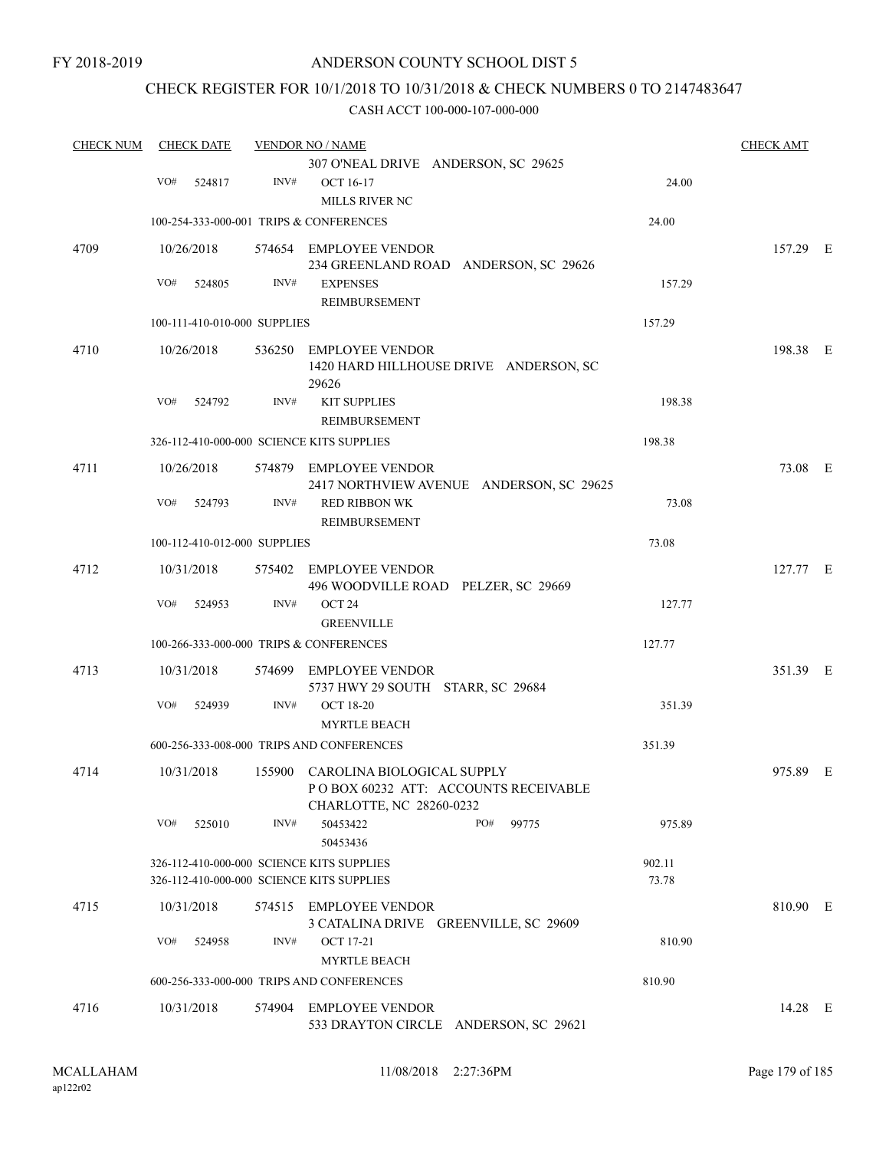### CHECK REGISTER FOR 10/1/2018 TO 10/31/2018 & CHECK NUMBERS 0 TO 2147483647

| <b>CHECK NUM</b> | <b>CHECK DATE</b>                         |        | <b>VENDOR NO / NAME</b>                                            |        | <b>CHECK AMT</b> |  |
|------------------|-------------------------------------------|--------|--------------------------------------------------------------------|--------|------------------|--|
|                  |                                           |        | 307 O'NEAL DRIVE ANDERSON, SC 29625                                |        |                  |  |
|                  | VO#<br>524817                             | INV#   | OCT 16-17                                                          | 24.00  |                  |  |
|                  |                                           |        | <b>MILLS RIVER NC</b>                                              |        |                  |  |
|                  | 100-254-333-000-001 TRIPS & CONFERENCES   |        |                                                                    | 24.00  |                  |  |
| 4709             | 10/26/2018                                |        | 574654 EMPLOYEE VENDOR                                             |        | 157.29 E         |  |
|                  |                                           |        | 234 GREENLAND ROAD ANDERSON, SC 29626                              |        |                  |  |
|                  | VO#<br>524805                             | INV#   | <b>EXPENSES</b>                                                    | 157.29 |                  |  |
|                  |                                           |        | REIMBURSEMENT                                                      |        |                  |  |
|                  | 100-111-410-010-000 SUPPLIES              |        |                                                                    | 157.29 |                  |  |
| 4710             | 10/26/2018                                |        | 536250 EMPLOYEE VENDOR                                             |        | 198.38 E         |  |
|                  |                                           |        | 1420 HARD HILLHOUSE DRIVE ANDERSON, SC<br>29626                    |        |                  |  |
|                  | VO#<br>524792                             | INV#   | <b>KIT SUPPLIES</b>                                                | 198.38 |                  |  |
|                  |                                           |        | REIMBURSEMENT                                                      |        |                  |  |
|                  | 326-112-410-000-000 SCIENCE KITS SUPPLIES |        |                                                                    | 198.38 |                  |  |
|                  |                                           |        |                                                                    |        |                  |  |
| 4711             | 10/26/2018                                |        | 574879 EMPLOYEE VENDOR<br>2417 NORTHVIEW AVENUE ANDERSON, SC 29625 |        | 73.08 E          |  |
|                  | VO#<br>524793                             | INV#   | <b>RED RIBBON WK</b>                                               | 73.08  |                  |  |
|                  |                                           |        | REIMBURSEMENT                                                      |        |                  |  |
|                  | 100-112-410-012-000 SUPPLIES              |        |                                                                    | 73.08  |                  |  |
| 4712             | 10/31/2018                                | 575402 | EMPLOYEE VENDOR                                                    |        | 127.77 E         |  |
|                  |                                           |        | 496 WOODVILLE ROAD PELZER, SC 29669                                |        |                  |  |
|                  | VO#<br>524953                             | INV#   | OCT <sub>24</sub>                                                  | 127.77 |                  |  |
|                  |                                           |        | <b>GREENVILLE</b>                                                  |        |                  |  |
|                  | 100-266-333-000-000 TRIPS & CONFERENCES   |        |                                                                    | 127.77 |                  |  |
| 4713             | 10/31/2018                                | 574699 | <b>EMPLOYEE VENDOR</b>                                             |        | 351.39 E         |  |
|                  |                                           |        | 5737 HWY 29 SOUTH STARR, SC 29684                                  |        |                  |  |
|                  | VO#<br>524939                             | INV#   | <b>OCT 18-20</b>                                                   | 351.39 |                  |  |
|                  |                                           |        | <b>MYRTLE BEACH</b>                                                |        |                  |  |
|                  |                                           |        | 600-256-333-008-000 TRIPS AND CONFERENCES                          | 351.39 |                  |  |
| 4714             | 10/31/2018                                |        | 155900 CAROLINA BIOLOGICAL SUPPLY                                  |        | 975.89 E         |  |
|                  |                                           |        | POBOX 60232 ATT: ACCOUNTS RECEIVABLE                               |        |                  |  |
|                  |                                           |        | <b>CHARLOTTE, NC 28260-0232</b>                                    |        |                  |  |
|                  | VO#<br>525010                             | INV#   | 50453422<br>PO#<br>99775<br>50453436                               | 975.89 |                  |  |
|                  | 326-112-410-000-000 SCIENCE KITS SUPPLIES |        |                                                                    | 902.11 |                  |  |
|                  | 326-112-410-000-000 SCIENCE KITS SUPPLIES |        |                                                                    | 73.78  |                  |  |
| 4715             | 10/31/2018                                |        | 574515 EMPLOYEE VENDOR                                             |        | 810.90 E         |  |
|                  |                                           |        | 3 CATALINA DRIVE GREENVILLE, SC 29609                              |        |                  |  |
|                  | VO#<br>524958                             | INV#   | <b>OCT 17-21</b>                                                   | 810.90 |                  |  |
|                  |                                           |        | <b>MYRTLE BEACH</b>                                                |        |                  |  |
|                  |                                           |        | 600-256-333-000-000 TRIPS AND CONFERENCES                          | 810.90 |                  |  |
| 4716             | 10/31/2018                                |        | 574904 EMPLOYEE VENDOR                                             |        | 14.28 E          |  |
|                  |                                           |        | 533 DRAYTON CIRCLE ANDERSON, SC 29621                              |        |                  |  |
|                  |                                           |        |                                                                    |        |                  |  |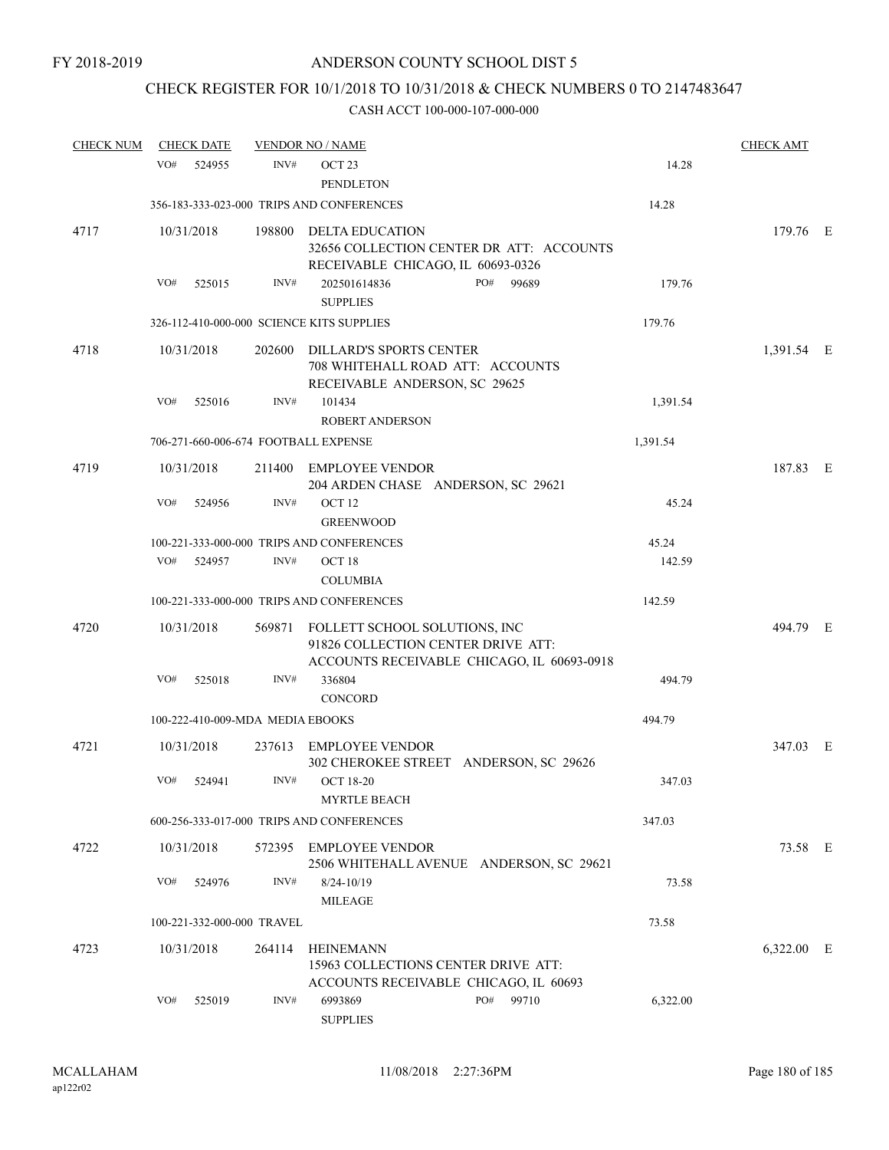# CHECK REGISTER FOR 10/1/2018 TO 10/31/2018 & CHECK NUMBERS 0 TO 2147483647

| <b>CHECK NUM</b> |            | <b>CHECK DATE</b> |                                  | <b>VENDOR NO / NAME</b>                                                                                                  |          | <b>CHECK AMT</b> |  |
|------------------|------------|-------------------|----------------------------------|--------------------------------------------------------------------------------------------------------------------------|----------|------------------|--|
|                  | VO#        | 524955            | INV#                             | OCT <sub>23</sub><br><b>PENDLETON</b>                                                                                    | 14.28    |                  |  |
|                  |            |                   |                                  | 356-183-333-023-000 TRIPS AND CONFERENCES                                                                                | 14.28    |                  |  |
| 4717             | 10/31/2018 |                   |                                  | 198800 DELTA EDUCATION<br>32656 COLLECTION CENTER DR ATT: ACCOUNTS<br>RECEIVABLE CHICAGO, IL 60693-0326                  |          | 179.76 E         |  |
|                  | VO#        | 525015            | INV#                             | PO#<br>99689<br>202501614836<br><b>SUPPLIES</b>                                                                          | 179.76   |                  |  |
|                  |            |                   |                                  | 326-112-410-000-000 SCIENCE KITS SUPPLIES                                                                                | 179.76   |                  |  |
| 4718             | 10/31/2018 |                   | 202600                           | <b>DILLARD'S SPORTS CENTER</b><br>708 WHITEHALL ROAD ATT: ACCOUNTS<br>RECEIVABLE ANDERSON, SC 29625                      |          | 1,391.54 E       |  |
|                  | VO#        | 525016            | INV#                             | 101434<br><b>ROBERT ANDERSON</b>                                                                                         | 1,391.54 |                  |  |
|                  |            |                   |                                  | 706-271-660-006-674 FOOTBALL EXPENSE                                                                                     | 1,391.54 |                  |  |
| 4719             | 10/31/2018 |                   | 211400                           | <b>EMPLOYEE VENDOR</b><br>204 ARDEN CHASE ANDERSON, SC 29621                                                             |          | 187.83 E         |  |
|                  | VO#        | 524956            | INV#                             | OCT <sub>12</sub><br><b>GREENWOOD</b>                                                                                    | 45.24    |                  |  |
|                  |            |                   |                                  | 100-221-333-000-000 TRIPS AND CONFERENCES                                                                                | 45.24    |                  |  |
|                  | VO#        | 524957            | INV#                             | OCT <sub>18</sub><br><b>COLUMBIA</b>                                                                                     | 142.59   |                  |  |
|                  |            |                   |                                  | 100-221-333-000-000 TRIPS AND CONFERENCES                                                                                | 142.59   |                  |  |
| 4720             | 10/31/2018 |                   |                                  | 569871 FOLLETT SCHOOL SOLUTIONS, INC<br>91826 COLLECTION CENTER DRIVE ATT:<br>ACCOUNTS RECEIVABLE CHICAGO, IL 60693-0918 |          | 494.79 E         |  |
|                  | VO#        | 525018            | INV#                             | 336804<br><b>CONCORD</b>                                                                                                 | 494.79   |                  |  |
|                  |            |                   | 100-222-410-009-MDA MEDIA EBOOKS |                                                                                                                          | 494.79   |                  |  |
| 4721             | 10/31/2018 |                   | 237613                           | <b>EMPLOYEE VENDOR</b><br>302 CHEROKEE STREET ANDERSON, SC 29626                                                         |          | 347.03 E         |  |
|                  | VO#        | 524941            | INV#                             | <b>OCT 18-20</b><br><b>MYRTLE BEACH</b>                                                                                  | 347.03   |                  |  |
|                  |            |                   |                                  | 600-256-333-017-000 TRIPS AND CONFERENCES                                                                                | 347.03   |                  |  |
| 4722             | 10/31/2018 |                   | 572395                           | <b>EMPLOYEE VENDOR</b><br>2506 WHITEHALL AVENUE ANDERSON, SC 29621                                                       |          | 73.58 E          |  |
|                  | VO#        | 524976            | INV#                             | $8/24 - 10/19$<br><b>MILEAGE</b>                                                                                         | 73.58    |                  |  |
|                  |            |                   | 100-221-332-000-000 TRAVEL       |                                                                                                                          | 73.58    |                  |  |
| 4723             | 10/31/2018 |                   | 264114                           | <b>HEINEMANN</b><br>15963 COLLECTIONS CENTER DRIVE ATT:<br>ACCOUNTS RECEIVABLE CHICAGO, IL 60693                         |          | 6,322.00 E       |  |
|                  | VO#        | 525019            | INV#                             | PO#<br>99710<br>6993869<br><b>SUPPLIES</b>                                                                               | 6,322.00 |                  |  |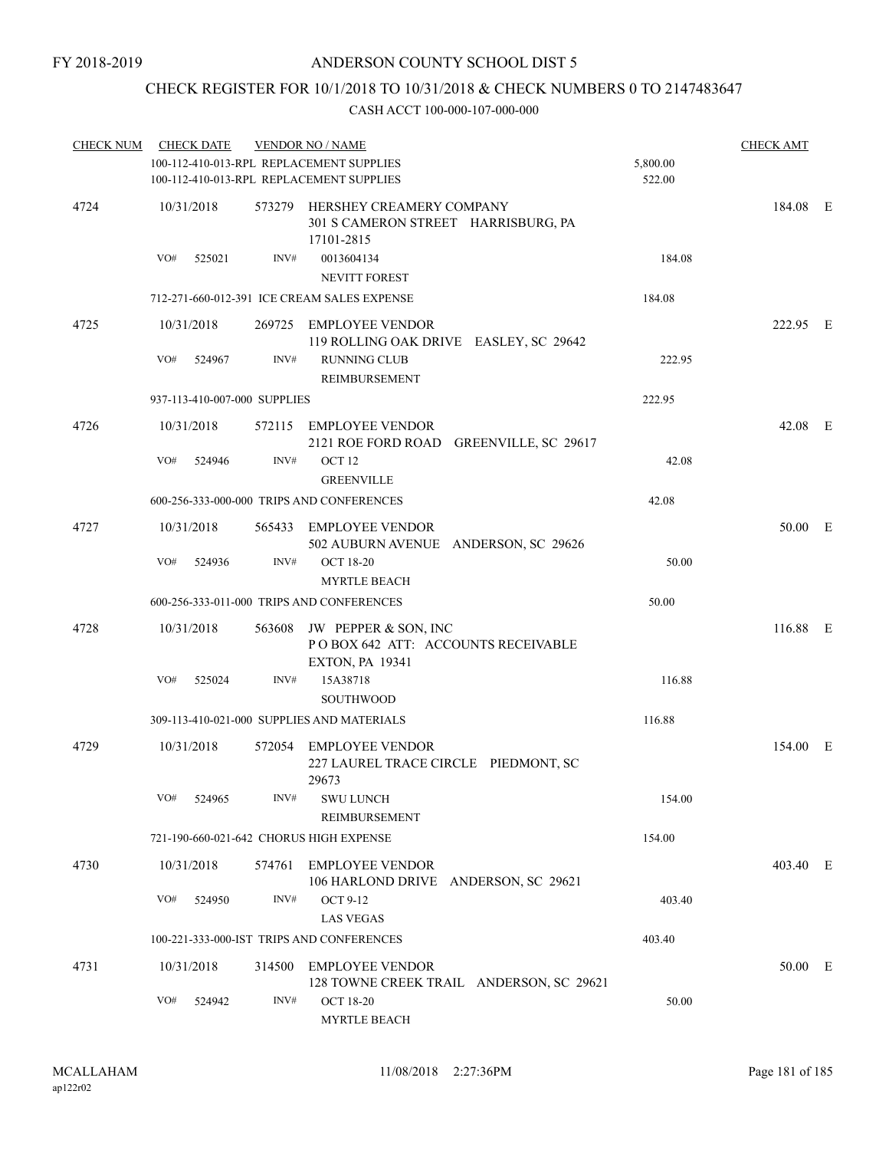## CHECK REGISTER FOR 10/1/2018 TO 10/31/2018 & CHECK NUMBERS 0 TO 2147483647

| <b>CHECK NUM</b> | <b>CHECK DATE</b>            |        | <b>VENDOR NO / NAME</b>                                                              |          | <b>CHECK AMT</b> |  |
|------------------|------------------------------|--------|--------------------------------------------------------------------------------------|----------|------------------|--|
|                  |                              |        | 100-112-410-013-RPL REPLACEMENT SUPPLIES                                             | 5,800.00 |                  |  |
|                  |                              |        | 100-112-410-013-RPL REPLACEMENT SUPPLIES                                             | 522.00   |                  |  |
| 4724             | 10/31/2018                   |        | 573279 HERSHEY CREAMERY COMPANY<br>301 S CAMERON STREET HARRISBURG, PA<br>17101-2815 |          | 184.08 E         |  |
|                  | VO#<br>525021                | INV#   | 0013604134<br><b>NEVITT FOREST</b>                                                   | 184.08   |                  |  |
|                  |                              |        | 712-271-660-012-391 ICE CREAM SALES EXPENSE                                          | 184.08   |                  |  |
| 4725             | 10/31/2018                   |        | 269725 EMPLOYEE VENDOR<br>119 ROLLING OAK DRIVE EASLEY, SC 29642                     |          | 222.95 E         |  |
|                  | VO#<br>524967                | INV#   | <b>RUNNING CLUB</b><br>REIMBURSEMENT                                                 | 222.95   |                  |  |
|                  | 937-113-410-007-000 SUPPLIES |        |                                                                                      | 222.95   |                  |  |
| 4726             | 10/31/2018                   |        | 572115 EMPLOYEE VENDOR<br>2121 ROE FORD ROAD GREENVILLE, SC 29617                    |          | 42.08 E          |  |
|                  | VO#<br>524946                | INV#   | OCT <sub>12</sub><br><b>GREENVILLE</b>                                               | 42.08    |                  |  |
|                  |                              |        | 600-256-333-000-000 TRIPS AND CONFERENCES                                            | 42.08    |                  |  |
| 4727             | 10/31/2018                   |        | 565433 EMPLOYEE VENDOR<br>502 AUBURN AVENUE ANDERSON, SC 29626                       |          | 50.00 E          |  |
|                  | VO#<br>524936                | INV#   | <b>OCT 18-20</b><br><b>MYRTLE BEACH</b>                                              | 50.00    |                  |  |
|                  |                              |        | 600-256-333-011-000 TRIPS AND CONFERENCES                                            | 50.00    |                  |  |
| 4728             | 10/31/2018                   | 563608 | JW PEPPER & SON, INC<br>POBOX 642 ATT: ACCOUNTS RECEIVABLE<br><b>EXTON, PA 19341</b> |          | 116.88 E         |  |
|                  | VO#<br>525024                | INV#   | 15A38718<br><b>SOUTHWOOD</b>                                                         | 116.88   |                  |  |
|                  |                              |        | 309-113-410-021-000 SUPPLIES AND MATERIALS                                           | 116.88   |                  |  |
| 4729             | 10/31/2018                   |        | 572054 EMPLOYEE VENDOR<br>227 LAUREL TRACE CIRCLE PIEDMONT, SC<br>29673              |          | 154.00 E         |  |
|                  | VO#<br>524965                | INV#   | <b>SWU LUNCH</b><br>REIMBURSEMENT                                                    | 154.00   |                  |  |
|                  |                              |        | 721-190-660-021-642 CHORUS HIGH EXPENSE                                              | 154.00   |                  |  |
| 4730             | 10/31/2018                   | 574761 | <b>EMPLOYEE VENDOR</b><br>106 HARLOND DRIVE ANDERSON, SC 29621                       |          | 403.40 E         |  |
|                  | VO#<br>524950                | INV#   | <b>OCT 9-12</b><br><b>LAS VEGAS</b>                                                  | 403.40   |                  |  |
|                  |                              |        | 100-221-333-000-IST TRIPS AND CONFERENCES                                            | 403.40   |                  |  |
| 4731             | 10/31/2018                   | 314500 | <b>EMPLOYEE VENDOR</b><br>128 TOWNE CREEK TRAIL ANDERSON, SC 29621                   |          | 50.00 E          |  |
|                  | VO#<br>524942                | INV#   | <b>OCT 18-20</b><br>MYRTLE BEACH                                                     | 50.00    |                  |  |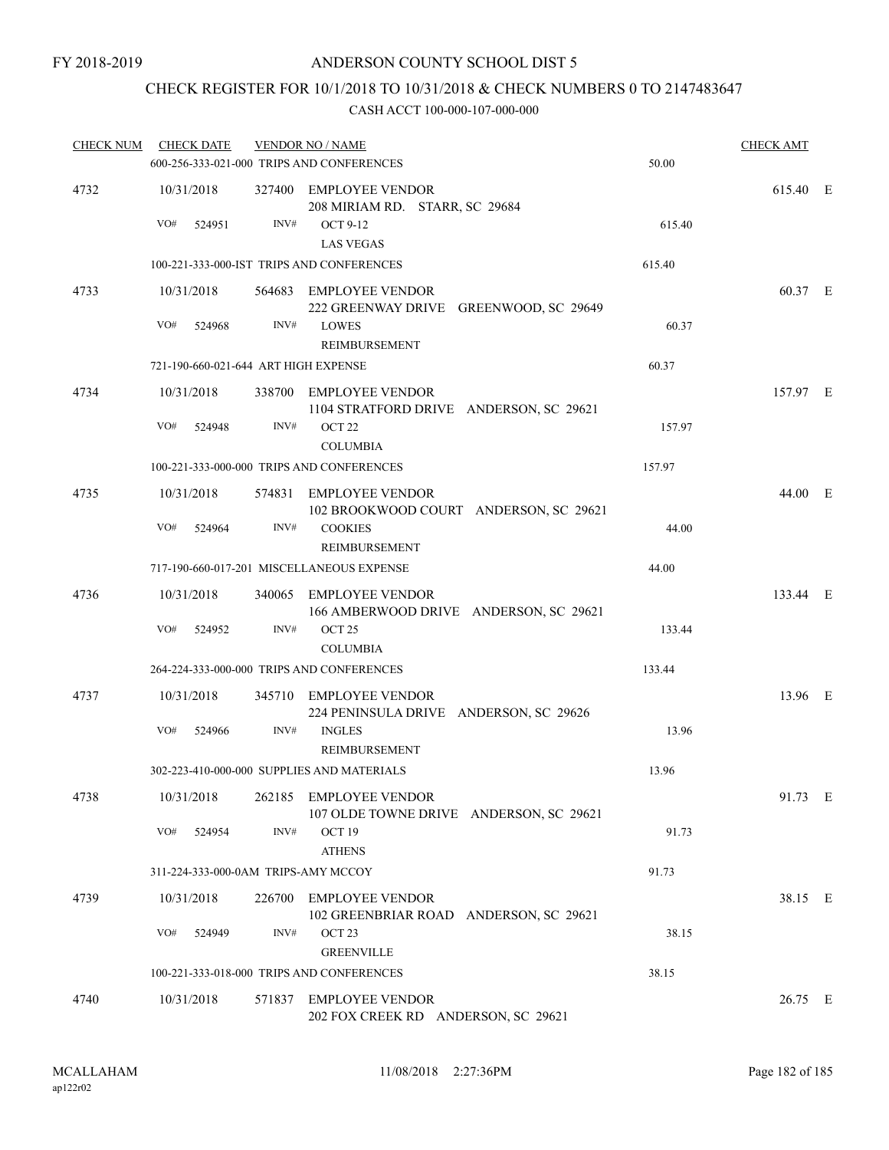## CHECK REGISTER FOR 10/1/2018 TO 10/31/2018 & CHECK NUMBERS 0 TO 2147483647

| <b>CHECK NUM</b> | <b>CHECK DATE</b>                    | <b>VENDOR NO / NAME</b><br>600-256-333-021-000 TRIPS AND CONFERENCES |                                                                   |        | <b>CHECK AMT</b> |  |
|------------------|--------------------------------------|----------------------------------------------------------------------|-------------------------------------------------------------------|--------|------------------|--|
| 4732             | 10/31/2018                           |                                                                      | 327400 EMPLOYEE VENDOR<br>208 MIRIAM RD. STARR, SC 29684          |        | 615.40 E         |  |
|                  | VO#<br>524951                        | INV#                                                                 | <b>OCT 9-12</b><br><b>LAS VEGAS</b>                               | 615.40 |                  |  |
|                  |                                      |                                                                      | 100-221-333-000-IST TRIPS AND CONFERENCES                         | 615.40 |                  |  |
| 4733             | 10/31/2018                           |                                                                      | 564683 EMPLOYEE VENDOR<br>222 GREENWAY DRIVE GREENWOOD, SC 29649  |        | 60.37 E          |  |
|                  | VO#<br>524968                        | INV#                                                                 | <b>LOWES</b><br>REIMBURSEMENT                                     | 60.37  |                  |  |
|                  | 721-190-660-021-644 ART HIGH EXPENSE |                                                                      |                                                                   | 60.37  |                  |  |
| 4734             | 10/31/2018                           |                                                                      | 338700 EMPLOYEE VENDOR<br>1104 STRATFORD DRIVE ANDERSON, SC 29621 |        | 157.97 E         |  |
|                  | VO#<br>524948                        | INV#                                                                 | OCT <sub>22</sub><br><b>COLUMBIA</b>                              | 157.97 |                  |  |
|                  |                                      |                                                                      | 100-221-333-000-000 TRIPS AND CONFERENCES                         | 157.97 |                  |  |
| 4735             | 10/31/2018                           |                                                                      | 574831 EMPLOYEE VENDOR<br>102 BROOKWOOD COURT ANDERSON, SC 29621  |        | 44.00 E          |  |
|                  | VO#<br>524964                        | INV#                                                                 | <b>COOKIES</b><br>REIMBURSEMENT                                   | 44.00  |                  |  |
|                  |                                      |                                                                      | 717-190-660-017-201 MISCELLANEOUS EXPENSE                         | 44.00  |                  |  |
| 4736             | 10/31/2018                           |                                                                      | 340065 EMPLOYEE VENDOR<br>166 AMBERWOOD DRIVE ANDERSON, SC 29621  |        | 133.44 E         |  |
|                  | VO#<br>524952                        | INV#                                                                 | OCT <sub>25</sub><br><b>COLUMBIA</b>                              | 133.44 |                  |  |
|                  |                                      |                                                                      | 264-224-333-000-000 TRIPS AND CONFERENCES                         | 133.44 |                  |  |
| 4737             | 10/31/2018                           | 345710                                                               | EMPLOYEE VENDOR<br>224 PENINSULA DRIVE ANDERSON, SC 29626         |        | 13.96 E          |  |
|                  | VO#<br>524966                        | INV#                                                                 | <b>INGLES</b><br>REIMBURSEMENT                                    | 13.96  |                  |  |
|                  |                                      |                                                                      | 302-223-410-000-000 SUPPLIES AND MATERIALS                        | 13.96  |                  |  |
| 4738             | 10/31/2018                           |                                                                      | 262185 EMPLOYEE VENDOR<br>107 OLDE TOWNE DRIVE ANDERSON, SC 29621 |        | 91.73 E          |  |
|                  | VO#<br>524954                        | INV#                                                                 | OCT <sub>19</sub><br><b>ATHENS</b>                                | 91.73  |                  |  |
|                  | 311-224-333-000-0AM TRIPS-AMY MCCOY  |                                                                      |                                                                   | 91.73  |                  |  |
| 4739             | 10/31/2018                           |                                                                      | 226700 EMPLOYEE VENDOR<br>102 GREENBRIAR ROAD ANDERSON, SC 29621  |        | 38.15 E          |  |
|                  | VO#<br>524949                        | INV#                                                                 | OCT <sub>23</sub><br><b>GREENVILLE</b>                            | 38.15  |                  |  |
|                  |                                      |                                                                      | 100-221-333-018-000 TRIPS AND CONFERENCES                         | 38.15  |                  |  |
| 4740             | 10/31/2018                           |                                                                      | 571837 EMPLOYEE VENDOR<br>202 FOX CREEK RD ANDERSON, SC 29621     |        | 26.75 E          |  |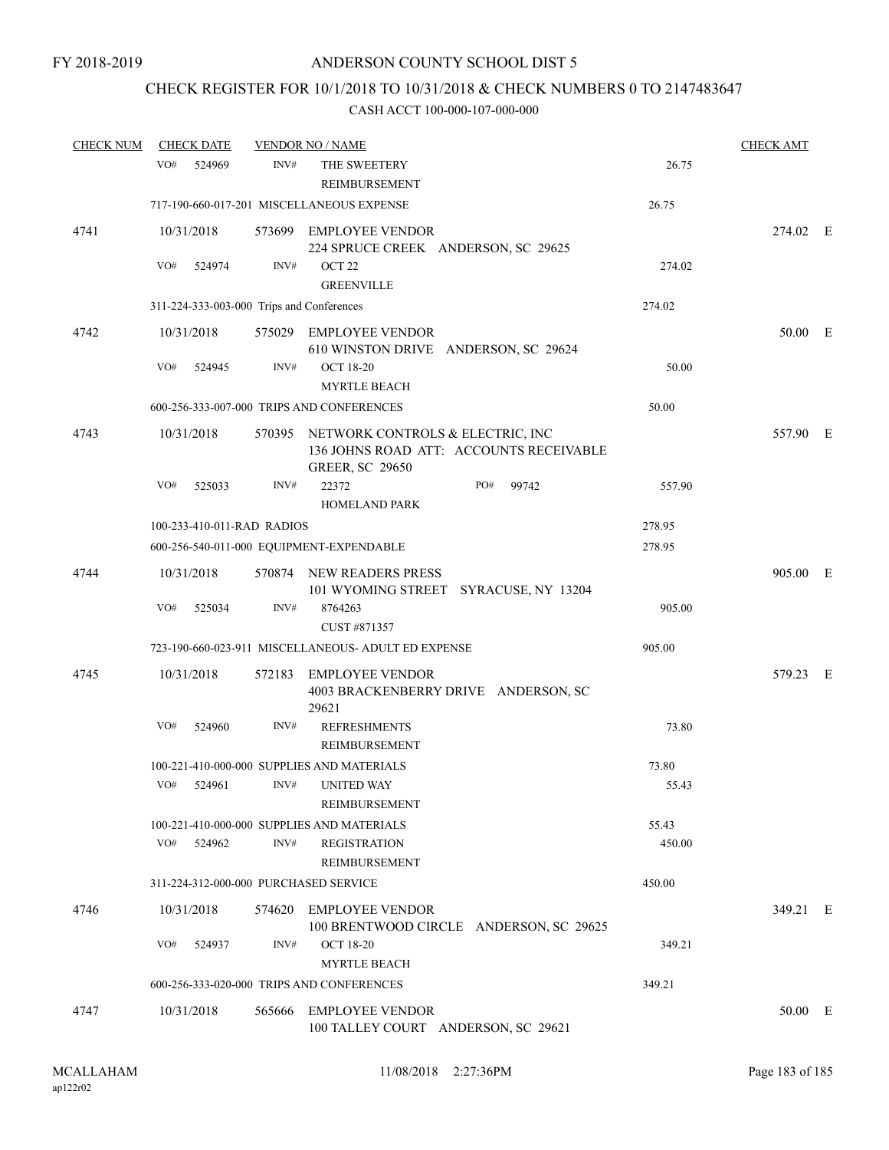## CHECK REGISTER FOR 10/1/2018 TO 10/31/2018 & CHECK NUMBERS 0 TO 2147483647

| <b>CHECK NUM</b> | <b>CHECK DATE</b>                         | <b>VENDOR NO / NAME</b> |                                                                                                              |        | <b>CHECK AMT</b> |  |
|------------------|-------------------------------------------|-------------------------|--------------------------------------------------------------------------------------------------------------|--------|------------------|--|
|                  | VO#<br>524969                             | INV#                    | THE SWEETERY<br>REIMBURSEMENT                                                                                | 26.75  |                  |  |
|                  |                                           |                         | 717-190-660-017-201 MISCELLANEOUS EXPENSE                                                                    | 26.75  |                  |  |
| 4741             | 10/31/2018                                |                         | 573699 EMPLOYEE VENDOR<br>224 SPRUCE CREEK ANDERSON, SC 29625                                                |        | 274.02 E         |  |
|                  | VO#<br>524974                             | INV#                    | OCT <sub>22</sub><br><b>GREENVILLE</b>                                                                       | 274.02 |                  |  |
|                  | 311-224-333-003-000 Trips and Conferences |                         |                                                                                                              | 274.02 |                  |  |
| 4742             | 10/31/2018                                |                         | 575029 EMPLOYEE VENDOR<br>610 WINSTON DRIVE ANDERSON, SC 29624                                               |        | 50.00 E          |  |
|                  | VO#<br>524945                             | INV#                    | <b>OCT 18-20</b><br><b>MYRTLE BEACH</b>                                                                      | 50.00  |                  |  |
|                  |                                           |                         | 600-256-333-007-000 TRIPS AND CONFERENCES                                                                    | 50.00  |                  |  |
| 4743             | 10/31/2018                                |                         | 570395 NETWORK CONTROLS & ELECTRIC, INC<br>136 JOHNS ROAD ATT: ACCOUNTS RECEIVABLE<br><b>GREER, SC 29650</b> |        | 557.90 E         |  |
|                  | VO#<br>525033                             | INV#                    | 22372<br>PO#<br>99742<br><b>HOMELAND PARK</b>                                                                | 557.90 |                  |  |
|                  | 100-233-410-011-RAD RADIOS                |                         |                                                                                                              | 278.95 |                  |  |
|                  |                                           |                         | 600-256-540-011-000 EQUIPMENT-EXPENDABLE                                                                     | 278.95 |                  |  |
| 4744             | 10/31/2018                                |                         | 570874 NEW READERS PRESS<br>101 WYOMING STREET SYRACUSE, NY 13204                                            |        | 905.00 E         |  |
|                  | VO#<br>525034                             | INV#                    | 8764263<br>CUST #871357                                                                                      | 905.00 |                  |  |
|                  |                                           |                         | 723-190-660-023-911 MISCELLANEOUS- ADULT ED EXPENSE                                                          | 905.00 |                  |  |
| 4745             | 10/31/2018                                | 572183                  | <b>EMPLOYEE VENDOR</b><br>4003 BRACKENBERRY DRIVE ANDERSON, SC<br>29621                                      |        | 579.23 E         |  |
|                  | VO#<br>524960                             | INV#                    | <b>REFRESHMENTS</b><br>REIMBURSEMENT                                                                         | 73.80  |                  |  |
|                  |                                           |                         | 100-221-410-000-000 SUPPLIES AND MATERIALS                                                                   | 73.80  |                  |  |
|                  |                                           |                         | VO# 524961 INV# UNITED WAY<br>REIMBURSEMENT                                                                  | 55.43  |                  |  |
|                  |                                           |                         | 100-221-410-000-000 SUPPLIES AND MATERIALS                                                                   | 55.43  |                  |  |
|                  | VO#<br>524962                             | INV#                    | <b>REGISTRATION</b><br>REIMBURSEMENT                                                                         | 450.00 |                  |  |
|                  | 311-224-312-000-000 PURCHASED SERVICE     |                         |                                                                                                              | 450.00 |                  |  |
| 4746             | 10/31/2018                                | 574620                  | <b>EMPLOYEE VENDOR</b><br>100 BRENTWOOD CIRCLE ANDERSON, SC 29625                                            |        | 349.21 E         |  |
|                  | VO#<br>524937                             | INV#                    | <b>OCT 18-20</b><br><b>MYRTLE BEACH</b>                                                                      | 349.21 |                  |  |
|                  |                                           |                         | 600-256-333-020-000 TRIPS AND CONFERENCES                                                                    | 349.21 |                  |  |
| 4747             | 10/31/2018                                | 565666                  | EMPLOYEE VENDOR<br>100 TALLEY COURT ANDERSON, SC 29621                                                       |        | 50.00 E          |  |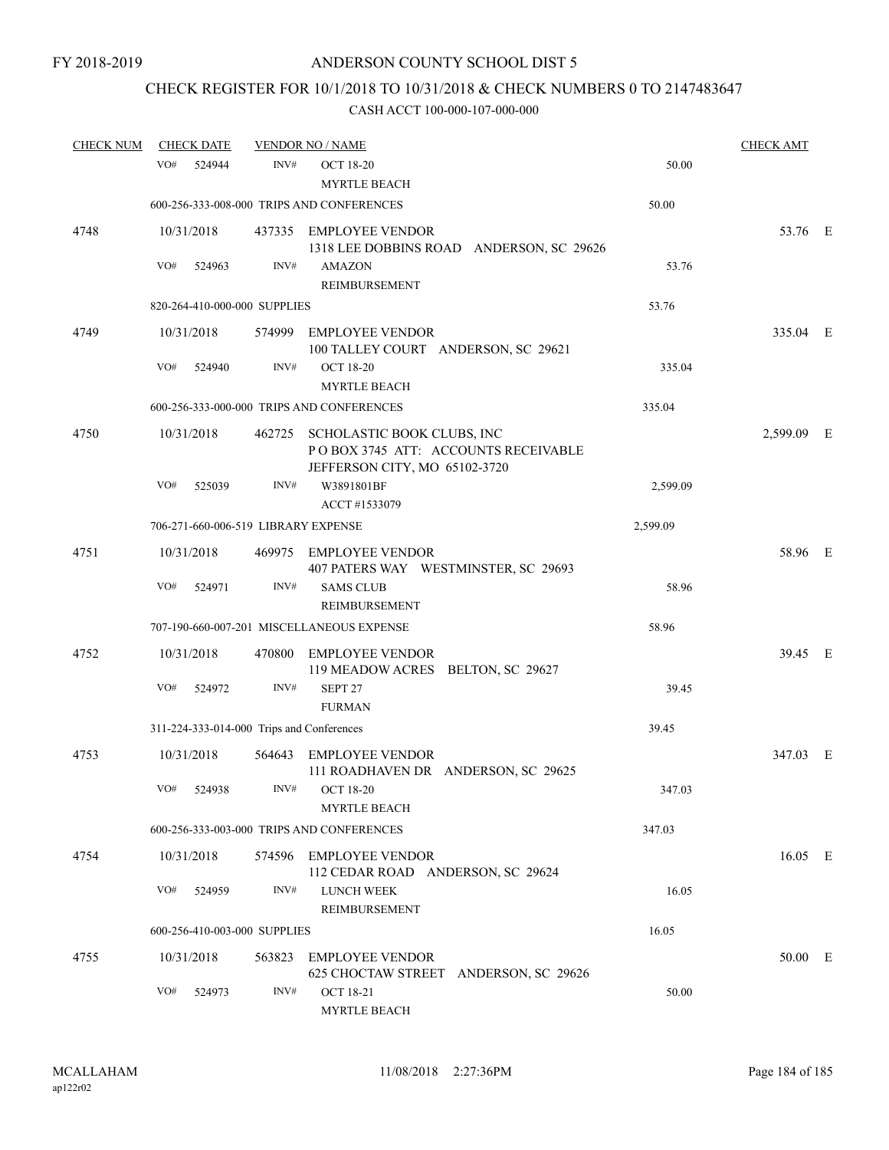## CHECK REGISTER FOR 10/1/2018 TO 10/31/2018 & CHECK NUMBERS 0 TO 2147483647

| <b>CHECK NUM</b> | <b>CHECK DATE</b> |                      |                              | <b>VENDOR NO / NAME</b>                                                                                   |          | <b>CHECK AMT</b> |  |
|------------------|-------------------|----------------------|------------------------------|-----------------------------------------------------------------------------------------------------------|----------|------------------|--|
|                  | VO#               | 524944               | INV#                         | <b>OCT 18-20</b><br><b>MYRTLE BEACH</b>                                                                   | 50.00    |                  |  |
|                  |                   |                      |                              | 600-256-333-008-000 TRIPS AND CONFERENCES                                                                 | 50.00    |                  |  |
| 4748             |                   | 10/31/2018           |                              | 437335 EMPLOYEE VENDOR<br>1318 LEE DOBBINS ROAD ANDERSON, SC 29626                                        |          | 53.76 E          |  |
|                  | VO#               | 524963               | INV#                         | <b>AMAZON</b><br>REIMBURSEMENT                                                                            | 53.76    |                  |  |
|                  |                   |                      | 820-264-410-000-000 SUPPLIES |                                                                                                           | 53.76    |                  |  |
| 4749             | VO#               | 10/31/2018<br>524940 | 574999<br>INV#               | <b>EMPLOYEE VENDOR</b><br>100 TALLEY COURT ANDERSON, SC 29621<br><b>OCT 18-20</b>                         | 335.04   | 335.04 E         |  |
|                  |                   |                      |                              | <b>MYRTLE BEACH</b>                                                                                       |          |                  |  |
|                  |                   |                      |                              | 600-256-333-000-000 TRIPS AND CONFERENCES                                                                 | 335.04   |                  |  |
| 4750             |                   | 10/31/2018           |                              | 462725 SCHOLASTIC BOOK CLUBS, INC<br>POBOX 3745 ATT: ACCOUNTS RECEIVABLE<br>JEFFERSON CITY, MO 65102-3720 |          | 2.599.09 E       |  |
|                  | VO#               | 525039               | INV#                         | W3891801BF                                                                                                | 2,599.09 |                  |  |
|                  |                   |                      |                              | ACCT #1533079                                                                                             |          |                  |  |
|                  |                   |                      |                              | 706-271-660-006-519 LIBRARY EXPENSE                                                                       | 2,599.09 |                  |  |
| 4751             |                   | 10/31/2018           |                              | 469975 EMPLOYEE VENDOR<br>407 PATERS WAY WESTMINSTER, SC 29693                                            |          | 58.96 E          |  |
|                  | VO#               | 524971               | INV#                         | <b>SAMS CLUB</b><br><b>REIMBURSEMENT</b>                                                                  | 58.96    |                  |  |
|                  |                   |                      |                              | 707-190-660-007-201 MISCELLANEOUS EXPENSE                                                                 | 58.96    |                  |  |
| 4752             |                   | 10/31/2018           | 470800                       | <b>EMPLOYEE VENDOR</b><br>119 MEADOW ACRES BELTON, SC 29627                                               |          | 39.45 E          |  |
|                  | VO#               | 524972               | INV#                         | SEPT <sub>27</sub><br><b>FURMAN</b>                                                                       | 39.45    |                  |  |
|                  |                   |                      |                              | 311-224-333-014-000 Trips and Conferences                                                                 | 39.45    |                  |  |
| 4753             |                   | 10/31/2018           |                              | 564643 EMPLOYEE VENDOR<br>111 ROADHAVEN DR ANDERSON, SC 29625                                             |          | 347.03 E         |  |
|                  |                   | VO# 524938           | INV#                         | <b>OCT 18-20</b><br><b>MYRTLE BEACH</b>                                                                   | 347.03   |                  |  |
|                  |                   |                      |                              | 600-256-333-003-000 TRIPS AND CONFERENCES                                                                 | 347.03   |                  |  |
| 4754             |                   | 10/31/2018           |                              | 574596 EMPLOYEE VENDOR<br>112 CEDAR ROAD ANDERSON, SC 29624                                               |          | 16.05 E          |  |
|                  | VO#               | 524959               | INV#                         | <b>LUNCH WEEK</b><br>REIMBURSEMENT                                                                        | 16.05    |                  |  |
|                  |                   |                      | 600-256-410-003-000 SUPPLIES |                                                                                                           | 16.05    |                  |  |
| 4755             |                   | 10/31/2018           | 563823                       | <b>EMPLOYEE VENDOR</b><br>625 CHOCTAW STREET ANDERSON, SC 29626                                           |          | 50.00 E          |  |
|                  | VO#               | 524973               | INV#                         | <b>OCT 18-21</b><br><b>MYRTLE BEACH</b>                                                                   | 50.00    |                  |  |